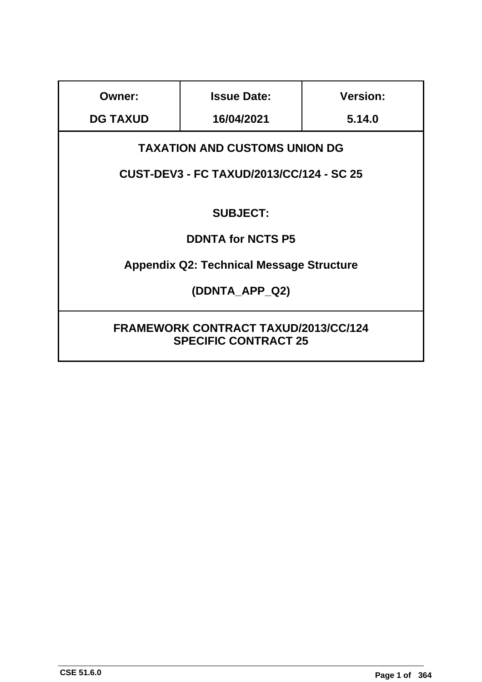| <b>Owner:</b>                                                              | <b>Issue Date:</b>                          | <b>Version:</b> |  |  |  |
|----------------------------------------------------------------------------|---------------------------------------------|-----------------|--|--|--|
| <b>DG TAXUD</b>                                                            | 16/04/2021                                  | 5.14.0          |  |  |  |
|                                                                            | <b>TAXATION AND CUSTOMS UNION DG</b>        |                 |  |  |  |
| <b>CUST-DEV3 - FC TAXUD/2013/CC/124 - SC 25</b>                            |                                             |                 |  |  |  |
|                                                                            |                                             |                 |  |  |  |
|                                                                            | <b>SUBJECT:</b><br><b>DDNTA for NCTS P5</b> |                 |  |  |  |
|                                                                            |                                             |                 |  |  |  |
| <b>Appendix Q2: Technical Message Structure</b>                            |                                             |                 |  |  |  |
| (DDNTA_APP_Q2)                                                             |                                             |                 |  |  |  |
| <b>FRAMEWORK CONTRACT TAXUD/2013/CC/124</b><br><b>SPECIFIC CONTRACT 25</b> |                                             |                 |  |  |  |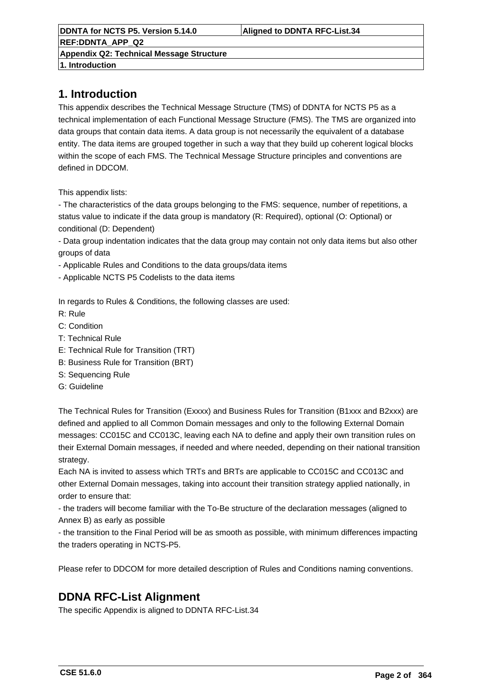**DDNTA for NCTS P5. Version 5.14.0 Aligned to DDNTA RFC-List.34 REF:DDNTA\_APP\_Q2 Appendix Q2: Technical Message Structure 1. Introduction**

## **1. Introduction**

This appendix describes the Technical Message Structure (TMS) of DDNTA for NCTS P5 as a technical implementation of each Functional Message Structure (FMS). The TMS are organized into data groups that contain data items. A data group is not necessarily the equivalent of a database entity. The data items are grouped together in such a way that they build up coherent logical blocks within the scope of each FMS. The Technical Message Structure principles and conventions are defined in DDCOM.

This appendix lists:

- The characteristics of the data groups belonging to the FMS: sequence, number of repetitions, a status value to indicate if the data group is mandatory (R: Required), optional (O: Optional) or conditional (D: Dependent)

- Data group indentation indicates that the data group may contain not only data items but also other groups of data

- Applicable Rules and Conditions to the data groups/data items

- Applicable NCTS P5 Codelists to the data items

In regards to Rules & Conditions, the following classes are used:

- R: Rule
- C: Condition
- T: Technical Rule
- E: Technical Rule for Transition (TRT)
- B: Business Rule for Transition (BRT)
- S: Sequencing Rule
- G: Guideline

The Technical Rules for Transition (Exxxx) and Business Rules for Transition (B1xxx and B2xxx) are defined and applied to all Common Domain messages and only to the following External Domain messages: CC015C and CC013C, leaving each NA to define and apply their own transition rules on their External Domain messages, if needed and where needed, depending on their national transition strategy.

Each NA is invited to assess which TRTs and BRTs are applicable to CC015C and CC013C and other External Domain messages, taking into account their transition strategy applied nationally, in order to ensure that:

- the traders will become familiar with the To-Be structure of the declaration messages (aligned to Annex B) as early as possible

- the transition to the Final Period will be as smooth as possible, with minimum differences impacting the traders operating in NCTS-P5.

Please refer to DDCOM for more detailed description of Rules and Conditions naming conventions.

## **DDNA RFC-List Alignment**

The specific Appendix is aligned to DDNTA RFC-List.34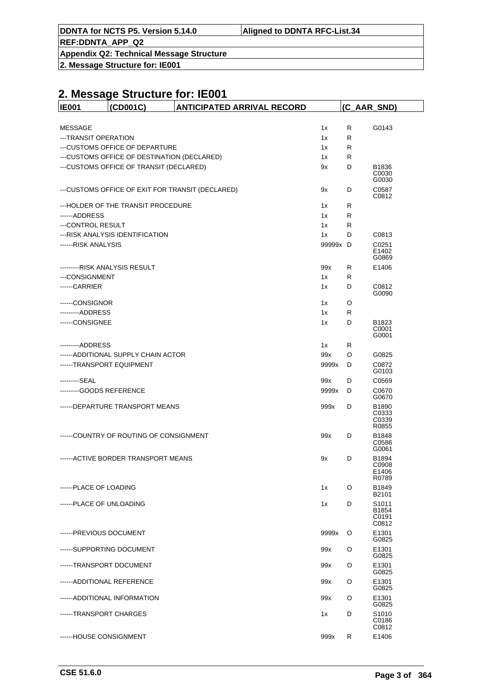**CSE 51.6.0**

**REF:DDNTA\_APP\_Q2 Appendix Q2: Technical Message Structure**

**2. Message Structure for: IE001**

# **2. Message Structure for: IE001**

| <b>IE001</b>                       | (CD001C)                                                                       | <b>ANTICIPATED ARRIVAL RECORD</b> |           |        | (C AAR SND)                                  |
|------------------------------------|--------------------------------------------------------------------------------|-----------------------------------|-----------|--------|----------------------------------------------|
|                                    |                                                                                |                                   |           |        |                                              |
| <b>MESSAGE</b>                     |                                                                                |                                   | 1x        | R      | G0143                                        |
| ---TRANSIT OPERATION               |                                                                                |                                   | 1x        | R      |                                              |
|                                    | --- CUSTOMS OFFICE OF DEPARTURE<br>---CUSTOMS OFFICE OF DESTINATION (DECLARED) |                                   | 1x<br>1x  | R<br>R |                                              |
|                                    | ---CUSTOMS OFFICE OF TRANSIT (DECLARED)                                        |                                   | 9x        | D      | B1836                                        |
|                                    |                                                                                |                                   |           |        | C0030<br>G0030                               |
|                                    | ---CUSTOMS OFFICE OF EXIT FOR TRANSIT (DECLARED)                               |                                   | 9x        | D      | C0587<br>C0812                               |
|                                    | ---HOLDER OF THE TRANSIT PROCEDURE                                             |                                   | 1x        | R      |                                              |
| ------ADDRESS<br>---CONTROL RESULT |                                                                                |                                   | 1x<br>1x  | R<br>R |                                              |
|                                    | ---RISK ANALYSIS IDENTIFICATION                                                |                                   | 1x        | D      | C0813                                        |
| ------RISK ANALYSIS                |                                                                                |                                   | 99999x D  |        | C0251<br>E1402                               |
|                                    |                                                                                |                                   |           |        | G0869                                        |
| ---CONSIGNMENT                     | ---------RISK ANALYSIS RESULT                                                  |                                   | 99x<br>1x | R<br>R | E1406                                        |
| ------CARRIER                      |                                                                                |                                   | 1x        | D      | C0812                                        |
|                                    |                                                                                |                                   |           |        | G0090                                        |
| ------CONSIGNOR                    |                                                                                |                                   | 1x        | O      |                                              |
| ---------ADDRESS<br>-----CONSIGNEE |                                                                                |                                   | 1x<br>1x  | R<br>D | B1823                                        |
|                                    |                                                                                |                                   |           |        | C0001<br>G0001                               |
| ---------ADDRESS                   |                                                                                |                                   | 1x        | R      |                                              |
|                                    | ------ ADDITIONAL SUPPLY CHAIN ACTOR                                           |                                   | 99x       | O      | G0825                                        |
| ------TRANSPORT EQUIPMENT          |                                                                                |                                   | 9999x     | D      | C0872<br>G0103                               |
| ---------SEAL                      |                                                                                |                                   | 99x       | D      | C0569                                        |
| ---------GOODS REFERENCE           |                                                                                |                                   | 9999x     | D      | C0670<br>G0670                               |
|                                    | ------DEPARTURE TRANSPORT MEANS                                                |                                   | 999x      | D      | B1890<br>C0333<br>C0339                      |
|                                    | ------COUNTRY OF ROUTING OF CONSIGNMENT                                        |                                   | 99x       | D      | R0855<br>B1848                               |
|                                    |                                                                                |                                   |           |        | C0586<br>G0061                               |
|                                    | ------ACTIVE BORDER TRANSPORT MEANS                                            |                                   | 9x        | D      | B1894<br>C0908<br>E1406                      |
|                                    |                                                                                |                                   |           |        | R0789                                        |
| ------PLACE OF LOADING             |                                                                                |                                   | 1x        | O      | B1849<br>B2101                               |
| ------ PLACE OF UNLOADING          |                                                                                |                                   | 1x        | D      | S <sub>1011</sub><br>B1854<br>C0191<br>C0812 |
| ------PREVIOUS DOCUMENT            |                                                                                |                                   | 9999x     | O      | E1301<br>G0825                               |
|                                    | ------SUPPORTING DOCUMENT                                                      |                                   | 99x       | O      | E1301<br>G0825                               |
| ------TRANSPORT DOCUMENT           |                                                                                |                                   | 99x       | O      | E1301<br>G0825                               |
| ------ ADDITIONAL REFERENCE        |                                                                                |                                   | 99x       | O      | E1301<br>G0825                               |
|                                    | ------ADDITIONAL INFORMATION                                                   |                                   | 99x       | O      | E1301<br>G0825                               |
| ------TRANSPORT CHARGES            |                                                                                |                                   | 1x        | D      | S <sub>1010</sub><br>C0186<br>C0812          |
| ------HOUSE CONSIGNMENT            |                                                                                |                                   | 999x      | R      | E1406                                        |

**DDNTA for NCTS P5. Version 5.14.0 Aligned to DDNTA RFC-List.34**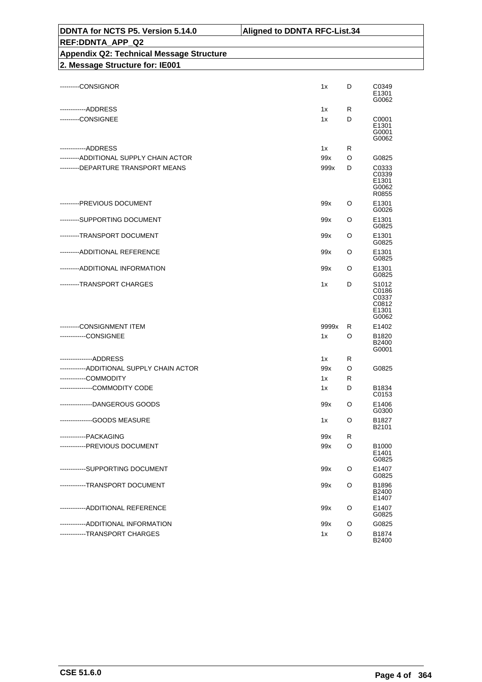#### **REF:DDNTA\_APP\_Q2 Appendix Q2: Technical Message Structure 2. Message Structure for: IE001**

| ---------CONSIGNOR                        | 1x    | D | C0349<br>E1301<br>G0062                            |
|-------------------------------------------|-------|---|----------------------------------------------------|
| ------------ADDRESS                       | 1x    | R |                                                    |
| ---------CONSIGNEE                        | 1x    | D | C0001<br>E1301<br>G0001<br>G0062                   |
| ------------ADDRESS                       | 1x    | R |                                                    |
| ---------ADDITIONAL SUPPLY CHAIN ACTOR    | 99x   | O | G0825                                              |
| ---------DEPARTURE TRANSPORT MEANS        | 999x  | D | C0333<br>C0339<br>E1301<br>G0062<br>R0855          |
| ---------PREVIOUS DOCUMENT                | 99x   | O | E1301<br>G0026                                     |
| --------SUPPORTING DOCUMENT               | 99x   | O | E1301<br>G0825                                     |
| --------TRANSPORT DOCUMENT                | 99x   | O | E1301<br>G0825                                     |
| ---------ADDITIONAL REFERENCE             | 99x   | O | E1301<br>G0825                                     |
| ---------ADDITIONAL INFORMATION           | 99x   | O | E1301<br>G0825                                     |
| ---------TRANSPORT CHARGES                | 1x    | D | S1012<br>C0186<br>C0337<br>C0812<br>E1301<br>G0062 |
| --------CONSIGNMENT ITEM                  | 9999x | R | E1402                                              |
| ------------CONSIGNEE                     | 1x    | O | B1820<br>B2400<br>G0001                            |
| ---------------ADDRESS                    | 1x    | R |                                                    |
| ------------ADDITIONAL SUPPLY CHAIN ACTOR | 99x   | O | G0825                                              |
| -----------COMMODITY                      | 1x    | R |                                                    |
| --------------COMMODITY CODE              | 1x    | D | B1834<br>C0153                                     |
| --------------DANGEROUS GOODS             | 99x   | O | E1406<br>G0300                                     |
| ---------------GOODS MEASURE              | 1x    | O | B1827<br>B2101                                     |
| ------------PACKAGING                     | 99x   | R |                                                    |
| ------------PREVIOUS DOCUMENT             | 99x   | O | B1000<br>E1401<br>G0825                            |
| -----------SUPPORTING DOCUMENT            | 99x   | O | E1407<br>G0825                                     |
| -----------TRANSPORT DOCUMENT             | 99x   | O | B1896<br>B2400<br>E1407                            |
| ------------ADDITIONAL REFERENCE          | 99x   | O | E1407<br>G0825                                     |
| ------------ADDITIONAL INFORMATION        | 99x   | O | G0825                                              |
| ------------TRANSPORT CHARGES             | 1x    | O | B1874<br>B2400                                     |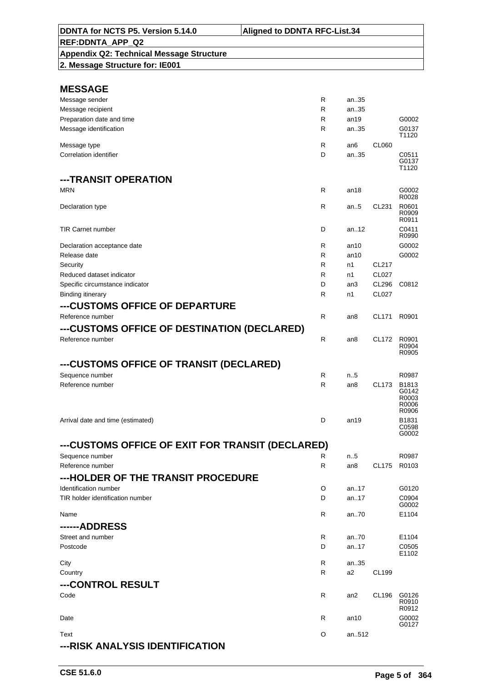| DDNTA for NCTS P5. Version 5.14.0                | <b>Aligned to DDNTA RFC-List.34</b> |                 |              |                |
|--------------------------------------------------|-------------------------------------|-----------------|--------------|----------------|
| <b>REF:DDNTA APP Q2</b>                          |                                     |                 |              |                |
| <b>Appendix Q2: Technical Message Structure</b>  |                                     |                 |              |                |
| 2. Message Structure for: IE001                  |                                     |                 |              |                |
|                                                  |                                     |                 |              |                |
| <b>MESSAGE</b>                                   |                                     |                 |              |                |
| Message sender                                   | R                                   | an35            |              |                |
| Message recipient                                | R                                   | an35            |              |                |
| Preparation date and time                        | R                                   | an19            |              | G0002          |
| Message identification                           | R                                   | an35            |              | G0137          |
|                                                  |                                     |                 |              | T1120          |
| Message type                                     | R                                   | an <sub>6</sub> | CL060        |                |
| Correlation identifier                           | D                                   | an35            |              | C0511<br>G0137 |
|                                                  |                                     |                 |              | T1120          |
| ---TRANSIT OPERATION                             |                                     |                 |              |                |
| <b>MRN</b>                                       | R                                   | an18            |              | G0002          |
|                                                  |                                     |                 |              | R0028          |
| Declaration type                                 | R                                   | an.5            | CL231        | R0601<br>R0909 |
|                                                  |                                     |                 |              | R0911          |
| <b>TIR Carnet number</b>                         | D                                   | an12            |              | C0411          |
|                                                  |                                     |                 |              | R0990          |
| Declaration acceptance date                      | R<br>R                              | an10            |              | G0002          |
| Release date<br>Security                         | R                                   | an10<br>n1      | CL217        | G0002          |
| Reduced dataset indicator                        | R                                   | n1              | CL027        |                |
| Specific circumstance indicator                  | D                                   | an3             | CL296        | C0812          |
| <b>Binding itinerary</b>                         | R                                   | n1              | <b>CL027</b> |                |
| ---CUSTOMS OFFICE OF DEPARTURE                   |                                     |                 |              |                |
| Reference number                                 |                                     |                 |              |                |
|                                                  | R                                   | an8             | CL171        | R0901          |
| ---CUSTOMS OFFICE OF DESTINATION (DECLARED)      |                                     |                 |              |                |
| Reference number                                 | R                                   | an8             | CL172        | R0901<br>R0904 |
|                                                  |                                     |                 |              | R0905          |
| ---CUSTOMS OFFICE OF TRANSIT (DECLARED)          |                                     |                 |              |                |
| Sequence number                                  | R                                   | n.5             |              | R0987          |
| Reference number                                 | R                                   | an <sub>8</sub> | CL173        | B1813          |
|                                                  |                                     |                 |              | G0142<br>R0003 |
|                                                  |                                     |                 |              | R0006          |
|                                                  |                                     |                 |              | R0906          |
| Arrival date and time (estimated)                | D                                   | an19            |              | B1831<br>C0598 |
|                                                  |                                     |                 |              | G0002          |
| ---CUSTOMS OFFICE OF EXIT FOR TRANSIT (DECLARED) |                                     |                 |              |                |
| Sequence number                                  | R                                   | n5              |              | R0987          |
| Reference number                                 | R                                   | an8             | <b>CL175</b> | R0103          |
| ---HOLDER OF THE TRANSIT PROCEDURE               |                                     |                 |              |                |
| Identification number                            | O                                   | an17            |              | G0120          |
| TIR holder identification number                 | D                                   | an17            |              | C0904          |
|                                                  |                                     |                 |              | G0002          |
| Name                                             | R                                   | an70            |              | E1104          |
| ------ADDRESS                                    |                                     |                 |              |                |
| Street and number                                | R                                   | an70            |              | E1104          |
| Postcode                                         | D                                   | an17            |              | C0505          |
|                                                  |                                     |                 |              | E1102          |
| City                                             | R                                   | an35            |              |                |
| Country                                          | R                                   | a2              | CL199        |                |
| ---CONTROL RESULT                                |                                     |                 |              |                |
| Code                                             | R                                   | an2             | CL196        | G0126<br>R0910 |
|                                                  |                                     |                 |              | R0912          |
| Date                                             | R                                   | an10            |              | G0002          |
|                                                  | O                                   |                 |              | G0127          |
| Text                                             |                                     | an512           |              |                |

**---RISK ANALYSIS IDENTIFICATION**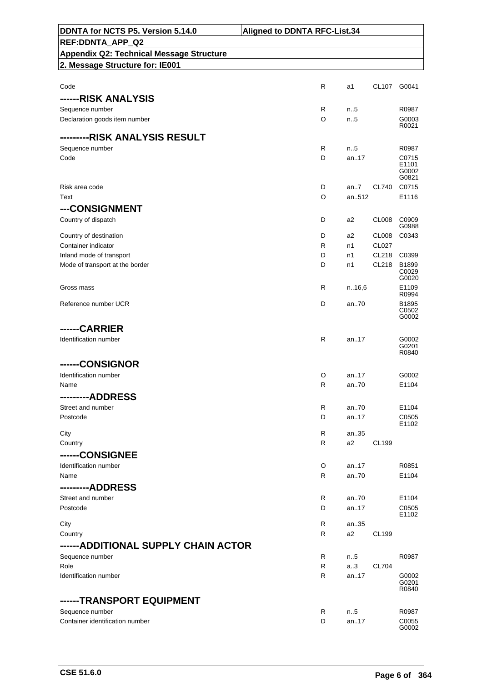| DDNTA for NCTS P5. Version 5.14.0               | <b>Aligned to DDNTA RFC-List.34</b> |                            |                |
|-------------------------------------------------|-------------------------------------|----------------------------|----------------|
| <b>REF:DDNTA APP Q2</b>                         |                                     |                            |                |
| <b>Appendix Q2: Technical Message Structure</b> |                                     |                            |                |
| 2. Message Structure for: IE001                 |                                     |                            |                |
|                                                 |                                     |                            |                |
| Code                                            | R<br>a1                             | CL107                      | G0041          |
| ------RISK ANALYSIS                             |                                     |                            |                |
| Sequence number                                 | R<br>n.5                            |                            | R0987          |
| Declaration goods item number                   | O<br>n.5                            |                            | G0003          |
|                                                 |                                     |                            | R0021          |
| --------RISK ANALYSIS RESULT                    |                                     |                            |                |
| Sequence number<br>Code                         | n.5<br>R<br>D<br>an17               |                            | R0987<br>C0715 |
|                                                 |                                     |                            | E1101          |
|                                                 |                                     |                            | G0002<br>G0821 |
| Risk area code                                  | D<br>an.7                           | <b>CL740</b>               | C0715          |
| Text                                            | an512<br>O                          |                            | E1116          |
| ---CONSIGNMENT                                  |                                     |                            |                |
| Country of dispatch                             | D<br>a2                             | <b>CL008</b>               | C0909          |
|                                                 |                                     |                            | G0988<br>C0343 |
| Country of destination<br>Container indicator   | D<br>a2<br>R<br>n1                  | CL <sub>008</sub><br>CL027 |                |
| Inland mode of transport                        | D<br>n1                             | CL218                      | C0399          |
| Mode of transport at the border                 | D<br>n1                             | CL218                      | B1899          |
|                                                 |                                     |                            | C0029<br>G0020 |
| Gross mass                                      | R<br>n.16,6                         |                            | E1109          |
|                                                 |                                     |                            | R0994          |
| Reference number UCR                            | D<br>an70                           |                            | B1895<br>C0502 |
|                                                 |                                     |                            | G0002          |
| ------CARRIER                                   |                                     |                            |                |
| Identification number                           | R<br>an17                           |                            | G0002          |
|                                                 |                                     |                            | G0201<br>R0840 |
| <b>-CONSIGNOR</b>                               |                                     |                            |                |
| <b>Identification number</b>                    | O<br>an. $.17$                      |                            | G0002          |
| Name                                            | R<br>an.70                          |                            | E1104          |
| ---------ADDRESS                                |                                     |                            |                |
| Street and number                               | R<br>an.70                          |                            | E1104          |
| Postcode                                        | D<br>an17                           |                            | C0505          |
| City                                            | R<br>an35                           |                            | E1102          |
| Country                                         | a2<br>R                             | <b>CL199</b>               |                |
| ------CONSIGNEE                                 |                                     |                            |                |
| Identification number                           | O<br>an17                           |                            | R0851          |
| Name                                            | R<br>an.70                          |                            | E1104          |
| ---------ADDRESS                                |                                     |                            |                |
| Street and number                               | R<br>an70                           |                            | E1104          |
| Postcode                                        | D<br>an17                           |                            | C0505          |
|                                                 | R                                   |                            | E1102          |
| City<br>Country                                 | an35<br>R<br>a <sub>2</sub>         | CL199                      |                |
| ------ADDITIONAL SUPPLY CHAIN ACTOR             |                                     |                            |                |
| Sequence number                                 | R<br>n.5                            |                            | R0987          |
| Role                                            | a.3<br>R                            | <b>CL704</b>               |                |
| <b>Identification number</b>                    | R<br>an17                           |                            | G0002          |
|                                                 |                                     |                            | G0201<br>R0840 |
| ------TRANSPORT EQUIPMENT                       |                                     |                            |                |
| Sequence number                                 | R<br>n.5                            |                            | R0987          |
| Container identification number                 | D<br>an17                           |                            | C0055          |
|                                                 |                                     |                            | G0002          |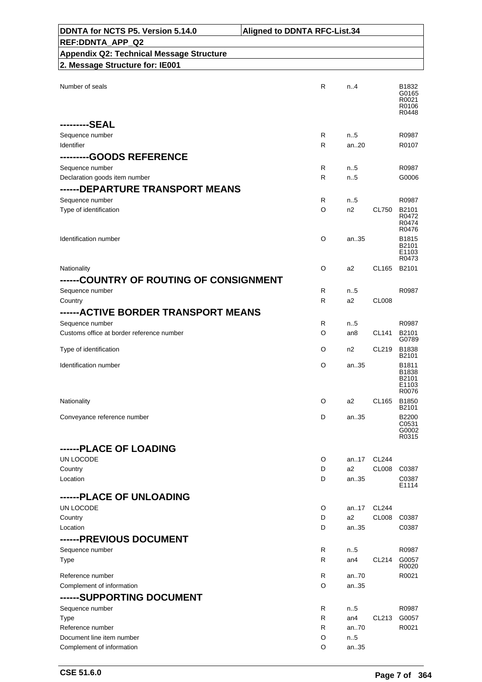| DDNTA for NCTS P5. Version 5.14.0               | <b>Aligned to DDNTA RFC-List.34</b> |              |              |                            |
|-------------------------------------------------|-------------------------------------|--------------|--------------|----------------------------|
| REF:DDNTA_APP_Q2                                |                                     |              |              |                            |
| <b>Appendix Q2: Technical Message Structure</b> |                                     |              |              |                            |
| 2. Message Structure for: IE001                 |                                     |              |              |                            |
|                                                 |                                     |              |              |                            |
| Number of seals                                 | R.                                  | n.A          |              | B1832                      |
|                                                 |                                     |              |              | G0165<br>R0021             |
|                                                 |                                     |              |              | R0106<br>R0448             |
| ---------SEAL                                   |                                     |              |              |                            |
| Sequence number                                 | R.                                  | n.5          |              | R0987                      |
| Identifier                                      | R.                                  | an.20        |              | R0107                      |
|                                                 |                                     |              |              |                            |
| Sequence number                                 | R                                   | n5           |              | R0987                      |
| Declaration goods item number                   | R.                                  | n.5          |              | G0006                      |
| ------DEPARTURE TRANSPORT MEANS                 |                                     |              |              |                            |
| Sequence number                                 | R                                   | n5           |              | R0987                      |
| Type of identification                          | O                                   | n2           | CL750        | B2101                      |
|                                                 |                                     |              |              | R0472<br>R0474             |
|                                                 |                                     |              |              | R0476                      |
| Identification number                           | O                                   | an35         |              | B1815<br>B <sub>2101</sub> |
|                                                 |                                     |              |              | E1103<br>R0473             |
| Nationality                                     | O                                   | a2           | CL165        | B2101                      |
| ------COUNTRY OF ROUTING OF CONSIGNMENT         |                                     |              |              |                            |
| Sequence number                                 | R                                   | n.5          |              | R0987                      |
| Country                                         | R                                   | a2           | CL008        |                            |
| ------ACTIVE BORDER TRANSPORT MEANS             |                                     |              |              |                            |
| Sequence number                                 | R.                                  | n5           |              | R0987                      |
| Customs office at border reference number       | O                                   | an8          | CL141        | B2101                      |
| Type of identification                          | O                                   | n2           | CL219        | G0789<br>B1838             |
|                                                 |                                     |              |              | B2101                      |
| Identification number                           | O                                   | an35         |              | B1811<br>B1838             |
|                                                 |                                     |              |              | B2101                      |
|                                                 |                                     |              |              | E1103<br>R0076             |
| Nationality                                     | O                                   | a2           | CL165        | B1850                      |
| Conveyance reference number                     | D                                   | an35         |              | B2101<br>B2200             |
|                                                 |                                     |              |              | C0531                      |
|                                                 |                                     |              |              | G0002<br>R0315             |
| ------PLACE OF LOADING                          |                                     |              |              |                            |
| UN LOCODE                                       | O                                   | an.17        | <b>CL244</b> |                            |
| Country                                         | D                                   | a2           | CL008        | C0387                      |
| Location                                        | D                                   | an35         |              | C0387<br>E1114             |
| ------PLACE OF UNLOADING                        |                                     |              |              |                            |
| UN LOCODE                                       | O                                   | an17         | <b>CL244</b> |                            |
| Country                                         | D                                   | a2           | <b>CL008</b> | C0387                      |
| Location                                        | D                                   | an35         |              | C0387                      |
| ------PREVIOUS DOCUMENT                         |                                     |              |              |                            |
| Sequence number                                 | R                                   | n.5          |              | R0987                      |
| <b>Type</b>                                     | R                                   | an4          | CL214        | G0057                      |
|                                                 |                                     |              |              | R0020                      |
| Reference number<br>Complement of information   | R<br>O                              | an70<br>an35 |              | R0021                      |
| ------SUPPORTING DOCUMENT                       |                                     |              |              |                            |
| Sequence number                                 | R                                   | n.5          |              | R0987                      |
| Type                                            | R                                   | an4          | CL213        | G0057                      |
| Reference number                                | R                                   | an70         |              | R0021                      |
| Document line item number                       | O                                   | n.5          |              |                            |
| Complement of information                       | O                                   | an35         |              |                            |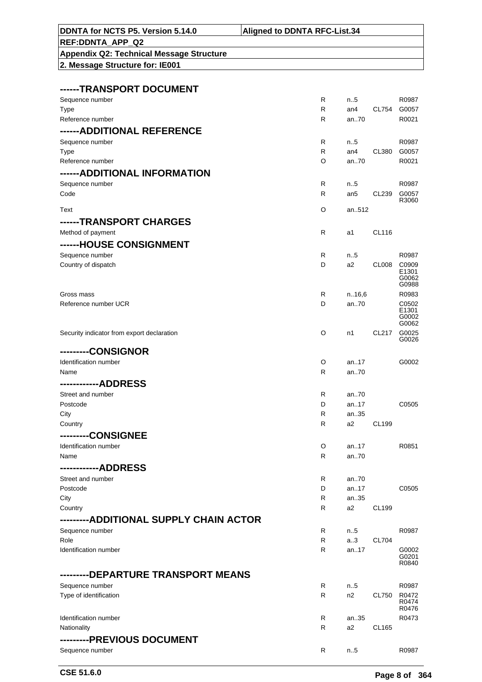| DDNTA for NCTS P5. Version 5.14.0               | <b>Aligned to DDNTA RFC-List.34</b> |                                             |
|-------------------------------------------------|-------------------------------------|---------------------------------------------|
| <b>REF:DDNTA APP Q2</b>                         |                                     |                                             |
| <b>Appendix Q2: Technical Message Structure</b> |                                     |                                             |
| 2. Message Structure for: IE001                 |                                     |                                             |
|                                                 |                                     |                                             |
| ------TRANSPORT DOCUMENT                        |                                     |                                             |
| Sequence number                                 | R                                   | n.5<br>R0987                                |
| Type                                            | R                                   | CL754<br>G0057<br>an <sub>4</sub>           |
| Reference number                                | R                                   | an70<br>R0021                               |
| ------ADDITIONAL REFERENCE                      |                                     |                                             |
| Sequence number<br>Type                         | R<br>R                              | $n_{.}.5$<br>R0987<br>CL380<br>an4<br>G0057 |
| Reference number                                | O                                   | an70<br>R0021                               |
| ------ ADDITIONAL INFORMATION                   |                                     |                                             |
| Sequence number                                 | R                                   | R0987<br>$n_{.}.5$                          |
| Code                                            | R                                   | G0057<br>an <sub>5</sub><br>CL239           |
| Text                                            | O                                   | R3060<br>an512                              |
| ------TRANSPORT CHARGES                         |                                     |                                             |
| Method of payment                               | R.<br>a1                            | CL116                                       |
| ------HOUSE CONSIGNMENT                         |                                     |                                             |
| Sequence number                                 | R                                   | $n_{.}.5$<br>R0987                          |
| Country of dispatch                             | D<br>a2                             | <b>CL008</b><br>C0909                       |
|                                                 |                                     | E1301<br>G0062                              |
|                                                 |                                     | G0988                                       |
| Gross mass                                      | R                                   | n.16,6<br>R0983                             |
| Reference number UCR                            | D                                   | an70<br>C0502<br>E1301                      |
|                                                 |                                     | G0002<br>G0062                              |
| Security indicator from export declaration      | O<br>n1                             | CL217<br>G0025                              |
|                                                 |                                     | G0026                                       |
| --------CONSIGNOR                               |                                     |                                             |
| Identification number<br>Name                   | O<br>R                              | G0002<br>an17<br>an70                       |
| -----------ADDRESS                              |                                     |                                             |
| Street and number                               | R                                   | an70                                        |
| Postcode                                        | D                                   | an17<br>C0505                               |
| City                                            | R                                   | an35                                        |
| Country                                         | R<br>a2                             | CL199                                       |
| ---------CONSIGNEE                              |                                     |                                             |
| Identification number                           | O                                   | R0851<br>an17                               |
| Name                                            | R                                   | an70                                        |
| ------------ADDRESS                             |                                     |                                             |
| Street and number                               | R<br>D                              | an70<br>an17                                |
| Postcode<br>City                                | R                                   | C0505<br>an35                               |
| Country                                         | R<br>a2                             | CL199                                       |
| ---------ADDITIONAL SUPPLY CHAIN ACTOR          |                                     |                                             |
| Sequence number                                 | R                                   | n.5<br>R0987                                |
| Role                                            | R                                   | a.3<br>CL704                                |
| Identification number                           | R                                   | an17<br>G0002<br>G0201                      |
|                                                 |                                     | R0840                                       |
| ---------DEPARTURE TRANSPORT MEANS              |                                     |                                             |
| Sequence number                                 | R.                                  | n.5<br>R0987                                |
| Type of identification                          | R<br>n <sub>2</sub>                 | <b>CL750</b><br>R0472<br>R0474              |
|                                                 |                                     | R0476                                       |
| <b>Identification number</b>                    | R                                   | R0473<br>an35                               |
| Nationality                                     | R<br>a2                             | CL165                                       |
| ---------PREVIOUS DOCUMENT<br>Sequence number   | R                                   | R0987<br>n.5                                |
|                                                 |                                     |                                             |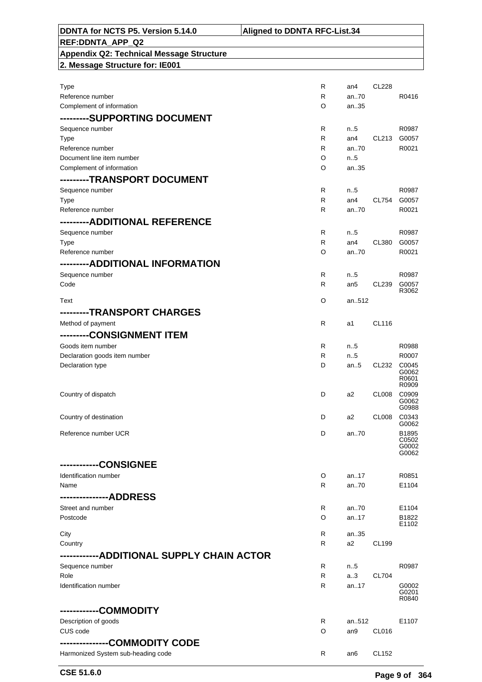| DDNTA for NCTS P5. Version 5.14.0               | <b>Aligned to DDNTA RFC-List.34</b> |                   |                |
|-------------------------------------------------|-------------------------------------|-------------------|----------------|
| REF:DDNTA_APP_Q2                                |                                     |                   |                |
| <b>Appendix Q2: Technical Message Structure</b> |                                     |                   |                |
| 2. Message Structure for: IE001                 |                                     |                   |                |
|                                                 |                                     |                   |                |
| <b>Type</b>                                     | R<br>an4                            | <b>CL228</b>      |                |
| Reference number                                | $\mathsf{R}$<br>an70                |                   | R0416          |
| Complement of information                       | O<br>an35                           |                   |                |
| --------SUPPORTING DOCUMENT                     |                                     |                   |                |
|                                                 |                                     |                   |                |
| Sequence number                                 | R<br>n.5<br>R                       | CL213             | R0987<br>G0057 |
| <b>Type</b><br>Reference number                 | an4<br>R<br>an70                    |                   | R0021          |
| Document line item number                       | O<br>n.5                            |                   |                |
| Complement of information                       | O<br>an35                           |                   |                |
|                                                 |                                     |                   |                |
| ---------TRANSPORT DOCUMENT                     |                                     |                   |                |
| Sequence number                                 | R<br>n.5                            |                   | R0987          |
| <b>Type</b><br>Reference number                 | R<br>an4<br>$\mathsf{R}$<br>an70    | CL754             | G0057<br>R0021 |
|                                                 |                                     |                   |                |
| ---------ADDITIONAL REFERENCE                   |                                     |                   |                |
| Sequence number                                 | R<br>n.5                            |                   | R0987          |
| <b>Type</b>                                     | R<br>an4                            | CL380             | G0057          |
| Reference number                                | O<br>an.70                          |                   | R0021          |
| --------ADDITIONAL INFORMATION                  |                                     |                   |                |
| Sequence number                                 | R<br>n.5                            |                   | R0987          |
| Code                                            | R<br>an <sub>5</sub>                | CL239             | G0057<br>R3062 |
| Text                                            | O<br>an512                          |                   |                |
| --------TRANSPORT CHARGES                       |                                     |                   |                |
|                                                 | $\mathsf{R}$                        |                   |                |
| Method of payment                               | a1                                  | CL116             |                |
| --------CONSIGNMENT ITEM                        |                                     |                   |                |
| Goods item number                               | R<br>n.5                            |                   | R0988          |
| Declaration goods item number                   | R<br>n.5                            |                   | R0007          |
| Declaration type                                | D<br>an.5                           | CL232             | C0045<br>G0062 |
|                                                 |                                     |                   | R0601          |
| Country of dispatch                             | D<br>a2                             | <b>CL008</b>      | R0909<br>C0909 |
|                                                 |                                     |                   | G0062          |
|                                                 |                                     |                   | G0988          |
| Country of destination                          | D<br>a2                             | CL <sub>008</sub> | C0343<br>G0062 |
| Reference number UCR                            | D<br>an.70                          |                   | B1895          |
|                                                 |                                     |                   | C0502          |
|                                                 |                                     |                   | G0002<br>G0062 |
| -----------CONSIGNEE                            |                                     |                   |                |
| Identification number                           | O<br>an17                           |                   | R0851          |
| Name                                            | R<br>an.70                          |                   | E1104          |
| ---------------ADDRESS                          |                                     |                   |                |
| Street and number                               | R<br>an70                           |                   | E1104          |
| Postcode                                        | O<br>an17                           |                   | B1822          |
|                                                 |                                     |                   | E1102          |
| City                                            | R<br>an35                           |                   |                |
| Country                                         | R<br>a2                             | CL199             |                |
| ------------ADDITIONAL SUPPLY CHAIN ACTOR       |                                     |                   |                |
| Sequence number                                 | R<br>n5                             |                   | R0987          |
| Role                                            | R<br>a3                             | CL704             |                |
| Identification number                           | R<br>an17                           |                   | G0002          |
|                                                 |                                     |                   | G0201<br>R0840 |
| -----------COMMODITY                            |                                     |                   |                |
| Description of goods                            | R.<br>an512                         |                   | E1107          |
| CUS code                                        | O<br>an9                            | CL016             |                |
|                                                 |                                     |                   |                |
|                                                 |                                     |                   |                |
| Harmonized System sub-heading code              | R<br>an6                            | CL152             |                |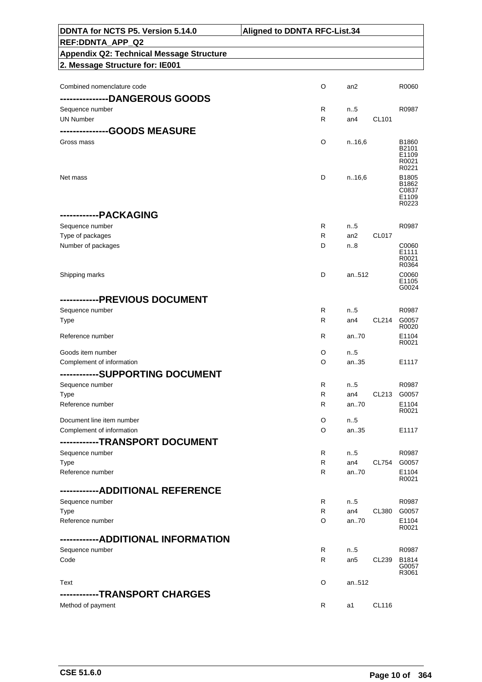| DDNTA for NCTS P5. Version 5.14.0               | <b>Aligned to DDNTA RFC-List.34</b> |       |                                           |
|-------------------------------------------------|-------------------------------------|-------|-------------------------------------------|
| <b>REF:DDNTA APP Q2</b>                         |                                     |       |                                           |
| <b>Appendix Q2: Technical Message Structure</b> |                                     |       |                                           |
| 2. Message Structure for: IE001                 |                                     |       |                                           |
|                                                 |                                     |       |                                           |
| Combined nomenclature code                      | O<br>an2                            |       | R0060                                     |
|                                                 |                                     |       |                                           |
| Sequence number                                 | R<br>n.5                            |       | R0987                                     |
| <b>UN Number</b>                                | R<br>an4                            | CL101 |                                           |
|                                                 |                                     |       |                                           |
| Gross mass                                      | O<br>n.16,6                         |       | B1860<br>B2101<br>E1109<br>R0021<br>R0221 |
| Net mass                                        | D<br>n.16,6                         |       | B1805<br>B1862<br>C0837<br>E1109<br>R0223 |
| ------------PACKAGING                           |                                     |       |                                           |
| Sequence number                                 | R<br>n.5                            |       | R0987                                     |
| Type of packages<br>Number of packages          | R<br>an2<br>D<br>n.8                | CL017 | C0060                                     |
|                                                 |                                     |       | E1111<br>R0021<br>R0364                   |
| Shipping marks                                  | D<br>an512                          |       | C0060<br>E1105<br>G0024                   |
| ------------PREVIOUS DOCUMENT                   |                                     |       |                                           |
| Sequence number                                 | R<br>n.5                            |       | R0987                                     |
| <b>Type</b>                                     | R<br>an4                            | CL214 | G0057<br>R0020                            |
| Reference number                                | R<br>an70                           |       | E1104<br>R0021                            |
| Goods item number                               | O<br>n.5                            |       |                                           |
| Complement of information                       | O<br>an35                           |       | E1117                                     |
| ----------SUPPORTING DOCUMENT                   |                                     |       |                                           |
| Sequence number                                 | R<br>$n_{.}.5$                      |       | R0987                                     |
| Type<br>Reference number                        | R<br>an4<br>R<br>an70               | CL213 | G0057<br>E1104                            |
|                                                 |                                     |       | R0021                                     |
| Document line item number                       | O<br>$n_{.}.5$                      |       |                                           |
| Complement of information                       | O<br>an35                           |       | E1117                                     |
|                                                 |                                     |       |                                           |
| Sequence number<br>Type                         | R<br>n.5<br>R<br>an4                | CL754 | R0987<br>G0057                            |
| Reference number                                | R<br>an70                           |       | E1104                                     |
|                                                 |                                     |       | R0021                                     |
| -----------ADDITIONAL REFERENCE                 |                                     |       |                                           |
| Sequence number                                 | R<br>n.5                            |       | R0987                                     |
| Type<br>Reference number                        | R<br>an4<br>O<br>an70               | CL380 | G0057<br>E1104                            |
|                                                 |                                     |       | R0021                                     |
| ----------ADDITIONAL INFORMATION                |                                     |       |                                           |
| Sequence number                                 | R<br>n.5                            |       | R0987                                     |
| Code                                            | R<br>an5                            | CL239 | B1814<br>G0057<br>R3061                   |
| Text                                            | O<br>an512                          |       |                                           |
| -----------TRANSPORT CHARGES                    |                                     |       |                                           |
| Method of payment                               | R<br>a1                             | CL116 |                                           |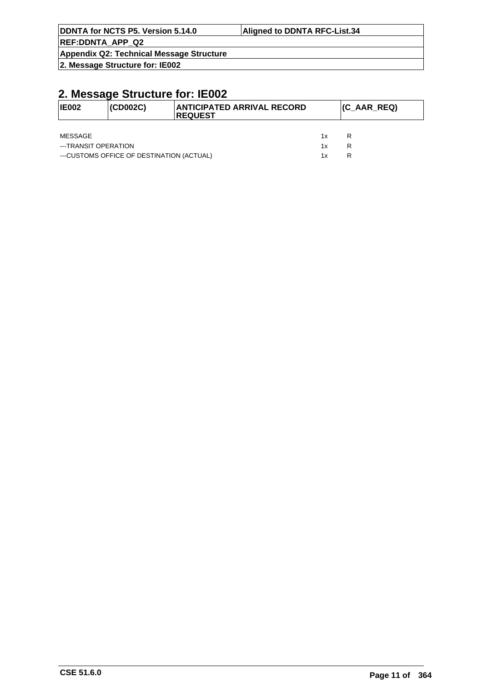|  | DDNTA for NCTS P5. Version 5.14.0 |  |
|--|-----------------------------------|--|
|  |                                   |  |

**Aligned to DDNTA RFC-List.34** 

**REF:DDNTA\_APP\_Q2**

**Appendix Q2: Technical Message Structure**

**2. Message Structure for: IE002**

| <b>IE002</b>         | $ $ (CD002C)                              | <b>ANTICIPATED ARRIVAL RECORD</b><br><b>IREQUEST</b> |    | (C_AAR_REQ) |
|----------------------|-------------------------------------------|------------------------------------------------------|----|-------------|
|                      |                                           |                                                      |    |             |
| MESSAGE              |                                           |                                                      | 1x | R           |
| ---TRANSIT OPERATION |                                           |                                                      | 1x | R           |
|                      | ---CUSTOMS OFFICE OF DESTINATION (ACTUAL) |                                                      | 1х | R           |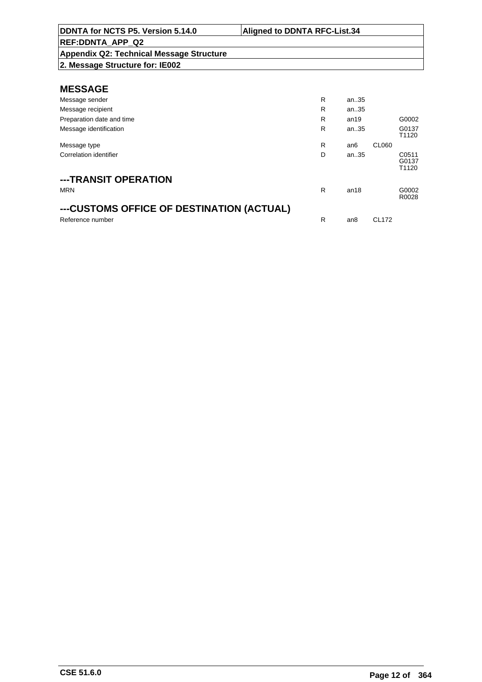| DDNTA for NCTS P5. Version 5.14.0               | <b>Aligned to DDNTA RFC-List.34</b> |                 |              |                         |
|-------------------------------------------------|-------------------------------------|-----------------|--------------|-------------------------|
| <b>REF:DDNTA APP Q2</b>                         |                                     |                 |              |                         |
| <b>Appendix Q2: Technical Message Structure</b> |                                     |                 |              |                         |
| 2. Message Structure for: IE002                 |                                     |                 |              |                         |
|                                                 |                                     |                 |              |                         |
| <b>MESSAGE</b>                                  |                                     |                 |              |                         |
| Message sender                                  | R                                   | an.35           |              |                         |
| Message recipient                               | R                                   | an35            |              |                         |
| Preparation date and time                       | R                                   | an19            |              | G0002                   |
| Message identification                          | R                                   | an35            |              | G0137<br>T1120          |
| Message type                                    | R                                   | an6             | CL060        |                         |
| Correlation identifier                          | D                                   | an.35           |              | C0511<br>G0137<br>T1120 |
| ---TRANSIT OPERATION                            |                                     |                 |              |                         |
| <b>MRN</b>                                      | R                                   | an18            |              | G0002<br>R0028          |
| ---CUSTOMS OFFICE OF DESTINATION (ACTUAL)       |                                     |                 |              |                         |
| Reference number                                | R                                   | an <sub>8</sub> | <b>CL172</b> |                         |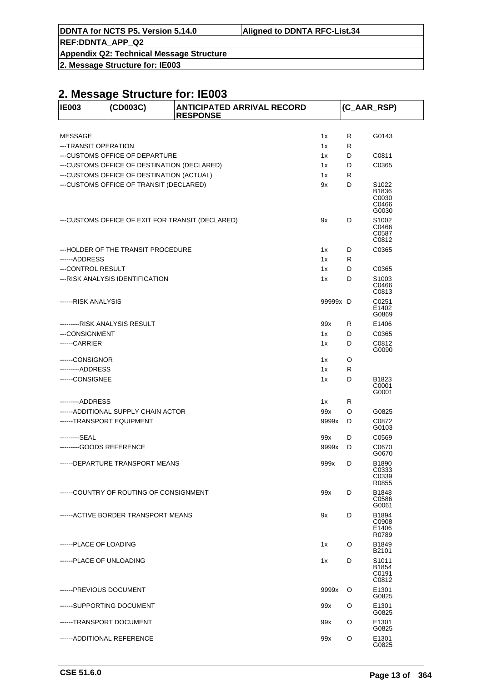**REF:DDNTA\_APP\_Q2**

**Appendix Q2: Technical Message Structure**

**2. Message Structure for: IE003**

| <b>IE003</b>                           | (CD003C)                                         | <b>ANTICIPATED ARRIVAL RECORD</b><br><b>RESPONSE</b> |          |        | (C_AAR_RSP)                                  |
|----------------------------------------|--------------------------------------------------|------------------------------------------------------|----------|--------|----------------------------------------------|
|                                        |                                                  |                                                      |          |        |                                              |
| <b>MESSAGE</b><br>---TRANSIT OPERATION |                                                  |                                                      | 1x<br>1x | R<br>R | G0143                                        |
|                                        | ---CUSTOMS OFFICE OF DEPARTURE                   |                                                      | 1x       | D      | C0811                                        |
|                                        | ---CUSTOMS OFFICE OF DESTINATION (DECLARED)      |                                                      | 1x       | D      | C0365                                        |
|                                        | ---CUSTOMS OFFICE OF DESTINATION (ACTUAL)        |                                                      | 1x       | R      |                                              |
|                                        | ---CUSTOMS OFFICE OF TRANSIT (DECLARED)          |                                                      | 9x       | D      | S <sub>1022</sub>                            |
|                                        |                                                  |                                                      |          |        | B1836<br>C0030<br>C0466<br>G0030             |
|                                        | ---CUSTOMS OFFICE OF EXIT FOR TRANSIT (DECLARED) |                                                      | 9x       | D      | S <sub>1002</sub><br>C0466<br>C0587<br>C0812 |
|                                        | ---HOLDER OF THE TRANSIT PROCEDURE               |                                                      | 1x       | D      | C0365                                        |
| ------ADDRESS                          |                                                  |                                                      | 1x       | R      |                                              |
| ---CONTROL RESULT                      |                                                  |                                                      | 1x       | D      | C0365                                        |
|                                        | --- RISK ANALYSIS IDENTIFICATION                 |                                                      | 1x       | D      | S <sub>1003</sub><br>C0466<br>C0813          |
| ------RISK ANALYSIS                    |                                                  |                                                      | 99999x D |        | C0251<br>E1402<br>G0869                      |
| ---------RISK ANALYSIS RESULT          |                                                  |                                                      | 99x      | R      | E1406                                        |
| ---CONSIGNMENT                         |                                                  |                                                      | 1x       | D      | C0365                                        |
| ------CARRIER                          |                                                  |                                                      | 1x       | D      | C0812<br>G0090                               |
| -----CONSIGNOR                         |                                                  |                                                      | 1x       | O      |                                              |
| ---------ADDRESS                       |                                                  |                                                      | 1x       | R      |                                              |
| ------CONSIGNEE                        |                                                  |                                                      | 1x       | D      | B1823<br>C0001<br>G0001                      |
| ---------ADDRESS                       |                                                  |                                                      | 1x       | R      |                                              |
|                                        | ------ ADDITIONAL SUPPLY CHAIN ACTOR             |                                                      | 99x      | O      | G0825                                        |
| ------TRANSPORT EQUIPMENT              |                                                  |                                                      | 9999x    | D      | C0872<br>G0103                               |
| ----------SEAL                         |                                                  |                                                      | 99x      | D      | C0569                                        |
| ---------GOODS REFERENCE               |                                                  |                                                      | 9999x    | D      | C0670<br>G0670                               |
|                                        | -DEPARTURE TRANSPORT MEANS                       |                                                      | 999x     | D      | B1890<br>C0333<br>C0339<br>R0855             |
|                                        | ------COUNTRY OF ROUTING OF CONSIGNMENT          |                                                      | 99x      | D      | B1848<br>C0586<br>G0061                      |
|                                        | ------ ACTIVE BORDER TRANSPORT MEANS             |                                                      | 9x       | D      | B1894<br>C0908<br>E1406<br>R0789             |
| ------PLACE OF LOADING                 |                                                  |                                                      | 1x       | O      | B1849<br>B2101                               |
| ------ PLACE OF UNLOADING              |                                                  |                                                      | 1x       | D      | S <sub>1011</sub><br>B1854<br>C0191<br>C0812 |
| ------PREVIOUS DOCUMENT                |                                                  |                                                      | 9999x    | O      | E1301<br>G0825                               |
| ------SUPPORTING DOCUMENT              |                                                  |                                                      | 99x      | O      | E1301<br>G0825                               |
| ------TRANSPORT DOCUMENT               |                                                  |                                                      | 99x      | O      | E1301<br>G0825                               |
| ------ADDITIONAL REFERENCE             |                                                  |                                                      | 99x      | O      | E1301<br>G0825                               |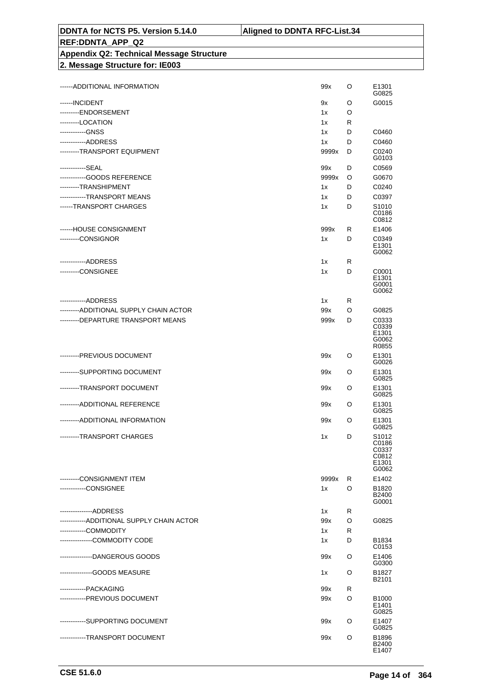#### **REF:DDNTA\_APP\_Q2 Appendix Q2: Technical Message Structure 2. Message Structure for: IE003**

| ------ADDITIONAL INFORMATION              | 99x   | O | E1301<br>G0825                                                 |
|-------------------------------------------|-------|---|----------------------------------------------------------------|
| ------INCIDENT                            | 9x    | O | G0015                                                          |
| ---------ENDORSEMENT                      | 1x    | O |                                                                |
| ---------LOCATION                         | 1x    | R |                                                                |
| ------------GNSS                          | 1x    | D | C0460                                                          |
| ------------ADDRESS                       | 1x    | D | C0460                                                          |
| ---------TRANSPORT EQUIPMENT              | 9999x | D | C0240<br>G0103                                                 |
| ------------SEAL                          | 99x   | D | C0569                                                          |
| -----------GOODS REFERENCE                | 9999x | O | G0670                                                          |
| ---------TRANSHIPMENT                     | 1x    | D | C0240                                                          |
| ------------TRANSPORT MEANS               | 1x    | D | C0397                                                          |
| ------TRANSPORT CHARGES                   | 1x    | D | S1010<br>C0186<br>C0812                                        |
| ------HOUSE CONSIGNMENT                   | 999x  | R | E1406                                                          |
| --------CONSIGNOR                         | 1x    | D | C0349<br>E1301<br>G0062                                        |
| ------------ADDRESS                       | 1x    | R |                                                                |
| ---------CONSIGNEE                        | 1x    | D | C0001<br>E1301<br>G0001<br>G0062                               |
| ------------ADDRESS                       | 1x    | R |                                                                |
| ---------ADDITIONAL SUPPLY CHAIN ACTOR    | 99x   | O | G0825                                                          |
| ---------DEPARTURE TRANSPORT MEANS        | 999x  | D | C0333<br>C0339<br>E1301<br>G0062<br>R0855                      |
| ---------PREVIOUS DOCUMENT                | 99x   | O | E1301<br>G0026                                                 |
| --------SUPPORTING DOCUMENT               | 99x   | O | E1301<br>G0825                                                 |
| ---------TRANSPORT DOCUMENT               | 99x   | O | E1301<br>G0825                                                 |
| ---------ADDITIONAL REFERENCE             | 99x   | O | E1301<br>G0825                                                 |
| ---------ADDITIONAL INFORMATION           | 99x   | O | E1301<br>G0825                                                 |
| ---------TRANSPORT CHARGES                | 1x    | D | S <sub>1012</sub><br>C0186<br>C0337<br>C0812<br>E1301<br>G0062 |
| --------CONSIGNMENT ITEM                  | 9999x | R | E1402                                                          |
| ------------CONSIGNEE                     | 1x    | O | B1820<br>B2400<br>G0001                                        |
| ---------------ADDRESS                    | 1x    | R |                                                                |
| ------------ADDITIONAL SUPPLY CHAIN ACTOR | 99x   | O | G0825                                                          |
| -----------COMMODITY                      | 1x    | R |                                                                |
| --------------COMMODITY CODE              | 1x    | D | B1834<br>C0153                                                 |
| ---------------DANGEROUS GOODS            | 99x   | O | E1406<br>G0300                                                 |
| ---------------GOODS MEASURE              | 1x    | O | B1827<br>B2101                                                 |
| ------------PACKAGING                     | 99x   | R |                                                                |
| -----------PREVIOUS DOCUMENT              | 99x   | O | B <sub>1000</sub><br>E1401<br>G0825                            |
| -----------SUPPORTING DOCUMENT            | 99x   | O | E1407<br>G0825                                                 |
| -----------TRANSPORT DOCUMENT             | 99x   | O | B1896<br>B2400<br>E1407                                        |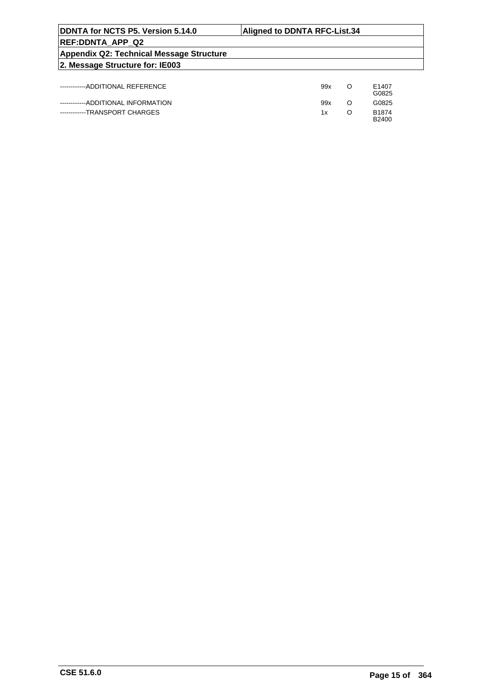### ------------ADDITIONAL REFERENCE 99x O E1407 **DDNTA for NCTS P5. Version 5.14.0 Aligned to DDNTA RFC-List.34 REF:DDNTA\_APP\_Q2 Appendix Q2: Technical Message Structure 2. Message Structure for: IE003**

| $\bigcap$                          | ັບປີ       | ັ | ---<br>G0825               |
|------------------------------------|------------|---|----------------------------|
| ------------ADDITIONAL INFORMATION | 99x        |   | G0825                      |
| ------------TRANSPORT CHARGES      | 1 <b>Y</b> |   | B1874<br>B <sub>2400</sub> |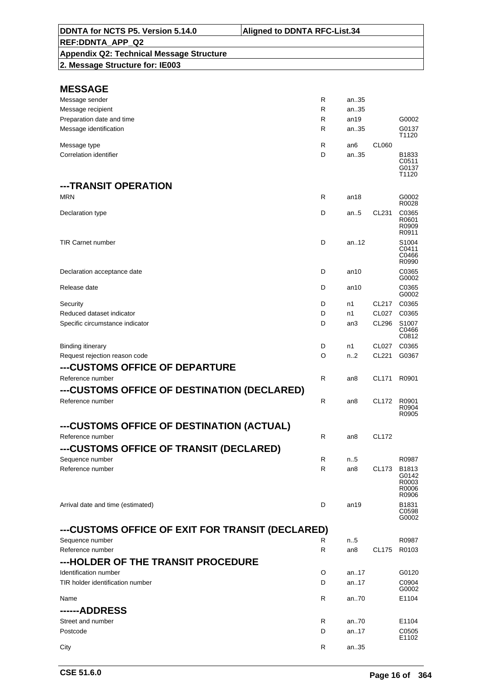| REF:DDNTA_APP_Q2                                             |        |           |                       |                   |
|--------------------------------------------------------------|--------|-----------|-----------------------|-------------------|
| <b>Appendix Q2: Technical Message Structure</b>              |        |           |                       |                   |
| 2. Message Structure for: IE003                              |        |           |                       |                   |
|                                                              |        |           |                       |                   |
| <b>MESSAGE</b>                                               |        |           |                       |                   |
| Message sender                                               | R      | an35      |                       |                   |
| Message recipient                                            | R      | an35      |                       |                   |
| Preparation date and time                                    | R      | an19      |                       | G0002             |
| Message identification                                       | R      | an35      |                       | G0137<br>T1120    |
| Message type                                                 | R      | an6       | CL <sub>060</sub>     |                   |
| Correlation identifier                                       | D      | an35      |                       | B1833             |
|                                                              |        |           |                       | C0511<br>G0137    |
|                                                              |        |           |                       | T1120             |
| ---TRANSIT OPERATION                                         |        |           |                       |                   |
| <b>MRN</b>                                                   | R      | an18      |                       | G0002<br>R0028    |
| Declaration type                                             | D      | an5       | CL231                 | C0365             |
|                                                              |        |           |                       | R0601             |
|                                                              |        |           |                       | R0909<br>R0911    |
| <b>TIR Carnet number</b>                                     | D      | an12      |                       | S <sub>1004</sub> |
|                                                              |        |           |                       | C0411<br>C0466    |
|                                                              |        |           |                       | R0990             |
| Declaration acceptance date                                  | D      | an10      |                       | C0365<br>G0002    |
| Release date                                                 | D      | an10      |                       | C0365             |
|                                                              |        |           |                       | G0002             |
| Security                                                     | D      | n1        | CL217                 | C0365             |
| Reduced dataset indicator<br>Specific circumstance indicator | D<br>D | n1<br>an3 | CL027<br>CL296        | C0365<br>S1007    |
|                                                              |        |           |                       | C0466             |
|                                                              |        |           |                       | C0812             |
| Binding itinerary<br>Request rejection reason code           | D<br>O | n1<br>n.2 | <b>CL027</b><br>CL221 | C0365<br>G0367    |
|                                                              |        |           |                       |                   |
| ---CUSTOMS OFFICE OF DEPARTURE<br>Reference number           | R      |           |                       | R0901             |
|                                                              |        | an8       | CL171                 |                   |
| ---CUSTOMS OFFICE OF DESTINATION (DECLARED)                  |        |           |                       |                   |
| Reference number                                             | R      | an8       | CL172                 | R0901<br>R0904    |
|                                                              |        |           |                       | R0905             |
| ---CUSTOMS OFFICE OF DESTINATION (ACTUAL)                    |        |           |                       |                   |
| Reference number                                             | R.     | an8       | <b>CL172</b>          |                   |
| ---CUSTOMS OFFICE OF TRANSIT (DECLARED)                      |        |           |                       |                   |
| Sequence number                                              | R      | n5        |                       | R0987             |
| Reference number                                             | R      | an8       | <b>CL173</b>          | B1813<br>G0142    |
|                                                              |        |           |                       | R0003             |
|                                                              |        |           |                       | R0006<br>R0906    |
| Arrival date and time (estimated)                            | D      | an19      |                       | B1831             |
|                                                              |        |           |                       | C0598<br>G0002    |
| ---CUSTOMS OFFICE OF EXIT FOR TRANSIT (DECLARED)             |        |           |                       |                   |
| Sequence number                                              | R      | n.5       |                       | R0987             |
| Reference number                                             | R      | an8       | <b>CL175</b>          | R0103             |
| ---HOLDER OF THE TRANSIT PROCEDURE                           |        |           |                       |                   |
| Identification number                                        | O      | an.17     |                       | G0120             |
| TIR holder identification number                             | D      | an.17     |                       | C0904             |
|                                                              |        |           |                       | G0002             |
| Name                                                         | R      | an70      |                       | E1104             |
| ------ADDRESS                                                |        |           |                       |                   |
| Street and number                                            | R      | an.70     |                       | E1104             |
| Postcode                                                     | D      | an17      |                       | C0505<br>E1102    |
| City                                                         | R      | an35      |                       |                   |

**DDNTA for NCTS P5. Version 5.14.0 Aligned to DDNTA RFC-List.34**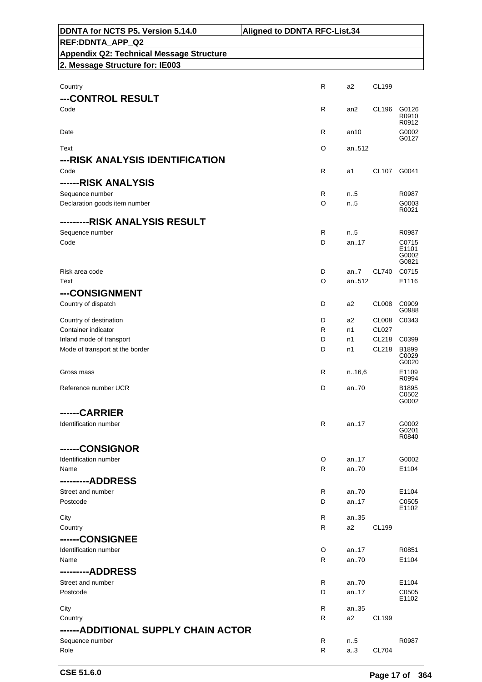| DDNTA for NCTS P5. Version 5.14.0               | <b>Aligned to DDNTA RFC-List.34</b> |                              |                |
|-------------------------------------------------|-------------------------------------|------------------------------|----------------|
| REF:DDNTA_APP_Q2                                |                                     |                              |                |
| <b>Appendix Q2: Technical Message Structure</b> |                                     |                              |                |
| 2. Message Structure for: IE003                 |                                     |                              |                |
|                                                 |                                     |                              |                |
| Country                                         | R<br>a2                             | CL199                        |                |
| ---CONTROL RESULT                               |                                     |                              |                |
| Code                                            | R<br>an2                            | CL196                        | G0126          |
|                                                 |                                     |                              | R0910<br>R0912 |
| Date                                            | R<br>an10                           |                              | G0002          |
|                                                 |                                     |                              | G0127          |
| Text                                            | O<br>an512                          |                              |                |
| ---RISK ANALYSIS IDENTIFICATION                 |                                     |                              |                |
| Code                                            | R<br>a1                             | CL107                        | G0041          |
| ------RISK ANALYSIS                             |                                     |                              |                |
| Sequence number                                 | R<br>n.5                            |                              | R0987          |
| Declaration goods item number                   | O<br>n.5                            |                              | G0003<br>R0021 |
| ---------RISK ANALYSIS RESULT                   |                                     |                              |                |
|                                                 | R<br>n.5                            |                              | R0987          |
| Sequence number<br>Code                         | D<br>an17                           |                              | C0715          |
|                                                 |                                     |                              | E1101          |
|                                                 |                                     |                              | G0002<br>G0821 |
| Risk area code                                  | D<br>an.7                           | CL740                        | C0715          |
| Text                                            | O<br>an512                          |                              | E1116          |
| ---CONSIGNMENT                                  |                                     |                              |                |
| Country of dispatch                             | D<br>a2                             | CL008                        | C0909          |
|                                                 |                                     |                              | G0988          |
| Country of destination<br>Container indicator   | D<br>a2<br>R<br>n1                  | <b>CL008</b><br><b>CL027</b> | C0343          |
| Inland mode of transport                        | D<br>n1                             | CL218                        | C0399          |
| Mode of transport at the border                 | D<br>n1                             | CL218                        | B1899          |
|                                                 |                                     |                              | C0029<br>G0020 |
| Gross mass                                      | R<br>n.16,6                         |                              | E1109          |
|                                                 |                                     |                              | R0994          |
| Reference number UCR                            | D.<br>an70                          |                              | B1895<br>C0502 |
|                                                 |                                     |                              | G0002          |
| ------CARRIER                                   |                                     |                              |                |
| Identification number                           | R<br>an17                           |                              | G0002          |
|                                                 |                                     |                              | G0201<br>R0840 |
| ------CONSIGNOR                                 |                                     |                              |                |
| Identification number                           | O<br>an17                           |                              | G0002          |
| Name                                            | R<br>an70                           |                              | E1104          |
| ---------ADDRESS                                |                                     |                              |                |
| Street and number                               | R<br>an70                           |                              | E1104          |
| Postcode                                        | D<br>an17                           |                              | C0505          |
|                                                 | R<br>an35                           |                              | E1102          |
| City<br>Country                                 | R<br>a2                             | CL199                        |                |
| -----CONSIGNEE                                  |                                     |                              |                |
| Identification number                           | O<br>an17                           |                              | R0851          |
| Name                                            | an70<br>R                           |                              | E1104          |
| ---------ADDRESS                                |                                     |                              |                |
| Street and number                               | R<br>an70                           |                              | E1104          |
| Postcode                                        | D<br>an17                           |                              | C0505          |
|                                                 |                                     |                              | E1102          |
| City                                            | R<br>an35                           |                              |                |
| Country                                         | R<br>a2                             | CL199                        |                |
| ------ADDITIONAL SUPPLY CHAIN ACTOR             |                                     |                              |                |
| Sequence number                                 | R<br>$n_{.}.5$                      |                              | R0987          |
| Role                                            | R<br>a.3                            | <b>CL704</b>                 |                |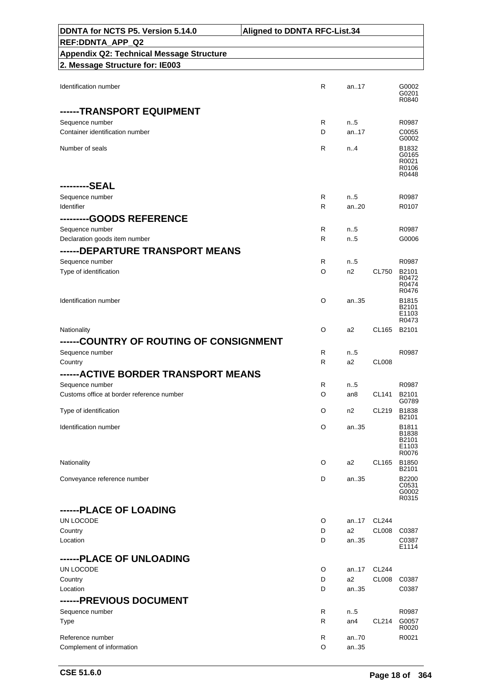| DDNTA for NCTS P5. Version 5.14.0               | <b>Aligned to DDNTA RFC-List.34</b> |                                                    |
|-------------------------------------------------|-------------------------------------|----------------------------------------------------|
| <b>REF:DDNTA APP Q2</b>                         |                                     |                                                    |
| <b>Appendix Q2: Technical Message Structure</b> |                                     |                                                    |
| 2. Message Structure for: IE003                 |                                     |                                                    |
| Identification number                           | $\mathsf{R}$                        | an.17<br>G0002<br>G0201<br>R0840                   |
| ------TRANSPORT EQUIPMENT                       |                                     |                                                    |
| Sequence number                                 | R                                   | n.5<br>R0987                                       |
| Container identification number                 | D                                   | an.17<br>C0055<br>G0002                            |
| Number of seals<br>---------SEAL                | R                                   | B1832<br>n.4<br>G0165<br>R0021<br>R0106<br>R0448   |
| Sequence number                                 | R.                                  | n <sub>0.5</sub><br>R0987                          |
| Identifier                                      | R.                                  | an.20<br>R0107                                     |
|                                                 |                                     |                                                    |
| Sequence number                                 | R                                   | R0987<br>$n_{.}5$                                  |
| Declaration goods item number                   | R                                   | n.5<br>G0006                                       |
| ------DEPARTURE TRANSPORT MEANS                 |                                     |                                                    |
| Sequence number                                 | R<br>O                              | n.5<br>R0987                                       |
| Type of identification                          |                                     | n2<br>CL750<br>B2101<br>R0472<br>R0474<br>R0476    |
| Identification number                           | O                                   | an35<br>B1815<br>B2101<br>E1103<br>R0473           |
| Nationality                                     | O                                   | CL165<br>B2101<br>a2                               |
| ------COUNTRY OF ROUTING OF CONSIGNMENT         |                                     |                                                    |
| Sequence number                                 | R                                   | R0987<br>n.5                                       |
| Country                                         | R                                   | a2<br><b>CL008</b>                                 |
| ------ACTIVE BORDER TRANSPORT MEANS             |                                     |                                                    |
| Sequence number                                 | R                                   | R0987<br>n.5                                       |
| Customs office at border reference number       | O                                   | CL141<br>B2101<br>an8<br>G0789                     |
| Type of identification                          | O                                   | n2<br>CL219<br>B1838<br>B2101                      |
| <b>Identification number</b>                    | O                                   | an.35<br>B1811<br>B1838<br>B2101<br>E1103<br>R0076 |
| Nationality                                     | O                                   | CL165<br>B1850<br>a2                               |
|                                                 |                                     | B2101                                              |
| Conveyance reference number                     | D                                   | B2200<br>an35<br>C0531<br>G0002<br>R0315           |
| ------PLACE OF LOADING                          |                                     |                                                    |
| UN LOCODE                                       | O                                   | CL244<br>an17                                      |
| Country<br>Location                             | D<br>D                              | a <sub>2</sub><br>CL008<br>C0387<br>an35<br>C0387  |
|                                                 |                                     | E1114                                              |
| ------PLACE OF UNLOADING                        |                                     |                                                    |
| UN LOCODE                                       | O                                   | <b>CL244</b><br>an17                               |
| Country<br>Location                             | D<br>D                              | a <sub>2</sub><br>CL008<br>C0387<br>an35<br>C0387  |
| ------PREVIOUS DOCUMENT                         |                                     |                                                    |
| Sequence number                                 | R                                   | R0987<br>$n_{.}.5$                                 |
| Type                                            | R                                   | G0057<br>an4<br>CL214                              |
| Reference number                                | R                                   | R0020<br>R0021<br>an70                             |
| Complement of information                       | O                                   | an35                                               |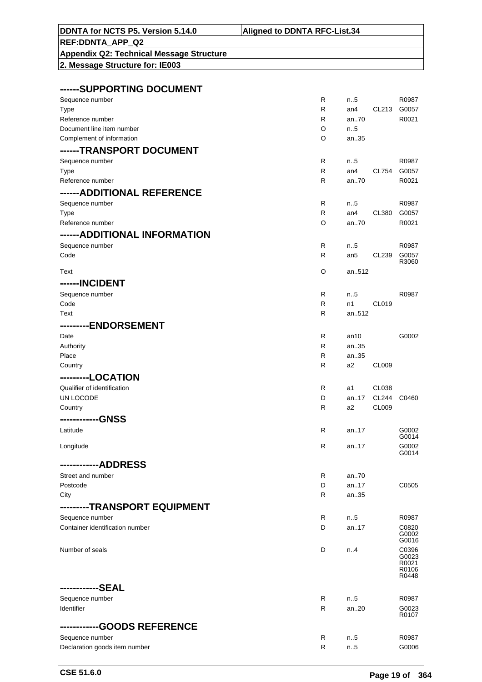G0014

G0014

C0396<br>G0023 R0021 R0106 R0448

G0023<br>R0107

| Sequence number                 | R            | $n_{.}.5$ |              | R0987                                     |
|---------------------------------|--------------|-----------|--------------|-------------------------------------------|
| <b>Type</b>                     | R            | an4       | CL213        | G0057                                     |
| Reference number                | R            | an.70     |              | R0021                                     |
| Document line item number       | O            | n.5       |              |                                           |
| Complement of information       | O            | an35      |              |                                           |
| ------TRANSPORT DOCUMENT        |              |           |              |                                           |
| Sequence number                 | R            | n.5       |              | R0987                                     |
| <b>Type</b>                     | ${\sf R}$    | an4       | <b>CL754</b> | G0057                                     |
| Reference number                | ${\sf R}$    | an70      |              | R0021                                     |
| ------ADDITIONAL REFERENCE      |              |           |              |                                           |
| Sequence number                 | R            | n.5       |              | R0987                                     |
| Type                            | R            | an4       | CL380        | G0057                                     |
| Reference number                | O            | an70      |              | R0021                                     |
| ------ ADDITIONAL INFORMATION   |              |           |              |                                           |
| Sequence number                 | R            | n.5       |              | R0987                                     |
| Code                            | R            | an5       | CL239        | G0057<br>R3060                            |
| <b>Text</b>                     | O            | an512     |              |                                           |
| ------INCIDENT                  |              |           |              |                                           |
| Sequence number                 | $\mathsf{R}$ | n.5       |              | R0987                                     |
| Code                            | R            | n1        | CL019        |                                           |
| Text                            | R.           | an512     |              |                                           |
| ---------ENDORSEMENT            |              |           |              |                                           |
| Date                            | R            | an10      |              | G0002                                     |
| Authority                       | R            | an35      |              |                                           |
| Place                           | R            | an35      |              |                                           |
| Country                         | R            | a2        | <b>CL009</b> |                                           |
| ---------LOCATION               |              |           |              |                                           |
| Qualifier of identification     | R            | a1        | CL038        |                                           |
| UN LOCODE                       | D            | an17      | <b>CL244</b> | C0460                                     |
| Country                         | R            | a2        | CL009        |                                           |
| ------------GNSS                |              |           |              |                                           |
| Latitude                        | R            | an.17     |              | G0002<br>G0014                            |
| Longitude                       | R            | an17      |              | G0002                                     |
|                                 |              |           |              | G0014                                     |
| ------------ADDRESS             |              |           |              |                                           |
| Street and number               | R            | an70      |              |                                           |
| Postcode                        | D            | an17      |              | C0505                                     |
| City                            | R            | an35      |              |                                           |
| --------TRANSPORT EQUIPMENT     |              |           |              |                                           |
| Sequence number                 | R            | n.5       |              | R0987                                     |
| Container identification number | D            | an17      |              | C0820<br>G0002<br>G0016                   |
| Number of seals                 | D            | n.4       |              | C0396<br>G0023<br>R0021<br>R0106<br>R0448 |

Sequence number R and R and R and R and R and R and R and R and R and R and R and R and R and R and R and R and R and R and R and R and R and R and R and R and R and R and R and R and R and R and R and R and R and R and R Identifier Good Control of the Control of the Control of the Control of the Control of the Control of the Control of the Control of the Control of the Control of the Control of the Control of the Control of the Control of

Sequence number R n..5 R0987 Declaration goods item number **New South American** Computer R and Theorem R and Theorem R and Theorem Computer R and Theorem Goods item number and Theorem R and Theorem R and Theorem R and Theorem R and Theorem R and Theor

**------------GOODS REFERENCE**

**CSE 51.6.0**

**REF:DDNTA\_APP\_Q2 Appendix Q2: Technical Message Structure**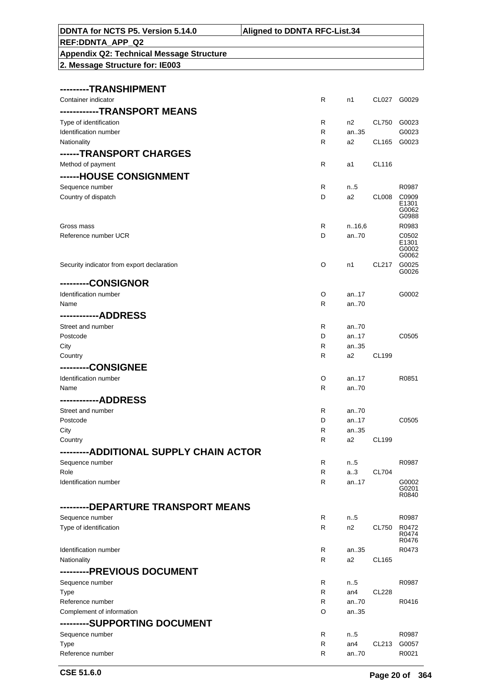| REF:DDNTA_APP_Q2                                |              |                |              |                |
|-------------------------------------------------|--------------|----------------|--------------|----------------|
| <b>Appendix Q2: Technical Message Structure</b> |              |                |              |                |
| 2. Message Structure for: IE003                 |              |                |              |                |
|                                                 |              |                |              |                |
| --------TRANSHIPMENT                            |              |                |              |                |
| Container indicator                             | R            | n1             | CL027        | G0029          |
|                                                 |              |                |              |                |
| Type of identification                          | R            | n2             | CL750        | G0023          |
| Identification number                           | R            | an35           |              | G0023          |
| Nationality                                     | R            | a2             | CL165        | G0023          |
| ------TRANSPORT CHARGES                         |              |                |              |                |
| Method of payment                               | R            | a1             | CL116        |                |
| ------HOUSE CONSIGNMENT                         |              |                |              |                |
| Sequence number                                 | R            | $n_{.}.5$      |              | R0987          |
| Country of dispatch                             | D            | a2             | <b>CL008</b> | C0909<br>E1301 |
|                                                 |              |                |              | G0062          |
| Gross mass                                      | R            | n.16,6         |              | G0988<br>R0983 |
| Reference number UCR                            | D            | an.70          |              | C0502          |
|                                                 |              |                |              | E1301          |
|                                                 |              |                |              | G0002<br>G0062 |
| Security indicator from export declaration      | O            | n1             | CL217        | G0025          |
|                                                 |              |                |              | G0026          |
| ---------CONSIGNOR                              |              |                |              |                |
| Identification number                           | O            | an.17          |              | G0002          |
| Name                                            | R            | an70           |              |                |
| -----------ADDRESS                              |              |                |              |                |
| Street and number                               | R            | an70           |              |                |
| Postcode                                        | D<br>R       | an17           |              | C0505          |
| City<br>Country                                 | R            | an35<br>a2     | CL199        |                |
|                                                 |              |                |              |                |
| ---------CONSIGNEE                              |              |                |              |                |
| Identification number<br>Name                   | O<br>R       | an17<br>an70   |              | R0851          |
| ----------ADDRESS                               |              |                |              |                |
| Street and number                               | R            | an70           |              |                |
| Postcode                                        | D            | an17           |              | C0505          |
| City                                            | R            | an35           |              |                |
| Country                                         | R            | a2             | CL199        |                |
| ---------ADDITIONAL SUPPLY CHAIN ACTOR          |              |                |              |                |
| Sequence number                                 | R            | n.5            |              | R0987          |
| Role                                            | $\mathsf{R}$ | a3             | CL704        |                |
| Identification number                           | $\mathsf{R}$ | an17           |              | G0002          |
|                                                 |              |                |              | G0201<br>R0840 |
| ---------DEPARTURE TRANSPORT MEANS              |              |                |              |                |
| Sequence number                                 | R            | n.5            |              | R0987          |
| Type of identification                          | R            | n <sub>2</sub> | CL750        | R0472          |
|                                                 |              |                |              | R0474<br>R0476 |
| Identification number                           | R            | an35           |              | R0473          |
| Nationality                                     | R            | a2             | CL165        |                |
| ---------PREVIOUS DOCUMENT                      |              |                |              |                |
| Sequence number                                 | R            | n5             |              | R0987          |
| <b>Type</b>                                     | R            | an4            | <b>CL228</b> |                |
| Reference number                                | R            | an70           |              | R0416          |
| Complement of information                       | O            | an35           |              |                |
| --------SUPPORTING DOCUMENT                     |              |                |              |                |
| Sequence number                                 | R            | n5             |              | R0987          |
| <b>Type</b>                                     | R            | an4            | CL213        | G0057          |
| Reference number                                | $\mathsf{R}$ | an70           |              | R0021          |

**DDNTA for NCTS P5. Version 5.14.0 Aligned to DDNTA RFC-List.34**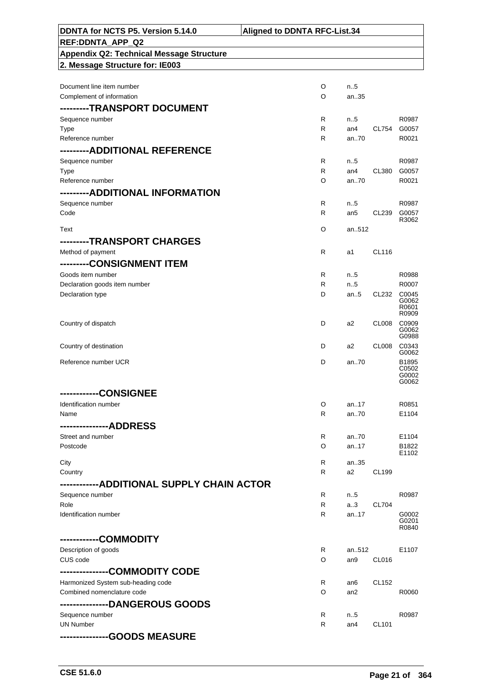| DDNTA for NCTS P5. Version 5.14.0                                | <b>Aligned to DDNTA RFC-List.34</b> |                |                                  |
|------------------------------------------------------------------|-------------------------------------|----------------|----------------------------------|
| REF:DDNTA_APP_Q2                                                 |                                     |                |                                  |
| <b>Appendix Q2: Technical Message Structure</b>                  |                                     |                |                                  |
| 2. Message Structure for: IE003                                  |                                     |                |                                  |
|                                                                  |                                     |                |                                  |
| Document line item number                                        | O<br>n.5                            |                |                                  |
| Complement of information                                        | O<br>an35                           |                |                                  |
| ---------TRANSPORT DOCUMENT                                      |                                     |                |                                  |
| Sequence number                                                  | R<br>n.5                            |                | R0987                            |
| <b>Type</b>                                                      | R<br>an4                            | CL754          | G0057                            |
| Reference number                                                 | R<br>an70                           |                | R0021                            |
| ---------ADDITIONAL REFERENCE                                    |                                     |                |                                  |
| Sequence number                                                  | R<br>$n_{.}.5$                      |                | R0987                            |
| <b>Type</b>                                                      | R<br>an4                            | CL380          | G0057                            |
| Reference number                                                 | O<br>an70                           |                | R0021                            |
| --------ADDITIONAL INFORMATION                                   |                                     |                |                                  |
| Sequence number                                                  | R<br>n.5                            |                | R0987                            |
| Code                                                             | R<br>an5                            | CL239          | G0057                            |
|                                                                  |                                     |                | R3062                            |
| Text                                                             | O                                   | an512          |                                  |
| --------TRANSPORT CHARGES                                        |                                     |                |                                  |
| Method of payment                                                | R<br>a1                             | CL116          |                                  |
| ---------CONSIGNMENT ITEM                                        |                                     |                |                                  |
| Goods item number                                                | R<br>$n_{.}5$                       |                | R0988                            |
| Declaration goods item number                                    | R<br>n.5                            |                | R0007                            |
| Declaration type                                                 | D<br>an5                            | CL232          | C0045<br>G0062<br>R0601<br>R0909 |
| Country of dispatch                                              | D<br>a2                             | CL008          | C0909<br>G0062<br>G0988          |
| Country of destination                                           | D<br>a2                             | CL008          | C0343<br>G0062                   |
| Reference number UCR                                             | D<br>an.70                          |                | B1895<br>C0502<br>G0002<br>G0062 |
| ------------CONSIGNEE                                            |                                     |                |                                  |
| Identification number                                            | O<br>an17                           |                | R0851                            |
| Name                                                             | R<br>an70                           |                | E1104                            |
| --------------ADDRESS                                            |                                     |                |                                  |
| Street and number                                                | R<br>an.70                          |                | E1104                            |
| Postcode                                                         | O<br>an17                           |                | B1822                            |
| City                                                             | R<br>an35                           |                | E1102                            |
| Country                                                          | R<br>a2                             | CL199          |                                  |
| ------------ADDITIONAL SUPPLY CHAIN ACTOR                        |                                     |                |                                  |
| Sequence number                                                  | R<br>n.5                            |                | R0987                            |
| Role                                                             | R<br>a3                             | CL704          |                                  |
| <b>Identification number</b>                                     | R<br>an17                           |                | G0002                            |
|                                                                  |                                     |                | G0201                            |
|                                                                  |                                     |                | R0840                            |
| ------------COMMODITY                                            |                                     |                |                                  |
| Description of goods<br>CUS code                                 | R<br>O<br>an9                       | an512<br>CL016 | E1107                            |
|                                                                  |                                     |                |                                  |
|                                                                  |                                     |                |                                  |
| Harmonized System sub-heading code<br>Combined nomenclature code | R<br>an6<br>O<br>an2                | CL152          | R0060                            |
|                                                                  |                                     |                |                                  |
|                                                                  |                                     |                |                                  |
| Sequence number<br><b>UN Number</b>                              | R<br>n5<br>$\mathsf{R}$<br>an4      | CL101          | R0987                            |
|                                                                  |                                     |                |                                  |
|                                                                  |                                     |                |                                  |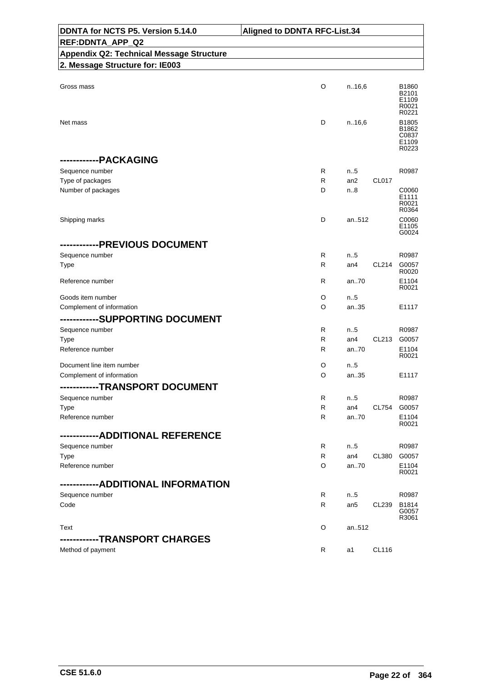| DDNTA for NCTS P5. Version 5.14.0               | <b>Aligned to DDNTA RFC-List.34</b> |              |                                           |  |
|-------------------------------------------------|-------------------------------------|--------------|-------------------------------------------|--|
| <b>REF:DDNTA APP Q2</b>                         |                                     |              |                                           |  |
| <b>Appendix Q2: Technical Message Structure</b> |                                     |              |                                           |  |
| 2. Message Structure for: IE003                 |                                     |              |                                           |  |
|                                                 |                                     |              |                                           |  |
| Gross mass                                      | O<br>n.16,6                         |              | B1860<br>B2101<br>E1109<br>R0021<br>R0221 |  |
| Net mass                                        | D<br>n.16,6                         |              | B1805<br>B1862<br>C0837<br>E1109<br>R0223 |  |
| -----------PACKAGING                            |                                     |              |                                           |  |
| Sequence number                                 | R<br>$n_{.}.5$                      |              | R0987                                     |  |
| Type of packages<br>Number of packages          | R<br>an <sub>2</sub><br>D<br>n.8    | <b>CL017</b> | C0060                                     |  |
|                                                 |                                     |              | E1111<br>R0021<br>R0364                   |  |
| Shipping marks                                  | D<br>an512                          |              | C0060<br>E1105<br>G0024                   |  |
| -----------PREVIOUS DOCUMENT                    |                                     |              |                                           |  |
| Sequence number                                 | R<br>$n_{.}.5$                      |              | R0987                                     |  |
| <b>Type</b>                                     | R<br>an <sub>4</sub>                | CL214        | G0057<br>R0020                            |  |
| Reference number                                | R<br>an70                           |              | E1104<br>R0021                            |  |
| Goods item number                               | O<br>n.5                            |              |                                           |  |
| Complement of information                       | O<br>an35                           |              | E1117                                     |  |
| -----------SUPPORTING DOCUMENT                  |                                     |              |                                           |  |
| Sequence number                                 | R<br>n.5                            |              | R0987                                     |  |
| <b>Type</b>                                     | R<br>an4                            | CL213        | G0057                                     |  |
| Reference number                                | R<br>an70                           |              | E1104<br>R0021                            |  |
| Document line item number                       | O<br>n.5                            |              |                                           |  |
| Complement of information                       | O<br>an35                           |              | E1117                                     |  |
| <b>-TRANSPORT DOCUMENT</b>                      |                                     |              |                                           |  |
| Sequence number                                 | R<br>$n_{.}.5$                      |              | R0987                                     |  |
| <b>Type</b>                                     | R<br>an4                            | CL754        | G0057                                     |  |
| Reference number                                | R<br>an70                           |              | E1104<br>R0021                            |  |
| ------------ADDITIONAL REFERENCE                |                                     |              |                                           |  |
| Sequence number                                 | R<br>n.5                            |              | R0987                                     |  |
| Type                                            | R<br>an4                            | CL380        | G0057                                     |  |
| Reference number                                | O<br>an70                           |              | E1104                                     |  |
|                                                 |                                     |              | R0021                                     |  |
| ------------ADDITIONAL INFORMATION              |                                     |              |                                           |  |
| Sequence number                                 | R<br>$n_{.}.5$                      |              | R0987                                     |  |
| Code                                            | R<br>an <sub>5</sub>                | CL239        | B1814<br>G0057<br>R3061                   |  |
| Text                                            | O<br>an512                          |              |                                           |  |
|                                                 |                                     |              |                                           |  |
| Method of payment                               | R<br>a1                             | CL116        |                                           |  |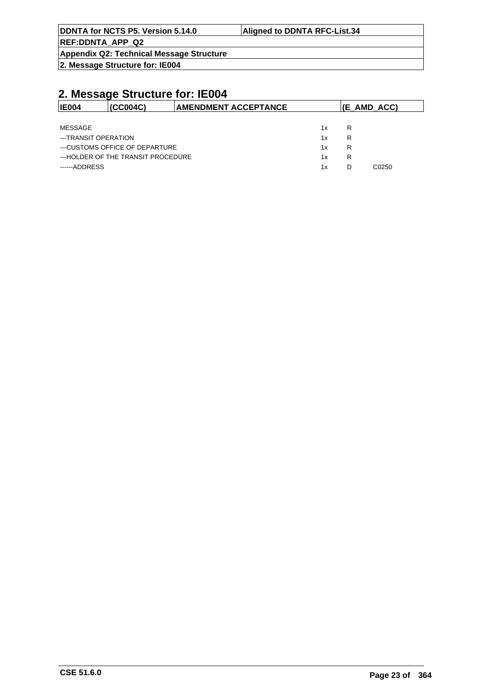| DDNTA for NCTS P5. Version 5.14.0 | Aligned to DDNTA RFC-List.34 |
|-----------------------------------|------------------------------|
|                                   |                              |

#### **REF:DDNTA\_APP\_Q2**

**Appendix Q2: Technical Message Structure**

**2. Message Structure for: IE004**

# **2. Message Structure for: IE004**

| <b>IE004</b>                       | (CCO04C) | <b>AMENDMENT ACCEPTANCE</b> |    |   | $ E $ AMD ACC)    |
|------------------------------------|----------|-----------------------------|----|---|-------------------|
|                                    |          |                             |    |   |                   |
| MESSAGE                            |          |                             | 1x | R |                   |
| ---TRANSIT OPERATION               |          |                             | 1x | R |                   |
| ---CUSTOMS OFFICE OF DEPARTURE     |          |                             | 1x | R |                   |
| ---HOLDER OF THE TRANSIT PROCEDURE |          |                             | 1x | R |                   |
| ------ADDRESS                      |          |                             | 1x | D | C <sub>0250</sub> |

 $\overline{\phantom{a}}$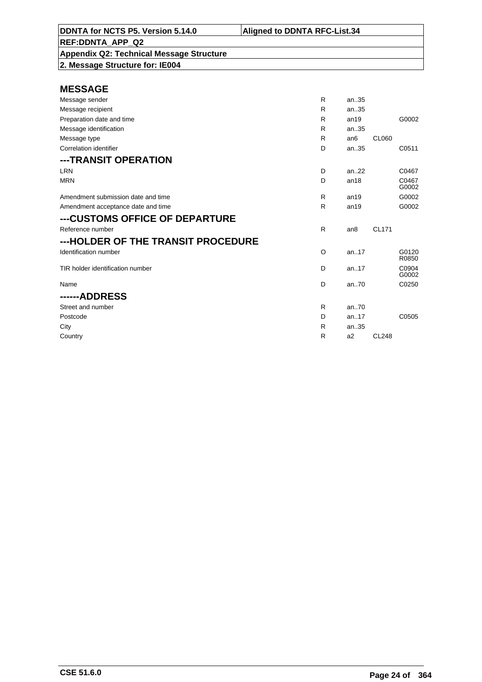#### **DDNTA for NCTS P5. Version 5.14.0 Aligned to DDNTA RFC-List.34 REF:DDNTA\_APP\_Q2**

### **Appendix Q2: Technical Message Structure 2. Message Structure for: IE004**

### **MESSAGE**

| Message sender                     | R | an35            |              |                |
|------------------------------------|---|-----------------|--------------|----------------|
| Message recipient                  | R | an35            |              |                |
| Preparation date and time          | R | an19            |              | G0002          |
| Message identification             | R | an35            |              |                |
| Message type                       | R | an <sub>6</sub> | <b>CL060</b> |                |
| Correlation identifier             | D | an35            |              | C0511          |
| ---TRANSIT OPERATION               |   |                 |              |                |
| LRN                                | D | an.22           |              | C0467          |
| <b>MRN</b>                         | D | an18            |              | C0467<br>G0002 |
| Amendment submission date and time | R | an19            |              | G0002          |
| Amendment acceptance date and time | R | an19            |              | G0002          |
| ---CUSTOMS OFFICE OF DEPARTURE     |   |                 |              |                |
| Reference number                   | R | an8             | CL171        |                |
| ---HOLDER OF THE TRANSIT PROCEDURE |   |                 |              |                |
| Identification number              | O | an17            |              | G0120<br>R0850 |
| TIR holder identification number   | D | an.17           |              | C0904<br>G0002 |
| Name                               | D | an.70           |              | C0250          |
| ------ADDRESS                      |   |                 |              |                |
| Street and number                  | R | an.70           |              |                |
| Postcode                           | D | an.17           |              | C0505          |
| City                               | R | an35            |              |                |
| Country                            | R | a2              | <b>CL248</b> |                |
|                                    |   |                 |              |                |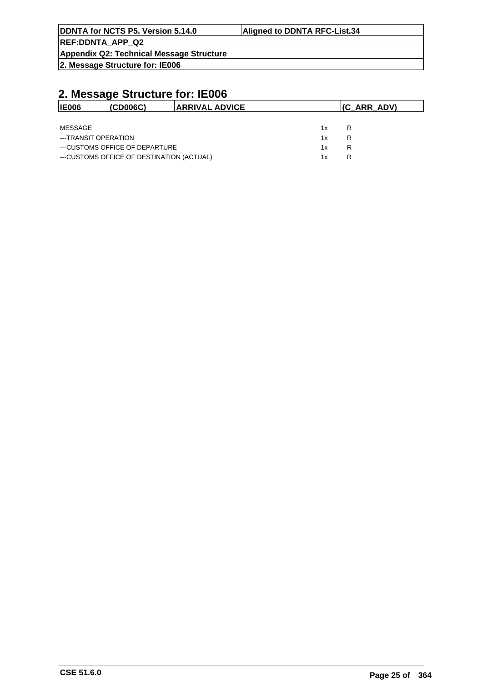| DDNTA for NCTS P5. Version 5.14.0 | Aligned to DDNTA RFC-List.34 |
|-----------------------------------|------------------------------|
| REF:DDNTA APP Q2                  |                              |

**Appendix Q2: Technical Message Structure**

**2. Message Structure for: IE006**

| <b>IE006</b>                   | (CD006C)                                  | ARRIVAL ADVICE |    | $ $ (C_ARR_ADV) |
|--------------------------------|-------------------------------------------|----------------|----|-----------------|
|                                |                                           |                |    |                 |
| MESSAGE                        |                                           |                | 1x | R               |
| ---TRANSIT OPERATION           |                                           |                |    | R               |
| ---CUSTOMS OFFICE OF DEPARTURE | R                                         |                |    |                 |
|                                | ---CUSTOMS OFFICE OF DESTINATION (ACTUAL) |                | 1x | R               |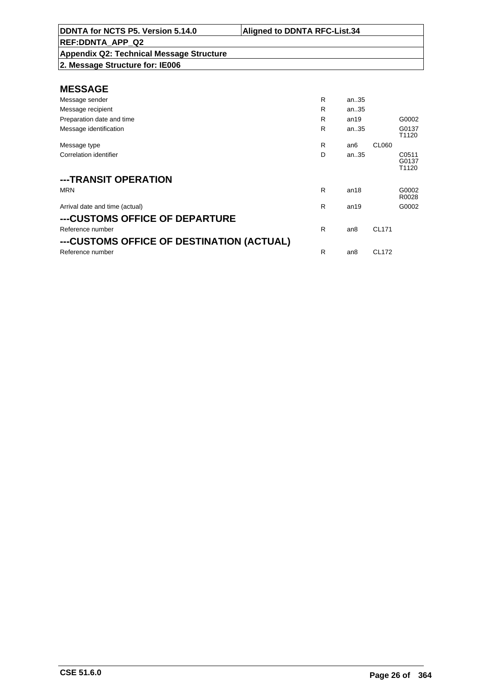| DDNTA for NCTS P5. Version 5.14.0        | <b>Aligned to DDNTA RFC-List.34</b> |  |
|------------------------------------------|-------------------------------------|--|
| REF:DDNTA APP Q2                         |                                     |  |
| Appendix Q2: Technical Message Structure |                                     |  |
| 2. Message Structure for: IE006          |                                     |  |
|                                          |                                     |  |
| <b>MESSAGE</b>                           |                                     |  |
| Message sender                           | R<br>an35                           |  |

| R | an35            |              |                         |
|---|-----------------|--------------|-------------------------|
| R | an19            |              | G0002                   |
| R | an35            |              | G0137<br>T1120          |
| R | an <sub>6</sub> | <b>CL060</b> |                         |
| D | an35            |              | C0511<br>G0137<br>T1120 |
|   |                 |              |                         |
| R | an18            |              | G0002<br>R0028          |
| R | an19            |              | G0002                   |
|   |                 |              |                         |
| R | an <sub>8</sub> | CL171        |                         |
|   |                 |              |                         |
| R | an <sub>8</sub> | <b>CL172</b> |                         |
|   |                 |              |                         |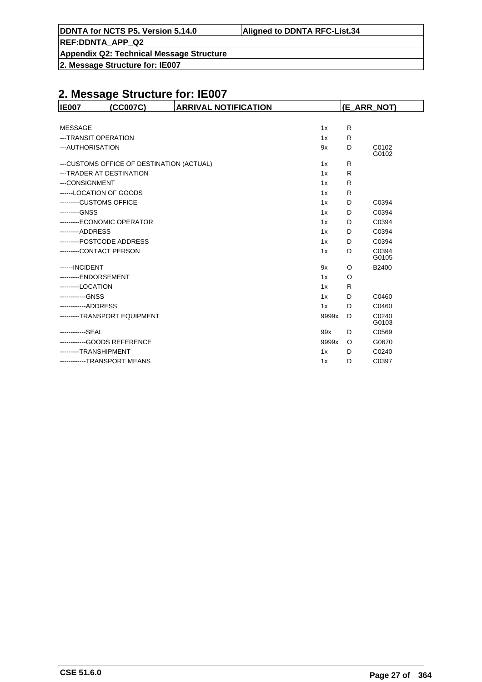| DDNTA for NCTS P5. Version 5.14.0 |
|-----------------------------------|
| REF:DDNTA_APP_Q2                  |

### **Appendix Q2: Technical Message Structure**

**2. Message Structure for: IE007**

| <b>IE007</b>                | (CC007C)                                  | <b>ARRIVAL NOTIFICATION</b> |       |   | (E_ARR_NOT)    |
|-----------------------------|-------------------------------------------|-----------------------------|-------|---|----------------|
|                             |                                           |                             |       |   |                |
| MESSAGE                     |                                           |                             | 1x    | R |                |
| ---TRANSIT OPERATION        |                                           |                             | 1x    | R |                |
| --- AUTHORISATION           |                                           |                             | 9x    | D | C0102<br>G0102 |
|                             | ---CUSTOMS OFFICE OF DESTINATION (ACTUAL) |                             | 1x    | R |                |
| ---TRADER AT DESTINATION    |                                           |                             | 1x    | R |                |
| ---CONSIGNMENT              |                                           |                             | 1x    | R |                |
| ------LOCATION OF GOODS     |                                           |                             | 1x    | R |                |
| --------CUSTOMS OFFICE      |                                           |                             | 1x    | D | C0394          |
| --------GNSS                |                                           |                             | 1x    | D | C0394          |
| --------ECONOMIC OPERATOR   |                                           |                             | 1x    | D | C0394          |
| ---------ADDRESS            |                                           |                             | 1x    | D | C0394          |
| ---------POSTCODE ADDRESS   |                                           |                             | 1x    | D | C0394          |
| --------CONTACT PERSON      |                                           |                             | 1x    | D | C0394<br>G0105 |
| ------ INCIDENT             |                                           |                             | 9x    | O | B2400          |
| ---------ENDORSEMENT        |                                           |                             | 1x    | O |                |
| ---------LOCATION           |                                           |                             | 1x    | R |                |
| -----------GNSS             |                                           |                             | 1x    | D | C0460          |
| ------------ADDRESS         |                                           |                             | 1x    | D | C0460          |
|                             | --------TRANSPORT EQUIPMENT               |                             | 9999x | D | C0240<br>G0103 |
| ------------SEAL            |                                           |                             | 99x   | D | C0569          |
| ------------GOODS REFERENCE |                                           |                             | 9999x | O | G0670          |
| ---------TRANSHIPMENT       |                                           |                             | 1x    | D | C0240          |
| ------------TRANSPORT MEANS |                                           |                             | 1x    | D | C0397          |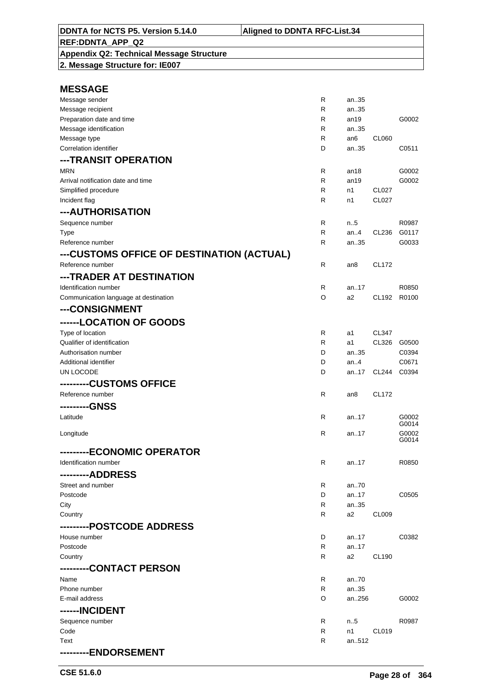**---------ENDORSEMENT**

| DDNTA for NCTS P5. Version 5.14.0 | Aligned to DDNTA RFC-List.34 |
|-----------------------------------|------------------------------|
| DEE.BRNEA ADD AA                  |                              |

## **REF:DDNTA\_APP\_Q2 Appendix Q2: Technical Message Structure**

| <b>MESSAGE</b>                            |    |           |              |                |
|-------------------------------------------|----|-----------|--------------|----------------|
| Message sender                            | R  | an35      |              |                |
| Message recipient                         | R  | an35      |              |                |
| Preparation date and time                 | R  | an19      |              | G0002          |
| Message identification                    | R  | an35      |              |                |
| Message type                              | R  | an6       | <b>CL060</b> |                |
| Correlation identifier                    | D  | an35      |              | C0511          |
| ---TRANSIT OPERATION                      |    |           |              |                |
| <b>MRN</b>                                | R  | an18      |              | G0002          |
| Arrival notification date and time        | R  | an19      |              | G0002          |
| Simplified procedure                      | R  | n1        | CL027        |                |
| Incident flag                             | R  | n1        | CL027        |                |
| ---AUTHORISATION                          |    |           |              |                |
| Sequence number                           | R  | n.5       |              | R0987          |
| <b>Type</b>                               | R  | an.4      | CL236        | G0117          |
| Reference number                          | R  | an35      |              | G0033          |
| ---CUSTOMS OFFICE OF DESTINATION (ACTUAL) |    |           |              |                |
| Reference number                          | R  | an8       | CL172        |                |
| ---TRADER AT DESTINATION                  |    |           |              |                |
| Identification number                     | R  | an17      |              | R0850          |
| Communication language at destination     | O  | a2        | CL192        | R0100          |
| ---CONSIGNMENT                            |    |           |              |                |
| ------LOCATION OF GOODS                   |    |           |              |                |
| Type of location                          | R  |           | CL347        |                |
| Qualifier of identification               | R  | a1<br>a1  | CL326        | G0500          |
| Authorisation number                      | D  | an35      |              | C0394          |
| Additional identifier                     | D  | an.4      |              | C0671          |
| UN LOCODE                                 | D  | an17      | CL244        | C0394          |
| ---------CUSTOMS OFFICE                   |    |           |              |                |
| Reference number                          | R  | an8       | CL172        |                |
|                                           |    |           |              |                |
| --------GNSS                              |    |           |              |                |
| Latitude                                  | R  | an. $.17$ |              | G0002<br>G0014 |
| Longitude                                 | R  | an17      |              | G0002          |
|                                           |    |           |              | G0014          |
| --------ECONOMIC OPERATOR                 |    |           |              |                |
| Identification number                     | R  | an17      |              | R0850          |
| ---------ADDRESS                          |    |           |              |                |
| Street and number                         | R  | an70      |              |                |
| Postcode                                  | D  | an.17     |              | C0505          |
| City                                      | R  | an35      |              |                |
| Country                                   | R. | a2        | CL009        |                |
| ---------POSTCODE ADDRESS                 |    |           |              |                |
| House number                              | D  | an.17     |              | C0382          |
| Postcode                                  | R  | an.17     |              |                |
| Country                                   | R  | a2        | CL190        |                |
| ---------CONTACT PERSON                   |    |           |              |                |
| Name                                      | R  | an70      |              |                |
| Phone number                              | R  | an35      |              |                |
| E-mail address                            | O  | an256     |              | G0002          |
| ------INCIDENT                            |    |           |              |                |
| Sequence number                           | R  | n.5       |              | R0987          |
| Code                                      | R  | n1        | CL019        |                |
| Text                                      | R  | an512     |              |                |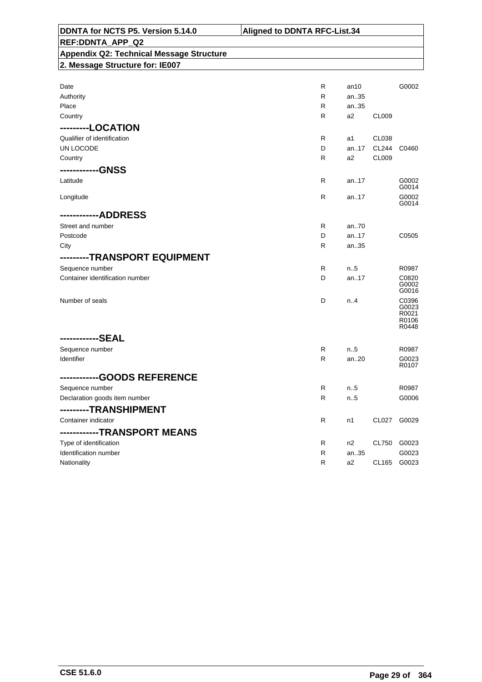| DDNTA for NCTS P5. Version 5.14.0               | <b>Aligned to DDNTA RFC-List.34</b> |              |                |
|-------------------------------------------------|-------------------------------------|--------------|----------------|
| <b>REF:DDNTA APP Q2</b>                         |                                     |              |                |
| <b>Appendix Q2: Technical Message Structure</b> |                                     |              |                |
| 2. Message Structure for: IE007                 |                                     |              |                |
|                                                 |                                     |              |                |
| Date                                            | R<br>an10                           |              | G0002          |
| Authority                                       | R<br>an35                           |              |                |
| Place                                           | R<br>an35                           |              |                |
| Country                                         | R.<br>a2                            | CL009        |                |
| ---------LOCATION                               |                                     |              |                |
| Qualifier of identification                     | R<br>a1                             | CL038        |                |
| UN LOCODE                                       | D<br>an17                           | <b>CL244</b> | C0460          |
| Country                                         | R<br>a2                             | CL009        |                |
| ------------GNSS                                |                                     |              |                |
| Latitude                                        | R<br>an17                           |              | G0002          |
|                                                 |                                     |              | G0014          |
| Longitude                                       | R.<br>an17                          |              | G0002          |
|                                                 |                                     |              | G0014          |
| ------------ADDRESS                             |                                     |              |                |
| Street and number                               | R<br>an.70                          |              |                |
| Postcode                                        | D<br>an.17                          |              | C0505          |
| City                                            | R<br>an35                           |              |                |
| ---------TRANSPORT EQUIPMENT                    |                                     |              |                |
| Sequence number                                 | R<br>n.5                            |              | R0987          |
| Container identification number                 | D<br>an17                           |              | C0820<br>G0002 |
|                                                 |                                     |              | G0016          |
| Number of seals                                 | D<br>n.4                            |              | C0396          |
|                                                 |                                     |              | G0023<br>R0021 |
|                                                 |                                     |              | R0106<br>R0448 |
|                                                 |                                     |              |                |
| ------------SEAL                                |                                     |              |                |
| Sequence number                                 | R<br>n.5                            |              | R0987          |
| Identifier                                      | R<br>an20                           |              | G0023<br>R0107 |
|                                                 |                                     |              |                |
| Sequence number                                 | ${\sf R}$<br>n.5                    |              | R0987          |
| Declaration goods item number                   | R<br>n.5                            |              | G0006          |
| ---------TRANSHIPMENT                           |                                     |              |                |
| Container indicator                             | R                                   |              | G0029          |
|                                                 | n1                                  | CL027        |                |
|                                                 |                                     |              |                |
| Type of identification                          | R<br>n2                             | CL750        | G0023          |
| Identification number                           | R<br>an35                           |              | G0023          |
| Nationality                                     | R<br>a2                             | CL165        | G0023          |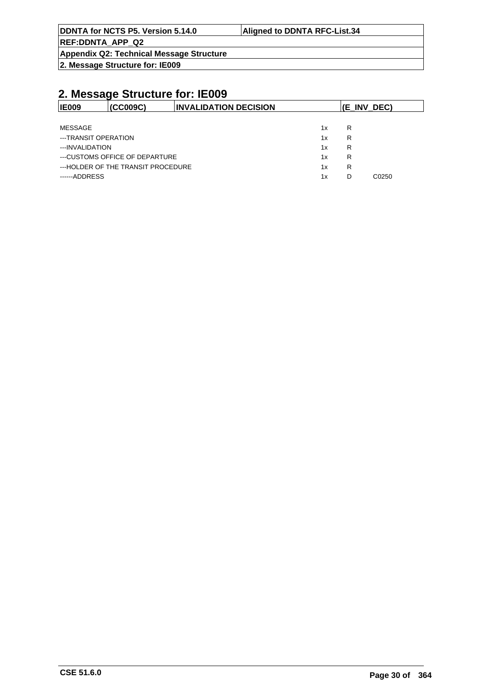|  |  | DDNTA for NCTS P5. Version 5.14.0 |  |
|--|--|-----------------------------------|--|
|  |  |                                   |  |

### **Aligned to DDNTA RFC-List.34**

**REF:DDNTA\_APP\_Q2**

**Appendix Q2: Technical Message Structure**

**2. Message Structure for: IE009**

| <b>IE009</b>                       | (CC009C) | <b>INVALIDATION DECISION</b> |    |       | (E INV DEC) |
|------------------------------------|----------|------------------------------|----|-------|-------------|
|                                    |          |                              |    |       |             |
| MESSAGE                            |          |                              | 1x | R     |             |
| ---TRANSIT OPERATION               |          |                              |    | R     |             |
| ---INVALIDATION                    |          |                              | 1x | R     |             |
| ---CUSTOMS OFFICE OF DEPARTURE     |          |                              | 1x | R     |             |
| ---HOLDER OF THE TRANSIT PROCEDURE |          |                              |    | R     |             |
| ------ADDRESS                      |          | 1x                           | D  | C0250 |             |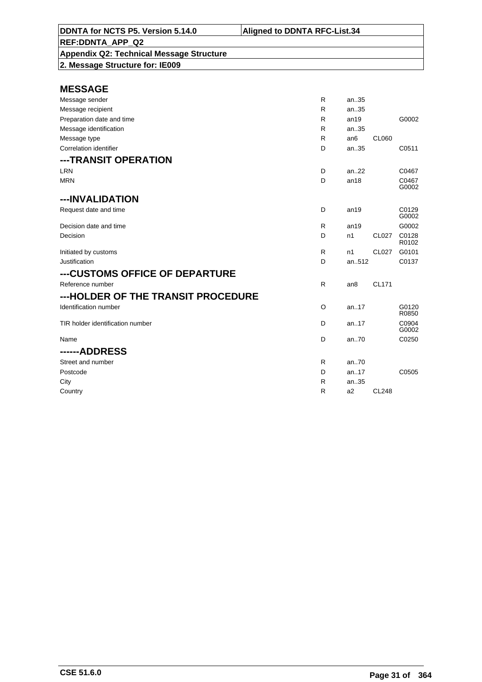| DDNTA for NCTS P5. Version 5.14.0 | Aligned to DDNTA RFC-List.34 |
|-----------------------------------|------------------------------|
|                                   |                              |

#### **REF:DDNTA\_APP\_Q2 Appendix Q2: Technical Message Structure 2. Message Structure for: IE009**

### **MESSAGE**

| Message sender                     | R            | an35            |              |                |
|------------------------------------|--------------|-----------------|--------------|----------------|
| Message recipient                  | R            | an35            |              |                |
| Preparation date and time          | R            | an19            |              | G0002          |
| Message identification             | R            | an35            |              |                |
| Message type                       | R            | an <sub>6</sub> | <b>CL060</b> |                |
| Correlation identifier             | D            | an35            |              | C0511          |
| ---TRANSIT OPERATION               |              |                 |              |                |
| <b>LRN</b>                         | D            | an22            |              | C0467          |
| <b>MRN</b>                         | D            | an18            |              | C0467<br>G0002 |
| ---INVALIDATION                    |              |                 |              |                |
| Request date and time              | D            | an19            |              | C0129<br>G0002 |
| Decision date and time             | R            | an19            |              | G0002          |
| Decision                           | D            | n1              | CL027        | C0128<br>R0102 |
| Initiated by customs               | R            | n <sub>1</sub>  | <b>CL027</b> | G0101          |
| Justification                      | D            | an512           |              | C0137          |
|                                    |              |                 |              |                |
| ---CUSTOMS OFFICE OF DEPARTURE     |              |                 |              |                |
| Reference number                   | $\mathsf{R}$ | an <sub>8</sub> | CL171        |                |
| ---HOLDER OF THE TRANSIT PROCEDURE |              |                 |              |                |
| Identification number              | O            | an17            |              | G0120<br>R0850 |
| TIR holder identification number   | D            | an17            |              | C0904<br>G0002 |
| Name                               | D            | an.70           |              | C0250          |
| ------ADDRESS                      |              |                 |              |                |
| Street and number                  | R            | an.70           |              |                |
| Postcode                           | D            | an17            |              | C0505          |
| City                               | R            | an35            |              |                |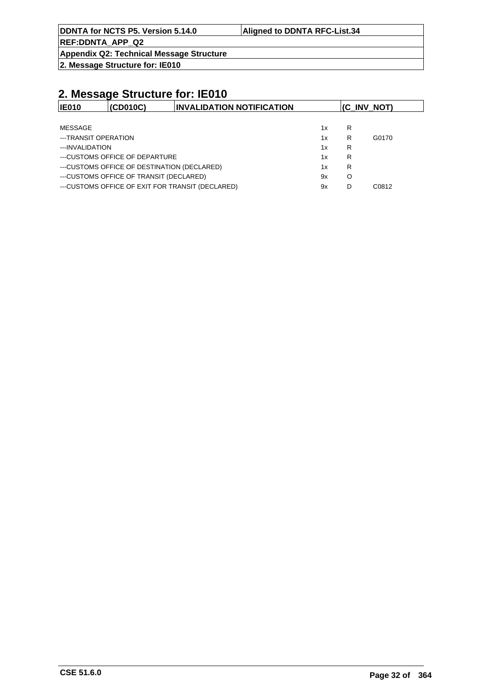|  |  | DDNTA for NCTS P5. Version 5.14.0 |  |
|--|--|-----------------------------------|--|
|  |  |                                   |  |

#### **Aligned to DDNTA RFC-List.34**

**REF:DDNTA\_APP\_Q2**

**Appendix Q2: Technical Message Structure**

**2. Message Structure for: IE010**

| <b>IE010</b>                                | (CD010C)                                | <b>INVALIDATION NOTIFICATION</b>                 |    | (C INV NOT) |       |  |  |
|---------------------------------------------|-----------------------------------------|--------------------------------------------------|----|-------------|-------|--|--|
|                                             |                                         |                                                  |    |             |       |  |  |
| MESSAGE                                     |                                         |                                                  | 1x | R           |       |  |  |
| ---TRANSIT OPERATION                        |                                         |                                                  | 1x | R           | G0170 |  |  |
| ---INVALIDATION                             |                                         |                                                  | 1x | R           |       |  |  |
| ---CUSTOMS OFFICE OF DEPARTURE              |                                         |                                                  | 1x | R           |       |  |  |
| ---CUSTOMS OFFICE OF DESTINATION (DECLARED) |                                         |                                                  | 1x | R           |       |  |  |
|                                             | ---CUSTOMS OFFICE OF TRANSIT (DECLARED) | 9x                                               | O  |             |       |  |  |
|                                             |                                         | ---CUSTOMS OFFICE OF EXIT FOR TRANSIT (DECLARED) | 9x | D           | C0812 |  |  |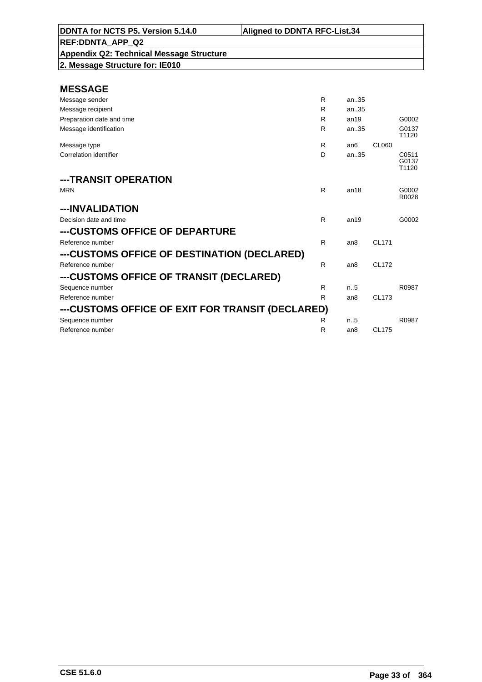| DDNTA for NCTS P5. Version 5.14.0 | Aligned to DDNTA RFC-List.34 |
|-----------------------------------|------------------------------|
|                                   |                              |

### **REF:DDNTA\_APP\_Q2 Appendix Q2: Technical Message Structure**

**2. Message Structure for: IE010**

### **MESSAGE**

| Message sender                                   | R | an35             |              |                         |
|--------------------------------------------------|---|------------------|--------------|-------------------------|
| Message recipient                                | R | an35             |              |                         |
| Preparation date and time                        | R | an19             |              | G0002                   |
| Message identification                           | R | an35             |              | G0137<br>T1120          |
| Message type                                     | R | an6              | CL060        |                         |
| Correlation identifier                           | D | an.35            |              | C0511<br>G0137<br>T1120 |
| ---TRANSIT OPERATION                             |   |                  |              |                         |
| <b>MRN</b>                                       | R | an18             |              | G0002<br>R0028          |
| ---INVALIDATION                                  |   |                  |              |                         |
| Decision date and time                           | R | an19             |              | G0002                   |
| ---CUSTOMS OFFICE OF DEPARTURE                   |   |                  |              |                         |
| Reference number                                 | R | an <sub>8</sub>  | CL171        |                         |
| ---CUSTOMS OFFICE OF DESTINATION (DECLARED)      |   |                  |              |                         |
| Reference number                                 | R | an <sub>8</sub>  | <b>CL172</b> |                         |
| ---CUSTOMS OFFICE OF TRANSIT (DECLARED)          |   |                  |              |                         |
| Sequence number                                  | R | n <sub>0.5</sub> |              | R0987                   |
| Reference number                                 | R | an <sub>8</sub>  | CL173        |                         |
| ---CUSTOMS OFFICE OF EXIT FOR TRANSIT (DECLARED) |   |                  |              |                         |
| Sequence number                                  | R | n.5              |              | R0987                   |
| Reference number                                 | R | an <sub>8</sub>  | <b>CL175</b> |                         |
|                                                  |   |                  |              |                         |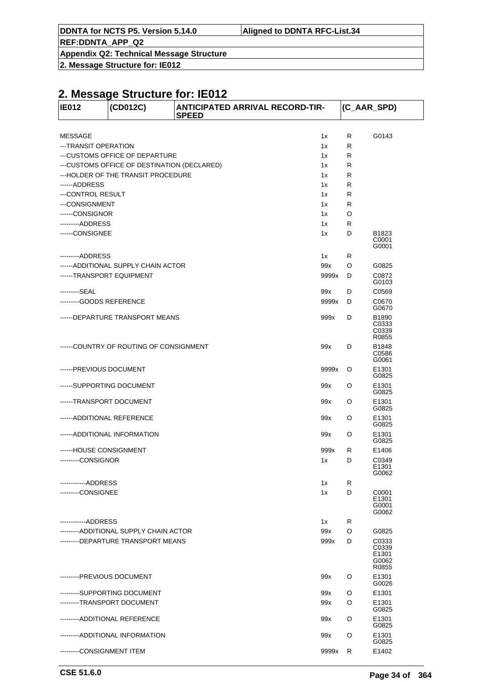**DDNTA for NCTS P5. Version 5.14.0 Aligned to DDNTA RFC-List.34**

**REF:DDNTA\_APP\_Q2**

**Appendix Q2: Technical Message Structure**

**2. Message Structure for: IE012**

| <b>IE012</b>                                      | (CD012C)                                | <b>ANTICIPATED ARRIVAL RECORD-TIR-</b><br><b>SPEED</b> |          |        | (C_AAR_SPD)    |
|---------------------------------------------------|-----------------------------------------|--------------------------------------------------------|----------|--------|----------------|
|                                                   |                                         |                                                        |          |        |                |
| <b>MESSAGE</b>                                    |                                         |                                                        | 1x       | R      | G0143          |
| ---TRANSIT OPERATION                              |                                         |                                                        | 1x       | R      |                |
|                                                   | ---CUSTOMS OFFICE OF DEPARTURE          |                                                        | 1x       | R<br>R |                |
| ---CUSTOMS OFFICE OF DESTINATION (DECLARED)<br>1x |                                         |                                                        |          |        |                |
| --- HOLDER OF THE TRANSIT PROCEDURE<br>1x         |                                         |                                                        |          |        |                |
| ------ADDRESS<br>---CONTROL RESULT                |                                         |                                                        | 1x<br>1x | R<br>R |                |
| ---CONSIGNMENT                                    |                                         |                                                        | 1x       | R      |                |
| ------CONSIGNOR                                   |                                         |                                                        | 1x       | O      |                |
| ---------ADDRESS                                  |                                         |                                                        | 1x       | R      |                |
| -----CONSIGNEE                                    |                                         |                                                        | 1x       | D      | B1823          |
|                                                   |                                         |                                                        |          |        | C0001<br>G0001 |
| ---------ADDRESS                                  |                                         |                                                        | 1x       | R      |                |
|                                                   | ------ ADDITIONAL SUPPLY CHAIN ACTOR    |                                                        | 99x      | O      | G0825          |
| ------TRANSPORT EQUIPMENT                         |                                         |                                                        | 9999x    | D      | C0872<br>G0103 |
| ----------SEAL                                    |                                         |                                                        | 99x      | D      | C0569          |
| ---------GOODS REFERENCE                          |                                         |                                                        | 9999x    | D      | C0670<br>G0670 |
|                                                   | ------DEPARTURE TRANSPORT MEANS         |                                                        | 999x     | D      | B1890<br>C0333 |
|                                                   |                                         |                                                        |          |        | C0339          |
|                                                   | ------COUNTRY OF ROUTING OF CONSIGNMENT |                                                        | 99x      | D      | R0855<br>B1848 |
|                                                   |                                         |                                                        |          |        | C0586<br>G0061 |
| ------PREVIOUS DOCUMENT                           |                                         |                                                        | 9999x    | O      | E1301<br>G0825 |
| ------SUPPORTING DOCUMENT                         |                                         |                                                        | 99x      | O      | E1301<br>G0825 |
| ------TRANSPORT DOCUMENT                          |                                         |                                                        | 99x      | O      | E1301<br>G0825 |
| ------ ADDITIONAL REFERENCE                       |                                         |                                                        | 99x      | O      | E1301<br>G0825 |
|                                                   | ------ ADDITIONAL INFORMATION           |                                                        | 99x      | O      | E1301<br>G0825 |
| ------HOUSE CONSIGNMENT                           |                                         |                                                        | 999x     | R      | E1406          |
| ---------CONSIGNOR                                |                                         |                                                        | 1x       | D      | C0349          |
|                                                   |                                         |                                                        |          |        | E1301<br>G0062 |
| ------------ADDRESS                               |                                         |                                                        | 1x       | R      |                |
| ---------CONSIGNEE                                |                                         |                                                        | 1x       | D      | C0001          |
|                                                   |                                         |                                                        |          |        | E1301<br>G0001 |
|                                                   |                                         |                                                        |          |        | G0062          |
| ------------ADDRESS                               |                                         |                                                        | 1x       | R      |                |
|                                                   | ---------ADDITIONAL SUPPLY CHAIN ACTOR  |                                                        | 99x      | O      | G0825          |
|                                                   | ---------DEPARTURE TRANSPORT MEANS      |                                                        | 999x     | D      | C0333<br>C0339 |
|                                                   |                                         |                                                        |          |        | E1301          |
|                                                   |                                         |                                                        |          |        | G0062<br>R0855 |
| ---------PREVIOUS DOCUMENT                        |                                         |                                                        | 99x      | O      | E1301<br>G0026 |
|                                                   | --------SUPPORTING DOCUMENT             |                                                        | 99x      | O      | E1301          |
|                                                   | ---------TRANSPORT DOCUMENT             |                                                        | 99x      | O      | E1301<br>G0825 |
|                                                   | ---------ADDITIONAL REFERENCE           |                                                        | 99x      | O      | E1301<br>G0825 |
|                                                   | ---------ADDITIONAL INFORMATION         |                                                        | 99x      | O      | E1301          |
| --------CONSIGNMENT ITEM                          |                                         |                                                        | 9999x    | R      | G0825<br>E1402 |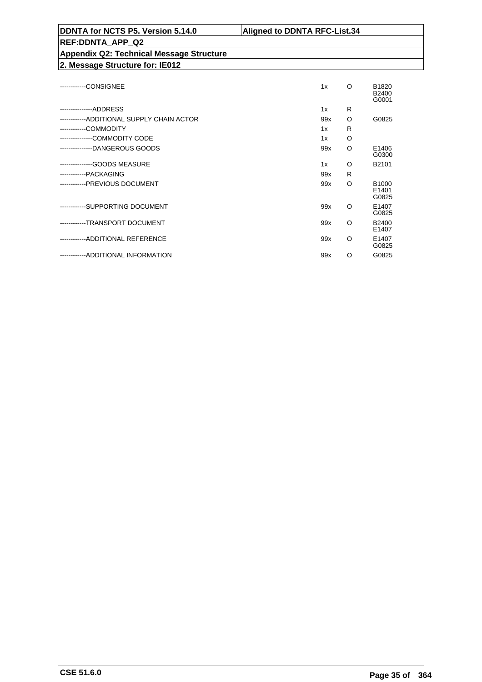#### **DDNTA for NCTS P5. Version 5.14.0 Aligned to DDNTA RFC-List.34 REF:DDNTA\_APP\_Q2**

### **Appendix Q2: Technical Message Structure 2. Message Structure for: IE012**

| --CONSIGNEE                                   | 1x  | $\circ$ | B1820<br>B2400<br>G0001             |
|-----------------------------------------------|-----|---------|-------------------------------------|
| ---------------ADDRESS                        | 1x  | R       |                                     |
| --ADDITIONAL SUPPLY CHAIN ACTOR<br>---------- | 99x | $\circ$ | G0825                               |
| -----------COMMODITY                          | 1x  | R       |                                     |
| ------------COMMODITY CODE                    | 1x  | $\circ$ |                                     |
| ---------------DANGEROUS GOODS                | 99x | $\circ$ | E1406<br>G0300                      |
|                                               | 1x  | $\circ$ | B2101                               |
| ------------PACKAGING                         | 99x | R       |                                     |
| -----------PREVIOUS DOCUMENT                  | 99x | $\circ$ | B <sub>1000</sub><br>E1401<br>G0825 |
| --SUPPORTING DOCUMENT<br>---------            | 99x | $\circ$ | E1407<br>G0825                      |
|                                               | 99x | $\circ$ | B2400<br>E1407                      |
| --ADDITIONAL REFERENCE                        | 99x | O       | E1407<br>G0825                      |
| -ADDITIONAL INFORMATION                       | 99x | $\circ$ | G0825                               |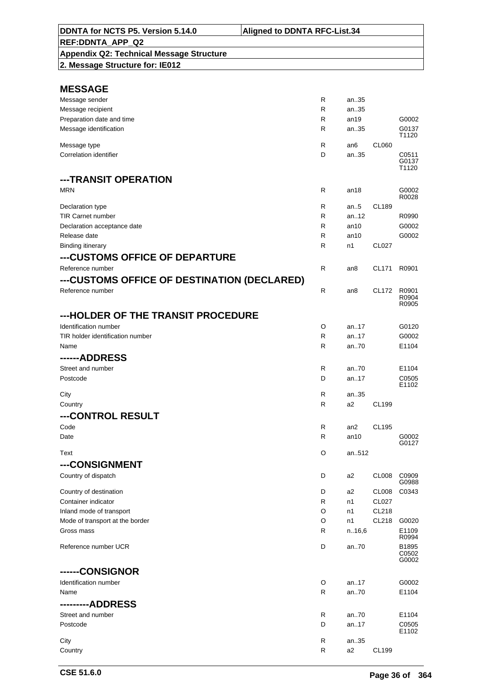| <b>MESSAGE</b>                              |        |        |              |                |
|---------------------------------------------|--------|--------|--------------|----------------|
| Message sender                              | R      | an35   |              |                |
| Message recipient                           | R      | an35   |              |                |
| Preparation date and time                   | R      | an19   |              | G0002          |
| Message identification                      | R      | an35   |              | G0137<br>T1120 |
| Message type                                | R      | an6    | <b>CL060</b> |                |
| Correlation identifier                      | D      | an35   |              | C0511          |
|                                             |        |        |              | G0137<br>T1120 |
| ---TRANSIT OPERATION                        |        |        |              |                |
| <b>MRN</b>                                  | R      | an18   |              | G0002<br>R0028 |
| Declaration type                            | R      | an.5   | <b>CL189</b> |                |
| <b>TIR Carnet number</b>                    | R      | an.12  |              | R0990          |
| Declaration acceptance date                 | R      | an10   |              | G0002          |
| Release date                                | R      | an10   |              | G0002          |
| <b>Binding itinerary</b>                    | R      | n1     | CL027        |                |
| ---CUSTOMS OFFICE OF DEPARTURE              |        |        |              |                |
| Reference number                            | R      | an8    | CL171        | R0901          |
| ---CUSTOMS OFFICE OF DESTINATION (DECLARED) |        |        |              |                |
| Reference number                            | R      | an8    | <b>CL172</b> | R0901<br>R0904 |
| ---HOLDER OF THE TRANSIT PROCEDURE          |        |        |              | R0905          |
| Identification number                       | O      | an.17  |              | G0120          |
| TIR holder identification number            | R      | an.17  |              | G0002          |
| Name                                        | R      | an70   |              | E1104          |
| ------ADDRESS                               |        |        |              |                |
|                                             |        |        |              |                |
| Street and number                           | R<br>D | an70   |              | E1104          |
| Postcode                                    |        | an17   |              | C0505<br>E1102 |
| City                                        | R      | an35   |              |                |
| Country                                     | R      | a2     | CL199        |                |
| ---CONTROL RESULT                           |        |        |              |                |
| Code                                        | R      | an2    | CL195        |                |
| Date                                        | R      | an10   |              | G0002<br>G0127 |
| Text                                        | O      | an512  |              |                |
| ---CONSIGNMENT                              |        |        |              |                |
| Country of dispatch                         | D      | a2     | <b>CL008</b> | C0909          |
|                                             |        |        |              | G0988          |
| Country of destination                      | D      | a2     | CL008        | C0343          |
| Container indicator                         | R      | n1     | CL027        |                |
| Inland mode of transport                    | O      | n1     | CL218        |                |
| Mode of transport at the border             | O      | n1     | CL218        | G0020          |
| Gross mass                                  | R      | n.16,6 |              | E1109<br>R0994 |
| Reference number UCR                        | D      | an70   |              | B1895<br>C0502 |
| ------CONSIGNOR                             |        |        |              | G0002          |
| Identification number                       | O      | an17   |              | G0002          |
| Name                                        | R      | an70   |              | E1104          |
|                                             |        |        |              |                |
| ---------ADDRESS                            |        |        |              |                |
| Street and number                           | R      | an70   |              | E1104          |
| Postcode                                    | D      | an17   |              | C0505<br>E1102 |
| City                                        | R      | an35   |              |                |

Country **R** a 2 CL199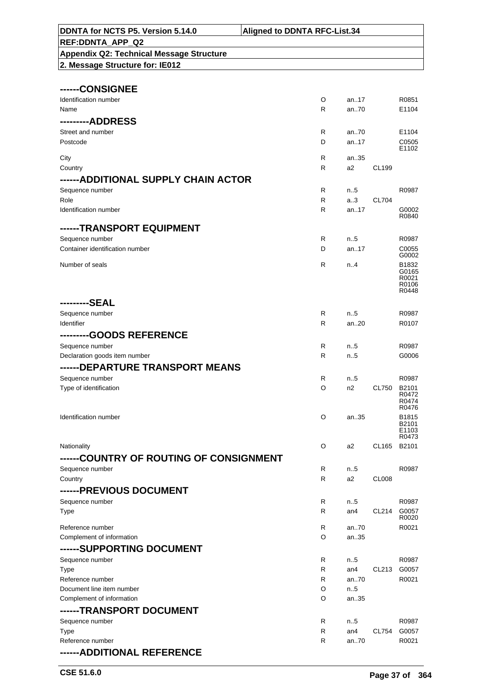| DDNTA for NCTS P5. Version 5.14.0                | <b>Aligned to DDNTA RFC-List.34</b> |                  |              |                |
|--------------------------------------------------|-------------------------------------|------------------|--------------|----------------|
| <b>REF:DDNTA APP Q2</b>                          |                                     |                  |              |                |
| <b>Appendix Q2: Technical Message Structure</b>  |                                     |                  |              |                |
| 2. Message Structure for: IE012                  |                                     |                  |              |                |
|                                                  |                                     |                  |              |                |
| ------CONSIGNEE                                  |                                     |                  |              |                |
| Identification number                            | O                                   | an17             |              | R0851          |
| Name                                             | R                                   | an.70            |              | E1104          |
| ---------ADDRESS                                 |                                     |                  |              |                |
| Street and number                                | R                                   | an.70            |              | E1104          |
| Postcode                                         | D                                   | an.17            |              | C0505<br>E1102 |
| City                                             | R                                   | an35             |              |                |
| Country                                          | R                                   | a2               | CL199        |                |
| ------ADDITIONAL SUPPLY CHAIN ACTOR              |                                     |                  |              |                |
| Sequence number                                  | R                                   | n.5              |              | R0987          |
| Role                                             | R                                   | a <sub>0</sub> 3 | <b>CL704</b> |                |
| Identification number                            | R                                   | an.17            |              | G0002<br>R0840 |
| ------TRANSPORT EQUIPMENT                        |                                     |                  |              |                |
| Sequence number                                  | R                                   | n.5              |              | R0987          |
| Container identification number                  | D                                   | an.17            |              | C0055          |
|                                                  |                                     |                  |              | G0002          |
| Number of seals                                  | R                                   | n.A              |              | B1832<br>G0165 |
|                                                  |                                     |                  |              | R0021<br>R0106 |
|                                                  |                                     |                  |              | R0448          |
| ---------SEAL                                    |                                     |                  |              |                |
| Sequence number                                  | $\mathsf{R}$                        | n.5              |              | R0987          |
| Identifier                                       | R                                   | an.20            |              | R0107          |
|                                                  |                                     |                  |              |                |
| Sequence number<br>Declaration goods item number | R<br>R                              | n.5<br>n.5       |              | R0987<br>G0006 |
| ------DEPARTURE TRANSPORT MEANS                  |                                     |                  |              |                |
| Sequence number                                  | R                                   | n.5              |              | R0987          |
| Type of identification                           | O                                   | n2               | CL750        | B2101          |
|                                                  |                                     |                  |              | R0472<br>R0474 |
|                                                  |                                     |                  |              | R0476          |
| Identification number                            | O                                   | an.35            |              | B1815<br>B2101 |
|                                                  |                                     |                  |              | E1103<br>R0473 |
| Nationality                                      | O                                   | a2               | CL165        | B2101          |
| ------COUNTRY OF ROUTING OF CONSIGNMENT          |                                     |                  |              |                |
| Sequence number                                  | R                                   | n5               |              | R0987          |
| Country                                          | R                                   | a2               | <b>CL008</b> |                |
| ------PREVIOUS DOCUMENT                          |                                     |                  |              |                |
| Sequence number                                  | R                                   | n.5              |              | R0987          |
| <b>Type</b>                                      | R                                   | an4              | CL214        | G0057          |
| Reference number                                 | R                                   | an70             |              | R0020<br>R0021 |
| Complement of information                        | O                                   | an35             |              |                |
| ------SUPPORTING DOCUMENT                        |                                     |                  |              |                |
| Sequence number                                  | R                                   | n.5              |              | R0987          |
| <b>Type</b>                                      | R                                   | an <sub>4</sub>  | CL213        | G0057          |
| Reference number                                 | R                                   | an70             |              | R0021          |
| Document line item number                        | O                                   | n.5              |              |                |
| Complement of information                        | O                                   | an35             |              |                |
| ------TRANSPORT DOCUMENT                         |                                     |                  |              |                |
| Sequence number<br><b>Type</b>                   | R<br>R                              | n.5<br>an4       | CL754        | R0987<br>G0057 |
| Reference number                                 | R                                   | an70             |              | R0021          |
| ------ ADDITIONAL REFERENCE                      |                                     |                  |              |                |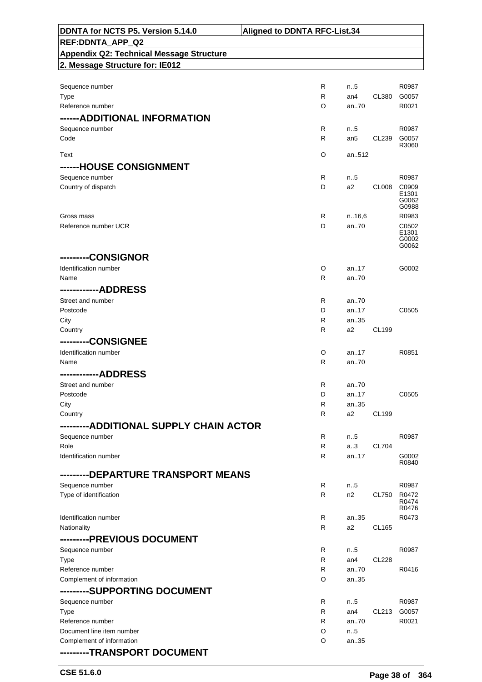| DDNTA for NCTS P5. Version 5.14.0               | <b>Aligned to DDNTA RFC-List.34</b> |                 |                   |                |
|-------------------------------------------------|-------------------------------------|-----------------|-------------------|----------------|
| REF:DDNTA_APP_Q2                                |                                     |                 |                   |                |
| <b>Appendix Q2: Technical Message Structure</b> |                                     |                 |                   |                |
| 2. Message Structure for: IE012                 |                                     |                 |                   |                |
|                                                 |                                     |                 |                   |                |
| Sequence number                                 | R                                   | n.5             |                   | R0987          |
| <b>Type</b>                                     | R                                   | an4             | CL380             | G0057          |
| Reference number                                | O                                   | an70            |                   | R0021          |
| ------ADDITIONAL INFORMATION                    |                                     |                 |                   |                |
| Sequence number                                 | $\mathsf{R}$                        | n.5             |                   | R0987          |
| Code                                            | R                                   | an <sub>5</sub> | CL <sub>239</sub> | G0057          |
|                                                 |                                     |                 |                   | R3060          |
| Text                                            | O                                   | an512           |                   |                |
| ------HOUSE CONSIGNMENT                         |                                     |                 |                   |                |
| Sequence number                                 | R                                   | n.5             |                   | R0987          |
| Country of dispatch                             | D                                   | a2              | CL <sub>008</sub> | C0909<br>E1301 |
|                                                 |                                     |                 |                   | G0062          |
| Gross mass                                      | R                                   | n.16,6          |                   | G0988<br>R0983 |
| Reference number UCR                            | D                                   | an70            |                   | C0502          |
|                                                 |                                     |                 |                   | E1301          |
|                                                 |                                     |                 |                   | G0002<br>G0062 |
| <b>--CONSIGNOR</b>                              |                                     |                 |                   |                |
| Identification number                           | O                                   | an.17           |                   | G0002          |
| Name                                            | $\mathsf{R}$                        | an70            |                   |                |
| ------------ADDRESS                             |                                     |                 |                   |                |
| Street and number                               | R                                   | an70            |                   |                |
| Postcode                                        | D                                   | an.17           |                   | C0505          |
| City                                            | R                                   | an35            |                   |                |
| Country                                         | R                                   | a2              | CL199             |                |
| ---------CONSIGNEE                              |                                     |                 |                   |                |
| Identification number                           | O                                   | an17            |                   | R0851          |
| Name                                            | R                                   | an70            |                   |                |
| ---------ADDRESS                                |                                     |                 |                   |                |
| Street and number                               | R                                   | an70            |                   |                |
| Postcode                                        | D                                   | an17            |                   | C0505          |
| City                                            | $\mathsf{R}$                        | an35            |                   |                |
| Country                                         | $\mathsf{R}$                        | a <sub>2</sub>  | CL199             |                |
| ---------ADDITIONAL SUPPLY CHAIN ACTOR          |                                     |                 |                   |                |
| Sequence number                                 | R                                   | n.5             |                   | R0987          |
| Role                                            | R                                   | a.3             | CL704             |                |
| Identification number                           | R                                   | an17            |                   | G0002          |
|                                                 |                                     |                 |                   | R0840          |
| --------DEPARTURE TRANSPORT MEANS               |                                     |                 |                   |                |
| Sequence number                                 | R                                   | n.5             |                   | R0987          |
| Type of identification                          | $\mathsf{R}$                        | n <sub>2</sub>  | CL750             | R0472<br>R0474 |
|                                                 |                                     |                 |                   | R0476          |
| Identification number                           | R                                   | an35            |                   | R0473          |
| Nationality                                     | R                                   | a2              | CL165             |                |
| ---------PREVIOUS DOCUMENT                      |                                     |                 |                   |                |
| Sequence number                                 | R                                   | $n_{.}.5$       |                   | R0987          |
| <b>Type</b>                                     | $\mathsf{R}$                        | an4             | <b>CL228</b>      |                |
| Reference number                                | R                                   | an70            |                   | R0416          |
| Complement of information                       | O                                   | an35            |                   |                |
| --------SUPPORTING DOCUMENT                     |                                     |                 |                   |                |
| Sequence number                                 | R                                   | n5              |                   | R0987          |
| Type                                            | R                                   | an4             | CL213             | G0057          |
| Reference number                                | R                                   | an70            |                   | R0021          |
| Document line item number                       | O                                   | n.5             |                   |                |
| Complement of information                       | O                                   | an35            |                   |                |
| --------TRANSPORT DOCUMENT                      |                                     |                 |                   |                |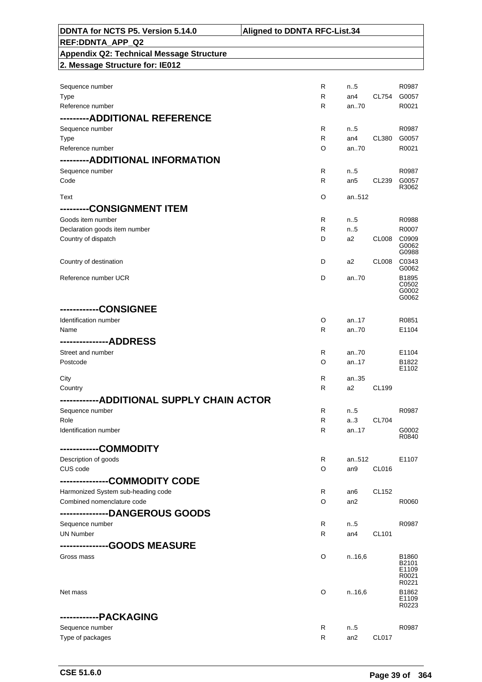| DDNTA for NCTS P5. Version 5.14.0                    | <b>Aligned to DDNTA RFC-List.34</b> |                 |                   |                |
|------------------------------------------------------|-------------------------------------|-----------------|-------------------|----------------|
| REF:DDNTA_APP_Q2                                     |                                     |                 |                   |                |
| <b>Appendix Q2: Technical Message Structure</b>      |                                     |                 |                   |                |
| 2. Message Structure for: IE012                      |                                     |                 |                   |                |
|                                                      |                                     |                 |                   |                |
| Sequence number                                      | R                                   | n.5             |                   | R0987          |
| <b>Type</b>                                          | R                                   | an4             | CL754             | G0057          |
| Reference number                                     | R                                   | an70            |                   | R0021          |
| ---------ADDITIONAL REFERENCE                        |                                     |                 |                   |                |
| Sequence number                                      | R                                   | n.5             |                   | R0987          |
| <b>Type</b>                                          | $\mathsf{R}$                        | an4             | CL380             | G0057          |
| Reference number                                     | O                                   | an70            |                   | R0021          |
| ---------ADDITIONAL INFORMATION                      |                                     |                 |                   |                |
| Sequence number                                      | R                                   | $n_{.}.5$       |                   | R0987          |
| Code                                                 | R                                   | an5             | CL239             | G0057<br>R3062 |
| Text                                                 | O                                   | an512           |                   |                |
|                                                      |                                     |                 |                   |                |
| <b>-CONSIGNMENT ITEM</b>                             |                                     |                 |                   |                |
| Goods item number                                    | R<br>R                              | n.5             |                   | R0988<br>R0007 |
| Declaration goods item number<br>Country of dispatch | D                                   | n.5<br>a2       | CL <sub>008</sub> | C0909          |
|                                                      |                                     |                 |                   | G0062          |
|                                                      |                                     |                 |                   | G0988          |
| Country of destination                               | D                                   | a <sub>2</sub>  | CL008             | C0343<br>G0062 |
| Reference number UCR                                 | D                                   | an70            |                   | B1895          |
|                                                      |                                     |                 |                   | C0502<br>G0002 |
|                                                      |                                     |                 |                   | G0062          |
| -----------CONSIGNEE                                 |                                     |                 |                   |                |
| Identification number                                | O                                   | an.17           |                   | R0851          |
| Name                                                 | R                                   | an70            |                   | E1104          |
| ---------------ADDRESS                               |                                     |                 |                   |                |
| Street and number                                    | R                                   | an70            |                   | E1104          |
| Postcode                                             | O                                   | an17            |                   | B1822          |
|                                                      |                                     |                 |                   | E1102          |
| City                                                 | R                                   | an35            |                   |                |
| Country                                              | R                                   | a <sub>2</sub>  | CL199             |                |
| ------------ADDITIONAL SUPPLY CHAIN ACTOR            |                                     |                 |                   |                |
| Sequence number                                      | R                                   | n.5             |                   | R0987          |
| Role<br><b>Identification number</b>                 | R<br>R                              | a.3<br>an17     | CL704             | G0002          |
|                                                      |                                     |                 |                   | R0840          |
| -----------COMMODITY                                 |                                     |                 |                   |                |
| Description of goods                                 | R                                   | an512           |                   | E1107          |
| CUS code                                             | O                                   | an9             | CL016             |                |
|                                                      |                                     |                 |                   |                |
| Harmonized System sub-heading code                   | R                                   | an6             | CL152             |                |
| Combined nomenclature code                           | O                                   | an <sub>2</sub> |                   | R0060          |
|                                                      |                                     |                 |                   |                |
| Sequence number                                      | R                                   | n.5             |                   | R0987          |
| <b>UN Number</b>                                     | R                                   | an4             | CL101             |                |
|                                                      |                                     |                 |                   |                |
| Gross mass                                           | O                                   | n.16,6          |                   | B1860          |
|                                                      |                                     |                 |                   | B2101          |
|                                                      |                                     |                 |                   | E1109<br>R0021 |
|                                                      |                                     |                 |                   | R0221          |
| Net mass                                             | O                                   | n.16,6          |                   | B1862<br>E1109 |
|                                                      |                                     |                 |                   | R0223          |
| ------------PACKAGING                                |                                     |                 |                   |                |
| Sequence number                                      | R                                   | n.5             |                   | R0987          |
| Type of packages                                     | R                                   | an2             | <b>CL017</b>      |                |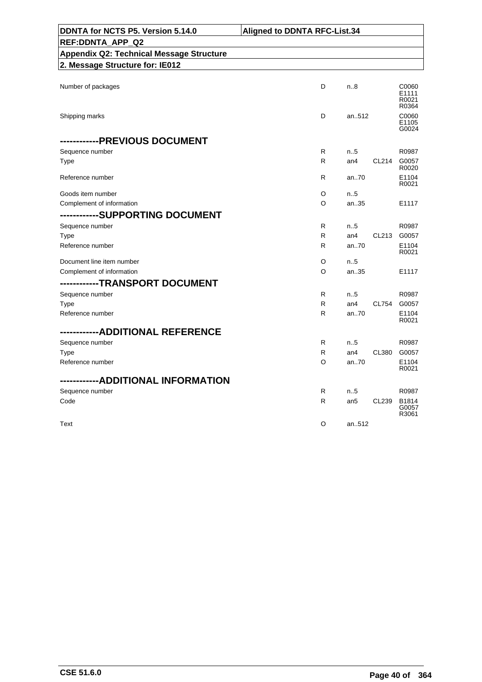| DDNTA for NCTS P5. Version 5.14.0               | <b>Aligned to DDNTA RFC-List.34</b> |                                  |  |
|-------------------------------------------------|-------------------------------------|----------------------------------|--|
| <b>REF:DDNTA APP Q2</b>                         |                                     |                                  |  |
| <b>Appendix Q2: Technical Message Structure</b> |                                     |                                  |  |
| 2. Message Structure for: IE012                 |                                     |                                  |  |
|                                                 |                                     |                                  |  |
| Number of packages                              | D<br>n.8                            | C0060<br>E1111<br>R0021<br>R0364 |  |
| Shipping marks                                  | D<br>an512                          | C0060<br>E1105<br>G0024          |  |
| ----------PREVIOUS DOCUMENT                     |                                     |                                  |  |
| Sequence number                                 | R<br>n.5                            | R0987                            |  |
| Type                                            | R<br>an4                            | G0057<br>CL214<br>R0020          |  |
| Reference number                                | R<br>an70                           | E1104<br>R0021                   |  |
| Goods item number                               | O<br>n.5                            |                                  |  |
| Complement of information                       | O<br>an35                           | E1117                            |  |
| ----------SUPPORTING DOCUMENT                   |                                     |                                  |  |
| Sequence number                                 | R<br>n.5                            | R0987                            |  |
| Type                                            | R<br>an4                            | CL213<br>G0057                   |  |
| Reference number                                | R<br>an70                           | E1104<br>R0021                   |  |
| Document line item number                       | O<br>$n_{.}5$                       |                                  |  |
| Complement of information                       | $\circ$<br>an35                     | E1117                            |  |
| -----------TRANSPORT DOCUMENT                   |                                     |                                  |  |
| Sequence number                                 | R<br>n.5                            | R0987                            |  |
| Type                                            | R<br>an <sub>4</sub>                | G0057<br>CL754                   |  |
| Reference number                                | R<br>an70                           | E1104                            |  |
| ----------ADDITIONAL REFERENCE                  |                                     | R0021                            |  |
| Sequence number                                 | R<br>n.5                            | R0987                            |  |
| Type                                            | R<br>an <sub>4</sub>                | G0057<br>CL380                   |  |
| Reference number                                | O<br>an70                           | E1104                            |  |
| ---------ADDITIONAL INFORMATION                 |                                     | R0021                            |  |
| Sequence number                                 | R<br>n.5                            | R0987                            |  |
| Code                                            | R<br>an <sub>5</sub>                | CL239<br>B1814<br>G0057          |  |
| Text                                            | O<br>an512                          | R3061                            |  |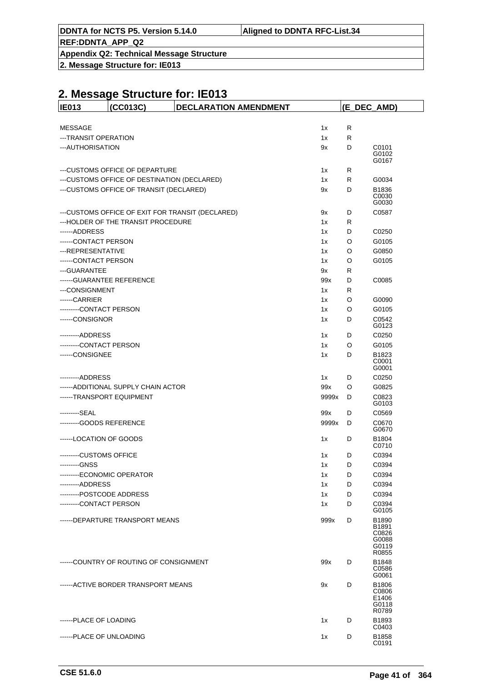**REF:DDNTA\_APP\_Q2**

**Appendix Q2: Technical Message Structure**

**2. Message Structure for: IE013**

# **2. Message Structure for: IE013**

| <b>IE013</b>                                        | (CCO13C)                                         | <b>DECLARATION AMENDMENT</b> |          | (E DEC AMD)  |                                           |
|-----------------------------------------------------|--------------------------------------------------|------------------------------|----------|--------------|-------------------------------------------|
|                                                     |                                                  |                              |          |              |                                           |
| <b>MESSAGE</b>                                      |                                                  |                              | 1x       | R            |                                           |
| --- TRANSIT OPERATION                               |                                                  |                              | 1x       | R            |                                           |
| --- AUTHORISATION                                   |                                                  |                              | 9x       | D            | C0101<br>G0102<br>G0167                   |
|                                                     | ---CUSTOMS OFFICE OF DEPARTURE                   |                              | 1x       | R            |                                           |
|                                                     | ---CUSTOMS OFFICE OF DESTINATION (DECLARED)      |                              | 1x       | $\mathsf{R}$ | G0034                                     |
|                                                     | ---CUSTOMS OFFICE OF TRANSIT (DECLARED)          |                              | 9x       | D            | B1836<br>C0030<br>G0030                   |
|                                                     | ---CUSTOMS OFFICE OF EXIT FOR TRANSIT (DECLARED) |                              | 9x       | D            | C0587                                     |
|                                                     | --- HOLDER OF THE TRANSIT PROCEDURE              |                              | 1x       | R            |                                           |
| ------ADDRESS                                       |                                                  |                              | 1x       | D            | C0250                                     |
| ------CONTACT PERSON                                |                                                  |                              | 1x       | O            | G0105                                     |
| --- REPRESENTATIVE                                  |                                                  |                              | 1x       | O            | G0850                                     |
| ------CONTACT PERSON                                |                                                  |                              | 1x       | O            | G0105                                     |
| ---GUARANTEE                                        |                                                  |                              | 9x       | $\mathsf{R}$ |                                           |
|                                                     | ------GUARANTEE REFERENCE                        |                              | 99x      | D            | C0085                                     |
| ---CONSIGNMENT                                      |                                                  |                              | 1x       | R            |                                           |
| ------CARRIER                                       |                                                  |                              | 1x       | O            | G0090                                     |
| ---------CONTACT PERSON                             |                                                  |                              | 1x       | O            | G0105                                     |
| ------CONSIGNOR                                     |                                                  |                              | 1x       | D            | C0542<br>G0123                            |
| ---------ADDRESS                                    |                                                  |                              | 1x       | D            | C0250                                     |
| --------CONTACT PERSON                              |                                                  |                              | 1x       | O            | G0105                                     |
| ------CONSIGNEE                                     |                                                  |                              | 1x       | D            | B1823<br>C0001<br>G0001                   |
| ---------ADDRESS                                    |                                                  |                              | 1x       | D            | C0250                                     |
|                                                     | ------ ADDITIONAL SUPPLY CHAIN ACTOR             |                              | 99x      | O            | G0825                                     |
| ------TRANSPORT EQUIPMENT                           |                                                  |                              | 9999x    | D            | C0823<br>G0103                            |
| ---------SEAL                                       |                                                  |                              | 99x      | D            | C0569                                     |
| --------GOODS REFERENCE                             |                                                  |                              | 9999x    | D            | C0670<br>G0670                            |
| ------LOCATION OF GOODS                             |                                                  |                              | 1x       | D            | B1804<br>C0710                            |
| --------CUSTOMS OFFICE                              |                                                  |                              | 1x       | D            | C0394                                     |
| ------GNSS                                          |                                                  |                              | 1x       | D            | C0394                                     |
| ---------ECONOMIC OPERATOR                          |                                                  |                              | 1x       | D            | C0394                                     |
| ---------ADDRESS                                    |                                                  |                              | 1x       | D            | C0394                                     |
| ---------POSTCODE ADDRESS<br>--------CONTACT PERSON |                                                  |                              | 1x<br>1x | D<br>D       | C0394<br>C0394                            |
|                                                     | ------ DEPARTURE TRANSPORT MEANS                 |                              | 999x     | D            | G0105<br>B1890                            |
|                                                     |                                                  |                              |          |              | B1891<br>C0826<br>G0088<br>G0119<br>R0855 |
|                                                     | ------COUNTRY OF ROUTING OF CONSIGNMENT          |                              | 99x      | D            | B1848<br>C0586<br>G0061                   |
|                                                     | ------ ACTIVE BORDER TRANSPORT MEANS             |                              | 9x       | D            | B1806<br>C0806<br>E1406<br>G0118<br>R0789 |
| ------ PLACE OF LOADING                             |                                                  |                              | 1x       | D            | B1893<br>C0403                            |
| ------PLACE OF UNLOADING                            |                                                  |                              | 1x       | D            | B1858<br>C0191                            |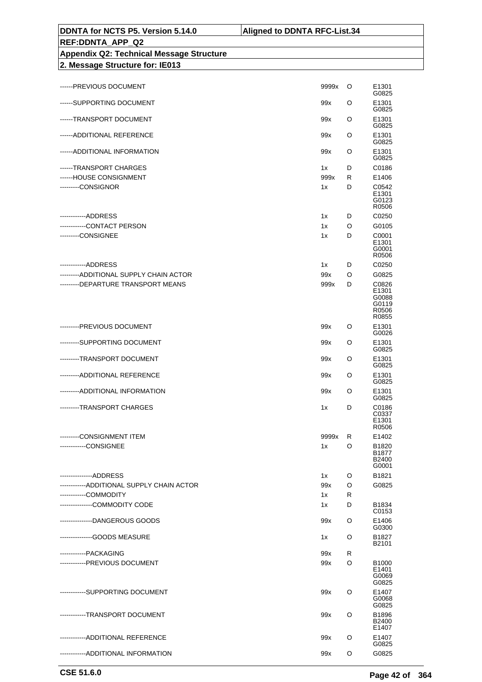|  | <b>DDNTA for NCTS P5. Version 5.14.0</b> |  |
|--|------------------------------------------|--|
|  |                                          |  |

| ------PREVIOUS DOCUMENT                   | 9999x | O | E1301<br>G0825                                     |
|-------------------------------------------|-------|---|----------------------------------------------------|
| ------SUPPORTING DOCUMENT                 | 99x   | O | E1301<br>G0825                                     |
| ------TRANSPORT DOCUMENT                  | 99x   | O | E1301<br>G0825                                     |
| ------ADDITIONAL REFERENCE                | 99x   | O | E1301<br>G0825                                     |
| ------ADDITIONAL INFORMATION              | 99x   | O | E1301<br>G0825                                     |
| ------TRANSPORT CHARGES                   | 1x    | D | C0186                                              |
| ------HOUSE CONSIGNMENT                   | 999x  | R | E1406                                              |
| ---------CONSIGNOR                        | 1x    | D | C0542<br>E1301<br>G0123<br>R0506                   |
| ------------ADDRESS                       | 1x    | D | C0250                                              |
| ------------CONTACT PERSON                | 1x    | O | G0105                                              |
| ---------CONSIGNEE                        | 1x    | D | C0001<br>E1301<br>G0001<br>R0506                   |
| ------------ADDRESS                       | 1x    | D | C0250                                              |
| ---------ADDITIONAL SUPPLY CHAIN ACTOR    | 99x   | O | G0825                                              |
| ---------DEPARTURE TRANSPORT MEANS        | 999x  | D | C0826<br>E1301<br>G0088<br>G0119<br>R0506<br>R0855 |
| ---------PREVIOUS DOCUMENT                | 99x   | O | E1301<br>G0026                                     |
| --------SUPPORTING DOCUMENT               | 99x   | O | E1301<br>G0825                                     |
| ---------TRANSPORT DOCUMENT               | 99x   | O | E1301<br>G0825                                     |
| ---------ADDITIONAL REFERENCE             | 99x   | O | E1301<br>G0825                                     |
| ---------ADDITIONAL INFORMATION           | 99x   | O | E1301<br>G0825                                     |
| --------TRANSPORT CHARGES                 | 1x    | D | C0186<br>C0337<br>E1301<br>R0506                   |
| --------CONSIGNMENT ITEM                  | 9999x | R | E1402                                              |
| ---CONSIGNEE                              | 1x    | O | B1820<br>B1877<br>B2400<br>G0001                   |
| ---------------ADDRESS                    | 1x    | O | B1821                                              |
| ------------ADDITIONAL SUPPLY CHAIN ACTOR | 99x   | O | G0825                                              |
| ------------COMMODITY                     | 1x    | R |                                                    |
| --------------COMMODITY CODE              | 1x    | D | B1834<br>C0153                                     |
| ---------------DANGEROUS GOODS            | 99x   | O | E1406<br>G0300                                     |
| --------------GOODS MEASURE               | 1x    | O | B1827<br>B2101                                     |
| ------------PACKAGING                     | 99x   | R |                                                    |
| ------------PREVIOUS DOCUMENT             | 99x   | O | B <sub>1000</sub><br>E1401<br>G0069<br>G0825       |
| ------------SUPPORTING DOCUMENT           | 99x   | O | E1407<br>G0068<br>G0825                            |
| ------------TRANSPORT DOCUMENT            | 99x   | O | B1896<br>B2400<br>E1407                            |
| ------------ADDITIONAL REFERENCE          | 99x   | O | E1407<br>G0825                                     |
| ------------ADDITIONAL INFORMATION        | 99x   | O | G0825                                              |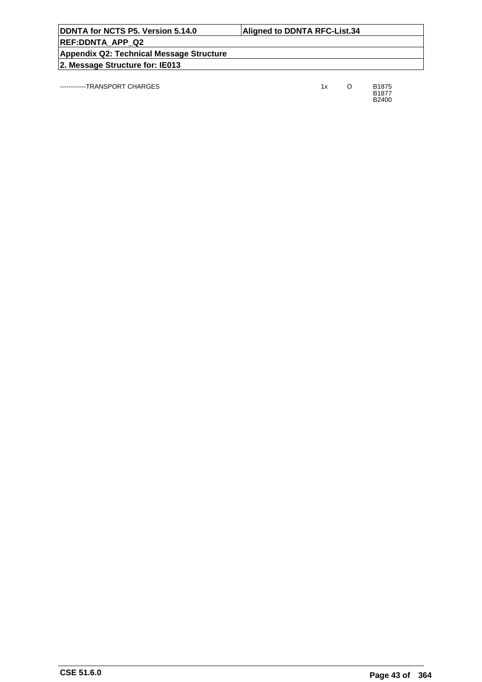| DDNTA for NCTS P5. Version 5.14.0               | Aligned to DDNTA RFC-List.34 |
|-------------------------------------------------|------------------------------|
| REF:DDNTA APP Q2                                |                              |
| <b>Appendix Q2: Technical Message Structure</b> |                              |
| 2. Message Structure for: IE013                 |                              |
|                                                 |                              |
|                                                 |                              |

------------TRANSPORT CHARGES 1x 0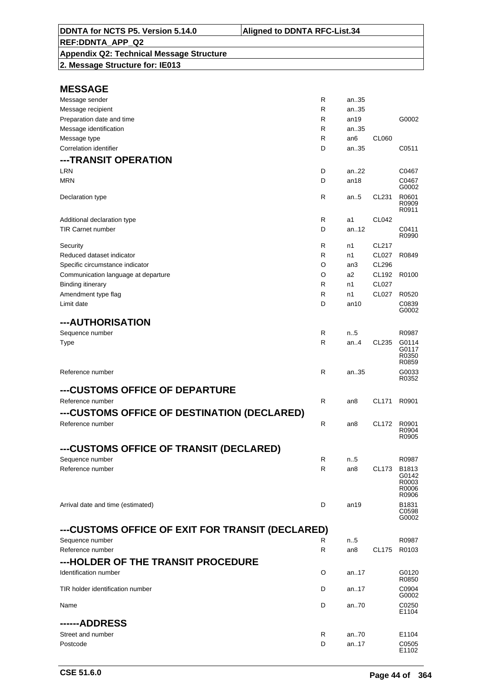| <b>REF:DDNTA APP Q2</b>                          |   |                 |              |                |
|--------------------------------------------------|---|-----------------|--------------|----------------|
| <b>Appendix Q2: Technical Message Structure</b>  |   |                 |              |                |
| 2. Message Structure for: IE013                  |   |                 |              |                |
|                                                  |   |                 |              |                |
| <b>MESSAGE</b>                                   |   |                 |              |                |
| Message sender                                   | R | an35            |              |                |
| Message recipient                                | R | an35            |              |                |
| Preparation date and time                        | R | an19            |              | G0002          |
| Message identification                           | R | an35            |              |                |
| Message type                                     | R | an6             | <b>CL060</b> |                |
| Correlation identifier                           | D | an35            |              | C0511          |
| ---TRANSIT OPERATION                             |   |                 |              |                |
| <b>LRN</b>                                       | D | an.22           |              | C0467          |
| <b>MRN</b>                                       | D | an18            |              | C0467          |
|                                                  | R |                 | CL231        | G0002<br>R0601 |
| Declaration type                                 |   | an.5            |              | R0909          |
|                                                  |   |                 |              | R0911          |
| Additional declaration type                      | R | a1              | <b>CL042</b> |                |
| <b>TIR Carnet number</b>                         | D | an. $.12$       |              | C0411<br>R0990 |
| Security                                         | R | n1              | CL217        |                |
| Reduced dataset indicator                        | R | n1              | CL027        | R0849          |
| Specific circumstance indicator                  | O | an <sub>3</sub> | CL296        |                |
| Communication language at departure              | O | a2              | CL192        | R0100          |
| <b>Binding itinerary</b>                         | R | n1              | <b>CL027</b> |                |
| Amendment type flag                              | R | n1              | CL027        | R0520          |
| Limit date                                       | D | an10            |              | C0839          |
|                                                  |   |                 |              | G0002          |
| ---AUTHORISATION                                 |   |                 |              |                |
| Sequence number                                  | R | n.5             |              | R0987          |
| <b>Type</b>                                      | R | an.4            | CL235        | G0114          |
|                                                  |   |                 |              | G0117<br>R0350 |
|                                                  |   |                 |              | R0859          |
| Reference number                                 | R | an35            |              | G0033<br>R0352 |
| ---CUSTOMS OFFICE OF DEPARTURE                   |   |                 |              |                |
|                                                  | R |                 |              |                |
| Reference number                                 |   | an8             | CL171        | R0901          |
| ---CUSTOMS OFFICE OF DESTINATION (DECLARED)      |   |                 |              |                |
| Reference number                                 | R | an <sub>8</sub> | CL172        | R0901<br>R0904 |
|                                                  |   |                 |              | R0905          |
| ---CUSTOMS OFFICE OF TRANSIT (DECLARED)          |   |                 |              |                |
| Sequence number                                  | R | $n_{.}.5$       |              | R0987          |
| Reference number                                 | R | an <sub>8</sub> | CL173        | B1813          |
|                                                  |   |                 |              | G0142          |
|                                                  |   |                 |              | R0003<br>R0006 |
|                                                  |   |                 |              | R0906          |
| Arrival date and time (estimated)                | D | an19            |              | B1831<br>C0598 |
|                                                  |   |                 |              | G0002          |
| ---CUSTOMS OFFICE OF EXIT FOR TRANSIT (DECLARED) |   |                 |              |                |
| Sequence number                                  | R | $n_{.}.5$       |              | R0987          |
| Reference number                                 | R | an8             | CL175        | R0103          |
| ---HOLDER OF THE TRANSIT PROCEDURE               |   |                 |              |                |
| Identification number                            | O | an17            |              | G0120          |
|                                                  |   |                 |              | R0850          |
| TIR holder identification number                 | D | an17            |              | C0904          |
| Name                                             | D | an70            |              | G0002<br>C0250 |
|                                                  |   |                 |              | E1104          |
| ------ADDRESS                                    |   |                 |              |                |
| Street and number                                | R | an70            |              | E1104          |
| Postcode                                         | D | an17            |              | C0505          |
|                                                  |   |                 |              | E1102          |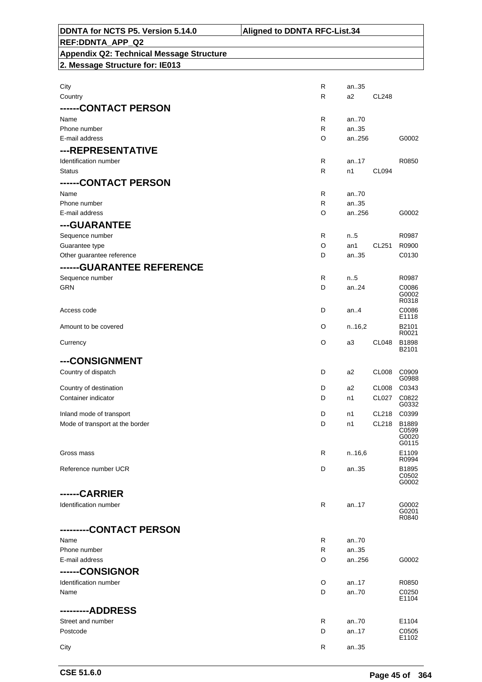| DDNTA for NCTS P5. Version 5.14.0           | <b>Aligned to DDNTA RFC-List.34</b> |              |                   |                |
|---------------------------------------------|-------------------------------------|--------------|-------------------|----------------|
| <b>REF:DDNTA APP Q2</b>                     |                                     |              |                   |                |
| Appendix Q2: Technical Message Structure    |                                     |              |                   |                |
| 2. Message Structure for: IE013             |                                     |              |                   |                |
|                                             |                                     |              |                   |                |
| City                                        | R                                   | an35         |                   |                |
| Country                                     | R                                   | a2           | <b>CL248</b>      |                |
| ------CONTACT PERSON                        |                                     |              |                   |                |
| Name<br>Phone number                        | R<br>R                              | an70<br>an35 |                   |                |
| E-mail address                              | O                                   | an256        |                   | G0002          |
| ---REPRESENTATIVE                           |                                     |              |                   |                |
| Identification number                       | R                                   | an17         |                   | R0850          |
| <b>Status</b>                               | R                                   | n1           | CL094             |                |
| ------CONTACT PERSON                        |                                     |              |                   |                |
| Name                                        | R                                   | an.70        |                   |                |
| Phone number                                | R                                   | an35         |                   |                |
| E-mail address                              | O                                   | an256        |                   | G0002          |
| ---GUARANTEE                                |                                     |              |                   |                |
| Sequence number                             | R                                   | $n_{.}.5$    |                   | R0987          |
| Guarantee type<br>Other guarantee reference | O<br>D                              | an1<br>an35  | CL251             | R0900<br>C0130 |
| ------GUARANTEE REFERENCE                   |                                     |              |                   |                |
| Sequence number                             | R                                   | n.5          |                   | R0987          |
| GRN                                         | D                                   | an24         |                   | C0086          |
|                                             |                                     |              |                   | G0002<br>R0318 |
| Access code                                 | D                                   | an.4         |                   | C0086          |
|                                             |                                     |              |                   | E1118          |
| Amount to be covered                        | O                                   | n.16,2       |                   | B2101<br>R0021 |
| Currency                                    | O                                   | a3           | <b>CL048</b>      | B1898<br>B2101 |
| ---CONSIGNMENT                              |                                     |              |                   |                |
| Country of dispatch                         | D                                   | a2           | <b>CL008</b>      | C0909          |
|                                             |                                     |              |                   | G0988          |
| Country of destination                      | D                                   | a2           | CL <sub>008</sub> | C0343          |
| Container indicator                         | D                                   | n1           | CL027             | C0822<br>G0332 |
| Inland mode of transport                    | D                                   | n1           | CL218             | C0399          |
| Mode of transport at the border             | D                                   | n1           | CL218             | B1889<br>C0599 |
|                                             |                                     |              |                   | G0020          |
| Gross mass                                  | R                                   | n.16,6       |                   | G0115<br>E1109 |
|                                             |                                     |              |                   | R0994          |
| Reference number UCR                        | D                                   | an35         |                   | B1895<br>C0502 |
|                                             |                                     |              |                   | G0002          |
| ------CARRIER                               |                                     |              |                   |                |
| Identification number                       | R                                   | an17         |                   | G0002<br>G0201 |
|                                             |                                     |              |                   | R0840          |
| ---------CONTACT PERSON                     |                                     |              |                   |                |
| Name                                        | R                                   | an70         |                   |                |
| Phone number                                | R                                   | an35         |                   |                |
| E-mail address                              | O                                   | an256        |                   | G0002          |
| ------CONSIGNOR                             |                                     |              |                   |                |
| Identification number<br>Name               | O<br>D                              | an17<br>an70 |                   | R0850<br>C0250 |
|                                             |                                     |              |                   | E1104          |
| ---------ADDRESS                            |                                     |              |                   |                |
| Street and number                           | R                                   | an70         |                   | E1104          |
| Postcode                                    | D                                   | an17         |                   | C0505<br>E1102 |
|                                             |                                     |              |                   |                |

City **R** an..35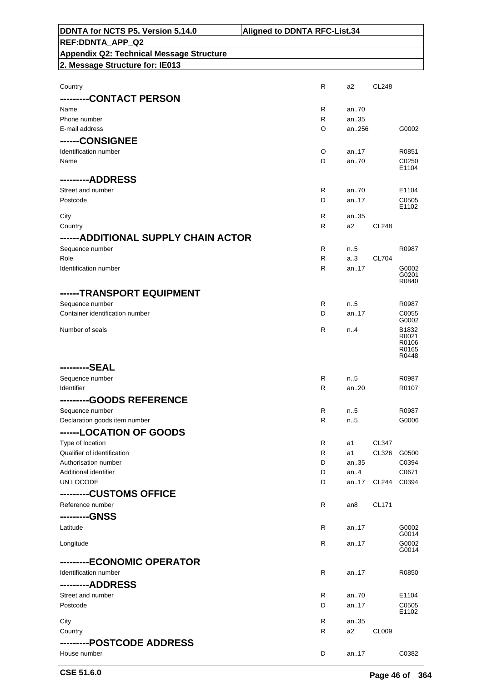| DDNTA for NCTS P5. Version 5.14.0               | <b>Aligned to DDNTA RFC-List.34</b> |                                        |  |
|-------------------------------------------------|-------------------------------------|----------------------------------------|--|
| <b>REF:DDNTA APP Q2</b>                         |                                     |                                        |  |
| <b>Appendix Q2: Technical Message Structure</b> |                                     |                                        |  |
| 2. Message Structure for: IE013                 |                                     |                                        |  |
|                                                 |                                     |                                        |  |
| Country                                         | R<br>a2                             | <b>CL248</b>                           |  |
| ---------CONTACT PERSON                         |                                     |                                        |  |
| Name                                            | R                                   | an.70                                  |  |
| Phone number                                    | $\mathsf{R}$                        | an35                                   |  |
| E-mail address                                  | O                                   | an256<br>G0002                         |  |
| ------CONSIGNEE                                 |                                     |                                        |  |
| Identification number                           | O                                   | an17<br>R0851                          |  |
| Name                                            | D                                   | an70<br>C0250                          |  |
|                                                 |                                     | E1104                                  |  |
| ---------ADDRESS                                |                                     |                                        |  |
| Street and number                               | R                                   | an70<br>E1104                          |  |
| Postcode                                        | D                                   | C0505<br>an17<br>E1102                 |  |
| City                                            | R                                   | an35                                   |  |
| Country                                         | $\mathsf{R}$<br>a2                  | CL248                                  |  |
| ------ADDITIONAL SUPPLY CHAIN ACTOR             |                                     |                                        |  |
| Sequence number                                 | R                                   | R0987<br>n.5                           |  |
| Role                                            | $\mathsf{R}$                        | a.3<br>CL704                           |  |
| Identification number                           | R                                   | an17<br>G0002                          |  |
|                                                 |                                     | G0201<br>R0840                         |  |
| ------TRANSPORT EQUIPMENT                       |                                     |                                        |  |
| Sequence number                                 | R                                   | n.5<br>R0987                           |  |
| Container identification number                 | D                                   | an17<br>C0055                          |  |
|                                                 |                                     | G0002                                  |  |
| Number of seals                                 | R                                   | B1832<br>n.4<br>R0021                  |  |
|                                                 |                                     | R0106<br>R0165                         |  |
|                                                 |                                     | R0448                                  |  |
| ---------SEAL                                   |                                     |                                        |  |
| Sequence number                                 | R                                   | n.5<br>R0987                           |  |
| Identifier                                      | к                                   | R0107<br>an20                          |  |
| --------GOODS REFERENCE                         |                                     |                                        |  |
| Sequence number                                 | R                                   | n.5<br>R0987                           |  |
| Declaration goods item number                   | R                                   | n.5<br>G0006                           |  |
| ------LOCATION OF GOODS                         |                                     |                                        |  |
| Type of location                                | R<br>a1                             | CL347                                  |  |
| Qualifier of identification                     | R<br>a1                             | CL326<br>G0500                         |  |
| Authorisation number                            | D                                   | C0394<br>an35                          |  |
| Additional identifier<br>UN LOCODE              | D<br>D                              | C0671<br>an4<br>C0394<br>an17<br>CL244 |  |
|                                                 |                                     |                                        |  |
| ---------CUSTOMS OFFICE                         |                                     |                                        |  |
| Reference number                                | $\mathsf{R}$                        | CL171<br>an8                           |  |
| ---------GNSS                                   |                                     |                                        |  |
| Latitude                                        | R                                   | G0002<br>an17<br>G0014                 |  |
| Longitude                                       | $\mathsf{R}$                        | an17<br>G0002                          |  |
|                                                 |                                     | G0014                                  |  |
| ---------ECONOMIC OPERATOR                      |                                     |                                        |  |
| Identification number                           | $\mathsf{R}$                        | an17<br>R0850                          |  |
| ---------ADDRESS                                |                                     |                                        |  |
| Street and number                               | R                                   | an70<br>E1104                          |  |
| Postcode                                        | D                                   | C0505<br>an17<br>E1102                 |  |
| City                                            | R                                   | an35                                   |  |
| Country                                         | R<br>a2                             | <b>CL009</b>                           |  |
| ---------POSTCODE ADDRESS                       |                                     |                                        |  |
| House number                                    | D                                   | C0382<br>an17                          |  |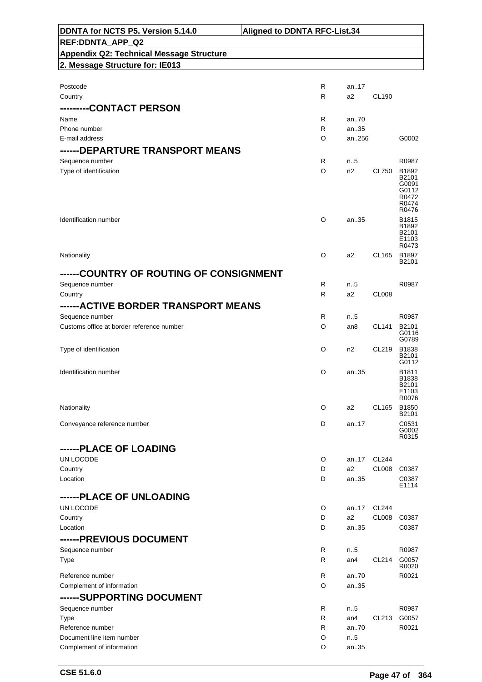| DDNTA for NCTS P5. Version 5.14.0               | <b>Aligned to DDNTA RFC-List.34</b> |                |              |                                                             |
|-------------------------------------------------|-------------------------------------|----------------|--------------|-------------------------------------------------------------|
| <b>REF:DDNTA APP Q2</b>                         |                                     |                |              |                                                             |
| <b>Appendix Q2: Technical Message Structure</b> |                                     |                |              |                                                             |
| 2. Message Structure for: IE013                 |                                     |                |              |                                                             |
|                                                 |                                     |                |              |                                                             |
| Postcode                                        | R                                   | an17           |              |                                                             |
| Country                                         | R                                   | a2             | CL190        |                                                             |
| ---------CONTACT PERSON                         |                                     |                |              |                                                             |
| Name                                            | $\mathsf{R}$                        | an70           |              |                                                             |
| Phone number                                    | $\mathsf{R}$                        | an35           |              |                                                             |
| E-mail address                                  | O                                   | an256          |              | G0002                                                       |
| ------DEPARTURE TRANSPORT MEANS                 |                                     |                |              |                                                             |
| Sequence number                                 | $\mathsf{R}$                        | n.5            |              | R0987                                                       |
| Type of identification                          | O                                   | n2             | CL750        | B1892<br>B2101<br>G0091<br>G0112<br>R0472<br>R0474<br>R0476 |
| Identification number                           | O                                   | an.35          |              | B1815<br>B1892<br>B2101<br>E1103<br>R0473                   |
| Nationality                                     | O                                   | a2             | CL165        | B1897<br>B2101                                              |
| ------COUNTRY OF ROUTING OF CONSIGNMENT         |                                     |                |              |                                                             |
| Sequence number                                 | $\mathsf{R}$                        | n5             |              | R0987                                                       |
| Country                                         | $\mathsf{R}$                        | a2             | <b>CL008</b> |                                                             |
| ------ACTIVE BORDER TRANSPORT MEANS             |                                     |                |              |                                                             |
| Sequence number                                 | R                                   | n.5            |              | R0987                                                       |
| Customs office at border reference number       | O                                   | an8            | <b>CL141</b> | B2101<br>G0116                                              |
| Type of identification                          | O                                   | n <sub>2</sub> | CL219        | G0789<br>B1838<br>B2101                                     |
| <b>Identification number</b>                    | O                                   | an35           |              | G0112<br>B1811                                              |
|                                                 |                                     |                |              | B1838<br>B2101<br>E1103<br>R0076                            |
| Nationality                                     | O                                   | a2             | CL165        | B1850<br>B2101                                              |
| Conveyance reference number                     | D                                   | an17           |              | C0531<br>G0002<br>R0315                                     |
| ------PLACE OF LOADING                          |                                     |                |              |                                                             |
| UN LOCODE                                       | O                                   | an17           | CL244        |                                                             |
| Country                                         | D                                   | a2             | <b>CL008</b> | C0387                                                       |
| Location                                        | D                                   | an35           |              | C0387<br>E1114                                              |
| ------PLACE OF UNLOADING                        |                                     |                |              |                                                             |
| UN LOCODE                                       | O                                   | an17           | CL244        |                                                             |
| Country                                         | D                                   | a2             | <b>CL008</b> | C0387                                                       |
| Location                                        | D                                   | an35           |              | C0387                                                       |
| ------PREVIOUS DOCUMENT                         |                                     |                |              |                                                             |
| Sequence number                                 | R                                   | n.5            |              | R0987                                                       |
| Type                                            | R                                   | an4            | CL214        | G0057                                                       |
| Reference number                                | R                                   | an70           |              | R0020<br>R0021                                              |
| Complement of information                       | O                                   | an35           |              |                                                             |
| ------SUPPORTING DOCUMENT                       |                                     |                |              |                                                             |
| Sequence number                                 | R                                   | n.5            |              | R0987                                                       |
| Type                                            | R                                   | an4            | CL213        | G0057                                                       |
| Reference number                                | R                                   | an70           |              | R0021                                                       |
| Document line item number                       | O                                   | n.5            |              |                                                             |
| Complement of information                       | O                                   | an35           |              |                                                             |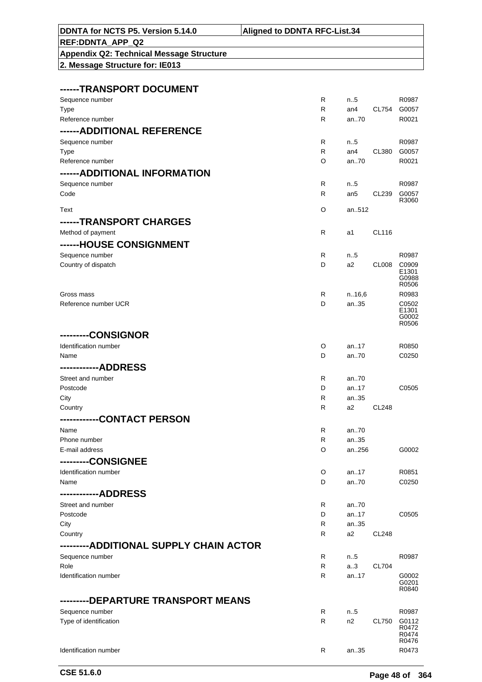| DDNTA for NCTS P5. Version 5.14.0               | <b>Aligned to DDNTA RFC-List.34</b> |                         |
|-------------------------------------------------|-------------------------------------|-------------------------|
| <b>REF:DDNTA APP Q2</b>                         |                                     |                         |
| <b>Appendix Q2: Technical Message Structure</b> |                                     |                         |
| 2. Message Structure for: IE013                 |                                     |                         |
|                                                 |                                     |                         |
| ------TRANSPORT DOCUMENT                        |                                     |                         |
| Sequence number                                 | R<br>n.5                            | R0987                   |
| <b>Type</b>                                     | R<br>an <sub>4</sub>                | CL754<br>G0057          |
| Reference number                                | R<br>an70                           | R0021                   |
| ------ADDITIONAL REFERENCE                      |                                     |                         |
| Sequence number                                 | R<br>$n_{.}.5$                      | R0987                   |
| Type                                            | R<br>an <sub>4</sub>                | CL380<br>G0057          |
| Reference number                                | O<br>an70                           | R0021                   |
| ------ADDITIONAL INFORMATION                    |                                     |                         |
| Sequence number                                 | R<br>n.5                            | R0987                   |
| Code                                            | R<br>an <sub>5</sub>                | G0057<br>CL239<br>R3060 |
| Text                                            | O                                   | an512                   |
| ------TRANSPORT CHARGES                         |                                     |                         |
| Method of payment                               | R.<br>a1                            | CL116                   |
| ------HOUSE CONSIGNMENT                         |                                     |                         |
| Sequence number                                 | R<br>n5                             | R0987                   |
| Country of dispatch                             | a2<br>D                             | <b>CL008</b><br>C0909   |
|                                                 |                                     | E1301<br>G0988          |
|                                                 |                                     | R0506                   |
| Gross mass                                      | R                                   | R0983<br>n.16,6         |
| Reference number UCR                            | D<br>an35                           | C0502<br>E1301          |
|                                                 |                                     | G0002<br>R0506          |
|                                                 |                                     |                         |
| ---------CONSIGNOR<br>Identification number     | O<br>an.17                          |                         |
| Name                                            | D<br>an70                           | R0850<br>C0250          |
| ------------ADDRESS                             |                                     |                         |
| Street and number                               | R<br>an70                           |                         |
| Postcode                                        | D                                   | C0505<br>an17           |
| City                                            | R<br>an35                           |                         |
| Country                                         | R<br>a2                             | CL248                   |
|                                                 |                                     |                         |
| Name                                            | R<br>an70                           |                         |
| Phone number                                    | R                                   | an35                    |
| E-mail address                                  | O                                   | an256<br>G0002          |
| ---------CONSIGNEE                              |                                     |                         |
| Identification number                           | O                                   | an17<br>R0851           |
| Name                                            | D                                   | an70<br>C0250           |
| ------------ADDRESS                             |                                     |                         |
| Street and number                               | R                                   | an70                    |
| Postcode                                        | D                                   | C0505<br>an17           |
| City                                            | R<br>an35                           |                         |
| Country                                         | R<br>a2                             | <b>CL248</b>            |
| ---------ADDITIONAL SUPPLY CHAIN ACTOR          |                                     |                         |
| Sequence number<br>Role                         | R<br>n.5<br>R<br>a3                 | R0987<br>CL704          |
| <b>Identification number</b>                    | R                                   | an17<br>G0002           |
|                                                 |                                     | G0201                   |
|                                                 |                                     | R0840                   |
| ---------DEPARTURE TRANSPORT MEANS              |                                     |                         |
| Sequence number                                 | R<br>n.5                            | R0987                   |
| Type of identification                          | R<br>n <sub>2</sub>                 | G0112<br>CL750<br>R0472 |
|                                                 |                                     | R0474<br>R0476          |
| Identification number                           | R<br>an35                           | R0473                   |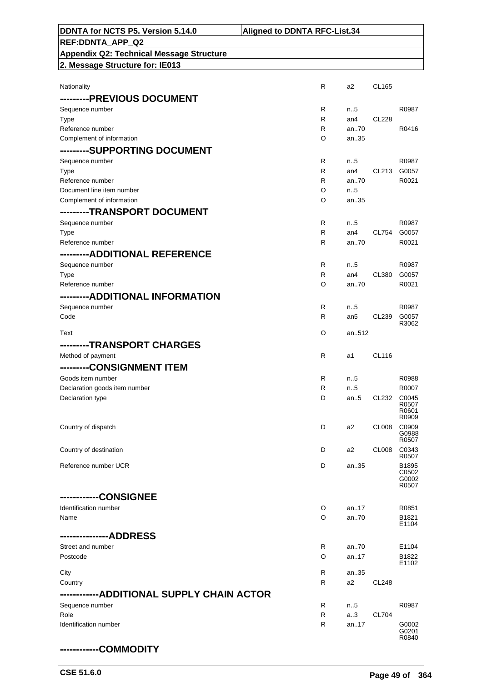| Nationality                               | R       | a2               | CL165        |                |
|-------------------------------------------|---------|------------------|--------------|----------------|
| ---------PREVIOUS DOCUMENT                |         |                  |              |                |
| Sequence number                           | R       | n.5              |              | R0987          |
| <b>Type</b>                               | R.      | an4              | <b>CL228</b> |                |
| Reference number                          | R       | an70             |              | R0416          |
| Complement of information                 | O       | an35             |              |                |
| --------SUPPORTING DOCUMENT               |         |                  |              |                |
| Sequence number                           | R       | $n_{.}.5$        |              | R0987          |
| Type                                      | R       | an <sub>4</sub>  | CL213        | G0057          |
| Reference number                          | R       | an.70            |              | R0021          |
| Document line item number                 | O       | n.5              |              |                |
| Complement of information                 | O       | an35             |              |                |
| ---------TRANSPORT DOCUMENT               |         |                  |              |                |
| Sequence number                           | R       | n.5              |              | R0987          |
| <b>Type</b>                               | R.      | an4              | CL754        | G0057          |
| Reference number                          | R       | an70             |              | R0021          |
| ---------ADDITIONAL REFERENCE             |         |                  |              |                |
| Sequence number                           | R       | n.5              |              | R0987          |
| <b>Type</b>                               | R       | an <sub>4</sub>  | CL380        | G0057          |
| Reference number                          | O       | an70             |              | R0021          |
| ---------ADDITIONAL INFORMATION           |         |                  |              |                |
| Sequence number                           | R       | n.5              |              | R0987          |
| Code                                      | R.      | an5              | CL239        | G0057          |
| Text                                      | O       | an512            |              | R3062          |
|                                           |         |                  |              |                |
| ---------TRANSPORT CHARGES                |         |                  |              |                |
| Method of payment                         | R.      | a1               | CL116        |                |
| ---------CONSIGNMENT ITEM                 |         |                  |              |                |
| Goods item number                         | R       | n.5              |              | R0988          |
| Declaration goods item number             | R.      | n.5              |              | R0007          |
| Declaration type                          | D       | an.5             | CL232        | C0045<br>R0507 |
|                                           |         |                  |              | R0601          |
| Country of dispatch                       | D       | a2               | <b>CL008</b> | R0909<br>C0909 |
|                                           |         |                  |              | G0988          |
|                                           |         |                  |              | R0507          |
| Country of destination                    | D       | a2               | <b>CL008</b> | C0343<br>R0507 |
| Reference number UCR                      | D       | an35             |              | B1895          |
|                                           |         |                  |              | C0502<br>G0002 |
|                                           |         |                  |              | R0507          |
| <b>-----------CONSIGNEE</b>               |         |                  |              |                |
| Identification number                     | $\circ$ | an17             |              | R0851          |
| Name                                      | O       | an70             |              | B1821          |
|                                           |         |                  |              | E1104          |
| ---------------ADDRESS                    |         |                  |              |                |
| Street and number                         | R       | an70             |              | E1104          |
| Postcode                                  | O       | an17             |              | B1822<br>E1102 |
| City                                      | R       | an35             |              |                |
| Country                                   | R.      | a2               | CL248        |                |
| ------------ADDITIONAL SUPPLY CHAIN ACTOR |         |                  |              |                |
| Sequence number                           | R       | n.5              |              | R0987          |
| Role                                      | R.      | a <sub>0</sub> 3 | CL704        |                |
| Identification number                     | R       | an17             |              | G0002          |
|                                           |         |                  |              | G0201<br>R0840 |

**------------COMMODITY**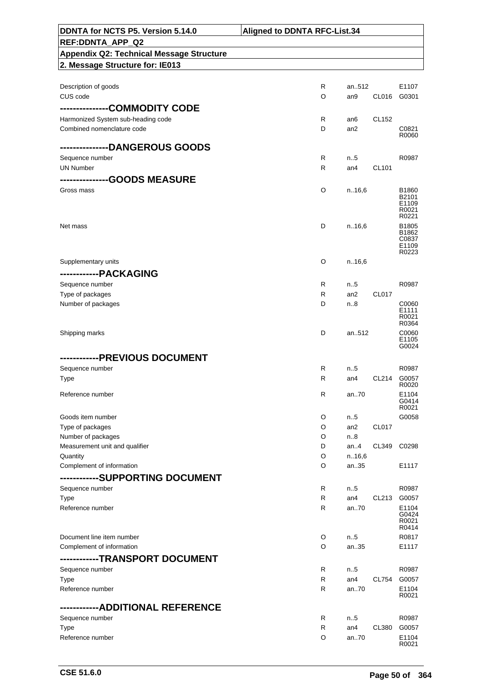| DDNTA for NCTS P5. Version 5.14.0               | <b>Aligned to DDNTA RFC-List.34</b> |              |                |
|-------------------------------------------------|-------------------------------------|--------------|----------------|
| REF:DDNTA_APP_Q2                                |                                     |              |                |
| <b>Appendix Q2: Technical Message Structure</b> |                                     |              |                |
| 2. Message Structure for: IE013                 |                                     |              |                |
|                                                 |                                     |              |                |
| Description of goods                            | $\mathsf{R}$<br>an512               |              | E1107          |
| CUS code                                        | O<br>an9                            | CL016        | G0301          |
|                                                 |                                     |              |                |
| Harmonized System sub-heading code              | R<br>an6                            | CL152        |                |
| Combined nomenclature code                      | D<br>an2                            |              | C0821          |
|                                                 |                                     |              | R0060          |
|                                                 |                                     |              |                |
| Sequence number                                 | R<br>n.5                            |              | R0987          |
| <b>UN Number</b>                                | R<br>an4                            | CL101        |                |
|                                                 |                                     |              |                |
| Gross mass                                      | O<br>n.16,6                         |              | B1860<br>B2101 |
|                                                 |                                     |              | E1109          |
|                                                 |                                     |              | R0021<br>R0221 |
| Net mass                                        | D<br>n.16,6                         |              | B1805          |
|                                                 |                                     |              | B1862<br>C0837 |
|                                                 |                                     |              | E1109<br>R0223 |
| Supplementary units                             | O<br>n.16,6                         |              |                |
| ------------PACKAGING                           |                                     |              |                |
| Sequence number                                 | R<br>n.5                            |              | R0987          |
| Type of packages                                | R<br>an2                            | CL017        |                |
| Number of packages                              | D<br>n.8                            |              | C0060          |
|                                                 |                                     |              | E1111<br>R0021 |
|                                                 |                                     |              | R0364          |
| Shipping marks                                  | D<br>an512                          |              | C0060<br>E1105 |
|                                                 |                                     |              | G0024          |
| -----------PREVIOUS DOCUMENT                    |                                     |              |                |
| Sequence number                                 | R<br>n.5                            |              | R0987          |
| Type                                            | R<br>an4                            | CL214        | G0057<br>R0020 |
| Reference number                                | R<br>an70                           |              | E1104          |
|                                                 |                                     |              | G0414<br>R0021 |
| Goods item number                               | O<br>n.5                            |              | G0058          |
| Type of packages                                | O<br>an2                            | CL017        |                |
| Number of packages                              | O<br>n.8                            |              |                |
| Measurement unit and qualifier                  | D<br>an4                            | CL349        | C0298          |
| Quantity                                        | O<br>n.16,6                         |              |                |
| Complement of information                       | O<br>an35                           |              | E1117          |
| -----------SUPPORTING DOCUMENT                  |                                     |              |                |
| Sequence number                                 | R<br>n.5                            |              | R0987          |
| <b>Type</b>                                     | R<br>an4                            | CL213        | G0057          |
| Reference number                                | R<br>an70                           |              | E1104<br>G0424 |
|                                                 |                                     |              | R0021<br>R0414 |
| Document line item number                       | O<br>$n_{.}.5$                      |              | R0817          |
| Complement of information                       | O<br>an35                           |              | E1117          |
|                                                 |                                     |              |                |
| Sequence number                                 | R<br>n.5                            |              | R0987          |
| Type                                            | R<br>an <sub>4</sub>                | CL754        | G0057          |
| Reference number                                | R<br>an70                           |              | E1104<br>R0021 |
| -----------ADDITIONAL REFERENCE                 |                                     |              |                |
|                                                 | R                                   |              |                |
| Sequence number<br>Type                         | n.5<br>R<br>an4                     | <b>CL380</b> | R0987<br>G0057 |
| Reference number                                | O<br>an70                           |              | E1104          |
|                                                 |                                     |              | R0021          |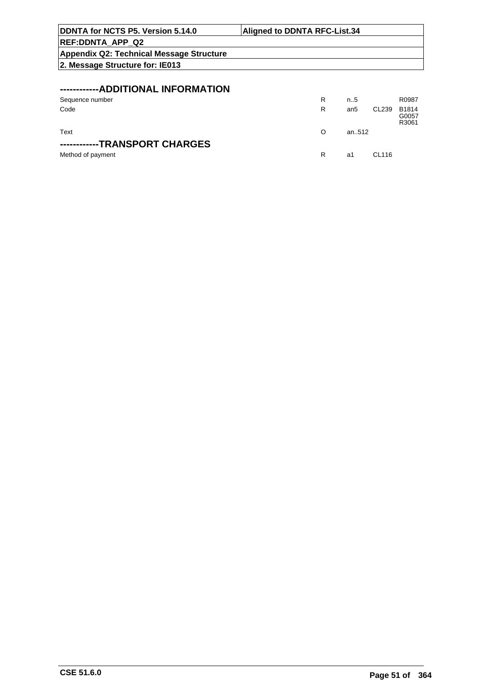| <b>DDNTA for NCTS P5. Version 5.14.0</b>        | <b>Aligned to DDNTA RFC-List.34</b> |   |          |       |                |
|-------------------------------------------------|-------------------------------------|---|----------|-------|----------------|
| REF:DDNTA APP Q2                                |                                     |   |          |       |                |
| <b>Appendix Q2: Technical Message Structure</b> |                                     |   |          |       |                |
| 2. Message Structure for: IE013                 |                                     |   |          |       |                |
|                                                 |                                     |   |          |       |                |
| -ADDITIONAL INFORMATION                         |                                     |   |          |       |                |
| Sequence number                                 |                                     | R | $n_{.}5$ |       | R0987          |
| Code                                            |                                     | R | an5      | CL239 | B1814<br>G0057 |

| vuut              |   | anv   | ◡∟∠◡◡ | <b>PIOIT</b><br>G0057<br>R3061 |
|-------------------|---|-------|-------|--------------------------------|
| Text              |   | an512 |       |                                |
|                   |   |       |       |                                |
| Method of payment | R | a1    | CL116 |                                |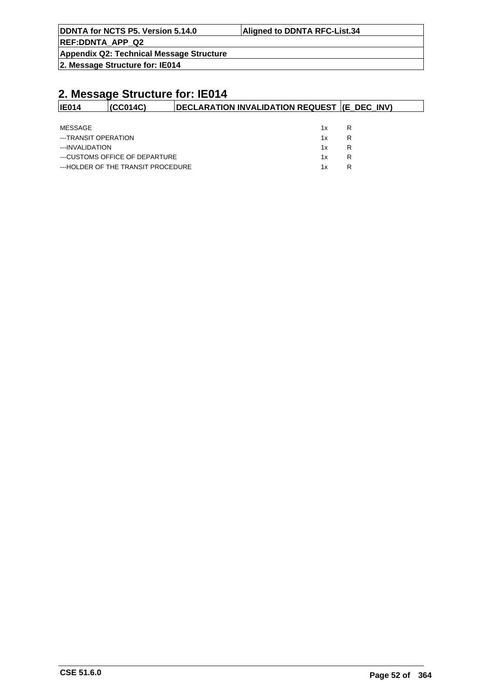|  |  | DDNTA for NCTS P5. Version 5.14.0 |  |
|--|--|-----------------------------------|--|
|  |  |                                   |  |

#### **REF:DDNTA\_APP\_Q2**

**Appendix Q2: Technical Message Structure**

**2. Message Structure for: IE014**

# **2. Message Structure for: IE014**

| <b>IE014</b>         | (CCO <sub>14C</sub> )              | DECLARATION INVALIDATION REQUEST (E DEC INV) |    |   |  |
|----------------------|------------------------------------|----------------------------------------------|----|---|--|
|                      |                                    |                                              |    |   |  |
| MESSAGE              |                                    |                                              | 1x | R |  |
| ---TRANSIT OPERATION |                                    |                                              | 1x | R |  |
| ---INVALIDATION      |                                    |                                              | 1x | R |  |
|                      | --CUSTOMS OFFICE OF DEPARTURE      |                                              | 1x |   |  |
|                      | ---HOLDER OF THE TRANSIT PROCEDURE |                                              | 1x |   |  |

**Aligned to DDNTA RFC-List.34**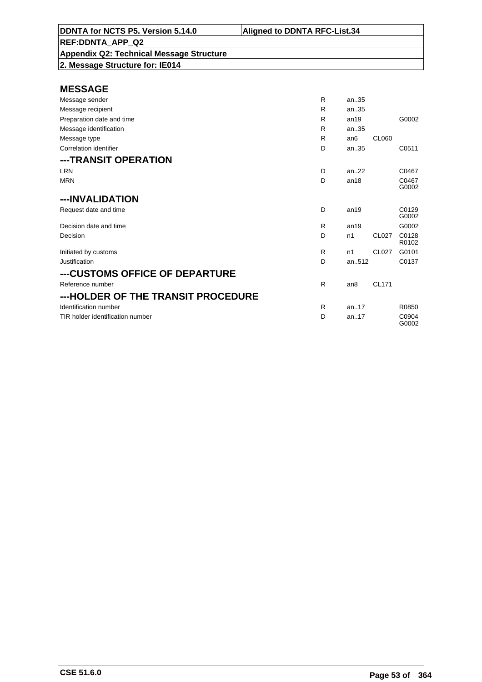## **MESSAGE**

| Message sender                     | R | an35            |              |                |
|------------------------------------|---|-----------------|--------------|----------------|
| Message recipient                  | R | an35            |              |                |
| Preparation date and time          | R | an19            |              | G0002          |
| Message identification             | R | an35            |              |                |
| Message type                       | R | an <sub>6</sub> | CL060        |                |
| Correlation identifier             | D | an35            |              | C0511          |
| ---TRANSIT OPERATION               |   |                 |              |                |
| LRN                                | D | an.22           |              | C0467          |
| <b>MRN</b>                         | D | an18            |              | C0467<br>G0002 |
| ---INVALIDATION                    |   |                 |              |                |
| Request date and time              | D | an19            |              | C0129<br>G0002 |
| Decision date and time             | R | an19            |              | G0002          |
| Decision                           | D | n1              | <b>CL027</b> | C0128<br>R0102 |
| Initiated by customs               | R | n1              | <b>CL027</b> | G0101          |
| Justification                      | D | an512           |              | C0137          |
| ---CUSTOMS OFFICE OF DEPARTURE     |   |                 |              |                |
| Reference number                   | R | an <sub>8</sub> | CL171        |                |
| ---HOLDER OF THE TRANSIT PROCEDURE |   |                 |              |                |
| Identification number              | R | an.17           |              | R0850          |
| TIR holder identification number   | D | an17            |              | C0904<br>G0002 |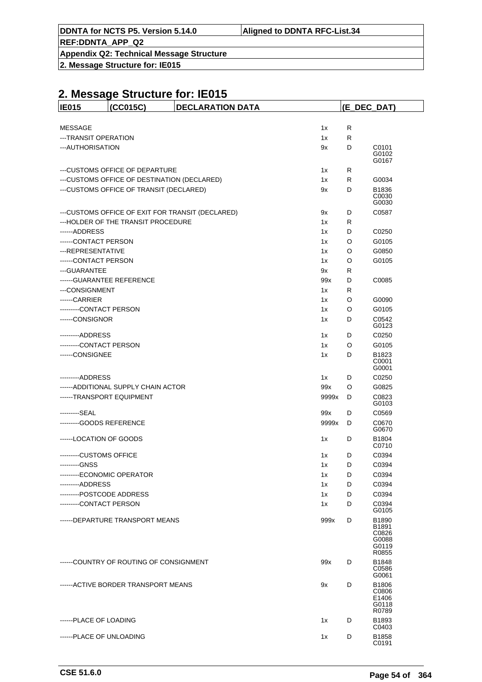**REF:DDNTA\_APP\_Q2**

**Appendix Q2: Technical Message Structure**

**2. Message Structure for: IE015**

# **2. Message Structure for: IE015**

| <b>IE015</b>                                  | (CC015C)                                         | <b>DECLARATION DATA</b> |          | (E_DEC_DAT)  |                                           |
|-----------------------------------------------|--------------------------------------------------|-------------------------|----------|--------------|-------------------------------------------|
|                                               |                                                  |                         |          |              |                                           |
| <b>MESSAGE</b>                                |                                                  |                         | 1x       | R            |                                           |
| --- TRANSIT OPERATION                         |                                                  |                         | 1x       | R            |                                           |
| --- AUTHORISATION                             |                                                  |                         | 9x       | D            | C0101<br>G0102<br>G0167                   |
|                                               | ---CUSTOMS OFFICE OF DEPARTURE                   |                         | 1x       | R            |                                           |
|                                               | ---CUSTOMS OFFICE OF DESTINATION (DECLARED)      |                         | 1x       | $\mathsf{R}$ | G0034                                     |
|                                               | ---CUSTOMS OFFICE OF TRANSIT (DECLARED)          |                         | 9x       | D            | B1836<br>C0030<br>G0030                   |
|                                               | ---CUSTOMS OFFICE OF EXIT FOR TRANSIT (DECLARED) |                         | 9x       | D            | C0587                                     |
|                                               | --- HOLDER OF THE TRANSIT PROCEDURE              |                         | 1x       | R            |                                           |
| ------ADDRESS                                 |                                                  |                         | 1x       | D            | C0250                                     |
| ------CONTACT PERSON                          |                                                  |                         | 1x       | O            | G0105                                     |
| --- REPRESENTATIVE                            |                                                  |                         | 1x       | O            | G0850                                     |
| ------CONTACT PERSON                          |                                                  |                         | 1x       | O            | G0105                                     |
| ---GUARANTEE                                  |                                                  |                         | 9x       | $\mathsf{R}$ |                                           |
| ------GUARANTEE REFERENCE                     |                                                  |                         | 99x      | D            | C0085                                     |
| ---CONSIGNMENT                                |                                                  |                         | 1x       | R            |                                           |
| ------CARRIER                                 |                                                  |                         | 1x       | O            | G0090                                     |
| ---------CONTACT PERSON                       |                                                  |                         | 1x       | O            | G0105                                     |
| ------CONSIGNOR                               |                                                  |                         | 1x       | D            | C0542<br>G0123                            |
| ---------ADDRESS                              |                                                  |                         | 1x       | D            | C0250                                     |
| --------CONTACT PERSON                        |                                                  |                         | 1x       | O            | G0105                                     |
| ------CONSIGNEE                               |                                                  |                         | 1x       | D            | B1823<br>C0001<br>G0001                   |
| ---------ADDRESS                              |                                                  |                         | 1x       | D            | C0250                                     |
|                                               | ------ ADDITIONAL SUPPLY CHAIN ACTOR             |                         | 99x      | O            | G0825                                     |
| ------TRANSPORT EQUIPMENT                     |                                                  |                         | 9999x    | D            | C0823<br>G0103                            |
| ---------SEAL                                 |                                                  |                         | 99x      | D            | C0569                                     |
| --------GOODS REFERENCE                       |                                                  |                         | 9999x    | D            | C0670<br>G0670                            |
| ------LOCATION OF GOODS                       |                                                  |                         | 1x       | D            | B1804<br>C0710                            |
| --------CUSTOMS OFFICE                        |                                                  |                         | 1x       | D            | C0394                                     |
| ------GNSS                                    |                                                  |                         | 1x       | D            | C0394                                     |
| ---------ECONOMIC OPERATOR                    |                                                  |                         | 1x       | D            | C0394                                     |
| ---------ADDRESS<br>---------POSTCODE ADDRESS |                                                  |                         | 1x<br>1x | D<br>D       | C0394<br>C0394                            |
| --------CONTACT PERSON                        |                                                  |                         | 1x       | D            | C0394                                     |
|                                               | ------DEPARTURE TRANSPORT MEANS                  |                         | 999x     | D            | G0105<br>B1890                            |
|                                               |                                                  |                         |          |              | B1891<br>C0826<br>G0088<br>G0119<br>R0855 |
|                                               | ------COUNTRY OF ROUTING OF CONSIGNMENT          |                         | 99x      | D            | B1848<br>C0586<br>G0061                   |
|                                               | ------ ACTIVE BORDER TRANSPORT MEANS             |                         | 9x       | D            | B1806<br>C0806<br>E1406<br>G0118<br>R0789 |
| ------ PLACE OF LOADING                       |                                                  |                         | 1x       | D            | B1893<br>C0403                            |
| ------PLACE OF UNLOADING                      |                                                  |                         | 1x       | D            | B1858<br>C0191                            |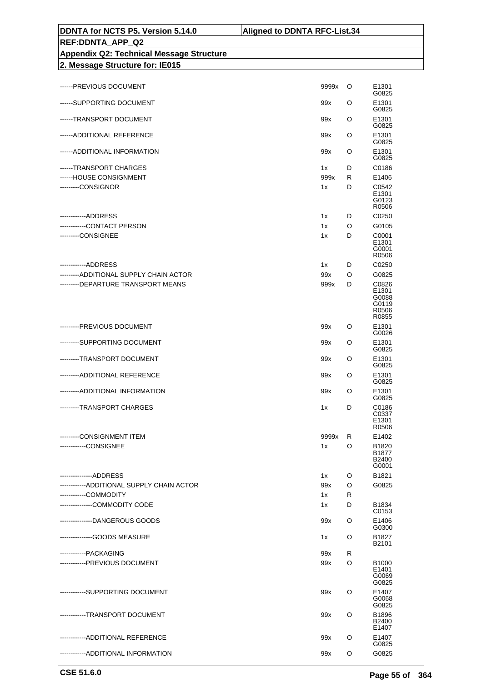| <b>DDNTA for NCTS P5. Version 5.14.0</b> |  |  |  |
|------------------------------------------|--|--|--|
|                                          |  |  |  |

| ------PREVIOUS DOCUMENT                   | 9999x | O | E1301<br>G0825                                     |
|-------------------------------------------|-------|---|----------------------------------------------------|
| ------SUPPORTING DOCUMENT                 | 99x   | O | E1301<br>G0825                                     |
| ------TRANSPORT DOCUMENT                  | 99x   | O | E1301<br>G0825                                     |
| ------ADDITIONAL REFERENCE                | 99x   | O | E1301<br>G0825                                     |
| ------ADDITIONAL INFORMATION              | 99x   | O | E1301<br>G0825                                     |
| ------TRANSPORT CHARGES                   | 1x    | D | C0186                                              |
| ------HOUSE CONSIGNMENT                   | 999x  | R | E1406                                              |
| --------CONSIGNOR                         | 1x    | D | C0542<br>E1301<br>G0123<br>R0506                   |
| ------------ADDRESS                       | 1x    | D | C0250                                              |
| ------------CONTACT PERSON                | 1x    | O | G0105                                              |
| ---------CONSIGNEE                        | 1x    | D | C0001<br>E1301<br>G0001<br>R0506                   |
| ------------ADDRESS                       | 1x    | D | C0250                                              |
| ---------ADDITIONAL SUPPLY CHAIN ACTOR    | 99x   | O | G0825                                              |
| ---------DEPARTURE TRANSPORT MEANS        | 999x  | D | C0826<br>E1301<br>G0088<br>G0119<br>R0506<br>R0855 |
| ---------PREVIOUS DOCUMENT                | 99x   | O | E1301<br>G0026                                     |
| --------SUPPORTING DOCUMENT               | 99x   | O | E1301<br>G0825                                     |
| ---------TRANSPORT DOCUMENT               | 99x   | O | E1301<br>G0825                                     |
| ---------ADDITIONAL REFERENCE             | 99x   | O | E1301<br>G0825                                     |
| ---------ADDITIONAL INFORMATION           | 99x   | O | E1301<br>G0825                                     |
| --------TRANSPORT CHARGES                 | 1x    | D | C0186<br>C0337<br>E1301<br>R0506                   |
| --------CONSIGNMENT ITEM                  | 9999x | R | E1402                                              |
| ------------CONSIGNEE                     | 1x    | O | B1820<br>B1877<br>B2400<br>G0001                   |
| ---------------ADDRESS                    | 1x    | O | B1821                                              |
| ------------ADDITIONAL SUPPLY CHAIN ACTOR | 99x   | O | G0825                                              |
| ------------COMMODITY                     | 1x    | R |                                                    |
| ---------------COMMODITY CODE             | 1x    | D | B1834<br>C0153                                     |
| ---------------DANGEROUS GOODS            | 99x   | O | E1406<br>G0300                                     |
| ---------------GOODS MEASURE              | 1x    | O | B1827<br>B2101                                     |
| ------------PACKAGING                     | 99x   | R |                                                    |
| ------------PREVIOUS DOCUMENT             | 99x   | O | B1000<br>E1401<br>G0069<br>G0825                   |
| ------------SUPPORTING DOCUMENT           | 99x   | O | E1407<br>G0068<br>G0825                            |
| ------------TRANSPORT DOCUMENT            | 99x   | O | B1896<br>B2400<br>E1407                            |
| ------------ADDITIONAL REFERENCE          | 99x   | O | E1407<br>G0825                                     |
| ------------ADDITIONAL INFORMATION        | 99x   | O | G0825                                              |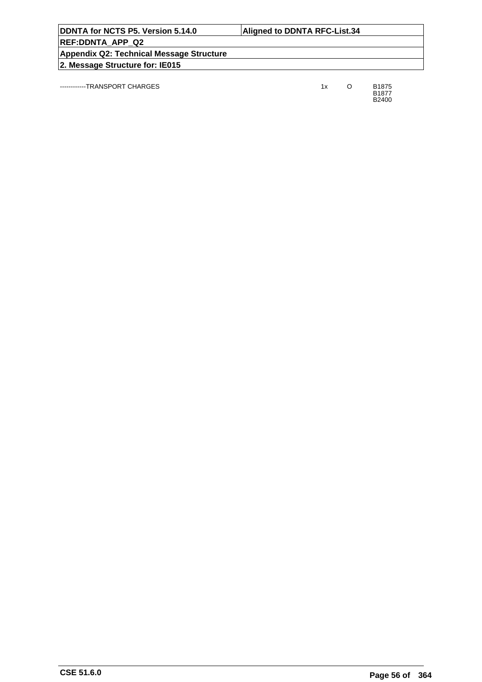| DDNTA for NCTS P5. Version 5.14.0        | Aligned to DDNTA RFC-List.34 |  |
|------------------------------------------|------------------------------|--|
| REF:DDNTA APP Q2                         |                              |  |
| Appendix Q2: Technical Message Structure |                              |  |
| 2. Message Structure for: IE015          |                              |  |
|                                          |                              |  |
|                                          |                              |  |

------------TRANSPORT CHARGES 1x 0

B1877 B2400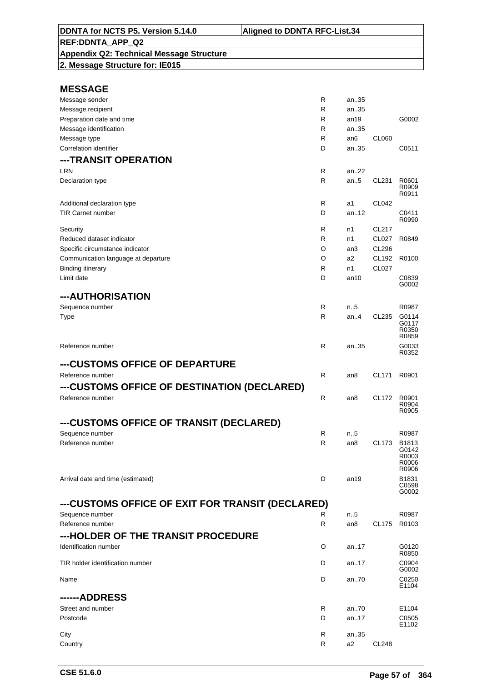| 2. Message Structure for: IE015                  |              |                 |              |                         |
|--------------------------------------------------|--------------|-----------------|--------------|-------------------------|
|                                                  |              |                 |              |                         |
| <b>MESSAGE</b>                                   |              |                 |              |                         |
| Message sender                                   | R            | an35            |              |                         |
| Message recipient                                | R            | an35            |              |                         |
| Preparation date and time                        | R            | an19            |              | G0002                   |
| Message identification                           | R            | an35            |              |                         |
| Message type                                     | R            | an <sub>6</sub> | CL060        |                         |
| Correlation identifier                           | D            | an35            |              | C0511                   |
| ---TRANSIT OPERATION                             |              |                 |              |                         |
| LRN                                              | R            | an.22           |              |                         |
| Declaration type                                 | R            | an.5            | CL231        | R0601                   |
|                                                  |              |                 |              | R0909<br>R0911          |
| Additional declaration type                      | R            | a1              | CL042        |                         |
| <b>TIR Carnet number</b>                         | D            | an12            |              | C0411                   |
|                                                  |              |                 |              | R0990                   |
| Security                                         | R            | n1              | CL217        |                         |
| Reduced dataset indicator                        | R            | n1              | CL027        | R0849                   |
| Specific circumstance indicator                  | O            | an3             | CL296        |                         |
| Communication language at departure              | O            | a2              | CL192        | R0100                   |
| <b>Binding itinerary</b>                         | R<br>D       | n1              | <b>CL027</b> |                         |
| Limit date                                       |              | an10            |              | C0839<br>G0002          |
| --- AUTHORISATION                                |              |                 |              |                         |
| Sequence number                                  | R            | n.5             |              | R0987                   |
| <b>Type</b>                                      | R            | an. $4$         | CL235        | G0114                   |
|                                                  |              |                 |              | G0117<br>R0350<br>R0859 |
| Reference number                                 | R            | an35            |              | G0033                   |
|                                                  |              |                 |              | R0352                   |
| ---CUSTOMS OFFICE OF DEPARTURE                   |              |                 |              |                         |
| Reference number                                 | R            | an8             | CL171        | R0901                   |
| ---CUSTOMS OFFICE OF DESTINATION (DECLARED)      |              |                 |              |                         |
| Reference number                                 | R            | an8             | <b>CL172</b> | R0901                   |
|                                                  |              |                 |              | R0904<br>R0905          |
|                                                  |              |                 |              |                         |
| ---CUSTOMS OFFICE OF TRANSIT (DECLARED)          |              |                 |              |                         |
| Sequence number                                  | R            | $n_{.}.5$       |              | R0987                   |
| Reference number                                 | $\mathsf{R}$ | an <sub>8</sub> | CL173        | B1813<br>G0142          |
|                                                  |              |                 |              | R0003<br>R0006          |
|                                                  |              |                 |              | R0906                   |
| Arrival date and time (estimated)                | D            | an19            |              | B1831                   |
|                                                  |              |                 |              | C0598<br>G0002          |
| ---CUSTOMS OFFICE OF EXIT FOR TRANSIT (DECLARED) |              |                 |              |                         |
| Sequence number                                  | R            | n.5             |              | R0987                   |
| Reference number                                 | R            | an <sub>8</sub> | CL175        | R0103                   |
| ---HOLDER OF THE TRANSIT PROCEDURE               |              |                 |              |                         |
|                                                  |              |                 |              |                         |
| Identification number                            | O            | an17            |              | G0120<br>R0850          |
| TIR holder identification number                 | D            | an17            |              | C0904                   |
| Name                                             | D            | an70            |              | G0002<br>C0250          |
|                                                  |              |                 |              | E1104                   |
| ------ADDRESS                                    |              |                 |              |                         |
| Street and number                                | R            | an70            |              | E1104                   |
| Postcode                                         | D            | an17            |              | C0505<br>E1102          |
| City                                             | R            | an35            |              |                         |
| Country                                          | R            | a2              | <b>CL248</b> |                         |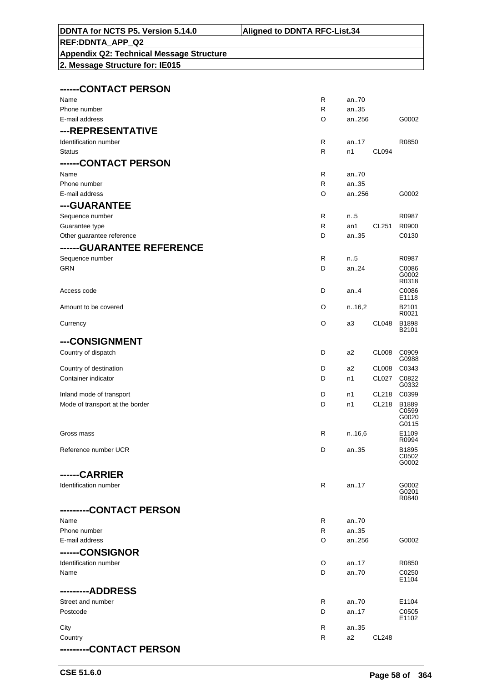**---------CONTACT PERSON**

**------CONSIGNOR**

| DDNTA for NCTS P5. Version 5.14.0                                                  | <b>Aligned to DDNTA RFC-List.34</b> |                            |                         |
|------------------------------------------------------------------------------------|-------------------------------------|----------------------------|-------------------------|
| REF:DDNTA_APP_Q2                                                                   |                                     |                            |                         |
| <b>Appendix Q2: Technical Message Structure</b><br>2. Message Structure for: IE015 |                                     |                            |                         |
|                                                                                    |                                     |                            |                         |
| ------CONTACT PERSON                                                               |                                     |                            |                         |
| Name                                                                               | R                                   | an.70                      |                         |
| Phone number                                                                       | R.                                  | an.35                      |                         |
| E-mail address                                                                     | O                                   | an256                      | G0002                   |
| ---REPRESENTATIVE                                                                  |                                     |                            |                         |
| Identification number                                                              | R.                                  | an.17                      | R0850                   |
| <b>Status</b>                                                                      | R.                                  | n1<br><b>CL094</b>         |                         |
| ------CONTACT PERSON                                                               |                                     |                            |                         |
| Name                                                                               | R.                                  | an.70                      |                         |
| Phone number<br>E-mail address                                                     | R<br>O                              | an35<br>an256              | G0002                   |
| ---GUARANTEE                                                                       |                                     |                            |                         |
| Sequence number                                                                    | R.                                  | $n_{.}5$                   | R0987                   |
| Guarantee type                                                                     | R.                                  | CL251<br>an1               | R0900                   |
| Other guarantee reference                                                          | D                                   | an35                       | C0130                   |
| ------GUARANTEE REFERENCE                                                          |                                     |                            |                         |
| Sequence number                                                                    | R                                   | n.5                        | R0987                   |
| <b>GRN</b>                                                                         | D                                   | an.24                      | C0086<br>G0002          |
| Access code                                                                        | D                                   | an.4                       | R0318<br>C0086<br>E1118 |
| Amount to be covered                                                               | O                                   | n.16,2                     | B2101<br>R0021          |
| Currency                                                                           | O                                   | a3<br><b>CL048</b>         | B1898<br>B2101          |
| ---CONSIGNMENT                                                                     |                                     |                            |                         |
| Country of dispatch                                                                | D                                   | CL008<br>a2                | C0909<br>G0988          |
| Country of destination                                                             | D                                   | a2<br><b>CL008</b>         | C0343                   |
| Container indicator                                                                | D                                   | <b>CL027</b><br>n1         | C0822                   |
|                                                                                    | D                                   |                            | G0332                   |
| Inland mode of transport<br>Mode of transport at the border                        | D                                   | CL218<br>n1<br>CL218<br>n1 | C0399<br>B1889          |
|                                                                                    |                                     |                            | C0599<br>G0020<br>G0115 |
| Gross mass                                                                         | R                                   | n.16,6                     | E1109<br>R0994          |
| Reference number UCR                                                               | D                                   | an35                       | B1895                   |
|                                                                                    |                                     |                            | C0502<br>G0002          |
| ------CARRIER                                                                      |                                     |                            |                         |
| Identification number                                                              | R                                   | an17                       | G0002                   |
|                                                                                    |                                     |                            | G0201                   |

|                        |         |       | .              |
|------------------------|---------|-------|----------------|
| <b>-CONTACT PERSON</b> |         |       |                |
| Name                   | R       | an70  |                |
| Phone number           | R       | an35  |                |
| E-mail address         | O       | an256 | G0002          |
| -CONSIGNOR             |         |       |                |
| Identification number  | $\circ$ | an17  | R0850          |
| Name                   | D       | an70  | C0250<br>E1104 |
| <b>-ADDRESS</b>        |         |       |                |
| Street and number      | R       | an70  | E1104          |
| Postcode               | D       | an17  | C0505<br>E1102 |
| City                   | R       | an35  |                |

Country **Countries Countries and CL248** CL248

R0840

C0250<br>E1104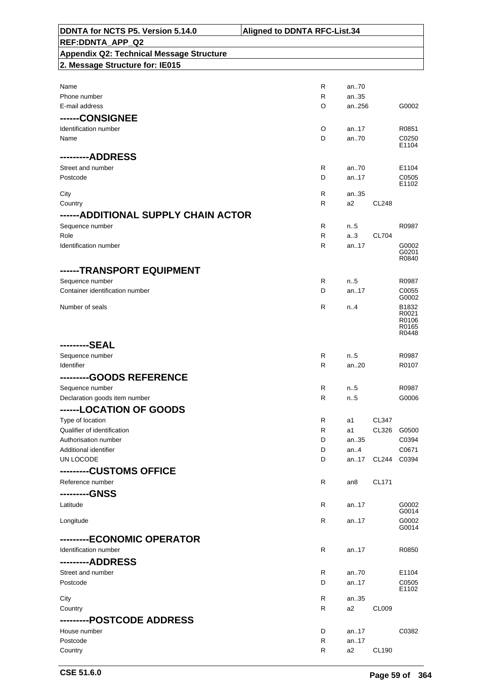| DDNTA for NCTS P5. Version 5.14.0                  | <b>Aligned to DDNTA RFC-List.34</b> |             |              |                |
|----------------------------------------------------|-------------------------------------|-------------|--------------|----------------|
| <b>REF:DDNTA APP Q2</b>                            |                                     |             |              |                |
| <b>Appendix Q2: Technical Message Structure</b>    |                                     |             |              |                |
| 2. Message Structure for: IE015                    |                                     |             |              |                |
|                                                    |                                     |             |              |                |
| Name                                               | R                                   | an70        |              |                |
| Phone number                                       | R                                   | an35        |              |                |
| E-mail address                                     | O                                   | an256       |              | G0002          |
| ------CONSIGNEE                                    |                                     |             |              |                |
| Identification number                              | O                                   | an17        |              | R0851          |
| Name                                               | D                                   | an70        |              | C0250          |
|                                                    |                                     |             |              | E1104          |
| ---------ADDRESS                                   |                                     |             |              |                |
| Street and number                                  | $\mathsf{R}$                        | an70        |              | E1104          |
| Postcode                                           | D                                   | an17        |              | C0505<br>E1102 |
| City                                               | R                                   | an35        |              |                |
| Country                                            | R                                   | a2          | <b>CL248</b> |                |
| ------ADDITIONAL SUPPLY CHAIN ACTOR                |                                     |             |              |                |
| Sequence number                                    | R                                   | n.5         |              | R0987          |
| Role                                               | R                                   | a.3         | CL704        |                |
| <b>Identification number</b>                       | R                                   | an17        |              | G0002          |
|                                                    |                                     |             |              | G0201<br>R0840 |
| ------TRANSPORT EQUIPMENT                          |                                     |             |              |                |
|                                                    | R                                   | n.5         |              | R0987          |
| Sequence number<br>Container identification number | D                                   | an17        |              | C0055          |
|                                                    |                                     |             |              | G0002          |
| Number of seals                                    | $\mathsf{R}$                        | n.4         |              | B1832          |
|                                                    |                                     |             |              | R0021<br>R0106 |
|                                                    |                                     |             |              | R0165<br>R0448 |
| ---------SEAL                                      |                                     |             |              |                |
|                                                    |                                     |             |              |                |
| Sequence number<br>Identifier                      | R<br>$\mathsf{R}$                   | n.5<br>an20 |              | R0987<br>R0107 |
|                                                    |                                     |             |              |                |
|                                                    |                                     |             |              |                |
| Sequence number<br>Declaration goods item number   | R<br>R                              | n.5<br>n5   |              | R0987<br>G0006 |
|                                                    |                                     |             |              |                |
| ------LOCATION OF GOODS                            |                                     |             |              |                |
| Type of location<br>Qualifier of identification    | R                                   | a1          | CL347        |                |
| Authorisation number                               | R<br>D                              | a1<br>an35  | CL326        | G0500<br>C0394 |
| Additional identifier                              | D                                   | an4         |              | C0671          |
| UN LOCODE                                          | D                                   | an17        | CL244        | C0394          |
| ---------CUSTOMS OFFICE                            |                                     |             |              |                |
| Reference number                                   | $\mathsf{R}$                        | an8         | CL171        |                |
|                                                    |                                     |             |              |                |
| ---------GNSS                                      |                                     |             |              |                |
| Latitude                                           | R                                   | an17        |              | G0002<br>G0014 |
| Longitude                                          | $\mathsf R$                         | an17        |              | G0002          |
|                                                    |                                     |             |              | G0014          |
| --------ECONOMIC OPERATOR                          |                                     |             |              |                |
| Identification number                              | R                                   | an17        |              | R0850          |
| ---------ADDRESS                                   |                                     |             |              |                |
| Street and number                                  | R                                   | an70        |              | E1104          |
| Postcode                                           | D                                   | an17        |              | C0505          |
|                                                    |                                     |             |              | E1102          |
| City                                               | $\mathsf R$<br>$\mathsf{R}$         | an35        | <b>CL009</b> |                |
| Country                                            |                                     | a2          |              |                |
| ---------POSTCODE ADDRESS                          |                                     |             |              |                |
| House number                                       | D                                   | an17        |              | C0382          |
| Postcode                                           | R                                   | an17        |              |                |
| Country                                            | R                                   | a2          | CL190        |                |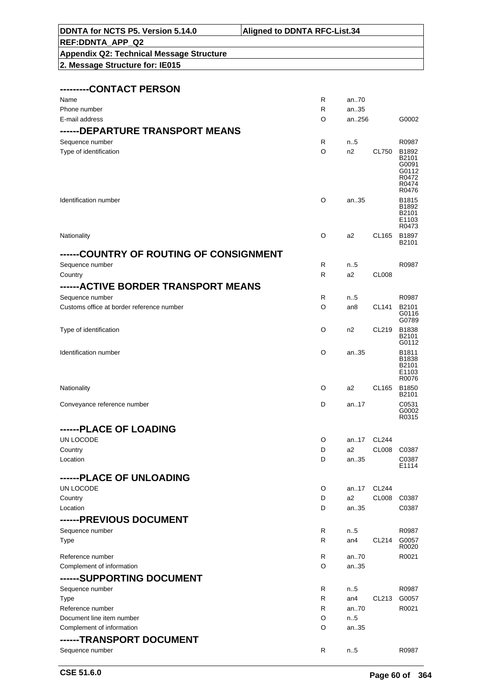| $n_{\cdot}5$ | R0987          |  |  |
|--------------|----------------|--|--|
|              | Page 60 of 364 |  |  |
|              |                |  |  |

| Name                                      | R            | an70          |              |                                                             |
|-------------------------------------------|--------------|---------------|--------------|-------------------------------------------------------------|
| Phone number                              | R            | an35          |              |                                                             |
| E-mail address                            | O            | an256         |              | G0002                                                       |
| ------DEPARTURE TRANSPORT MEANS           |              |               |              |                                                             |
| Sequence number                           | R            | n5            |              | R0987                                                       |
| Type of identification                    | O            | n2            | CL750        | B1892<br>B2101<br>G0091<br>G0112<br>R0472<br>R0474<br>R0476 |
| Identification number                     | O            | an35          |              | B1815<br>B1892<br>B2101<br>E1103<br>R0473                   |
| Nationality                               | O            | a2            | CL165        | B1897<br>B2101                                              |
| ------COUNTRY OF ROUTING OF CONSIGNMENT   |              |               |              |                                                             |
| Sequence number                           | R            | $n_{.}.5$     |              | R0987                                                       |
| Country                                   | R            | a2            | <b>CL008</b> |                                                             |
| ------ACTIVE BORDER TRANSPORT MEANS       |              |               |              |                                                             |
| Sequence number                           | R            | $n_{.}.5$     |              | R0987                                                       |
| Customs office at border reference number | O            | an8           | CL141        | B2101<br>G0116<br>G0789                                     |
| Type of identification                    | O            | n2            | CL219        | B1838<br>B2101<br>G0112                                     |
| Identification number                     | O            | an35          |              | B1811<br>B1838<br>B2101<br>E1103<br>R0076                   |
| Nationality                               | O            | a2            | CL165        | B <sub>1850</sub><br>B2101                                  |
| Conveyance reference number               | D            | an17          |              | C0531<br>G0002<br>R0315                                     |
| ------PLACE OF LOADING                    |              |               |              |                                                             |
| UN LOCODE                                 | O            | an17          | CL244        |                                                             |
| Country                                   | D            | a2            | <b>CL008</b> | C0387                                                       |
| Location                                  | D            | an35          |              | C0387<br>E1114                                              |
| ------PLACE OF UNLOADING                  |              |               |              |                                                             |
| UN LOCODE                                 | O            | an17          | CL244        |                                                             |
| Country                                   | D            | a2            | <b>CL008</b> | C0387                                                       |
| Location                                  | D            | an35          |              | C0387                                                       |
| ------PREVIOUS DOCUMENT                   |              |               |              |                                                             |
| Sequence number                           | $\mathsf{R}$ | $n_{\cdot}.5$ |              | R0987                                                       |
| <b>Type</b>                               | $\mathsf{R}$ | an4           | CL214        | G0057<br>R0020                                              |
| Reference number                          | R            | an70          |              | R0021                                                       |
| Complement of information                 | O            | an35          |              |                                                             |
| ------SUPPORTING DOCUMENT                 |              |               |              |                                                             |
| Sequence number                           | R            | $n_{\cdot}.5$ |              | R0987                                                       |
| <b>Type</b>                               | $\mathsf{R}$ | an4           | CL213        | G0057                                                       |
| Reference number                          | $\mathsf{R}$ | an70          |              | R0021                                                       |
| Document line item number                 | O            | n.5           |              |                                                             |
| Complement of information                 | O            | an35          |              |                                                             |
| ------TRANSPORT DOCUMENT                  |              |               |              |                                                             |
| Sequence number                           | R            | n.5           |              | R0987                                                       |

### **2. Message Structure for: IE015**

**---------CONTACT PERSON**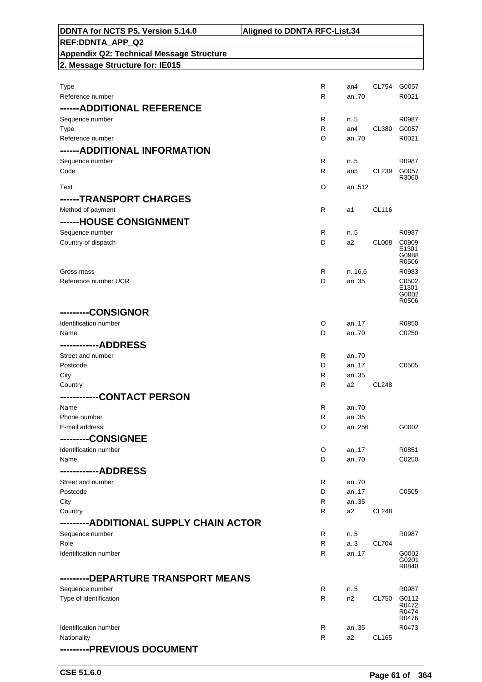| DDNTA for NCTS P5. Version 5.14.0               | <b>Aligned to DDNTA RFC-List.34</b> |                                          |
|-------------------------------------------------|-------------------------------------|------------------------------------------|
| <b>REF:DDNTA APP Q2</b>                         |                                     |                                          |
| <b>Appendix Q2: Technical Message Structure</b> |                                     |                                          |
| 2. Message Structure for: IE015                 |                                     |                                          |
|                                                 |                                     |                                          |
| <b>Type</b>                                     | R                                   | CL754<br>an4<br>G0057                    |
| Reference number                                | R                                   | R0021<br>an70                            |
| ------ADDITIONAL REFERENCE                      |                                     |                                          |
| Sequence number                                 | R                                   | R0987<br>n.5                             |
| <b>Type</b>                                     | R                                   | G0057<br>an <sub>4</sub><br><b>CL380</b> |
| Reference number                                | O                                   | R0021<br>an70                            |
| ------ADDITIONAL INFORMATION                    |                                     |                                          |
| Sequence number                                 | R                                   | R0987<br>n.5                             |
| Code                                            | R                                   | CL239<br>G0057<br>an5<br>R3060           |
| Text                                            | O                                   | an512                                    |
| ------TRANSPORT CHARGES                         |                                     |                                          |
| Method of payment                               | R                                   | CL116<br>a1                              |
| ------HOUSE CONSIGNMENT                         |                                     |                                          |
| Sequence number                                 | R                                   | n.5<br>R0987                             |
| Country of dispatch                             | D                                   | a2<br><b>CL008</b><br>C0909              |
|                                                 |                                     | E1301<br>G0988                           |
|                                                 |                                     | R0506                                    |
| Gross mass                                      | R                                   | n.16,6<br>R0983                          |
| Reference number UCR                            | D                                   | an35<br>C0502<br>E1301                   |
|                                                 |                                     | G0002                                    |
|                                                 |                                     | R0506                                    |
| <b>-CONSIGNOR</b>                               |                                     |                                          |
| Identification number                           | O                                   | an.17<br>R0850                           |
| Name                                            | D                                   | an.70<br>C0250                           |
| ------------ADDRESS                             |                                     |                                          |
| Street and number                               | R                                   | an.70                                    |
| Postcode                                        | D<br>R                              | C0505<br>an.17<br>an35                   |
| City<br>Country                                 | R                                   | a2<br><b>CL248</b>                       |
|                                                 |                                     |                                          |
| Name                                            | R                                   | an70                                     |
| Phone number                                    | R                                   | an35                                     |
| E-mail address                                  | O                                   | an256<br>G0002                           |
| ---------CONSIGNEE                              |                                     |                                          |
| Identification number                           | O                                   | R0851<br>an17                            |
| Name                                            | D                                   | an70<br>C0250                            |
| ------------ADDRESS                             |                                     |                                          |
| Street and number                               | R                                   | an.70                                    |
| Postcode                                        | D                                   | an17<br>C0505                            |
| City                                            | R                                   | an35                                     |
| Country                                         | R                                   | a2<br><b>CL248</b>                       |
| --------ADDITIONAL SUPPLY CHAIN ACTOR           |                                     |                                          |
| Sequence number                                 | R                                   | n.5<br>R0987                             |
| Role                                            | R                                   | CL704<br>a3                              |
| <b>Identification number</b>                    | R                                   | an17<br>G0002<br>G0201                   |
|                                                 |                                     | R0840                                    |
| ---------DEPARTURE TRANSPORT MEANS              |                                     |                                          |
| Sequence number                                 | R                                   | R0987<br>n.5                             |
| Type of identification                          | R                                   | n2<br>CL750<br>G0112<br>R0472            |
|                                                 |                                     | R0474<br>R0476                           |
| <b>Identification number</b>                    | R                                   | an35<br>R0473                            |
| Nationality                                     | R.                                  | CL165<br>a2                              |
|                                                 |                                     |                                          |

#### **---------PREVIOUS DOCUMENT**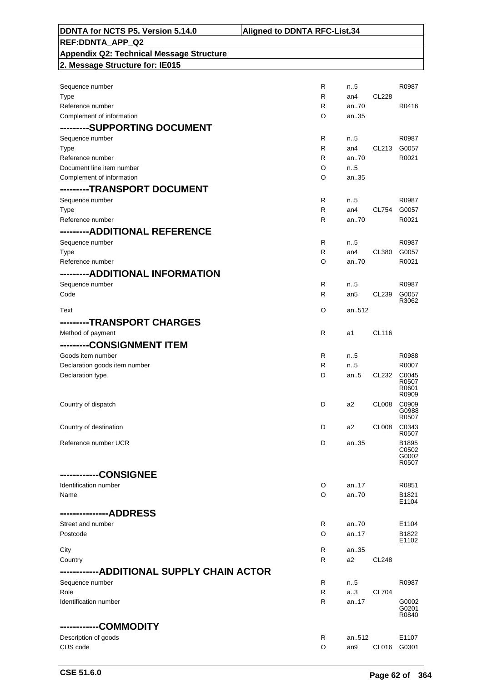| DDNTA for NCTS P5. Version 5.14.0               | <b>Aligned to DDNTA RFC-List.34</b> |              |                |
|-------------------------------------------------|-------------------------------------|--------------|----------------|
| REF:DDNTA_APP_Q2                                |                                     |              |                |
| <b>Appendix Q2: Technical Message Structure</b> |                                     |              |                |
| 2. Message Structure for: IE015                 |                                     |              |                |
|                                                 |                                     |              |                |
| Sequence number                                 | R<br>n.5                            |              | R0987          |
| <b>Type</b>                                     | R<br>an4                            | CL228        |                |
| Reference number                                | an70<br>R                           |              | R0416          |
| Complement of information                       | O<br>an35                           |              |                |
| --------SUPPORTING DOCUMENT                     |                                     |              |                |
| Sequence number                                 | $\mathsf{R}$<br>n.5                 |              | R0987          |
| <b>Type</b>                                     | $\mathsf{R}$<br>an4                 | CL213        | G0057          |
| Reference number                                | $\mathsf{R}$<br>an70                |              | R0021          |
| Document line item number                       | O<br>n.5                            |              |                |
| Complement of information                       | O<br>an35                           |              |                |
| ---------TRANSPORT DOCUMENT                     |                                     |              |                |
| Sequence number                                 | $\mathsf{R}$<br>n.5                 |              | R0987          |
| Type                                            | $\mathsf{R}$<br>an4                 | CL754        | G0057          |
| Reference number                                | $\mathsf{R}$<br>an70                |              | R0021          |
| ---------ADDITIONAL REFERENCE                   |                                     |              |                |
| Sequence number                                 | R<br>n.5                            |              | R0987          |
| Type                                            | R<br>an4                            | CL380        | G0057          |
| Reference number                                | O<br>an70                           |              | R0021          |
| ---------ADDITIONAL INFORMATION                 |                                     |              |                |
| Sequence number                                 | $\mathsf{R}$<br>n.5                 |              | R0987          |
| Code                                            | $\mathsf{R}$<br>an5                 | CL239        | G0057          |
|                                                 |                                     |              | R3062          |
| Text                                            | O                                   | an512        |                |
| ---------TRANSPORT CHARGES                      |                                     |              |                |
| Method of payment                               | $\mathsf{R}$<br>a1                  | CL116        |                |
| ---------CONSIGNMENT ITEM                       |                                     |              |                |
| Goods item number                               | R<br>n.5                            |              | R0988          |
| Declaration goods item number                   | R<br>n.5                            |              | R0007          |
| Declaration type                                | D<br>an.5                           | CL232        | C0045          |
|                                                 |                                     |              | R0507<br>R0601 |
|                                                 |                                     |              | R0909          |
| Country of dispatch                             | D<br>a2                             | <b>CL008</b> | C0909          |
|                                                 |                                     |              | G0988<br>R0507 |
| Country of destination                          | D<br>a2                             | <b>CL008</b> | C0343          |
|                                                 |                                     |              | R0507          |
| Reference number UCR                            | D<br>an35                           |              | B1895<br>C0502 |
|                                                 |                                     |              | G0002          |
|                                                 |                                     |              | R0507          |
| ----------CONSIGNEE                             |                                     |              |                |
| Identification number                           | O<br>an17                           |              | R0851          |
| Name                                            | O<br>an70                           |              | B1821<br>E1104 |
| ---------------ADDRESS                          |                                     |              |                |
| Street and number                               | R<br>an70                           |              |                |
| Postcode                                        | O<br>an17                           |              | E1104<br>B1822 |
|                                                 |                                     |              | E1102          |
| City                                            | R<br>an35                           |              |                |
| Country                                         | R<br>a2                             | <b>CL248</b> |                |
| ------------ADDITIONAL SUPPLY CHAIN ACTOR       |                                     |              |                |
| Sequence number                                 | R<br>n.5                            |              | R0987          |
| Role                                            | R<br>a3                             | CL704        |                |
| Identification number                           | R<br>an17                           |              | G0002          |
|                                                 |                                     |              | G0201<br>R0840 |
| ---------COMMODITY                              |                                     |              |                |
| Description of goods                            | R                                   | an512        | E1107          |
| CUS code                                        | O<br>an9                            | CL016        | G0301          |
|                                                 |                                     |              |                |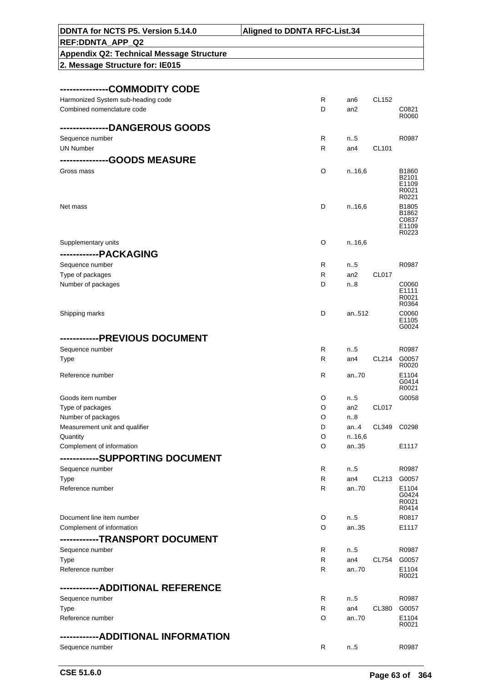| DDNTA for NCTS P5. Version 5.14.0               | <b>Aligned to DDNTA RFC-List.34</b> |       |                |
|-------------------------------------------------|-------------------------------------|-------|----------------|
| REF:DDNTA_APP_Q2                                |                                     |       |                |
| <b>Appendix Q2: Technical Message Structure</b> |                                     |       |                |
| 2. Message Structure for: IE015                 |                                     |       |                |
|                                                 |                                     |       |                |
|                                                 |                                     |       |                |
| --------COMMODITY CODE                          |                                     |       |                |
| Harmonized System sub-heading code              | R<br>an6                            | CL152 |                |
| Combined nomenclature code                      | D<br>an <sub>2</sub>                |       | C0821<br>R0060 |
|                                                 |                                     |       |                |
| Sequence number                                 | R<br>n.5                            |       | R0987          |
| <b>UN Number</b>                                | R<br>an4                            | CL101 |                |
|                                                 |                                     |       |                |
|                                                 |                                     |       |                |
| Gross mass                                      | O<br>n.16,6                         |       | B1860<br>B2101 |
|                                                 |                                     |       | E1109<br>R0021 |
|                                                 |                                     |       | R0221          |
| Net mass                                        | D<br>n.16,6                         |       | B1805          |
|                                                 |                                     |       | B1862<br>C0837 |
|                                                 |                                     |       | E1109          |
|                                                 |                                     |       | R0223          |
| Supplementary units                             | O<br>n.16,6                         |       |                |
| -----------PACKAGING                            |                                     |       |                |
| Sequence number                                 | R<br>n.5                            |       | R0987          |
| Type of packages                                | R<br>an2                            | CL017 |                |
| Number of packages                              | D<br>n.8                            |       | C0060<br>E1111 |
|                                                 |                                     |       | R0021          |
|                                                 |                                     |       | R0364          |
| Shipping marks                                  | D<br>an512                          |       | C0060<br>E1105 |
|                                                 |                                     |       | G0024          |
| ----------PREVIOUS DOCUMENT                     |                                     |       |                |
| Sequence number                                 | R<br>n.5                            |       | R0987          |
| Type                                            | R<br>an4                            | CL214 | G0057          |
|                                                 |                                     |       | R0020          |
| Reference number                                | R<br>an70                           |       | E1104<br>G0414 |
|                                                 |                                     |       | R0021          |
| Goods item number                               | O<br>n.5                            |       | G0058          |
| Type of packages                                | O<br>an2                            | CL017 |                |
| Number of packages                              | O<br>n.8                            |       |                |
| Measurement unit and qualifier                  | D<br>an.4                           | CL349 | C0298          |
| Quantity                                        | O<br>n.16,6<br>O<br>an35            |       | E1117          |
| Complement of information                       |                                     |       |                |
| -----------SUPPORTING DOCUMENT                  |                                     |       |                |
| Sequence number                                 | R<br>n.5                            |       | R0987          |
| <b>Type</b>                                     | $\mathsf{R}$<br>an <sub>4</sub>     | CL213 | G0057          |
| Reference number                                | $\mathsf{R}$<br>an.70               |       | E1104<br>G0424 |
|                                                 |                                     |       | R0021<br>R0414 |
| Document line item number                       | O<br>n.5                            |       | R0817          |
| Complement of information                       | O<br>an35                           |       | E1117          |
|                                                 |                                     |       |                |
|                                                 |                                     |       |                |
| Sequence number                                 | R<br>n.5<br>R                       | CL754 | R0987<br>G0057 |
| Type<br>Reference number                        | an4<br>R<br>an70                    |       | E1104          |
|                                                 |                                     |       | R0021          |
| ------------ADDITIONAL REFERENCE                |                                     |       |                |
| Sequence number                                 | R<br>n.5                            |       | R0987          |
| Type                                            | R<br>an4                            | CL380 | G0057          |
| Reference number                                | O<br>an70                           |       | E1104          |
|                                                 |                                     |       | R0021          |
| ------------ADDITIONAL INFORMATION              |                                     |       |                |
| Sequence number                                 | R<br>n.5                            |       | R0987          |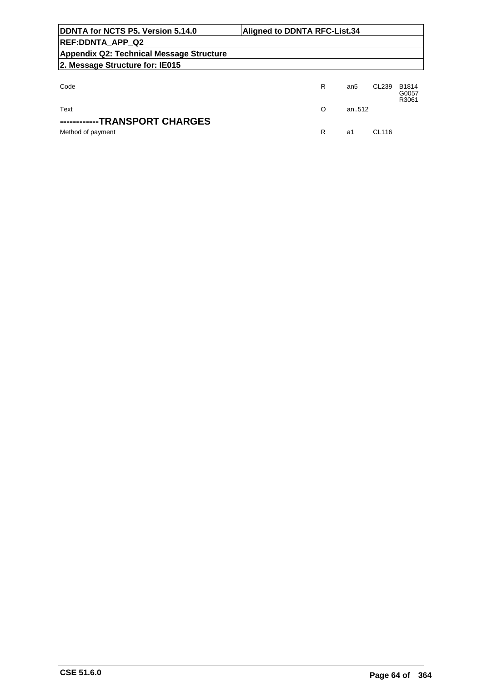| DDNTA for NCTS P5. Version 5.14.0               | <b>Aligned to DDNTA RFC-List.34</b> |   |       |          |                |
|-------------------------------------------------|-------------------------------------|---|-------|----------|----------------|
| <b>REF:DDNTA APP Q2</b>                         |                                     |   |       |          |                |
| <b>Appendix Q2: Technical Message Structure</b> |                                     |   |       |          |                |
| 2. Message Structure for: IE015                 |                                     |   |       |          |                |
|                                                 |                                     |   |       |          |                |
| Code                                            |                                     | R | an5   | $CI$ 239 | B1814          |
|                                                 |                                     |   |       |          | G0057<br>R3061 |
| Text                                            |                                     | O | an512 |          |                |
| <b>TRANSPORT CHARGES</b>                        |                                     |   |       |          |                |
| Method of payment                               |                                     | R | a1    | CL116    |                |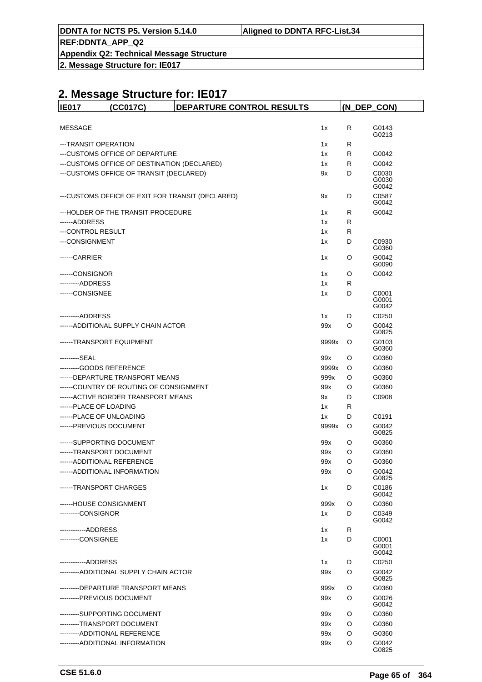| DDNTA for NCTS P5. Version 5.14.0 | Aligned to DDNTA RFC-List.34 |
|-----------------------------------|------------------------------|
|                                   |                              |

**Appendix Q2: Technical Message Structure**

**2. Message Structure for: IE017**

# **2. Message Structure for: IE017**

| <b>IE017</b>                | (CC017C)                                    | DEPARTURE CONTROL RESULTS                        |       |              | (N_DEP_CON)    |
|-----------------------------|---------------------------------------------|--------------------------------------------------|-------|--------------|----------------|
|                             |                                             |                                                  |       |              |                |
| <b>MESSAGE</b>              |                                             |                                                  | 1x    | R            | G0143          |
|                             |                                             |                                                  |       |              | G0213          |
| ---TRANSIT OPERATION        |                                             |                                                  | 1x    | R            |                |
|                             | ---CUSTOMS OFFICE OF DEPARTURE              |                                                  | 1x    | R            | G0042          |
|                             | ---CUSTOMS OFFICE OF DESTINATION (DECLARED) |                                                  | 1x    | $\mathsf{R}$ | G0042          |
|                             | ---CUSTOMS OFFICE OF TRANSIT (DECLARED)     |                                                  | 9x    | D            | C0030<br>G0030 |
|                             |                                             |                                                  |       |              | G0042          |
|                             |                                             | ---CUSTOMS OFFICE OF EXIT FOR TRANSIT (DECLARED) | 9x    | D            | C0587          |
|                             |                                             |                                                  |       |              | G0042          |
|                             | ---HOLDER OF THE TRANSIT PROCEDURE          |                                                  | 1x    | R            | G0042          |
| ------ADDRESS               |                                             |                                                  | 1x    | R            |                |
| ---CONTROL RESULT           |                                             |                                                  | 1x    | $\mathsf{R}$ |                |
| ---CONSIGNMENT              |                                             |                                                  | 1x    | D            | C0930<br>G0360 |
| ------CARRIER               |                                             |                                                  | 1x    | O            | G0042          |
|                             |                                             |                                                  |       |              | G0090          |
| ------CONSIGNOR             |                                             |                                                  | 1x    | O            | G0042          |
| ---------ADDRESS            |                                             |                                                  | 1x    | R            |                |
| -----CONSIGNEE              |                                             |                                                  | 1x    | D            | C0001<br>G0001 |
|                             |                                             |                                                  |       |              | G0042          |
| ---------ADDRESS            |                                             |                                                  | 1x    | D            | C0250          |
|                             | ------ADDITIONAL SUPPLY CHAIN ACTOR         |                                                  | 99x   | O            | G0042          |
|                             |                                             |                                                  |       |              | G0825          |
| ------TRANSPORT EQUIPMENT   |                                             |                                                  | 9999x | O            | G0103<br>G0360 |
| ---------SEAL               |                                             |                                                  | 99x   | O            | G0360          |
| ---------GOODS REFERENCE    |                                             |                                                  | 9999x | O            | G0360          |
|                             | ------DEPARTURE TRANSPORT MEANS             |                                                  | 999x  | O            | G0360          |
|                             | ------COUNTRY OF ROUTING OF CONSIGNMENT     |                                                  | 99x   | O            | G0360          |
|                             | ------ACTIVE BORDER TRANSPORT MEANS         |                                                  | 9x    | D            | C0908          |
| ------PLACE OF LOADING      |                                             |                                                  | 1x    | R            |                |
| ------ PLACE OF UNLOADING   |                                             |                                                  | 1x    | D            | C0191          |
| ------PREVIOUS DOCUMENT     |                                             |                                                  | 9999x | O            | G0042          |
|                             |                                             |                                                  |       |              | G0825          |
| ------SUPPORTING DOCUMENT   |                                             |                                                  | 99x   | O            | G0360          |
| ------TRANSPORT DOCUMENT    |                                             |                                                  | 99x   | O            | G0360          |
| ------ ADDITIONAL REFERENCE |                                             |                                                  | 99x   | O            | G0360          |
|                             | ------ ADDITIONAL INFORMATION               |                                                  | 99x   | O            | G0042          |
|                             |                                             |                                                  |       |              | G0825          |
| ------TRANSPORT CHARGES     |                                             |                                                  | 1x    | D            | C0186<br>G0042 |
| ------HOUSE CONSIGNMENT     |                                             |                                                  | 999x  | O            | G0360          |
| --------CONSIGNOR           |                                             |                                                  | 1x    | D            | C0349          |
|                             |                                             |                                                  |       |              | G0042          |
| ------------ADDRESS         |                                             |                                                  | 1x    | R            |                |
| ---------CONSIGNEE          |                                             |                                                  | 1x    | D            | C0001<br>G0001 |
|                             |                                             |                                                  |       |              | G0042          |
| ------------ADDRESS         |                                             |                                                  | 1x    | D            | C0250          |
|                             | ---------ADDITIONAL SUPPLY CHAIN ACTOR      |                                                  | 99x   | O            | G0042          |
|                             |                                             |                                                  |       |              | G0825          |
|                             | ---------DEPARTURE TRANSPORT MEANS          |                                                  | 999x  | O            | G0360          |
| --------PREVIOUS DOCUMENT   |                                             |                                                  | 99x   | O            | G0026<br>G0042 |
|                             | --------SUPPORTING DOCUMENT                 |                                                  | 99x   | O            | G0360          |
|                             | --------TRANSPORT DOCUMENT                  |                                                  | 99x   | O            | G0360          |
|                             | ---------ADDITIONAL REFERENCE               |                                                  | 99x   | O            | G0360          |
|                             | --------ADDITIONAL INFORMATION              |                                                  | 99x   | O            | G0042          |
|                             |                                             |                                                  |       |              | G0825          |

**REF:DDNTA\_APP\_Q2**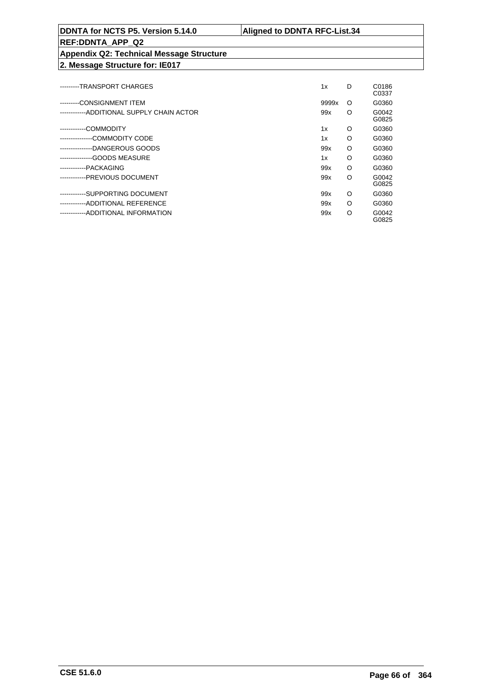### **REF:DDNTA\_APP\_Q2 Appendix Q2: Technical Message Structure 2. Message Structure for: IE017**

| ---------TRANSPORT CHARGES              | 1x    | D        | C0186<br>C <sub>0</sub> 337 |
|-----------------------------------------|-------|----------|-----------------------------|
| -CONSIGNMENT ITEM                       | 9999x | $\Omega$ | G0360                       |
| ----------ADDITIONAL SUPPLY CHAIN ACTOR | 99x   | O        | G0042<br>G0825              |
| ------------COMMODITY                   | 1x    | O        | G0360                       |
| ------------COMMODITY CODE              | 1x    | O        | G0360                       |
| -------------DANGEROUS GOODS            | 99x   | O        | G0360                       |
|                                         | 1x    | O        | G0360                       |
| --PACKAGING<br>---------                | 99x   | O        | G0360                       |
| ------------PREVIOUS DOCUMENT           | 99x   | $\Omega$ | G0042<br>G0825              |
| --SUPPORTING DOCUMENT                   | 99x   | O        | G0360                       |
| --ADDITIONAL REFERENCE                  | 99x   | $\Omega$ | G0360                       |
| --ADDITIONAL INFORMATION                | 99x   | O        | G0042<br>G0825              |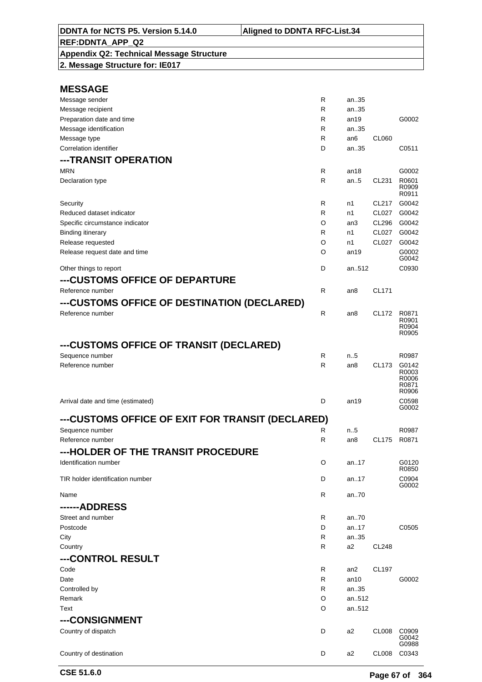| DDNTA for NCTS P5. Version 5.14.0                | <b>Aligned to DDNTA RFC-List.34</b> |             |                   |                |
|--------------------------------------------------|-------------------------------------|-------------|-------------------|----------------|
| REF:DDNTA_APP_Q2                                 |                                     |             |                   |                |
| <b>Appendix Q2: Technical Message Structure</b>  |                                     |             |                   |                |
| 2. Message Structure for: IE017                  |                                     |             |                   |                |
|                                                  |                                     |             |                   |                |
|                                                  |                                     |             |                   |                |
| <b>MESSAGE</b>                                   |                                     |             |                   |                |
| Message sender                                   | R                                   | an35        |                   |                |
| Message recipient                                | R.                                  | an35        |                   |                |
| Preparation date and time                        | R                                   | an19        |                   | G0002          |
| Message identification                           | R                                   | an35        |                   |                |
| Message type<br>Correlation identifier           | R<br>D                              | an6<br>an35 | CL060             |                |
|                                                  |                                     |             |                   | C0511          |
| ---TRANSIT OPERATION                             |                                     |             |                   |                |
| <b>MRN</b>                                       | R                                   | an18        |                   | G0002          |
| Declaration type                                 | R                                   | an.5        | CL231             | R0601<br>R0909 |
|                                                  |                                     |             |                   | R0911          |
| Security                                         | R                                   | n1          | CL217             | G0042          |
| Reduced dataset indicator                        | R                                   | n1          | CL027             | G0042          |
| Specific circumstance indicator                  | O                                   | an3         | CL296             | G0042          |
| <b>Binding itinerary</b>                         | R                                   | n1          | <b>CL027</b>      | G0042          |
| Release requested                                | O                                   | n1          | CL027             | G0042          |
| Release request date and time                    | O                                   | an19        |                   | G0002<br>G0042 |
| Other things to report                           | D                                   | an512       |                   | C0930          |
|                                                  |                                     |             |                   |                |
| ---CUSTOMS OFFICE OF DEPARTURE                   |                                     |             |                   |                |
| Reference number                                 | R                                   | an8         | CL171             |                |
| ---CUSTOMS OFFICE OF DESTINATION (DECLARED)      |                                     |             |                   |                |
| Reference number                                 | $\mathsf{R}$                        | an8         | CL172             | R0871          |
|                                                  |                                     |             |                   | R0901<br>R0904 |
|                                                  |                                     |             |                   | R0905          |
| ---CUSTOMS OFFICE OF TRANSIT (DECLARED)          |                                     |             |                   |                |
| Sequence number                                  | R                                   | $n_{.}5$    |                   | R0987          |
| Reference number                                 | R                                   | an8         | CL173             | G0142          |
|                                                  |                                     |             |                   | R0003<br>R0006 |
|                                                  |                                     |             |                   | R0871          |
|                                                  | D                                   |             |                   | R0906          |
| Arrival date and time (estimated)                |                                     | an19        |                   | C0598<br>G0002 |
| ---CUSTOMS OFFICE OF EXIT FOR TRANSIT (DECLARED) |                                     |             |                   |                |
| Sequence number                                  | R                                   | n5          |                   | R0987          |
| Reference number                                 | R                                   | an8         | <b>CL175</b>      | R0871          |
| ---HOLDER OF THE TRANSIT PROCEDURE               |                                     |             |                   |                |
|                                                  |                                     |             |                   |                |
| Identification number                            | O                                   | an17        |                   | G0120<br>R0850 |
| TIR holder identification number                 | D                                   | an17        |                   | C0904          |
|                                                  |                                     |             |                   | G0002          |
| Name                                             | R                                   | an70        |                   |                |
| ------ADDRESS                                    |                                     |             |                   |                |
| Street and number                                | R                                   | an70        |                   |                |
| Postcode                                         | D                                   | an17        |                   | C0505          |
| City                                             | R                                   | an35        |                   |                |
| Country                                          | R                                   | a2          | <b>CL248</b>      |                |
| ---CONTROL RESULT                                |                                     |             |                   |                |
| Code                                             | R                                   | an2         | <b>CL197</b>      |                |
| Date                                             | R                                   | an10        |                   | G0002          |
| Controlled by                                    | R                                   | an35        |                   |                |
| Remark                                           | O                                   | an512       |                   |                |
| Text                                             | O                                   | an512       |                   |                |
| ---CONSIGNMENT                                   |                                     |             |                   |                |
| Country of dispatch                              | D                                   | a2          | CL <sub>008</sub> | C0909          |
|                                                  |                                     |             |                   | G0042<br>G0988 |
| Country of destination                           | D                                   | a2          | <b>CL008</b>      | C0343          |
|                                                  |                                     |             |                   |                |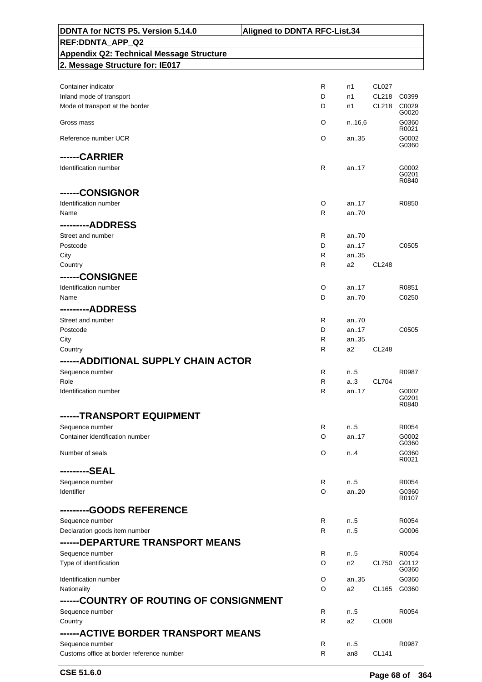| DDNTA for NCTS P5. Version 5.14.0               | <b>Aligned to DDNTA RFC-List.34</b> |              |                |
|-------------------------------------------------|-------------------------------------|--------------|----------------|
| <b>REF:DDNTA APP Q2</b>                         |                                     |              |                |
| <b>Appendix Q2: Technical Message Structure</b> |                                     |              |                |
|                                                 |                                     |              |                |
| 2. Message Structure for: IE017                 |                                     |              |                |
|                                                 |                                     |              |                |
| Container indicator                             | R<br>n1                             | CL027        |                |
| Inland mode of transport                        | D<br>n1                             | CL218        | C0399          |
| Mode of transport at the border                 | D<br>n1                             | CL218        | C0029<br>G0020 |
| Gross mass                                      | O<br>n.16,6                         |              | G0360          |
|                                                 |                                     |              | R0021          |
| Reference number UCR                            | O<br>an35                           |              | G0002          |
|                                                 |                                     |              | G0360          |
| ------CARRIER                                   |                                     |              |                |
| Identification number                           | R<br>an17                           |              | G0002          |
|                                                 |                                     |              | G0201<br>R0840 |
| ------CONSIGNOR                                 |                                     |              |                |
| Identification number                           | O<br>an.17                          |              | R0850          |
| Name                                            | R<br>an.70                          |              |                |
|                                                 |                                     |              |                |
| ---------ADDRESS                                |                                     |              |                |
| Street and number                               | R<br>an70                           |              |                |
| Postcode                                        | D<br>an17                           |              | C0505          |
| City                                            | R<br>an35                           |              |                |
| Country                                         | R<br>a2                             | <b>CL248</b> |                |
| ------CONSIGNEE                                 |                                     |              |                |
| Identification number                           | O<br>an17                           |              | R0851          |
| Name                                            | an70<br>D                           |              | C0250          |
| ---------ADDRESS                                |                                     |              |                |
| Street and number                               | R<br>an.70                          |              |                |
| Postcode                                        | D<br>an.17                          |              | C0505          |
| City                                            | R<br>an35                           |              |                |
| Country                                         | R<br>a2                             | <b>CL248</b> |                |
| ------ADDITIONAL SUPPLY CHAIN ACTOR             |                                     |              |                |
| Sequence number                                 | R<br>$n_{.}.5$                      |              | R0987          |
| Role                                            | R<br>a3                             | CL704        |                |
| Identification number                           | R<br>an17                           |              | G0002          |
|                                                 |                                     |              | G0201<br>R0840 |
|                                                 |                                     |              |                |
| ------TRANSPORT EQUIPMENT                       |                                     |              |                |
| Sequence number                                 | R<br>n.5                            |              | R0054          |
| Container identification number                 | O<br>an.17                          |              | G0002<br>G0360 |
| Number of seals                                 | O<br>n.4                            |              | G0360          |
|                                                 |                                     |              | R0021          |
| ---------SEAL                                   |                                     |              |                |
| Sequence number                                 | R<br>n.5                            |              | R0054          |
| Identifier                                      | O<br>an20                           |              | G0360          |
|                                                 |                                     |              | R0107          |
|                                                 |                                     |              |                |
| Sequence number                                 | R<br>n.5                            |              | R0054          |
| Declaration goods item number                   | R<br>n.5                            |              | G0006          |
| ------DEPARTURE TRANSPORT MEANS                 |                                     |              |                |
| Sequence number                                 | R<br>n5                             |              | R0054          |
| Type of identification                          | O<br>n2                             | CL750        | G0112          |
|                                                 |                                     |              | G0360          |
| Identification number                           | O<br>an35                           |              | G0360          |
| Nationality                                     | a2<br>O                             | CL165        | G0360          |
| ------COUNTRY OF ROUTING OF CONSIGNMENT         |                                     |              |                |
| Sequence number                                 | R<br>n.5                            |              | R0054          |
| Country                                         | R<br>a2                             | <b>CL008</b> |                |
| ------ACTIVE BORDER TRANSPORT MEANS             |                                     |              |                |
| Sequence number                                 | R<br>n.5                            |              | R0987          |
| Customs office at border reference number       | R<br>an8                            | <b>CL141</b> |                |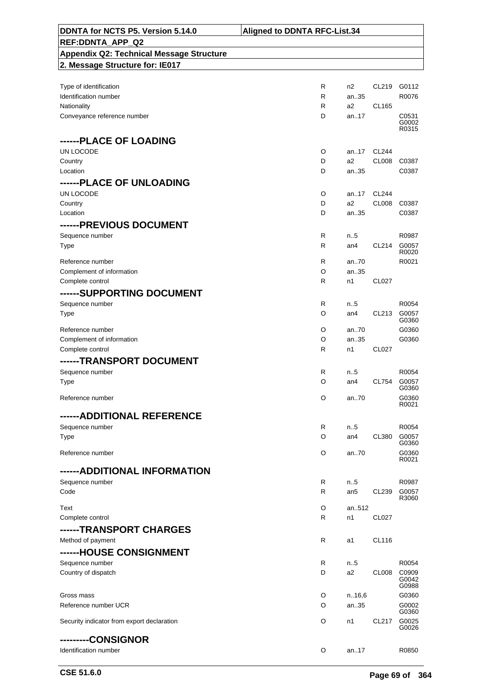| DDNTA for NCTS P5. Version 5.14.0               | <b>Aligned to DDNTA RFC-List.34</b> |              |                |
|-------------------------------------------------|-------------------------------------|--------------|----------------|
| <b>REF:DDNTA APP Q2</b>                         |                                     |              |                |
| <b>Appendix Q2: Technical Message Structure</b> |                                     |              |                |
| 2. Message Structure for: IE017                 |                                     |              |                |
|                                                 |                                     |              |                |
| Type of identification                          | R<br>n2                             | CL219        | G0112          |
| Identification number                           | R<br>an35                           |              | R0076          |
| Nationality                                     | R<br>a2                             | CL165        |                |
| Conveyance reference number                     | D<br>an17                           |              | C0531<br>G0002 |
|                                                 |                                     |              | R0315          |
| ------PLACE OF LOADING                          |                                     |              |                |
| UN LOCODE                                       | O<br>an17                           | CL244        |                |
| Country                                         | D<br>a2                             | <b>CL008</b> | C0387          |
| Location                                        | D<br>an35                           |              | C0387          |
| ------PLACE OF UNLOADING                        |                                     |              |                |
| UN LOCODE                                       | O<br>an17                           | <b>CL244</b> |                |
| Country                                         | D<br>a2                             | CL008        | C0387          |
| Location                                        | D<br>an35                           |              | C0387          |
| ------PREVIOUS DOCUMENT                         |                                     |              |                |
| Sequence number                                 | R<br>n.5                            |              | R0987          |
| <b>Type</b>                                     | R<br>an <sub>4</sub>                | CL214        | G0057          |
|                                                 |                                     |              | R0020          |
| Reference number                                | R<br>an70<br>O<br>an35              |              | R0021          |
| Complement of information<br>Complete control   | R<br>n1                             | CL027        |                |
| ------SUPPORTING DOCUMENT                       |                                     |              |                |
|                                                 | n.5                                 |              | R0054          |
| Sequence number<br><b>Type</b>                  | R<br>O<br>an <sub>4</sub>           | CL213        | G0057          |
|                                                 |                                     |              | G0360          |
| Reference number                                | O<br>an70                           |              | G0360          |
| Complement of information                       | O<br>an35                           |              | G0360          |
| Complete control                                | R<br>n1                             | CL027        |                |
| ------TRANSPORT DOCUMENT                        |                                     |              |                |
| Sequence number                                 | R<br>$n_{.}.5$                      |              | R0054          |
| Type                                            | O<br>an <sub>4</sub>                | CL754        | G0057<br>G0360 |
| Reference number                                | O<br>an70                           |              | G0360          |
|                                                 |                                     |              | R0021          |
| ------ADDITIONAL REFERENCE                      |                                     |              |                |
| Sequence number                                 | R<br>n.5                            |              | R0054          |
| <b>Type</b>                                     | O<br>an4                            | CL380        | G0057<br>G0360 |
| Reference number                                | O<br>an.70                          |              | G0360          |
|                                                 |                                     |              | R0021          |
| ------ADDITIONAL INFORMATION                    |                                     |              |                |
| Sequence number                                 | R<br>$n_{.}.5$                      |              | R0987          |
| Code                                            | R<br>an5                            | CL239        | G0057          |
| Text                                            |                                     |              | R3060          |
| Complete control                                | O<br>an512<br>R<br>n1               | CL027        |                |
|                                                 |                                     |              |                |
| ------TRANSPORT CHARGES                         |                                     |              |                |
| Method of payment                               | R<br>a1                             | CL116        |                |
| ------HOUSE CONSIGNMENT                         |                                     |              |                |
| Sequence number                                 | R<br>n.5                            |              | R0054          |
| Country of dispatch                             | a2<br>D                             | <b>CL008</b> | C0909<br>G0042 |
|                                                 |                                     |              | G0988          |
| Gross mass                                      | O<br>n.16,6                         |              | G0360          |
| Reference number UCR                            | O<br>an35                           |              | G0002<br>G0360 |
| Security indicator from export declaration      | O<br>n1                             | CL217        | G0025          |
|                                                 |                                     |              | G0026          |
| ---------CONSIGNOR                              |                                     |              |                |
| Identification number                           | O<br>an17                           |              | R0850          |

┱

Г

 $\overline{\phantom{0}}$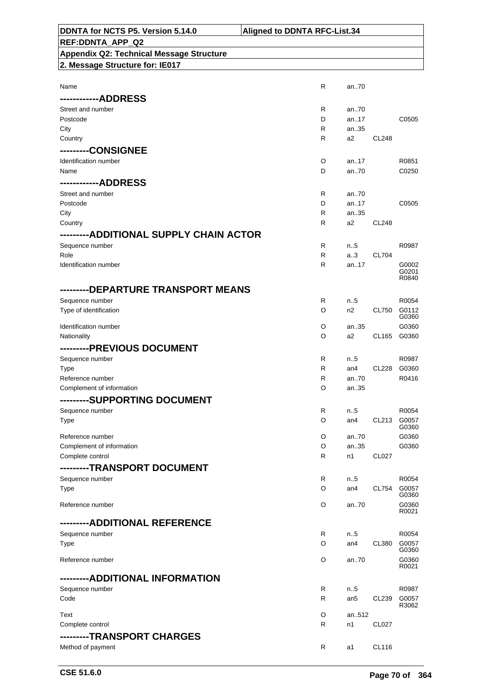| DDNTA for NCTS P5. Version 5.14.0               | <b>Aligned to DDNTA RFC-List.34</b> |                |              |                |
|-------------------------------------------------|-------------------------------------|----------------|--------------|----------------|
| REF:DDNTA_APP_Q2                                |                                     |                |              |                |
| <b>Appendix Q2: Technical Message Structure</b> |                                     |                |              |                |
| 2. Message Structure for: IE017                 |                                     |                |              |                |
|                                                 |                                     |                |              |                |
| Name                                            | $\mathsf{R}$                        | an70           |              |                |
| ------------ADDRESS                             |                                     |                |              |                |
| Street and number                               | R                                   | an.70          |              |                |
| Postcode                                        | D                                   | an17           |              | C0505          |
| City                                            | R                                   | an35           |              |                |
| Country                                         | R                                   | a2             | <b>CL248</b> |                |
| ---------CONSIGNEE                              |                                     |                |              |                |
| Identification number                           | O                                   | an17           |              | R0851          |
| Name                                            | D                                   | an.70          |              | C0250          |
| ------------ADDRESS                             |                                     |                |              |                |
| Street and number                               | R                                   | an70           |              |                |
| Postcode                                        | D                                   | an. $.17$      |              | C0505          |
| City<br>Country                                 | R<br>R                              | an35<br>a2     | <b>CL248</b> |                |
| --------ADDITIONAL SUPPLY CHAIN ACTOR           |                                     |                |              |                |
|                                                 |                                     |                |              |                |
| Sequence number<br>Role                         | R<br>R                              | n.5<br>a3      | <b>CL704</b> | R0987          |
| <b>Identification number</b>                    | R                                   | an17           |              | G0002          |
|                                                 |                                     |                |              | G0201          |
|                                                 |                                     |                |              | R0840          |
| --------DEPARTURE TRANSPORT MEANS               |                                     |                |              |                |
| Sequence number                                 | R<br>O                              | n.5            |              | R0054<br>G0112 |
| Type of identification                          |                                     | n <sub>2</sub> | CL750        | G0360          |
| Identification number                           | O                                   | an35           |              | G0360          |
| Nationality                                     | O                                   | a2             | CL165        | G0360          |
| ---------PREVIOUS DOCUMENT                      |                                     |                |              |                |
| Sequence number                                 | R                                   | n5             |              | R0987          |
| <b>Type</b>                                     | R                                   | an4            | <b>CL228</b> | G0360          |
| Reference number                                | R                                   | an70           |              | R0416          |
| Complement of information                       | O                                   | an35           |              |                |
| --------SUPPORTING DOCUMENT                     |                                     |                |              |                |
| Sequence number                                 | R                                   | n.5            |              | R0054          |
| <b>Type</b>                                     | O                                   | an4            | CL213        | G0057<br>G0360 |
| Reference number                                | O                                   | an70           |              | G0360          |
| Complement of information                       | O                                   | an35           |              | G0360          |
| Complete control                                | R                                   | n1             | CL027        |                |
| --------TRANSPORT DOCUMENT                      |                                     |                |              |                |
| Sequence number                                 | R                                   | n.5            |              | R0054          |
| Type                                            | O                                   | an4            | CL754        | G0057<br>G0360 |
| Reference number                                | O                                   | an70           |              | G0360          |
|                                                 |                                     |                |              | R0021          |
| ---------ADDITIONAL REFERENCE                   |                                     |                |              |                |
| Sequence number                                 | R                                   | n.5            |              | R0054          |
| Type                                            | O                                   | an4            | CL380        | G0057<br>G0360 |
| Reference number                                | O                                   | an70           |              | G0360          |
|                                                 |                                     |                |              | R0021          |
| --------ADDITIONAL INFORMATION                  |                                     |                |              |                |
| Sequence number                                 | R                                   | n.5            |              | R0987          |
| Code                                            | R                                   | an5            | CL239        | G0057<br>R3062 |
| Text                                            | O                                   | an512          |              |                |
| Complete control                                | R                                   | n1             | <b>CL027</b> |                |
| ---------TRANSPORT CHARGES                      |                                     |                |              |                |
| Method of payment                               | R                                   | a1             | CL116        |                |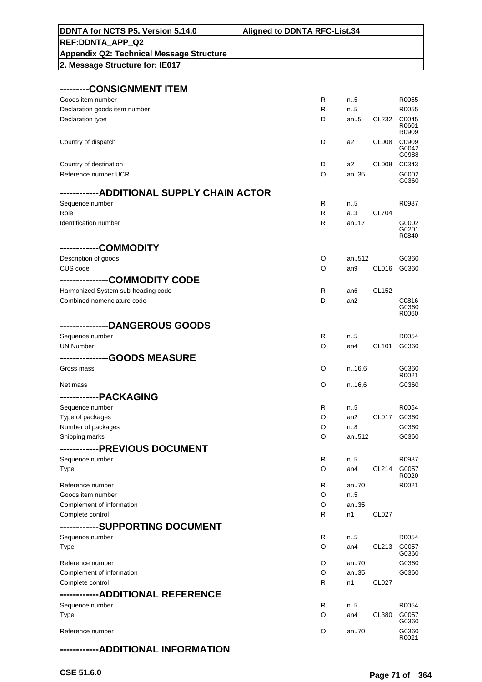| DDNTA for NCTS P5. Version 5.14.0 | Aligned to DDNTA RFC-List.34 |
|-----------------------------------|------------------------------|
| DEE.DONTA ADD O?                  |                              |

Goods item number R and R n..5 R0055 Declaration goods item number **R** n..5 R0055

#### **Appendix Q2: Technical Message Structure 2. Message Structure for: IE017**

**---------CONSIGNMENT ITEM**

**REF:DDNTA\_APP\_Q2**

| Declaration type                          | D  | an5      | CL232             | C0045<br>R0601<br>R0909 |
|-------------------------------------------|----|----------|-------------------|-------------------------|
| Country of dispatch                       | D  | a2       | CL <sub>008</sub> | C0909<br>G0042<br>G0988 |
| Country of destination                    | D  | a2       | CL <sub>008</sub> | C0343                   |
| Reference number UCR                      | O  | an35     |                   | G0002<br>G0360          |
| ------------ADDITIONAL SUPPLY CHAIN ACTOR |    |          |                   |                         |
| Sequence number                           | R  | $n_{.}5$ |                   | R0987                   |
| Role                                      | R. | a3       | <b>CL704</b>      |                         |
| Identification number                     | R  | an17     |                   | G0002<br>G0201<br>R0840 |
| ------------COMMODITY                     |    |          |                   |                         |
| Description of goods                      | O  | an512    |                   | G0360                   |
| CUS code                                  | O  | an9      | CL016             | G0360                   |
|                                           |    |          |                   |                         |
| Harmonized System sub-heading code        | R  | an6      | CL152             |                         |
| Combined nomenclature code                | D  | an2      |                   | C0816<br>G0360<br>R0060 |
|                                           |    |          |                   |                         |
| Sequence number                           | R  | $n_{.}5$ |                   | R0054                   |
| <b>UN Number</b>                          | O  | an4      | CL101             | G0360                   |
|                                           |    |          |                   |                         |
| Gross mass                                | O  | n.16,6   |                   | G0360<br>R0021          |
| Net mass                                  | O  | n.16,6   |                   | G0360                   |
| ------------PACKAGING                     |    |          |                   |                         |
| Sequence number                           | R  | n.5      |                   | R0054                   |
| Type of packages                          | O  | an2      | CL017             | G0360                   |
| Number of packages                        | O  | n.8      |                   | G0360                   |
| Shipping marks                            | O  | an512    |                   | G0360                   |
|                                           |    |          |                   |                         |
| Sequence number                           | R  | $n_{.}5$ |                   | R0987                   |
| Type                                      | O  | an4      | CL214             | G0057<br>R0020          |
| Reference number                          | R  | an70     |                   | R0021                   |
| Goods item number                         | O  | n.5      |                   |                         |
| Complement of information                 | O  | an35     |                   |                         |
| Complete control                          | R  | n1       | CL027             |                         |
| ------------SUPPORTING DOCUMENT           |    |          |                   |                         |
| Sequence number                           | R  | n5       |                   | R0054                   |
| <b>Type</b>                               | O  | an4      | CL213             | G0057<br>G0360          |
| Reference number                          | O  | an70     |                   | G0360                   |
| Complement of information                 | O  | an35     |                   | G0360                   |
| Complete control                          | R  | n1       | CL027             |                         |
| ------------ADDITIONAL REFERENCE          |    |          |                   |                         |
| Sequence number                           | R  | n5       |                   | R0054                   |
| <b>Type</b>                               | O  | an4      | CL380             | G0057<br>G0360          |
| Reference number                          | O  | an70     |                   | G0360                   |

R0021

## **------------ADDITIONAL INFORMATION**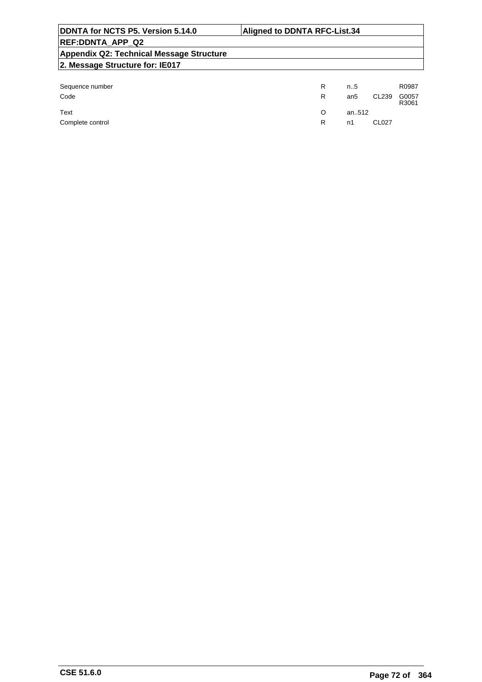| DDNTA for NCTS P5. Version 5.14.0               | <b>Aligned to DDNTA RFC-List.34</b> |                 |                   |       |
|-------------------------------------------------|-------------------------------------|-----------------|-------------------|-------|
| <b>REF:DDNTA_APP_Q2</b>                         |                                     |                 |                   |       |
| <b>Appendix Q2: Technical Message Structure</b> |                                     |                 |                   |       |
| 2. Message Structure for: IE017                 |                                     |                 |                   |       |
|                                                 |                                     |                 |                   |       |
| Sequence number                                 | R                                   | $n_{.}5$        |                   | R0987 |
| Code                                            | R                                   | an <sub>5</sub> | CL <sub>239</sub> | G0057 |
| Text                                            | O                                   | an512           |                   | R3061 |
| Complete control                                | R                                   | n1              | CL027             |       |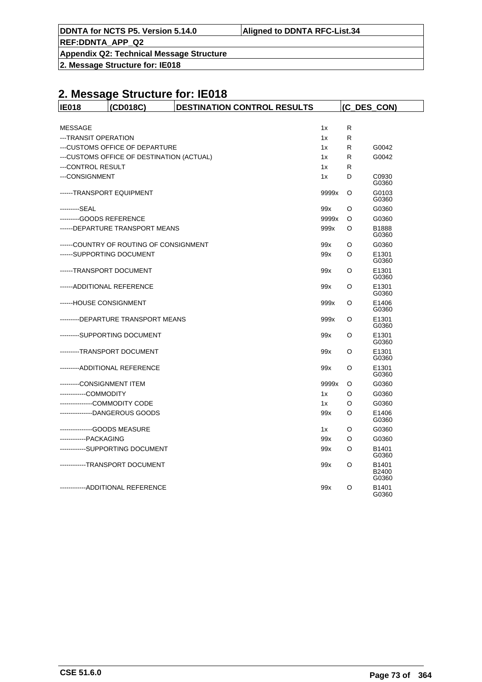**REF:DDNTA\_APP\_Q2**

**Appendix Q2: Technical Message Structure**

**2. Message Structure for: IE018**

| <b>IE018</b>                 | (CD018C)                                  | <b>DESTINATION CONTROL RESULTS</b> |       | (C_DES_CON) |                         |
|------------------------------|-------------------------------------------|------------------------------------|-------|-------------|-------------------------|
|                              |                                           |                                    |       |             |                         |
| <b>MESSAGE</b>               |                                           |                                    | 1x    | R           |                         |
| ---TRANSIT OPERATION         |                                           |                                    | 1x    | R           |                         |
|                              | ---CUSTOMS OFFICE OF DEPARTURE            |                                    | 1x    | R           | G0042                   |
|                              | ---CUSTOMS OFFICE OF DESTINATION (ACTUAL) |                                    | 1x    | R           | G0042                   |
| ---CONTROL RESULT            |                                           |                                    | 1x    | R           |                         |
| ---CONSIGNMENT               |                                           |                                    | 1x    | D           | C0930<br>G0360          |
| ------TRANSPORT EQUIPMENT    |                                           |                                    | 9999x | O           | G0103<br>G0360          |
| ---------SEAL                |                                           |                                    | 99x   | O           | G0360                   |
| ---------GOODS REFERENCE     |                                           |                                    | 9999x | O           | G0360                   |
|                              | ------DEPARTURE TRANSPORT MEANS           |                                    | 999x  | O           | B1888<br>G0360          |
|                              | ------COUNTRY OF ROUTING OF CONSIGNMENT   |                                    | 99x   | O           | G0360                   |
| ------SUPPORTING DOCUMENT    |                                           |                                    | 99x   | O           | E1301<br>G0360          |
| ------TRANSPORT DOCUMENT     |                                           |                                    | 99x   | O           | E1301<br>G0360          |
| ------ADDITIONAL REFERENCE   |                                           |                                    | 99x   | O           | E1301<br>G0360          |
| ------HOUSE CONSIGNMENT      |                                           |                                    | 999x  | O           | E1406<br>G0360          |
|                              | ---------DEPARTURE TRANSPORT MEANS        |                                    | 999x  | O           | E1301<br>G0360          |
|                              | --------SUPPORTING DOCUMENT               |                                    | 99x   | O           | E1301<br>G0360          |
|                              | ---------TRANSPORT DOCUMENT               |                                    | 99x   | O           | E1301<br>G0360          |
|                              | ---------ADDITIONAL REFERENCE             |                                    | 99x   | O           | E1301<br>G0360          |
| --------CONSIGNMENT ITEM     |                                           |                                    | 9999x | O           | G0360                   |
| ------------COMMODITY        |                                           |                                    | 1x    | O           | G0360                   |
| --------------COMMODITY CODE |                                           |                                    | 1x    | O           | G0360                   |
|                              | ---------------DANGEROUS GOODS            |                                    | 99x   | O           | E1406<br>G0360          |
| --------------GOODS MEASURE  |                                           |                                    | 1x    | O           | G0360                   |
| ------------PACKAGING        |                                           |                                    | 99x   | O           | G0360                   |
|                              | -----------SUPPORTING DOCUMENT            |                                    | 99x   | O           | B1401<br>G0360          |
|                              | ------------TRANSPORT DOCUMENT            |                                    | 99x   | O           | B1401<br>B2400<br>G0360 |
|                              | ------------ADDITIONAL REFERENCE          |                                    | 99x   | O           | B1401<br>G0360          |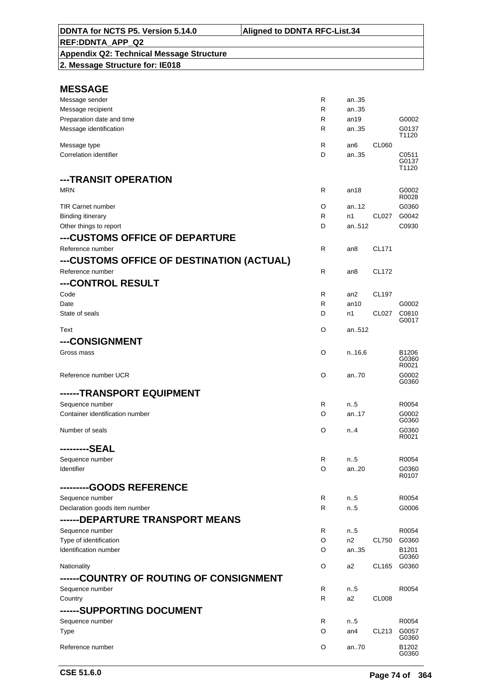B1202<br>G0360

**Page 74 of 364**

# **REF:DDNTA\_APP\_Q2 Appendix Q2: Technical Message Structure**

**2. Message Structure for: IE018**

| <b>MESSAGE</b>                            |              |           |              |                |
|-------------------------------------------|--------------|-----------|--------------|----------------|
| Message sender                            | R            | an35      |              |                |
| Message recipient                         | R            | an35      |              |                |
| Preparation date and time                 | R            | an19      |              | G0002          |
| Message identification                    | R            | an35      |              | G0137<br>T1120 |
| Message type                              | R            | an6       | CL060        |                |
| Correlation identifier                    | D            | an35      |              | C0511          |
|                                           |              |           |              | G0137<br>T1120 |
| ---TRANSIT OPERATION                      |              |           |              |                |
| <b>MRN</b>                                | R            | an18      |              | G0002          |
|                                           |              |           |              | R0028          |
| <b>TIR Carnet number</b>                  | O            | an12      |              | G0360          |
| <b>Binding itinerary</b>                  | R            | n1        | CL027        | G0042          |
| Other things to report                    | D            | an512     |              | C0930          |
| ---CUSTOMS OFFICE OF DEPARTURE            |              |           |              |                |
| Reference number                          | R            | an8       | CL171        |                |
| ---CUSTOMS OFFICE OF DESTINATION (ACTUAL) |              |           |              |                |
| Reference number                          | $\mathsf{R}$ | an8       | CL172        |                |
| ---CONTROL RESULT                         |              |           |              |                |
| Code                                      | R            | an2       | CL197        |                |
| Date                                      | R            | an10      |              | G0002          |
| State of seals                            | D            | n1        | CL027        | C0810<br>G0017 |
| Text                                      | O            | an512     |              |                |
| ---CONSIGNMENT                            |              |           |              |                |
| Gross mass                                | O            | n.16,6    |              | B1206          |
|                                           |              |           |              | G0360          |
| Reference number UCR                      | O            | an70      |              | R0021          |
|                                           |              |           |              | G0002<br>G0360 |
| ------TRANSPORT EQUIPMENT                 |              |           |              |                |
| Sequence number                           | R            | $n_{.}.5$ |              | R0054          |
| Container identification number           | O            | an17      |              | G0002          |
|                                           |              |           |              | G0360          |
| Number of seals                           | O            | n.4       |              | G0360<br>R0021 |
| ---------SEAL                             |              |           |              |                |
| Sequence number                           | R            | $n_{.}.5$ |              | R0054          |
| Identifier                                | O            | an20      |              | G0360          |
|                                           |              |           |              | R0107          |
|                                           |              |           |              |                |
| Sequence number                           | R            | n.5       |              | R0054          |
| Declaration goods item number             | R            | n.5       |              | G0006          |
| ------DEPARTURE TRANSPORT MEANS           |              |           |              |                |
| Sequence number                           | R            | n.5       |              | R0054          |
| Type of identification                    | O            | n2        | CL750        | G0360          |
| Identification number                     | O            | an35      |              | B1201<br>G0360 |
| Nationality                               | O            | a2        | CL165        | G0360          |
| ------COUNTRY OF ROUTING OF CONSIGNMENT   |              |           |              |                |
| Sequence number                           | R            | n.5       |              | R0054          |
| Country                                   | R            | a2        | <b>CL008</b> |                |
| ------SUPPORTING DOCUMENT                 |              |           |              |                |
| Sequence number                           | R            | n.5       |              | R0054          |
| Type                                      | O            | an4       | CL213        | G0057          |
|                                           |              |           |              | G0360          |

Reference number and annual contract of the contract of the contract of the contract of the contract of the contract of the contract of the contract of the contract of the contract of the contract of the contract of the co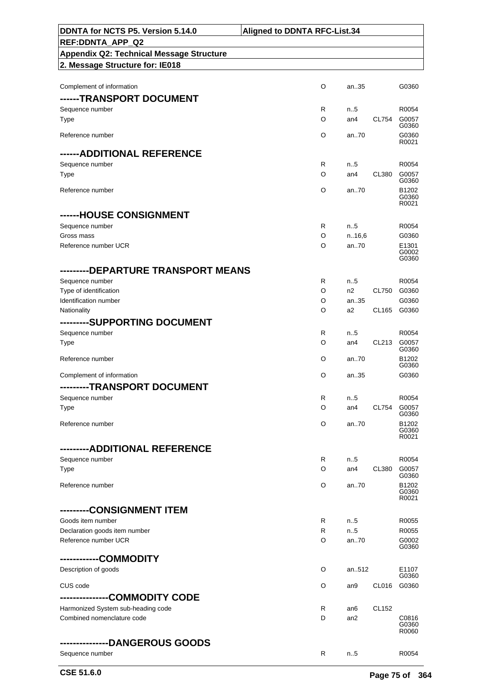| DDNTA for NCTS P5. Version 5.14.0               | <b>Aligned to DDNTA RFC-List.34</b> |                         |                         |
|-------------------------------------------------|-------------------------------------|-------------------------|-------------------------|
| <b>REF:DDNTA APP Q2</b>                         |                                     |                         |                         |
| <b>Appendix Q2: Technical Message Structure</b> |                                     |                         |                         |
| 2. Message Structure for: IE018                 |                                     |                         |                         |
|                                                 |                                     |                         |                         |
| Complement of information                       | O                                   | an35                    | G0360                   |
| ------TRANSPORT DOCUMENT                        |                                     |                         |                         |
| Sequence number                                 | R                                   | n.5                     | R0054                   |
| <b>Type</b>                                     | O                                   | CL754<br>an4            | G0057<br>G0360          |
| Reference number                                | O                                   | an70                    | G0360<br>R0021          |
| ------ADDITIONAL REFERENCE                      |                                     |                         |                         |
| Sequence number                                 | R                                   | n.5                     | R0054                   |
| <b>Type</b>                                     | O                                   | CL380<br>an4            | G0057<br>G0360          |
| Reference number                                | O                                   | an.70                   | B1202<br>G0360          |
|                                                 |                                     |                         | R0021                   |
| ------HOUSE CONSIGNMENT                         |                                     |                         |                         |
| Sequence number                                 | R                                   | n.5                     | R0054                   |
| Gross mass<br>Reference number UCR              | O<br>O                              | n.16,6<br>an70          | G0360<br>E1301          |
|                                                 |                                     |                         | G0002<br>G0360          |
| --------DEPARTURE TRANSPORT MEANS               |                                     |                         |                         |
| Sequence number                                 | R                                   | n.5                     | R0054                   |
| Type of identification                          | O                                   | n2<br>CL750             | G0360                   |
| Identification number                           | O                                   | an35                    | G0360                   |
| Nationality                                     | O                                   | a <sub>2</sub><br>CL165 | G0360                   |
| --------SUPPORTING DOCUMENT                     |                                     |                         |                         |
| Sequence number                                 | R                                   | n.5                     | R0054                   |
| Type                                            | O                                   | CL213<br>an4            | G0057                   |
| Reference number                                | O                                   | an.70                   | G0360<br>B1202<br>G0360 |
| Complement of information                       | O                                   | an35                    | G0360                   |
| ---------TRANSPORT DOCUMENT                     |                                     |                         |                         |
| Sequence number                                 | R                                   | n.5                     | R0054                   |
| <b>Type</b>                                     | O                                   | an4<br>CL754            | G0057<br>G0360          |
| Reference number                                | O                                   | an.70                   | B1202                   |
|                                                 |                                     |                         | G0360<br>R0021          |
| ---------ADDITIONAL REFERENCE                   |                                     |                         |                         |
| Sequence number                                 | R                                   | n.5                     | R0054                   |
| Type                                            | O                                   | an4<br>CL380            | G0057<br>G0360          |
| Reference number                                | O                                   | an.70                   | B1202                   |
|                                                 |                                     |                         | G0360<br>R0021          |
| ---------CONSIGNMENT ITEM                       |                                     |                         |                         |
| Goods item number                               | R                                   | n.5                     | R0055                   |
| Declaration goods item number                   | R                                   | n.5                     | R0055                   |
| Reference number UCR                            | O                                   | an.70                   | G0002<br>G0360          |
| ----------COMMODITY                             |                                     |                         |                         |
| Description of goods                            | O                                   | an512                   | E1107<br>G0360          |
| CUS code                                        | O                                   | an9<br>CL016            | G0360                   |
|                                                 |                                     |                         |                         |
| Harmonized System sub-heading code              | R                                   | CL152<br>an6            |                         |
| Combined nomenclature code                      | D                                   | an2                     | C0816                   |
|                                                 |                                     |                         | G0360<br>R0060          |
|                                                 |                                     |                         |                         |
| Sequence number                                 | R                                   | n.5                     | R0054                   |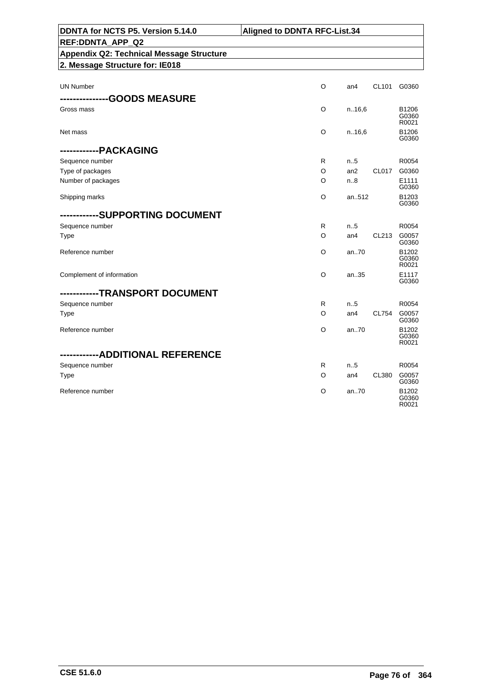| DDNTA for NCTS P5. Version 5.14.0               | <b>Aligned to DDNTA RFC-List.34</b> |       |                         |  |  |
|-------------------------------------------------|-------------------------------------|-------|-------------------------|--|--|
| REF:DDNTA_APP_Q2                                |                                     |       |                         |  |  |
| <b>Appendix Q2: Technical Message Structure</b> |                                     |       |                         |  |  |
| 2. Message Structure for: IE018                 |                                     |       |                         |  |  |
|                                                 |                                     |       |                         |  |  |
| <b>UN Number</b>                                | O<br>an4                            | CL101 | G0360                   |  |  |
| <b>--GOODS MEASURE</b>                          |                                     |       |                         |  |  |
| Gross mass                                      | O<br>n.16,6                         |       | B1206<br>G0360<br>R0021 |  |  |
| Net mass                                        | O<br>n16,6                          |       | B1206<br>G0360          |  |  |
| ------------PACKAGING                           |                                     |       |                         |  |  |
| Sequence number                                 | R<br>n.5                            |       | R0054                   |  |  |
| Type of packages                                | O<br>an <sub>2</sub>                | CL017 | G0360                   |  |  |
| Number of packages                              | O<br>n.8                            |       | E1111<br>G0360          |  |  |
| Shipping marks                                  | O<br>an512                          |       | B1203<br>G0360          |  |  |
| -----------SUPPORTING DOCUMENT                  |                                     |       |                         |  |  |
| Sequence number                                 | R<br>n.5                            |       | R0054                   |  |  |
| Type                                            | O<br>an4                            | CL213 | G0057<br>G0360          |  |  |
| Reference number                                | O<br>an.70                          |       | B1202<br>G0360<br>R0021 |  |  |
| Complement of information                       | $\circ$<br>an35                     |       | E1117<br>G0360          |  |  |
| ------------TRANSPORT DOCUMENT                  |                                     |       |                         |  |  |
| Sequence number                                 | R<br>n.5                            |       | R0054                   |  |  |
| Type                                            | O<br>an4                            | CL754 | G0057<br>G0360          |  |  |
| Reference number                                | O<br>an.70                          |       | B1202<br>G0360<br>R0021 |  |  |
| ------------ADDITIONAL REFERENCE                |                                     |       |                         |  |  |
| Sequence number                                 | R<br>$n_{.}5$                       |       | R0054                   |  |  |
| <b>Type</b>                                     | O<br>an4                            | CL380 | G0057<br>G0360          |  |  |
| Reference number                                | O<br>an70                           |       | B1202<br>G0360<br>R0021 |  |  |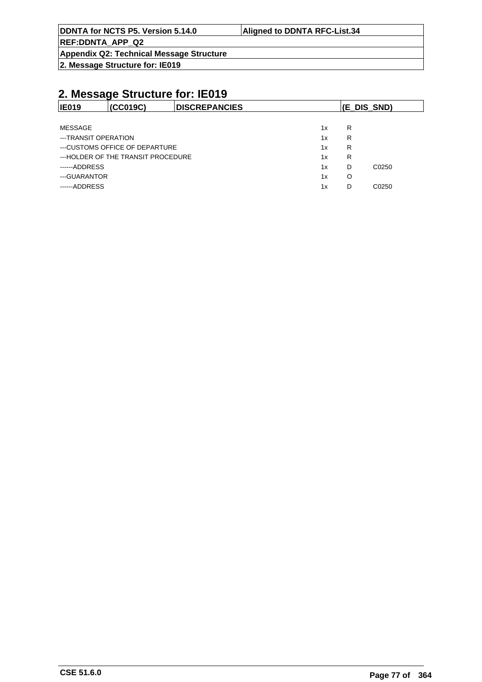| DDNTA for NCTS P5. Version 5.14.0 |  |  |  |
|-----------------------------------|--|--|--|
|                                   |  |  |  |

#### **Aligned to DDNTA RFC-List.34**

**REF:DDNTA\_APP\_Q2 Appendix Q2: Technical Message Structure**

**2. Message Structure for: IE019**

| <b>IE019</b>         | (CCO19C)                           | <b>DISCREPANCIES</b> |    |   | (E_DIS_SND)       |
|----------------------|------------------------------------|----------------------|----|---|-------------------|
|                      |                                    |                      |    |   |                   |
| MESSAGE              |                                    |                      | 1x | R |                   |
| ---TRANSIT OPERATION |                                    |                      | 1x | R |                   |
|                      | ---CUSTOMS OFFICE OF DEPARTURE     |                      | 1x | R |                   |
|                      | ---HOLDER OF THE TRANSIT PROCEDURE |                      | 1x | R |                   |
| ------ADDRESS        |                                    |                      | 1x | D | C0250             |
| ---GUARANTOR         |                                    |                      | 1x | O |                   |
| ------ADDRESS        |                                    |                      | 1x | D | C <sub>0250</sub> |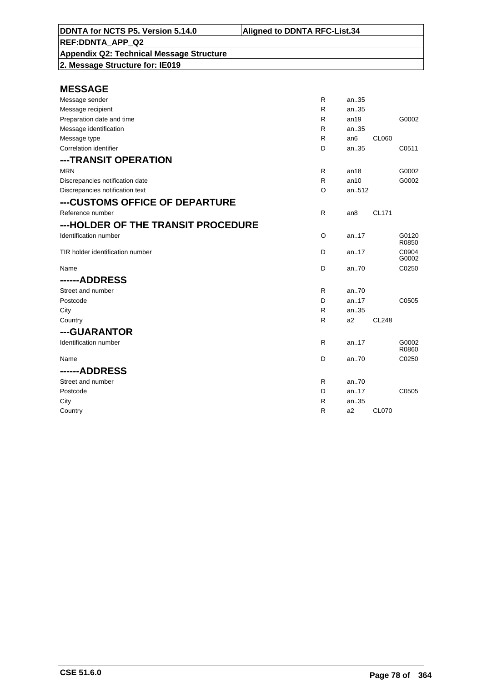#### **REF:DDNTA\_APP\_Q2 Appendix Q2: Technical Message Structure 2. Message Structure for: IE019**

| Message sender                     | R | an35            |              |                |
|------------------------------------|---|-----------------|--------------|----------------|
| Message recipient                  | R | an35            |              |                |
| Preparation date and time          | R | an19            |              | G0002          |
| Message identification             | R | an35            |              |                |
| Message type                       | R | an6             | CL060        |                |
| Correlation identifier             | D | an35            |              | C0511          |
| ---TRANSIT OPERATION               |   |                 |              |                |
| <b>MRN</b>                         | R | an18            |              | G0002          |
| Discrepancies notification date    | R | an10            |              | G0002          |
| Discrepancies notification text    | O | an512           |              |                |
| ---CUSTOMS OFFICE OF DEPARTURE     |   |                 |              |                |
| Reference number                   | R | an <sub>8</sub> | CL171        |                |
| ---HOLDER OF THE TRANSIT PROCEDURE |   |                 |              |                |
| Identification number              | O | an.17           |              | G0120<br>R0850 |
| TIR holder identification number   | D | an17            |              | C0904<br>G0002 |
| Name                               | D | an70            |              | C0250          |
| ------ADDRESS                      |   |                 |              |                |
| Street and number                  | R | an70            |              |                |
| Postcode                           | D | an17            |              | C0505          |
| City                               | R | an35            |              |                |
| Country                            | R | a <sub>2</sub>  | <b>CL248</b> |                |
| ---GUARANTOR                       |   |                 |              |                |
| Identification number              | R | an.17           |              | G0002<br>R0860 |
| Name                               | D | an70            |              | C0250          |
| ------ADDRESS                      |   |                 |              |                |
| Street and number                  | R | an70            |              |                |
| Postcode                           | D | an.17           |              | C0505          |
| City                               | R | an35            |              |                |
| Country                            | R | a <sub>2</sub>  | <b>CL070</b> |                |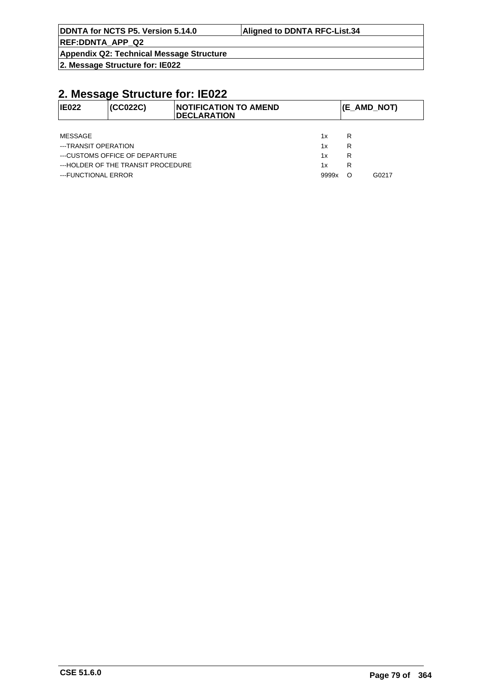**REF:DDNTA\_APP\_Q2 Appendix Q2: Technical Message Structure**

**2. Message Structure for: IE022**

| <b>IE022</b>         | (CC022C)                           | INOTIFICATION TO AMEND<br><b>IDECLARATION</b> |       |   | (E_AMD_NOT) |
|----------------------|------------------------------------|-----------------------------------------------|-------|---|-------------|
|                      |                                    |                                               |       |   |             |
| MESSAGE              |                                    |                                               | 1x    | R |             |
| ---TRANSIT OPERATION |                                    |                                               | 1x    | R |             |
|                      | ---CUSTOMS OFFICE OF DEPARTURE     |                                               | 1x    | R |             |
|                      | ---HOLDER OF THE TRANSIT PROCEDURE |                                               | 1x    | R |             |
| ---FUNCTIONAL ERROR  |                                    |                                               | 9999x | O | G0217       |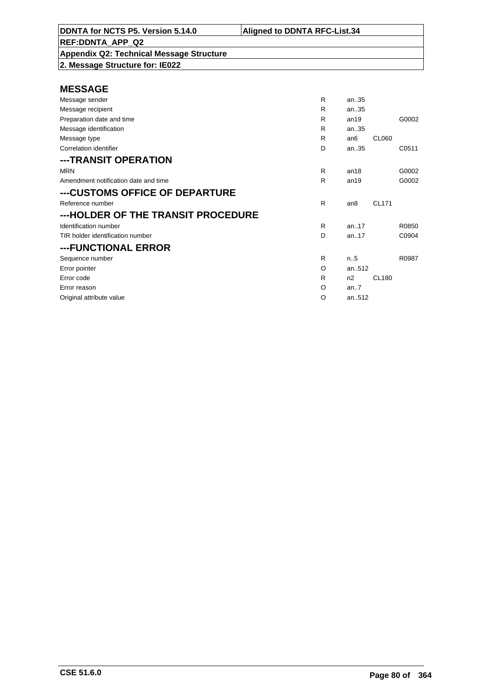#### **REF:DDNTA\_APP\_Q2 Appendix Q2: Technical Message Structure 2. Message Structure for: IE022**

| Message sender                       | R | an35             |       |       |
|--------------------------------------|---|------------------|-------|-------|
| Message recipient                    | R | an.35            |       |       |
| Preparation date and time            | R | an19             |       | G0002 |
| Message identification               | R | an35             |       |       |
| Message type                         | R | an <sub>6</sub>  | CL060 |       |
| Correlation identifier               | D | an35             |       | C0511 |
| ---TRANSIT OPERATION                 |   |                  |       |       |
| <b>MRN</b>                           | R | an18             |       | G0002 |
| Amendment notification date and time | R | an19             |       | G0002 |
| ---CUSTOMS OFFICE OF DEPARTURE       |   |                  |       |       |
| Reference number                     | R | an <sub>8</sub>  | CL171 |       |
| ---HOLDER OF THE TRANSIT PROCEDURE   |   |                  |       |       |
| Identification number                | R | an.17            |       | R0850 |
| TIR holder identification number     | D | an.17            |       | C0904 |
| ---FUNCTIONAL ERROR                  |   |                  |       |       |
| Sequence number                      | R | n <sub>0.5</sub> |       | R0987 |
| Error pointer                        | O | an512            |       |       |
| Error code                           | R | n2               | CL180 |       |
| Error reason                         | O | an.7             |       |       |
| Original attribute value             | O | an512            |       |       |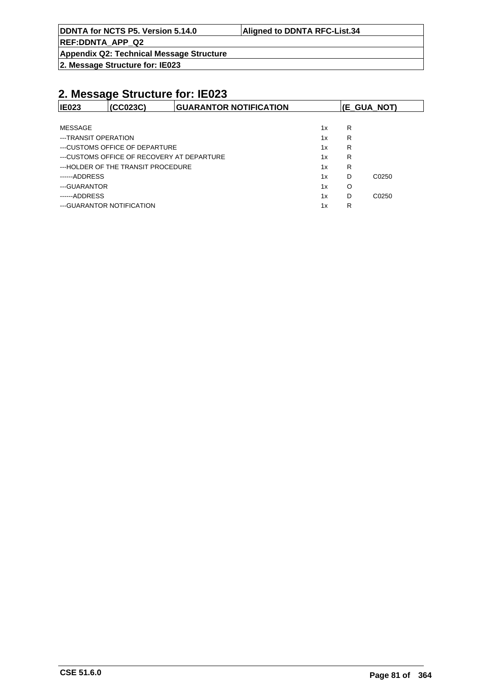|  | DDNTA for NCTS P5. Version 5.14.0 |
|--|-----------------------------------|
|  |                                   |

**Appendix Q2: Technical Message Structure**

**2. Message Structure for: IE023**

# **2. Message Structure for: IE023**

| <b>IE023</b>                               | (CC023C)                   | <b>GUARANTOR NOTIFICATION</b> |    |   | (E_GUA_NOT)       |
|--------------------------------------------|----------------------------|-------------------------------|----|---|-------------------|
|                                            |                            |                               |    |   |                   |
| MESSAGE                                    |                            |                               | 1x | R |                   |
| ---TRANSIT OPERATION                       |                            |                               | 1x | R |                   |
| ---CUSTOMS OFFICE OF DEPARTURE             |                            |                               | 1x | R |                   |
| ---CUSTOMS OFFICE OF RECOVERY AT DEPARTURE |                            |                               | 1x | R |                   |
| ---HOLDER OF THE TRANSIT PROCEDURE         |                            |                               | 1x | R |                   |
| ------ADDRESS                              |                            |                               | 1x | D | C <sub>0250</sub> |
| ---GUARANTOR                               |                            |                               | 1x | O |                   |
| ------ADDRESS                              |                            |                               | 1x | D | C <sub>0250</sub> |
|                                            | --- GUARANTOR NOTIFICATION |                               | 1x | R |                   |

**Aligned to DDNTA RFC-List.34**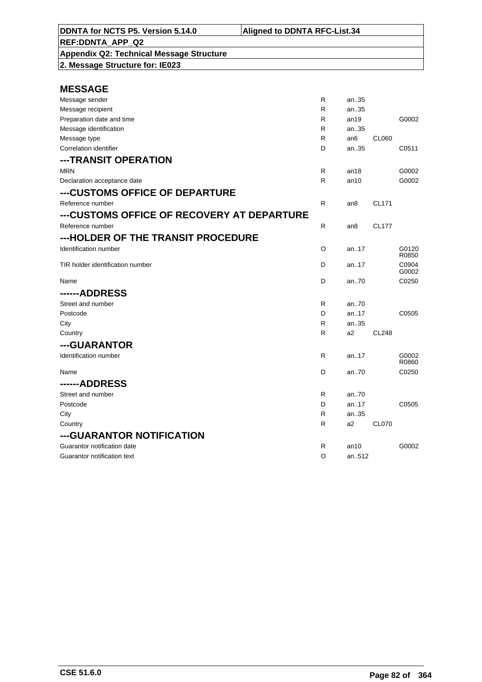## **REF:DDNTA\_APP\_Q2 Appendix Q2: Technical Message Structure**

| Message sender                             | R            | an35            |              |                |
|--------------------------------------------|--------------|-----------------|--------------|----------------|
| Message recipient                          | R            | an35            |              |                |
| Preparation date and time                  | R            | an19            |              | G0002          |
| Message identification                     | R            | an35            |              |                |
| Message type                               | $\mathsf{R}$ | an <sub>6</sub> | <b>CL060</b> |                |
| Correlation identifier                     | D            | an35            |              | C0511          |
| ---TRANSIT OPERATION                       |              |                 |              |                |
| <b>MRN</b>                                 | R            | an18            |              | G0002          |
| Declaration acceptance date                | R            | an10            |              | G0002          |
| ---CUSTOMS OFFICE OF DEPARTURE             |              |                 |              |                |
| Reference number                           | R            | an8             | CL171        |                |
| ---CUSTOMS OFFICE OF RECOVERY AT DEPARTURE |              |                 |              |                |
| Reference number                           | R            | an8             | <b>CL177</b> |                |
| ---HOLDER OF THE TRANSIT PROCEDURE         |              |                 |              |                |
| Identification number                      | O            | an.17           |              | G0120<br>R0850 |
| TIR holder identification number           | D            | an.17           |              | C0904<br>G0002 |
| Name                                       | D            | an70            |              | C0250          |
| ------ADDRESS                              |              |                 |              |                |
| Street and number                          | R            | an70            |              |                |
| Postcode                                   | D            | an.17           |              | C0505          |
| City                                       | R            | an35            |              |                |
| Country                                    | R            | a2              | <b>CL248</b> |                |
| ---GUARANTOR                               |              |                 |              |                |
| Identification number                      | R            | an.17           |              | G0002<br>R0860 |
| Name                                       | D            | an70            |              | C0250          |
| ------ADDRESS                              |              |                 |              |                |
| Street and number                          | R.           | an70            |              |                |
| Postcode                                   | D            | an17            |              | C0505          |
| City                                       | R            | an35            |              |                |
| Country                                    | R            | a <sub>2</sub>  | <b>CL070</b> |                |
| --- GUARANTOR NOTIFICATION                 |              |                 |              |                |
| Guarantor notification date                | R            | an10            |              | G0002          |
| Guarantor notification text                | O            | an512           |              |                |
|                                            |              |                 |              |                |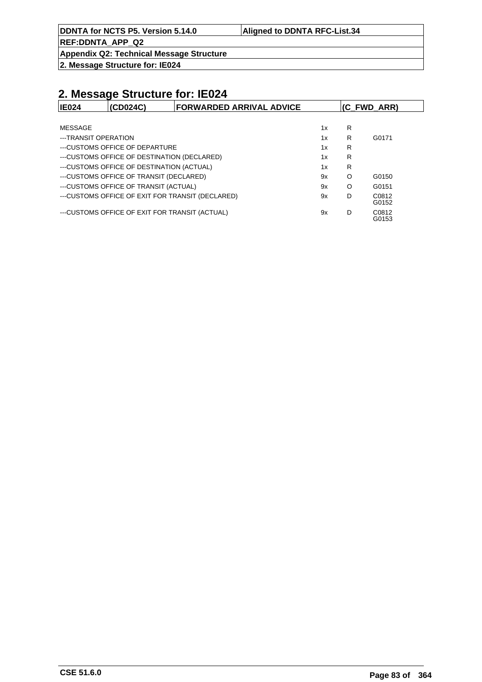|  | DDNTA for NCTS P5. Version 5.14.0 | Aligned to DDNTA RFC-List.34 |
|--|-----------------------------------|------------------------------|
|--|-----------------------------------|------------------------------|

**Appendix Q2: Technical Message Structure**

**2. Message Structure for: IE024**

| <b>IE024</b>                   | (CD024C)                                       | <b>FORWARDED ARRIVAL ADVICE</b>                  |    |   | (C FWD ARR)    |
|--------------------------------|------------------------------------------------|--------------------------------------------------|----|---|----------------|
|                                |                                                |                                                  |    |   |                |
| MESSAGE                        |                                                |                                                  | 1x | R |                |
| ---TRANSIT OPERATION           |                                                |                                                  |    | R | G0171          |
| ---CUSTOMS OFFICE OF DEPARTURE |                                                |                                                  |    | R |                |
|                                | ---CUSTOMS OFFICE OF DESTINATION (DECLARED)    |                                                  | 1x | R |                |
|                                | ---CUSTOMS OFFICE OF DESTINATION (ACTUAL)      |                                                  | 1x | R |                |
|                                | ---CUSTOMS OFFICE OF TRANSIT (DECLARED)        |                                                  | 9x | O | G0150          |
|                                | ---CUSTOMS OFFICE OF TRANSIT (ACTUAL)          |                                                  | 9x | O | G0151          |
|                                |                                                | ---CUSTOMS OFFICE OF EXIT FOR TRANSIT (DECLARED) | 9x | D | C0812<br>G0152 |
|                                | ---CUSTOMS OFFICE OF EXIT FOR TRANSIT (ACTUAL) |                                                  | 9x | D | C0812<br>G0153 |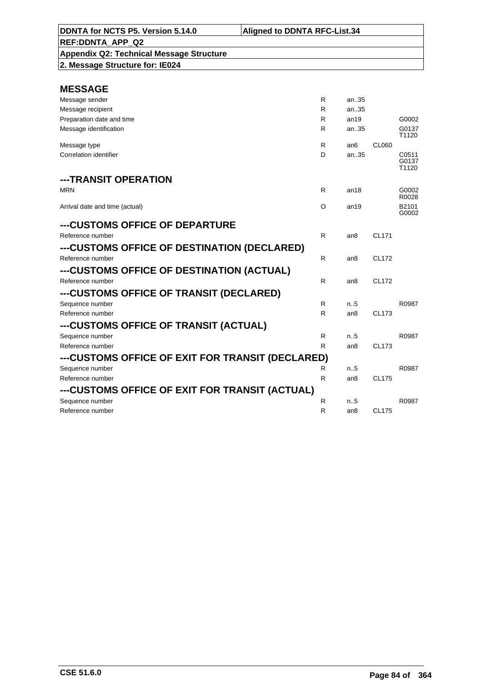|  |  | Aligned to DDNTA RFC-List.34 |
|--|--|------------------------------|
|  |  |                              |

### **REF:DDNTA\_APP\_Q2 Appendix Q2: Technical Message Structure**

**DDNTA for NCTS P5. Version 5.14.0** 

**2. Message Structure for: IE024**

| Message sender                                   | R        | an35             |              |                         |
|--------------------------------------------------|----------|------------------|--------------|-------------------------|
| Message recipient                                | R        | an35             |              |                         |
| Preparation date and time                        | R        | an19             |              | G0002                   |
| Message identification                           | R        | an35             |              | G0137<br>T1120          |
| Message type                                     | R        | an <sub>6</sub>  | <b>CL060</b> |                         |
| Correlation identifier                           | D        | an35             |              | C0511<br>G0137<br>T1120 |
| ---TRANSIT OPERATION                             |          |                  |              |                         |
| <b>MRN</b>                                       | R        | an18             |              | G0002<br>R0028          |
| Arrival date and time (actual)                   | $\Omega$ | an19             |              | B2101<br>G0002          |
| ---CUSTOMS OFFICE OF DEPARTURE                   |          |                  |              |                         |
| Reference number                                 | R        | an <sub>8</sub>  | CL171        |                         |
| ---CUSTOMS OFFICE OF DESTINATION (DECLARED)      |          |                  |              |                         |
| Reference number                                 | R        | an <sub>8</sub>  | <b>CL172</b> |                         |
| ---CUSTOMS OFFICE OF DESTINATION (ACTUAL)        |          |                  |              |                         |
| Reference number                                 | R        | an <sub>8</sub>  | <b>CL172</b> |                         |
| ---CUSTOMS OFFICE OF TRANSIT (DECLARED)          |          |                  |              |                         |
| Sequence number                                  | R        | $n_{.}5$         |              | R0987                   |
| Reference number                                 | R        | an <sub>8</sub>  | CL173        |                         |
| ---CUSTOMS OFFICE OF TRANSIT (ACTUAL)            |          |                  |              |                         |
| Sequence number                                  | R.       | $n_{.}5$         |              | R0987                   |
| Reference number                                 | R        | an8              | CL173        |                         |
| ---CUSTOMS OFFICE OF EXIT FOR TRANSIT (DECLARED) |          |                  |              |                         |
| Sequence number                                  | R        | n.5              |              | R0987                   |
| Reference number                                 | R        | an8              | <b>CL175</b> |                         |
| ---CUSTOMS OFFICE OF EXIT FOR TRANSIT (ACTUAL)   |          |                  |              |                         |
| Sequence number                                  | R        | n <sub>0.5</sub> |              | R0987                   |
| Reference number                                 | R        | an <sub>8</sub>  | <b>CL175</b> |                         |
|                                                  |          |                  |              |                         |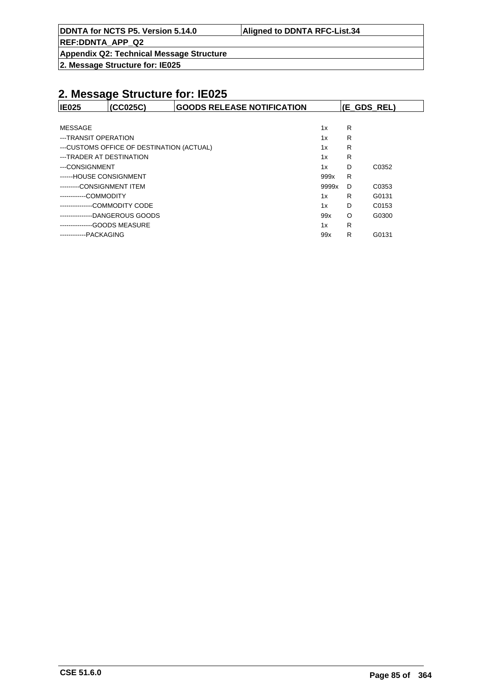|  |  | DDNTA for NCTS P5. Version 5.14.0 |  |
|--|--|-----------------------------------|--|
|  |  |                                   |  |

**Appendix Q2: Technical Message Structure**

**2. Message Structure for: IE025**

# **2. Message Structure for: IE025**

| <b>IE025</b>                  | (CC025C)                                  | <b>GOODS RELEASE NOTIFICATION</b> |       | (E_GDS_REL) |       |
|-------------------------------|-------------------------------------------|-----------------------------------|-------|-------------|-------|
|                               |                                           |                                   |       |             |       |
| <b>MESSAGE</b>                |                                           |                                   | 1x    | R           |       |
| ---TRANSIT OPERATION          |                                           |                                   | 1x    | R           |       |
|                               | ---CUSTOMS OFFICE OF DESTINATION (ACTUAL) |                                   | 1x    | R           |       |
| ---TRADER AT DESTINATION      |                                           |                                   | 1x    | R           |       |
| ---CONSIGNMENT                |                                           |                                   | 1x    | D           | C0352 |
| ------HOUSE CONSIGNMENT       |                                           |                                   | 999x  | R           |       |
| --------CONSIGNMENT ITEM      |                                           |                                   | 9999x | D           | C0353 |
| -----------COMMODITY          |                                           |                                   | 1x    | R           | G0131 |
| ---------------COMMODITY CODE |                                           |                                   | 1x    | D           | C0153 |
|                               | ---------------DANGEROUS GOODS            |                                   | 99x   | O           | G0300 |
| ---------------GOODS MEASURE  |                                           |                                   | 1x    | R           |       |
| ------------PACKAGING         |                                           |                                   | 99x   | R           | G0131 |

**Aligned to DDNTA RFC-List.34**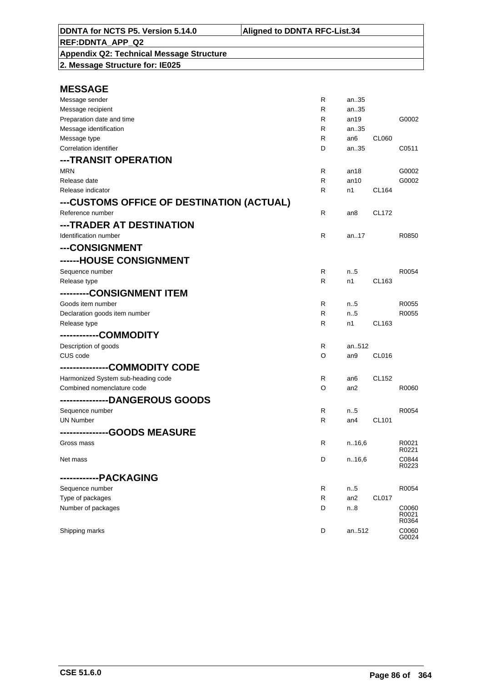|  | DDNTA for NCTS P5. Version 5.14.0 | Aligned to DDNTA RFC-List.34 |
|--|-----------------------------------|------------------------------|
|--|-----------------------------------|------------------------------|

### **REF:DDNTA\_APP\_Q2 Appendix Q2: Technical Message Structure**

| <b>MESSAGE</b>                            |   |                 |       |                |
|-------------------------------------------|---|-----------------|-------|----------------|
| Message sender                            | R | an35            |       |                |
| Message recipient                         | R | an35            |       |                |
| Preparation date and time                 | R | an19            |       | G0002          |
| Message identification                    | R | an35            |       |                |
| Message type                              | R | an6             | CL060 |                |
| Correlation identifier                    | D | an35            |       | C0511          |
| ---TRANSIT OPERATION                      |   |                 |       |                |
| <b>MRN</b>                                | R | an18            |       | G0002          |
| Release date                              | R | an10            |       | G0002          |
| Release indicator                         | R | n1              | CL164 |                |
| ---CUSTOMS OFFICE OF DESTINATION (ACTUAL) |   |                 |       |                |
| Reference number                          | R | an8             | CL172 |                |
| ---TRADER AT DESTINATION                  |   |                 |       |                |
| Identification number                     | R | an. $.17$       |       | R0850          |
| ---CONSIGNMENT                            |   |                 |       |                |
| ------HOUSE CONSIGNMENT                   |   |                 |       |                |
| Sequence number                           | R | n.5             |       | R0054          |
| Release type                              | R | n1              | CL163 |                |
| ---------CONSIGNMENT ITEM                 |   |                 |       |                |
| Goods item number                         | R | $n_{.}5$        |       | R0055          |
| Declaration goods item number             | R | n.5             |       | R0055          |
| Release type                              | R | n1              | CL163 |                |
| ------------COMMODITY                     |   |                 |       |                |
| Description of goods                      | R | an512           |       |                |
| CUS code                                  | O | an9             | CL016 |                |
|                                           |   |                 |       |                |
| Harmonized System sub-heading code        | R | an6             | CL152 |                |
| Combined nomenclature code                | O | an <sub>2</sub> |       | R0060          |
|                                           |   |                 |       |                |
| Sequence number                           | R | n5              |       | R0054          |
| <b>UN Number</b>                          | R | an4             | CL101 |                |
|                                           |   |                 |       |                |
| Gross mass                                | R | n.16,6          |       | R0021<br>R0221 |
| Net mass                                  | D | n.16,6          |       | C0844<br>R0223 |
| ----------PACKAGING                       |   |                 |       |                |
| Sequence number                           | R | n.5             |       | R0054          |
| Type of packages                          | R | an2             | CL017 |                |
| Number of packages                        | D | n.8             |       | C0060          |
|                                           |   |                 |       | R0021<br>R0364 |
| Shipping marks                            | D | an512           |       | C0060<br>G0024 |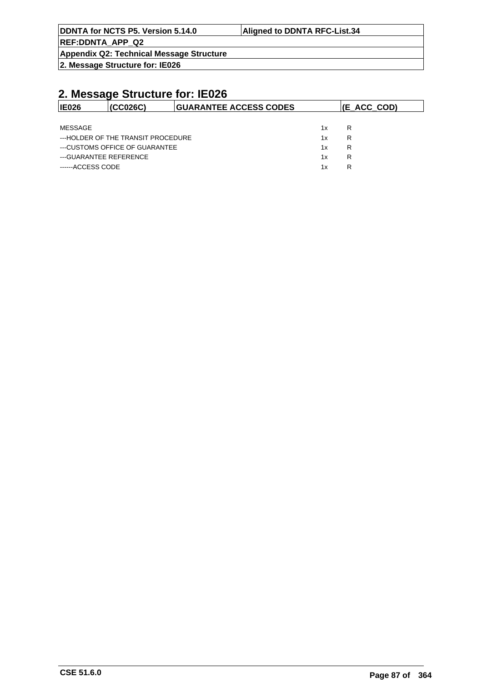|  |  | DDNTA for NCTS P5. Version 5.14.0 |  |
|--|--|-----------------------------------|--|
|  |  |                                   |  |

#### **Aligned to DDNTA RFC-List.34**

**REF:DDNTA\_APP\_Q2**

**Appendix Q2: Technical Message Structure**

**2. Message Structure for: IE026**

| <b>IE026</b>                       | (CCO26C) | <b>GUARANTEE ACCESS CODES</b> |    | (E_ACC_COD) |
|------------------------------------|----------|-------------------------------|----|-------------|
|                                    |          |                               |    |             |
| MESSAGE                            |          |                               | 1x | R           |
| ---HOLDER OF THE TRANSIT PROCEDURE |          |                               |    | R           |
| ---CUSTOMS OFFICE OF GUARANTEE     |          |                               |    | R           |
| --- GUARANTEE REFERENCE            |          |                               | 1x | R           |
| ------ACCESS CODE                  |          |                               | 1x | R           |
|                                    |          |                               |    |             |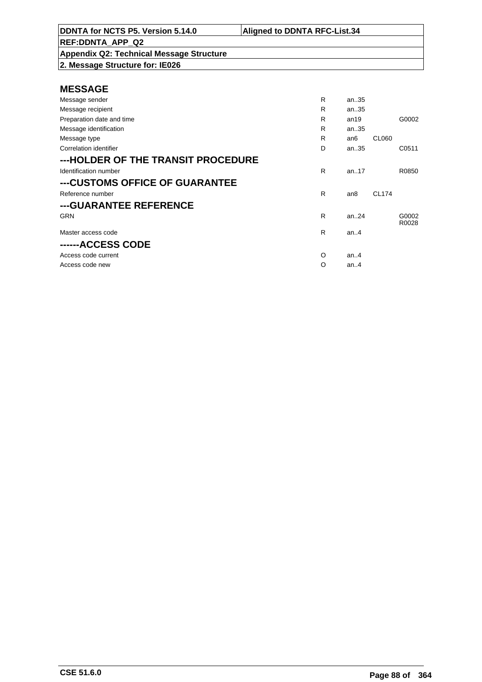#### **Appendix Q2: Technical Message Structure 2. Message Structure for: IE026**

| Message sender                     | R       | an35            |              |                |
|------------------------------------|---------|-----------------|--------------|----------------|
| Message recipient                  | R       | an35            |              |                |
| Preparation date and time          | R       | an19            |              | G0002          |
| Message identification             | R       | an35            |              |                |
| Message type                       | R       | an6             | <b>CL060</b> |                |
| Correlation identifier             | D       | an35            |              | C0511          |
| ---HOLDER OF THE TRANSIT PROCEDURE |         |                 |              |                |
| Identification number              | R       | an.17           |              | R0850          |
| ---CUSTOMS OFFICE OF GUARANTEE     |         |                 |              |                |
| Reference number                   | R       | an <sub>8</sub> | <b>CL174</b> |                |
| ---GUARANTEE REFERENCE             |         |                 |              |                |
| <b>GRN</b>                         | R       | an.24           |              | G0002<br>R0028 |
| Master access code                 | R       | an. $4$         |              |                |
| ------ACCESS CODE                  |         |                 |              |                |
| Access code current                | $\circ$ | an. $4$         |              |                |
| Access code new                    | O       | an $4$          |              |                |
|                                    |         |                 |              |                |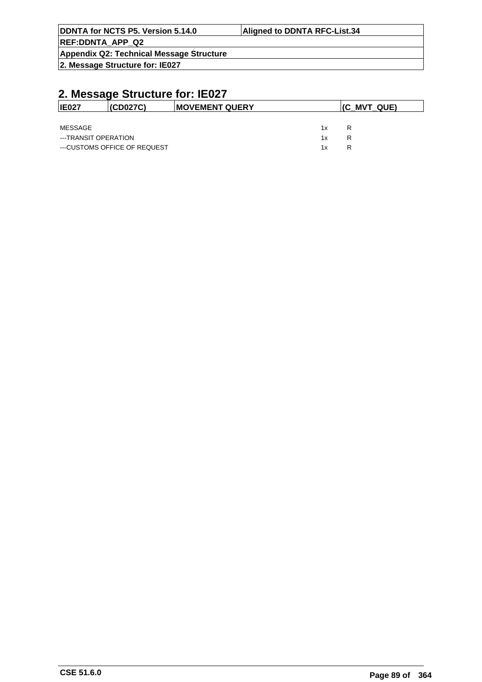| DDNTA for NCTS P5. Version 5.14.0        | Aligned to DDNTA RFC-List.34 |
|------------------------------------------|------------------------------|
| <b>REF:DDNTA APP Q2</b>                  |                              |
| Appendix Q2: Technical Message Structure |                              |
| 2. Message Structure for: IE027          |                              |

**2. Message Structure for: IE027**

| <b>IE027</b>         | (CD027C)                     | <b>IMOVEMENT QUERY</b> |    | $ $ (C_MVT_QUE) |
|----------------------|------------------------------|------------------------|----|-----------------|
|                      |                              |                        |    |                 |
| MESSAGE              |                              |                        | 1x | R               |
| ---TRANSIT OPERATION |                              |                        | 1x |                 |
|                      | ---CUSTOMS OFFICE OF REQUEST |                        | 1x |                 |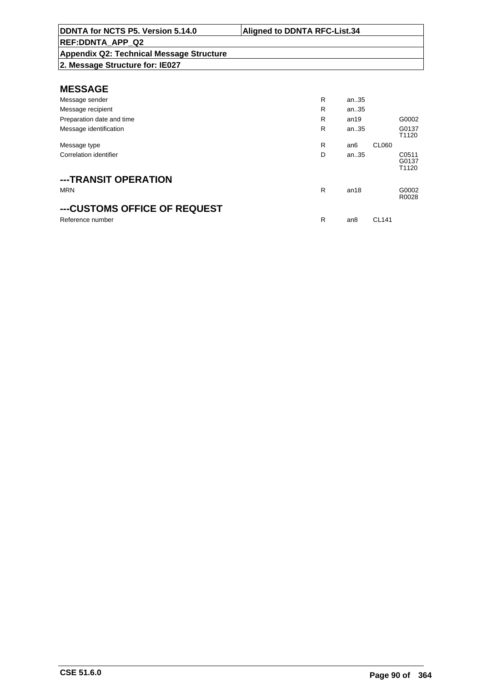| DDNTA for NCTS P5. Version 5.14.0               | <b>Aligned to DDNTA RFC-List.34</b> |       |              |                         |
|-------------------------------------------------|-------------------------------------|-------|--------------|-------------------------|
| REF:DDNTA_APP_Q2                                |                                     |       |              |                         |
| <b>Appendix Q2: Technical Message Structure</b> |                                     |       |              |                         |
| 2. Message Structure for: IE027                 |                                     |       |              |                         |
| <b>MESSAGE</b>                                  |                                     |       |              |                         |
| Message sender                                  | R                                   | an.35 |              |                         |
| Message recipient                               | R                                   | an.35 |              |                         |
| Preparation date and time                       | R                                   | an19  |              | G0002                   |
| Message identification                          | R                                   | an.35 |              | G0137<br>T1120          |
| Message type                                    | R                                   | an6   | <b>CL060</b> |                         |
| Correlation identifier                          | D                                   | an.35 |              | C0511<br>G0137<br>T1120 |
| ---TRANSIT OPERATION                            |                                     |       |              |                         |
| <b>MRN</b>                                      | R                                   | an18  |              | G0002<br>R0028          |
| ---CUSTOMS OFFICE OF REQUEST                    |                                     |       |              |                         |

Reference number **R** an8 CL141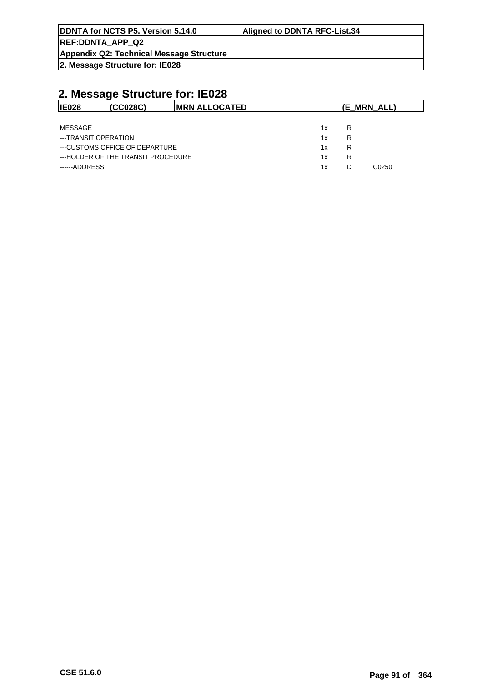|  |  | DDNTA for NCTS P5. Version 5.14.0 |  |
|--|--|-----------------------------------|--|
|  |  |                                   |  |

### **Aligned to DDNTA RFC-List.34**

**REF:DDNTA\_APP\_Q2**

**Appendix Q2: Technical Message Structure**

**2. Message Structure for: IE028**

| <b>IE028</b>                       | (CCO28C) | <b>IMRN ALLOCATED</b> |    |   | (E MRN ALL) |
|------------------------------------|----------|-----------------------|----|---|-------------|
|                                    |          |                       |    |   |             |
| MESSAGE                            |          |                       | 1x | R |             |
| ---TRANSIT OPERATION               |          |                       | 1x | R |             |
| ---CUSTOMS OFFICE OF DEPARTURE     |          |                       | 1x | R |             |
| ---HOLDER OF THE TRANSIT PROCEDURE |          |                       | 1x | R |             |
| ------ADDRESS                      |          |                       | 1x | D | C0250       |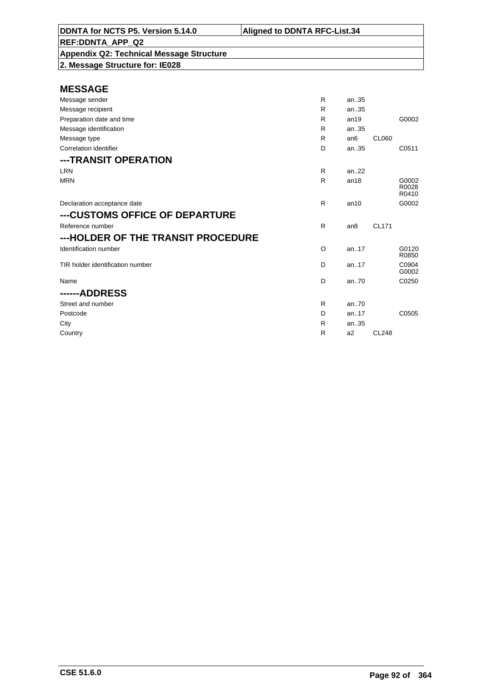#### **REF:DDNTA\_APP\_Q2 Appendix Q2: Technical Message Structure 2. Message Structure for: IE028**

| Message sender                     | R            | an35            |              |                         |
|------------------------------------|--------------|-----------------|--------------|-------------------------|
| Message recipient                  | R            | an35            |              |                         |
| Preparation date and time          | R            | an19            |              | G0002                   |
| Message identification             | R            | an35            |              |                         |
| Message type                       | R            | an <sub>6</sub> | <b>CL060</b> |                         |
| Correlation identifier             | D            | an35            |              | C0511                   |
| ---TRANSIT OPERATION               |              |                 |              |                         |
| LRN                                | R            | an.22           |              |                         |
| <b>MRN</b>                         | R            | an18            |              | G0002<br>R0028<br>R0410 |
| Declaration acceptance date        | $\mathsf{R}$ | an10            |              | G0002                   |
| ---CUSTOMS OFFICE OF DEPARTURE     |              |                 |              |                         |
| Reference number                   | $\mathsf{R}$ | an8             | CL171        |                         |
| ---HOLDER OF THE TRANSIT PROCEDURE |              |                 |              |                         |
| Identification number              | O            | an.17           |              | G0120<br>R0850          |
| TIR holder identification number   | D            | an.17           |              | C0904<br>G0002          |
| Name                               | D            | an70            |              | C0250                   |
| ------ADDRESS                      |              |                 |              |                         |
| Street and number                  | R            | an.70           |              |                         |
| Postcode                           | D            | an.17           |              | C0505                   |
| City                               | R            | an35            |              |                         |
| Country                            | R            | a2              | <b>CL248</b> |                         |
|                                    |              |                 |              |                         |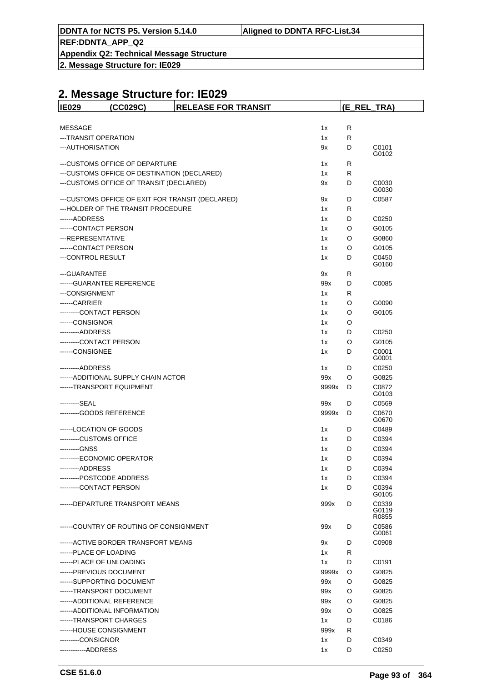# **REF:DDNTA\_APP\_Q2**

**Appendix Q2: Technical Message Structure**

**2. Message Structure for: IE029**

| <b>IE029</b>                                 | (CC029C)                                         | <b>RELEASE FOR TRANSIT</b> |            | (E_REL_TRA) |                |
|----------------------------------------------|--------------------------------------------------|----------------------------|------------|-------------|----------------|
|                                              |                                                  |                            |            |             |                |
| <b>MESSAGE</b>                               |                                                  |                            | 1x         | R           |                |
| ---TRANSIT OPERATION                         |                                                  |                            | 1x         | R           |                |
| --- AUTHORISATION                            |                                                  |                            | 9x         | D           | C0101          |
|                                              |                                                  |                            |            |             | G0102          |
|                                              | ---CUSTOMS OFFICE OF DEPARTURE                   |                            | 1x         | R           |                |
|                                              | ---CUSTOMS OFFICE OF DESTINATION (DECLARED)      |                            | 1x         | R           |                |
|                                              | ---CUSTOMS OFFICE OF TRANSIT (DECLARED)          |                            | 9x         | D           | C0030<br>G0030 |
|                                              | ---CUSTOMS OFFICE OF EXIT FOR TRANSIT (DECLARED) |                            | 9x         | D           | C0587          |
|                                              | ---HOLDER OF THE TRANSIT PROCEDURE               |                            | 1x         | R           |                |
| ------ADDRESS                                |                                                  |                            | 1x         | D           | C0250          |
| ------CONTACT PERSON                         |                                                  |                            | 1x         | O           | G0105          |
| ---REPRESENTATIVE                            |                                                  |                            | 1x         | O           | G0860          |
| ------CONTACT PERSON                         |                                                  |                            | 1x         | O           | G0105          |
| ---CONTROL RESULT                            |                                                  |                            | 1x         | D           | C0450          |
|                                              |                                                  |                            |            |             | G0160          |
| ---GUARANTEE                                 |                                                  |                            | 9x         | R           |                |
| ------GUARANTEE REFERENCE                    |                                                  |                            | 99x        | D           | C0085          |
| ---CONSIGNMENT                               |                                                  |                            | 1x         | R           |                |
| ------CARRIER                                |                                                  |                            | 1x         | O           | G0090          |
| ---------CONTACT PERSON                      |                                                  |                            | 1x         | O           | G0105          |
| ------CONSIGNOR                              |                                                  |                            | 1x         | O           |                |
| ---------ADDRESS                             |                                                  |                            | 1x         | D           | C0250          |
| ---------CONTACT PERSON                      |                                                  |                            | 1x         | O           | G0105          |
| ------CONSIGNEE                              |                                                  |                            | 1x         | D           | C0001<br>G0001 |
| ---------ADDRESS                             |                                                  |                            | 1x         | D           | C0250          |
|                                              | ------ ADDITIONAL SUPPLY CHAIN ACTOR             |                            | 99x        | O           | G0825          |
| ------TRANSPORT EQUIPMENT                    |                                                  |                            | 9999x      | D           | C0872          |
|                                              |                                                  |                            |            |             | G0103          |
| ---------SEAL                                |                                                  |                            | 99x        | D           | C0569          |
| ---------GOODS REFERENCE                     |                                                  |                            | 9999x      | D           | C0670<br>G0670 |
| ------LOCATION OF GOODS                      |                                                  |                            | 1x         | D           | C0489          |
| --------CUSTOMS OFFICE                       |                                                  |                            | 1x         | D           | C0394          |
| --------GNSS                                 |                                                  |                            | 1x         | D           | C0394          |
| --------ECONOMIC OPERATOR                    |                                                  |                            | 1x         | D           | C0394          |
| ---------ADDRESS                             |                                                  |                            | 1x         | D           | C0394          |
| ---------POSTCODE ADDRESS                    |                                                  |                            | 1x         | D           | C0394          |
| --------CONTACT PERSON                       |                                                  |                            | 1x         | D           | C0394          |
|                                              |                                                  |                            |            |             | G0105          |
|                                              | ------DEPARTURE TRANSPORT MEANS                  |                            | 999x       | D           | C0339<br>G0119 |
|                                              |                                                  |                            |            |             | R0855          |
|                                              | ------COUNTRY OF ROUTING OF CONSIGNMENT          |                            | 99x        | D           | C0586          |
|                                              |                                                  |                            |            |             | G0061          |
|                                              | ------ ACTIVE BORDER TRANSPORT MEANS             |                            | 9x         | D           | C0908          |
| ------PLACE OF LOADING                       |                                                  |                            | 1x         | R           |                |
| ------PLACE OF UNLOADING                     |                                                  |                            | 1x         | D           | C0191          |
| ------PREVIOUS DOCUMENT                      |                                                  |                            | 9999x      | O           | G0825          |
| ------SUPPORTING DOCUMENT                    |                                                  |                            | 99x        | O           | G0825          |
| ------TRANSPORT DOCUMENT                     |                                                  |                            | 99x        | O           | G0825          |
| ------ADDITIONAL REFERENCE                   |                                                  |                            | 99x        | O           | G0825          |
|                                              | ------ADDITIONAL INFORMATION                     |                            | 99x<br>1x  | O<br>D      | G0825<br>C0186 |
| ------TRANSPORT CHARGES                      |                                                  |                            |            |             |                |
| ------HOUSE CONSIGNMENT<br>--------CONSIGNOR |                                                  |                            | 999x<br>1x | R<br>D      | C0349          |
| ------------ADDRESS                          |                                                  |                            | 1x         | D           | C0250          |
|                                              |                                                  |                            |            |             |                |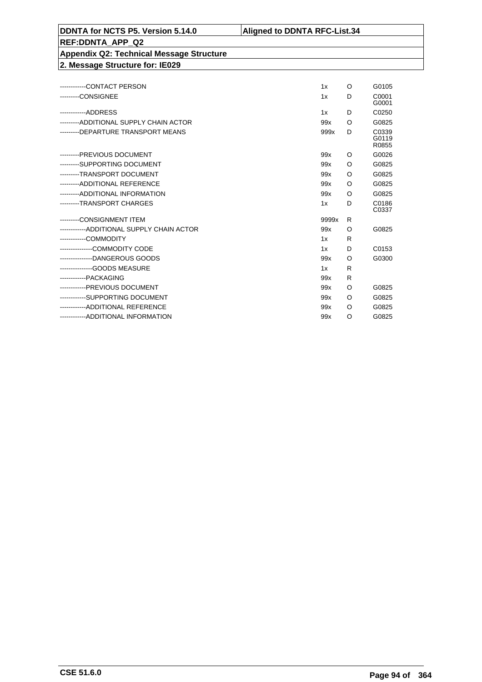#### **REF:DDNTA\_APP\_Q2 Appendix Q2: Technical Message Structure 2. Message Structure for: IE029**

| ------------CONTACT PERSON                | 1x    | $\circ$ | G0105                   |
|-------------------------------------------|-------|---------|-------------------------|
| ---------CONSIGNEE                        | 1x    | D       | C0001<br>G0001          |
| ------------ADDRESS                       | 1x    | D       | C0250                   |
| ---------ADDITIONAL SUPPLY CHAIN ACTOR    | 99x   | O       | G0825                   |
| --------DEPARTURE TRANSPORT MEANS         | 999x  | D       | C0339<br>G0119<br>R0855 |
| ---------PREVIOUS DOCUMENT                | 99x   | O       | G0026                   |
| --------SUPPORTING DOCUMENT               | 99x   | O       | G0825                   |
| ---------TRANSPORT DOCUMENT               | 99x   | O       | G0825                   |
| ---------ADDITIONAL REFERENCE             | 99x   | O       | G0825                   |
| ---------ADDITIONAL INFORMATION           | 99x   | O       | G0825                   |
| ---------TRANSPORT CHARGES                | 1x    | D       | C0186<br>C0337          |
| --------CONSIGNMENT ITEM                  | 9999x | R       |                         |
| ------------ADDITIONAL SUPPLY CHAIN ACTOR | 99x   | O       | G0825                   |
| -----------COMMODITY                      | 1x    | R       |                         |
| --------------COMMODITY CODE              | 1x    | D       | C0153                   |
| ---------------DANGEROUS GOODS            | 99x   | O       | G0300                   |
| ---------------GOODS MEASURE              | 1x    | R       |                         |
| ------------PACKAGING                     | 99x   | R       |                         |
| ------------PREVIOUS DOCUMENT             | 99x   | O       | G0825                   |
| ------------SUPPORTING DOCUMENT           | 99x   | O       | G0825                   |
| ------------ADDITIONAL REFERENCE          | 99x   | $\circ$ | G0825                   |
| ------------ADDITIONAL INFORMATION        | 99x   | O       | G0825                   |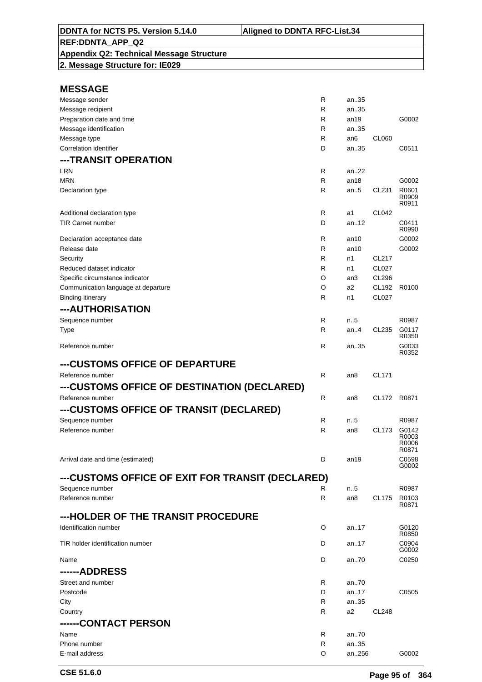| <b>Appendix Q2: Technical Message Structure</b>                 |              |                 |                   |                |
|-----------------------------------------------------------------|--------------|-----------------|-------------------|----------------|
| 2. Message Structure for: IE029                                 |              |                 |                   |                |
|                                                                 |              |                 |                   |                |
| <b>MESSAGE</b>                                                  |              |                 |                   |                |
| Message sender                                                  | R            | an35            |                   |                |
| Message recipient                                               | R            | an35            |                   |                |
| Preparation date and time                                       | R<br>R       | an19            |                   | G0002          |
| Message identification<br>Message type                          | R            | an35<br>an6     | CL060             |                |
| Correlation identifier                                          | D            | an35            |                   | C0511          |
| ---TRANSIT OPERATION                                            |              |                 |                   |                |
| <b>LRN</b>                                                      | R            | an.22           |                   |                |
| <b>MRN</b>                                                      | $\mathsf{R}$ | an18            |                   | G0002          |
| Declaration type                                                | R            | an.5            | CL231             | R0601          |
|                                                                 |              |                 |                   | R0909<br>R0911 |
| Additional declaration type                                     | R            | a1              | CL042             |                |
| <b>TIR Carnet number</b>                                        | D            | an12            |                   | C0411          |
|                                                                 |              |                 |                   | R0990          |
| Declaration acceptance date                                     | R            | an10            |                   | G0002          |
| Release date                                                    | R            | an10            |                   | G0002          |
| Security                                                        | R            | n1              | CL217             |                |
| Reduced dataset indicator                                       | R            | n1              | <b>CL027</b>      |                |
| Specific circumstance indicator                                 | O            | an3             | CL296<br>CL192    |                |
| Communication language at departure<br><b>Binding itinerary</b> | O<br>R       | a2<br>n1        | <b>CL027</b>      | R0100          |
|                                                                 |              |                 |                   |                |
| ---AUTHORISATION                                                |              |                 |                   |                |
| Sequence number                                                 | R            | n.5             |                   | R0987          |
| <b>Type</b>                                                     | R            | an4             | CL <sub>235</sub> | G0117<br>R0350 |
| Reference number                                                | R            | an35            |                   | G0033<br>R0352 |
| ---CUSTOMS OFFICE OF DEPARTURE                                  |              |                 |                   |                |
| Reference number                                                | $\mathsf{R}$ | an <sub>8</sub> | CL171             |                |
|                                                                 |              |                 |                   |                |
| ---CUSTOMS OFFICE OF DESTINATION (DECLARED)                     |              |                 |                   |                |
| Reference number                                                | R            | an8             | CL172             | R0871          |
| ---CUSTOMS OFFICE OF TRANSIT (DECLARED)                         |              |                 |                   |                |
| Sequence number                                                 | R            | n.5             |                   | R0987          |
| Reference number                                                | R            | an8             | CL173             | G0142<br>R0003 |
|                                                                 |              |                 |                   | R0006<br>R0871 |
| Arrival date and time (estimated)                               | D            | an19            |                   | C0598          |
|                                                                 |              |                 |                   | G0002          |
| ---CUSTOMS OFFICE OF EXIT FOR TRANSIT (DECLARED)                |              |                 |                   |                |
| Sequence number                                                 | R            | n.5             |                   | R0987          |
| Reference number                                                | $\mathsf{R}$ | an8             | <b>CL175</b>      | R0103          |
|                                                                 |              |                 |                   | R0871          |
| ---HOLDER OF THE TRANSIT PROCEDURE                              |              |                 |                   |                |
| Identification number                                           | O            | an17            |                   | G0120<br>R0850 |
| TIR holder identification number                                | D            | an17            |                   | C0904          |
|                                                                 |              |                 |                   | G0002          |
| Name                                                            | D            | an70            |                   | C0250          |
| ------ADDRESS                                                   |              |                 |                   |                |
| Street and number                                               | R            | an70            |                   |                |
| Postcode                                                        | D            | an17            |                   | C0505          |
| City                                                            | R            | an35            |                   |                |
| Country                                                         | R            | a2              | <b>CL248</b>      |                |
| ------CONTACT PERSON                                            |              |                 |                   |                |
| Name                                                            | R            | an70            |                   |                |
| Phone number                                                    | $\mathsf{R}$ | an35            |                   |                |

 E-mail address O an..256 G0002

### **CSE 51.6.0**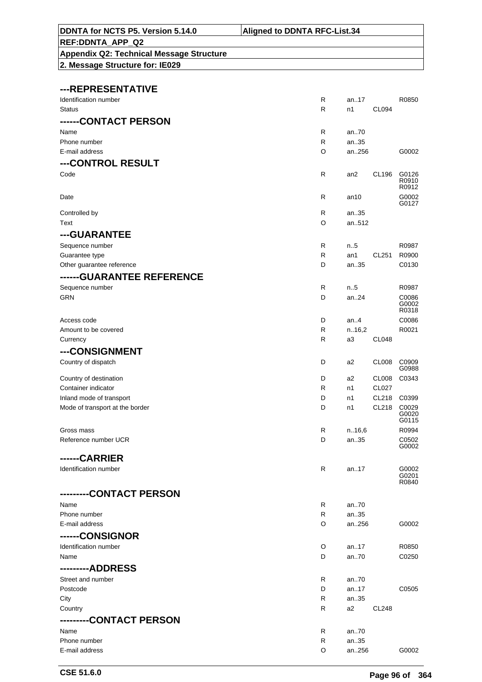#### **REF:DDNTA\_APP\_Q2 Appendix Q2: Technical Message Structure 2. Message Structure for: IE029**

### **-DEDDESENTATIVE**

| NLE NLJLIVI ATIVL               |              |        |              |                |
|---------------------------------|--------------|--------|--------------|----------------|
| Identification number           | $\mathsf{R}$ | an17   |              | R0850          |
| <b>Status</b>                   | R            | n1     | CL094        |                |
| ------CONTACT PERSON            |              |        |              |                |
| Name                            | R            | an.70  |              |                |
| Phone number                    | R            | an35   |              |                |
| E-mail address                  | O            | an256  |              | G0002          |
|                                 |              |        |              |                |
| ---CONTROL RESULT               |              |        |              |                |
| Code                            | R            | an2    | CL196        | G0126<br>R0910 |
|                                 |              |        |              | R0912          |
| Date                            | R            | an10   |              | G0002          |
|                                 |              |        |              | G0127          |
| Controlled by                   | R            | an35   |              |                |
| Text                            | O            | an512  |              |                |
| ---GUARANTEE                    |              |        |              |                |
| Sequence number                 | R            | n.5    |              | R0987          |
| Guarantee type                  | R            | an1    | CL251        | R0900          |
| Other guarantee reference       | D            | an35   |              | C0130          |
| ------GUARANTEE REFERENCE       |              |        |              |                |
|                                 | R            |        |              |                |
| Sequence number                 |              | n.5    |              | R0987          |
| GRN                             | D            | an24   |              | C0086<br>G0002 |
|                                 |              |        |              | R0318          |
| Access code                     | D            | an.4   |              | C0086          |
| Amount to be covered            | R            | n.16,2 |              | R0021          |
| Currency                        | R            | a3     | <b>CL048</b> |                |
| ---CONSIGNMENT                  |              |        |              |                |
| Country of dispatch             | D            | a2     | <b>CL008</b> | C0909          |
|                                 |              |        |              | G0988          |
| Country of destination          | D            | a2     | <b>CL008</b> | C0343          |
| Container indicator             | R            | n1     | <b>CL027</b> |                |
| Inland mode of transport        | D            | n1     | CL218        | C0399          |
| Mode of transport at the border | D            | n1     | CL218        | C0029          |
|                                 |              |        |              | G0020          |
|                                 |              |        |              | G0115          |
| Gross mass                      | R            | n.16,6 |              | R0994          |
| Reference number UCR            | D            | an35   |              | C0502<br>G0002 |
|                                 |              |        |              |                |
| ------CARRIER                   |              |        |              |                |
| Identification number           | R            | an17   |              | G0002<br>G0201 |
|                                 |              |        |              | R0840          |
| --------CONTACT PERSON          |              |        |              |                |
|                                 |              |        |              |                |
| Name                            | R            | an70   |              |                |
| Phone number                    | R            | an35   |              |                |
| E-mail address                  | O            | an256  |              | G0002          |
| ------CONSIGNOR                 |              |        |              |                |
| Identification number           | O            | an17   |              | R0850          |
| Name                            | D            | an70   |              | C0250          |
| ---------ADDRESS                |              |        |              |                |
| Street and number               | R            | an70   |              |                |
| Postcode                        | D            | an17   |              | C0505          |
| City                            | R            | an35   |              |                |
| Country                         | R            | a2     | CL248        |                |
|                                 |              |        |              |                |
| ---------CONTACT PERSON         |              |        |              |                |
| Name                            | R            | an70   |              |                |
| Phone number                    | R            | an35   |              |                |
| E-mail address                  | O            | an256  |              | G0002          |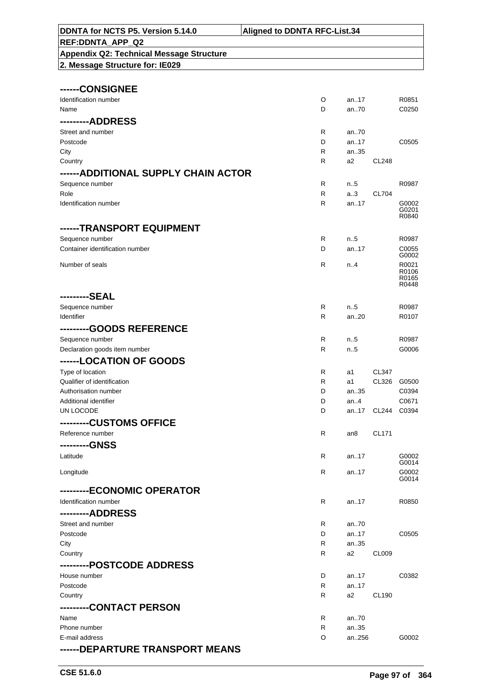| DDNTA for NCTS P5. Version 5.14.0               | <b>Aligned to DDNTA RFC-List.34</b> |              |              |                |
|-------------------------------------------------|-------------------------------------|--------------|--------------|----------------|
| <b>REF:DDNTA APP Q2</b>                         |                                     |              |              |                |
| <b>Appendix Q2: Technical Message Structure</b> |                                     |              |              |                |
| 2. Message Structure for: IE029                 |                                     |              |              |                |
|                                                 |                                     |              |              |                |
| ------CONSIGNEE                                 |                                     |              |              |                |
| Identification number                           | O                                   | an17         |              | R0851          |
| Name                                            | D                                   | an70         |              | C0250          |
| ---------ADDRESS                                |                                     |              |              |                |
| Street and number                               | R                                   | an70         |              |                |
| Postcode                                        | D                                   | an17         |              | C0505          |
| City                                            | R                                   | an35         |              |                |
| Country                                         | R                                   | a2           | <b>CL248</b> |                |
| ------ADDITIONAL SUPPLY CHAIN ACTOR             |                                     |              |              |                |
| Sequence number                                 | R                                   | n.5          |              | R0987          |
| Role                                            | R<br>R                              | a.3          | CL704        |                |
| <b>Identification number</b>                    |                                     | an17         |              | G0002<br>G0201 |
|                                                 |                                     |              |              | R0840          |
| ------TRANSPORT EQUIPMENT                       |                                     |              |              |                |
| Sequence number                                 | R                                   | n.5          |              | R0987          |
| Container identification number                 | D                                   | an.17        |              | C0055<br>G0002 |
| Number of seals                                 | R                                   | n.4          |              | R0021          |
|                                                 |                                     |              |              | R0106<br>R0165 |
|                                                 |                                     |              |              | R0448          |
| ---------SEAL                                   |                                     |              |              |                |
| Sequence number                                 | R                                   | n.5          |              | R0987          |
| Identifier                                      | R                                   | an20         |              | R0107          |
|                                                 |                                     |              |              |                |
| Sequence number                                 | R                                   | n.5          |              | R0987          |
| Declaration goods item number                   | R                                   | n.5          |              | G0006          |
| ------LOCATION OF GOODS                         |                                     |              |              |                |
| Type of location                                | R                                   | a1           | CL347        |                |
| Qualifier of identification                     | R                                   | a1           |              | CL326 G0500    |
| Authorisation number                            | D                                   | an35         |              | C0394          |
| Additional identifier                           | D                                   | an4          |              | C0671          |
| UN LOCODE                                       | D                                   | an17         | CL244 C0394  |                |
| --------CUSTOMS OFFICE                          |                                     |              |              |                |
| Reference number                                | R                                   | an8          | CL171        |                |
| --------GNSS                                    |                                     |              |              |                |
| Latitude                                        | R                                   | an17         |              | G0002<br>G0014 |
| Longitude                                       | R                                   | an17         |              | G0002          |
|                                                 |                                     |              |              | G0014          |
| --------ECONOMIC OPERATOR                       |                                     |              |              |                |
| Identification number                           | R                                   | an17         |              | R0850          |
| ---------ADDRESS                                |                                     |              |              |                |
| Street and number                               | R                                   | an70         |              |                |
| Postcode                                        | D                                   | an17         |              | C0505          |
| City                                            | R                                   | an35         |              |                |
| Country                                         | R                                   | a2           | CL009        |                |
| ---------POSTCODE ADDRESS                       |                                     |              |              |                |
| House number                                    | D                                   | an17         |              | C0382          |
| Postcode                                        | R<br>R                              | an17<br>a2   | CL190        |                |
| Country                                         |                                     |              |              |                |
| ---------CONTACT PERSON                         |                                     |              |              |                |
| Name<br>Phone number                            | R<br>R                              | an70<br>an35 |              |                |
| E-mail address                                  | O                                   | an256        |              | G0002          |
| ------DEPARTURE TRANSPORT MEANS                 |                                     |              |              |                |
|                                                 |                                     |              |              |                |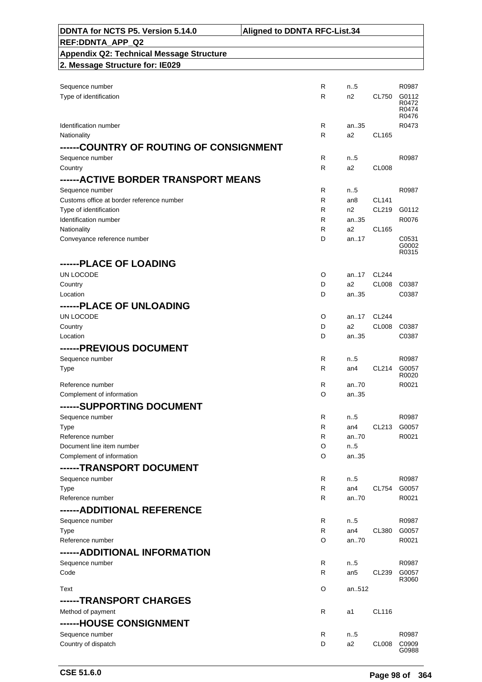| DDNTA for NCTS P5. Version 5.14.0               | <b>Aligned to DDNTA RFC-List.34</b> |                 |                   |                |
|-------------------------------------------------|-------------------------------------|-----------------|-------------------|----------------|
| REF:DDNTA_APP_Q2                                |                                     |                 |                   |                |
| <b>Appendix Q2: Technical Message Structure</b> |                                     |                 |                   |                |
|                                                 |                                     |                 |                   |                |
| 2. Message Structure for: IE029                 |                                     |                 |                   |                |
|                                                 |                                     |                 |                   |                |
| Sequence number                                 | R                                   | n.5             |                   | R0987          |
| Type of identification                          | R                                   | n2              | CL750             | G0112<br>R0472 |
|                                                 |                                     |                 |                   | R0474          |
| Identification number                           | R                                   | an35            |                   | R0476<br>R0473 |
| Nationality                                     | R                                   | a2              | CL165             |                |
|                                                 |                                     |                 |                   |                |
| ------ COUNTRY OF ROUTING OF CONSIGNMENT        |                                     |                 |                   |                |
| Sequence number                                 | R                                   | n.5             |                   | R0987          |
| Country                                         | R                                   | a2              | <b>CL008</b>      |                |
| ------ACTIVE BORDER TRANSPORT MEANS             |                                     |                 |                   |                |
| Sequence number                                 | R                                   | n.5             |                   | R0987          |
| Customs office at border reference number       | R                                   | an8             | CL141             |                |
| Type of identification                          | R                                   | n2              | CL219             | G0112          |
| Identification number                           | R                                   | an35            |                   | R0076          |
| Nationality                                     | R                                   | a2              | CL165             |                |
| Conveyance reference number                     | D                                   | an.17           |                   | C0531<br>G0002 |
|                                                 |                                     |                 |                   | R0315          |
| ------PLACE OF LOADING                          |                                     |                 |                   |                |
| UN LOCODE                                       | O                                   | an. $.17$       | <b>CL244</b>      |                |
| Country                                         | D                                   | a <sub>2</sub>  | <b>CL008</b>      | C0387          |
| Location                                        | D                                   | an35            |                   | C0387          |
| ------PLACE OF UNLOADING                        |                                     |                 |                   |                |
| UN LOCODE                                       | O                                   | an17            | <b>CL244</b>      |                |
| Country                                         | D                                   | a2              | <b>CL008</b>      | C0387          |
| Location                                        | D                                   | an35            |                   | C0387          |
| ------PREVIOUS DOCUMENT                         |                                     |                 |                   |                |
| Sequence number                                 | R                                   | n.5             |                   | R0987          |
| <b>Type</b>                                     | R                                   | an <sub>4</sub> | CL214             | G0057          |
|                                                 |                                     |                 |                   | R0020          |
| Reference number                                | R                                   | an70            |                   | R0021          |
| Complement of information                       | O                                   | an35            |                   |                |
| ------SUPPORTING DOCUMENT                       |                                     |                 |                   |                |
| Sequence number                                 | R                                   | n.5             |                   | R0987          |
| <b>Type</b>                                     | R                                   | an <sub>4</sub> | CL213             | G0057          |
| Reference number                                | R                                   | an70            |                   | R0021          |
| Document line item number                       | O                                   | n.5             |                   |                |
| Complement of information                       | O                                   | an35            |                   |                |
| ------TRANSPORT DOCUMENT                        |                                     |                 |                   |                |
| Sequence number                                 | R                                   | n.5             |                   | R0987          |
| <b>Type</b>                                     | R                                   | an <sub>4</sub> | CL754             | G0057          |
| Reference number                                | $\mathsf{R}$                        | an70            |                   | R0021          |
| ------ADDITIONAL REFERENCE                      |                                     |                 |                   |                |
| Sequence number                                 | R                                   | $n_{.}.5$       |                   | R0987          |
| <b>Type</b>                                     | R                                   | an4             | <b>CL380</b>      | G0057          |
| Reference number                                | O                                   | an70            |                   | R0021          |
| ------ADDITIONAL INFORMATION                    |                                     |                 |                   |                |
| Sequence number                                 | R                                   | n.5             |                   | R0987          |
| Code                                            | R                                   | an5             | CL239             | G0057          |
|                                                 |                                     |                 |                   | R3060          |
| Text                                            | O                                   | an512           |                   |                |
| ------TRANSPORT CHARGES                         |                                     |                 |                   |                |
| Method of payment                               | R                                   | a1              | CL116             |                |
| ------HOUSE CONSIGNMENT                         |                                     |                 |                   |                |
| Sequence number                                 | R                                   | n.5             |                   | R0987          |
| Country of dispatch                             | D                                   | a2              | CL <sub>008</sub> | C0909          |
|                                                 |                                     |                 |                   | G0988          |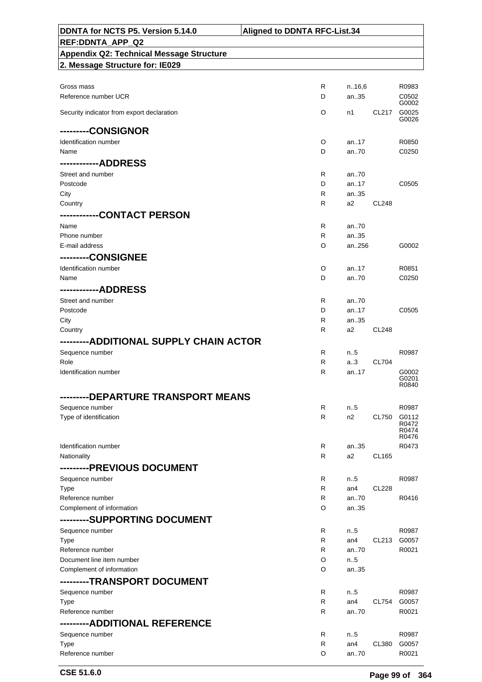| DDNTA for NCTS P5. Version 5.14.0               | <b>Aligned to DDNTA RFC-List.34</b> |                                      |
|-------------------------------------------------|-------------------------------------|--------------------------------------|
| <b>REF:DDNTA APP Q2</b>                         |                                     |                                      |
| <b>Appendix Q2: Technical Message Structure</b> |                                     |                                      |
| 2. Message Structure for: IE029                 |                                     |                                      |
|                                                 |                                     |                                      |
| Gross mass                                      | R                                   | n.16,6<br>R0983                      |
| Reference number UCR                            | D                                   | an35<br>C0502                        |
|                                                 |                                     | G0002                                |
| Security indicator from export declaration      | O                                   | CL217<br>G0025<br>n1                 |
|                                                 |                                     | G0026                                |
| ---------CONSIGNOR                              |                                     |                                      |
| Identification number                           | O                                   | an.17<br>R0850                       |
| Name                                            | D                                   | an.70<br>C0250                       |
| ------------ADDRESS                             |                                     |                                      |
| Street and number                               | R                                   | an.70                                |
| Postcode                                        | D                                   | an17<br>C0505                        |
| City                                            | R                                   | an35                                 |
| Country                                         | R                                   | a2<br><b>CL248</b>                   |
|                                                 |                                     |                                      |
| Name                                            | R                                   | an70                                 |
| Phone number                                    | $\mathsf{R}$                        | an35                                 |
| E-mail address                                  | O                                   | an256<br>G0002                       |
| ---------CONSIGNEE                              |                                     |                                      |
| Identification number                           | O                                   | R0851<br>an17                        |
| Name                                            | D                                   | an.70<br>C0250                       |
| ------------ADDRESS                             |                                     |                                      |
| Street and number                               | R                                   | an.70                                |
| Postcode                                        | D                                   | an17<br>C0505                        |
| City                                            | R                                   | an35                                 |
| Country                                         | R                                   | a2<br><b>CL248</b>                   |
| --------ADDITIONAL SUPPLY CHAIN ACTOR           |                                     |                                      |
| Sequence number                                 | R                                   | R0987<br>n.5                         |
| Role                                            | R                                   | a3<br>CL704                          |
| Identification number                           | R                                   | an17<br>G0002<br>G0201               |
|                                                 |                                     | R0840                                |
| --------DEPARTURE TRANSPORT MEANS               |                                     |                                      |
| Sequence number                                 | R                                   | R0987<br>n.5                         |
| Type of identification                          | R                                   | n2<br>CL750<br>G0112<br>R0472        |
|                                                 |                                     | R0474                                |
|                                                 |                                     | R0476                                |
| Identification number                           | R                                   | R0473<br>an35                        |
| Nationality                                     | R                                   | a2<br>CL165                          |
| ---------PREVIOUS DOCUMENT                      |                                     |                                      |
| Sequence number                                 | $\mathsf{R}$<br>R                   | n.5<br>R0987                         |
| Type<br>Reference number                        | $\mathsf{R}$                        | <b>CL228</b><br>an4<br>an70<br>R0416 |
| Complement of information                       | O                                   | an35                                 |
| --------SUPPORTING DOCUMENT                     |                                     |                                      |
| Sequence number                                 | R                                   | R0987<br>n.5                         |
| <b>Type</b>                                     | R                                   | CL213<br>G0057<br>an4                |
| Reference number                                | R                                   | R0021<br>an70                        |
| Document line item number                       | O                                   | n.5                                  |
| Complement of information                       | O                                   | an35                                 |
| ---------TRANSPORT DOCUMENT                     |                                     |                                      |
| Sequence number                                 | R                                   | R0987<br>n.5                         |
| Type                                            | R                                   | G0057<br>an4<br>CL754                |
| Reference number                                | R                                   | R0021<br>an70                        |
| ---------ADDITIONAL REFERENCE                   |                                     |                                      |
| Sequence number                                 | R                                   | n.5<br>R0987                         |
| <b>Type</b>                                     | R                                   | an4<br>CL380<br>G0057                |
| Reference number                                | O                                   | R0021<br>an70                        |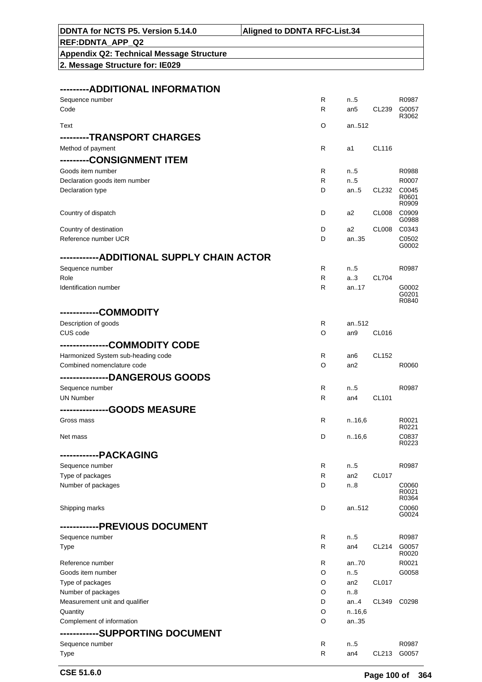| <b>REF:DDNTA APP Q2</b>                          |        |                        |                   |                |  |
|--------------------------------------------------|--------|------------------------|-------------------|----------------|--|
| <b>Appendix Q2: Technical Message Structure</b>  |        |                        |                   |                |  |
| 2. Message Structure for: IE029                  |        |                        |                   |                |  |
|                                                  |        |                        |                   |                |  |
| ---------ADDITIONAL INFORMATION                  |        |                        |                   |                |  |
| Sequence number                                  | R      | n.5                    |                   | R0987          |  |
| Code                                             | R      | an5                    | CL239             | G0057<br>R3062 |  |
| Text                                             | O      | an512                  |                   |                |  |
| --------TRANSPORT CHARGES                        |        |                        |                   |                |  |
| Method of payment                                | R      | a1                     | CL116             |                |  |
| ---------CONSIGNMENT ITEM                        |        |                        |                   |                |  |
| Goods item number                                | R      | n.5                    |                   | R0988          |  |
| Declaration goods item number                    | R      | n.5                    |                   | R0007          |  |
| Declaration type                                 | D      | an $.5$                | CL232             | C0045<br>R0601 |  |
|                                                  |        |                        |                   | R0909          |  |
| Country of dispatch                              | D      | a2                     | CL008             | C0909<br>G0988 |  |
| Country of destination                           | D      | a2                     | CL <sub>008</sub> | C0343          |  |
| Reference number UCR                             | D      | an35                   |                   | C0502<br>G0002 |  |
| ------------ADDITIONAL SUPPLY CHAIN ACTOR        |        |                        |                   |                |  |
| Sequence number                                  | R      | n.5                    |                   | R0987          |  |
| Role                                             | R      | a <sub>0</sub> 3       | CL704             |                |  |
| Identification number                            | R      | an17                   |                   | G0002          |  |
|                                                  |        |                        |                   | G0201<br>R0840 |  |
| -----------COMMODITY                             |        |                        |                   |                |  |
| Description of goods                             | R      | an512                  |                   |                |  |
| CUS code                                         | O      | an9                    | CL016             |                |  |
|                                                  |        |                        |                   |                |  |
| Harmonized System sub-heading code               | R      | an6                    | CL152             |                |  |
| Combined nomenclature code                       | O      | an2                    |                   | R0060          |  |
|                                                  |        |                        |                   |                |  |
| Sequence number                                  | R      | n5                     |                   | R0987          |  |
| <b>UN Number</b>                                 | R      | an4                    | CL101             |                |  |
|                                                  |        |                        |                   |                |  |
| Gross mass                                       | R      | n.16,6                 |                   | R0021<br>R0221 |  |
| Net mass                                         | D      | n.16,6                 |                   | C0837          |  |
|                                                  |        |                        |                   | R0223          |  |
| -----------PACKAGING                             |        |                        |                   |                |  |
| Sequence number                                  | R      | n5                     |                   | R0987          |  |
| Type of packages<br>Number of packages           | R<br>D | an <sub>2</sub><br>n.8 | <b>CL017</b>      | C0060          |  |
|                                                  |        |                        |                   | R0021          |  |
| Shipping marks                                   | D      | an512                  |                   | R0364<br>C0060 |  |
|                                                  |        |                        |                   | G0024          |  |
| -----------PREVIOUS DOCUMENT                     |        |                        |                   |                |  |
| Sequence number                                  | R      | n.5                    |                   | R0987          |  |
| Type                                             | R      | an4                    | CL214             | G0057<br>R0020 |  |
| Reference number                                 | R      | an70                   |                   | R0021          |  |
| Goods item number                                | O      | n.5                    |                   | G0058          |  |
| Type of packages                                 | O      | an2                    | CL017             |                |  |
| Number of packages                               | O      | n.8                    |                   |                |  |
| Measurement unit and qualifier                   | D      | an4                    | CL349             | C0298          |  |
| Quantity                                         | O<br>O | n.16,6<br>an35         |                   |                |  |
| Complement of information                        |        |                        |                   |                |  |
| ----------SUPPORTING DOCUMENT<br>Sequence number | R      | n.5                    |                   | R0987          |  |
| <b>Type</b>                                      | R      | an4                    | CL213             | G0057          |  |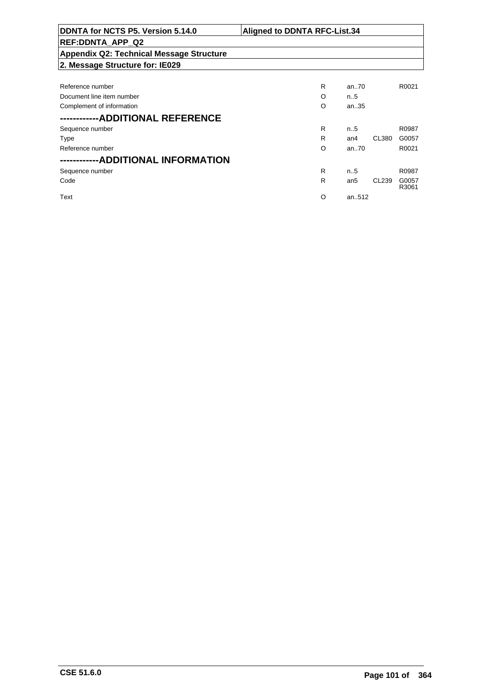| DDNTA for NCTS P5. Version 5.14.0               | <b>Aligned to DDNTA RFC-List.34</b> |                 |                   |                |
|-------------------------------------------------|-------------------------------------|-----------------|-------------------|----------------|
| <b>REF:DDNTA APP Q2</b>                         |                                     |                 |                   |                |
| <b>Appendix Q2: Technical Message Structure</b> |                                     |                 |                   |                |
| 2. Message Structure for: IE029                 |                                     |                 |                   |                |
|                                                 |                                     |                 |                   |                |
| Reference number                                | R                                   | an.70           |                   | R0021          |
| Document line item number                       | O                                   | n.5             |                   |                |
| Complement of information                       | $\circ$                             | an.35           |                   |                |
| <b>-ADDITIONAL REFERENCE</b>                    |                                     |                 |                   |                |
| Sequence number                                 | R                                   | n.5             |                   | R0987          |
| Type                                            | R                                   | an <sub>4</sub> | CL380             | G0057          |
| Reference number                                | O                                   | an70            |                   | R0021          |
| -ADDITIONAL INFORMATION                         |                                     |                 |                   |                |
| Sequence number                                 | R                                   | $n_{.}5$        |                   | R0987          |
| Code                                            | R                                   | an <sub>5</sub> | CL <sub>239</sub> | G0057<br>R3061 |
| Text                                            | $\circ$                             | an512           |                   |                |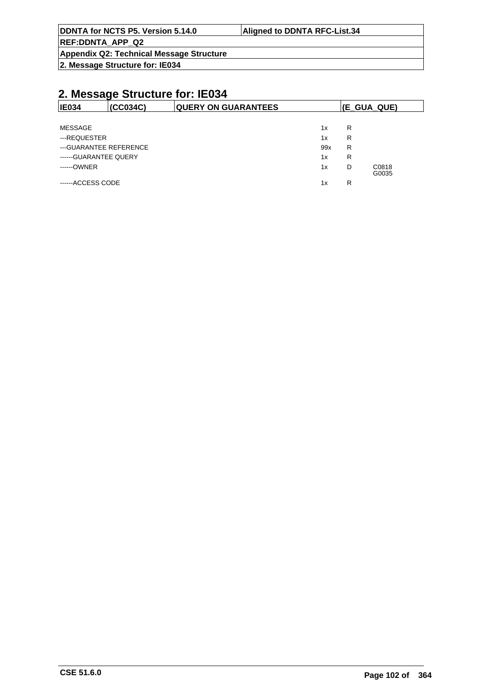| DDNTA for NCTS P5. Version 5.14.0 | Aligned to DDNTA RFC-List.34 |
|-----------------------------------|------------------------------|
|                                   |                              |

**Appendix Q2: Technical Message Structure**

**2. Message Structure for: IE034**

| <b>IE034</b>           | (CC034C) | <b>QUERY ON GUARANTEES</b> |     |   | (E_GUA_QUE)    |
|------------------------|----------|----------------------------|-----|---|----------------|
|                        |          |                            |     |   |                |
| <b>MESSAGE</b>         |          |                            | 1x  | R |                |
| ---REQUESTER           |          |                            | 1x  | R |                |
| ---GUARANTEE REFERENCE |          |                            | 99x | R |                |
| ------GUARANTEE QUERY  |          |                            | 1x  | R |                |
| ------OWNER            |          |                            | 1x  | D | C0818<br>G0035 |
| ------ACCESS CODE      |          |                            | 1x  | R |                |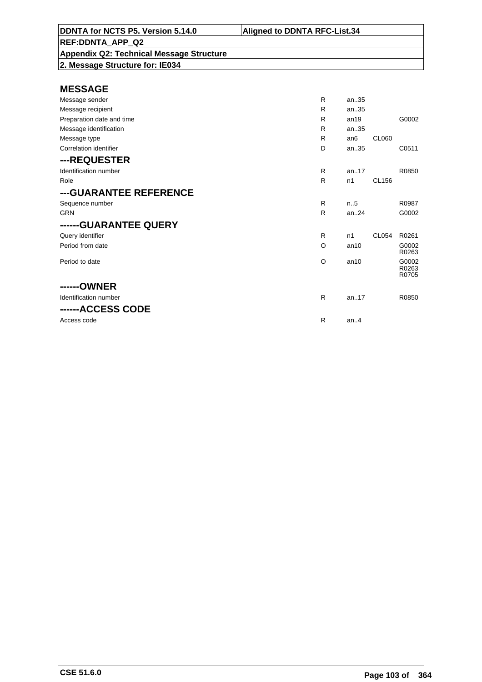#### **REF:DDNTA\_APP\_Q2 Appendix Q2: Technical Message Structure 2. Message Structure for: IE034**

| Message sender            | R            | an35            |       |                         |
|---------------------------|--------------|-----------------|-------|-------------------------|
| Message recipient         | R            | an35            |       |                         |
| Preparation date and time | R            | an19            |       | G0002                   |
| Message identification    | R            | an35            |       |                         |
| Message type              | R            | an <sub>6</sub> | CL060 |                         |
| Correlation identifier    | D            | an35            |       | C0511                   |
| ---REQUESTER              |              |                 |       |                         |
| Identification number     | R            | an.17           |       | R0850                   |
| Role                      | R            | n1              | CL156 |                         |
| ---GUARANTEE REFERENCE    |              |                 |       |                         |
| Sequence number           | R            | n.5             |       | R0987                   |
| <b>GRN</b>                | $\mathsf{R}$ | an.24           |       | G0002                   |
| ------GUARANTEE QUERY     |              |                 |       |                         |
| Query identifier          | R            | n1              | CL054 | R0261                   |
| Period from date          | O            | an10            |       | G0002<br>R0263          |
| Period to date            | O            | an10            |       | G0002<br>R0263<br>R0705 |
| ------OWNER               |              |                 |       |                         |
| Identification number     | $\mathsf{R}$ | an.17           |       | R0850                   |
| ------ACCESS CODE         |              |                 |       |                         |
| Access code               | $\mathsf{R}$ | an.4            |       |                         |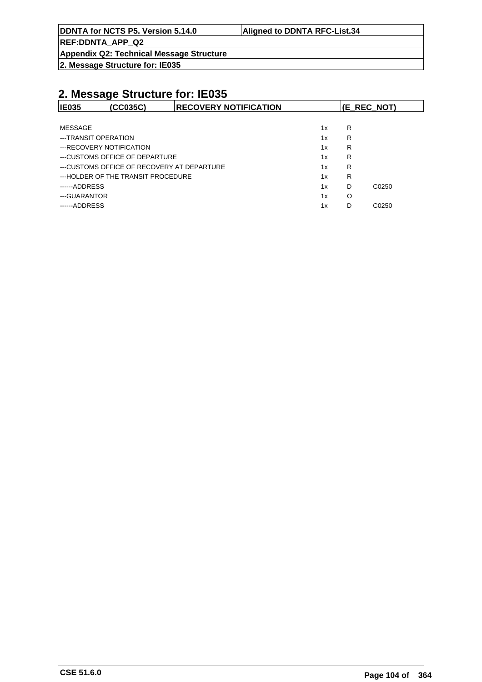|  |  | DDNTA for NCTS P5. Version 5.14.0 |  |
|--|--|-----------------------------------|--|
|  |  |                                   |  |

**Appendix Q2: Technical Message Structure**

**2. Message Structure for: IE035**

# **2. Message Structure for: IE035**

| <b>IE035</b>                               | (CC035C)                           | <b>RECOVERY NOTIFICATION</b> |    |   | (E REC NOT)       |
|--------------------------------------------|------------------------------------|------------------------------|----|---|-------------------|
|                                            |                                    |                              |    |   |                   |
| MESSAGE                                    |                                    |                              | 1x | R |                   |
| ---TRANSIT OPERATION                       |                                    |                              | 1x | R |                   |
| ---RECOVERY NOTIFICATION                   |                                    |                              | 1x | R |                   |
| ---CUSTOMS OFFICE OF DEPARTURE             |                                    |                              | 1x | R |                   |
| ---CUSTOMS OFFICE OF RECOVERY AT DEPARTURE |                                    |                              | 1x | R |                   |
|                                            | ---HOLDER OF THE TRANSIT PROCEDURE |                              | 1x | R |                   |
| ------ADDRESS                              |                                    |                              | 1x | D | C <sub>0250</sub> |
| ---GUARANTOR                               |                                    |                              | 1x | O |                   |
| ------ADDRESS                              |                                    |                              | 1x | D | C0250             |

**Aligned to DDNTA RFC-List.34**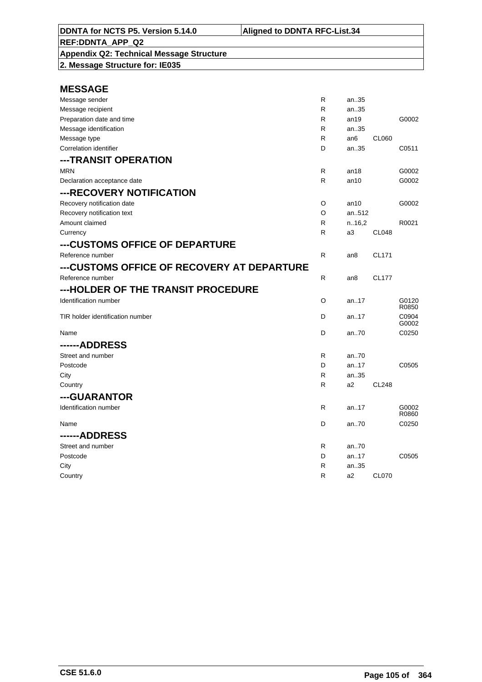| DDNTA for NCTS P5. Version 5.14.0 | Aligned to DDNTA RFC-List.34 |
|-----------------------------------|------------------------------|
| BEE BRUTA ARR OO                  |                              |

# **REF:DDNTA\_APP\_Q2 Appendix Q2: Technical Message Structure**

|  | 2. Message Structure for: IE035 |  |
|--|---------------------------------|--|
|  |                                 |  |

| <b>MESSAGE</b>                             |   |        |              |                |
|--------------------------------------------|---|--------|--------------|----------------|
| Message sender                             | R | an35   |              |                |
| Message recipient                          | R | an35   |              |                |
| Preparation date and time                  | R | an19   |              | G0002          |
| Message identification                     | R | an35   |              |                |
| Message type                               | R | an6    | CL060        |                |
| Correlation identifier                     | D | an35   |              | C0511          |
| ---TRANSIT OPERATION                       |   |        |              |                |
| <b>MRN</b>                                 | R | an18   |              | G0002          |
| Declaration acceptance date                | R | an10   |              | G0002          |
| --- RECOVERY NOTIFICATION                  |   |        |              |                |
| Recovery notification date                 | O | an10   |              | G0002          |
| Recovery notification text                 | O | an512  |              |                |
| Amount claimed                             | R | n.16,2 |              | R0021          |
| Currency                                   | R | a3     | <b>CL048</b> |                |
| ---CUSTOMS OFFICE OF DEPARTURE             |   |        |              |                |
| Reference number                           | R | an8    | CL171        |                |
| ---CUSTOMS OFFICE OF RECOVERY AT DEPARTURE |   |        |              |                |
| Reference number                           | R | an8    | <b>CL177</b> |                |
| ---HOLDER OF THE TRANSIT PROCEDURE         |   |        |              |                |
| Identification number                      | O | an.17  |              | G0120<br>R0850 |
| TIR holder identification number           | D | an.17  |              | C0904<br>G0002 |
| Name                                       | D | an.70  |              | C0250          |
| ------ADDRESS                              |   |        |              |                |
| Street and number                          | R | an70   |              |                |
| Postcode                                   | D | an17   |              | C0505          |
| City                                       | R | an35   |              |                |
| Country                                    | R | a2     | <b>CL248</b> |                |
| ---GUARANTOR                               |   |        |              |                |
| Identification number                      | R | an17   |              | G0002<br>R0860 |
| Name                                       | D | an70   |              | C0250          |
| ------ADDRESS                              |   |        |              |                |
| Street and number                          | R | an.70  |              |                |
| Postcode                                   | D | an.17  |              | C0505          |
| City                                       | R | an35   |              |                |
| Country                                    | R | a2     | <b>CL070</b> |                |
|                                            |   |        |              |                |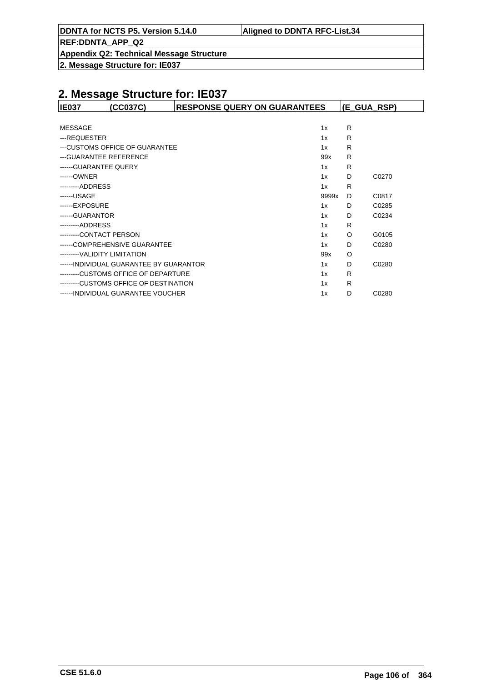| DDNTA for NCTS P5. Version 5.14.0 | Aligned to DDNTA RFC-List.34 |
|-----------------------------------|------------------------------|
|                                   |                              |

**REF:DDNTA\_APP\_Q2 Appendix Q2: Technical Message Structure**

**2. Message Structure for: IE037**

| <b>IE037</b>                 | (CC037C)                                | <b>RESPONSE QUERY ON GUARANTEES</b> |       |   | (E GUA RSP) |
|------------------------------|-----------------------------------------|-------------------------------------|-------|---|-------------|
|                              |                                         |                                     |       |   |             |
| <b>MESSAGE</b>               |                                         |                                     | 1x    | R |             |
| ---REQUESTER                 |                                         |                                     | 1x    | R |             |
|                              | ---CUSTOMS OFFICE OF GUARANTEE          |                                     | 1x    | R |             |
| --- GUARANTEE REFERENCE      |                                         |                                     | 99x   | R |             |
| ------ GUARANTEE QUERY       |                                         |                                     | 1x    | R |             |
| ------OWNER                  |                                         |                                     | 1x    | D | C0270       |
| ---------ADDRESS             |                                         |                                     | 1x    | R |             |
| ------USAGE                  |                                         |                                     | 9999x | D | C0817       |
| ------EXPOSURE               |                                         |                                     | 1x    | D | C0285       |
| ------GUARANTOR              |                                         |                                     | 1x    | D | C0234       |
| ---------ADDRESS             |                                         |                                     | 1x    | R |             |
| ---------CONTACT PERSON      |                                         |                                     | 1x    | O | G0105       |
|                              | ------COMPREHENSIVE GUARANTEE           |                                     | 1x    | D | C0280       |
| ---------VALIDITY LIMITATION |                                         |                                     | 99x   | O |             |
|                              | ------INDIVIDUAL GUARANTEE BY GUARANTOR |                                     | 1x    | D | C0280       |
|                              | ---------CUSTOMS OFFICE OF DEPARTURE    |                                     | 1x    | R |             |
|                              | --------CUSTOMS OFFICE OF DESTINATION   |                                     | 1x    | R |             |
|                              | ------ INDIVIDUAL GUARANTEE VOUCHER     |                                     | 1x    | D | C0280       |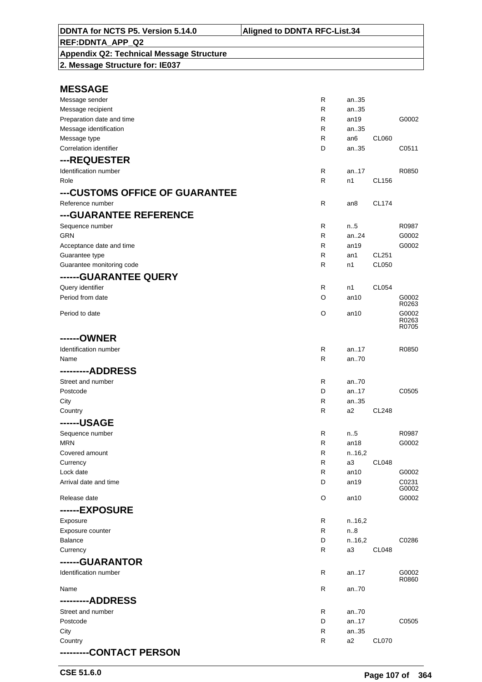| DDNTA for NCTS P5. Version 5.14.0               | <b>Aligned to DDNTA RFC-List.34</b> |
|-------------------------------------------------|-------------------------------------|
| <b>REF:DDNTA APP Q2</b>                         |                                     |
| <b>Appendix Q2: Technical Message Structure</b> |                                     |
| 2. Message Structure for: IE037                 |                                     |
|                                                 |                                     |
| <b>MESSAGE</b>                                  |                                     |

| Message sender                 | R  | an35   |              |                |
|--------------------------------|----|--------|--------------|----------------|
| Message recipient              | R  | an35   |              |                |
| Preparation date and time      | R  | an19   |              | G0002          |
| Message identification         | R  | an35   |              |                |
| Message type                   | R  | an6    | CL060        |                |
| Correlation identifier         | D  | an35   |              | C0511          |
| ---REQUESTER                   |    |        |              |                |
| Identification number          | R  | an17   |              | R0850          |
| Role                           | R. | n1     | CL156        |                |
| ---CUSTOMS OFFICE OF GUARANTEE |    |        |              |                |
| Reference number               | R  | an8    | <b>CL174</b> |                |
| --- GUARANTEE REFERENCE        |    |        |              |                |
| Sequence number                | R  | n.5    |              | R0987          |
| <b>GRN</b>                     | R  | an24   |              | G0002          |
| Acceptance date and time       | R  | an19   |              | G0002          |
| Guarantee type                 | R  | an1    | CL251        |                |
| Guarantee monitoring code      | R  | n1     | <b>CL050</b> |                |
| ------GUARANTEE QUERY          |    |        |              |                |
| Query identifier               | R  | n1     | CL054        |                |
| Period from date               | O  | an10   |              | G0002          |
|                                |    |        |              | R0263          |
| Period to date                 | O  | an10   |              | G0002<br>R0263 |
|                                |    |        |              | R0705          |
| ------OWNER                    |    |        |              |                |
| Identification number          | R  | an17   |              | R0850          |
| Name                           | R  | an70   |              |                |
| ---------ADDRESS               |    |        |              |                |
| Street and number              | R  | an70   |              |                |
| Postcode                       | D  | an17   |              | C0505          |
| City                           | R  | an35   |              |                |
| Country                        | R  | a2     | <b>CL248</b> |                |
| ------USAGE                    |    |        |              |                |
| Sequence number                | R  | n.5    |              | R0987          |
| <b>MRN</b>                     | R  | an18   |              | G0002          |
| Covered amount                 | R  | n.16,2 |              |                |
| Currency                       | R  | a3     | <b>CL048</b> |                |
| Lock date                      | R  | an10   |              | G0002          |
| Arrival date and time          | D  | an19   |              | C0231<br>G0002 |
| Release date                   | O  | an10   |              | G0002          |
| ------EXPOSURE                 |    |        |              |                |
| Exposure                       | R  | n.16,2 |              |                |
| Exposure counter               | R  | n.8    |              |                |
| <b>Balance</b>                 | D  | n.16,2 |              | C0286          |
| Currency                       | R  | a3     | <b>CL048</b> |                |
| ------GUARANTOR                |    |        |              |                |
| Identification number          | R  | an.17  |              | G0002          |
|                                |    |        |              | R0860          |
| Name                           | R  | an70   |              |                |
| ---------ADDRESS               |    |        |              |                |
| Street and number              | R  | an70   |              |                |
| Postcode                       | D  | an17   |              | C0505          |
| City                           | R  | an35   |              |                |

**---------CONTACT PERSON**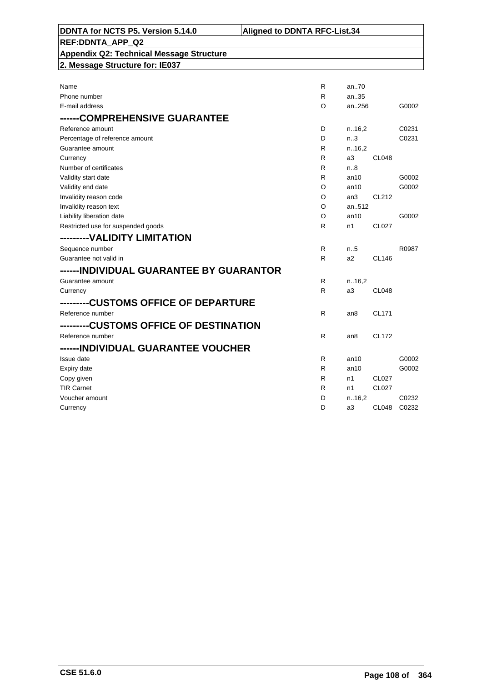| DDNTA for NCTS P5. Version 5.14.0<br><b>Aligned to DDNTA RFC-List.34</b> |    |                  |              |       |  |  |  |  |
|--------------------------------------------------------------------------|----|------------------|--------------|-------|--|--|--|--|
| <b>REF:DDNTA APP Q2</b>                                                  |    |                  |              |       |  |  |  |  |
| <b>Appendix Q2: Technical Message Structure</b>                          |    |                  |              |       |  |  |  |  |
| 2. Message Structure for: IE037                                          |    |                  |              |       |  |  |  |  |
|                                                                          |    |                  |              |       |  |  |  |  |
| Name                                                                     | R  |                  |              |       |  |  |  |  |
| Phone number                                                             | R  | an70<br>an35     |              |       |  |  |  |  |
| E-mail address                                                           | O  | an256            |              | G0002 |  |  |  |  |
|                                                                          |    |                  |              |       |  |  |  |  |
| ------COMPREHENSIVE GUARANTEE                                            |    |                  |              |       |  |  |  |  |
| Reference amount                                                         | D  | n.16,2           |              | C0231 |  |  |  |  |
| Percentage of reference amount                                           | D  | n <sub>1</sub> 3 |              | C0231 |  |  |  |  |
| Guarantee amount                                                         | R  | n.16,2           |              |       |  |  |  |  |
| Currency                                                                 | R  | a3               | <b>CL048</b> |       |  |  |  |  |
| Number of certificates                                                   | R  | n.8              |              |       |  |  |  |  |
| Validity start date                                                      | R  | an10             |              | G0002 |  |  |  |  |
| Validity end date                                                        | O  | an10             |              | G0002 |  |  |  |  |
| Invalidity reason code                                                   | O  | an3              | CL212        |       |  |  |  |  |
| Invalidity reason text                                                   | O  | an512            |              |       |  |  |  |  |
| Liability liberation date                                                | O  | an10             |              | G0002 |  |  |  |  |
| Restricted use for suspended goods                                       | R  | n1               | <b>CL027</b> |       |  |  |  |  |
| ---------VALIDITY LIMITATION                                             |    |                  |              |       |  |  |  |  |
| Sequence number                                                          | R  | n5               |              | R0987 |  |  |  |  |
| Guarantee not valid in                                                   | R  | a2               | <b>CL146</b> |       |  |  |  |  |
| ------ INDIVIDUAL GUARANTEE BY GUARANTOR                                 |    |                  |              |       |  |  |  |  |
| Guarantee amount                                                         | R  | n.16,2           |              |       |  |  |  |  |
| Currency                                                                 | R  | a3               | <b>CL048</b> |       |  |  |  |  |
| ---------CUSTOMS OFFICE OF DEPARTURE                                     |    |                  |              |       |  |  |  |  |
| Reference number                                                         | R  | an8              | CL171        |       |  |  |  |  |
| --------CUSTOMS OFFICE OF DESTINATION                                    |    |                  |              |       |  |  |  |  |
| Reference number                                                         | R  | an8              | <b>CL172</b> |       |  |  |  |  |
| ------INDIVIDUAL GUARANTEE VOUCHER                                       |    |                  |              |       |  |  |  |  |
| Issue date                                                               | R. | an10             |              | G0002 |  |  |  |  |
| Expiry date                                                              | R  | an10             |              | G0002 |  |  |  |  |
| Copy given                                                               | R  | n1               | <b>CL027</b> |       |  |  |  |  |
| <b>TIR Carnet</b>                                                        | R  | n1               | CL027        |       |  |  |  |  |
| Voucher amount                                                           | D  | n.16,2           |              | C0232 |  |  |  |  |
| Currency                                                                 | D  | a3               | <b>CL048</b> | C0232 |  |  |  |  |
|                                                                          |    |                  |              |       |  |  |  |  |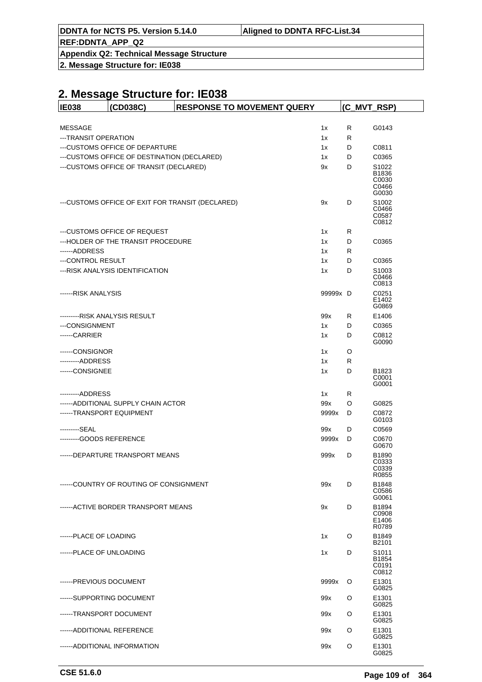**REF:DDNTA\_APP\_Q2 Appendix Q2: Technical Message Structure**

**2. Message Structure for: IE038**

| <b>IE038</b>             | (CD038C)                                         | <b>RESPONSE TO MOVEMENT QUERY</b> |          |   | (C_MVT_RSP)                                  |
|--------------------------|--------------------------------------------------|-----------------------------------|----------|---|----------------------------------------------|
|                          |                                                  |                                   |          |   |                                              |
| <b>MESSAGE</b>           |                                                  |                                   | 1x       | R | G0143                                        |
| ---TRANSIT OPERATION     |                                                  |                                   | 1x       | R |                                              |
|                          | ---CUSTOMS OFFICE OF DEPARTURE                   |                                   | 1x       | D | C0811                                        |
|                          | ---CUSTOMS OFFICE OF DESTINATION (DECLARED)      |                                   | 1x       | D | C0365                                        |
|                          | ---CUSTOMS OFFICE OF TRANSIT (DECLARED)          |                                   | 9x       | D | S1022<br>B1836<br>C0030<br>C0466<br>G0030    |
|                          | ---CUSTOMS OFFICE OF EXIT FOR TRANSIT (DECLARED) |                                   | 9x       | D | S1002<br>C0466<br>C0587<br>C0812             |
|                          | ---CUSTOMS OFFICE OF REQUEST                     |                                   | 1x       | R |                                              |
|                          | ---HOLDER OF THE TRANSIT PROCEDURE               |                                   | 1x       | D | C0365                                        |
| ------ADDRESS            |                                                  |                                   | 1x       | R |                                              |
| ---CONTROL RESULT        |                                                  |                                   | 1x       | D | C0365                                        |
|                          | --- RISK ANALYSIS IDENTIFICATION                 |                                   | 1x       | D | S1003<br>C0466<br>C0813                      |
| ------RISK ANALYSIS      |                                                  |                                   | 99999x D |   | C0251<br>E1402<br>G0869                      |
|                          | ---------RISK ANALYSIS RESULT                    |                                   | 99x      | R | E1406                                        |
| ---CONSIGNMENT           |                                                  |                                   | 1x       | D | C0365                                        |
| ------CARRIER            |                                                  |                                   | 1x       | D | C0812<br>G0090                               |
| ------CONSIGNOR          |                                                  |                                   | 1x       | O |                                              |
| ---------ADDRESS         |                                                  |                                   | 1x       | R |                                              |
| ------CONSIGNEE          |                                                  |                                   | 1x       | D | B1823<br>C0001<br>G0001                      |
| ---------ADDRESS         |                                                  |                                   | 1x       | R |                                              |
|                          | ------ ADDITIONAL SUPPLY CHAIN ACTOR             |                                   | 99x      | O | G0825                                        |
|                          | ------TRANSPORT EQUIPMENT                        |                                   | 9999x    | D | C0872<br>G0103                               |
| ---------SEAL            |                                                  |                                   | 99x      | D | C0569                                        |
| ---------GOODS REFERENCE |                                                  |                                   | 9999x    | D | C0670<br>G0670                               |
|                          | ------DEPARTURE TRANSPORT MEANS                  |                                   | 999x     | D | B1890<br>C0333<br><b>C0339</b><br>R0855      |
|                          | ------COUNTRY OF ROUTING OF CONSIGNMENT          |                                   | 99x      | D | B1848<br>C0586<br>G0061                      |
|                          | ------ ACTIVE BORDER TRANSPORT MEANS             |                                   | 9x       | D | B1894<br>C0908<br>E1406<br>R0789             |
| ------PLACE OF LOADING   |                                                  |                                   | 1x       | O | B1849<br>B2101                               |
| ------PLACE OF UNLOADING |                                                  |                                   | 1x       | D | S <sub>1011</sub><br>B1854<br>C0191<br>C0812 |
| ------PREVIOUS DOCUMENT  |                                                  |                                   | 9999x    | O | E1301<br>G0825                               |
|                          | ------SUPPORTING DOCUMENT                        |                                   | 99x      | O | E1301<br>G0825                               |
|                          | ------TRANSPORT DOCUMENT                         |                                   | 99x      | O | E1301<br>G0825                               |
|                          | ------ ADDITIONAL REFERENCE                      |                                   | 99x      | O | E1301<br>G0825                               |
|                          | ------ ADDITIONAL INFORMATION                    |                                   | 99x      | O | E1301<br>G0825                               |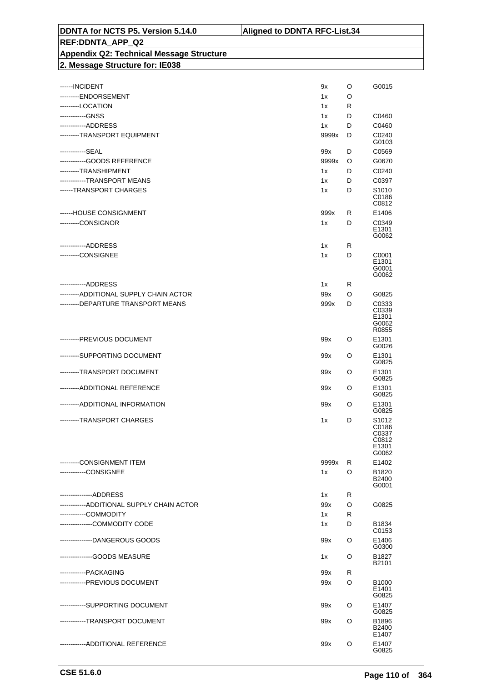| ∣DDNTA for NCTS P5. Version 5.14.0 |  |
|------------------------------------|--|
| <b>REF:DDNTA APP Q2</b>            |  |

#### **Appendix Q2: Technical Message Structure 2. Message Structure for: IE038**

| ------INCIDENT<br>---------ENDORSEMENT    | 9x<br>1x | O<br>O | G0015                                                          |
|-------------------------------------------|----------|--------|----------------------------------------------------------------|
| ---------LOCATION                         | 1x       | R      |                                                                |
| ------------GNSS                          | 1x       | D      | C0460                                                          |
| ------------ADDRESS                       | 1x       | D      | C0460                                                          |
| ---------TRANSPORT EQUIPMENT              | 9999x    | D      | C0240<br>G0103                                                 |
| ------------SEAL                          | 99x      | D      | C0569                                                          |
| -----------GOODS REFERENCE                | 9999x    | O      | G0670                                                          |
| --------TRANSHIPMENT                      | 1x       | D      | C0240                                                          |
| ------------TRANSPORT MEANS               | 1x       | D      | C0397                                                          |
| ------TRANSPORT CHARGES                   | 1x       | D      | S <sub>1010</sub><br>C0186<br>C0812                            |
| ------HOUSE CONSIGNMENT                   | 999x     | R      | E1406                                                          |
| --------CONSIGNOR                         | 1x       | D      | C0349<br>E1301<br>G0062                                        |
| ------------ADDRESS                       | 1x       | R      |                                                                |
| ---------CONSIGNEE                        | 1x       | D      | C0001<br>E1301<br>G0001<br>G0062                               |
| ------------ADDRESS                       | 1x       | R      |                                                                |
| ---------ADDITIONAL SUPPLY CHAIN ACTOR    | 99x      | O      | G0825                                                          |
| --------DEPARTURE TRANSPORT MEANS         | 999x     | D      | C0333<br>C0339<br>E1301<br>G0062                               |
| ---------PREVIOUS DOCUMENT                | 99x      | O      | R0855<br>E1301<br>G0026                                        |
| --------SUPPORTING DOCUMENT               | 99x      | O      | E1301<br>G0825                                                 |
| --------TRANSPORT DOCUMENT                | 99x      | O      | E1301<br>G0825                                                 |
| ---------ADDITIONAL REFERENCE             | 99x      | O      | E1301<br>G0825                                                 |
| ---------ADDITIONAL INFORMATION           | 99x      | O      | E1301<br>G0825                                                 |
| --------TRANSPORT CHARGES                 | 1x       | D      | S <sub>1012</sub><br>C0186<br>C0337<br>C0812<br>E1301<br>G0062 |
| --------CONSIGNMENT ITEM                  | 9999x    | R      | E1402                                                          |
| ------------CONSIGNEE                     | 1x       | O      | B1820<br>B2400<br>G0001                                        |
| ---------------ADDRESS                    | 1x       | R      |                                                                |
| ------------ADDITIONAL SUPPLY CHAIN ACTOR | 99x      | O      | G0825                                                          |
| -----------COMMODITY                      | 1x       | R      |                                                                |
| ---------------COMMODITY CODE             | 1x       | D      | B1834<br>C0153                                                 |
| ---------------DANGEROUS GOODS            | 99x      | O      | E1406<br>G0300                                                 |
| ---------------GOODS MEASURE              | 1x       | O      | B1827<br>B2101                                                 |
| ------------PACKAGING                     | 99x      | R      |                                                                |
| ------------PREVIOUS DOCUMENT             | 99x      | O      | B1000<br>E1401<br>G0825                                        |
| -----------SUPPORTING DOCUMENT            | 99x      | O      | E1407<br>G0825                                                 |
| ------------TRANSPORT DOCUMENT            | 99x      | O      | B1896<br>B2400<br>E1407                                        |
| ------------ADDITIONAL REFERENCE          | 99x      | O      | E1407<br>G0825                                                 |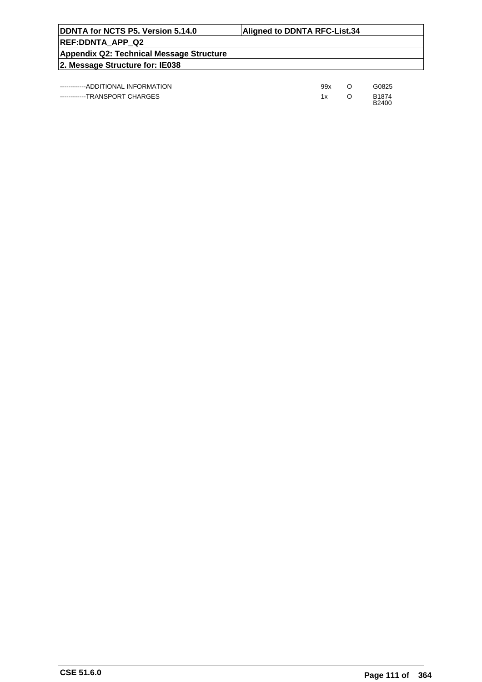| DDNTA for NCTS P5. Version 5.14.0        | Alianed to DDNTA RFC-List.34 |
|------------------------------------------|------------------------------|
| <b>REF:DDNTA APP Q2</b>                  |                              |
| Appendix Q2: Technical Message Structure |                              |
| 2. Message Structure for: IE038          |                              |
|                                          |                              |

------------ADDITIONAL INFORMATION 09X 0 60825 ------------TRANSPORT CHARGES

| 99x | O | G0825                      |
|-----|---|----------------------------|
| 1x  | O | B1874<br>B <sub>2400</sub> |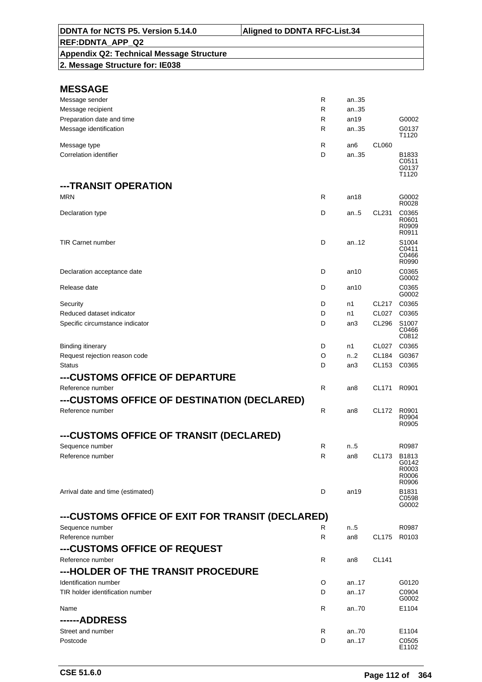| REF:DDNTA_APP_Q2                                 |        |                  |                   |                |
|--------------------------------------------------|--------|------------------|-------------------|----------------|
| <b>Appendix Q2: Technical Message Structure</b>  |        |                  |                   |                |
| 2. Message Structure for: IE038                  |        |                  |                   |                |
|                                                  |        |                  |                   |                |
| <b>MESSAGE</b>                                   |        |                  |                   |                |
| Message sender                                   | R      | an35             |                   |                |
| Message recipient                                | R      | an35             |                   |                |
| Preparation date and time                        | R      | an19             |                   | G0002          |
| Message identification                           | R      | an35             |                   | G0137<br>T1120 |
| Message type                                     | R      | an6              | CL <sub>060</sub> |                |
| Correlation identifier                           | D      | an35             |                   | B1833          |
|                                                  |        |                  |                   | C0511<br>G0137 |
|                                                  |        |                  |                   | T1120          |
| ---TRANSIT OPERATION                             |        |                  |                   |                |
| <b>MRN</b>                                       | R      | an18             |                   | G0002          |
|                                                  |        |                  |                   | R0028          |
| Declaration type                                 | D      | an.5             | CL231             | C0365<br>R0601 |
|                                                  |        |                  |                   | R0909          |
| <b>TIR Carnet number</b>                         | D      | an.12            |                   | R0911<br>S1004 |
|                                                  |        |                  |                   | C0411          |
|                                                  |        |                  |                   | C0466<br>R0990 |
| Declaration acceptance date                      | D      | an10             |                   | C0365          |
|                                                  |        |                  |                   | G0002          |
| Release date                                     | D      | an10             |                   | C0365<br>G0002 |
| Security                                         | D      | n1               | CL217             | C0365          |
| Reduced dataset indicator                        | D      | n1               | <b>CL027</b>      | C0365          |
| Specific circumstance indicator                  | D      | an3              | CL296             | S1007          |
|                                                  |        |                  |                   | C0466<br>C0812 |
| Binding itinerary                                | D      | n1               | <b>CL027</b>      | C0365          |
| Request rejection reason code                    | O      | n <sub>1</sub> 2 | CL184             | G0367          |
| <b>Status</b>                                    | D      | an3              | CL153             | C0365          |
| ---CUSTOMS OFFICE OF DEPARTURE                   |        |                  |                   |                |
| Reference number                                 | R      | an8              | CL171             | R0901          |
| ---CUSTOMS OFFICE OF DESTINATION (DECLARED)      |        |                  |                   |                |
| Reference number                                 | R      | an8              | CL172             | R0901          |
|                                                  |        |                  |                   | R0904<br>R0905 |
| ---CUSTOMS OFFICE OF TRANSIT (DECLARED)          |        |                  |                   |                |
| Sequence number                                  | R      | n.5              |                   | R0987          |
| Reference number                                 | R      | an <sub>8</sub>  | CL173             | B1813          |
|                                                  |        |                  |                   | G0142          |
|                                                  |        |                  |                   | R0003<br>R0006 |
|                                                  |        |                  |                   | R0906          |
| Arrival date and time (estimated)                | D      | an19             |                   | B1831<br>C0598 |
|                                                  |        |                  |                   | G0002          |
| ---CUSTOMS OFFICE OF EXIT FOR TRANSIT (DECLARED) |        |                  |                   |                |
| Sequence number                                  | R      | n5               |                   | R0987          |
| Reference number                                 | R      | an8              | CL175             | R0103          |
| ---CUSTOMS OFFICE OF REQUEST                     |        |                  |                   |                |
| Reference number                                 | R      | an8              | CL141             |                |
| ---HOLDER OF THE TRANSIT PROCEDURE               |        |                  |                   |                |
| Identification number                            | O      | an17             |                   | G0120          |
| TIR holder identification number                 | D      | an.17            |                   | C0904          |
| Name                                             | R      | an70             |                   | G0002<br>E1104 |
|                                                  |        |                  |                   |                |
| ------ADDRESS                                    |        |                  |                   |                |
| Street and number<br>Postcode                    | R<br>D | an70<br>an17     |                   | E1104<br>C0505 |
|                                                  |        |                  |                   | E1102          |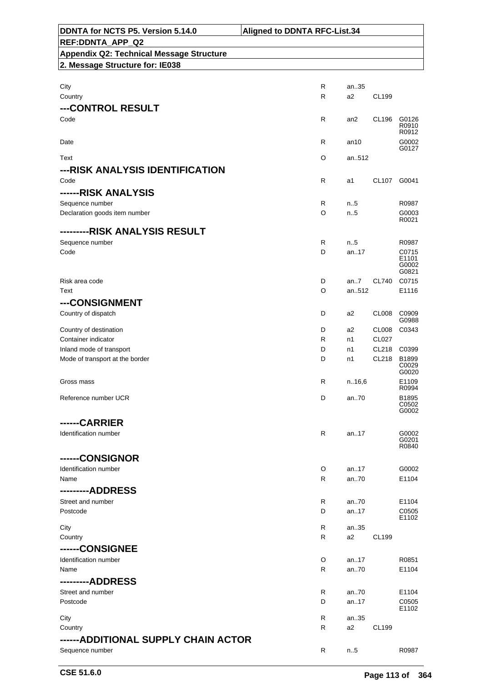| DDNTA for NCTS P5. Version 5.14.0               |                                            |                              |                |
|-------------------------------------------------|--------------------------------------------|------------------------------|----------------|
| REF:DDNTA_APP_Q2                                | <b>Aligned to DDNTA RFC-List.34</b>        |                              |                |
| <b>Appendix Q2: Technical Message Structure</b> |                                            |                              |                |
| 2. Message Structure for: IE038                 |                                            |                              |                |
|                                                 |                                            |                              |                |
| City<br>Country                                 | $\mathsf{R}$<br>an35<br>$\mathsf{R}$<br>a2 | CL199                        |                |
| ---CONTROL RESULT                               |                                            |                              |                |
| Code                                            | R<br>an <sub>2</sub>                       | CL196                        | G0126          |
|                                                 |                                            |                              | R0910<br>R0912 |
| Date                                            | R<br>an10                                  |                              | G0002<br>G0127 |
| Text                                            | O<br>an512                                 |                              |                |
| ---RISK ANALYSIS IDENTIFICATION                 |                                            |                              |                |
| Code                                            | R<br>a1                                    | CL107                        | G0041          |
| ------RISK ANALYSIS                             |                                            |                              |                |
| Sequence number                                 | R<br>$n_{.}.5$                             |                              | R0987          |
| Declaration goods item number                   | O<br>n.5                                   |                              | G0003<br>R0021 |
| --------RISK ANALYSIS RESULT                    |                                            |                              |                |
| Sequence number                                 | $\mathsf{R}$<br>n.5                        |                              | R0987          |
| Code                                            | D<br>an17                                  |                              | C0715<br>E1101 |
|                                                 |                                            |                              | G0002<br>G0821 |
| Risk area code                                  | D<br>an.7                                  | CL740                        | C0715          |
| Text                                            | O<br>an512                                 |                              | E1116          |
| ---CONSIGNMENT<br>Country of dispatch           | D<br>a2                                    | <b>CL008</b>                 | C0909          |
|                                                 |                                            |                              | G0988          |
| Country of destination<br>Container indicator   | D<br>a2<br>R<br>n1                         | <b>CL008</b><br><b>CL027</b> | C0343          |
| Inland mode of transport                        | D<br>n1                                    | CL218                        | C0399          |
| Mode of transport at the border                 | D<br>n1                                    | CL218                        | B1899<br>C0029 |
|                                                 |                                            |                              | G0020          |
| Gross mass                                      | R<br>n.16,6                                |                              | E1109<br>R0994 |
| Reference number UCR                            | D<br>an70                                  |                              | B1895<br>C0502 |
|                                                 |                                            |                              | G0002          |
| ------CARRIER                                   |                                            |                              |                |
| Identification number                           | R<br>an17                                  |                              | G0002<br>G0201 |
|                                                 |                                            |                              | R0840          |
| ------CONSIGNOR                                 |                                            |                              |                |
| Identification number<br>Name                   | O<br>an17<br>R<br>an70                     |                              | G0002<br>E1104 |
| ---------ADDRESS                                |                                            |                              |                |
| Street and number                               | R<br>an70                                  |                              | E1104          |
| Postcode                                        | D<br>an17                                  |                              | C0505<br>E1102 |
| City                                            | R<br>an35                                  |                              |                |
| Country                                         | R<br>a <sub>2</sub>                        | CL199                        |                |
| ------CONSIGNEE                                 |                                            |                              |                |
| Identification number<br>Name                   | O<br>an17<br>R<br>an70                     |                              | R0851<br>E1104 |
| ---------ADDRESS                                |                                            |                              |                |
| Street and number                               | R<br>an70                                  |                              | E1104          |
| Postcode                                        | an17<br>D                                  |                              | C0505<br>E1102 |
| City                                            | R<br>an35                                  |                              |                |
| Country                                         | R<br>a2                                    | CL199                        |                |
| ------ADDITIONAL SUPPLY CHAIN ACTOR             |                                            |                              |                |
| Sequence number                                 | R<br>n.5                                   |                              | R0987          |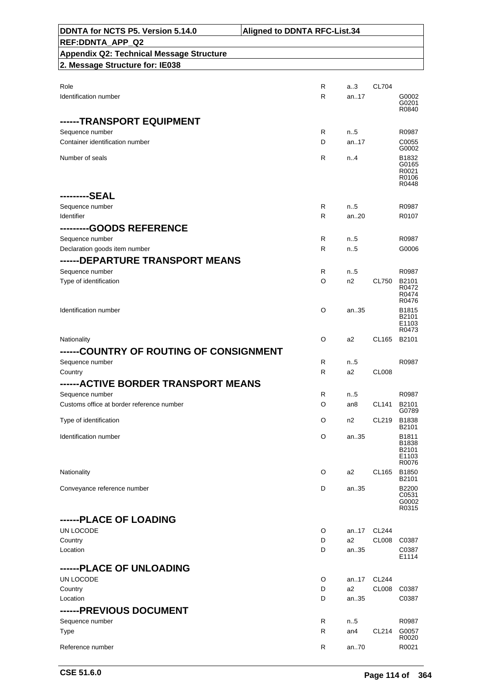| DDNTA for NCTS P5. Version 5.14.0               | <b>Aligned to DDNTA RFC-List.34</b> |                |              |                |
|-------------------------------------------------|-------------------------------------|----------------|--------------|----------------|
| <b>REF:DDNTA APP Q2</b>                         |                                     |                |              |                |
| <b>Appendix Q2: Technical Message Structure</b> |                                     |                |              |                |
| 2. Message Structure for: IE038                 |                                     |                |              |                |
|                                                 |                                     |                |              |                |
| Role                                            | R                                   | a3             | CL704        |                |
| <b>Identification number</b>                    | R                                   | an17           |              | G0002          |
|                                                 |                                     |                |              | G0201<br>R0840 |
| ------TRANSPORT EQUIPMENT                       |                                     |                |              |                |
| Sequence number                                 | R                                   | n.5            |              | R0987          |
| Container identification number                 | D                                   | an.17          |              | C0055          |
|                                                 |                                     |                |              | G0002          |
| Number of seals                                 | $\mathsf{R}$                        | n.4            |              | B1832<br>G0165 |
|                                                 |                                     |                |              | R0021<br>R0106 |
|                                                 |                                     |                |              | R0448          |
| ---------SEAL                                   |                                     |                |              |                |
| Sequence number                                 | $\mathsf{R}$                        | n.5            |              | R0987          |
| Identifier                                      | $\mathsf{R}$                        | an20           |              | R0107          |
|                                                 |                                     |                |              |                |
| Sequence number                                 | R                                   | n.5            |              | R0987          |
| Declaration goods item number                   | R                                   | n.5            |              | G0006          |
| ------DEPARTURE TRANSPORT MEANS                 |                                     |                |              |                |
| Sequence number                                 | R                                   | n.5            |              | R0987          |
| Type of identification                          | O                                   | n2             | CL750        | B2101          |
|                                                 |                                     |                |              | R0472<br>R0474 |
|                                                 |                                     |                |              | R0476          |
| <b>Identification number</b>                    | O                                   | an35           |              | B1815<br>B2101 |
|                                                 |                                     |                |              | E1103<br>R0473 |
| Nationality                                     | O                                   | a2             | CL165        | B2101          |
| ------COUNTRY OF ROUTING OF CONSIGNMENT         |                                     |                |              |                |
| Sequence number                                 | $\mathsf{R}$                        | n.5            |              | R0987          |
| Country                                         | $\mathsf{R}$                        | a2             | <b>CL008</b> |                |
| ------ACTIVE BORDER TRANSPORT MEANS             |                                     |                |              |                |
| Sequence number                                 | $\mathsf{R}$                        | n.5            |              | R0987          |
| Customs office at border reference number       | O                                   | an8            | CL141        | B2101          |
|                                                 |                                     |                |              | G0789          |
| Type of identification                          | O                                   | n <sub>2</sub> | CL219        | B1838<br>B2101 |
| Identification number                           | O                                   | an35           |              | B1811          |
|                                                 |                                     |                |              | B1838<br>B2101 |
|                                                 |                                     |                |              | E1103          |
|                                                 | O                                   | a2             | CL165        | R0076<br>B1850 |
| Nationality                                     |                                     |                |              | B2101          |
| Conveyance reference number                     | D                                   | an35           |              | B2200          |
|                                                 |                                     |                |              | C0531<br>G0002 |
|                                                 |                                     |                |              | R0315          |
| ------PLACE OF LOADING                          |                                     |                |              |                |
| UN LOCODE                                       | O                                   | an17           | CL244        |                |
| Country                                         | D                                   | a2             | <b>CL008</b> | C0387          |
| Location                                        | D                                   | an35           |              | C0387<br>E1114 |
| ------PLACE OF UNLOADING                        |                                     |                |              |                |
| UN LOCODE                                       | O                                   | an17           | CL244        |                |
| Country                                         | D                                   | a2             | <b>CL008</b> | C0387          |
| Location                                        | D                                   | an35           |              | C0387          |
| ------PREVIOUS DOCUMENT                         |                                     |                |              |                |
| Sequence number                                 | R                                   | $n_{\cdot}.5$  |              | R0987          |
| <b>Type</b>                                     | R                                   | an4            | CL214        | G0057          |
|                                                 |                                     |                |              | R0020          |
| Reference number                                | R                                   | an70           |              | R0021          |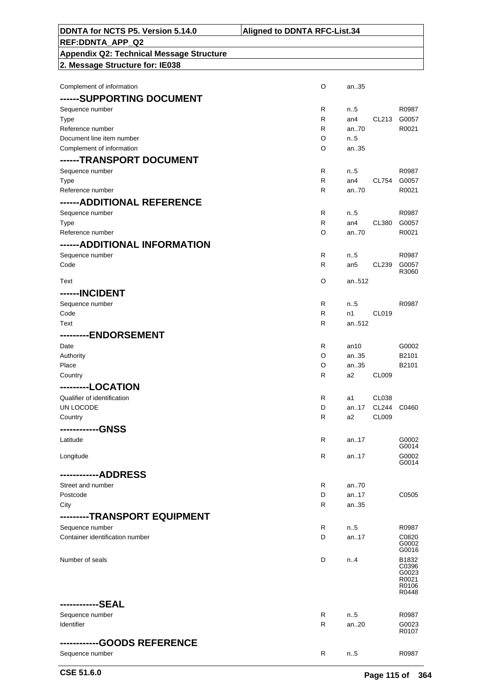| DDNTA for NCTS P5. Version 5.14.0               | <b>Aligned to DDNTA RFC-List.34</b> |              |                |
|-------------------------------------------------|-------------------------------------|--------------|----------------|
| REF:DDNTA_APP_Q2                                |                                     |              |                |
| <b>Appendix Q2: Technical Message Structure</b> |                                     |              |                |
| 2. Message Structure for: IE038                 |                                     |              |                |
|                                                 |                                     |              |                |
| Complement of information                       | O<br>an35                           |              |                |
| ------SUPPORTING DOCUMENT                       |                                     |              |                |
| Sequence number                                 | R<br>$n_{.}.5$                      |              | R0987          |
| <b>Type</b>                                     | R.<br>an4                           | CL213        | G0057          |
| Reference number                                | R<br>an70                           |              | R0021          |
| Document line item number                       | O<br>n.5                            |              |                |
| Complement of information                       | O<br>an35                           |              |                |
| ------TRANSPORT DOCUMENT                        |                                     |              |                |
| Sequence number                                 | R<br>n.5                            |              | R0987          |
| <b>Type</b>                                     | R<br>an4                            | CL754        | G0057          |
| Reference number                                | R<br>an70                           |              | R0021          |
| ------ADDITIONAL REFERENCE                      |                                     |              |                |
| Sequence number                                 | $\mathsf{R}$<br>n.5                 |              | R0987          |
| <b>Type</b>                                     | $\mathsf{R}$<br>an4                 | CL380        | G0057          |
| Reference number                                | O<br>an70                           |              | R0021          |
| ------ADDITIONAL INFORMATION                    |                                     |              |                |
| Sequence number                                 | R.<br>n.5                           |              | R0987          |
| Code                                            | R<br>an5                            | CL239        | G0057          |
| Text                                            | O                                   |              | R3060          |
|                                                 | an512                               |              |                |
| ------INCIDENT                                  |                                     |              |                |
| Sequence number                                 | R<br>n.5                            |              | R0987          |
| Code<br>Text                                    | R<br>n1<br>R<br>an512               | CL019        |                |
|                                                 |                                     |              |                |
| --------ENDORSEMENT                             |                                     |              |                |
| Date                                            | R<br>an10                           |              | G0002<br>B2101 |
| Authority<br>Place                              | O<br>an35<br>O<br>an35              |              | B2101          |
| Country                                         | R<br>a2                             | CL009        |                |
| ----LOCATION                                    |                                     |              |                |
| Qualifier of identification                     | $\mathsf R$<br>a1                   | CL038        |                |
| UN LOCODE                                       | D<br>an.17                          | CL244        | C0460          |
| Country                                         | $\mathsf{R}$<br>a <sub>2</sub>      | <b>CL009</b> |                |
| ------------GNSS                                |                                     |              |                |
| Latitude                                        | R<br>an.17                          |              | G0002          |
|                                                 |                                     |              | G0014          |
| Longitude                                       | R<br>an.17                          |              | G0002          |
|                                                 |                                     |              | G0014          |
| ------------ADDRESS                             |                                     |              |                |
| Street and number                               | R<br>an70                           |              |                |
| Postcode                                        | D<br>an17<br>R                      |              | C0505          |
| City                                            | an35                                |              |                |
| ---------TRANSPORT EQUIPMENT                    |                                     |              |                |
| Sequence number                                 | $\mathsf R$<br>n.5                  |              | R0987          |
| Container identification number                 | D<br>an17                           |              | C0820<br>G0002 |
|                                                 |                                     |              | G0016          |
| Number of seals                                 | D<br>n.4                            |              | B1832<br>C0396 |
|                                                 |                                     |              | G0023<br>R0021 |
|                                                 |                                     |              | R0106          |
|                                                 |                                     |              | R0448          |
| ------------SEAL                                |                                     |              |                |
| Sequence number                                 | $\mathsf{R}$<br>n.5                 |              | R0987          |
| Identifier                                      | $\mathsf{R}$<br>an20                |              | G0023<br>R0107 |
| <b>-GOODS REFERENCE</b>                         |                                     |              |                |
|                                                 |                                     |              |                |

Sequence number R n..5 R0987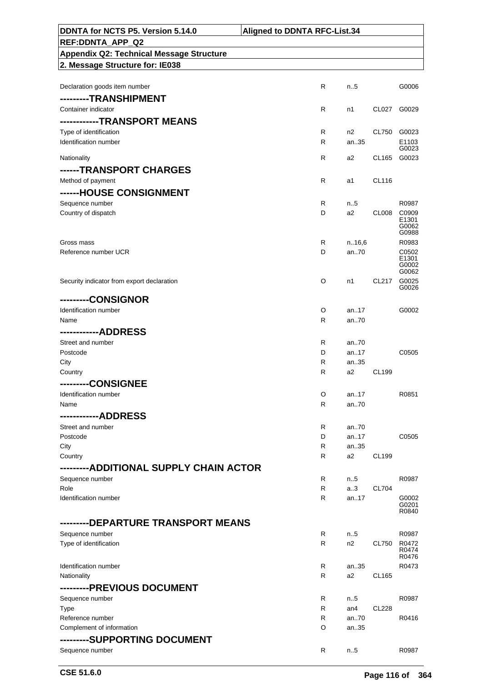| DDNTA for NCTS P5. Version 5.14.0               | <b>Aligned to DDNTA RFC-List.34</b> |              |                |
|-------------------------------------------------|-------------------------------------|--------------|----------------|
| REF:DDNTA_APP_Q2                                |                                     |              |                |
| <b>Appendix Q2: Technical Message Structure</b> |                                     |              |                |
| 2. Message Structure for: IE038                 |                                     |              |                |
|                                                 |                                     |              |                |
| Declaration goods item number                   | R.<br>n.5                           |              | G0006          |
| ---------TRANSHIPMENT                           |                                     |              |                |
| Container indicator                             | R<br>n1                             | CL027        | G0029          |
|                                                 |                                     |              |                |
| Type of identification                          | R<br>n <sub>2</sub>                 | CL750        | G0023          |
| Identification number                           | R<br>an35                           |              | E1103          |
| Nationality                                     | R<br>a2                             | CL165        | G0023<br>G0023 |
| ------TRANSPORT CHARGES                         |                                     |              |                |
| Method of payment                               | R<br>a1                             | CL116        |                |
| ------HOUSE CONSIGNMENT                         |                                     |              |                |
|                                                 | R<br>n.5                            |              |                |
| Sequence number<br>Country of dispatch          | a2<br>D                             | <b>CL008</b> | R0987<br>C0909 |
|                                                 |                                     |              | E1301          |
|                                                 |                                     |              | G0062<br>G0988 |
| Gross mass                                      | R<br>n.16,6                         |              | R0983          |
| Reference number UCR                            | an70<br>D                           |              | C0502<br>E1301 |
|                                                 |                                     |              | G0002          |
|                                                 | O                                   | CL217        | G0062          |
| Security indicator from export declaration      | n1                                  |              | G0025<br>G0026 |
| ---------CONSIGNOR                              |                                     |              |                |
| Identification number                           | O<br>an.17                          |              | G0002          |
| Name                                            | R<br>an70                           |              |                |
| ------------ADDRESS                             |                                     |              |                |
| Street and number                               | R<br>an70                           |              |                |
| Postcode                                        | D<br>an17                           |              | C0505          |
| City                                            | R<br>an35                           |              |                |
| Country                                         | R<br>a2                             | CL199        |                |
| --------CONSIGNEE                               |                                     |              |                |
| Identification number                           | O<br>an17                           |              | R0851          |
| Name                                            | R<br>an70                           |              |                |
| ------------ADDRESS                             |                                     |              |                |
| Street and number                               | R<br>an70<br>D                      |              |                |
| Postcode<br>City                                | an17<br>R<br>an35                   |              | C0505          |
| Country                                         | R<br>a2                             | CL199        |                |
| --------ADDITIONAL SUPPLY CHAIN ACTOR           |                                     |              |                |
| Sequence number                                 | R<br>n.5                            |              | R0987          |
| Role                                            | R<br>a <sub>0</sub> 3               | CL704        |                |
| Identification number                           | R<br>an17                           |              | G0002          |
|                                                 |                                     |              | G0201<br>R0840 |
| ---------DEPARTURE TRANSPORT MEANS              |                                     |              |                |
| Sequence number                                 | R<br>n.5                            |              | R0987          |
| Type of identification                          | n2<br>R                             | CL750        | R0472          |
|                                                 |                                     |              | R0474<br>R0476 |
| Identification number                           | R<br>an35                           |              | R0473          |
| Nationality                                     | R<br>a2                             | CL165        |                |
| ---------PREVIOUS DOCUMENT                      |                                     |              |                |
| Sequence number                                 | R<br>n.5                            |              | R0987          |
| <b>Type</b>                                     | R<br>an4                            | <b>CL228</b> |                |
| Reference number                                | R<br>an70                           |              | R0416          |
| Complement of information                       | O<br>an35                           |              |                |
| --------SUPPORTING DOCUMENT                     |                                     |              |                |
| Sequence number                                 | R<br>n.5                            |              | R0987          |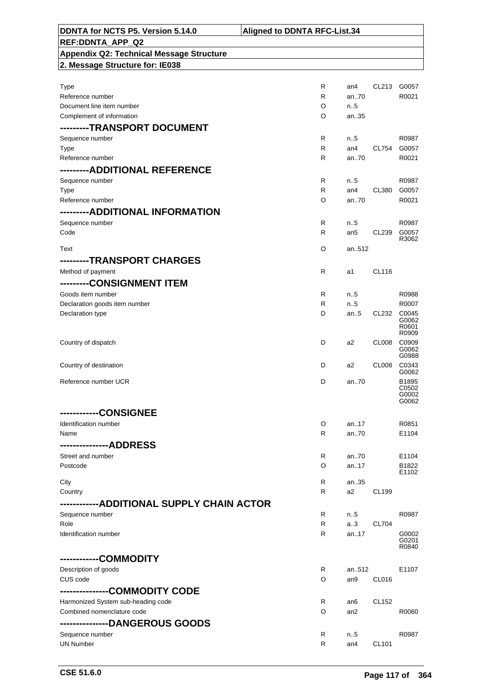| DDNTA for NCTS P5. Version 5.14.0               | <b>Aligned to DDNTA RFC-List.34</b> |              |                |
|-------------------------------------------------|-------------------------------------|--------------|----------------|
| REF:DDNTA_APP_Q2                                |                                     |              |                |
| <b>Appendix Q2: Technical Message Structure</b> |                                     |              |                |
| 2. Message Structure for: IE038                 |                                     |              |                |
|                                                 |                                     |              |                |
|                                                 | R                                   | CL213        |                |
| Type<br>Reference number                        | an4<br>R<br>an70                    |              | G0057<br>R0021 |
| Document line item number                       | O<br>n.5                            |              |                |
| Complement of information                       | O<br>an35                           |              |                |
|                                                 |                                     |              |                |
| --------TRANSPORT DOCUMENT                      |                                     |              |                |
| Sequence number                                 | R<br>n.5                            |              | R0987          |
| <b>Type</b>                                     | R<br>an4                            | CL754        | G0057          |
| Reference number                                | R<br>an70                           |              | R0021          |
| --------ADDITIONAL REFERENCE                    |                                     |              |                |
| Sequence number                                 | R<br>$n_{.}.5$                      |              | R0987          |
| Type                                            | R<br>an4                            | CL380        | G0057          |
| Reference number                                | O<br>an70                           |              | R0021          |
| --------ADDITIONAL INFORMATION                  |                                     |              |                |
| Sequence number                                 | R<br>n.5                            |              | R0987          |
| Code                                            | R<br>an <sub>5</sub>                | CL239        | G0057          |
|                                                 |                                     |              | R3062          |
| Text                                            | O<br>an512                          |              |                |
| --------TRANSPORT CHARGES                       |                                     |              |                |
| Method of payment                               | R<br>a1                             | CL116        |                |
| ---------CONSIGNMENT ITEM                       |                                     |              |                |
| Goods item number                               | R<br>n.5                            |              | R0988          |
| Declaration goods item number                   | R<br>n.5                            |              | R0007          |
| Declaration type                                | D<br>an.5                           | CL232        | C0045          |
|                                                 |                                     |              | G0062<br>R0601 |
|                                                 |                                     |              | R0909          |
| Country of dispatch                             | D<br>a2                             | <b>CL008</b> | C0909<br>G0062 |
|                                                 |                                     |              | G0988          |
| Country of destination                          | D<br>a2                             | <b>CL008</b> | C0343          |
|                                                 |                                     |              | G0062          |
| Reference number UCR                            | D<br>an70                           |              | B1895<br>C0502 |
|                                                 |                                     |              | G0002          |
|                                                 |                                     |              | G0062          |
| <b>------------CONSIGNEE</b>                    |                                     |              |                |
| Identification number                           | O<br>an.17                          |              | R0851          |
| Name                                            | R<br>an.70                          |              | E1104          |
| ---------------ADDRESS                          |                                     |              |                |
| Street and number                               | R<br>an.70                          |              | E1104          |
| Postcode                                        | O<br>an17                           |              | B1822<br>E1102 |
| City                                            | R<br>an35                           |              |                |
| Country                                         | R<br>a2                             | CL199        |                |
|                                                 |                                     |              |                |
| ------------ADDITIONAL SUPPLY CHAIN ACTOR       |                                     |              |                |
| Sequence number                                 | R<br>n.5                            |              | R0987          |
| Role                                            | R<br>a <sub>0</sub> 3               | <b>CL704</b> |                |
| <b>Identification number</b>                    | R<br>an17                           |              | G0002<br>G0201 |
|                                                 |                                     |              | R0840          |
| -----------COMMODITY                            |                                     |              |                |
| Description of goods                            | R<br>an512                          |              | E1107          |
| CUS code                                        | O<br>an9                            | CL016        |                |
|                                                 |                                     |              |                |
| Harmonized System sub-heading code              | R<br>an6                            | CL152        |                |
| Combined nomenclature code                      | O<br>an2                            |              | R0060          |
|                                                 |                                     |              |                |
| Sequence number                                 | R<br>n5                             |              | R0987          |
| <b>UN Number</b>                                | R<br>an4                            | CL101        |                |
|                                                 |                                     |              |                |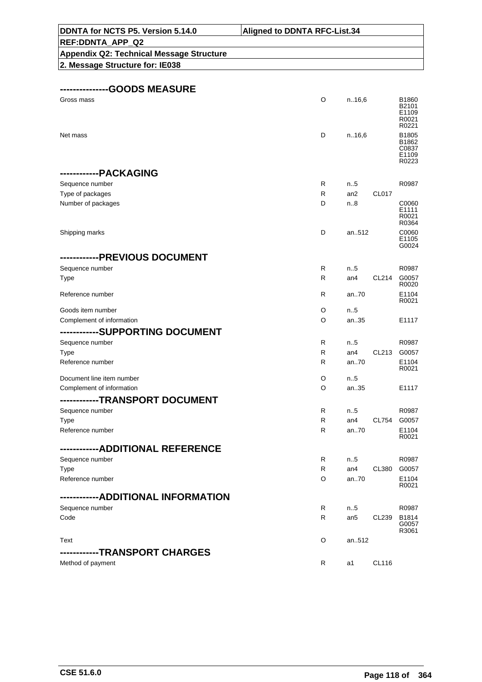### **REF:DDNTA\_APP\_Q2 Appendix Q2: Technical Message Structure**

## **2. Message Structure for: IE038**

### **---------------GOODS MEASURE**

| Gross mass                                                  | O      | n.16,6      |              | B1860<br>B2101<br>E1109<br>R0021<br>R0221 |
|-------------------------------------------------------------|--------|-------------|--------------|-------------------------------------------|
| Net mass                                                    | D      | n.16,6      |              | B1805<br>B1862<br>C0837<br>E1109<br>R0223 |
| -----------PACKAGING                                        |        |             |              |                                           |
| Sequence number                                             | R      | $n_{.}.5$   |              | R0987                                     |
| Type of packages                                            | R      | an2         | CL017        |                                           |
| Number of packages                                          | D      | n.8         |              | C0060<br>E1111<br>R0021<br>R0364          |
| Shipping marks                                              | D      | an512       |              | C0060<br>E1105<br>G0024                   |
| ------------PREVIOUS DOCUMENT                               |        |             |              |                                           |
| Sequence number                                             | R      | n.5         |              | R0987                                     |
| Type                                                        | R      | an4         | CL214        | G0057<br>R0020                            |
| Reference number                                            | R      | an70        |              | E1104<br>R0021                            |
| Goods item number                                           | O      | n.5         |              |                                           |
| Complement of information<br>-----------SUPPORTING DOCUMENT | O      | an35        |              | E1117                                     |
| Sequence number                                             | R      | n.5         |              | R0987                                     |
| <b>Type</b>                                                 | R      | an4         | CL213        | G0057                                     |
| Reference number                                            | R      | an70        |              | E1104<br>R0021                            |
| Document line item number                                   | O      | n.5         |              |                                           |
| Complement of information                                   | O      | an35        |              | E1117                                     |
|                                                             |        |             |              |                                           |
| Sequence number<br>Type                                     | R<br>R | n.5<br>an4  | CL754        | R0987<br>G0057                            |
| Reference number                                            | R      | an70        |              | E1104                                     |
|                                                             |        |             |              | R0021                                     |
| ------------ADDITIONAL REFERENCE                            |        |             |              |                                           |
| Sequence number                                             | R<br>R | n5          | <b>CL380</b> | R0987<br>G0057                            |
| Type<br>Reference number                                    | O      | an4<br>an70 |              | E1104                                     |
|                                                             |        |             |              | R0021                                     |
| -----------ADDITIONAL INFORMATION                           |        |             |              |                                           |
| Sequence number<br>Code                                     | R<br>R | n.5         | CL239        | R0987<br>B1814                            |
|                                                             |        | an5         |              | G0057<br>R3061                            |
| Text                                                        | O      | an512       |              |                                           |
|                                                             |        |             |              |                                           |
| Method of payment                                           | R      | a1          | CL116        |                                           |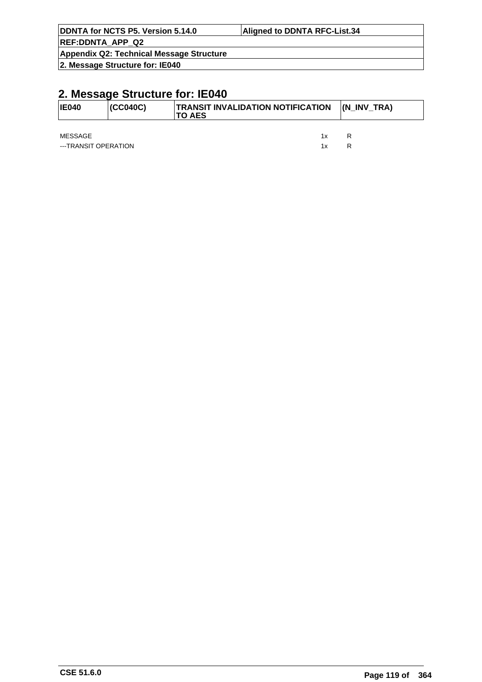| DDNTA for NCTS P5. Version 5.14.0 | Aligned to DDNTA RFC-List.34 |
|-----------------------------------|------------------------------|
| <b>REF:DDNTA APP Q2</b>           |                              |
|                                   |                              |

**Appendix Q2: Technical Message Structure**

**2. Message Structure for: IE040**

| <b>IE040</b>         | (CC040C) | <b>TRANSIT INVALIDATION NOTIFICATION</b><br><b>TO AES</b> | $ $ (N_INV_TRA) |
|----------------------|----------|-----------------------------------------------------------|-----------------|
| MESSAGE              |          |                                                           |                 |
|                      |          | 1x                                                        | R               |
| ---TRANSIT OPERATION |          | 1x                                                        |                 |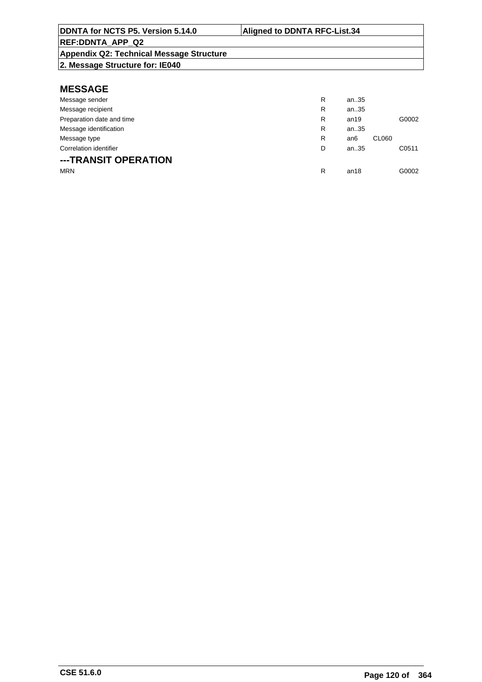| Message sender            | R | an35            |              |       |
|---------------------------|---|-----------------|--------------|-------|
| Message recipient         | R | an35            |              |       |
| Preparation date and time | R | an19            |              | G0002 |
| Message identification    | R | an35            |              |       |
| Message type              | R | an <sub>6</sub> | <b>CL060</b> |       |
| Correlation identifier    | D | an35            |              | C0511 |
| ---TRANSIT OPERATION      |   |                 |              |       |
| <b>MRN</b>                | R | an18            |              | G0002 |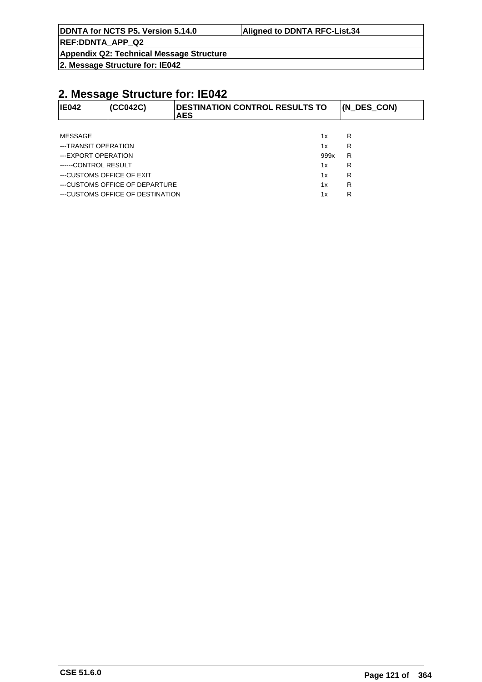**REF:DDNTA\_APP\_Q2**

**Appendix Q2: Technical Message Structure**

**2. Message Structure for: IE042**

| <b>IE042</b>              | (CCO42C)                         | <b>DESTINATION CONTROL RESULTS TO</b><br>AES |      | KN DES CON) |
|---------------------------|----------------------------------|----------------------------------------------|------|-------------|
|                           |                                  |                                              |      |             |
| <b>MESSAGE</b>            |                                  |                                              | 1x   | R           |
| ---TRANSIT OPERATION      |                                  |                                              | 1x   | R           |
| ---EXPORT OPERATION       |                                  |                                              | 999x | R           |
| ------CONTROL RESULT      |                                  |                                              | 1x   | R           |
| ---CUSTOMS OFFICE OF EXIT |                                  |                                              | 1x   | R           |
|                           | ---CUSTOMS OFFICE OF DEPARTURE   |                                              | 1x   | R           |
|                           | ---CUSTOMS OFFICE OF DESTINATION |                                              | 1x   | R           |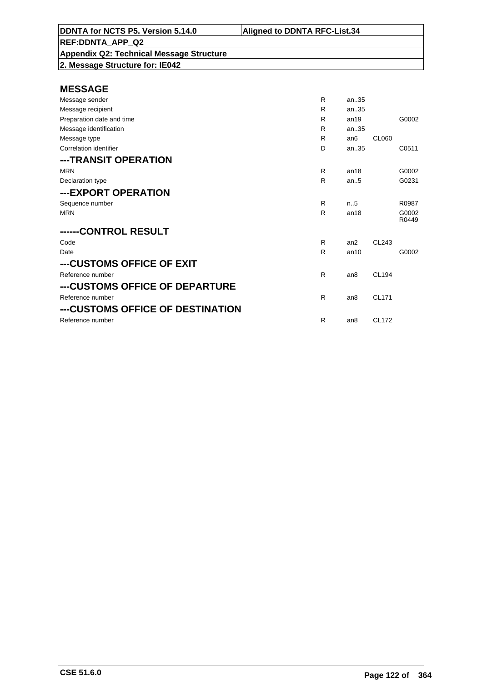#### **DDNTA for NCTS P5. Version 5.14.0 Aligned to DDNTA RFC-List.34 REF:DDNTA\_APP\_Q2**

### **Appendix Q2: Technical Message Structure 2. Message Structure for: IE042**

| Message sender                   | R            | an35             |       |                |
|----------------------------------|--------------|------------------|-------|----------------|
| Message recipient                | R            | an35             |       |                |
| Preparation date and time        | R            | an19             |       | G0002          |
| Message identification           | R            | an35             |       |                |
| Message type                     | R            | an <sub>6</sub>  | CL060 |                |
| Correlation identifier           | D            | an35             |       | C0511          |
| ---TRANSIT OPERATION             |              |                  |       |                |
| <b>MRN</b>                       | R            | an18             |       | G0002          |
| Declaration type                 | R            | an.5             |       | G0231          |
| ---EXPORT OPERATION              |              |                  |       |                |
| Sequence number                  | R            | n <sub>0.5</sub> |       | R0987          |
| <b>MRN</b>                       | R            | an18             |       | G0002<br>R0449 |
| ------CONTROL RESULT             |              |                  |       |                |
| Code                             | R            | an2              | CL243 |                |
| Date                             | R            | an10             |       | G0002          |
| ---CUSTOMS OFFICE OF EXIT        |              |                  |       |                |
| Reference number                 | R            | an <sub>8</sub>  | CL194 |                |
| ---CUSTOMS OFFICE OF DEPARTURE   |              |                  |       |                |
| Reference number                 | R            | an <sub>8</sub>  | CL171 |                |
| ---CUSTOMS OFFICE OF DESTINATION |              |                  |       |                |
| Reference number                 | $\mathsf{R}$ | an <sub>8</sub>  | CL172 |                |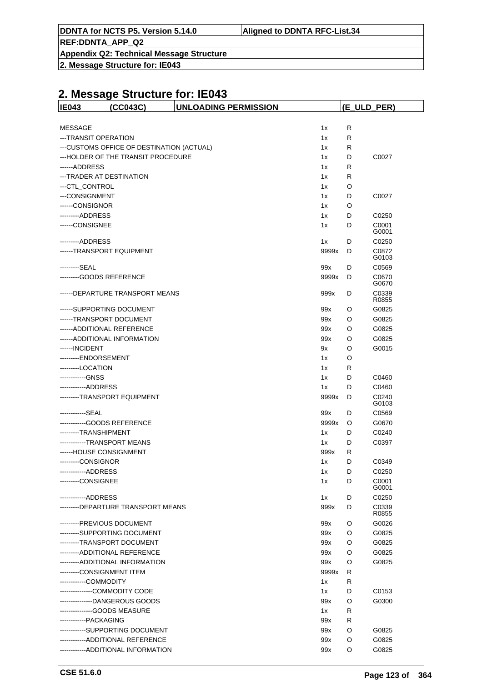**REF:DDNTA\_APP\_Q2**

**Appendix Q2: Technical Message Structure**

**2. Message Structure for: IE043**

| <b>IE043</b>                 | (CC043C)                                  | <b>UNLOADING PERMISSION</b> |       | (E_ULD_PER) |                |
|------------------------------|-------------------------------------------|-----------------------------|-------|-------------|----------------|
|                              |                                           |                             |       |             |                |
| <b>MESSAGE</b>               |                                           |                             | 1x    | R           |                |
| ---TRANSIT OPERATION         |                                           |                             | 1x    | R           |                |
|                              | ---CUSTOMS OFFICE OF DESTINATION (ACTUAL) |                             | 1x    | R           |                |
|                              | ---HOLDER OF THE TRANSIT PROCEDURE        |                             | 1x    | D           | C0027          |
| ------ADDRESS                |                                           |                             | 1x    | R           |                |
| ---TRADER AT DESTINATION     |                                           |                             | 1x    | R           |                |
| ---CTL CONTROL               |                                           |                             | 1x    | O           |                |
| ---CONSIGNMENT               |                                           |                             | 1x    | D           | C0027          |
| -----CONSIGNOR               |                                           |                             | 1x    | O           |                |
| ---------ADDRESS             |                                           |                             | 1x    | D           | C0250          |
| ------CONSIGNEE              |                                           |                             | 1x    | D           | C0001<br>G0001 |
| ---------ADDRESS             |                                           |                             | 1x    | D           | C0250          |
| ------TRANSPORT EQUIPMENT    |                                           |                             | 9999x | D           | C0872          |
|                              |                                           |                             |       |             | G0103          |
| ---------SEAL                |                                           |                             | 99x   | D           | C0569          |
| --------GOODS REFERENCE      |                                           |                             | 9999x | D           | C0670<br>G0670 |
|                              | ------DEPARTURE TRANSPORT MEANS           |                             | 999x  | D           | C0339<br>R0855 |
|                              | ------SUPPORTING DOCUMENT                 |                             | 99x   | O           | G0825          |
| ------TRANSPORT DOCUMENT     |                                           |                             | 99x   | O           | G0825          |
| ------ ADDITIONAL REFERENCE  |                                           |                             | 99x   | O           | G0825          |
|                              | ------ ADDITIONAL INFORMATION             |                             | 99x   | O           | G0825          |
| ------INCIDENT               |                                           |                             | 9x    | O           | G0015          |
| ---------ENDORSEMENT         |                                           |                             | 1x    | O           |                |
| ---------LOCATION            |                                           |                             | 1x    | R           |                |
| -----------GNSS              |                                           |                             | 1x    | D           | C0460          |
| ------------ADDRESS          |                                           |                             | 1x    | D           | C0460          |
|                              | ---------TRANSPORT EQUIPMENT              |                             | 9999x | D           | C0240<br>G0103 |
| ------------SEAL             |                                           |                             | 99x   | D           | C0569          |
| ------------GOODS REFERENCE  |                                           |                             | 9999x | O           | G0670          |
| ---------TRANSHIPMENT        |                                           |                             | 1x    | D           | C0240          |
| ------------TRANSPORT MEANS  |                                           |                             | 1x    | D           | C0397          |
| ------HOUSE CONSIGNMENT      |                                           |                             | 999x  | R           |                |
| --------CONSIGNOR            |                                           |                             | 1x    | D           | C0349          |
| ------------ADDRESS          |                                           |                             | 1x    | D           | C0250          |
| ---------CONSIGNEE           |                                           |                             | 1x    | D           | C0001<br>G0001 |
| ------------ADDRESS          |                                           |                             | 1x    | D           | C0250          |
|                              | --------DEPARTURE TRANSPORT MEANS         |                             | 999x  | D           | C0339          |
|                              |                                           |                             |       |             | R0855          |
| ---------PREVIOUS DOCUMENT   |                                           |                             | 99x   | O           | G0026          |
|                              | --------SUPPORTING DOCUMENT               |                             | 99x   | O           | G0825          |
|                              | --------TRANSPORT DOCUMENT                |                             | 99x   | O           | G0825          |
|                              | ---------ADDITIONAL REFERENCE             |                             | 99x   | O           | G0825          |
|                              | ---------ADDITIONAL INFORMATION           |                             | 99x   | O           | G0825          |
| --------CONSIGNMENT ITEM     |                                           |                             | 9999x | R           |                |
| -----------COMMODITY         |                                           |                             | 1x    | R           |                |
| --------------COMMODITY CODE |                                           |                             | 1x    | D           | C0153          |
|                              | ---------------DANGEROUS GOODS            |                             | 99x   | O           | G0300          |
| ---------------GOODS MEASURE |                                           |                             | 1x    | R           |                |
| ------------PACKAGING        |                                           |                             | 99x   | R           |                |
|                              | -----------SUPPORTING DOCUMENT            |                             | 99x   | O           | G0825          |
|                              | ------------ADDITIONAL REFERENCE          |                             | 99x   | O           | G0825          |
|                              | ------------ADDITIONAL INFORMATION        |                             | 99x   | O           | G0825          |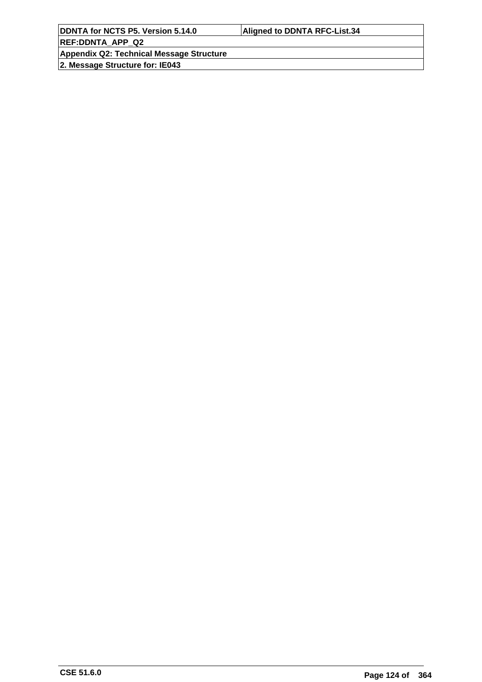| DDNTA for NCTS P5. Version 5.14.0        | Aligned to DDNTA RFC-List.34 |
|------------------------------------------|------------------------------|
| <b>REF:DDNTA APP Q2</b>                  |                              |
| Appendix Q2: Technical Message Structure |                              |
| 2. Message Structure for: IE043          |                              |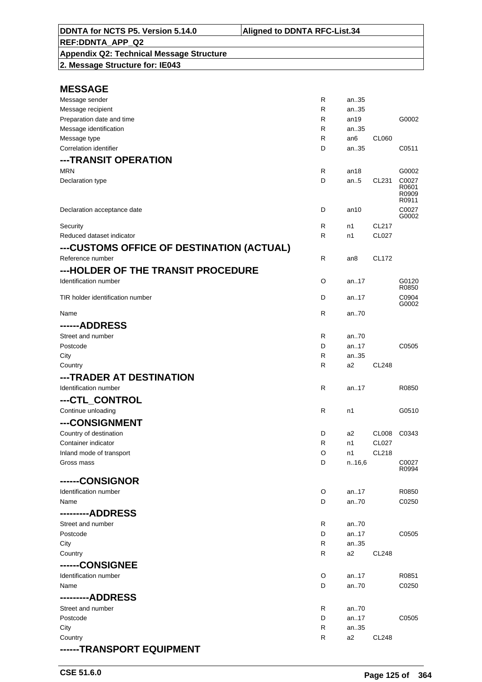#### **REF:DDNTA\_APP\_Q2 Appendix Q2: Technical Message Structure 2. Message Structure for: IE043**

| Message sender                            | R            | an35   |              |                |
|-------------------------------------------|--------------|--------|--------------|----------------|
| Message recipient                         | $\mathsf{R}$ | an35   |              |                |
| Preparation date and time                 | R            | an19   |              | G0002          |
| Message identification                    | R            | an35   |              |                |
| Message type                              | R            | an6    | CL060        |                |
| Correlation identifier                    | D            | an35   |              | C0511          |
| ---TRANSIT OPERATION                      |              |        |              |                |
| <b>MRN</b>                                | R            | an18   |              | G0002          |
| Declaration type                          | D            | an.5   | CL231        | C0027          |
|                                           |              |        |              | R0601<br>R0909 |
|                                           |              |        |              | R0911          |
| Declaration acceptance date               | D            | an10   |              | C0027          |
| Security                                  | R            | n1     | CL217        | G0002          |
| Reduced dataset indicator                 | R            | n1     | CL027        |                |
|                                           |              |        |              |                |
| ---CUSTOMS OFFICE OF DESTINATION (ACTUAL) |              |        |              |                |
| Reference number                          | R            | an8    | CL172        |                |
| ---HOLDER OF THE TRANSIT PROCEDURE        |              |        |              |                |
| Identification number                     | O            | an17   |              | G0120<br>R0850 |
| TIR holder identification number          | D            | an17   |              | C0904          |
|                                           |              |        |              | G0002          |
| Name                                      | $\mathsf{R}$ | an70   |              |                |
| ------ADDRESS                             |              |        |              |                |
| Street and number                         | R            | an70   |              |                |
| Postcode                                  | D            | an.17  |              | C0505          |
| City                                      | R            | an35   |              |                |
| Country                                   | R            | a2     | <b>CL248</b> |                |
| ---TRADER AT DESTINATION                  |              |        |              |                |
| Identification number                     | R            | an17   |              | R0850          |
| ---CTL_CONTROL                            |              |        |              |                |
| Continue unloading                        | $\mathsf{R}$ | n1     |              | G0510          |
| ---CONSIGNMENT                            |              |        |              |                |
| Country of destination                    | D            | a2     | <b>CL008</b> | C0343          |
| Container indicator                       | R            | n1     | <b>CL027</b> |                |
| Inland mode of transport                  | O            | n1     | CL218        |                |
| Gross mass                                | D            | n.16,6 |              | C0027          |
|                                           |              |        |              | R0994          |
| ------CONSIGNOR                           |              |        |              |                |
| Identification number                     | O            | an17   |              | R0850          |
| Name                                      | D            | an70   |              | C0250          |
| ---------ADDRESS                          |              |        |              |                |
| Street and number                         | R            | an70   |              |                |
| Postcode                                  | D            | an17   |              | C0505          |
| City                                      | R            | an35   |              |                |
| Country                                   | R            | a2     | CL248        |                |
| ------CONSIGNEE                           |              |        |              |                |
| Identification number                     | O            | an17   |              | R0851          |
| Name                                      | D            | an70   |              | C0250          |
| ---------ADDRESS                          |              |        |              |                |
| Street and number                         | R            | an70   |              |                |
| Postcode                                  | D            | an17   |              | C0505          |
| City                                      | R            | an35   |              |                |
| Country                                   | R            | a2     | <b>CL248</b> |                |
| ------TRANSPORT EQUIPMENT                 |              |        |              |                |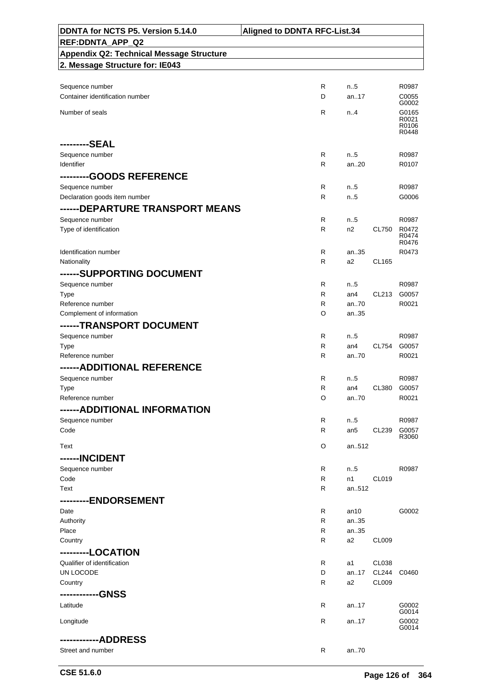| DDNTA for NCTS P5. Version 5.14.0               | <b>Aligned to DDNTA RFC-List.34</b> |                        |
|-------------------------------------------------|-------------------------------------|------------------------|
| REF:DDNTA_APP_Q2                                |                                     |                        |
| <b>Appendix Q2: Technical Message Structure</b> |                                     |                        |
| 2. Message Structure for: IE043                 |                                     |                        |
|                                                 |                                     |                        |
| Sequence number                                 | R<br>n.5                            | R0987                  |
| Container identification number                 | D                                   | an17<br>C0055          |
| Number of seals                                 | R<br>n.A                            | G0002                  |
|                                                 |                                     | G0165<br>R0021         |
|                                                 |                                     | R0106<br>R0448         |
|                                                 |                                     |                        |
| ---------SEAL                                   |                                     |                        |
| Sequence number                                 | R<br>n.5                            | R0987                  |
| Identifier                                      | R                                   | an20<br>R0107          |
| --------GOODS REFERENCE                         |                                     |                        |
| Sequence number                                 | R<br>$n_{.}5$                       | R0987                  |
| Declaration goods item number                   | R<br>n.5                            | G0006                  |
| ------DEPARTURE TRANSPORT MEANS                 |                                     |                        |
| Sequence number                                 | R<br>n.5                            | R0987                  |
| Type of identification                          | R<br>n2                             | CL750<br>R0472         |
|                                                 |                                     | R0474<br>R0476         |
| Identification number                           | R                                   | R0473<br>an35          |
| Nationality                                     | a2<br>R                             | CL165                  |
| ------SUPPORTING DOCUMENT                       |                                     |                        |
| Sequence number                                 | R<br>$n_{.}.5$                      | R0987                  |
| <b>Type</b>                                     | R<br>an4                            | CL213<br>G0057         |
| Reference number                                | R                                   | an70<br>R0021          |
| Complement of information                       | O                                   | an35                   |
|                                                 |                                     |                        |
| ------TRANSPORT DOCUMENT                        |                                     |                        |
| Sequence number                                 | R<br>n.5                            | R0987                  |
| <b>Type</b>                                     | R<br>an4                            | <b>CL754</b><br>G0057  |
| Reference number                                | R                                   | R0021<br>an70          |
| ------ADDITIONAL REFERENCE                      |                                     |                        |
| Sequence number                                 | R<br>$n_{.}.5$                      | R0987                  |
| Type                                            | R<br>an4                            | CL380<br>G0057         |
| Reference number                                | O                                   | an70<br>R0021          |
| ------ADDITIONAL INFORMATION                    |                                     |                        |
| Sequence number                                 | R<br>n.5                            | R0987                  |
| Code                                            | R<br>an <sub>5</sub>                | CL239<br>G0057         |
| Text                                            | O                                   | R3060<br>an512         |
|                                                 |                                     |                        |
| ------INCIDENT                                  |                                     |                        |
| Sequence number                                 | R<br>n.5                            | R0987                  |
| Code                                            | R<br>n1                             | CL019                  |
| Text                                            | R                                   | an512                  |
| ---------ENDORSEMENT                            |                                     |                        |
| Date                                            | R                                   | an10<br>G0002          |
| Authority                                       | R                                   | an35                   |
| Place                                           | R                                   | an35                   |
| Country                                         | R<br>a2                             | CL009                  |
| ---------LOCATION                               |                                     |                        |
| Qualifier of identification                     | R<br>a1                             | CL038                  |
| UN LOCODE                                       | D                                   | CL244<br>an17<br>C0460 |
| Country                                         | R<br>a2                             | <b>CL009</b>           |
| ------------GNSS                                |                                     |                        |
| Latitude                                        | R                                   | an17<br>G0002          |
|                                                 |                                     | G0014                  |
| Longitude                                       | R                                   | an17<br>G0002          |
|                                                 |                                     | G0014                  |
| ------------ADDRESS                             |                                     |                        |
| Street and number                               | R                                   | an70                   |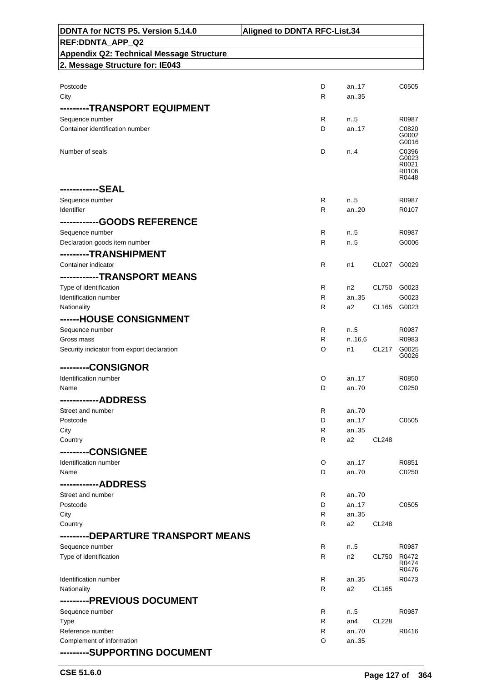| <b>REF:DDNTA APP Q2</b><br><b>Appendix Q2: Technical Message Structure</b><br>2. Message Structure for: IE043 |        |              |              |                |
|---------------------------------------------------------------------------------------------------------------|--------|--------------|--------------|----------------|
|                                                                                                               |        |              |              |                |
|                                                                                                               |        |              |              |                |
|                                                                                                               |        |              |              |                |
|                                                                                                               |        |              |              |                |
| Postcode                                                                                                      | D      | an17         |              | C0505          |
| City                                                                                                          | R      | an35         |              |                |
| ---------TRANSPORT EQUIPMENT                                                                                  |        |              |              |                |
| Sequence number                                                                                               | R      | n.5          |              | R0987          |
| Container identification number                                                                               | D      | an17         |              | C0820          |
|                                                                                                               |        |              |              | G0002          |
| Number of seals                                                                                               | D      |              |              | G0016          |
|                                                                                                               |        | n.A          |              | C0396<br>G0023 |
|                                                                                                               |        |              |              | R0021<br>R0106 |
|                                                                                                               |        |              |              | R0448          |
| ------------SEAL                                                                                              |        |              |              |                |
| Sequence number                                                                                               | R      | n.5          |              | R0987          |
| <b>Identifier</b>                                                                                             | R      | an.20        |              | R0107          |
|                                                                                                               |        |              |              |                |
| Sequence number                                                                                               | R      | n.5          |              | R0987          |
| Declaration goods item number                                                                                 | R      | n.5          |              | G0006          |
| ---------TRANSHIPMENT                                                                                         |        |              |              |                |
| Container indicator                                                                                           | R      | n1           | CL027        | G0029          |
|                                                                                                               |        |              |              |                |
|                                                                                                               |        |              |              |                |
| Type of identification                                                                                        | R      | n2           | <b>CL750</b> | G0023          |
| Identification number                                                                                         | R      | an35         |              | G0023          |
| Nationality                                                                                                   | R      | a2           | CL165        | G0023          |
| ------HOUSE CONSIGNMENT                                                                                       |        |              |              |                |
| Sequence number                                                                                               | R      | n.5          |              | R0987          |
| Gross mass<br>Security indicator from export declaration                                                      | R<br>O | n.16,6<br>n1 | CL217        | R0983<br>G0025 |
|                                                                                                               |        |              |              | G0026          |
| --------CONSIGNOR                                                                                             |        |              |              |                |
| Identification number                                                                                         | O      | an17         |              | R0850          |
| Name                                                                                                          | D      | an70         |              | C0250          |
| ------------ADDRESS                                                                                           |        |              |              |                |
| Street and number                                                                                             | R      | an70         |              |                |
| Postcode                                                                                                      | D      | an.17        |              | C0505          |
| City                                                                                                          | R      | an35         |              |                |
| Country                                                                                                       | R      | a2           | <b>CL248</b> |                |
| --------CONSIGNEE                                                                                             |        |              |              |                |
| Identification number                                                                                         | O      | an. $.17$    |              | R0851          |
| Name                                                                                                          | D      | an.70        |              | C0250          |
| ------------ADDRESS                                                                                           |        |              |              |                |
| Street and number                                                                                             | R      | an70         |              |                |
| Postcode                                                                                                      | D      | an17         |              | C0505          |
| City                                                                                                          | R      | an35         |              |                |
| Country                                                                                                       | R      | a2           | <b>CL248</b> |                |
| ---------DEPARTURE TRANSPORT MEANS                                                                            |        |              |              |                |
| Sequence number                                                                                               | R      | n.5          |              | R0987          |
| Type of identification                                                                                        | R      | n2           | CL750        | R0472          |
|                                                                                                               |        |              |              | R0474<br>R0476 |
| Identification number                                                                                         | R      | an35         |              | R0473          |
| Nationality                                                                                                   | R      | a2           | CL165        |                |
| ---------PREVIOUS DOCUMENT                                                                                    |        |              |              |                |
| Sequence number                                                                                               | R      | n5           |              | R0987          |
| <b>Type</b>                                                                                                   | R      | an4          | CL228        |                |
| Reference number                                                                                              | R      | an70         |              | R0416          |
| Complement of information                                                                                     | O      | an35         |              |                |
| --------SUPPORTING DOCUMENT                                                                                   |        |              |              |                |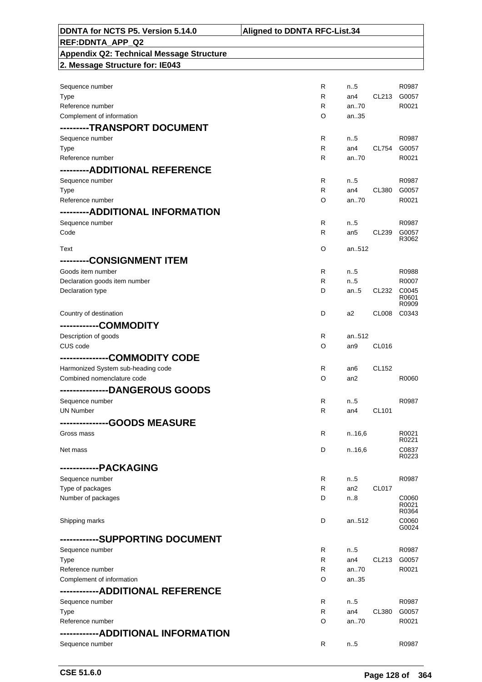| DDNTA for NCTS P5. Version 5.14.0               | <b>Aligned to DDNTA RFC-List.34</b> |                   |                |
|-------------------------------------------------|-------------------------------------|-------------------|----------------|
| <b>REF:DDNTA APP Q2</b>                         |                                     |                   |                |
| <b>Appendix Q2: Technical Message Structure</b> |                                     |                   |                |
| 2. Message Structure for: IE043                 |                                     |                   |                |
|                                                 |                                     |                   |                |
| Sequence number                                 | R<br>n.5                            |                   | R0987          |
| <b>Type</b>                                     | R<br>an4                            | CL213             | G0057          |
| Reference number                                | R<br>an70                           |                   | R0021          |
| Complement of information                       | O<br>an35                           |                   |                |
| ---------TRANSPORT DOCUMENT                     |                                     |                   |                |
| Sequence number                                 | R<br>n.5                            |                   | R0987          |
| <b>Type</b>                                     | R<br>an4                            | CL754             | G0057          |
| Reference number                                | R<br>an.70                          |                   | R0021          |
|                                                 |                                     |                   |                |
| ---------ADDITIONAL REFERENCE                   |                                     |                   |                |
| Sequence number                                 | R<br>n.5                            |                   | R0987          |
| <b>Type</b>                                     | R<br>an4                            | CL380             | G0057          |
| Reference number                                | O<br>an70                           |                   | R0021          |
| --------ADDITIONAL INFORMATION                  |                                     |                   |                |
| Sequence number                                 | R<br>n.5                            |                   | R0987          |
| Code                                            | R<br>an5                            | CL239             | G0057<br>R3062 |
| Text                                            | O<br>an512                          |                   |                |
| --------CONSIGNMENT ITEM                        |                                     |                   |                |
|                                                 |                                     |                   |                |
| Goods item number                               | R<br>n5                             |                   | R0988          |
| Declaration goods item number                   | R<br>n.5<br>D                       | CL232             | R0007<br>C0045 |
| Declaration type                                | an5                                 |                   | R0601          |
|                                                 |                                     |                   | R0909          |
| Country of destination                          | D<br>a2                             | CL <sub>008</sub> | C0343          |
| -----------COMMODITY                            |                                     |                   |                |
| Description of goods                            | R<br>an512                          |                   |                |
| CUS code                                        | O<br>an9                            | CL016             |                |
|                                                 |                                     |                   |                |
| Harmonized System sub-heading code              | R<br>an6                            | CL152             |                |
| Combined nomenclature code                      | O<br>an2                            |                   | R0060          |
| <b>-DANGEROUS GOODS</b>                         |                                     |                   |                |
| Sequence number                                 | R<br>n.5                            |                   | R0987          |
| <b>UN Number</b>                                | R<br>an4                            | CL101             |                |
| -------------GOODS MEASURE                      |                                     |                   |                |
| Gross mass                                      | R<br>n.16,6                         |                   | R0021          |
|                                                 |                                     |                   | R0221          |
| Net mass                                        | D<br>n.16,6                         |                   | C0837          |
|                                                 |                                     |                   | R0223          |
| -----------PACKAGING                            |                                     |                   |                |
| Sequence number                                 | R<br>n.5                            |                   | R0987          |
| Type of packages                                | R<br>an2                            | CL017             |                |
| Number of packages                              | D<br>n.8                            |                   | C0060<br>R0021 |
|                                                 |                                     |                   | R0364          |
| Shipping marks                                  | D<br>an512                          |                   | C0060          |
|                                                 |                                     |                   | G0024          |
| -----------SUPPORTING DOCUMENT                  |                                     |                   |                |
| Sequence number                                 | R<br>n5                             |                   | R0987          |
| <b>Type</b>                                     | R<br>an4                            | CL213             | G0057          |
| Reference number                                | R<br>an70                           |                   | R0021          |
| Complement of information                       | O<br>an35                           |                   |                |
| ----------ADDITIONAL REFERENCE                  |                                     |                   |                |
| Sequence number                                 | R<br>n5                             |                   | R0987          |
| Type                                            | R<br>an4                            | CL380             | G0057          |
| Reference number                                | O<br>an70                           |                   | R0021          |
| -----------ADDITIONAL INFORMATION               |                                     |                   |                |
| Sequence number                                 | R<br>n.5                            |                   | R0987          |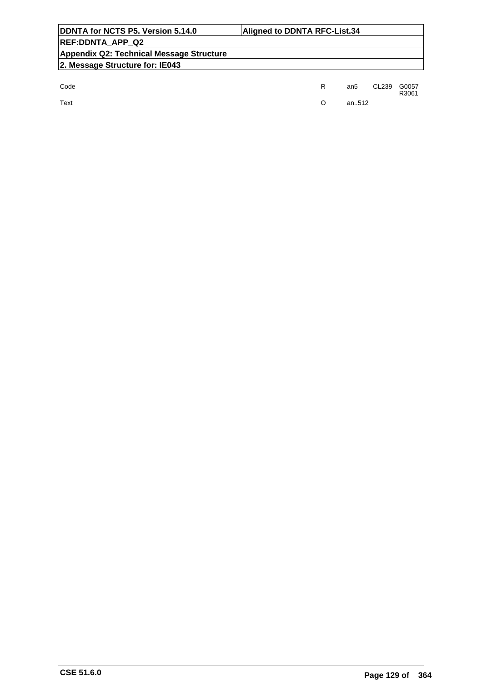| DDNTA for NCTS P5. Version 5.14.0        | Aligned to DDNTA RFC-List.34 |        |       |
|------------------------------------------|------------------------------|--------|-------|
| REF:DDNTA_APP_Q2                         |                              |        |       |
| Appendix Q2: Technical Message Structure |                              |        |       |
| 2. Message Structure for: IE043          |                              |        |       |
|                                          |                              |        |       |
| Code                                     | R<br>an5                     | CI 239 | G0057 |

Text O an..512

R3061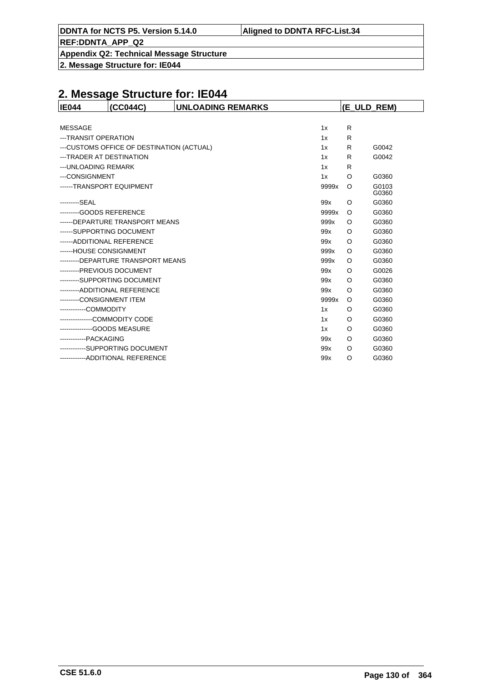## **REF:DDNTA\_APP\_Q2**

**Appendix Q2: Technical Message Structure**

**2. Message Structure for: IE044**

| <b>IE044</b>                              | (CC044C)                           | <b>UNLOADING REMARKS</b> |       | (E ULD REM)  |                |  |
|-------------------------------------------|------------------------------------|--------------------------|-------|--------------|----------------|--|
|                                           |                                    |                          |       |              |                |  |
| <b>MESSAGE</b>                            |                                    |                          | 1x    | $\mathsf{R}$ |                |  |
| ---TRANSIT OPERATION                      |                                    |                          |       |              |                |  |
| ---CUSTOMS OFFICE OF DESTINATION (ACTUAL) |                                    |                          |       |              | G0042          |  |
| ---TRADER AT DESTINATION                  |                                    |                          | 1x    | R            | G0042          |  |
| --- UNLOADING REMARK                      |                                    |                          | 1x    | R            |                |  |
| ---CONSIGNMENT                            |                                    |                          | 1x    | O            | G0360          |  |
| ------TRANSPORT EQUIPMENT                 |                                    |                          | 9999x | O            | G0103<br>G0360 |  |
| ---------SEAL                             |                                    |                          |       | O            | G0360          |  |
| ---------GOODS REFERENCE                  |                                    |                          | 9999x | O            | G0360          |  |
| ------ DEPARTURE TRANSPORT MEANS          |                                    |                          | 999x  | O            | G0360          |  |
| ------SUPPORTING DOCUMENT                 |                                    |                          | 99x   | $\circ$      | G0360          |  |
| ------ ADDITIONAL REFERENCE               |                                    |                          | 99x   | $\circ$      | G0360          |  |
| ------HOUSE CONSIGNMENT                   |                                    |                          | 999x  | O            | G0360          |  |
|                                           | ---------DEPARTURE TRANSPORT MEANS |                          | 999x  | $\circ$      | G0360          |  |
| ---------PREVIOUS DOCUMENT                |                                    |                          | 99x   | O            | G0026          |  |
|                                           | --------SUPPORTING DOCUMENT        |                          | 99x   | O            | G0360          |  |
|                                           | ---------ADDITIONAL REFERENCE      |                          | 99x   | $\circ$      | G0360          |  |
| --------CONSIGNMENT ITEM                  |                                    |                          | 9999x | O            | G0360          |  |
| -----------COMMODITY                      |                                    |                          | 1x    | O            | G0360          |  |
| --------------COMMODITY CODE              |                                    |                          | 1x    | $\circ$      | G0360          |  |
| ---------------GOODS MEASURE              |                                    |                          | 1x    | $\circ$      | G0360          |  |
|                                           | ------------PACKAGING              |                          |       | O            | G0360          |  |
|                                           | -----------SUPPORTING DOCUMENT     |                          | 99x   | O            | G0360          |  |
|                                           | ------------ADDITIONAL REFERENCE   |                          | 99x   | O            | G0360          |  |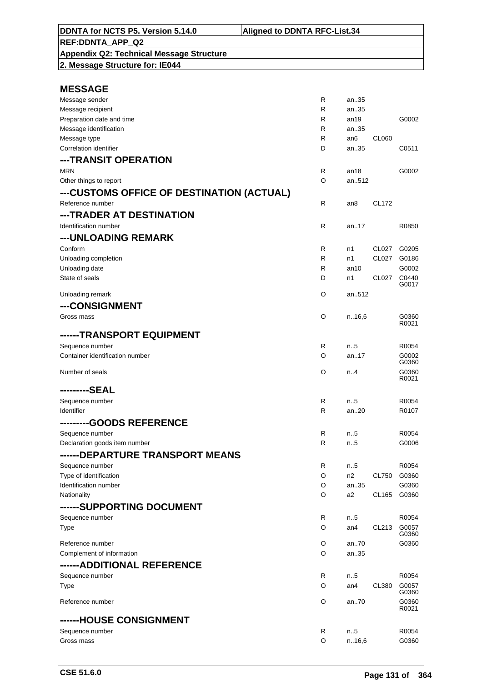**---------SEAL**

**---------GOODS REFERENCE**

**------SUPPORTING DOCUMENT**

**------ADDITIONAL REFERENCE**

**------HOUSE CONSIGNMENT**

**------DEPARTURE TRANSPORT MEANS**

| DDNTA for NCTS P5. Version 5.14.0               | <b>Aligned to DDNTA RFC-List.34</b> |    |                 |              |                |
|-------------------------------------------------|-------------------------------------|----|-----------------|--------------|----------------|
| <b>REF:DDNTA APP Q2</b>                         |                                     |    |                 |              |                |
| <b>Appendix Q2: Technical Message Structure</b> |                                     |    |                 |              |                |
| 2. Message Structure for: IE044                 |                                     |    |                 |              |                |
|                                                 |                                     |    |                 |              |                |
| <b>MESSAGE</b>                                  |                                     |    |                 |              |                |
| Message sender                                  |                                     | R  | an35            |              |                |
| Message recipient                               |                                     | R. | an35            |              |                |
| Preparation date and time                       |                                     | R  | an19            |              | G0002          |
| Message identification                          |                                     | R  | an35            |              |                |
| Message type                                    |                                     | R  | an <sub>6</sub> | <b>CL060</b> |                |
| Correlation identifier                          |                                     | D  | an35            |              | C0511          |
| ---TRANSIT OPERATION                            |                                     |    |                 |              |                |
| <b>MRN</b>                                      |                                     | R  | an18            |              | G0002          |
| Other things to report                          |                                     | O  | an512           |              |                |
| ---CUSTOMS OFFICE OF DESTINATION (ACTUAL)       |                                     |    |                 |              |                |
| Reference number                                |                                     | R  | an <sub>8</sub> | <b>CL172</b> |                |
| ---TRADER AT DESTINATION                        |                                     |    |                 |              |                |
| Identification number                           |                                     | R  | an17            |              | R0850          |
| --- UNLOADING REMARK                            |                                     |    |                 |              |                |
| Conform                                         |                                     | R  | n1              | CL027        | G0205          |
| Unloading completion                            |                                     | R. | n1              | <b>CL027</b> | G0186          |
| Unloading date                                  |                                     | R  | an10            |              | G0002          |
| State of seals                                  |                                     | D  | n1              | <b>CL027</b> | C0440          |
|                                                 |                                     |    |                 |              | G0017          |
| Unloading remark                                |                                     | O  | an512           |              |                |
| ---CONSIGNMENT                                  |                                     |    |                 |              |                |
| Gross mass                                      |                                     | O  | n.16,6          |              | G0360          |
|                                                 |                                     |    |                 |              | R0021          |
| ------TRANSPORT EQUIPMENT                       |                                     |    |                 |              |                |
| Sequence number                                 |                                     | R  | $n_{.5}$        |              | R0054          |
| Container identification number                 |                                     | O  | an17            |              | G0002<br>G0360 |

Number of seals G0360

Sequence number R n..5 R0054 Identifier R an..20 R and R0107

Sequence number R and R0054 Declaration goods item number R n..5 G0006

Sequence number R and R0054 Type of identification O n2 CL750 G0360 Identification number CO an..35 G0360 Nationality O a2 CL165 G0360

Sequence number R and R n..5 R0054 Type **O** and CL213 G0057

Reference number **COMPUTER** GO360 GO360 GO360 GO360 GO360 GO360 GO360 GO360 GO360 GO360 GO360 GO360 GO360 GO360 GO360 GO360 GO360 GO360 GO360 GO360 GO360 GO360 GO360 GO360 GO360 GO360 GO360 GO360 GO360 GO360 GO360 GO360 GO

Sequence number R n..5 R0054 Type **O** and CL380 G0057

Reference number **COMPUTER** GO360 GO360 COMPUTER **COMPUTER** COMPUTER **COMPUTER** COMPUTER OF **CO360** 

Sequence number R and R0054 Gross mass O n..16,6 G0360

Complement of information complement of information complement of information complement of  $\alpha$ 

R0021

G0360

G0057<br>G0360

R0021

**Page 131 of 364**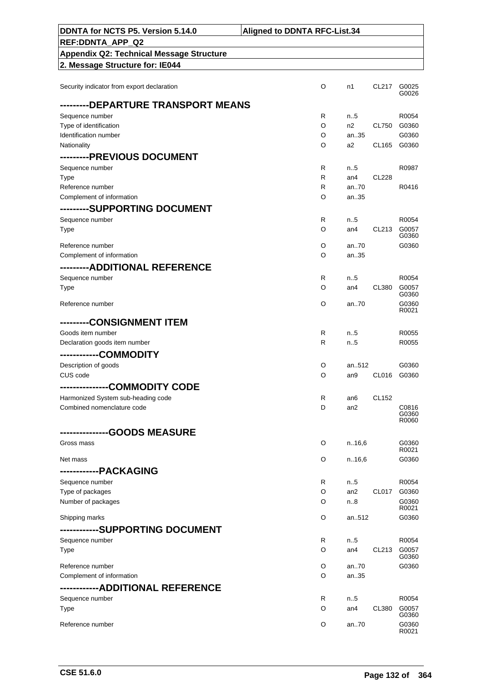| DDNTA for NCTS P5. Version 5.14.0               | <b>Aligned to DDNTA RFC-List.34</b> |                     |                |
|-------------------------------------------------|-------------------------------------|---------------------|----------------|
| <b>REF:DDNTA APP Q2</b>                         |                                     |                     |                |
| <b>Appendix Q2: Technical Message Structure</b> |                                     |                     |                |
| 2. Message Structure for: IE044                 |                                     |                     |                |
|                                                 |                                     |                     |                |
| Security indicator from export declaration      | O<br>n1                             | CL217               | G0025<br>G0026 |
| ---------DEPARTURE TRANSPORT MEANS              |                                     |                     |                |
| Sequence number                                 | R                                   | $n_{.}.5$           | R0054          |
| Type of identification                          | n2<br>O                             | CL750               | G0360          |
| Identification number                           | O                                   | an35                | G0360          |
| Nationality                                     | O                                   | a2<br>CL165         | G0360          |
| ---------PREVIOUS DOCUMENT                      |                                     |                     |                |
| Sequence number                                 | R                                   | n.5                 | R0987          |
| <b>Type</b>                                     | R                                   | CL228<br>an4        |                |
| Reference number                                | R                                   | an70                | R0416          |
| Complement of information                       | O                                   | an35                |                |
| --------SUPPORTING DOCUMENT                     |                                     |                     |                |
| Sequence number                                 | R                                   | $n_{.}.5$           | R0054          |
| <b>Type</b>                                     | O                                   | CL213<br>an4        | G0057<br>G0360 |
| Reference number                                | O                                   | an70                | G0360          |
| Complement of information                       | O                                   | an35                |                |
| ---------ADDITIONAL REFERENCE                   |                                     |                     |                |
| Sequence number                                 | R                                   | $n_{.}.5$           | R0054          |
| <b>Type</b>                                     | O                                   | CL380<br>an4        | G0057<br>G0360 |
| Reference number                                | O                                   | an70                | G0360          |
| ---------CONSIGNMENT ITEM                       |                                     |                     | R0021          |
| Goods item number                               | R                                   | n.5                 | R0055          |
| Declaration goods item number                   | R                                   | n.5                 | R0055          |
| -----------COMMODITY                            |                                     |                     |                |
| Description of goods                            | O                                   | an512               | G0360          |
| CUS code                                        | O                                   | an9<br>CL016        | G0360          |
|                                                 |                                     |                     |                |
| Harmonized System sub-heading code              | R                                   | CL152<br>an6        |                |
| Combined nomenclature code                      | D                                   | an2                 | C0816          |
|                                                 |                                     |                     | G0360<br>R0060 |
|                                                 |                                     |                     |                |
| Gross mass                                      | O                                   | n.16,6              | G0360          |
|                                                 |                                     |                     | R0021          |
| Net mass                                        | O                                   | n.16,6              | G0360          |
| ------------PACKAGING                           |                                     |                     |                |
| Sequence number                                 | R                                   | n.5                 | R0054          |
| Type of packages                                | O                                   | an2<br>CL017        | G0360          |
| Number of packages                              | O                                   | n.8                 | G0360<br>R0021 |
| Shipping marks                                  | O                                   | an512               | G0360          |
| ------------SUPPORTING DOCUMENT                 |                                     |                     |                |
| Sequence number                                 | R                                   | n.5                 | R0054          |
| Type                                            | O                                   | CL213<br>an4        | G0057          |
|                                                 |                                     |                     | G0360          |
| Reference number<br>Complement of information   | O<br>O                              | an70<br>an35        | G0360          |
| ------------ADDITIONAL REFERENCE                |                                     |                     |                |
|                                                 | R                                   |                     | R0054          |
| Sequence number<br>Type                         | O                                   | n.5<br>CL380<br>an4 | G0057          |
|                                                 |                                     |                     | G0360          |
| Reference number                                | O                                   | an70                | G0360<br>R0021 |
|                                                 |                                     |                     |                |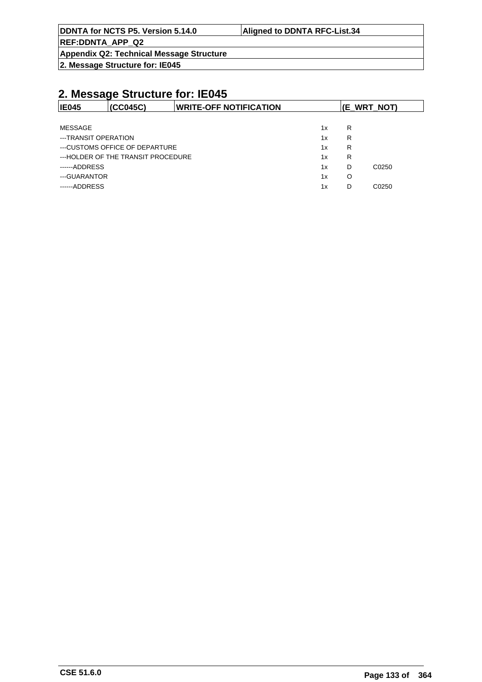|  |  | DDNTA for NCTS P5. Version 5.14.0 |  |
|--|--|-----------------------------------|--|
|  |  |                                   |  |

### **Aligned to DDNTA RFC-List.34**

**REF:DDNTA\_APP\_Q2**

**Appendix Q2: Technical Message Structure**

**2. Message Structure for: IE045**

| <b>IE045</b>         | (CCO45C)                            | <b>IWRITE-OFF NOTIFICATION</b> |    |   | (E_WRT_NOT)       |  |  |
|----------------------|-------------------------------------|--------------------------------|----|---|-------------------|--|--|
|                      |                                     |                                |    |   |                   |  |  |
| MESSAGE              |                                     |                                | 1x | R |                   |  |  |
| ---TRANSIT OPERATION |                                     |                                | 1x | R |                   |  |  |
|                      | ---CUSTOMS OFFICE OF DEPARTURE      |                                | 1x | R |                   |  |  |
|                      | ---HOLDER OF THE TRANSIT PROCEDURE. |                                | 1x | R |                   |  |  |
| ------ADDRESS        |                                     |                                | 1x | D | C0250             |  |  |
| ---GUARANTOR         |                                     |                                | 1x | O |                   |  |  |
| ------ADDRESS        |                                     |                                | 1x | D | C <sub>0250</sub> |  |  |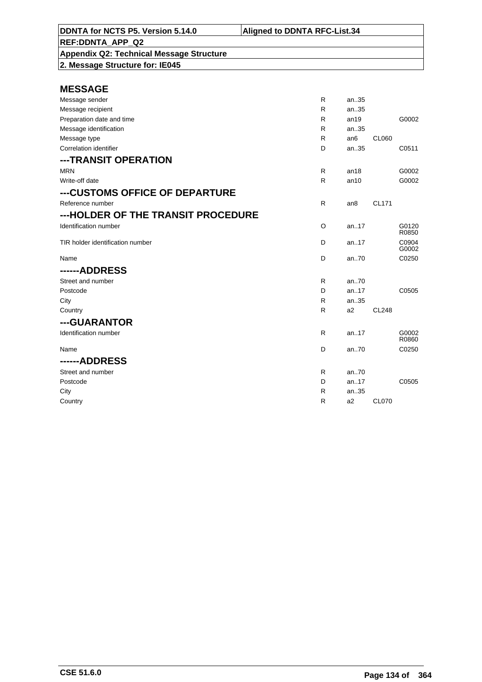| Aligned to DDNTA RFC-List.34 |  |
|------------------------------|--|
|------------------------------|--|

#### **REF:DDNTA\_APP\_Q2 Appendix Q2: Technical Message Structure 2. Message Structure for: IE045**

**DDNTA for NCTS P5. Version 5.14.0** 

| Message sender                     | R  | an35            |              |                |
|------------------------------------|----|-----------------|--------------|----------------|
| Message recipient                  | R  | an35            |              |                |
| Preparation date and time          | R  | an19            |              | G0002          |
| Message identification             | R  | an35            |              |                |
| Message type                       | R  | an <sub>6</sub> | <b>CL060</b> |                |
| Correlation identifier             | D  | an35            |              | C0511          |
| ---TRANSIT OPERATION               |    |                 |              |                |
| <b>MRN</b>                         | R  | an18            |              | G0002          |
| Write-off date                     | R  | an10            |              | G0002          |
| ---CUSTOMS OFFICE OF DEPARTURE     |    |                 |              |                |
| Reference number                   | R  | an8             | CL171        |                |
| ---HOLDER OF THE TRANSIT PROCEDURE |    |                 |              |                |
| Identification number              | O  | an.17           |              | G0120<br>R0850 |
| TIR holder identification number   | D  | an17            |              | C0904<br>G0002 |
| Name                               | D  | an.70           |              | C0250          |
| ------ADDRESS                      |    |                 |              |                |
| Street and number                  | R. | an70            |              |                |
| Postcode                           | D  | an17            |              | C0505          |
| City                               | R  | an35            |              |                |
| Country                            | R  | a2              | <b>CL248</b> |                |
| ---GUARANTOR                       |    |                 |              |                |
| Identification number              | R  | an.17           |              | G0002<br>R0860 |
| Name                               | D  | an.70           |              | C0250          |
| ------ADDRESS                      |    |                 |              |                |
| Street and number                  | R. | an70            |              |                |
| Postcode                           | D  | an.17           |              | C0505          |
| City                               | R  | an35            |              |                |
| Country                            | R  | a2              | <b>CL070</b> |                |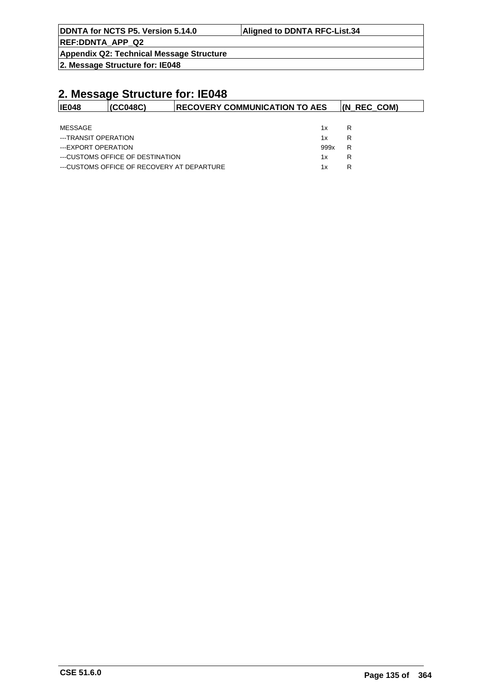| DDNTA for NCTS P5. Version 5.14.0 | <b>Aligned to DDNTA RFC-List.34</b> |
|-----------------------------------|-------------------------------------|
| <b>REF:DDNTA APP Q2</b>           |                                     |

**Appendix Q2: Technical Message Structure**

**2. Message Structure for: IE048**

| <b>IE048</b>         | (CC048C)                         | <b>IRECOVERY COMMUNICATION TO AES</b>     |      | $ N \rangle$ REC COM) |  |
|----------------------|----------------------------------|-------------------------------------------|------|-----------------------|--|
|                      |                                  |                                           |      |                       |  |
| MESSAGE              |                                  |                                           | 1x   | R                     |  |
| ---TRANSIT OPERATION |                                  |                                           | 1x   | R                     |  |
| ---EXPORT OPERATION  |                                  |                                           | 999x | R                     |  |
|                      | ---CUSTOMS OFFICE OF DESTINATION |                                           | 1x   | R                     |  |
|                      |                                  | --CUSTOMS OFFICE OF RECOVERY AT DEPARTURE | 1x   | R                     |  |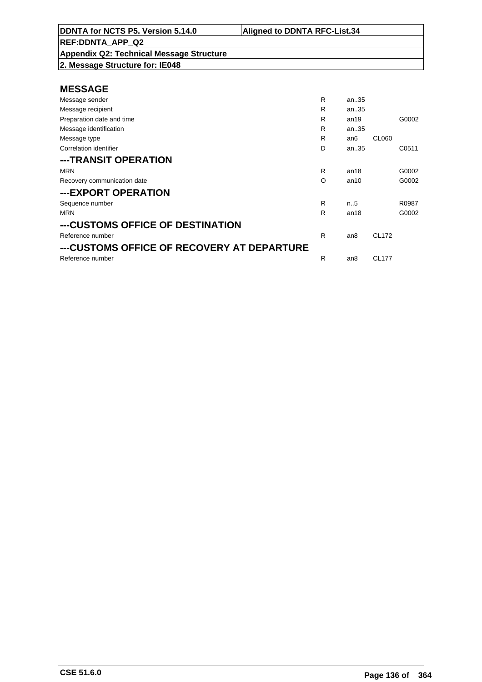| Message recipient                          | R | an35            |                   |       |
|--------------------------------------------|---|-----------------|-------------------|-------|
| Preparation date and time                  | R | an19            |                   | G0002 |
| Message identification                     | R | an35            |                   |       |
| Message type                               | R | an <sub>6</sub> | CL <sub>060</sub> |       |
| Correlation identifier                     | D | an35            |                   | C0511 |
| ---TRANSIT OPERATION                       |   |                 |                   |       |
| <b>MRN</b>                                 | R | an18            |                   | G0002 |
| Recovery communication date                | O | an10            |                   | G0002 |
| ---EXPORT OPERATION                        |   |                 |                   |       |
| Sequence number                            | R | $n_{.}5$        |                   | R0987 |
| <b>MRN</b>                                 | R | an18            |                   | G0002 |
| ---CUSTOMS OFFICE OF DESTINATION           |   |                 |                   |       |
| Reference number                           | R | an <sub>8</sub> | CL172             |       |
| ---CUSTOMS OFFICE OF RECOVERY AT DEPARTURE |   |                 |                   |       |
| Reference number                           | R | an <sub>8</sub> | <b>CL177</b>      |       |

Message sender **R** an..35

### **REF:DDNTA\_APP\_Q2 Appendix Q2: Technical Message Structure**

**2. Message Structure for: IE048**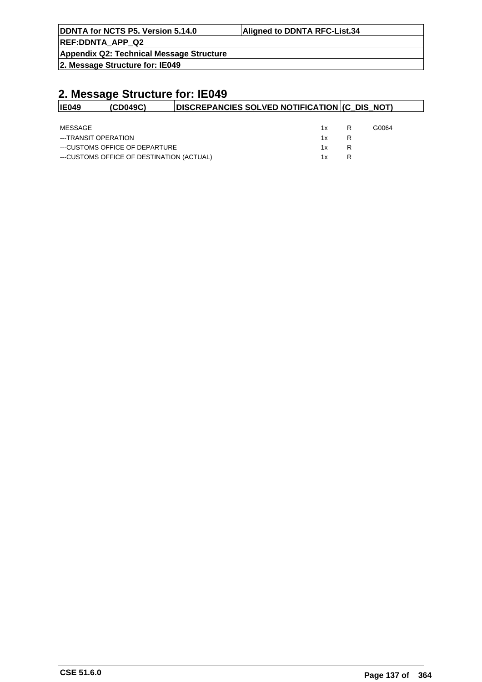|  |  | DDNTA for NCTS P5. Version 5.14.0 |  |
|--|--|-----------------------------------|--|
|  |  |                                   |  |

**Aligned to DDNTA RFC-List.34** 

**REF:DDNTA\_APP\_Q2**

**Appendix Q2: Technical Message Structure**

**2. Message Structure for: IE049**

| <b>IE049</b>         | (CD049C)                                  | DISCREPANCIES SOLVED NOTIFICATION (C DIS NOT) |       |
|----------------------|-------------------------------------------|-----------------------------------------------|-------|
|                      |                                           |                                               |       |
| MESSAGE              |                                           | 1x                                            | G0064 |
| ---TRANSIT OPERATION |                                           | 1 x                                           |       |
|                      | ---CUSTOMS OFFICE OF DEPARTURE            | 1x                                            |       |
|                      | ---CUSTOMS OFFICE OF DESTINATION (ACTUAL) | 1 x                                           |       |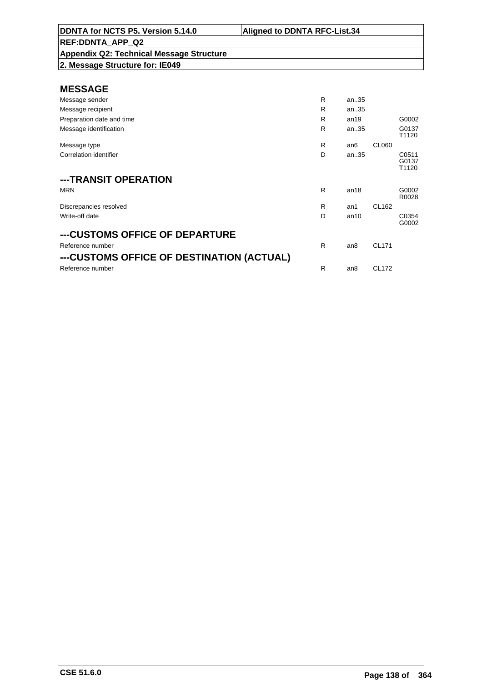| DDNTA for NCTS P5. Version 5.14.0 | Aligned to DDNTA RFC-List.34 |
|-----------------------------------|------------------------------|
| <b>REF:DDNTA APP Q2</b>           |                              |

#### **Appendix Q2: Technical Message Structure 2. Message Structure for: IE049**

### **MESSAGE**

| Message sender                            | R  | an.35           |              |                         |
|-------------------------------------------|----|-----------------|--------------|-------------------------|
| Message recipient                         | R  | an.35           |              |                         |
| Preparation date and time                 | R  | an19            |              | G0002                   |
| Message identification                    | R  | an.35           |              | G0137<br>T1120          |
| Message type                              | R  | an <sub>6</sub> | <b>CL060</b> |                         |
| Correlation identifier                    | D  | an.35           |              | C0511<br>G0137<br>T1120 |
| ---TRANSIT OPERATION                      |    |                 |              |                         |
| <b>MRN</b>                                | R  | an18            |              | G0002<br>R0028          |
| Discrepancies resolved                    | R. | an1             | CL162        |                         |
| Write-off date                            | D  | an10            |              | C0354<br>G0002          |
| ---CUSTOMS OFFICE OF DEPARTURE            |    |                 |              |                         |
| Reference number                          | R  | an <sub>8</sub> | CL171        |                         |
| ---CUSTOMS OFFICE OF DESTINATION (ACTUAL) |    |                 |              |                         |
| Reference number                          | R  | an <sub>8</sub> | <b>CL172</b> |                         |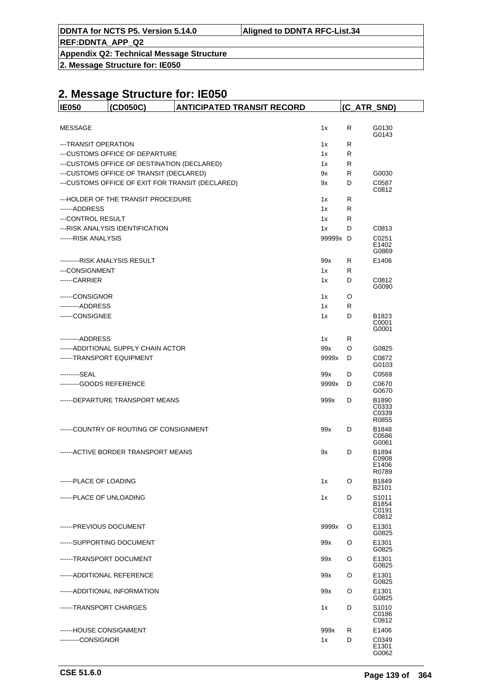| DDNTA for NCTS P5. Version 5.14.0 | Aligned to DDNTA RFC-List.34 |
|-----------------------------------|------------------------------|
| <b>REF:DDNTA APP Q2</b>           |                              |

**Appendix Q2: Technical Message Structure**

**2. Message Structure for: IE050**

| <b>IE050</b>                       | (CD050C)                                    | <b>ANTICIPATED TRANSIT RECORD</b>                |          |        | (C_ATR_SND)                                  |
|------------------------------------|---------------------------------------------|--------------------------------------------------|----------|--------|----------------------------------------------|
| <b>MESSAGE</b>                     |                                             |                                                  | 1x       | R      | G0130<br>G0143                               |
| ---TRANSIT OPERATION               |                                             |                                                  | 1x       | R      |                                              |
|                                    | ---CUSTOMS OFFICE OF DEPARTURE              |                                                  | 1x       | R      |                                              |
|                                    | ---CUSTOMS OFFICE OF DESTINATION (DECLARED) |                                                  | 1x       | R      |                                              |
|                                    | ---CUSTOMS OFFICE OF TRANSIT (DECLARED)     |                                                  | 9x       | R      | G0030                                        |
|                                    |                                             | ---CUSTOMS OFFICE OF EXIT FOR TRANSIT (DECLARED) | 9x       | D      | C0587<br>C0812                               |
|                                    | ---HOLDER OF THE TRANSIT PROCEDURE          |                                                  | 1x       | R      |                                              |
| ------ADDRESS                      |                                             |                                                  | 1x       | R      |                                              |
| ---CONTROL RESULT                  | --- RISK ANALYSIS IDENTIFICATION            |                                                  | 1x<br>1x | R<br>D | C0813                                        |
| ------RISK ANALYSIS                |                                             |                                                  | 99999x D |        | C0251                                        |
|                                    |                                             |                                                  |          |        | E1402<br>G0869                               |
|                                    | ---------RISK ANALYSIS RESULT               |                                                  | 99x      | R      | E1406                                        |
| ---CONSIGNMENT                     |                                             |                                                  | 1x       | R      |                                              |
| ------CARRIER                      |                                             |                                                  | 1x       | D      | C0812<br>G0090                               |
| ------CONSIGNOR                    |                                             |                                                  | 1x       | O      |                                              |
| ---------ADDRESS<br>-----CONSIGNEE |                                             |                                                  | 1x<br>1x | R<br>D | B <sub>1823</sub>                            |
|                                    |                                             |                                                  |          |        | C0001<br>G0001                               |
| ---------ADDRESS                   |                                             |                                                  | 1x       | R      |                                              |
|                                    | ------ADDITIONAL SUPPLY CHAIN ACTOR         |                                                  | 99x      | O      | G0825                                        |
|                                    | ------TRANSPORT EQUIPMENT                   |                                                  | 9999x    | D      | C0872<br>G0103                               |
| ---------SEAL                      |                                             |                                                  | 99x      | D      | C0569                                        |
|                                    |                                             |                                                  | 9999x    | D      | C0670<br>G0670                               |
|                                    | ------DEPARTURE TRANSPORT MEANS             |                                                  | 999x     | D      | B1890<br>C0333<br>C0339<br>R0855             |
|                                    | ------COUNTRY OF ROUTING OF CONSIGNMENT     |                                                  | 99x      | D      | B1848<br>C0586<br>G0061                      |
|                                    | ------ACTIVE BORDER TRANSPORT MEANS         |                                                  | 9x       | D      | B1894<br>C0908<br>E1406<br>R0789             |
| ------PLACE OF LOADING             |                                             |                                                  | 1x       | O      | B1849<br>B <sub>2101</sub>                   |
|                                    | ------PLACE OF UNLOADING                    |                                                  | 1x       | D      | S <sub>1011</sub><br>B1854<br>C0191<br>C0812 |
|                                    | ------PREVIOUS DOCUMENT                     |                                                  | 9999x    | O      | E1301<br>G0825                               |
|                                    | ------SUPPORTING DOCUMENT                   |                                                  | 99x      | O      | E1301<br>G0825                               |
|                                    | ------TRANSPORT DOCUMENT                    |                                                  | 99x      | O      | E1301<br>G0825                               |
|                                    | ------ ADDITIONAL REFERENCE                 |                                                  | 99x      | O      | E1301<br>G0825                               |
|                                    | ------ADDITIONAL INFORMATION                |                                                  | 99x      | O      | E1301<br>G0825                               |
|                                    | ------TRANSPORT CHARGES                     |                                                  | 1x       | D      | S1010<br>C0186<br>C0812                      |
|                                    | ------HOUSE CONSIGNMENT                     |                                                  | 999x     | R      | E1406                                        |
| --------CONSIGNOR                  |                                             |                                                  | 1x       | D      | C0349<br>E1301<br>G0062                      |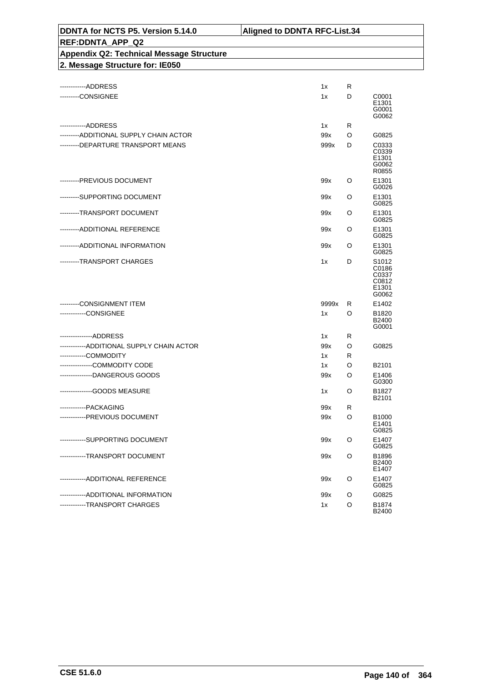#### **REF:DDNTA\_APP\_Q2 Appendix Q2: Technical Message Structure 2. Message Structure for: IE050**

| ------------ADDRESS                       | 1x    | R |                                                                |
|-------------------------------------------|-------|---|----------------------------------------------------------------|
| ---------CONSIGNEE                        | 1x    | D | C0001<br>E1301<br>G0001<br>G0062                               |
| ------------ADDRESS                       | 1x    | R |                                                                |
| ---------ADDITIONAL SUPPLY CHAIN ACTOR    | 99x   | O | G0825                                                          |
| ---------DEPARTURE TRANSPORT MEANS        | 999x  | D | C0333<br>C0339<br>E1301<br>G0062<br>R0855                      |
| ---------PREVIOUS DOCUMENT                | 99x   | O | E1301<br>G0026                                                 |
| --------SUPPORTING DOCUMENT               | 99x   | O | E1301<br>G0825                                                 |
| ---------TRANSPORT DOCUMENT               | 99x   | O | E1301<br>G0825                                                 |
| ---------ADDITIONAL REFERENCE             | 99x   | O | E1301<br>G0825                                                 |
| ---------ADDITIONAL INFORMATION           | 99x   | O | E1301<br>G0825                                                 |
| ---------TRANSPORT CHARGES                | 1x    | D | S <sub>1012</sub><br>C0186<br>C0337<br>C0812<br>E1301<br>G0062 |
| ---------CONSIGNMENT ITEM                 | 9999x | R | E1402                                                          |
| ------------CONSIGNEE                     | 1x    | O | B1820<br>B2400<br>G0001                                        |
| ---------------ADDRESS                    | 1x    | R |                                                                |
| ------------ADDITIONAL SUPPLY CHAIN ACTOR | 99x   | O | G0825                                                          |
| -----------COMMODITY                      | 1x    | R |                                                                |
| ---------------COMMODITY CODE             | 1x    | O | B2101                                                          |
| --------------DANGEROUS GOODS             | 99x   | O | E1406<br>G0300                                                 |
|                                           | 1x    | O | B <sub>1827</sub><br>B2101                                     |
| ------------PACKAGING                     | 99x   | R |                                                                |
| ------------PREVIOUS DOCUMENT             | 99x   | O | B <sub>1000</sub><br>E1401<br>G0825                            |
| -----------SUPPORTING DOCUMENT            | 99x   | O | E1407<br>G0825                                                 |
| -----------TRANSPORT DOCUMENT             | 99x   | O | B1896<br>B2400<br>E1407                                        |
| ----------ADDITIONAL REFERENCE            | 99x   | O | E1407<br>G0825                                                 |
| ------------ADDITIONAL INFORMATION        | 99x   | O | G0825                                                          |
| ------------TRANSPORT CHARGES             | 1x    | O | B1874                                                          |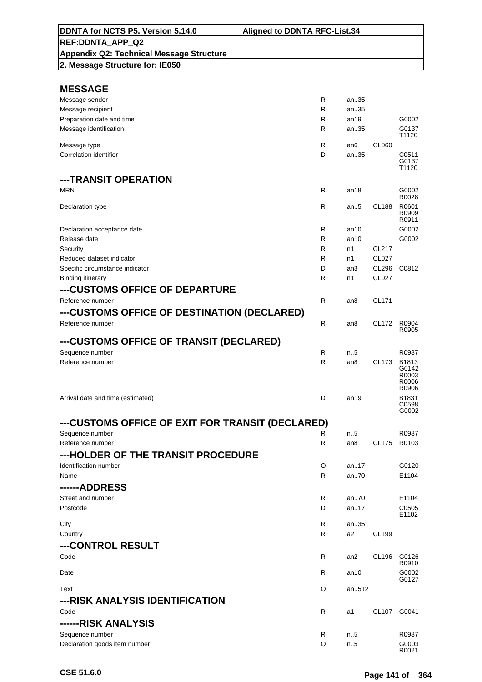| <b>REF:DDNTA APP Q2</b>                          |              |                 |              |                |
|--------------------------------------------------|--------------|-----------------|--------------|----------------|
| <b>Appendix Q2: Technical Message Structure</b>  |              |                 |              |                |
| 2. Message Structure for: IE050                  |              |                 |              |                |
|                                                  |              |                 |              |                |
| <b>MESSAGE</b>                                   |              |                 |              |                |
|                                                  |              |                 |              |                |
| Message sender                                   | R            | an35            |              |                |
| Message recipient                                | R            | an35            |              |                |
| Preparation date and time                        | R            | an19            |              | G0002          |
| Message identification                           | R            | an35            |              | G0137<br>T1120 |
| Message type                                     | R            | an6             | CL060        |                |
| Correlation identifier                           | D            | an35            |              | C0511          |
|                                                  |              |                 |              | G0137          |
|                                                  |              |                 |              | T1120          |
| ---TRANSIT OPERATION                             |              |                 |              |                |
| <b>MRN</b>                                       | R            | an18            |              | G0002<br>R0028 |
| Declaration type                                 | R            | an.5            | <b>CL188</b> | R0601          |
|                                                  |              |                 |              | R0909          |
|                                                  |              |                 |              | R0911          |
| Declaration acceptance date                      | R            | an10            |              | G0002          |
| Release date                                     | R            | an10            |              | G0002          |
| Security                                         | R            | n1              | CL217        |                |
| Reduced dataset indicator                        | R            | n1              | <b>CL027</b> |                |
| Specific circumstance indicator                  | D            | an3             | CL296        | C0812          |
| <b>Binding itinerary</b>                         | R            | n1              | <b>CL027</b> |                |
| ---CUSTOMS OFFICE OF DEPARTURE                   |              |                 |              |                |
| Reference number                                 | R            | an8             | CL171        |                |
| ---CUSTOMS OFFICE OF DESTINATION (DECLARED)      |              |                 |              |                |
| Reference number                                 | R            | an8             | <b>CL172</b> | R0904          |
|                                                  |              |                 |              | R0905          |
| ---CUSTOMS OFFICE OF TRANSIT (DECLARED)          |              |                 |              |                |
| Sequence number                                  | R            | n.5             |              | R0987          |
| Reference number                                 | $\mathsf{R}$ | an <sub>8</sub> | CL173        | B1813          |
|                                                  |              |                 |              | G0142          |
|                                                  |              |                 |              | R0003<br>R0006 |
|                                                  |              |                 |              | R0906          |
| Arrival date and time (estimated)                | D            | an19            |              | B1831          |
|                                                  |              |                 |              | C0598<br>G0002 |
|                                                  |              |                 |              |                |
| ---CUSTOMS OFFICE OF EXIT FOR TRANSIT (DECLARED) |              |                 |              |                |
| Sequence number                                  | R            | $n_{.}.5$       |              | R0987          |
| Reference number                                 | R            | an <sub>8</sub> | <b>CL175</b> | R0103          |
| ---HOLDER OF THE TRANSIT PROCEDURE               |              |                 |              |                |
| Identification number                            | O            | an.17           |              | G0120          |
| Name                                             | R            | an70            |              | E1104          |
| ------ADDRESS                                    |              |                 |              |                |
| Street and number                                | R            | an70            |              | E1104          |
| Postcode                                         | D            | an.17           |              | C0505          |
|                                                  |              |                 |              | E1102          |
| City                                             | R            | an35            |              |                |
| Country                                          | R            | a2              | CL199        |                |
| ---CONTROL RESULT                                |              |                 |              |                |
| Code                                             | R            | an2             | CL196        | G0126          |
|                                                  |              |                 |              | R0910          |
| Date                                             | R            | an10            |              | G0002          |
|                                                  |              |                 |              | G0127          |
| Text                                             | O            | an512           |              |                |
| ---RISK ANALYSIS IDENTIFICATION                  |              |                 |              |                |
| Code                                             | R            | a1              | CL107        | G0041          |
| ------RISK ANALYSIS                              |              |                 |              |                |
| Sequence number                                  | R            | n.5             |              | R0987          |
| Declaration goods item number                    | O            | n.5             |              | G0003          |
|                                                  |              |                 |              | R0021          |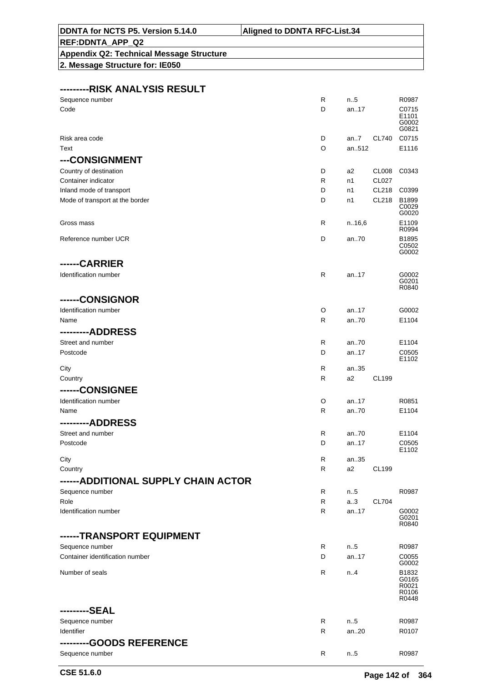**---------SEAL**

**------CONSIGNEE**

**---------ADDRESS**

| <b>CSE 51.6.0</b> |   |                  | Page 142 of<br>- 364 |
|-------------------|---|------------------|----------------------|
| Sequence number   | R | $n_{.}5$         | R0987                |
|                   |   |                  |                      |
| Identifier        | R | an20             | R0107                |
| Sequence number   | R | n <sub>0.5</sub> | R0987                |

C0505<br>E1102

G0201 R0840

G0002

G0165 R0021 R0106 R0448

| DDNTA for NCTS P5. Version 5.14.0               | <b>Aligned to DDNTA RFC-List.34</b> |        |                   |                            |
|-------------------------------------------------|-------------------------------------|--------|-------------------|----------------------------|
| <b>REF:DDNTA APP Q2</b>                         |                                     |        |                   |                            |
| <b>Appendix Q2: Technical Message Structure</b> |                                     |        |                   |                            |
| 2. Message Structure for: IE050                 |                                     |        |                   |                            |
|                                                 |                                     |        |                   |                            |
| ---------RISK ANALYSIS RESULT                   |                                     |        |                   |                            |
| Sequence number                                 | R                                   | n.5    |                   | R0987                      |
| Code                                            | D                                   | an.17  |                   | C0715                      |
|                                                 |                                     |        |                   | E1101                      |
|                                                 |                                     |        |                   | G0002<br>G0821             |
| Risk area code                                  | D                                   | an.7   | <b>CL740</b>      | C0715                      |
| Text                                            | O                                   | an512  |                   | E1116                      |
| ---CONSIGNMENT                                  |                                     |        |                   |                            |
| Country of destination                          | D                                   | a2     | CL <sub>008</sub> | C0343                      |
| Container indicator                             | R                                   | n1     | <b>CL027</b>      |                            |
| Inland mode of transport                        | D                                   | n1     | <b>CL218</b>      | C0399                      |
| Mode of transport at the border                 | D                                   | n1     | CL218             | B1899                      |
|                                                 |                                     |        |                   | C <sub>0029</sub><br>G0020 |
| Gross mass                                      | $\mathsf{R}$                        | n.16,6 |                   | E1109                      |
|                                                 |                                     |        |                   | R0994                      |
| Reference number UCR                            | D                                   | an70   |                   | B1895                      |
|                                                 |                                     |        |                   | C0502<br>G0002             |
| ------CARRIER                                   |                                     |        |                   |                            |
| Identification number                           | $\mathsf{R}$                        | an17   |                   | G0002                      |
|                                                 |                                     |        |                   | G0201                      |
|                                                 |                                     |        |                   | R0840                      |
| ------CONSIGNOR                                 |                                     |        |                   |                            |
| Identification number                           | O                                   | an.17  |                   | G0002                      |
| Name                                            | R                                   | an70   |                   | E1104                      |
| ---------ADDRESS                                |                                     |        |                   |                            |
| Street and number                               | R                                   | an.70  |                   | E1104                      |
| Postcode                                        | D                                   | an17   |                   | C0505                      |
|                                                 |                                     |        |                   | E1102                      |
| City                                            | $\mathsf{R}$                        | an35   |                   |                            |
| Country                                         | R                                   | a2     | CL199             |                            |

 Identification number O an..17 R0851 Name **R** an..70 E1104

Street and number **Street and number R** an..70 E1104 Postcode D an..17 C0505

Sequence number R n..5 R0987

Sequence number R n..5 R0987 Container identification number COOS5

Number of seals **R** n..4 B1832

City **R** an..35

**------ADDITIONAL SUPPLY CHAIN ACTOR**

**------TRANSPORT EQUIPMENT**

 Country R a2 CL199

Role **R** a..3 CL704 Identification number and a set of the control of the control of the control of the control of the control of the control of the control of the control of the control of the control of the control of the control of the con

#### **---------R**

#### **DDNTA formation 3.14.0 REF:DDNTA\_APP\_Q2**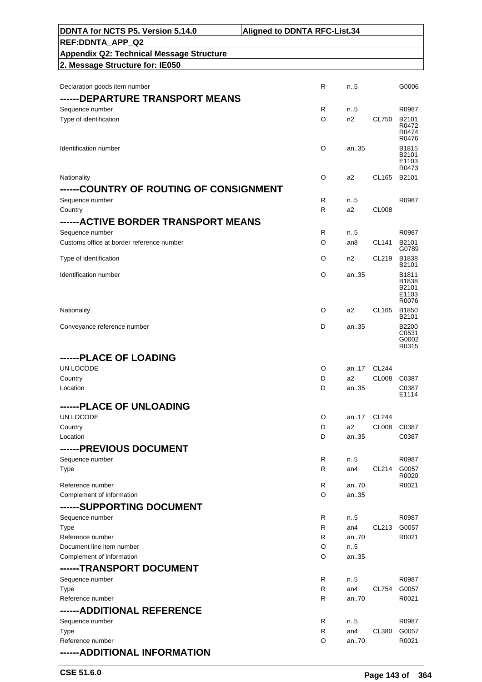| DDNTA for NCTS P5. Version 5.14.0               | <b>Aligned to DDNTA RFC-List.34</b> |                 |                              |                            |
|-------------------------------------------------|-------------------------------------|-----------------|------------------------------|----------------------------|
| <b>REF:DDNTA APP Q2</b>                         |                                     |                 |                              |                            |
| <b>Appendix Q2: Technical Message Structure</b> |                                     |                 |                              |                            |
| 2. Message Structure for: IE050                 |                                     |                 |                              |                            |
|                                                 |                                     |                 |                              |                            |
| Declaration goods item number                   | R                                   | n.5             |                              | G0006                      |
| ------DEPARTURE TRANSPORT MEANS                 |                                     |                 |                              |                            |
| Sequence number                                 | R                                   | n.5             |                              | R0987                      |
| Type of identification                          | O                                   | n2              | CL750                        | B2101                      |
|                                                 |                                     |                 |                              | R0472<br>R0474             |
|                                                 |                                     |                 |                              | R0476                      |
| Identification number                           | O                                   | an35            |                              | B1815                      |
|                                                 |                                     |                 |                              | B2101<br>E1103             |
|                                                 |                                     |                 |                              | R0473                      |
| Nationality                                     | O                                   | a2              | CL165                        | B2101                      |
| ------COUNTRY OF ROUTING OF CONSIGNMENT         |                                     |                 |                              |                            |
| Sequence number                                 | R                                   | $n_{.}.5$       |                              | R0987                      |
| Country                                         | R                                   | a2              | <b>CL008</b>                 |                            |
| ------ACTIVE BORDER TRANSPORT MEANS             |                                     |                 |                              |                            |
| Sequence number                                 | R                                   | $n_{.}.5$       |                              | R0987                      |
| Customs office at border reference number       | O                                   | an8             | CL141                        | B2101                      |
| Type of identification                          | O                                   | n <sub>2</sub>  | CL219                        | G0789<br>B1838             |
|                                                 |                                     |                 |                              | B2101                      |
| Identification number                           | O                                   | an35            |                              | B1811                      |
|                                                 |                                     |                 |                              | B1838<br>B2101             |
|                                                 |                                     |                 |                              | E1103                      |
| Nationality                                     | O                                   | a2              | CL165                        | R0076<br>B <sub>1850</sub> |
|                                                 |                                     |                 |                              | B <sub>2101</sub>          |
| Conveyance reference number                     | D                                   | an35            |                              | B2200                      |
|                                                 |                                     |                 |                              | C0531<br>G0002             |
|                                                 |                                     |                 |                              | R0315                      |
| ------PLACE OF LOADING                          |                                     |                 |                              |                            |
| UN LOCODE                                       | O                                   | an17            | CL244                        |                            |
| Country                                         | D                                   | a2              | <b>CL008</b>                 | C0387                      |
| Location                                        | D                                   | an35            |                              | C0387<br>E1114             |
|                                                 |                                     |                 |                              |                            |
| ------PLACE OF UNLOADING                        |                                     |                 |                              |                            |
| UN LOCODE                                       | O<br>D                              | an17<br>a2      | <b>CL244</b><br><b>CL008</b> | C0387                      |
| Country<br>Location                             | D                                   | an35            |                              | C0387                      |
| ------PREVIOUS DOCUMENT                         |                                     |                 |                              |                            |
|                                                 |                                     |                 |                              |                            |
| Sequence number                                 | R<br>R                              | n.5<br>an4      | CL214                        | R0987<br>G0057             |
| Type                                            |                                     |                 |                              | R0020                      |
| Reference number                                | R                                   | an70            |                              | R0021                      |
| Complement of information                       | O                                   | an35            |                              |                            |
| ------SUPPORTING DOCUMENT                       |                                     |                 |                              |                            |
| Sequence number                                 | R                                   | n.5             |                              | R0987                      |
| <b>Type</b>                                     | R                                   | an <sub>4</sub> | CL213                        | G0057                      |
| Reference number                                | R                                   | an70            |                              | R0021                      |
| Document line item number                       | O                                   | n.5             |                              |                            |
| Complement of information                       | O                                   | an35            |                              |                            |
| ------TRANSPORT DOCUMENT                        |                                     |                 |                              |                            |
| Sequence number                                 | R                                   | $n_{.}.5$       |                              | R0987                      |
| Type                                            | R                                   | an <sub>4</sub> | CL754                        | G0057                      |
| Reference number                                | R                                   | an.70           |                              | R0021                      |
| ------ADDITIONAL REFERENCE                      |                                     |                 |                              |                            |
| Sequence number                                 | R                                   | $n_{.}5$        |                              | R0987                      |
| <b>Type</b>                                     | R                                   | an4             | CL380                        | G0057                      |
| Reference number                                | O                                   | an70            |                              | R0021                      |
| ------ADDITIONAL INFORMATION                    |                                     |                 |                              |                            |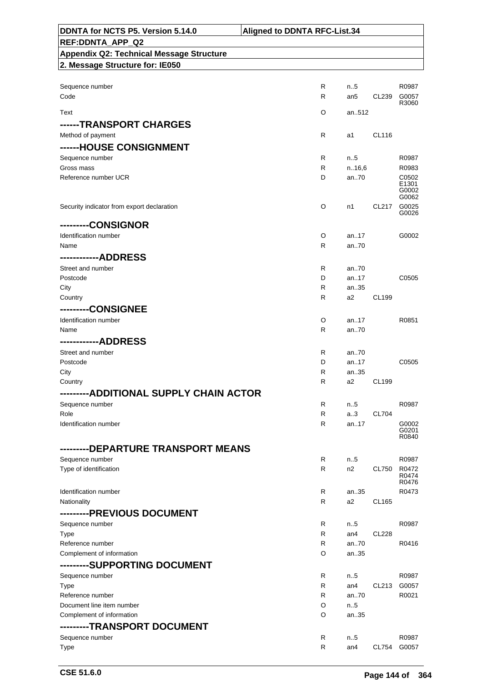| DDNTA for NCTS P5. Version 5.14.0               | <b>Aligned to DDNTA RFC-List.34</b> |                |              |                |
|-------------------------------------------------|-------------------------------------|----------------|--------------|----------------|
| REF:DDNTA_APP_Q2                                |                                     |                |              |                |
| <b>Appendix Q2: Technical Message Structure</b> |                                     |                |              |                |
| 2. Message Structure for: IE050                 |                                     |                |              |                |
|                                                 |                                     |                |              |                |
|                                                 |                                     |                |              |                |
| Sequence number                                 | R                                   | n.5            |              | R0987          |
| Code                                            | R                                   | an5            | CL239        | G0057<br>R3060 |
| Text                                            | O                                   | an512          |              |                |
| ------TRANSPORT CHARGES                         |                                     |                |              |                |
| Method of payment                               | R                                   | a1             | CL116        |                |
|                                                 |                                     |                |              |                |
| ------HOUSE CONSIGNMENT                         |                                     |                |              |                |
| Sequence number                                 | R                                   | n.5            |              | R0987          |
| Gross mass                                      | R                                   | n.16,6         |              | R0983          |
| Reference number UCR                            | D                                   | an70           |              | C0502<br>E1301 |
|                                                 |                                     |                |              | G0002<br>G0062 |
| Security indicator from export declaration      | O                                   | n1             | CL217        | G0025          |
|                                                 |                                     |                |              | G0026          |
| ---------CONSIGNOR                              |                                     |                |              |                |
| Identification number                           | O                                   | an17           |              | G0002          |
| Name                                            | R                                   | an70           |              |                |
|                                                 |                                     |                |              |                |
| ------------ADDRESS                             |                                     |                |              |                |
| Street and number                               | R                                   | an70           |              |                |
| Postcode                                        | D                                   | an17           |              | C0505          |
| City                                            | R                                   | an35           |              |                |
| Country                                         | R                                   | a2             | CL199        |                |
| ---------CONSIGNEE                              |                                     |                |              |                |
| Identification number                           | O                                   | an17           |              | R0851          |
| Name                                            | R                                   | an70           |              |                |
| ------------ADDRESS                             |                                     |                |              |                |
| Street and number                               | R                                   | an70           |              |                |
| Postcode                                        | D                                   | an17           |              | C0505          |
| City                                            | R                                   | an35           |              |                |
| Country                                         | $\mathsf{R}$                        | a2             | CL199        |                |
| ---------ADDITIONAL SUPPLY CHAIN ACTOR          |                                     |                |              |                |
| Sequence number                                 | R                                   | $n_{.}.5$      |              | R0987          |
| Role                                            | R                                   | a.3            | CL704        |                |
| Identification number                           | R                                   | an17           |              | G0002          |
|                                                 |                                     |                |              | G0201<br>R0840 |
| ---------DEPARTURE TRANSPORT MEANS              |                                     |                |              |                |
|                                                 |                                     |                |              |                |
| Sequence number                                 | $\mathsf R$<br>$\mathsf{R}$         | $n_{.}.5$      | CL750        | R0987<br>R0472 |
| Type of identification                          |                                     | n <sub>2</sub> |              | R0474          |
|                                                 |                                     |                |              | R0476          |
| Identification number                           | R                                   | an35           |              | R0473          |
| Nationality                                     | R                                   | a2             | CL165        |                |
| ---------PREVIOUS DOCUMENT                      |                                     |                |              |                |
| Sequence number                                 | R                                   | n5             |              | R0987          |
| <b>Type</b>                                     | R                                   | an4            | <b>CL228</b> |                |
| Reference number                                | R                                   | an70           |              | R0416          |
| Complement of information                       | O                                   | an35           |              |                |
| --------SUPPORTING DOCUMENT                     |                                     |                |              |                |
| Sequence number                                 | R                                   | n5             |              | R0987          |
| <b>Type</b>                                     | R                                   | an4            | CL213        | G0057          |
| Reference number                                | R                                   | an70           |              | R0021          |
| Document line item number                       | O                                   | n.5            |              |                |
| Complement of information                       | O                                   | an35           |              |                |
| --------TRANSPORT DOCUMENT                      |                                     |                |              |                |
| Sequence number                                 | $\mathsf R$                         | n.5            |              | R0987          |
| Type                                            | R                                   | an4            | CL754        | G0057          |
|                                                 |                                     |                |              |                |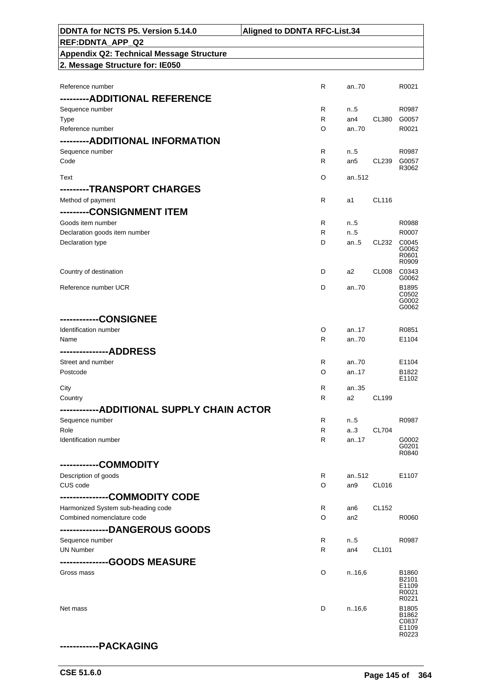| DDNTA for NCTS P5. Version 5.14.0                                | <b>Aligned to DDNTA RFC-List.34</b> |            |              |                |
|------------------------------------------------------------------|-------------------------------------|------------|--------------|----------------|
| <b>REF:DDNTA APP Q2</b>                                          |                                     |            |              |                |
| <b>Appendix Q2: Technical Message Structure</b>                  |                                     |            |              |                |
| 2. Message Structure for: IE050                                  |                                     |            |              |                |
|                                                                  |                                     |            |              |                |
| Reference number                                                 | R                                   | an70       |              | R0021          |
| ---------ADDITIONAL REFERENCE                                    |                                     |            |              |                |
| Sequence number                                                  | R                                   | $n_{.}.5$  |              | R0987          |
| <b>Type</b>                                                      | R                                   | an4        | CL380        | G0057          |
| Reference number                                                 | O                                   | an70       |              | R0021          |
| ---------ADDITIONAL INFORMATION                                  |                                     |            |              |                |
| Sequence number                                                  | R                                   | n.5        |              | R0987          |
| Code                                                             | R                                   | an5        | CL239        | G0057<br>R3062 |
| Text                                                             | O                                   | an512      |              |                |
| ---------TRANSPORT CHARGES                                       |                                     |            |              |                |
| Method of payment                                                | R                                   | a1         | CL116        |                |
| ---------CONSIGNMENT ITEM                                        |                                     |            |              |                |
| Goods item number                                                | R                                   | n.5        |              | R0988          |
| Declaration goods item number                                    | R                                   | n.5        |              | R0007          |
| Declaration type                                                 | D                                   | an $.5$    | CL232        | C0045<br>G0062 |
|                                                                  |                                     |            |              | R0601          |
|                                                                  |                                     |            |              | R0909          |
| Country of destination                                           | D                                   | a2         | <b>CL008</b> | C0343<br>G0062 |
| Reference number UCR                                             | D                                   | an70       |              | B1895          |
|                                                                  |                                     |            |              | C0502<br>G0002 |
|                                                                  |                                     |            |              | G0062          |
| -----------CONSIGNEE                                             |                                     |            |              |                |
| Identification number                                            | O                                   | an17       |              | R0851          |
| Name                                                             | R                                   | an70       |              | E1104          |
| ---------------ADDRESS                                           |                                     |            |              |                |
| Street and number                                                | R                                   | an70       |              | E1104          |
| Postcode                                                         | O                                   | an17       |              | B1822<br>E1102 |
| City                                                             | R                                   | an35       |              |                |
| Country                                                          | R                                   | a2         | CL199        |                |
| ------------ADDITIONAL SUPPLY CHAIN ACTOR                        |                                     |            |              |                |
| Sequence number                                                  | R                                   | $n_{.}.5$  |              | R0987          |
| Role                                                             | R                                   | аЗ         | CL704        |                |
| Identification number                                            | R                                   | an17       |              | G0002<br>G0201 |
|                                                                  |                                     |            |              | R0840          |
| -----------COMMODITY                                             |                                     |            |              |                |
| Description of goods                                             | R                                   | an512      |              | E1107          |
| CUS code                                                         | O                                   | an9        | CL016        |                |
|                                                                  |                                     |            |              |                |
| Harmonized System sub-heading code<br>Combined nomenclature code | R<br>O                              | an6<br>an2 | CL152        | R0060          |
|                                                                  |                                     |            |              |                |
| Sequence number                                                  | R                                   | n5         |              | R0987          |
| <b>UN Number</b>                                                 | R                                   | an4        | CL101        |                |
| ------------GOODS MEASURE                                        |                                     |            |              |                |
| Gross mass                                                       | O                                   | n.16,6     |              | B1860          |
|                                                                  |                                     |            |              | B2101          |
|                                                                  |                                     |            |              | E1109<br>R0021 |
|                                                                  |                                     |            |              | R0221          |
| Net mass                                                         | D                                   | n.16,6     |              | B1805<br>B1862 |
|                                                                  |                                     |            |              | C0837<br>E1109 |
|                                                                  |                                     |            |              | R0223          |

**------------PACKAGING**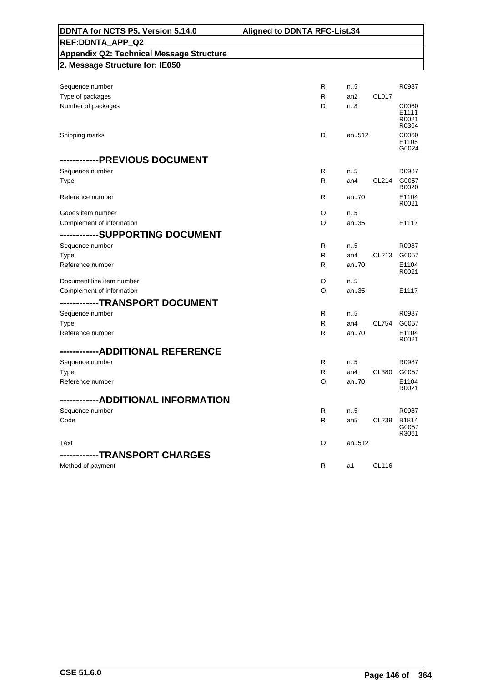| <b>Aligned to DDNTA RFC-List.34</b><br>DDNTA for NCTS P5. Version 5.14.0 |                           |       |                         |  |
|--------------------------------------------------------------------------|---------------------------|-------|-------------------------|--|
| REF:DDNTA_APP_Q2                                                         |                           |       |                         |  |
| <b>Appendix Q2: Technical Message Structure</b>                          |                           |       |                         |  |
| 2. Message Structure for: IE050                                          |                           |       |                         |  |
|                                                                          |                           |       |                         |  |
| Sequence number                                                          | R<br>$n_{.}.5$            |       | R0987                   |  |
| Type of packages                                                         | $\mathsf{R}$<br>an2       | CL017 |                         |  |
| Number of packages                                                       | D<br>n.8                  |       | C0060<br>E1111          |  |
|                                                                          |                           |       | R0021                   |  |
|                                                                          |                           |       | R0364                   |  |
| Shipping marks                                                           | D<br>an512                |       | C0060<br>E1105          |  |
|                                                                          |                           |       | G0024                   |  |
| ----------PREVIOUS DOCUMENT                                              |                           |       |                         |  |
| Sequence number                                                          | $\mathsf{R}$<br>$n_{.}.5$ |       | R0987                   |  |
| <b>Type</b>                                                              | $\mathsf{R}$<br>an4       | CL214 | G0057<br>R0020          |  |
| Reference number                                                         | R<br>an70                 |       | E1104                   |  |
|                                                                          |                           |       | R0021                   |  |
| Goods item number                                                        | n.5<br>O                  |       |                         |  |
| Complement of information                                                | O<br>an35                 |       | E1117                   |  |
| ----------SUPPORTING DOCUMENT                                            |                           |       |                         |  |
| Sequence number                                                          | R<br>$n_{.}.5$            |       | R0987<br>G0057          |  |
| <b>Type</b><br>Reference number                                          | R<br>an4<br>R<br>an70     | CL213 | E1104                   |  |
|                                                                          |                           |       | R0021                   |  |
| Document line item number                                                | O<br>n.5                  |       |                         |  |
| Complement of information                                                | O<br>an35                 |       | E1117                   |  |
| ----------TRANSPORT DOCUMENT                                             |                           |       |                         |  |
| Sequence number                                                          | R<br>n5                   |       | R0987                   |  |
| Type                                                                     | R<br>an4                  | CL754 | G0057                   |  |
| Reference number                                                         | R<br>an70                 |       | E1104<br>R0021          |  |
| -----------ADDITIONAL REFERENCE                                          |                           |       |                         |  |
| Sequence number                                                          | R<br>n5                   |       | R0987                   |  |
| Type                                                                     | R<br>an4                  | CL380 | G0057                   |  |
| Reference number                                                         | O<br>an70                 |       | E1104                   |  |
|                                                                          |                           |       | R0021                   |  |
| ------------ADDITIONAL INFORMATION                                       |                           |       |                         |  |
| Sequence number<br>Code                                                  | R<br>n.5<br>$\mathsf{R}$  |       | R0987                   |  |
|                                                                          | an5                       | CL239 | B1814<br>G0057<br>R3061 |  |
| Text                                                                     | O<br>an512                |       |                         |  |
|                                                                          |                           |       |                         |  |
| Method of payment                                                        | R<br>a1                   | CL116 |                         |  |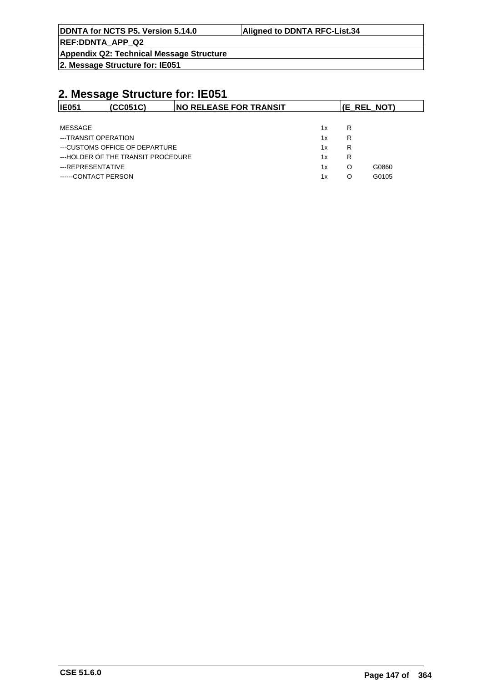|  | DDNTA for NCTS P5. Version 5.14.0 |
|--|-----------------------------------|
|  |                                   |

#### **Aligned to DDNTA RFC-List.34**

**REF:DDNTA\_APP\_Q2**

**Appendix Q2: Technical Message Structure**

**2. Message Structure for: IE051**

| <b>IE051</b>                       | (CCO <sub>51</sub> C) | <b>INO RELEASE FOR TRANSIT</b> |    |   | (E REL NOT) |
|------------------------------------|-----------------------|--------------------------------|----|---|-------------|
|                                    |                       |                                |    |   |             |
| MESSAGE                            |                       |                                | 1x | R |             |
| ---TRANSIT OPERATION               |                       |                                | 1x | R |             |
| --CUSTOMS OFFICE OF DEPARTURE      |                       |                                | 1x | R |             |
| ---HOLDER OF THE TRANSIT PROCEDURE |                       |                                | 1x | R |             |
| ---REPRESENTATIVE                  |                       |                                | 1x | ∩ | G0860       |
| ------CONTACT PERSON               |                       |                                | 1x | O | G0105       |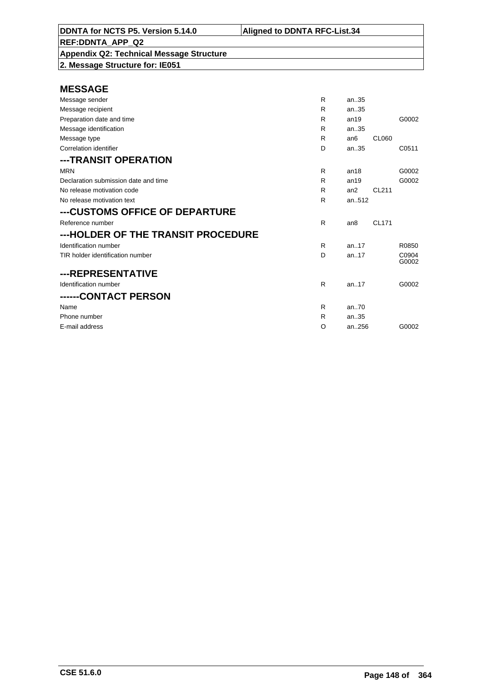#### **REF:DDNTA\_APP\_Q2 Appendix Q2: Technical Message Structure 2. Message Structure for: IE051**

| Message sender                       | R | an.35           |       |                |
|--------------------------------------|---|-----------------|-------|----------------|
| Message recipient                    | R | an35            |       |                |
| Preparation date and time            | R | an19            |       | G0002          |
| Message identification               | R | an35            |       |                |
| Message type                         | R | an6             | CL060 |                |
| Correlation identifier               | D | an35            |       | C0511          |
| ---TRANSIT OPERATION                 |   |                 |       |                |
| <b>MRN</b>                           | R | an18            |       | G0002          |
| Declaration submission date and time | R | an19            |       | G0002          |
| No release motivation code           | R | an2             | CL211 |                |
| No release motivation text           | R | an512           |       |                |
| ---CUSTOMS OFFICE OF DEPARTURE       |   |                 |       |                |
| Reference number                     | R | an <sub>8</sub> | CL171 |                |
| ---HOLDER OF THE TRANSIT PROCEDURE   |   |                 |       |                |
| Identification number                | R | an.17           |       | R0850          |
| TIR holder identification number     | D | an.17           |       | C0904<br>G0002 |
| ---REPRESENTATIVE                    |   |                 |       |                |
| Identification number                | R | an17            |       | G0002          |
| ------CONTACT PERSON                 |   |                 |       |                |
| Name                                 | R | an.70           |       |                |
| Phone number                         | R | an35            |       |                |
| E-mail address                       | O | an256           |       | G0002          |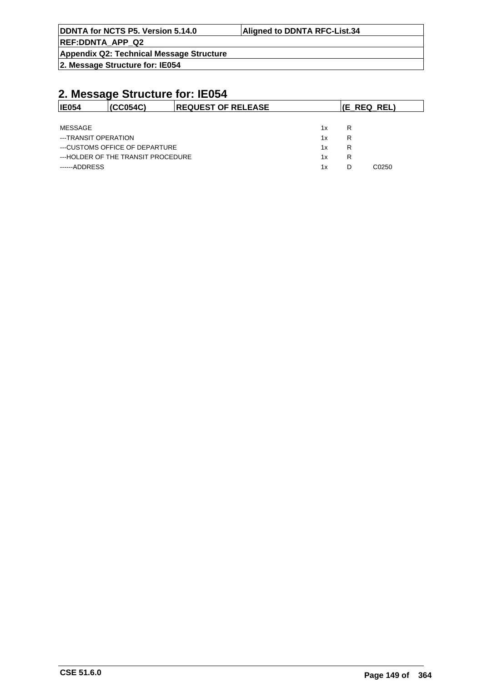|  |  | DDNTA for NCTS P5. Version 5.14.0 |  |
|--|--|-----------------------------------|--|
|  |  |                                   |  |

#### **Aligned to DDNTA RFC-List.34**

**REF:DDNTA\_APP\_Q2**

**Appendix Q2: Technical Message Structure**

**2. Message Structure for: IE054**

| <b>IE054</b>                       | (CCO54C) | <b>REQUEST OF RELEASE</b> |    | (E REQ REL) |                   |
|------------------------------------|----------|---------------------------|----|-------------|-------------------|
|                                    |          |                           |    |             |                   |
| MESSAGE                            |          |                           | 1x | R           |                   |
| ---TRANSIT OPERATION               |          |                           | 1x | R           |                   |
| --CUSTOMS OFFICE OF DEPARTURE      |          |                           | 1x | R           |                   |
| ---HOLDER OF THE TRANSIT PROCEDURE |          |                           | 1x | R           |                   |
| ------ADDRESS                      |          |                           | 1x | Ð           | C <sub>0250</sub> |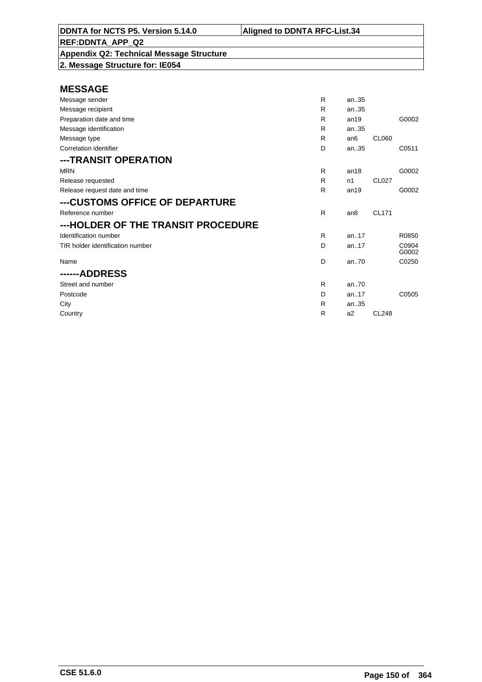#### **REF:DDNTA\_APP\_Q2 Appendix Q2: Technical Message Structure 2. Message Structure for: IE054**

| Message sender                     | R | an35            |              |                |
|------------------------------------|---|-----------------|--------------|----------------|
| Message recipient                  | R | an35            |              |                |
| Preparation date and time          | R | an19            |              | G0002          |
| Message identification             | R | an35            |              |                |
| Message type                       | R | an <sub>6</sub> | CL060        |                |
| Correlation identifier             | D | an35            |              | C0511          |
| ---TRANSIT OPERATION               |   |                 |              |                |
| <b>MRN</b>                         | R | an18            |              | G0002          |
| Release requested                  | R | n1              | <b>CL027</b> |                |
| Release request date and time      | R | an19            |              | G0002          |
| ---CUSTOMS OFFICE OF DEPARTURE     |   |                 |              |                |
| Reference number                   | R | an <sub>8</sub> | CL171        |                |
| ---HOLDER OF THE TRANSIT PROCEDURE |   |                 |              |                |
| Identification number              | R | an.17           |              | R0850          |
| TIR holder identification number   | D | an.17           |              | C0904<br>G0002 |
| Name                               | D | an.70           |              | C0250          |
| ------ADDRESS                      |   |                 |              |                |
| Street and number                  | R | an.70           |              |                |
| Postcode                           | D | an.17           |              | C0505          |
| City                               | R | an35            |              |                |
| Country                            | R | a2              | <b>CL248</b> |                |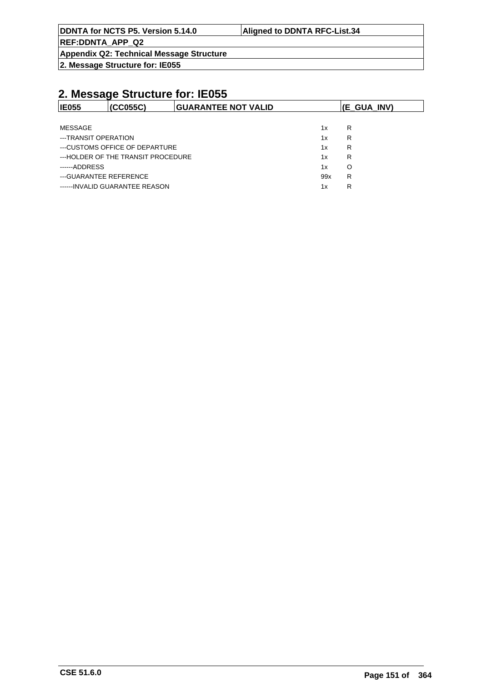**REF:DDNTA\_APP\_Q2**

**Appendix Q2: Technical Message Structure**

**2. Message Structure for: IE055**

| <b>IE055</b>                       | (CCO55C) | <b>GUARANTEE NOT VALID</b> |     | (E GUA INV) |
|------------------------------------|----------|----------------------------|-----|-------------|
|                                    |          |                            |     |             |
| MESSAGE                            |          | 1x                         | R   |             |
| ---TRANSIT OPERATION               |          |                            | 1x  | R           |
| --CUSTOMS OFFICE OF DEPARTURE      |          |                            | 1x  | R           |
| ---HOLDER OF THE TRANSIT PROCEDURE |          |                            | 1x  | R           |
| ------ADDRESS                      |          |                            | 1x  | O           |
| --- GUARANTEE REFERENCE            |          |                            | 99x | R           |
| ------INVALID GUARANTEE REASON     |          |                            | 1x  | R           |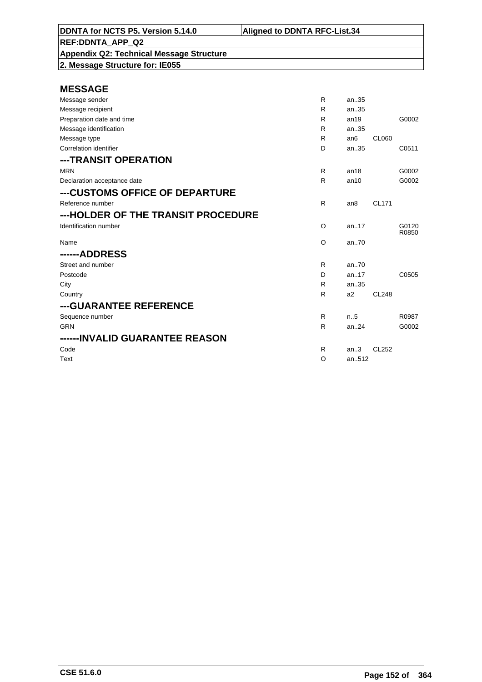#### **REF:DDNTA\_APP\_Q2 Appendix Q2: Technical Message Structure 2. Message Structure for: IE055**

| Message sender                     | R            | an35             |              |                |
|------------------------------------|--------------|------------------|--------------|----------------|
| Message recipient                  | R            | an35             |              |                |
| Preparation date and time          | R            | an19             |              | G0002          |
| Message identification             | R            | an35             |              |                |
| Message type                       | R            | an <sub>6</sub>  | CL060        |                |
| Correlation identifier             | D            | an35             |              | C0511          |
| ---TRANSIT OPERATION               |              |                  |              |                |
| <b>MRN</b>                         | $\mathsf{R}$ | an18             |              | G0002          |
| Declaration acceptance date        | $\mathsf{R}$ | an10             |              | G0002          |
| ---CUSTOMS OFFICE OF DEPARTURE     |              |                  |              |                |
| Reference number                   | $\mathsf{R}$ | an8              | CL171        |                |
| ---HOLDER OF THE TRANSIT PROCEDURE |              |                  |              |                |
| Identification number              | O            | an.17            |              | G0120<br>R0850 |
| Name                               | O            | an70             |              |                |
| ------ADDRESS                      |              |                  |              |                |
| Street and number                  | R            | an70             |              |                |
| Postcode                           | D            | an.17            |              | C0505          |
| City                               | R            | an35             |              |                |
| Country                            | R            | a <sub>2</sub>   | <b>CL248</b> |                |
| --- GUARANTEE REFERENCE            |              |                  |              |                |
| Sequence number                    | $\mathsf{R}$ | n <sub>0.5</sub> |              | R0987          |
| <b>GRN</b>                         | R            | an.24            |              | G0002          |
| ------INVALID GUARANTEE REASON     |              |                  |              |                |
| Code                               | R            | an.3             | CL252        |                |
| Text                               | O            | an512            |              |                |
|                                    |              |                  |              |                |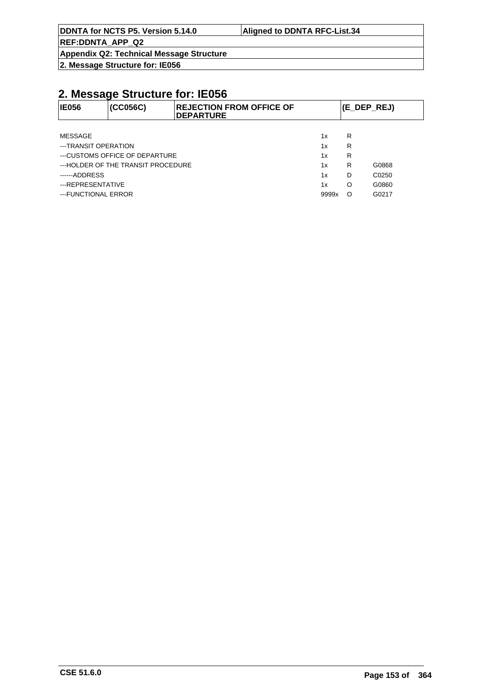**REF:DDNTA\_APP\_Q2**

**Appendix Q2: Technical Message Structure**

**2. Message Structure for: IE056**

| <b>IE056</b>                       | (CC056C) | <b>IREJECTION FROM OFFICE OF</b><br><b>DEPARTURE</b> |       | (E_DEP_REJ) |       |
|------------------------------------|----------|------------------------------------------------------|-------|-------------|-------|
|                                    |          |                                                      |       |             |       |
| MESSAGE                            |          |                                                      | 1x    | R           |       |
| ---TRANSIT OPERATION               |          |                                                      | 1x    | R           |       |
| ---CUSTOMS OFFICE OF DEPARTURE     |          |                                                      | 1x    | R           |       |
| ---HOLDER OF THE TRANSIT PROCEDURE |          |                                                      | 1x    | R           | G0868 |
| ------ADDRESS                      |          |                                                      | 1x    | D           | C0250 |
| ---REPRESENTATIVE                  |          |                                                      | 1x    | O           | G0860 |
| ---FUNCTIONAL ERROR                |          |                                                      | 9999x | $\circ$     | G0217 |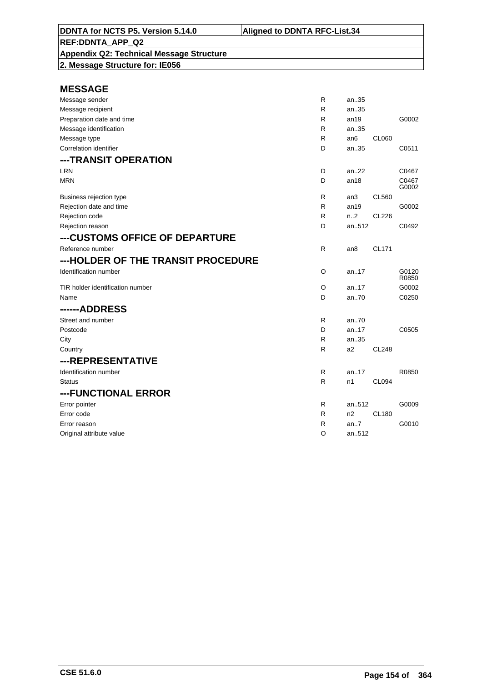#### **REF:DDNTA\_APP\_Q2 Appendix Q2: Technical Message Structure 2. Message Structure for: IE056**

| Message sender                     | ${\sf R}$ | an35            |              |                |
|------------------------------------|-----------|-----------------|--------------|----------------|
| Message recipient                  | R         | an35            |              |                |
| Preparation date and time          | R         | an19            |              | G0002          |
| Message identification             | R         | an35            |              |                |
| Message type                       | R         | an <sub>6</sub> | <b>CL060</b> |                |
| Correlation identifier             | D         | an35            |              | C0511          |
| ---TRANSIT OPERATION               |           |                 |              |                |
| LRN                                | D         | an.22           |              | C0467          |
| <b>MRN</b>                         | D         | an18            |              | C0467<br>G0002 |
| Business rejection type            | R         | an3             | CL560        |                |
| Rejection date and time            | R         | an19            |              | G0002          |
| Rejection code                     | R         | n.2             | <b>CL226</b> |                |
| Rejection reason                   | D         | an512           |              | C0492          |
| ---CUSTOMS OFFICE OF DEPARTURE     |           |                 |              |                |
| Reference number                   | R         | an8             | CL171        |                |
| ---HOLDER OF THE TRANSIT PROCEDURE |           |                 |              |                |
| Identification number              | O         | an.17           |              | G0120<br>R0850 |
| TIR holder identification number   | O         | an.17           |              | G0002          |
| Name                               | D         | an70            |              | C0250          |
| ------ADDRESS                      |           |                 |              |                |
| Street and number                  | R         | an.70           |              |                |
| Postcode                           | D         | an.17           |              | C0505          |
| City                               | R.        | an35            |              |                |
| Country                            | R         | a <sub>2</sub>  | CL248        |                |
| ---REPRESENTATIVE                  |           |                 |              |                |
| Identification number              | R         | an.17           |              | R0850          |
| <b>Status</b>                      | R         | n1              | CL094        |                |
| ---FUNCTIONAL ERROR                |           |                 |              |                |
| Error pointer                      | R         | an512           |              | G0009          |
| Error code                         | R         | n2              | <b>CL180</b> |                |
| Error reason                       | R         | an.7            |              | G0010          |
| Original attribute value           | $\circ$   | an512           |              |                |
|                                    |           |                 |              |                |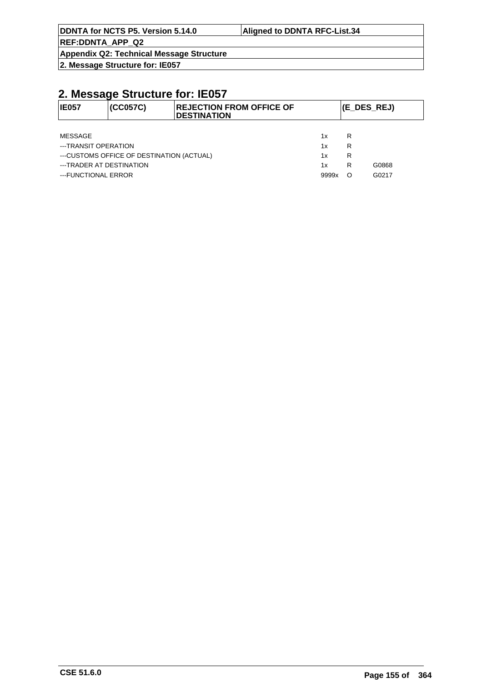**REF:DDNTA\_APP\_Q2**

**Appendix Q2: Technical Message Structure**

**2. Message Structure for: IE057**

| <b>IE057</b>                              | (CC057C) | <b>IREJECTION FROM OFFICE OF</b><br><b>IDESTINATION</b> | $(E$ DES REJ) |         |       |
|-------------------------------------------|----------|---------------------------------------------------------|---------------|---------|-------|
|                                           |          |                                                         |               |         |       |
| MESSAGE                                   |          |                                                         |               | R       |       |
| ---TRANSIT OPERATION                      |          |                                                         | 1x            | R       |       |
| ---CUSTOMS OFFICE OF DESTINATION (ACTUAL) |          |                                                         | 1x            | R       |       |
| ---TRADER AT DESTINATION                  |          |                                                         | 1x            | R       | G0868 |
| ---FUNCTIONAL ERROR                       |          |                                                         |               | $\circ$ | G0217 |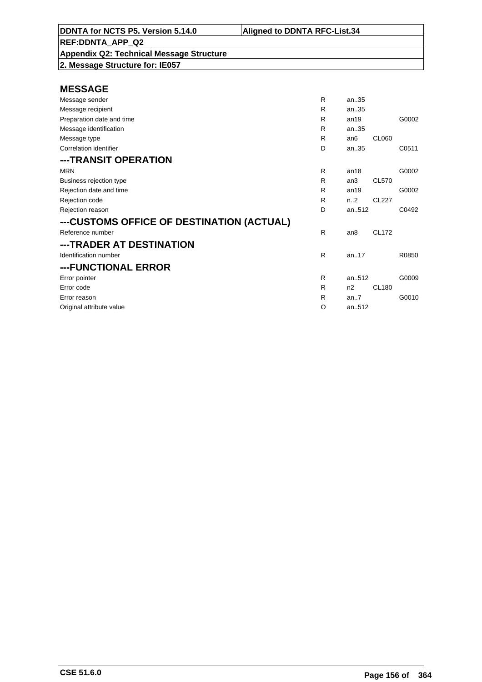|  | DDNTA for NCTS P5. Version 5.14.0 | Aligned to DDNTA RFC-List.34 |
|--|-----------------------------------|------------------------------|
|--|-----------------------------------|------------------------------|

## **REF:DDNTA\_APP\_Q2 Appendix Q2: Technical Message Structure**

| <b>MESSAGE</b>                            |              |                  |              |       |
|-------------------------------------------|--------------|------------------|--------------|-------|
| Message sender                            | R            | an.35            |              |       |
| Message recipient                         | R            | an.35            |              |       |
| Preparation date and time                 | R            | an19             |              | G0002 |
| Message identification                    | R            | an.35            |              |       |
| Message type                              | R            | an <sub>6</sub>  | CL060        |       |
| Correlation identifier                    | D            | an.35            |              | C0511 |
| ---TRANSIT OPERATION                      |              |                  |              |       |
| <b>MRN</b>                                | R            | an18             |              | G0002 |
| Business rejection type                   | R            | an3              | CL570        |       |
| Rejection date and time                   | R            | an19             |              | G0002 |
| Rejection code                            | R            | n <sub>1</sub> 2 | <b>CL227</b> |       |
| Rejection reason                          | D            | an512            |              | C0492 |
| ---CUSTOMS OFFICE OF DESTINATION (ACTUAL) |              |                  |              |       |
| Reference number                          | $\mathsf{R}$ | an8              | <b>CL172</b> |       |
| ---TRADER AT DESTINATION                  |              |                  |              |       |
| Identification number                     | R            | an.17            |              | R0850 |
| ---FUNCTIONAL ERROR                       |              |                  |              |       |
| Error pointer                             | R            | an.512           |              | G0009 |
| Error code                                | R            | n2               | CL180        |       |
| Error reason                              | R            | an.7             |              | G0010 |
| Original attribute value                  | O            | an512            |              |       |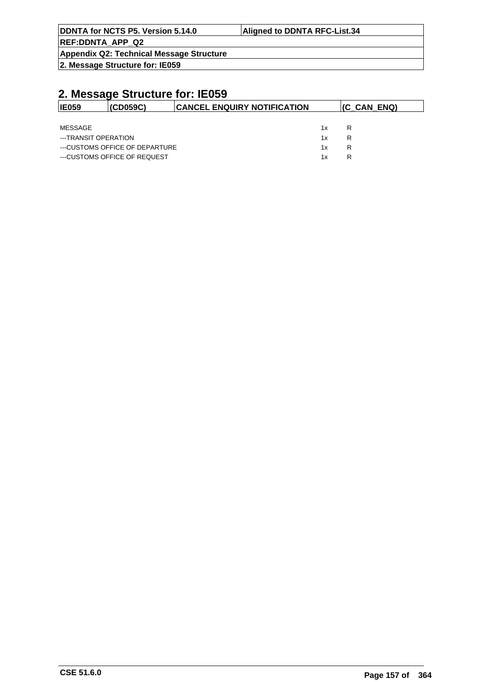| DDNTA for NCTS P5. Version 5.14.0 | <b>Aligned to DDNTA RFC-List.34</b> |
|-----------------------------------|-------------------------------------|
| REF:DDNTA APP Q2                  |                                     |

**Appendix Q2: Technical Message Structure**

**2. Message Structure for: IE059**

| <b>IE059</b>         | $ $ (CD059C)                   | <b>CANCEL ENQUIRY NOTIFICATION</b> |     | $(C$ CAN ENQ) |
|----------------------|--------------------------------|------------------------------------|-----|---------------|
|                      |                                |                                    |     |               |
| MESSAGE              |                                |                                    | 1x  | R             |
| ---TRANSIT OPERATION |                                |                                    | 1 x | R             |
|                      | ---CUSTOMS OFFICE OF DEPARTURE |                                    | 1 x | R             |
|                      | ---CUSTOMS OFFICE OF REQUEST   |                                    | 1x  | R             |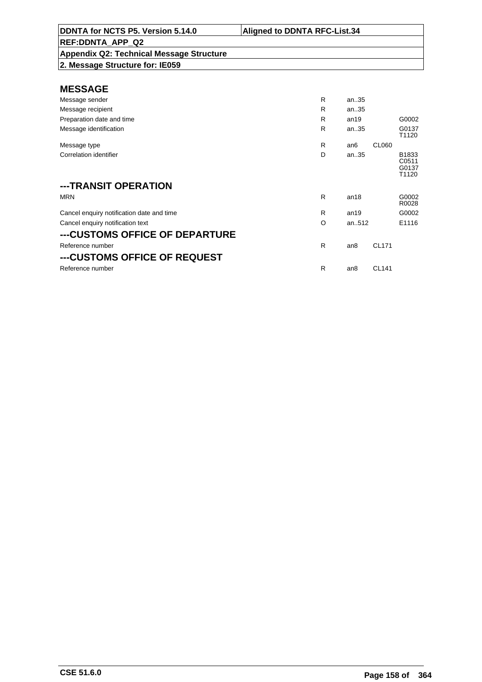# **REF:DDNTA\_APP\_Q2 Appendix Q2: Technical Message Structure**

**2. Message Structure for: IE059**

| Message sender                            | R | an35            |              |                                  |
|-------------------------------------------|---|-----------------|--------------|----------------------------------|
| Message recipient                         | R | an35            |              |                                  |
| Preparation date and time                 | R | an19            |              | G0002                            |
| Message identification                    | R | an35            |              | G0137<br>T1120                   |
| Message type                              | R | an6             | <b>CL060</b> |                                  |
| Correlation identifier                    | D | an35            |              | B1833<br>C0511<br>G0137<br>T1120 |
| ---TRANSIT OPERATION                      |   |                 |              |                                  |
| <b>MRN</b>                                | R | an18            |              | G0002<br>R0028                   |
| Cancel enquiry notification date and time | R | an19            |              | G0002                            |
| Cancel enquiry notification text          | O | an512           |              | E1116                            |
| ---CUSTOMS OFFICE OF DEPARTURE            |   |                 |              |                                  |
| Reference number                          | R | an <sub>8</sub> | CL171        |                                  |
| ---CUSTOMS OFFICE OF REQUEST              |   |                 |              |                                  |
| Reference number                          | R | an <sub>8</sub> | CL141        |                                  |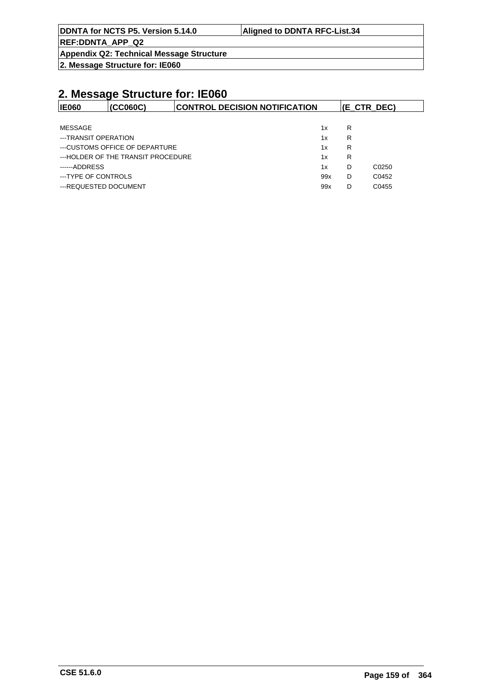|  |  | DDNTA for NCTS P5. Version 5.14.0 |  |
|--|--|-----------------------------------|--|
|  |  |                                   |  |

#### **Aligned to DDNTA RFC-List.34**

**REF:DDNTA\_APP\_Q2**

**Appendix Q2: Technical Message Structure**

**2. Message Structure for: IE060**

| <b>IE060</b>           | (CCO60C)                           | <b>CONTROL DECISION NOTIFICATION</b> |     | (E CTR DEC) |                   |
|------------------------|------------------------------------|--------------------------------------|-----|-------------|-------------------|
|                        |                                    |                                      |     |             |                   |
| MESSAGE                |                                    |                                      | 1x  | R           |                   |
| ---TRANSIT OPERATION   |                                    |                                      | 1x  | R           |                   |
|                        | ---CUSTOMS OFFICE OF DEPARTURE     |                                      | 1x  | R           |                   |
|                        | ---HOLDER OF THE TRANSIT PROCEDURE |                                      | 1x  | R           |                   |
| ------ADDRESS          |                                    |                                      | 1x  | D           | C <sub>0250</sub> |
| ---TYPE OF CONTROLS    |                                    |                                      | 99x | D           | C0452             |
| --- REQUESTED DOCUMENT |                                    |                                      | 99x | D           | C0455             |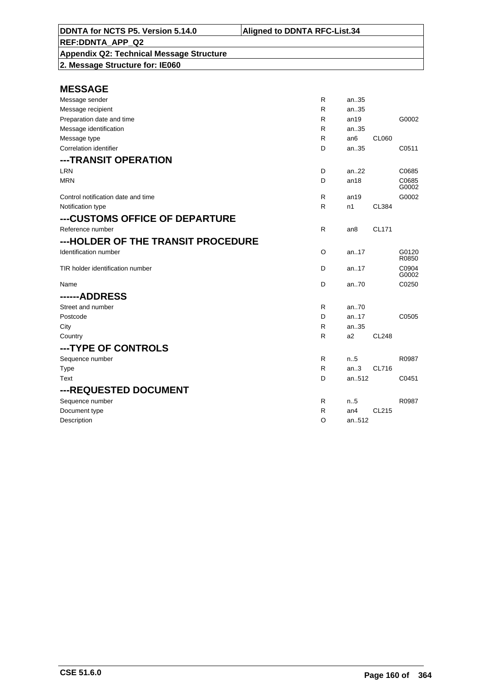#### **REF:DDNTA\_APP\_Q2 Appendix Q2: Technical Message Structure 2. Message Structure for: IE060**

| Message sender<br>Message recipient<br>Preparation date and time<br>Message identification<br>Message type<br>Correlation identifier<br>---TRANSIT OPERATION<br>LRN<br><b>MRN</b> | R<br>R<br>R<br>R<br>R<br>D<br>D<br>D | an35<br>an35<br>an19<br>an35<br>an6<br>an35<br>an.22<br>an18 | <b>CL060</b> | G0002<br>C0511<br>C0685<br>C0685 |
|-----------------------------------------------------------------------------------------------------------------------------------------------------------------------------------|--------------------------------------|--------------------------------------------------------------|--------------|----------------------------------|
| Control notification date and time                                                                                                                                                | R                                    | an19                                                         |              | G0002<br>G0002                   |
| Notification type                                                                                                                                                                 | R                                    | n1                                                           | <b>CL384</b> |                                  |
| ---CUSTOMS OFFICE OF DEPARTURE                                                                                                                                                    |                                      |                                                              |              |                                  |
| Reference number                                                                                                                                                                  | $\mathsf{R}$                         | an <sub>8</sub>                                              | CL171        |                                  |
| ---HOLDER OF THE TRANSIT PROCEDURE                                                                                                                                                |                                      |                                                              |              |                                  |
| Identification number                                                                                                                                                             | O                                    | an.17                                                        |              | G0120<br>R0850                   |
| TIR holder identification number                                                                                                                                                  | D                                    | an.17                                                        |              | C0904<br>G0002                   |
| Name                                                                                                                                                                              | D                                    | an70                                                         |              | C0250                            |
| ------ADDRESS                                                                                                                                                                     |                                      |                                                              |              |                                  |
| Street and number                                                                                                                                                                 | R                                    | an.70                                                        |              |                                  |
| Postcode                                                                                                                                                                          | D                                    | an.17                                                        |              | C0505                            |
| City                                                                                                                                                                              | R                                    | an35                                                         |              |                                  |
| Country                                                                                                                                                                           | R                                    | a <sub>2</sub>                                               | <b>CL248</b> |                                  |
| ---TYPE OF CONTROLS                                                                                                                                                               |                                      |                                                              |              |                                  |
| Sequence number                                                                                                                                                                   | R                                    | n.5                                                          |              | R0987                            |
| <b>Type</b>                                                                                                                                                                       | R                                    | an.3                                                         | CL716        |                                  |
| Text                                                                                                                                                                              | D                                    | an512                                                        |              | C0451                            |
| --- REQUESTED DOCUMENT                                                                                                                                                            |                                      |                                                              |              |                                  |
| Sequence number                                                                                                                                                                   | R                                    | n.5                                                          |              | R0987                            |
| Document type                                                                                                                                                                     | R                                    | an <sub>4</sub>                                              | CL215        |                                  |
| Description                                                                                                                                                                       | O                                    | an512                                                        |              |                                  |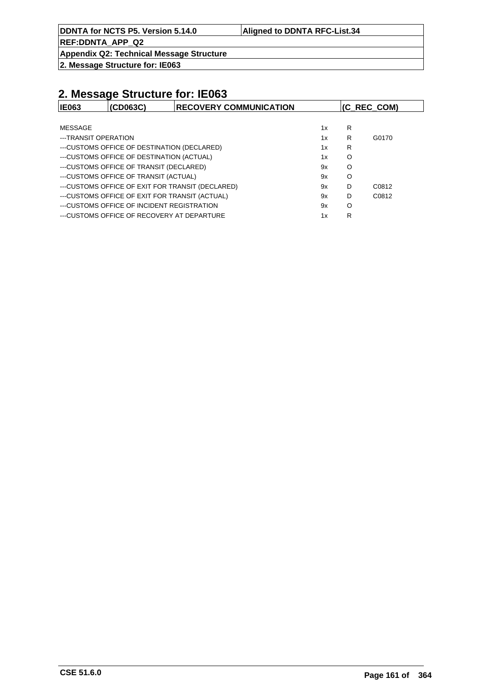|--|

**REF:DDNTA\_APP\_Q2**

**Appendix Q2: Technical Message Structure**

**2. Message Structure for: IE063**

| <b>IE063</b>                                         | <b>RECOVERY COMMUNICATION</b><br>(CD063C)<br>(C_REC_COM) |    |    |       |       |
|------------------------------------------------------|----------------------------------------------------------|----|----|-------|-------|
|                                                      |                                                          |    |    |       |       |
| MESSAGE                                              |                                                          |    | 1x | R     |       |
| ---TRANSIT OPERATION                                 |                                                          |    | 1x | R     | G0170 |
| ---CUSTOMS OFFICE OF DESTINATION (DECLARED)          |                                                          |    |    | R     |       |
| ---CUSTOMS OFFICE OF DESTINATION (ACTUAL)            |                                                          |    |    | O     |       |
| ---CUSTOMS OFFICE OF TRANSIT (DECLARED)              |                                                          |    |    |       |       |
| ---CUSTOMS OFFICE OF TRANSIT (ACTUAL)<br>9x          |                                                          |    |    |       |       |
|                                                      | ---CUSTOMS OFFICE OF EXIT FOR TRANSIT (DECLARED)         | 9x | D  | C0812 |       |
| ---CUSTOMS OFFICE OF EXIT FOR TRANSIT (ACTUAL)<br>9x |                                                          |    |    | D     | C0812 |
| ---CUSTOMS OFFICE OF INCIDENT REGISTRATION<br>9x     |                                                          |    |    |       |       |
|                                                      | ---CUSTOMS OFFICE OF RECOVERY AT DEPARTURE               |    | 1x | R     |       |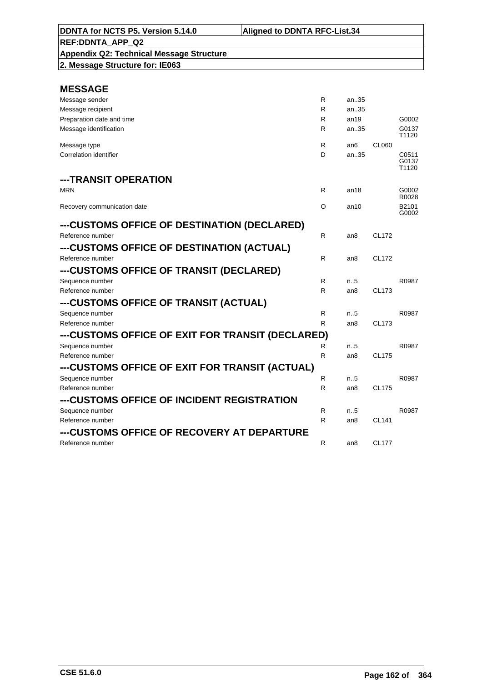| Aligned to DDNTA RFC-List.34 |  |  |
|------------------------------|--|--|
|                              |  |  |

#### **REF:DDNTA\_APP\_Q2 Appendix Q2: Technical Message Structure**

**DDNTA for NCTS P5. Version 5.14.0** 

**2. Message Structure for: IE063**

**MESSAGE**

#### Message sender **R** an..35 Message recipient and a structure of the control of the control of the control of the control of the control of the control of the control of the control of the control of the control of the control of the control of the c Preparation date and time G0002 Message identification and the control of the control of the control of the control of the control of the control of the control of the control of the control of the control of the control of the control of the control of T1120 Message type **R** and CL060 Correlation identifier D an..35 C0511 G0137 T1120 **---TRANSIT OPERATION** MRN R an18 G0002 R0028 Recovery communication date **Department of the COM** and O and D and B2101 G0002 **---CUSTOMS OFFICE OF DESTINATION (DECLARED)** Reference number **R** an8 CL172 **---CUSTOMS OFFICE OF DESTINATION (ACTUAL)** Reference number **R** an8 CL172 **---CUSTOMS OFFICE OF TRANSIT (DECLARED)** Sequence number R and R n..5 R0987 Reference number **R** an8 CL173 **---CUSTOMS OFFICE OF TRANSIT (ACTUAL)** Sequence number R and R0987 Reference number **R** an8 CL173 **---CUSTOMS OFFICE OF EXIT FOR TRANSIT (DECLARED)** Sequence number R and R and R and R and R and R and R and R and R and R and R and R and R and R and R and R and R and R and R and R and R and R and R and R and R and R and R and R and R and R and R and R and R and R and R Reference number **R** an8 CL175 **---CUSTOMS OFFICE OF EXIT FOR TRANSIT (ACTUAL)** Sequence number R and R n..5 R0987

Reference number **R** an8 CL175 **---CUSTOMS OFFICE OF INCIDENT REGISTRATION** Sequence number **R** n..5 R0987 Reference number **R** an8 CL141 **---CUSTOMS OFFICE OF RECOVERY AT DEPARTURE**

Reference number **R** an8 CL177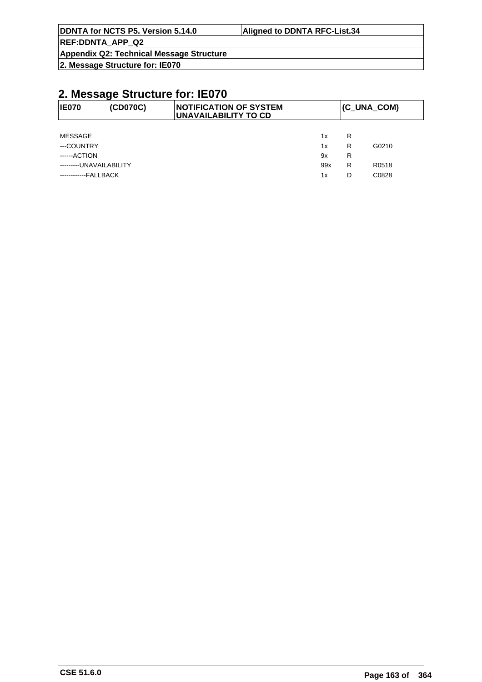| DDNTA for NCTS P5. Version 5.14.0 |  |  |
|-----------------------------------|--|--|
|                                   |  |  |

**Aligned to DDNTA RFC-List.34** 

**REF:DDNTA\_APP\_Q2**

**Appendix Q2: Technical Message Structure**

**2. Message Structure for: IE070**

| <b>IE070</b>            | (CD070C) | <b>INOTIFICATION OF SYSTEM</b><br>UNAVAILABILITY TO CD |     |   | (C_UNA_COM) |  |
|-------------------------|----------|--------------------------------------------------------|-----|---|-------------|--|
|                         |          |                                                        |     |   |             |  |
| <b>MESSAGE</b>          |          |                                                        | 1x  | R |             |  |
| ---COUNTRY              |          |                                                        | 1x  | R | G0210       |  |
| ------ACTION            |          |                                                        | 9x  | R |             |  |
| ---------UNAVAILABILITY |          |                                                        | 99x | R | R0518       |  |
| ------------FALLBACK    |          |                                                        | 1x  | D | C0828       |  |
|                         |          |                                                        |     |   |             |  |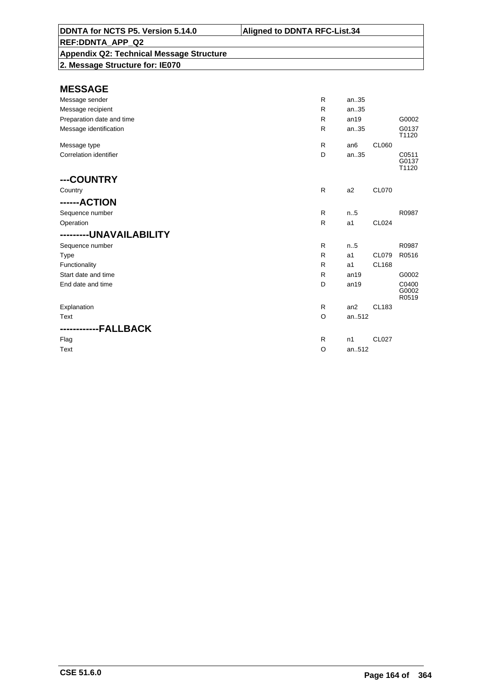#### **REF:DDNTA\_APP\_Q2 Appendix Q2: Technical Message Structure 2. Message Structure for: IE070**

| Message sender                | $\mathsf{R}$ | an35            |              |                         |
|-------------------------------|--------------|-----------------|--------------|-------------------------|
| Message recipient             | $\mathsf{R}$ | an35            |              |                         |
| Preparation date and time     | R            | an19            |              | G0002                   |
| Message identification        | R            | an35            |              | G0137<br>T1120          |
| Message type                  | $\mathsf{R}$ | an <sub>6</sub> | <b>CL060</b> |                         |
| <b>Correlation identifier</b> | D            | an.35           |              | C0511<br>G0137<br>T1120 |
| ---COUNTRY                    |              |                 |              |                         |
| Country                       | R            | a <sub>2</sub>  | <b>CL070</b> |                         |
| ------ACTION                  |              |                 |              |                         |
| Sequence number               | R            | n.5             |              | R0987                   |
| Operation                     | $\mathsf{R}$ | a1              | CL024        |                         |
| ---------UNAVAILABILITY       |              |                 |              |                         |
| Sequence number               | $\mathsf{R}$ | n.5             |              | R0987                   |
| Type                          | $\mathsf{R}$ | a1              | <b>CL079</b> | R0516                   |
| Functionality                 | R            | a1              | <b>CL168</b> |                         |
| Start date and time           | R            | an19            |              | G0002                   |
| End date and time             | D            | an19            |              | C0400<br>G0002<br>R0519 |
| Explanation                   | R            | an2             | CL183        |                         |
| Text                          | O            | an512           |              |                         |
| ------------FALLBACK          |              |                 |              |                         |
| Flag                          | R            | n1              | <b>CL027</b> |                         |
| Text                          | O            | an512           |              |                         |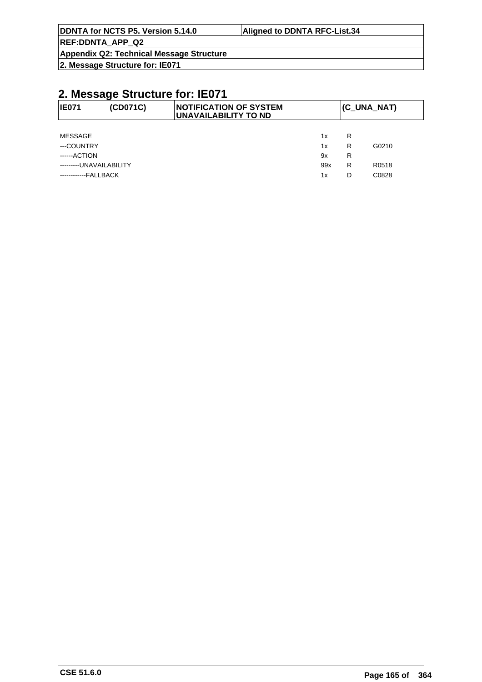|  | DDNTA for NCTS P5. Version 5.14.0 |
|--|-----------------------------------|
|  |                                   |

**REF:DDNTA\_APP\_Q2**

**Appendix Q2: Technical Message Structure**

**2. Message Structure for: IE071**

# **2. Message Structure for: IE071**

| <b>IE071</b>            | (CD071C) | <b>NOTIFICATION OF SYSTEM</b><br>UNAVAILABILITY TO ND |     |   | $ $ (C_UNA_NAT) |
|-------------------------|----------|-------------------------------------------------------|-----|---|-----------------|
|                         |          |                                                       |     |   |                 |
| <b>MESSAGE</b>          |          |                                                       | 1x  | R |                 |
| ---COUNTRY              |          |                                                       | 1x  | R | G0210           |
| ------ACTION            |          |                                                       | 9x  | R |                 |
| ---------UNAVAILABILITY |          |                                                       | 99x | R | R0518           |
| ------------FALLBACK    |          |                                                       | 1x  | D | C0828           |
|                         |          |                                                       |     |   |                 |

**Aligned to DDNTA RFC-List.34**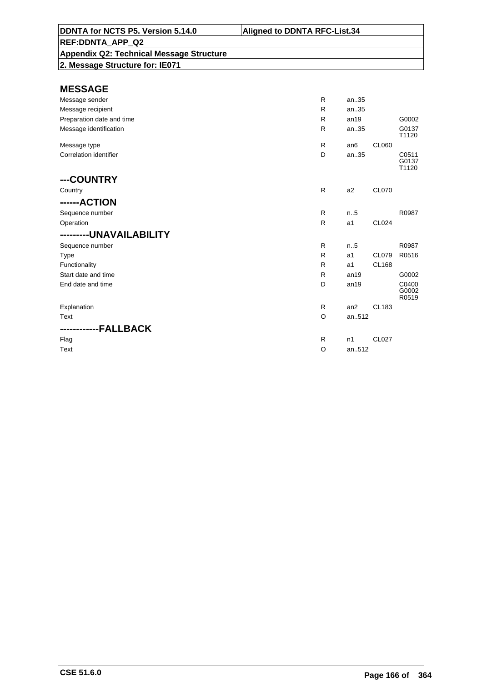#### **REF:DDNTA\_APP\_Q2 Appendix Q2: Technical Message Structure 2. Message Structure for: IE071**

| Message sender            | $\mathsf{R}$ | an35            |              |                         |
|---------------------------|--------------|-----------------|--------------|-------------------------|
| Message recipient         | $\mathsf{R}$ | an35            |              |                         |
| Preparation date and time | R            | an19            |              | G0002                   |
| Message identification    | R            | an35            |              | G0137<br>T1120          |
| Message type              | R            | an <sub>6</sub> | CL060        |                         |
| Correlation identifier    | D            | an35            |              | C0511<br>G0137<br>T1120 |
| ---COUNTRY                |              |                 |              |                         |
| Country                   | R            | a <sub>2</sub>  | <b>CL070</b> |                         |
| ------ACTION              |              |                 |              |                         |
| Sequence number           | $\mathsf{R}$ | n.5             |              | R0987                   |
| Operation                 | $\mathsf{R}$ | a1              | CL024        |                         |
| ---------UNAVAILABILITY   |              |                 |              |                         |
| Sequence number           | R            | n.5             |              | R0987                   |
| <b>Type</b>               | $\mathsf{R}$ | a1              | CL079        | R0516                   |
| Functionality             | R            | a1              | <b>CL168</b> |                         |
| Start date and time       | R            | an19            |              | G0002                   |
| End date and time         | D            | an19            |              | C0400<br>G0002<br>R0519 |
| Explanation               | R            | an2             | CL183        |                         |
| Text                      | O            | an512           |              |                         |
| ------------FALLBACK      |              |                 |              |                         |
| Flag                      | R            | n1              | <b>CL027</b> |                         |
| Text                      | O            | an512           |              |                         |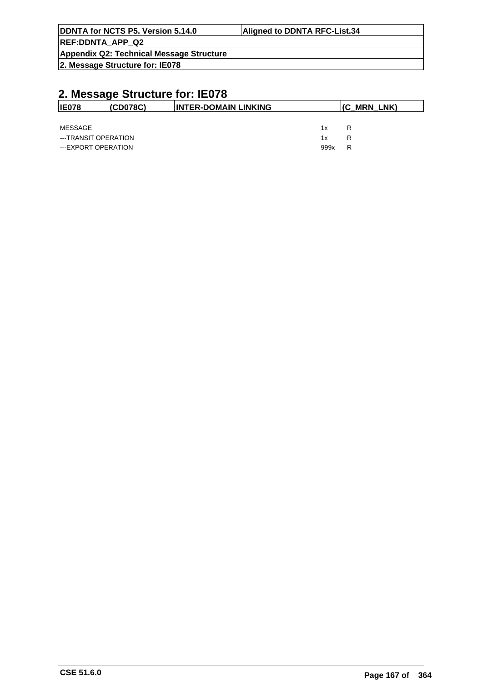| <b>DDNTA for NCTS P5. Version 5.14.0</b> | Aligned to DDNTA RFC-List.34 |
|------------------------------------------|------------------------------|
| <b>REF:DDNTA APP Q2</b>                  |                              |
| Appendix Q2: Technical Message Structure |                              |

**2. Message Structure for: IE078**

| <b>IE078</b>         | (CD078C) | <b>INTER-DOMAIN LINKING</b> |      | (C_MRN_LNK) |
|----------------------|----------|-----------------------------|------|-------------|
|                      |          |                             |      |             |
| MESSAGE              |          |                             | 1x   | R           |
| ---TRANSIT OPERATION |          |                             | 1x   | R           |
| ---EXPORT OPERATION  |          |                             | 999x | R           |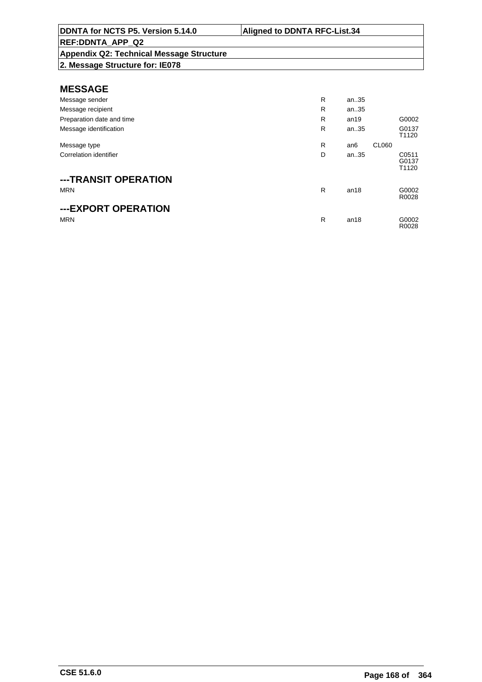| Message sender            | R | an35            |              |                         |
|---------------------------|---|-----------------|--------------|-------------------------|
| Message recipient         | R | an35            |              |                         |
| Preparation date and time | R | an19            |              | G0002                   |
| Message identification    | R | an35            |              | G0137<br>T1120          |
| Message type              | R | an <sub>6</sub> | <b>CL060</b> |                         |
| Correlation identifier    | D | an35            |              | C0511<br>G0137<br>T1120 |
| ---TRANSIT OPERATION      |   |                 |              |                         |
| <b>MRN</b>                | R | an18            |              | G0002<br>R0028          |
| ---EXPORT OPERATION       |   |                 |              |                         |
| <b>MRN</b>                | R | an18            |              | G0002<br>R0028          |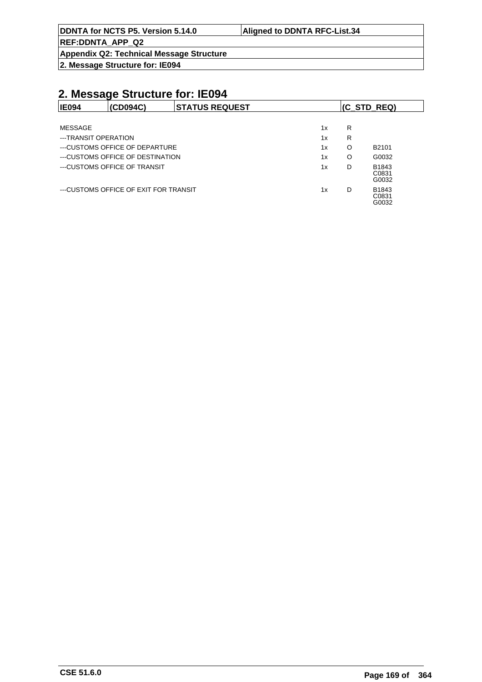| DDNTA for NCTS P5. Version 5.14.0 | Aligned to DDNTA RFC-List.34 |
|-----------------------------------|------------------------------|
| REF:DDNTA APP Q2                  |                              |

**Appendix Q2: Technical Message Structure**

**2. Message Structure for: IE094**

| <b>IE094</b>                   | (CD094C)                              | <b>ISTATUS REQUEST</b> |    |   | (C STD_REQ)             |
|--------------------------------|---------------------------------------|------------------------|----|---|-------------------------|
|                                |                                       |                        |    |   |                         |
| MESSAGE                        |                                       |                        | 1x | R |                         |
| ---TRANSIT OPERATION           |                                       |                        | 1x | R |                         |
| ---CUSTOMS OFFICE OF DEPARTURE |                                       |                        | 1x | O | B <sub>2101</sub>       |
|                                | ---CUSTOMS OFFICE OF DESTINATION      |                        | 1x | O | G0032                   |
|                                | ---CUSTOMS OFFICE OF TRANSIT          |                        | 1x | D | B1843<br>C0831<br>G0032 |
|                                | ---CUSTOMS OFFICE OF EXIT FOR TRANSIT |                        | 1x | D | B1843<br>C0831<br>G0032 |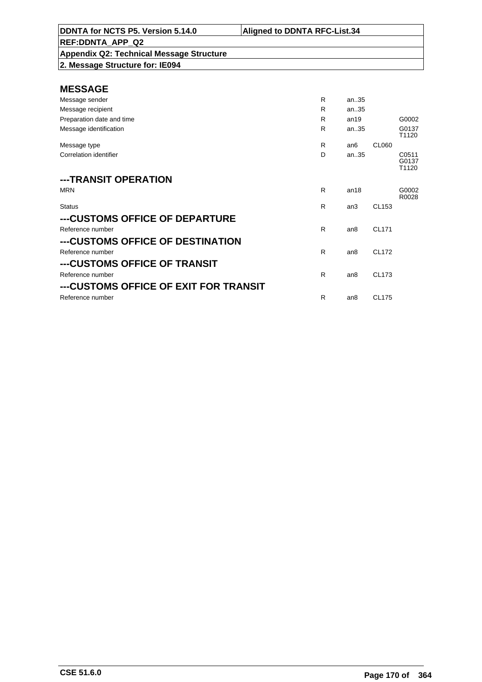| DDNTA for NCTS P5. Version 5.14.0 | Aligned to DDNTA RFC-List.34 |
|-----------------------------------|------------------------------|
| DEE DANTA ADD A?                  |                              |

#### **REF:DDNTA\_APP\_Q2 Appendix Q2: Technical Message Structure 2. Message Structure for: IE094**

| Message sender                        | R  | an35            |              |                         |
|---------------------------------------|----|-----------------|--------------|-------------------------|
| Message recipient                     | R  | an.35           |              |                         |
| Preparation date and time             | R  | an19            |              | G0002                   |
| Message identification                | R  | an.35           |              | G0137<br>T1120          |
| Message type                          | R. | an <sub>6</sub> | CL060        |                         |
| Correlation identifier                | D  | an35            |              | C0511<br>G0137<br>T1120 |
| ---TRANSIT OPERATION                  |    |                 |              |                         |
| <b>MRN</b>                            | R  | an18            |              | G0002<br>R0028          |
| <b>Status</b>                         | R. | an <sub>3</sub> | CL153        |                         |
| ---CUSTOMS OFFICE OF DEPARTURE        |    |                 |              |                         |
| Reference number                      | R  | an8             | CL171        |                         |
| ---CUSTOMS OFFICE OF DESTINATION      |    |                 |              |                         |
| Reference number                      | R. | an8             | CL172        |                         |
| ---CUSTOMS OFFICE OF TRANSIT          |    |                 |              |                         |
| Reference number                      | R. | an <sub>8</sub> | CL173        |                         |
| ---CUSTOMS OFFICE OF EXIT FOR TRANSIT |    |                 |              |                         |
| Reference number                      | R  | an <sub>8</sub> | <b>CL175</b> |                         |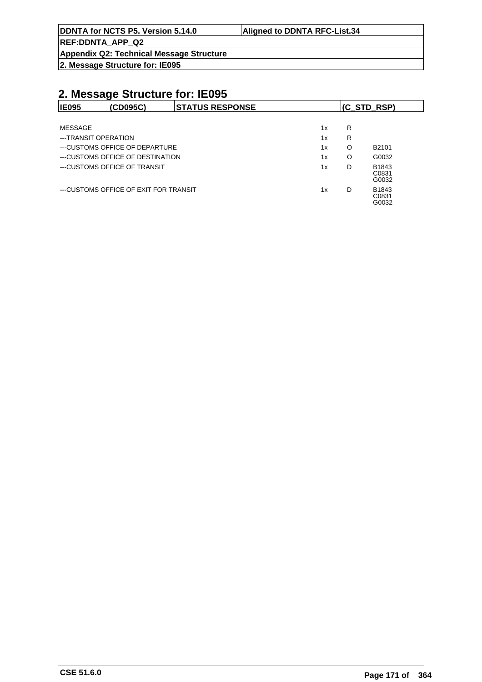| DDNTA for NCTS P5. Version 5.14.0 | Aligned to DDNTA RFC-List.34 |
|-----------------------------------|------------------------------|
|                                   |                              |

**REF:DDNTA\_APP\_Q2**

**Appendix Q2: Technical Message Structure**

**2. Message Structure for: IE095**

| <b>IE095</b>                     | (CD095C)                              | <b>STATUS RESPONSE</b> |    |                   | (C_STD_RSP)             |  |
|----------------------------------|---------------------------------------|------------------------|----|-------------------|-------------------------|--|
|                                  |                                       |                        |    |                   |                         |  |
| MESSAGE                          |                                       |                        | 1x | R                 |                         |  |
| ---TRANSIT OPERATION             |                                       |                        | 1x | R                 |                         |  |
| ---CUSTOMS OFFICE OF DEPARTURE   |                                       | 1x                     | O  | B <sub>2101</sub> |                         |  |
| ---CUSTOMS OFFICE OF DESTINATION |                                       | 1x                     | O  | G0032             |                         |  |
|                                  | ---CUSTOMS OFFICE OF TRANSIT          |                        | 1x | D                 | B1843<br>C0831<br>G0032 |  |
|                                  | ---CUSTOMS OFFICE OF EXIT FOR TRANSIT |                        | 1x | D                 | B1843<br>C0831<br>G0032 |  |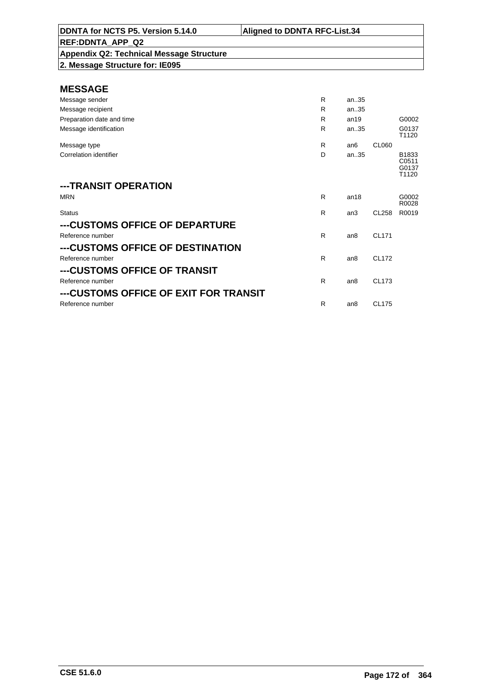| DDNTA for NCTS P5. Version 5.14.0<br><b>Aligned to DDNTA RFC-List.34</b> |    |                 |              |                |
|--------------------------------------------------------------------------|----|-----------------|--------------|----------------|
| REF:DDNTA_APP_Q2                                                         |    |                 |              |                |
| <b>Appendix Q2: Technical Message Structure</b>                          |    |                 |              |                |
| 2. Message Structure for: IE095                                          |    |                 |              |                |
| <b>MESSAGE</b>                                                           |    |                 |              |                |
|                                                                          |    |                 |              |                |
| Message sender                                                           | R  | an35            |              |                |
| Message recipient                                                        | R  | an.35           |              |                |
| Preparation date and time                                                | R  | an19            |              | G0002          |
| Message identification                                                   | R  | an35            |              | G0137<br>T1120 |
| Message type                                                             | R. | an <sub>6</sub> | CL060        |                |
| Correlation identifier                                                   | D  | an.35           |              | B1833          |
|                                                                          |    |                 |              | C0511<br>G0137 |
|                                                                          |    |                 |              | T1120          |
| ---TRANSIT OPERATION                                                     |    |                 |              |                |
| <b>MRN</b>                                                               | R  | an18            |              | G0002          |
|                                                                          |    |                 |              | R0028          |
| <b>Status</b>                                                            | R. | an <sub>3</sub> | CL258        | R0019          |
| ---CUSTOMS OFFICE OF DEPARTURE                                           |    |                 |              |                |
| Reference number                                                         | R  | an8             | CL171        |                |
| ---CUSTOMS OFFICE OF DESTINATION                                         |    |                 |              |                |
| Reference number                                                         | R  | an8             | <b>CL172</b> |                |
|                                                                          |    |                 |              |                |
| ---CUSTOMS OFFICE OF TRANSIT                                             |    |                 |              |                |
| Reference number                                                         | R  | an <sub>8</sub> | CL173        |                |

**---CUSTOMS OFFICE OF EXIT FOR TRANSIT**<br>Reference number

R an8 CL175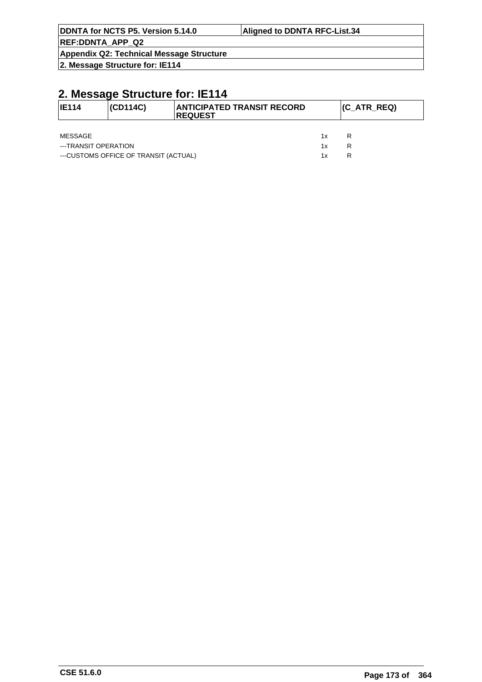**REF:DDNTA\_APP\_Q2**

**Appendix Q2: Technical Message Structure**

**2. Message Structure for: IE114**

| <b>IE114</b>         | $ $ (CD114C)                          | <b>ANTICIPATED TRANSIT RECORD</b><br><b>IREQUEST</b> |    | $ $ (C_ATR_REQ) |
|----------------------|---------------------------------------|------------------------------------------------------|----|-----------------|
|                      |                                       |                                                      |    |                 |
| MESSAGE              |                                       |                                                      | 1x | R               |
| ---TRANSIT OPERATION |                                       |                                                      | 1x | R               |
|                      | ---CUSTOMS OFFICE OF TRANSIT (ACTUAL) |                                                      | 1x | R               |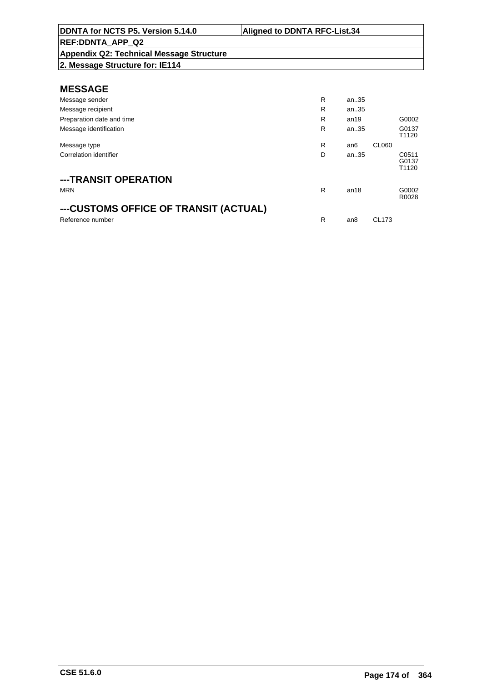| DDNTA for NCTS P5. Version 5.14.0               | <b>Aligned to DDNTA RFC-List.34</b> |                 |       |                         |
|-------------------------------------------------|-------------------------------------|-----------------|-------|-------------------------|
| REF:DDNTA_APP_Q2                                |                                     |                 |       |                         |
| <b>Appendix Q2: Technical Message Structure</b> |                                     |                 |       |                         |
| 2. Message Structure for: IE114                 |                                     |                 |       |                         |
|                                                 |                                     |                 |       |                         |
| <b>MESSAGE</b>                                  |                                     |                 |       |                         |
| Message sender                                  | R                                   | an.35           |       |                         |
| Message recipient                               | R                                   | an.35           |       |                         |
| Preparation date and time                       | R                                   | an19            |       | G0002                   |
| Message identification                          | R                                   | an35            |       | G0137<br>T1120          |
| Message type                                    | R                                   | an <sub>6</sub> | CL060 |                         |
| Correlation identifier                          | D                                   | an35            |       | C0511<br>G0137<br>T1120 |
| ---TRANSIT OPERATION                            |                                     |                 |       |                         |
| <b>MRN</b>                                      | R                                   | an18            |       | G0002<br>R0028          |
| ---CUSTOMS OFFICE OF TRANSIT (ACTUAL)           |                                     |                 |       |                         |
| Reference number                                | R                                   | an <sub>8</sub> | CL173 |                         |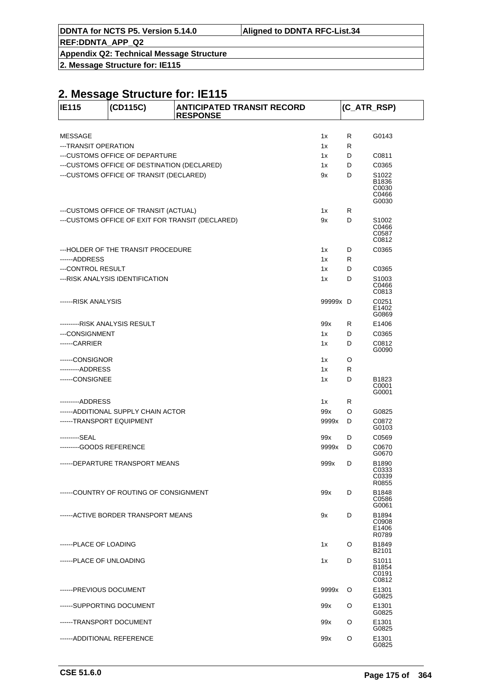**REF:DDNTA\_APP\_Q2**

**Appendix Q2: Technical Message Structure**

**2. Message Structure for: IE115**

| IE115                                  | (CD115C)                                         | <b>ANTICIPATED TRANSIT RECORD</b><br><b>RESPONSE</b> |          | (C_ATR_RSP) |                                              |
|----------------------------------------|--------------------------------------------------|------------------------------------------------------|----------|-------------|----------------------------------------------|
| <b>MESSAGE</b><br>---TRANSIT OPERATION |                                                  |                                                      | 1x<br>1x | R<br>R      | G0143                                        |
|                                        | ---CUSTOMS OFFICE OF DEPARTURE                   |                                                      | 1x       | D           | C0811                                        |
|                                        | ---CUSTOMS OFFICE OF DESTINATION (DECLARED)      |                                                      | 1x       | D           | C0365                                        |
|                                        | ---CUSTOMS OFFICE OF TRANSIT (DECLARED)          |                                                      | 9x       | D           | S1022<br>B1836<br>C0030<br>C0466<br>G0030    |
|                                        | ---CUSTOMS OFFICE OF TRANSIT (ACTUAL)            |                                                      | 1x       | R           |                                              |
|                                        | ---CUSTOMS OFFICE OF EXIT FOR TRANSIT (DECLARED) |                                                      | 9x       | D           | S <sub>1002</sub><br>C0466<br>C0587<br>C0812 |
|                                        | ---HOLDER OF THE TRANSIT PROCEDURE               |                                                      | 1x       | D           | C0365                                        |
| ------ADDRESS                          |                                                  |                                                      | 1x       | R           |                                              |
| ---CONTROL RESULT                      |                                                  |                                                      | 1x       | D           | C0365                                        |
|                                        | --- RISK ANALYSIS IDENTIFICATION                 |                                                      | 1x       | D           | S <sub>1003</sub><br>C0466<br>C0813          |
| ------RISK ANALYSIS                    |                                                  |                                                      | 99999x D |             | C0251<br>E1402<br>G0869                      |
| ---------RISK ANALYSIS RESULT          |                                                  |                                                      | 99x      | R           | E1406                                        |
| ---CONSIGNMENT                         |                                                  |                                                      | 1x       | D           | C0365                                        |
| ------CARRIER                          |                                                  |                                                      | 1x       | D           | C0812<br>G0090                               |
| -----CONSIGNOR                         |                                                  |                                                      | 1x       | O           |                                              |
| ---------ADDRESS                       |                                                  |                                                      | 1x       | R           |                                              |
| ------CONSIGNEE                        |                                                  |                                                      | 1x       | D           | B1823<br>C0001<br>G0001                      |
| ---------ADDRESS                       |                                                  |                                                      | 1x       | R           |                                              |
|                                        | ------ ADDITIONAL SUPPLY CHAIN ACTOR             |                                                      | 99x      | O           | G0825                                        |
| ------TRANSPORT EQUIPMENT              |                                                  |                                                      | 9999x    | D           | C0872<br>G0103                               |
| ----------SEAL                         |                                                  |                                                      | 99x      | D           | C0569                                        |
| ---------GOODS REFERENCE               |                                                  |                                                      | 9999x    | D           | C0670<br>G0670                               |
|                                        | -- DEPARTURE TRANSPORT MEANS                     |                                                      | 999x     | D           | B1890<br>C0333<br>C0339<br>R0855             |
|                                        | ------COUNTRY OF ROUTING OF CONSIGNMENT          |                                                      | 99x      | D           | B1848<br>C0586<br>G0061                      |
|                                        | ------ ACTIVE BORDER TRANSPORT MEANS             |                                                      | 9x       | D           | B1894<br>C0908<br>E1406<br>R0789             |
| ------ PLACE OF LOADING                |                                                  |                                                      | 1x       | O           | B1849<br>B2101                               |
| ------PLACE OF UNLOADING               |                                                  |                                                      | 1x       | D           | S <sub>1011</sub><br>B1854<br>C0191<br>C0812 |
| ------PREVIOUS DOCUMENT                |                                                  |                                                      | 9999x    | O           | E1301<br>G0825                               |
| ------SUPPORTING DOCUMENT              |                                                  |                                                      | 99x      | O           | E1301<br>G0825                               |
| ------TRANSPORT DOCUMENT               |                                                  |                                                      | 99x      | O           | E1301<br>G0825                               |
| ------ADDITIONAL REFERENCE             |                                                  |                                                      | 99x      | O           | E1301<br>G0825                               |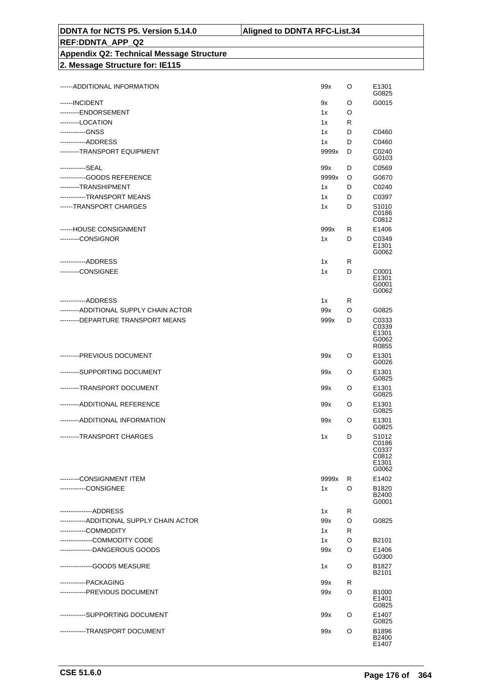#### **REF:DDNTA\_APP\_Q2 Appendix Q2: Technical Message Structure 2. Message Structure for: IE115**

| ------ ADDITIONAL INFORMATION             | 99x   | O | E1301<br>G0825                                                 |
|-------------------------------------------|-------|---|----------------------------------------------------------------|
| ------INCIDENT                            | 9x    | O | G0015                                                          |
| --------ENDORSEMENT                       | 1x    | O |                                                                |
| ---------LOCATION                         | 1x    | R |                                                                |
| ------------GNSS                          | 1x    | D | C0460                                                          |
| ------------ADDRESS                       | 1x    | D | C0460                                                          |
| --------TRANSPORT EQUIPMENT               | 9999x | D | C0240<br>G0103                                                 |
| ------------SEAL                          | 99x   | D | C0569                                                          |
| ------------GOODS REFERENCE               | 9999x | O | G0670                                                          |
| ---------TRANSHIPMENT                     | 1x    | D | C0240                                                          |
| ------------TRANSPORT MEANS               | 1x    | D | C0397                                                          |
| ------TRANSPORT CHARGES                   | 1x    | D | S1010<br>C0186<br>C0812                                        |
| ------HOUSE CONSIGNMENT                   | 999x  | R | E1406                                                          |
| --------CONSIGNOR                         | 1x    | D | C0349<br>E1301<br>G0062                                        |
| ------------ADDRESS                       | 1x    | R |                                                                |
| ---------CONSIGNEE                        | 1x    | D | C0001                                                          |
|                                           |       |   | E1301<br>G0001<br>G0062                                        |
| ------------ADDRESS                       | 1x    | R |                                                                |
| ---------ADDITIONAL SUPPLY CHAIN ACTOR    | 99x   | O | G0825                                                          |
| ---------DEPARTURE TRANSPORT MEANS        | 999x  | D | C0333<br>C0339<br>E1301<br>G0062<br>R0855                      |
| --------PREVIOUS DOCUMENT                 | 99x   | O | E1301<br>G0026                                                 |
| --------SUPPORTING DOCUMENT               | 99x   | O | E1301<br>G0825                                                 |
| ---------TRANSPORT DOCUMENT               | 99x   | O | E1301<br>G0825                                                 |
| ---------ADDITIONAL REFERENCE             | 99x   | O | E1301<br>G0825                                                 |
| ---------ADDITIONAL INFORMATION           | 99x   | O | E1301<br>G0825                                                 |
| ---------TRANSPORT CHARGES                | 1x    | D | S <sub>1012</sub><br>C0186<br>C0337<br>C0812<br>E1301<br>G0062 |
| --------CONSIGNMENT ITEM                  | 9999x | R | E1402                                                          |
| -----------CONSIGNEE                      | 1x    | O | B1820<br>B2400<br>G0001                                        |
| ---------------ADDRESS                    | 1x    | R |                                                                |
| ------------ADDITIONAL SUPPLY CHAIN ACTOR | 99x   | O | G0825                                                          |
| ------------COMMODITY                     | 1x    | R |                                                                |
| --------------COMMODITY CODE              | 1x    | O | B2101                                                          |
| --------------DANGEROUS GOODS             | 99x   | O | E1406<br>G0300                                                 |
| --------------GOODS MEASURE               | 1x    | O | B1827<br>B2101                                                 |
| ------------PACKAGING                     | 99x   | R |                                                                |
| ------------PREVIOUS DOCUMENT             | 99x   | O | B <sub>1000</sub><br>E1401<br>G0825                            |
| ------------SUPPORTING DOCUMENT           | 99x   | O | E1407<br>G0825                                                 |
| ------------TRANSPORT DOCUMENT            | 99x   | O | B1896<br>B2400<br>E1407                                        |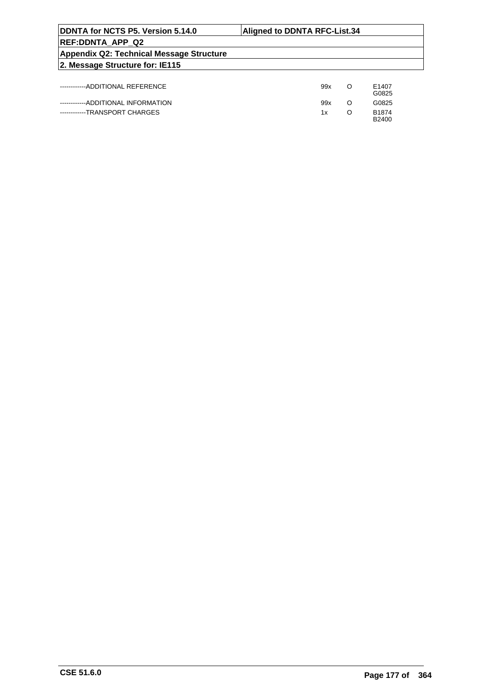| DDNTA for NCTS P5. Version 5.14.0        | Aligned to DDNTA RFC-List.34 |              |
|------------------------------------------|------------------------------|--------------|
| <b>REF:DDNTA APP Q2</b>                  |                              |              |
| Appendix Q2: Technical Message Structure |                              |              |
| 2. Message Structure for: IE115          |                              |              |
|                                          |                              |              |
| ADDITIONAL DEFEDENCE                     | $\sim$ $\sim$                | <b>FAA07</b> |

| ------------ADDITIONAL REFERENCE   | 99x |   | E1407<br>G0825 |
|------------------------------------|-----|---|----------------|
| ------------ADDITIONAL INFORMATION | 99x | O | G0825          |
| ------------TRANSPORT CHARGES      | 1 v |   | B1874<br>B2400 |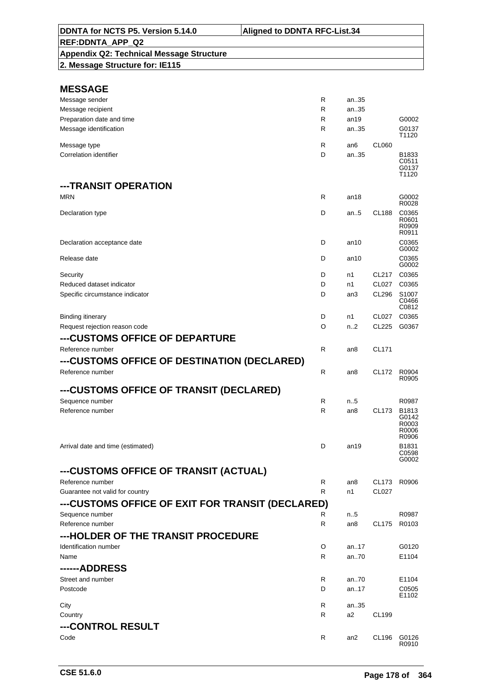| DDNTA for NCTS P5. Version 5.14.0<br><b>REF:DDNTA APP Q2</b> | <b>Aligned to DDNTA RFC-List.34</b> |                  |              |                   |
|--------------------------------------------------------------|-------------------------------------|------------------|--------------|-------------------|
| <b>Appendix Q2: Technical Message Structure</b>              |                                     |                  |              |                   |
| 2. Message Structure for: IE115                              |                                     |                  |              |                   |
|                                                              |                                     |                  |              |                   |
| <b>MESSAGE</b>                                               |                                     |                  |              |                   |
| Message sender                                               | R                                   | an35             |              |                   |
| Message recipient                                            | R                                   | an35             |              |                   |
| Preparation date and time                                    | R                                   | an19             |              | G0002             |
| Message identification                                       | R                                   | an35             |              | G0137<br>T1120    |
| Message type                                                 | R                                   | an6              | CL060        |                   |
| Correlation identifier                                       | D                                   | an35             |              | B1833             |
|                                                              |                                     |                  |              | C0511<br>G0137    |
| ---TRANSIT OPERATION                                         |                                     |                  |              | T1120             |
| <b>MRN</b>                                                   | R                                   | an18             |              | G0002             |
|                                                              |                                     |                  |              | R0028             |
| Declaration type                                             | D                                   | an.5             | CL188        | C0365<br>R0601    |
|                                                              |                                     |                  |              | R0909<br>R0911    |
| Declaration acceptance date                                  | D                                   | an10             |              | C0365<br>G0002    |
| Release date                                                 | D                                   | an10             |              | C0365             |
| Security                                                     | D                                   | n1               | CL217        | G0002<br>C0365    |
| Reduced dataset indicator                                    | D                                   | n1               | <b>CL027</b> | C0365             |
| Specific circumstance indicator                              | D                                   | an3              | CL296        | S <sub>1007</sub> |
|                                                              |                                     |                  |              | C0466<br>C0812    |
| <b>Binding itinerary</b>                                     | D                                   | n1               | <b>CL027</b> | C0365             |
| Request rejection reason code                                | O                                   | n <sub>1</sub> 2 | <b>CL225</b> | G0367             |
| ---CUSTOMS OFFICE OF DEPARTURE                               |                                     |                  |              |                   |
| Reference number                                             | R                                   | an8              | CL171        |                   |
| ---CUSTOMS OFFICE OF DESTINATION (DECLARED)                  |                                     |                  |              |                   |
| Reference number                                             | R                                   | an8              | CL172        | R0904             |
|                                                              |                                     |                  |              | R0905             |
| ---CUSTOMS OFFICE OF TRANSIT (DECLARED)                      |                                     |                  |              |                   |
| Sequence number<br>Reference number                          | R<br>R                              | n.5<br>an8       | CL173        | R0987             |
|                                                              |                                     |                  |              | B1813<br>G0142    |
|                                                              |                                     |                  |              | R0003<br>R0006    |
|                                                              |                                     |                  |              | R0906             |
| Arrival date and time (estimated)                            | D                                   | an19             |              | B1831<br>C0598    |
|                                                              |                                     |                  |              | G0002             |
| ---CUSTOMS OFFICE OF TRANSIT (ACTUAL)<br>Reference number    | R                                   | an8              | CL173        | R0906             |
| Guarantee not valid for country                              | R                                   | n1               | <b>CL027</b> |                   |
| ---CUSTOMS OFFICE OF EXIT FOR TRANSIT (DECLARED)             |                                     |                  |              |                   |
| Sequence number                                              | R                                   | $n_{.}5$         |              | R0987             |
| Reference number                                             | R                                   | an8              | CL175        | R0103             |
| ---HOLDER OF THE TRANSIT PROCEDURE                           |                                     |                  |              |                   |
| Identification number                                        | O                                   | an17             |              | G0120             |
| Name                                                         | R                                   | an70             |              | E1104             |
| ------ADDRESS                                                |                                     |                  |              |                   |
| Street and number                                            | R                                   | an70             |              | E1104             |
| Postcode                                                     | D                                   | an17             |              | C0505             |
| City                                                         | R                                   | an35             |              | E1102             |
| Country                                                      | R                                   | a2               | CL199        |                   |
| ---CONTROL RESULT                                            |                                     |                  |              |                   |
| Code                                                         | R                                   | an2              |              | CL196 G0126       |

R0910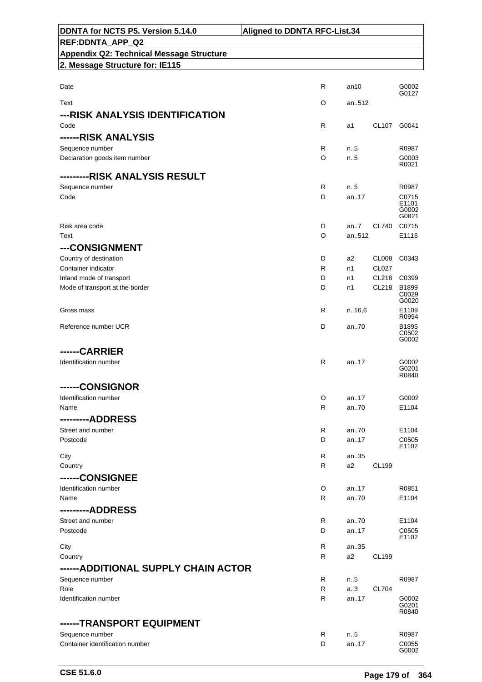| DDNTA for NCTS P5. Version 5.14.0<br>REF:DDNTA_APP_Q2 | <b>Aligned to DDNTA RFC-List.34</b> |                |                |
|-------------------------------------------------------|-------------------------------------|----------------|----------------|
| <b>Appendix Q2: Technical Message Structure</b>       |                                     |                |                |
| 2. Message Structure for: IE115                       |                                     |                |                |
|                                                       |                                     |                |                |
| Date                                                  | $\mathsf{R}$<br>an10                |                | G0002<br>G0127 |
| Text                                                  | O<br>an512                          |                |                |
| ---RISK ANALYSIS IDENTIFICATION                       |                                     |                |                |
| Code                                                  | R<br>a1                             | CL107          | G0041          |
| ------RISK ANALYSIS                                   |                                     |                |                |
|                                                       | R<br>n.5                            |                | R0987          |
| Sequence number<br>Declaration goods item number      | O<br>n.5                            |                | G0003          |
|                                                       |                                     |                | R0021          |
| ---------RISK ANALYSIS RESULT                         |                                     |                |                |
| Sequence number                                       | R<br>n.5                            |                | R0987          |
| Code                                                  | D<br>an.17                          |                | C0715          |
|                                                       |                                     |                | E1101<br>G0002 |
|                                                       |                                     |                | G0821          |
| Risk area code                                        | D<br>an.7                           | CL740          | C0715          |
| Text                                                  | an512<br>O                          |                | E1116          |
| ---CONSIGNMENT                                        |                                     |                |                |
| Country of destination                                | D<br>a2                             | <b>CL008</b>   | C0343          |
| Container indicator                                   | R<br>n1                             | <b>CL027</b>   |                |
| Inland mode of transport                              | D<br>n1<br>D<br>n1                  | CL218<br>CL218 | C0399<br>B1899 |
| Mode of transport at the border                       |                                     |                | C0029          |
|                                                       |                                     |                | G0020          |
| Gross mass                                            | $\mathsf{R}$<br>n.16,6              |                | E1109<br>R0994 |
| Reference number UCR                                  | D<br>an70                           |                | B1895          |
|                                                       |                                     |                | C0502<br>G0002 |
| ------CARRIER                                         |                                     |                |                |
| Identification number                                 | R<br>an17                           |                | G0002          |
|                                                       |                                     |                | G0201          |
|                                                       |                                     |                | R0840          |
| ----CONSIGNOR                                         |                                     |                |                |
| Identification number                                 | O<br>an17                           |                | G0002          |
| Name                                                  | $\mathsf{R}$<br>an70                |                | E1104          |
| ---------ADDRESS                                      |                                     |                |                |
| Street and number                                     | R<br>an70                           |                | E1104          |
| Postcode                                              | D<br>an17                           |                | C0505<br>E1102 |
| City                                                  | $\mathsf{R}$<br>an35                |                |                |
| Country                                               | $\mathsf{R}$<br>a2                  | CL199          |                |
| ------CONSIGNEE                                       |                                     |                |                |
| Identification number                                 | O<br>an.17                          |                | R0851          |
| Name                                                  | R<br>an70                           |                | E1104          |
| ---------ADDRESS                                      |                                     |                |                |
| Street and number                                     | R<br>an70                           |                | E1104          |
| Postcode                                              | D<br>an17                           |                | C0505          |
| City                                                  | R<br>an35                           |                | E1102          |
| Country                                               | R<br>a2                             | CL199          |                |
| ------ADDITIONAL SUPPLY CHAIN ACTOR                   |                                     |                |                |
| Sequence number                                       | R<br>n.5                            |                | R0987          |
| Role                                                  | R<br>a3                             | CL704          |                |
| Identification number                                 | R<br>an17                           |                | G0002          |
|                                                       |                                     |                | G0201          |
|                                                       |                                     |                | R0840          |
| ------TRANSPORT EQUIPMENT                             |                                     |                |                |
| Sequence number                                       | $\mathsf{R}$<br>n.5<br>D            |                | R0987          |
| Container identification number                       | an17                                |                | C0055<br>G0002 |

T.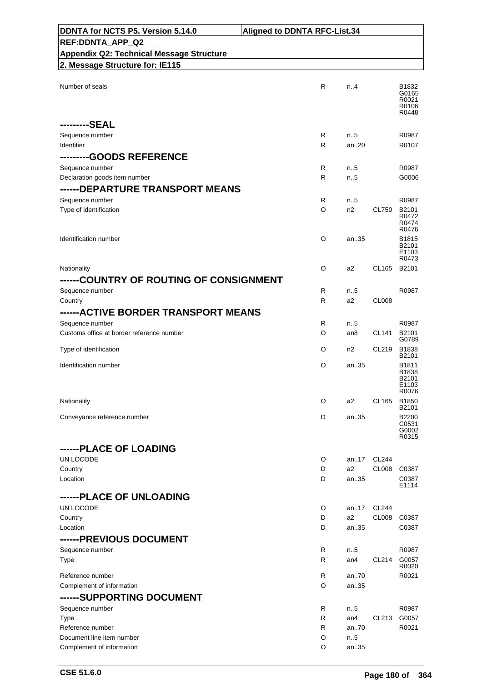| <b>REF:DDNTA APP Q2</b><br><b>Appendix Q2: Technical Message Structure</b><br>2. Message Structure for: IE115<br>Number of seals<br>R.<br>n4<br>B1832<br>G0165<br>R0021<br>R0106<br>R0448<br>---------SEAL<br>R<br>n.5<br>Sequence number<br>R0987<br>Identifier<br>R.<br>an20<br>R0107<br>Sequence number<br>R.<br>R0987<br>n5<br>R.<br>G0006<br>Declaration goods item number<br>n.5<br>------DEPARTURE TRANSPORT MEANS<br>Sequence number<br>R.<br>n.5<br>R0987<br>O<br>Type of identification<br>n2<br>CL750<br>B2101<br>R0472<br>R0474<br>R0476<br>Identification number<br>O<br>an35<br>B1815<br>B <sub>2101</sub><br>E1103<br>R0473<br>Nationality<br>O<br>a2<br>CL165<br>B2101<br>------COUNTRY OF ROUTING OF CONSIGNMENT<br>R.<br>Sequence number<br>n5<br>R0987<br>R<br>a2<br>CL008<br>Country<br>------ACTIVE BORDER TRANSPORT MEANS<br>Sequence number<br>R.<br>R0987<br>n5<br>Customs office at border reference number<br>O<br>CL141<br>B2101<br>an8<br>G0789<br>O<br>CL219<br>Type of identification<br>n2<br>B1838<br>B <sub>2101</sub><br>Identification number<br>O<br>an35<br>B1811<br>B1838<br>B2101<br>E1103<br>R0076<br>O<br>a2<br>CL165<br>B1850<br>Nationality<br>B2101<br>D<br>Conveyance reference number<br>an35<br>B2200<br>C0531<br>G0002<br>R0315<br>------PLACE OF LOADING<br>UN LOCODE<br>O<br><b>CL244</b><br>an17<br>D<br>a2<br>CL008<br>C0387<br>Country<br>Location<br>D<br>an35<br>C0387<br>E1114<br>------PLACE OF UNLOADING<br>UN LOCODE<br><b>CL244</b><br>O<br>an17<br>D<br>a2<br>CL008<br>C0387<br>Country<br>Location<br>D<br>an35<br>C0387<br>------PREVIOUS DOCUMENT<br>R<br>R0987<br>Sequence number<br>n.5<br>R<br>CL214<br>G0057<br><b>Type</b><br>an4<br>R0020<br>R<br>R0021<br>Reference number<br>an70<br>O<br>Complement of information<br>an35<br>------SUPPORTING DOCUMENT<br>R<br>R0987<br>Sequence number<br>n.5<br>R<br>CL213<br>G0057<br>Type<br>an4<br>Reference number<br>R<br>R0021<br>an70<br>Document line item number<br>O<br>n.5<br>Complement of information<br>O<br>an35 | DDNTA for NCTS P5. Version 5.14.0 | <b>Aligned to DDNTA RFC-List.34</b> |  |  |
|---------------------------------------------------------------------------------------------------------------------------------------------------------------------------------------------------------------------------------------------------------------------------------------------------------------------------------------------------------------------------------------------------------------------------------------------------------------------------------------------------------------------------------------------------------------------------------------------------------------------------------------------------------------------------------------------------------------------------------------------------------------------------------------------------------------------------------------------------------------------------------------------------------------------------------------------------------------------------------------------------------------------------------------------------------------------------------------------------------------------------------------------------------------------------------------------------------------------------------------------------------------------------------------------------------------------------------------------------------------------------------------------------------------------------------------------------------------------------------------------------------------------------------------------------------------------------------------------------------------------------------------------------------------------------------------------------------------------------------------------------------------------------------------------------------------------------------------------------------------------------------------------------------------------------------------------------------------------------------------------------------------------------------------------|-----------------------------------|-------------------------------------|--|--|
|                                                                                                                                                                                                                                                                                                                                                                                                                                                                                                                                                                                                                                                                                                                                                                                                                                                                                                                                                                                                                                                                                                                                                                                                                                                                                                                                                                                                                                                                                                                                                                                                                                                                                                                                                                                                                                                                                                                                                                                                                                             |                                   |                                     |  |  |
|                                                                                                                                                                                                                                                                                                                                                                                                                                                                                                                                                                                                                                                                                                                                                                                                                                                                                                                                                                                                                                                                                                                                                                                                                                                                                                                                                                                                                                                                                                                                                                                                                                                                                                                                                                                                                                                                                                                                                                                                                                             |                                   |                                     |  |  |
|                                                                                                                                                                                                                                                                                                                                                                                                                                                                                                                                                                                                                                                                                                                                                                                                                                                                                                                                                                                                                                                                                                                                                                                                                                                                                                                                                                                                                                                                                                                                                                                                                                                                                                                                                                                                                                                                                                                                                                                                                                             |                                   |                                     |  |  |
|                                                                                                                                                                                                                                                                                                                                                                                                                                                                                                                                                                                                                                                                                                                                                                                                                                                                                                                                                                                                                                                                                                                                                                                                                                                                                                                                                                                                                                                                                                                                                                                                                                                                                                                                                                                                                                                                                                                                                                                                                                             |                                   |                                     |  |  |
|                                                                                                                                                                                                                                                                                                                                                                                                                                                                                                                                                                                                                                                                                                                                                                                                                                                                                                                                                                                                                                                                                                                                                                                                                                                                                                                                                                                                                                                                                                                                                                                                                                                                                                                                                                                                                                                                                                                                                                                                                                             |                                   |                                     |  |  |
|                                                                                                                                                                                                                                                                                                                                                                                                                                                                                                                                                                                                                                                                                                                                                                                                                                                                                                                                                                                                                                                                                                                                                                                                                                                                                                                                                                                                                                                                                                                                                                                                                                                                                                                                                                                                                                                                                                                                                                                                                                             |                                   |                                     |  |  |
|                                                                                                                                                                                                                                                                                                                                                                                                                                                                                                                                                                                                                                                                                                                                                                                                                                                                                                                                                                                                                                                                                                                                                                                                                                                                                                                                                                                                                                                                                                                                                                                                                                                                                                                                                                                                                                                                                                                                                                                                                                             |                                   |                                     |  |  |
|                                                                                                                                                                                                                                                                                                                                                                                                                                                                                                                                                                                                                                                                                                                                                                                                                                                                                                                                                                                                                                                                                                                                                                                                                                                                                                                                                                                                                                                                                                                                                                                                                                                                                                                                                                                                                                                                                                                                                                                                                                             |                                   |                                     |  |  |
|                                                                                                                                                                                                                                                                                                                                                                                                                                                                                                                                                                                                                                                                                                                                                                                                                                                                                                                                                                                                                                                                                                                                                                                                                                                                                                                                                                                                                                                                                                                                                                                                                                                                                                                                                                                                                                                                                                                                                                                                                                             |                                   |                                     |  |  |
|                                                                                                                                                                                                                                                                                                                                                                                                                                                                                                                                                                                                                                                                                                                                                                                                                                                                                                                                                                                                                                                                                                                                                                                                                                                                                                                                                                                                                                                                                                                                                                                                                                                                                                                                                                                                                                                                                                                                                                                                                                             |                                   |                                     |  |  |
|                                                                                                                                                                                                                                                                                                                                                                                                                                                                                                                                                                                                                                                                                                                                                                                                                                                                                                                                                                                                                                                                                                                                                                                                                                                                                                                                                                                                                                                                                                                                                                                                                                                                                                                                                                                                                                                                                                                                                                                                                                             |                                   |                                     |  |  |
|                                                                                                                                                                                                                                                                                                                                                                                                                                                                                                                                                                                                                                                                                                                                                                                                                                                                                                                                                                                                                                                                                                                                                                                                                                                                                                                                                                                                                                                                                                                                                                                                                                                                                                                                                                                                                                                                                                                                                                                                                                             |                                   |                                     |  |  |
|                                                                                                                                                                                                                                                                                                                                                                                                                                                                                                                                                                                                                                                                                                                                                                                                                                                                                                                                                                                                                                                                                                                                                                                                                                                                                                                                                                                                                                                                                                                                                                                                                                                                                                                                                                                                                                                                                                                                                                                                                                             |                                   |                                     |  |  |
|                                                                                                                                                                                                                                                                                                                                                                                                                                                                                                                                                                                                                                                                                                                                                                                                                                                                                                                                                                                                                                                                                                                                                                                                                                                                                                                                                                                                                                                                                                                                                                                                                                                                                                                                                                                                                                                                                                                                                                                                                                             |                                   |                                     |  |  |
|                                                                                                                                                                                                                                                                                                                                                                                                                                                                                                                                                                                                                                                                                                                                                                                                                                                                                                                                                                                                                                                                                                                                                                                                                                                                                                                                                                                                                                                                                                                                                                                                                                                                                                                                                                                                                                                                                                                                                                                                                                             |                                   |                                     |  |  |
|                                                                                                                                                                                                                                                                                                                                                                                                                                                                                                                                                                                                                                                                                                                                                                                                                                                                                                                                                                                                                                                                                                                                                                                                                                                                                                                                                                                                                                                                                                                                                                                                                                                                                                                                                                                                                                                                                                                                                                                                                                             |                                   |                                     |  |  |
|                                                                                                                                                                                                                                                                                                                                                                                                                                                                                                                                                                                                                                                                                                                                                                                                                                                                                                                                                                                                                                                                                                                                                                                                                                                                                                                                                                                                                                                                                                                                                                                                                                                                                                                                                                                                                                                                                                                                                                                                                                             |                                   |                                     |  |  |
|                                                                                                                                                                                                                                                                                                                                                                                                                                                                                                                                                                                                                                                                                                                                                                                                                                                                                                                                                                                                                                                                                                                                                                                                                                                                                                                                                                                                                                                                                                                                                                                                                                                                                                                                                                                                                                                                                                                                                                                                                                             |                                   |                                     |  |  |
|                                                                                                                                                                                                                                                                                                                                                                                                                                                                                                                                                                                                                                                                                                                                                                                                                                                                                                                                                                                                                                                                                                                                                                                                                                                                                                                                                                                                                                                                                                                                                                                                                                                                                                                                                                                                                                                                                                                                                                                                                                             |                                   |                                     |  |  |
|                                                                                                                                                                                                                                                                                                                                                                                                                                                                                                                                                                                                                                                                                                                                                                                                                                                                                                                                                                                                                                                                                                                                                                                                                                                                                                                                                                                                                                                                                                                                                                                                                                                                                                                                                                                                                                                                                                                                                                                                                                             |                                   |                                     |  |  |
|                                                                                                                                                                                                                                                                                                                                                                                                                                                                                                                                                                                                                                                                                                                                                                                                                                                                                                                                                                                                                                                                                                                                                                                                                                                                                                                                                                                                                                                                                                                                                                                                                                                                                                                                                                                                                                                                                                                                                                                                                                             |                                   |                                     |  |  |
|                                                                                                                                                                                                                                                                                                                                                                                                                                                                                                                                                                                                                                                                                                                                                                                                                                                                                                                                                                                                                                                                                                                                                                                                                                                                                                                                                                                                                                                                                                                                                                                                                                                                                                                                                                                                                                                                                                                                                                                                                                             |                                   |                                     |  |  |
|                                                                                                                                                                                                                                                                                                                                                                                                                                                                                                                                                                                                                                                                                                                                                                                                                                                                                                                                                                                                                                                                                                                                                                                                                                                                                                                                                                                                                                                                                                                                                                                                                                                                                                                                                                                                                                                                                                                                                                                                                                             |                                   |                                     |  |  |
|                                                                                                                                                                                                                                                                                                                                                                                                                                                                                                                                                                                                                                                                                                                                                                                                                                                                                                                                                                                                                                                                                                                                                                                                                                                                                                                                                                                                                                                                                                                                                                                                                                                                                                                                                                                                                                                                                                                                                                                                                                             |                                   |                                     |  |  |
|                                                                                                                                                                                                                                                                                                                                                                                                                                                                                                                                                                                                                                                                                                                                                                                                                                                                                                                                                                                                                                                                                                                                                                                                                                                                                                                                                                                                                                                                                                                                                                                                                                                                                                                                                                                                                                                                                                                                                                                                                                             |                                   |                                     |  |  |
|                                                                                                                                                                                                                                                                                                                                                                                                                                                                                                                                                                                                                                                                                                                                                                                                                                                                                                                                                                                                                                                                                                                                                                                                                                                                                                                                                                                                                                                                                                                                                                                                                                                                                                                                                                                                                                                                                                                                                                                                                                             |                                   |                                     |  |  |
|                                                                                                                                                                                                                                                                                                                                                                                                                                                                                                                                                                                                                                                                                                                                                                                                                                                                                                                                                                                                                                                                                                                                                                                                                                                                                                                                                                                                                                                                                                                                                                                                                                                                                                                                                                                                                                                                                                                                                                                                                                             |                                   |                                     |  |  |
|                                                                                                                                                                                                                                                                                                                                                                                                                                                                                                                                                                                                                                                                                                                                                                                                                                                                                                                                                                                                                                                                                                                                                                                                                                                                                                                                                                                                                                                                                                                                                                                                                                                                                                                                                                                                                                                                                                                                                                                                                                             |                                   |                                     |  |  |
|                                                                                                                                                                                                                                                                                                                                                                                                                                                                                                                                                                                                                                                                                                                                                                                                                                                                                                                                                                                                                                                                                                                                                                                                                                                                                                                                                                                                                                                                                                                                                                                                                                                                                                                                                                                                                                                                                                                                                                                                                                             |                                   |                                     |  |  |
|                                                                                                                                                                                                                                                                                                                                                                                                                                                                                                                                                                                                                                                                                                                                                                                                                                                                                                                                                                                                                                                                                                                                                                                                                                                                                                                                                                                                                                                                                                                                                                                                                                                                                                                                                                                                                                                                                                                                                                                                                                             |                                   |                                     |  |  |
|                                                                                                                                                                                                                                                                                                                                                                                                                                                                                                                                                                                                                                                                                                                                                                                                                                                                                                                                                                                                                                                                                                                                                                                                                                                                                                                                                                                                                                                                                                                                                                                                                                                                                                                                                                                                                                                                                                                                                                                                                                             |                                   |                                     |  |  |
|                                                                                                                                                                                                                                                                                                                                                                                                                                                                                                                                                                                                                                                                                                                                                                                                                                                                                                                                                                                                                                                                                                                                                                                                                                                                                                                                                                                                                                                                                                                                                                                                                                                                                                                                                                                                                                                                                                                                                                                                                                             |                                   |                                     |  |  |
|                                                                                                                                                                                                                                                                                                                                                                                                                                                                                                                                                                                                                                                                                                                                                                                                                                                                                                                                                                                                                                                                                                                                                                                                                                                                                                                                                                                                                                                                                                                                                                                                                                                                                                                                                                                                                                                                                                                                                                                                                                             |                                   |                                     |  |  |
|                                                                                                                                                                                                                                                                                                                                                                                                                                                                                                                                                                                                                                                                                                                                                                                                                                                                                                                                                                                                                                                                                                                                                                                                                                                                                                                                                                                                                                                                                                                                                                                                                                                                                                                                                                                                                                                                                                                                                                                                                                             |                                   |                                     |  |  |
|                                                                                                                                                                                                                                                                                                                                                                                                                                                                                                                                                                                                                                                                                                                                                                                                                                                                                                                                                                                                                                                                                                                                                                                                                                                                                                                                                                                                                                                                                                                                                                                                                                                                                                                                                                                                                                                                                                                                                                                                                                             |                                   |                                     |  |  |
|                                                                                                                                                                                                                                                                                                                                                                                                                                                                                                                                                                                                                                                                                                                                                                                                                                                                                                                                                                                                                                                                                                                                                                                                                                                                                                                                                                                                                                                                                                                                                                                                                                                                                                                                                                                                                                                                                                                                                                                                                                             |                                   |                                     |  |  |
|                                                                                                                                                                                                                                                                                                                                                                                                                                                                                                                                                                                                                                                                                                                                                                                                                                                                                                                                                                                                                                                                                                                                                                                                                                                                                                                                                                                                                                                                                                                                                                                                                                                                                                                                                                                                                                                                                                                                                                                                                                             |                                   |                                     |  |  |
|                                                                                                                                                                                                                                                                                                                                                                                                                                                                                                                                                                                                                                                                                                                                                                                                                                                                                                                                                                                                                                                                                                                                                                                                                                                                                                                                                                                                                                                                                                                                                                                                                                                                                                                                                                                                                                                                                                                                                                                                                                             |                                   |                                     |  |  |
|                                                                                                                                                                                                                                                                                                                                                                                                                                                                                                                                                                                                                                                                                                                                                                                                                                                                                                                                                                                                                                                                                                                                                                                                                                                                                                                                                                                                                                                                                                                                                                                                                                                                                                                                                                                                                                                                                                                                                                                                                                             |                                   |                                     |  |  |
|                                                                                                                                                                                                                                                                                                                                                                                                                                                                                                                                                                                                                                                                                                                                                                                                                                                                                                                                                                                                                                                                                                                                                                                                                                                                                                                                                                                                                                                                                                                                                                                                                                                                                                                                                                                                                                                                                                                                                                                                                                             |                                   |                                     |  |  |
|                                                                                                                                                                                                                                                                                                                                                                                                                                                                                                                                                                                                                                                                                                                                                                                                                                                                                                                                                                                                                                                                                                                                                                                                                                                                                                                                                                                                                                                                                                                                                                                                                                                                                                                                                                                                                                                                                                                                                                                                                                             |                                   |                                     |  |  |
|                                                                                                                                                                                                                                                                                                                                                                                                                                                                                                                                                                                                                                                                                                                                                                                                                                                                                                                                                                                                                                                                                                                                                                                                                                                                                                                                                                                                                                                                                                                                                                                                                                                                                                                                                                                                                                                                                                                                                                                                                                             |                                   |                                     |  |  |
|                                                                                                                                                                                                                                                                                                                                                                                                                                                                                                                                                                                                                                                                                                                                                                                                                                                                                                                                                                                                                                                                                                                                                                                                                                                                                                                                                                                                                                                                                                                                                                                                                                                                                                                                                                                                                                                                                                                                                                                                                                             |                                   |                                     |  |  |
|                                                                                                                                                                                                                                                                                                                                                                                                                                                                                                                                                                                                                                                                                                                                                                                                                                                                                                                                                                                                                                                                                                                                                                                                                                                                                                                                                                                                                                                                                                                                                                                                                                                                                                                                                                                                                                                                                                                                                                                                                                             |                                   |                                     |  |  |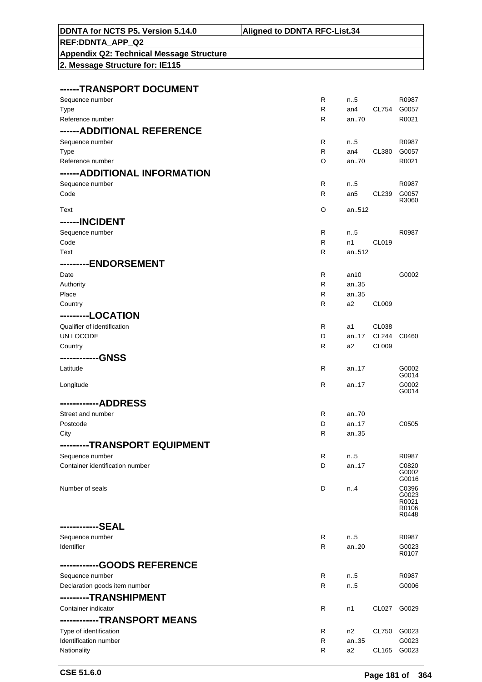| 2. Message Structure for: IE115 |              |                 |              |                |
|---------------------------------|--------------|-----------------|--------------|----------------|
|                                 |              |                 |              |                |
| ------TRANSPORT DOCUMENT        |              |                 |              |                |
| Sequence number                 | $\mathsf{R}$ | n.5             |              | R0987          |
| Type                            | $\mathsf{R}$ | an4             | CL754        | G0057          |
| Reference number                | $\mathsf{R}$ | an70            |              | R0021          |
| ------ADDITIONAL REFERENCE      |              |                 |              |                |
| Sequence number                 | $\mathsf{R}$ | n.5             |              | R0987          |
| <b>Type</b>                     | $\mathsf{R}$ | an4             | CL380        | G0057          |
| Reference number                | O            | an70            |              | R0021          |
| ------ADDITIONAL INFORMATION    |              |                 |              |                |
| Sequence number                 | R            | $n_{\cdot}.5$   |              | R0987          |
| Code                            | R            | an <sub>5</sub> | CL239        | G0057          |
|                                 |              |                 |              | R3060          |
| Text                            | O            | an512           |              |                |
| ------INCIDENT                  |              |                 |              |                |
| Sequence number                 | R            | $n_{.}.5$       |              | R0987          |
| Code                            | R            | n1              | CL019        |                |
| Text                            | R            | an512           |              |                |
| ---------ENDORSEMENT            |              |                 |              |                |
| Date                            | $\mathsf R$  | an10            |              | G0002          |
| Authority                       | $\mathsf{R}$ | an35            |              |                |
| Place                           | $\mathsf{R}$ | an35            |              |                |
| Country                         | $\mathsf{R}$ | a <sub>2</sub>  | CL009        |                |
| ---------LOCATION               |              |                 |              |                |
| Qualifier of identification     | R            | a1              | CL038        |                |
| UN LOCODE                       | D            | an17            | CL244        | C0460          |
| Country                         | R            | a2              | CL009        |                |
| ------------GNSS                |              |                 |              |                |
| Latitude                        | R            | an.17           |              | G0002<br>G0014 |
| Longitude                       | R            | an17            |              | G0002          |
|                                 |              |                 |              | G0014          |
| ------------ADDRESS             |              |                 |              |                |
| Street and number               | R            | an70            |              |                |
| Postcode                        | D            | an17            |              | C0505          |
| City                            | R            | an35            |              |                |
| --------TRANSPORT EQUIPMENT     |              |                 |              |                |
| Sequence number                 | R            | n.5             |              | R0987          |
| Container identification number | D            | an17            |              | C0820          |
|                                 |              |                 |              | G0002<br>G0016 |
| Number of seals                 | D            | n.4             |              | C0396          |
|                                 |              |                 |              | G0023<br>R0021 |
|                                 |              |                 |              | R0106          |
|                                 |              |                 |              | R0448          |
| -------------SEAL               |              |                 |              |                |
| Sequence number                 | R            | n.5             |              | R0987          |
| Identifier                      | $\mathsf{R}$ | an20            |              | G0023<br>R0107 |
|                                 |              |                 |              |                |
|                                 |              |                 |              |                |
| Sequence number                 | R            | n.5             |              | R0987          |
| Declaration goods item number   | R            | n.5             |              | G0006          |
| ---------TRANSHIPMENT           |              |                 |              |                |
| Container indicator             | $\mathsf{R}$ | n1              | <b>CL027</b> | G0029          |
|                                 |              |                 |              |                |
| Type of identification          | R            | n <sub>2</sub>  | <b>CL750</b> | G0023          |
| Identification number           | R            | an35            |              | G0023          |
| Nationality                     | R            | a2              | CL165        | G0023          |
|                                 |              |                 |              |                |

**REF:DDNTA\_APP\_Q2**

**Appendix Q2: Technical Message Structure**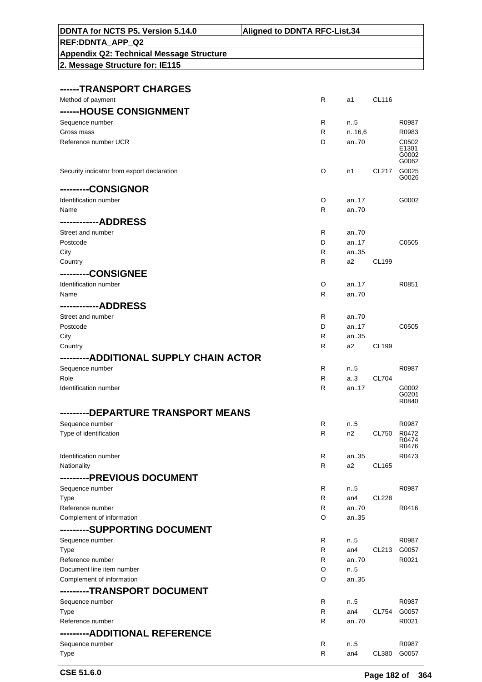| DDNTA for NCTS P5. Version 5.14.0               | <b>Aligned to DDNTA RFC-List.34</b> |                         |
|-------------------------------------------------|-------------------------------------|-------------------------|
| <b>REF:DDNTA APP Q2</b>                         |                                     |                         |
| <b>Appendix Q2: Technical Message Structure</b> |                                     |                         |
| 2. Message Structure for: IE115                 |                                     |                         |
|                                                 |                                     |                         |
| ------TRANSPORT CHARGES                         |                                     |                         |
|                                                 | R.                                  | CL116                   |
| Method of payment                               | a1                                  |                         |
| ------HOUSE CONSIGNMENT                         |                                     |                         |
| Sequence number                                 | R                                   | R0987<br>n.5            |
| Gross mass                                      | R                                   | n.16,6<br>R0983         |
| Reference number UCR                            | D                                   | an70<br>C0502<br>E1301  |
|                                                 |                                     | G0002<br>G0062          |
| Security indicator from export declaration      | O<br>n1                             | CL217<br>G0025          |
|                                                 |                                     | G0026                   |
| ---------CONSIGNOR                              |                                     |                         |
| Identification number                           | O                                   | an.17<br>G0002          |
| Name                                            | R                                   | an.70                   |
| ------------ADDRESS                             |                                     |                         |
| Street and number                               | R                                   | an.70                   |
| Postcode                                        | D                                   | an17<br>C0505           |
| City                                            | R                                   | an35                    |
| Country                                         | R<br>a2                             | CL199                   |
| ---------CONSIGNEE                              |                                     |                         |
| Identification number                           | O                                   | R0851<br>an. $.17$      |
| Name                                            | R                                   | an70                    |
| ------------ADDRESS                             |                                     |                         |
|                                                 |                                     |                         |
| Street and number<br>Postcode                   | R<br>D                              | an.70                   |
| City                                            | R                                   | C0505<br>an17<br>an35   |
| Country                                         | R<br>a2                             | CL199                   |
|                                                 |                                     |                         |
| --------ADDITIONAL SUPPLY CHAIN ACTOR           |                                     |                         |
| Sequence number                                 | R                                   | R0987<br>n.5            |
| Role<br>Identification number                   | R                                   | a3<br>CL704             |
|                                                 | R                                   | G0002<br>an17<br>G0201  |
|                                                 |                                     | R0840                   |
| --DEPARTURE TRANSPORT MEANS                     |                                     |                         |
| Sequence number                                 | R                                   | n.5<br>R0987            |
| Type of identification                          | R<br>n2                             | CL750<br>R0472<br>R0474 |
|                                                 |                                     | R0476                   |
| Identification number                           | R                                   | R0473<br>an35           |
| Nationality                                     | R<br>a2                             | CL165                   |
| ---------PREVIOUS DOCUMENT                      |                                     |                         |
| Sequence number                                 | R                                   | n.5<br>R0987            |
| Type                                            | R                                   | <b>CL228</b><br>an4     |
| Reference number                                | R                                   | an70<br>R0416           |
| Complement of information                       | O                                   | an35                    |
| --------SUPPORTING DOCUMENT                     |                                     |                         |
| Sequence number                                 | R                                   | R0987<br>n5             |
| <b>Type</b>                                     | R                                   | CL213<br>G0057<br>an4   |
| Reference number                                | R                                   | an.70<br>R0021          |
| Document line item number                       | O                                   | n.5                     |
| Complement of information                       | O                                   | an35                    |
| ---------TRANSPORT DOCUMENT                     |                                     |                         |
| Sequence number                                 | R                                   | R0987<br>n.5            |
| <b>Type</b>                                     | R                                   | G0057<br>an4<br>CL754   |
| Reference number                                | R                                   | R0021<br>an70           |
| --------ADDITIONAL REFERENCE                    |                                     |                         |
| Sequence number                                 | R                                   | n.5<br>R0987            |
| <b>Type</b>                                     | R                                   | CL380<br>G0057<br>an4   |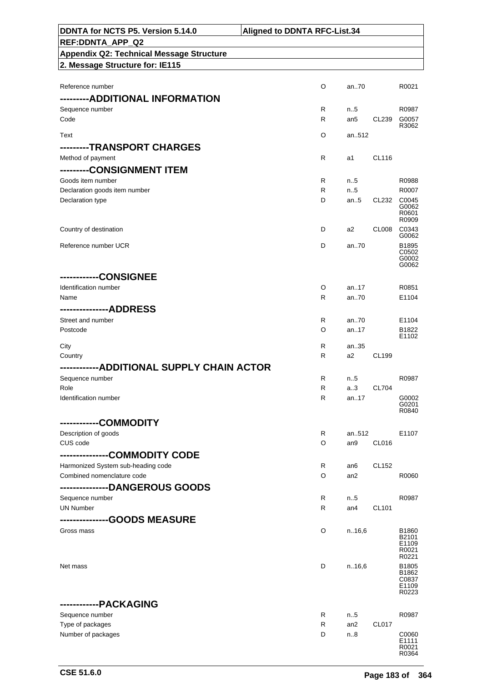| DDNTA for NCTS P5. Version 5.14.0               | <b>Aligned to DDNTA RFC-List.34</b> |                         |                      |
|-------------------------------------------------|-------------------------------------|-------------------------|----------------------|
| REF:DDNTA_APP_Q2                                |                                     |                         |                      |
| <b>Appendix Q2: Technical Message Structure</b> |                                     |                         |                      |
| 2. Message Structure for: IE115                 |                                     |                         |                      |
|                                                 |                                     |                         |                      |
| Reference number                                | O                                   | an70                    | R0021                |
| --------ADDITIONAL INFORMATION                  |                                     |                         |                      |
| Sequence number                                 | R                                   | n.5                     | R0987                |
| Code                                            | R                                   | CL239<br>an5            | G0057                |
|                                                 |                                     |                         | R3062                |
| Text                                            | O                                   | an512                   |                      |
| ---------TRANSPORT CHARGES                      |                                     |                         |                      |
| Method of payment                               | R                                   | CL116<br>a1             |                      |
| ---------CONSIGNMENT ITEM                       |                                     |                         |                      |
| Goods item number                               | R                                   | n <sub>0.5</sub>        | R0988                |
| Declaration goods item number                   | R                                   | n.5                     | R0007                |
| Declaration type                                | D                                   | an $.5$                 | CL232 C0045<br>G0062 |
|                                                 |                                     |                         | R0601<br>R0909       |
| Country of destination                          | D                                   | a2<br>CL <sub>008</sub> | C0343                |
|                                                 |                                     |                         | G0062                |
| Reference number UCR                            | D                                   | an.70                   | B1895                |
|                                                 |                                     |                         | C0502<br>G0002       |
|                                                 |                                     |                         | G0062                |
| ----------CONSIGNEE                             |                                     |                         |                      |
| Identification number                           | O                                   | an17                    | R0851                |
| Name                                            | R                                   | an70                    | E1104                |
| ---------------ADDRESS                          |                                     |                         |                      |
| Street and number                               | R                                   | an.70                   | E1104                |
| Postcode                                        | O                                   | an17                    | B1822<br>E1102       |
| City                                            | R                                   | an35                    |                      |
| Country                                         | R                                   | a2<br>CL199             |                      |
| -----------ADDITIONAL SUPPLY CHAIN ACTOR        |                                     |                         |                      |
| Sequence number                                 | R                                   | $n_{.}5$                | R0987                |
| Role                                            | R                                   | a.3<br>CL704            |                      |
| Identification number                           | R                                   | an.17                   | G0002                |
|                                                 |                                     |                         | G0201<br>R0840       |
| -----------COMMODITY                            |                                     |                         |                      |
| Description of goods                            | R                                   | an512                   | E1107                |
| CUS code                                        | O                                   | an9<br>CL016            |                      |
|                                                 |                                     |                         |                      |
| Harmonized System sub-heading code              | R                                   | CL152<br>an6            |                      |
| Combined nomenclature code                      | O                                   | an2                     | R0060                |
|                                                 |                                     |                         |                      |
| Sequence number                                 | R                                   | $n_{\cdot}.5$           | R0987                |
| <b>UN Number</b>                                | R                                   | CL101<br>an4            |                      |
| -------------GOODS MEASURE                      |                                     |                         |                      |
| Gross mass                                      | O                                   | n.16,6                  | B1860                |
|                                                 |                                     |                         | B2101<br>E1109       |
|                                                 |                                     |                         | R0021                |
|                                                 |                                     |                         | R0221                |
| Net mass                                        | D                                   | n.16,6                  | B1805<br>B1862       |
|                                                 |                                     |                         | C0837<br>E1109       |
|                                                 |                                     |                         | R0223                |
| ------------PACKAGING                           |                                     |                         |                      |
| Sequence number                                 | R                                   | $n_{\cdot}.5$           | R0987                |
| Type of packages                                | R                                   | CL017<br>an2            |                      |
| Number of packages                              | D                                   | n.8                     | C0060<br>E1111       |
|                                                 |                                     |                         | R0021                |
|                                                 |                                     |                         | R0364                |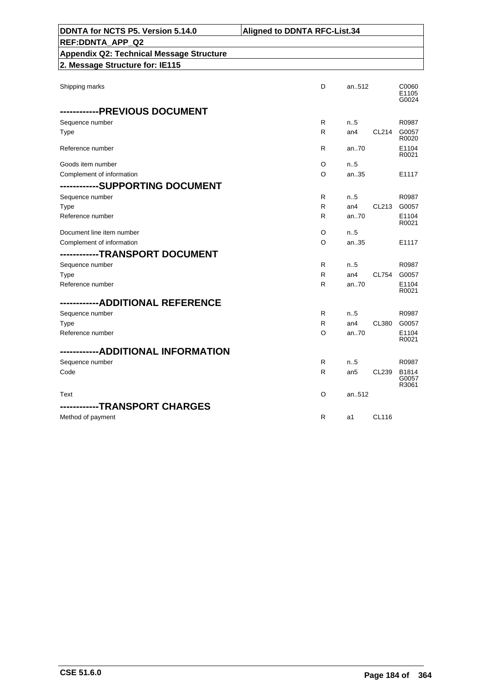| DDNTA for NCTS P5. Version 5.14.0               | <b>Aligned to DDNTA RFC-List.34</b> |              |                         |
|-------------------------------------------------|-------------------------------------|--------------|-------------------------|
| <b>REF:DDNTA APP Q2</b>                         |                                     |              |                         |
| <b>Appendix Q2: Technical Message Structure</b> |                                     |              |                         |
| 2. Message Structure for: IE115                 |                                     |              |                         |
| Shipping marks                                  | D<br>an512                          |              | C0060<br>E1105<br>G0024 |
|                                                 |                                     |              |                         |
| Sequence number                                 | R<br>n5                             |              | R0987                   |
| Type                                            | R<br>an4                            | CL214        | G0057<br>R0020          |
| Reference number                                | R<br>an70                           |              | E1104<br>R0021          |
| Goods item number                               | O<br>n.5                            |              |                         |
| Complement of information                       | O<br>an35                           |              | E1117                   |
| ----------SUPPORTING DOCUMENT                   |                                     |              |                         |
| Sequence number                                 | R<br>n.5                            |              | R0987                   |
| <b>Type</b>                                     | R.<br>an4                           | CL213        | G0057                   |
| Reference number                                | R<br>an70                           |              | E1104<br>R0021          |
| Document line item number                       | O<br>n.5                            |              |                         |
| Complement of information                       | O<br>an35                           |              | E1117                   |
| ----------TRANSPORT DOCUMENT                    |                                     |              |                         |
| Sequence number                                 | R<br>n.5                            |              | R0987                   |
| Type                                            | R<br>an4                            | CL754        | G0057                   |
| Reference number                                | R<br>an.70                          |              | E1104<br>R0021          |
| ------------ADDITIONAL REFERENCE                |                                     |              |                         |
| Sequence number                                 | R<br>n.5                            |              | R0987                   |
| <b>Type</b>                                     | R<br>an4                            | <b>CL380</b> | G0057                   |
| Reference number                                | O<br>an70                           |              | E1104<br>R0021          |
| ----------ADDITIONAL INFORMATION                |                                     |              |                         |
| Sequence number                                 | R<br>n.5                            |              | R0987                   |
| Code                                            | R<br>an5                            | CL239        | B1814<br>G0057<br>R3061 |
| Text                                            | O<br>an512                          |              |                         |
| ---------TRANSPORT CHARGES                      |                                     |              |                         |
| Method of payment                               | R.<br>a1                            | CL116        |                         |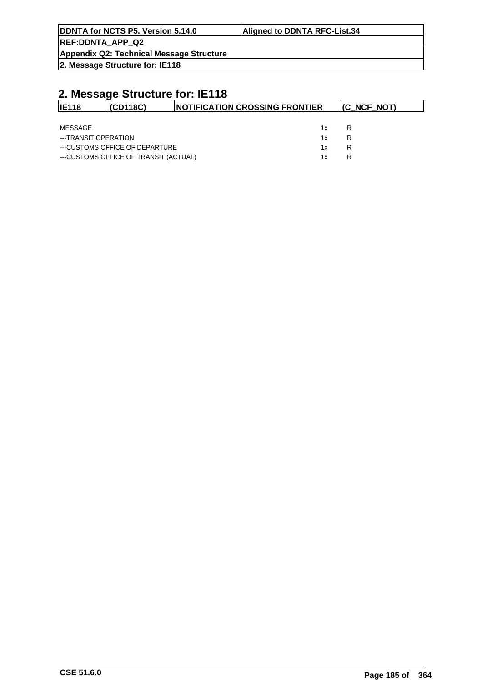| DDNTA for NCTS P5. Version 5.14.0 |  |  |
|-----------------------------------|--|--|
|                                   |  |  |

#### **Aligned to DDNTA RFC-List.34**

**REF:DDNTA\_APP\_Q2**

**Appendix Q2: Technical Message Structure**

**2. Message Structure for: IE118**

| <b>IE118</b>         | (CD118C)                              | <b>INOTIFICATION CROSSING FRONTIER</b> | $(C$ NCF NOT) |
|----------------------|---------------------------------------|----------------------------------------|---------------|
|                      |                                       |                                        |               |
| MESSAGE              |                                       | 1 x                                    | R             |
| ---TRANSIT OPERATION |                                       | 1x                                     | R             |
|                      | ---CUSTOMS OFFICE OF DEPARTURE        | 1x                                     | R             |
|                      | ---CUSTOMS OFFICE OF TRANSIT (ACTUAL) | 1 x                                    | R             |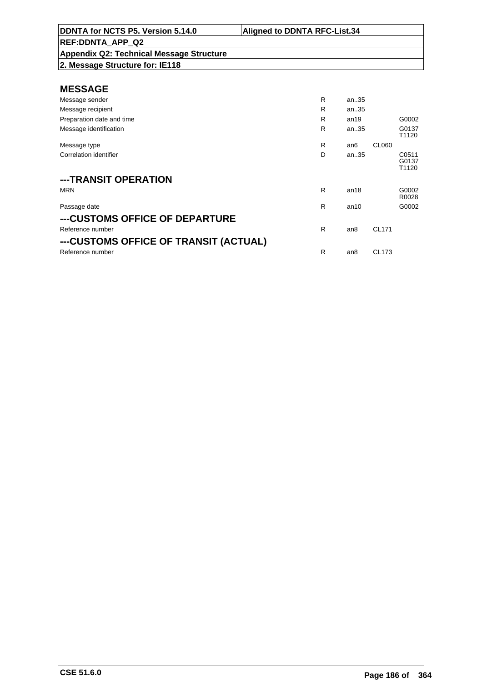|                  | <b>Aligned to DDNTA RFC-List.34</b> |
|------------------|-------------------------------------|
| REF:DDNTA APP Q2 |                                     |

#### **Appendix Q2: Technical Message Structure 2. Message Structure for: IE118**

### **MESSAGE**

| Message sender                        | R | an35            |              |                         |
|---------------------------------------|---|-----------------|--------------|-------------------------|
| Message recipient                     | R | an35            |              |                         |
| Preparation date and time             | R | an19            |              | G0002                   |
| Message identification                | R | an35            |              | G0137<br>T1120          |
| Message type                          | R | an <sub>6</sub> | <b>CL060</b> |                         |
| Correlation identifier                | D | an.35           |              | C0511<br>G0137<br>T1120 |
| ---TRANSIT OPERATION                  |   |                 |              |                         |
| <b>MRN</b>                            | R | an18            |              | G0002<br>R0028          |
| Passage date                          | R | an10            |              | G0002                   |
| ---CUSTOMS OFFICE OF DEPARTURE        |   |                 |              |                         |
| Reference number                      | R | an <sub>8</sub> | CL171        |                         |
| ---CUSTOMS OFFICE OF TRANSIT (ACTUAL) |   |                 |              |                         |
| Reference number                      | R | an <sub>8</sub> | CL173        |                         |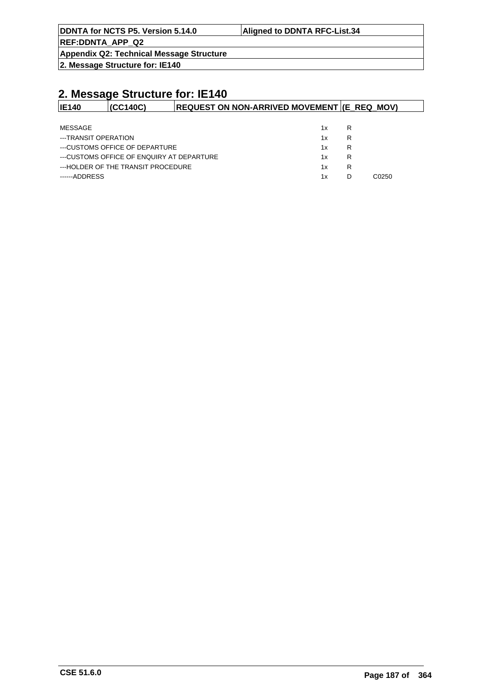|  |  | DDNTA for NCTS P5. Version 5.14.0 |  |
|--|--|-----------------------------------|--|
|  |  |                                   |  |

**REF:DDNTA\_APP\_Q2**

**Aligned to DDNTA RFC-List.34** 

**Appendix Q2: Technical Message Structure**

**2. Message Structure for: IE140**

| <b>IE140</b>         | (CC140C)                                 | <b>REQUEST ON NON-ARRIVED MOVEMENT (E REQ MOV)</b> |   |       |
|----------------------|------------------------------------------|----------------------------------------------------|---|-------|
|                      |                                          |                                                    |   |       |
| MESSAGE              |                                          | 1x                                                 | R |       |
| ---TRANSIT OPERATION |                                          | 1x                                                 | R |       |
|                      | --CUSTOMS OFFICE OF DEPARTURE            | 1x                                                 | R |       |
|                      | --CUSTOMS OFFICE OF ENQUIRY AT DEPARTURE | 1x                                                 | R |       |
|                      | ---HOLDER OF THE TRANSIT PROCEDURE.      | 1x                                                 | R |       |
| ------ADDRESS        |                                          | 1x                                                 | D | C0250 |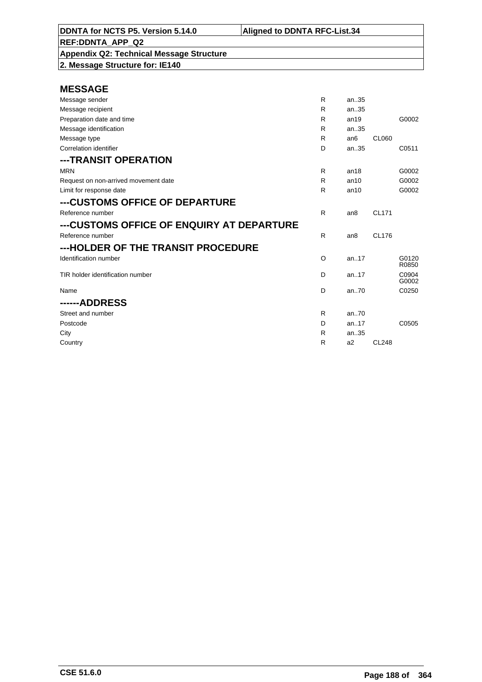### **REF:DDNTA\_APP\_Q2 Appendix Q2: Technical Message Structure**

**2. Message Structure for: IE140**

#### **MESSAGE**

| Message sender                            | R            | an35            |              |                |
|-------------------------------------------|--------------|-----------------|--------------|----------------|
| Message recipient                         | R            | an35            |              |                |
| Preparation date and time                 | R.           | an19            |              | G0002          |
| Message identification                    | R            | an35            |              |                |
| Message type                              | R            | an <sub>6</sub> | <b>CL060</b> |                |
| Correlation identifier                    | D            | an35            |              | C0511          |
| ---TRANSIT OPERATION                      |              |                 |              |                |
| <b>MRN</b>                                | R            | an18            |              | G0002          |
| Request on non-arrived movement date      | R.           | an10            |              | G0002          |
| Limit for response date                   | R            | an10            |              | G0002          |
| ---CUSTOMS OFFICE OF DEPARTURE            |              |                 |              |                |
| Reference number                          | $\mathsf{R}$ | an8             | CL171        |                |
| ---CUSTOMS OFFICE OF ENQUIRY AT DEPARTURE |              |                 |              |                |
| Reference number                          | R.           | an <sub>8</sub> | CL176        |                |
| ---HOLDER OF THE TRANSIT PROCEDURE        |              |                 |              |                |
| Identification number                     | O            | an.17           |              | G0120<br>R0850 |
| TIR holder identification number          | D            | an.17           |              | C0904<br>G0002 |
| Name                                      | D            | an.70           |              | C0250          |
| ------ADDRESS                             |              |                 |              |                |
| Street and number                         | R            | an.70           |              |                |
| Postcode                                  | D            | an.17           |              | C0505          |
| City                                      | R            | an35            |              |                |
| Country                                   | R            | a2              | <b>CL248</b> |                |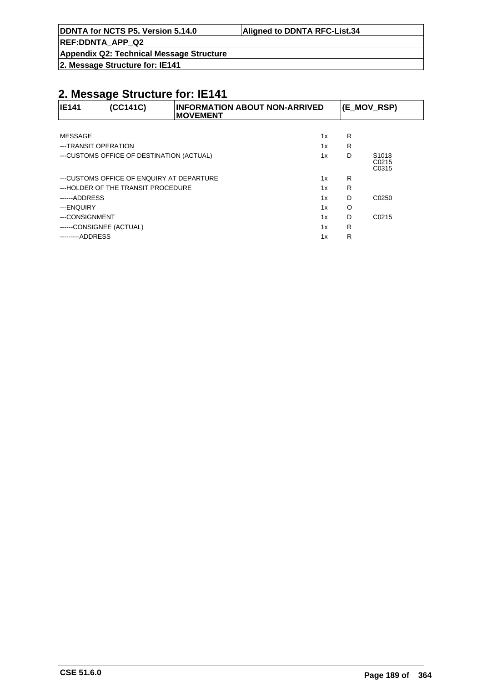**REF:DDNTA\_APP\_Q2**

**Appendix Q2: Technical Message Structure**

**2. Message Structure for: IE141**

| <b>IE141</b>             | (CC141C)                                  | INFORMATION ABOUT NON-ARRIVED<br><b>IMOVEMENT</b> |    |    | (E_MOV_RSP)                         |
|--------------------------|-------------------------------------------|---------------------------------------------------|----|----|-------------------------------------|
|                          |                                           |                                                   |    |    |                                     |
| <b>MESSAGE</b>           |                                           |                                                   | 1x | R  |                                     |
| ---TRANSIT OPERATION     |                                           |                                                   | 1x | R  |                                     |
|                          | ---CUSTOMS OFFICE OF DESTINATION (ACTUAL) |                                                   | 1x | D  | S <sub>1018</sub><br>C0215<br>C0315 |
|                          |                                           | ---CUSTOMS OFFICE OF ENOUIRY AT DEPARTURE         | 1x | R  |                                     |
|                          | ---HOLDER OF THE TRANSIT PROCEDURE        |                                                   | 1x | R  |                                     |
| ------ADDRESS            |                                           |                                                   | 1x | D  | C0250                               |
| ---ENQUIRY               |                                           |                                                   | 1x | O  |                                     |
| ---CONSIGNMENT           |                                           |                                                   | 1x | D. | C0215                               |
| ------CONSIGNEE (ACTUAL) |                                           |                                                   | 1x | R  |                                     |
| ---------ADDRESS         |                                           |                                                   | 1x | R  |                                     |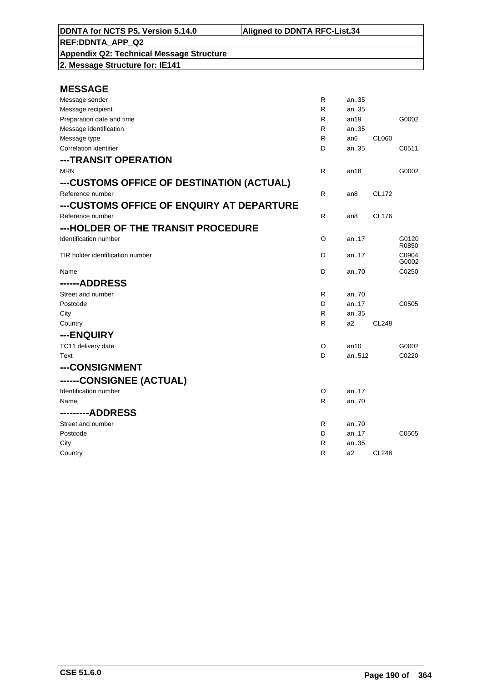|  | DDNTA for NCTS P5. Version 5.14.0 | Aligned to DDNTA RFC-List.34 |
|--|-----------------------------------|------------------------------|
|--|-----------------------------------|------------------------------|

**2. Message Structure for: IE141**

| Message sender<br>Message recipient<br>Preparation date and time<br>Message identification<br>Message type<br><b>Correlation identifier</b><br>---TRANSIT OPERATION | R<br>R<br>R | an35<br>an35 |              |                |
|---------------------------------------------------------------------------------------------------------------------------------------------------------------------|-------------|--------------|--------------|----------------|
|                                                                                                                                                                     |             |              |              |                |
|                                                                                                                                                                     |             |              |              |                |
|                                                                                                                                                                     |             | an19         |              | G0002          |
|                                                                                                                                                                     | R           | an35         |              |                |
|                                                                                                                                                                     | R           | an6          | CL060        |                |
|                                                                                                                                                                     | D           | an35         |              | C0511          |
|                                                                                                                                                                     |             |              |              |                |
| <b>MRN</b>                                                                                                                                                          | R           | an18         |              | G0002          |
| ---CUSTOMS OFFICE OF DESTINATION (ACTUAL)                                                                                                                           |             |              |              |                |
| Reference number                                                                                                                                                    | R           | an8          | CL172        |                |
| ---CUSTOMS OFFICE OF ENQUIRY AT DEPARTURE                                                                                                                           |             |              |              |                |
| Reference number                                                                                                                                                    | R           | an8          | <b>CL176</b> |                |
| ---HOLDER OF THE TRANSIT PROCEDURE                                                                                                                                  |             |              |              |                |
| Identification number                                                                                                                                               | O           | an.17        |              | G0120          |
|                                                                                                                                                                     |             |              |              | R0850          |
| TIR holder identification number                                                                                                                                    | D           | an.17        |              | C0904<br>G0002 |
| Name                                                                                                                                                                | D           | an.70        |              | C0250          |
| ------ADDRESS                                                                                                                                                       |             |              |              |                |
| Street and number                                                                                                                                                   | R           | an70         |              |                |
| Postcode                                                                                                                                                            | D           | an17         |              | C0505          |
| City                                                                                                                                                                | R           | an35         |              |                |
| Country                                                                                                                                                             | R           | a2           | <b>CL248</b> |                |
| ---ENQUIRY                                                                                                                                                          |             |              |              |                |
| TC11 delivery date                                                                                                                                                  | O           | an10         |              | G0002          |
| Text                                                                                                                                                                | D           | an512        |              | C0220          |
| ---CONSIGNMENT                                                                                                                                                      |             |              |              |                |
| ------CONSIGNEE (ACTUAL)                                                                                                                                            |             |              |              |                |
| Identification number                                                                                                                                               | O           | an17         |              |                |
| Name                                                                                                                                                                | R           | an70         |              |                |
| ---------ADDRESS                                                                                                                                                    |             |              |              |                |
| Street and number                                                                                                                                                   | R           | an70         |              |                |
| Postcode                                                                                                                                                            | D           | an17         |              | C0505          |
| City                                                                                                                                                                | R           | an35         |              |                |
| Country                                                                                                                                                             | R           | a2           | <b>CL248</b> |                |

**MESSAGE**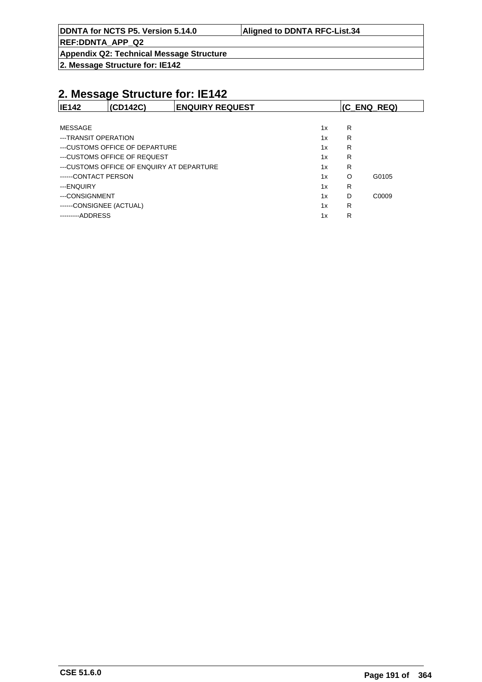|  |  | DDNTA for NCTS P5. Version 5.14.0 |  |
|--|--|-----------------------------------|--|
|  |  |                                   |  |

### **REF:DDNTA\_APP\_Q2**

**Appendix Q2: Technical Message Structure**

**2. Message Structure for: IE142**

| <b>IE142</b>             | (CD142C)                       | <b>ENQUIRY REQUEST</b>                   |    |   | (C_ENQ_REQ)       |
|--------------------------|--------------------------------|------------------------------------------|----|---|-------------------|
|                          |                                |                                          |    |   |                   |
| MESSAGE                  |                                |                                          | 1x | R |                   |
| ---TRANSIT OPERATION     |                                |                                          | 1x | R |                   |
|                          | ---CUSTOMS OFFICE OF DEPARTURE |                                          | 1x | R |                   |
|                          | ---CUSTOMS OFFICE OF REQUEST   |                                          | 1x | R |                   |
|                          |                                | --CUSTOMS OFFICE OF ENQUIRY AT DEPARTURE | 1x | R |                   |
| ------CONTACT PERSON     |                                |                                          | 1x | O | G0105             |
| ---ENQUIRY               |                                |                                          | 1x | R |                   |
| ---CONSIGNMENT           |                                |                                          | 1x | D | C <sub>0009</sub> |
| ------CONSIGNEE (ACTUAL) |                                |                                          | 1x | R |                   |
| ---------ADDRESS         |                                |                                          | 1x | R |                   |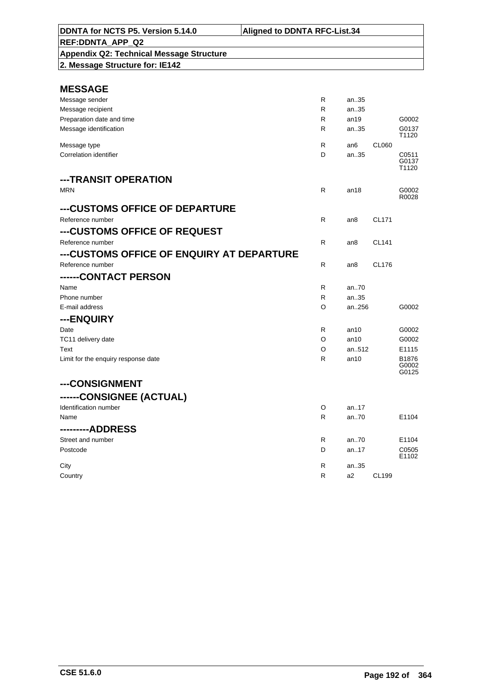| DDNTA for NCTS P5. Version 5.14.0               | <b>Aligned to DDNTA RFC-List.34</b> |      |              |                         |
|-------------------------------------------------|-------------------------------------|------|--------------|-------------------------|
| <b>REF:DDNTA APP Q2</b>                         |                                     |      |              |                         |
| <b>Appendix Q2: Technical Message Structure</b> |                                     |      |              |                         |
| 2. Message Structure for: IE142                 |                                     |      |              |                         |
| <b>MESSAGE</b>                                  |                                     |      |              |                         |
| Message sender                                  | R                                   | an35 |              |                         |
| Message recipient                               | R                                   | an35 |              |                         |
| Preparation date and time                       | R                                   | an19 |              | G0002                   |
| Message identification                          | R                                   | an35 |              | G0137<br>T1120          |
| Message type                                    | R                                   | an6  | <b>CL060</b> |                         |
| Correlation identifier                          | D                                   | an35 |              | C0511<br>G0137<br>T1120 |
| TD ANGIT ADED ATIAN                             |                                     |      |              |                         |

| ---TRANSIT OPERATION<br><b>MRN</b>        | R       | an18  |              | G0002<br>R0028          |
|-------------------------------------------|---------|-------|--------------|-------------------------|
| ---CUSTOMS OFFICE OF DEPARTURE            |         |       |              |                         |
| Reference number                          | R       | an8   | CL171        |                         |
| ---CUSTOMS OFFICE OF REQUEST              |         |       |              |                         |
| Reference number                          | R.      | an8   | <b>CL141</b> |                         |
| ---CUSTOMS OFFICE OF ENQUIRY AT DEPARTURE |         |       |              |                         |
| Reference number                          | R       | an8   | CL176        |                         |
| ------CONTACT PERSON                      |         |       |              |                         |
| Name                                      | R       | an70  |              |                         |
| Phone number                              | R       | an.35 |              |                         |
| E-mail address                            | O       | an256 |              | G0002                   |
| ---ENQUIRY                                |         |       |              |                         |
| Date                                      | R       | an10  |              | G0002                   |
| TC11 delivery date                        | $\circ$ | an10  |              | G0002                   |
| Text                                      | $\circ$ | an512 |              | E1115                   |
| Limit for the enquiry response date       | R       | an10  |              | B1876<br>G0002<br>G0125 |
| ---CONSIGNMENT                            |         |       |              |                         |
| ------CONSIGNEE (ACTUAL)                  |         |       |              |                         |
| Identification number                     | $\circ$ | an.17 |              |                         |
| Name                                      | R       | an70  |              | E1104                   |
| ---------ADDRESS                          |         |       |              |                         |
| Street and number                         | R       | an.70 |              | E1104                   |
| Postcode                                  | D       | an.17 |              | C0505<br>E1102          |
| City                                      | R       | an35  |              |                         |
| Country                                   | R       | a2    | CL199        |                         |

G0137<br>T1120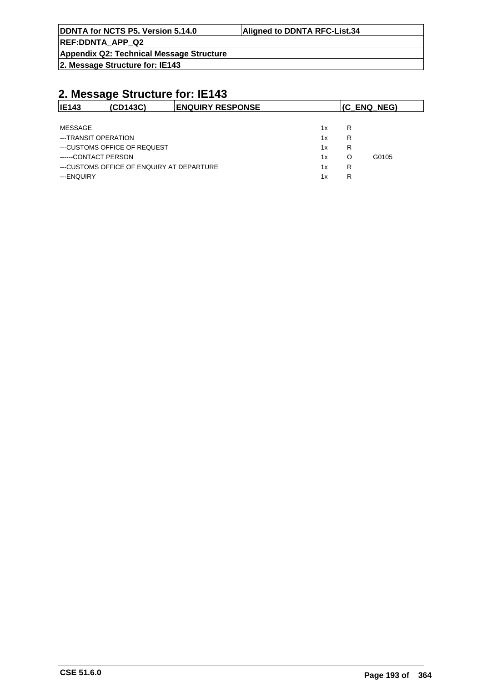|  | DDNTA for NCTS P5. Version 5.14.0 |  |
|--|-----------------------------------|--|
|  |                                   |  |

#### **REF:DDNTA\_APP\_Q2**

**Appendix Q2: Technical Message Structure**

**2. Message Structure for: IE143**

# **2. Message Structure for: IE143**

| <b>IE143</b>         | (CD143C)                     | <b>ENQUIRY RESPONSE</b>                  |    |   | (C ENQ NEG) |
|----------------------|------------------------------|------------------------------------------|----|---|-------------|
|                      |                              |                                          |    |   |             |
| MESSAGE              |                              |                                          | 1x | R |             |
| ---TRANSIT OPERATION |                              |                                          | 1x | R |             |
|                      | ---CUSTOMS OFFICE OF REQUEST |                                          | 1x | R |             |
| ------CONTACT PERSON |                              |                                          | 1x | O | G0105       |
|                      |                              | --CUSTOMS OFFICE OF ENOUIRY AT DEPARTURE | 1x | R |             |
| ---ENQUIRY           |                              |                                          | 1x | R |             |

**Aligned to DDNTA RFC-List.34**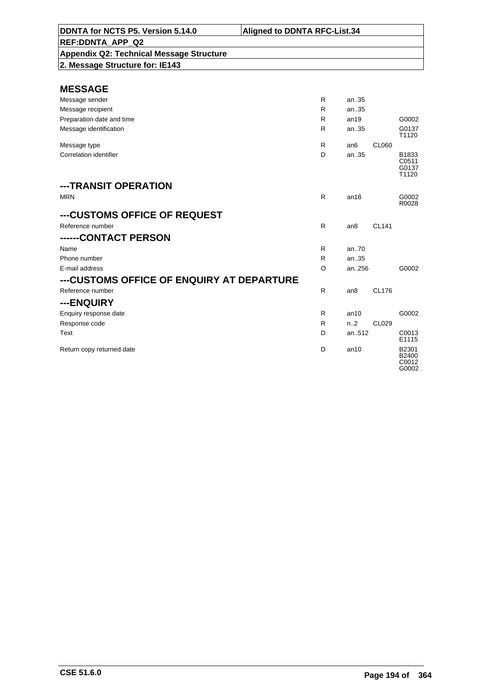| DDNTA for NCTS P5. Version 5.14.0               | <b>Aligned to DDNTA RFC-List.34</b> |                 |              |                         |
|-------------------------------------------------|-------------------------------------|-----------------|--------------|-------------------------|
| <b>REF:DDNTA APP Q2</b>                         |                                     |                 |              |                         |
| <b>Appendix Q2: Technical Message Structure</b> |                                     |                 |              |                         |
| 2. Message Structure for: IE143                 |                                     |                 |              |                         |
|                                                 |                                     |                 |              |                         |
| <b>MESSAGE</b>                                  |                                     |                 |              |                         |
| Message sender                                  | R                                   | an35            |              |                         |
| Message recipient                               | R                                   | an35            |              |                         |
| Preparation date and time                       | R                                   | an19            |              | G0002                   |
| Message identification                          | R                                   | an35            |              | G0137<br>T1120          |
| Message type                                    | R.                                  | an <sub>6</sub> | CL060        |                         |
| Correlation identifier                          | D                                   | an35            |              | B1833                   |
|                                                 |                                     |                 |              | C0511<br>G0137          |
|                                                 |                                     |                 |              | T1120                   |
| ---TRANSIT OPERATION                            |                                     |                 |              |                         |
| <b>MRN</b>                                      | R.                                  | an18            |              | G0002                   |
|                                                 |                                     |                 |              | R0028                   |
| ---CUSTOMS OFFICE OF REQUEST                    |                                     |                 |              |                         |
| Reference number                                | R.                                  | an <sub>8</sub> | <b>CL141</b> |                         |
| ------CONTACT PERSON                            |                                     |                 |              |                         |
| Name                                            | R                                   | an.70           |              |                         |
| Phone number                                    | R                                   | an.35           |              |                         |
| E-mail address                                  | O                                   | an256           |              | G0002                   |
| ---CUSTOMS OFFICE OF ENQUIRY AT DEPARTURE       |                                     |                 |              |                         |
| Reference number                                | R                                   | an <sub>8</sub> | <b>CL176</b> |                         |
| ---ENQUIRY                                      |                                     |                 |              |                         |
| Enquiry response date                           | R                                   | an10            |              | G0002                   |
| Response code                                   | R                                   | n.2             | CL029        |                         |
| Text                                            | D                                   | an512           |              | C0013<br>E1115          |
| Return copy returned date                       | D                                   | an10            |              | B2301<br>B2400<br>C0012 |

G0002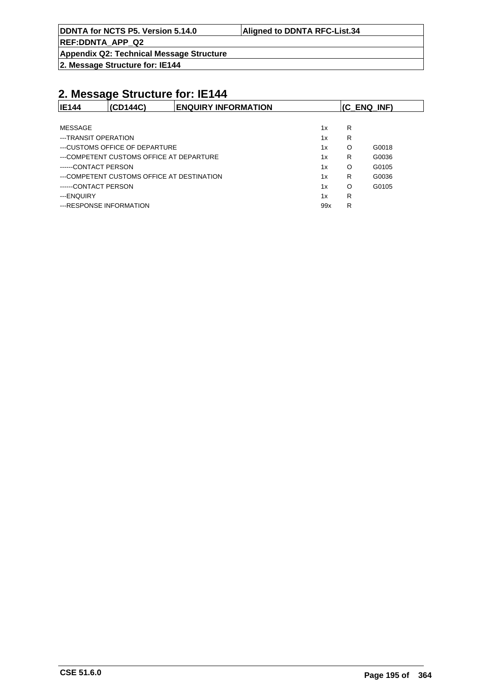|  |  | DDNTA for NCTS P5. Version 5.14.0 |  |
|--|--|-----------------------------------|--|
|  |  |                                   |  |

#### **Aligned to DDNTA RFC-List.34**

**REF:DDNTA\_APP\_Q2**

**Appendix Q2: Technical Message Structure**

**2. Message Structure for: IE144**

| <b>IE144</b>            | (CD144C)                                   | <b>ENQUIRY INFORMATION</b> |     |   | (C ENQ INF) |
|-------------------------|--------------------------------------------|----------------------------|-----|---|-------------|
|                         |                                            |                            |     |   |             |
| MESSAGE                 |                                            |                            | 1x  | R |             |
| ---TRANSIT OPERATION    |                                            |                            | 1x  | R |             |
|                         | ---CUSTOMS OFFICE OF DEPARTURE             |                            | 1x  | O | G0018       |
|                         | ---COMPETENT CUSTOMS OFFICE AT DEPARTURE   |                            | 1x  | R | G0036       |
| ------CONTACT PERSON    |                                            |                            | 1x  | O | G0105       |
|                         | ---COMPETENT CUSTOMS OFFICE AT DESTINATION |                            | 1x  | R | G0036       |
| ------CONTACT PERSON    |                                            |                            | 1x  | O | G0105       |
| --ENQUIRY               |                                            |                            | 1x  | R |             |
| ---RESPONSE INFORMATION |                                            |                            | 99x | R |             |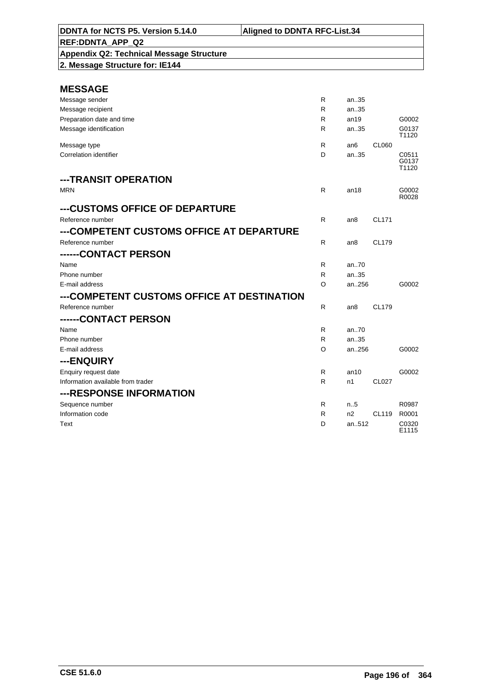|--|

**2. Message Structure for: IE144**

### **MESSAGE**

| Message sender                             | R | an35            |              |                         |
|--------------------------------------------|---|-----------------|--------------|-------------------------|
| Message recipient                          | R | an35            |              |                         |
| Preparation date and time                  | R | an19            |              | G0002                   |
| Message identification                     | R | an35            |              | G0137<br>T1120          |
| Message type                               | R | an <sub>6</sub> | CL060        |                         |
| Correlation identifier                     | D | an35            |              | C0511<br>G0137<br>T1120 |
| ---TRANSIT OPERATION                       |   |                 |              |                         |
| <b>MRN</b>                                 | R | an18            |              | G0002<br>R0028          |
| ---CUSTOMS OFFICE OF DEPARTURE             |   |                 |              |                         |
| Reference number                           | R | an <sub>8</sub> | CL171        |                         |
| ---COMPETENT CUSTOMS OFFICE AT DEPARTURE   |   |                 |              |                         |
| Reference number                           | R | an <sub>8</sub> | <b>CL179</b> |                         |
| ------CONTACT PERSON                       |   |                 |              |                         |
| Name                                       | R | an.70           |              |                         |
| Phone number                               | R | an35            |              |                         |
| E-mail address                             | O | an256           |              | G0002                   |
| ---COMPETENT CUSTOMS OFFICE AT DESTINATION |   |                 |              |                         |
| Reference number                           | R | an8             | <b>CL179</b> |                         |
| ------CONTACT PERSON                       |   |                 |              |                         |
| Name                                       | R | an70            |              |                         |
| Phone number                               | R | an35            |              |                         |
| E-mail address                             | O | an256           |              | G0002                   |
| ---ENQUIRY                                 |   |                 |              |                         |
| Enquiry request date                       | R | an10            |              | G0002                   |
| Information available from trader          | R | n1              | <b>CL027</b> |                         |
| ---RESPONSE INFORMATION                    |   |                 |              |                         |
| Sequence number                            | R | n.5             |              | R0987                   |
| Information code                           | R | n2              | CL119        | R0001                   |
| Text                                       | D | an512           |              | C0320<br>E1115          |
|                                            |   |                 |              |                         |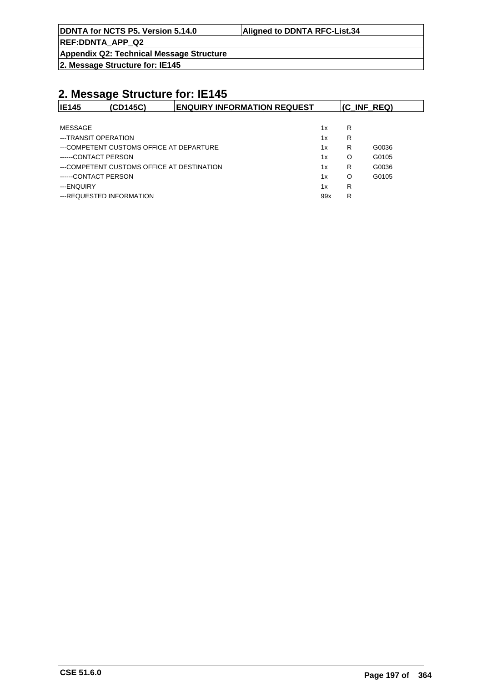**REF:DDNTA\_APP\_Q2**

**Appendix Q2: Technical Message Structure**

**2. Message Structure for: IE145**

| <b>IE145</b>                             | (CD145C)                                   | <b>ENQUIRY INFORMATION REQUEST</b> |     | (C INF REQ) |       |
|------------------------------------------|--------------------------------------------|------------------------------------|-----|-------------|-------|
|                                          |                                            |                                    |     |             |       |
| MESSAGE                                  |                                            |                                    | 1x  | R           |       |
| ---TRANSIT OPERATION                     |                                            |                                    | 1x  | R           |       |
| ---COMPETENT CUSTOMS OFFICE AT DEPARTURE |                                            |                                    | 1x  | R           | G0036 |
| ------CONTACT PERSON                     |                                            |                                    | 1x  | O           | G0105 |
|                                          | ---COMPETENT CUSTOMS OFFICE AT DESTINATION |                                    | 1x  | R           | G0036 |
| ------CONTACT PERSON                     |                                            |                                    | 1x  | O           | G0105 |
| --ENQUIRY                                |                                            |                                    | 1x  | R           |       |
| ---REQUESTED INFORMATION                 |                                            |                                    | 99x | R           |       |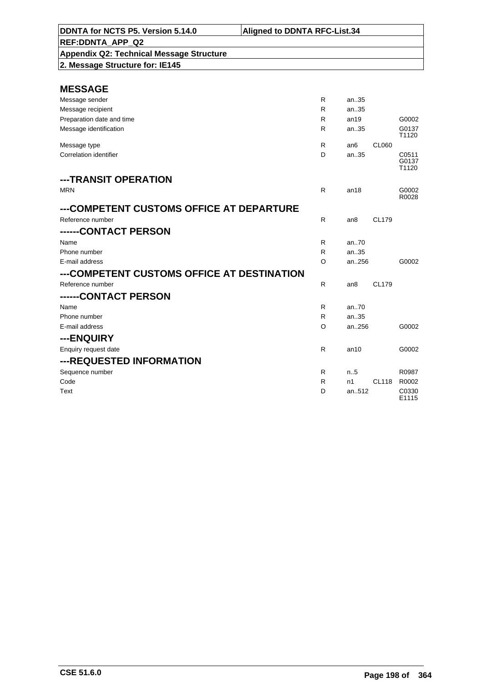| DDNTA for NCTS P5. Version 5.14.0 | Aligned to DDNTA RFC-List.34 |
|-----------------------------------|------------------------------|
|                                   |                              |

| <b>MESSAGE</b>                             |              |                 |              |                         |
|--------------------------------------------|--------------|-----------------|--------------|-------------------------|
| Message sender                             | R            | an35            |              |                         |
| Message recipient                          | R            | an35            |              |                         |
| Preparation date and time                  | R            | an19            |              | G0002                   |
| Message identification                     | R            | an35            |              | G0137<br>T1120          |
| Message type                               | R            | an <sub>6</sub> | <b>CL060</b> |                         |
| Correlation identifier                     | D            | an35            |              | C0511<br>G0137<br>T1120 |
| ---TRANSIT OPERATION                       |              |                 |              |                         |
| <b>MRN</b>                                 | R            | an18            |              | G0002<br>R0028          |
| ---COMPETENT CUSTOMS OFFICE AT DEPARTURE   |              |                 |              |                         |
| Reference number                           | $\mathsf{R}$ | an <sub>8</sub> | <b>CL179</b> |                         |
| ------CONTACT PERSON                       |              |                 |              |                         |
| Name                                       | R            | an70            |              |                         |
| Phone number                               | R            | an.35           |              |                         |
| E-mail address                             | O            | an256           |              | G0002                   |
| ---COMPETENT CUSTOMS OFFICE AT DESTINATION |              |                 |              |                         |
| Reference number                           | R            | an <sub>8</sub> | <b>CL179</b> |                         |
| ------CONTACT PERSON                       |              |                 |              |                         |
| Name                                       | R            | an70            |              |                         |
| Phone number                               | R            | an35            |              |                         |
| E-mail address                             | O            | an256           |              | G0002                   |
| ---ENQUIRY                                 |              |                 |              |                         |
| Enquiry request date                       | $\mathsf{R}$ | an10            |              | G0002                   |
| ---REQUESTED INFORMATION                   |              |                 |              |                         |
| Sequence number                            | R            | n.5             |              | R0987                   |
| Code                                       | R            | n1              | <b>CL118</b> | R0002                   |
| Text                                       | D            | an512           |              | C0330<br>E1115          |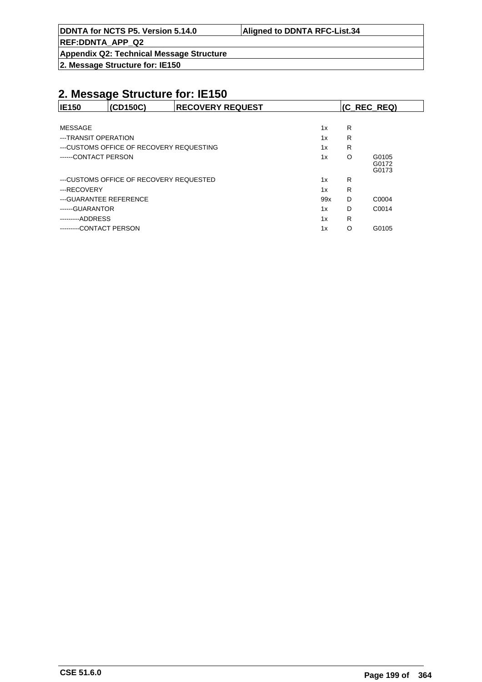**REF:DDNTA\_APP\_Q2**

**Appendix Q2: Technical Message Structure**

**2. Message Structure for: IE150**

| <b>IE150</b>            | (CD150C)                                 | <b>RECOVERY REQUEST</b> |     |   | (C REC REQ)             |
|-------------------------|------------------------------------------|-------------------------|-----|---|-------------------------|
|                         |                                          |                         |     |   |                         |
| MESSAGE                 |                                          |                         | 1x  | R |                         |
| ---TRANSIT OPERATION    |                                          |                         | 1x  | R |                         |
|                         | ---CUSTOMS OFFICE OF RECOVERY REQUESTING |                         | 1x  | R |                         |
| ------CONTACT PERSON    |                                          |                         | 1x  | O | G0105<br>G0172<br>G0173 |
|                         | --CUSTOMS OFFICE OF RECOVERY REQUESTED   |                         | 1x  | R |                         |
| ---RECOVERY             |                                          |                         | 1x  | R |                         |
| --- GUARANTEE REFERENCE |                                          |                         | 99x | D | C0004                   |
| ------GUARANTOR         |                                          |                         | 1x  | D | C0014                   |
| ---------ADDRESS        |                                          |                         | 1x  | R |                         |
| ---------CONTACT PERSON |                                          |                         | 1x  | O | G0105                   |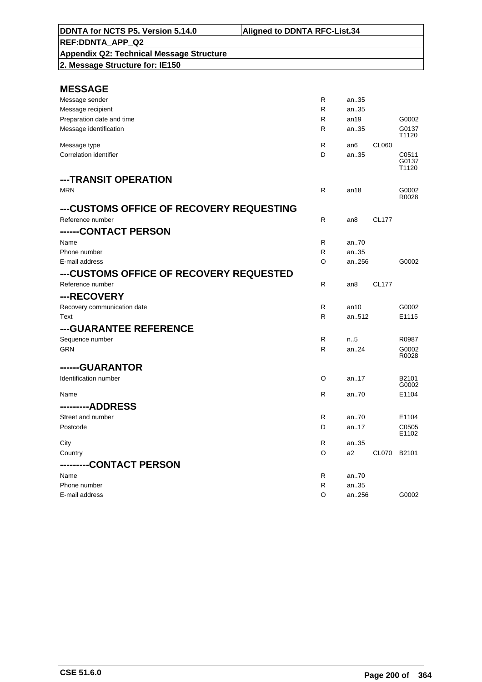| DDNTA for NCTS P5. Version 5.14.0 | Aligned to DDNTA RFC-List.34 |
|-----------------------------------|------------------------------|
|                                   |                              |

| <b>MESSAGE</b>                           |    |                 |              |                         |
|------------------------------------------|----|-----------------|--------------|-------------------------|
| Message sender                           | R  | an35            |              |                         |
| Message recipient                        | R  | an35            |              |                         |
| Preparation date and time                | R  | an19            |              | G0002                   |
| Message identification                   | R  | an35            |              | G0137<br>T1120          |
| Message type                             | R  | an <sub>6</sub> | <b>CL060</b> |                         |
| Correlation identifier                   | D  | an35            |              | C0511<br>G0137<br>T1120 |
| ---TRANSIT OPERATION                     |    |                 |              |                         |
| <b>MRN</b>                               | R  | an18            |              | G0002<br>R0028          |
| ---CUSTOMS OFFICE OF RECOVERY REQUESTING |    |                 |              |                         |
| Reference number                         | R  | an <sub>8</sub> | <b>CL177</b> |                         |
| ------CONTACT PERSON                     |    |                 |              |                         |
| Name                                     | R  | an70            |              |                         |
| Phone number                             | R  | an35            |              |                         |
| E-mail address                           | O  | an256           |              | G0002                   |
| ---CUSTOMS OFFICE OF RECOVERY REQUESTED  |    |                 |              |                         |
| Reference number                         | R  | an8             | <b>CL177</b> |                         |
| ---RECOVERY                              |    |                 |              |                         |
| Recovery communication date              | R  | an10            |              | G0002                   |
| Text                                     | R  | an512           |              | E1115                   |
| --- GUARANTEE REFERENCE                  |    |                 |              |                         |
| Sequence number                          | R  | n.5             |              | R0987                   |
| <b>GRN</b>                               | R  | an.24           |              | G0002<br>R0028          |
| ------GUARANTOR                          |    |                 |              |                         |
| Identification number                    | O  | an17            |              | B2101<br>G0002          |
| Name                                     | R  | an70            |              | E1104                   |
| ---------ADDRESS                         |    |                 |              |                         |
| Street and number                        | R. | an.70           |              | E1104                   |
| Postcode                                 | D  | an17            |              | C0505<br>E1102          |
| City                                     | R  | an35            |              |                         |
| Country                                  | O  | a <sub>2</sub>  | <b>CL070</b> | B2101                   |
| --------CONTACT PERSON                   |    |                 |              |                         |
| Name                                     | R  | an70            |              |                         |
| Phone number                             | R  | an35            |              |                         |
| E-mail address                           | O  | an256           |              | G0002                   |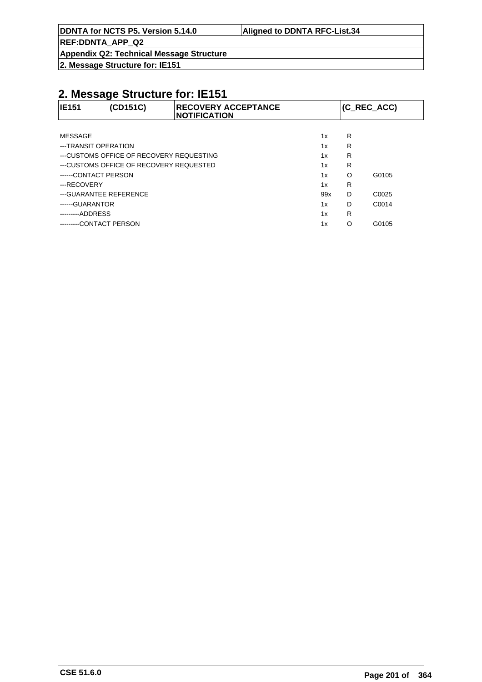**REF:DDNTA\_APP\_Q2**

**Appendix Q2: Technical Message Structure**

**2. Message Structure for: IE151**

| <b>IE151</b>                            | (CD151C) | <b>RECOVERY ACCEPTANCE</b><br><b>NOTIFICATION</b> |     |   | $(C$ <sub>_REC</sub> _ACC) |
|-----------------------------------------|----------|---------------------------------------------------|-----|---|----------------------------|
|                                         |          |                                                   |     |   |                            |
| MESSAGE                                 |          |                                                   | 1x  | R |                            |
| ---TRANSIT OPFRATION                    |          |                                                   | 1x  | R |                            |
| --CUSTOMS OFFICE OF RECOVERY REQUESTING |          |                                                   | 1x  | R |                            |
|                                         |          | --CUSTOMS OFFICE OF RECOVERY REQUESTED            | 1x  | R |                            |
| ------CONTACT PERSON                    |          |                                                   | 1x  | O | G0105                      |
| ---RECOVERY                             |          |                                                   | 1x  | R |                            |
| --- GUARANTEE REFERENCE                 |          |                                                   | 99x | D | C0025                      |
| ------GUARANTOR                         |          |                                                   | 1x  | D | C0014                      |
| ---------ADDRESS                        |          |                                                   | 1x  | R |                            |
| ---------CONTACT PERSON                 |          |                                                   | 1x  | O | G0105                      |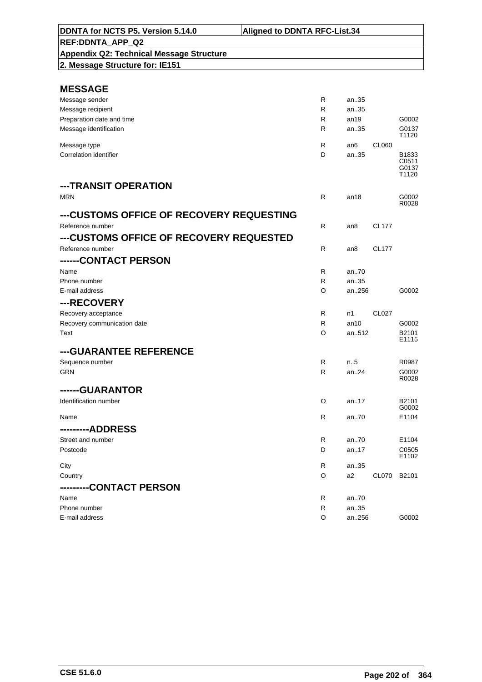| Aligned to DDNTA RFC-List.34 |
|------------------------------|
|                              |

**DDNTA for NCTS P5. Version 5.14.0** 

| <b>MESSAGE</b>                           |    |       |              |                                  |
|------------------------------------------|----|-------|--------------|----------------------------------|
| Message sender                           | R  | an35  |              |                                  |
| Message recipient                        | R. | an35  |              |                                  |
| Preparation date and time                | R  | an19  |              | G0002                            |
| Message identification                   | R  | an35  |              | G0137                            |
|                                          |    |       |              | T1120                            |
| Message type                             | R  | an6   | CL060        |                                  |
| Correlation identifier                   | D  | an35  |              | B1833<br>C0511<br>G0137<br>T1120 |
| ---TRANSIT OPERATION                     |    |       |              |                                  |
| <b>MRN</b>                               | R  | an18  |              | G0002<br>R0028                   |
| ---CUSTOMS OFFICE OF RECOVERY REQUESTING |    |       |              |                                  |
| Reference number                         | R. | an8   | <b>CL177</b> |                                  |
| ---CUSTOMS OFFICE OF RECOVERY REQUESTED  |    |       |              |                                  |
| Reference number                         | R  | an8   | <b>CL177</b> |                                  |
| ------CONTACT PERSON                     |    |       |              |                                  |
| Name                                     | R  | an.70 |              |                                  |
| Phone number                             | R  | an35  |              |                                  |
| E-mail address                           | O  | an256 |              | G0002                            |
| ---RECOVERY                              |    |       |              |                                  |
| Recovery acceptance                      | R. | n1    | <b>CL027</b> |                                  |
| Recovery communication date              | R  | an10  |              | G0002                            |
| Text                                     | O  | an512 |              | B2101                            |
| ---GUARANTEE REFERENCE                   |    |       |              | E1115                            |
| Sequence number                          | R. | n.5   |              | R0987                            |
| <b>GRN</b>                               | R  | an.24 |              | G0002                            |
|                                          |    |       |              | R0028                            |
| ------GUARANTOR                          |    |       |              |                                  |
| Identification number                    | O  | an.17 |              | B2101<br>G0002                   |
| Name                                     | R  | an70  |              | E1104                            |
| ---------ADDRESS                         |    |       |              |                                  |
| Street and number                        | R  | an70  |              | E1104                            |
| Postcode                                 | D  | an17  |              | C0505<br>E1102                   |
| City                                     | R  | an35  |              |                                  |
| Country                                  | O  | a2    | <b>CL070</b> | B2101                            |
| --------CONTACT PERSON                   |    |       |              |                                  |
| Name                                     | R  | an70  |              |                                  |
| Phone number                             | R  | an35  |              |                                  |
| E-mail address                           | O  | an256 |              | G0002                            |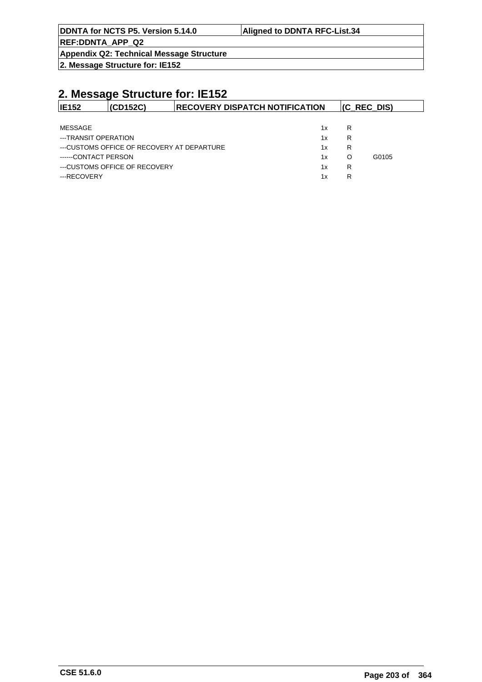|  |  | DDNTA for NCTS P5. Version 5.14.0 |  |
|--|--|-----------------------------------|--|
|  |  |                                   |  |

**Aligned to DDNTA RFC-List.34** 

**REF:DDNTA\_APP\_Q2**

**Appendix Q2: Technical Message Structure**

**2. Message Structure for: IE152**

| <b>IE152</b>               | (CD152C)                                   | <b>RECOVERY DISPATCH NOTIFICATION</b> |    |   | (IC REC DIS) |
|----------------------------|--------------------------------------------|---------------------------------------|----|---|--------------|
|                            |                                            |                                       |    |   |              |
| MESSAGE                    |                                            |                                       | 1x | R |              |
| ---TRANSIT OPERATION<br>1x |                                            |                                       |    |   |              |
|                            | ---CUSTOMS OFFICE OF RECOVERY AT DEPARTURE |                                       | 1x | R |              |
| ------CONTACT PERSON       |                                            |                                       | 1x | O | G0105        |
|                            | ---CUSTOMS OFFICE OF RECOVERY              |                                       | 1x | R |              |
| ---RECOVERY                |                                            |                                       | 1x | R |              |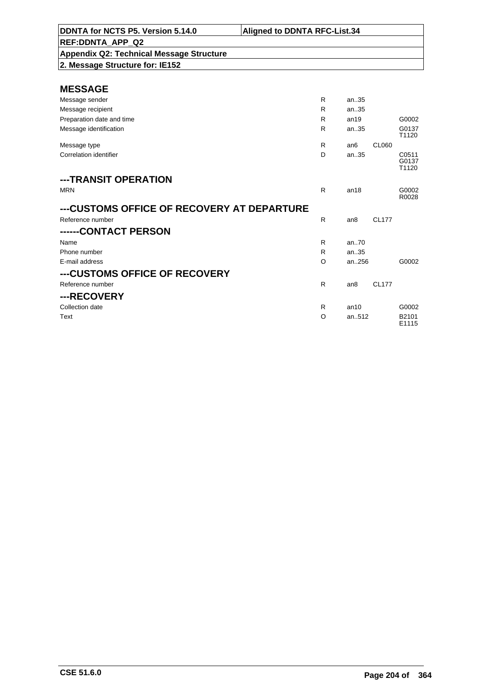| DDNTA for NCTS P5. Version 5.14.0 | Aligned to DDNTA RFC-List.34 |
|-----------------------------------|------------------------------|
|                                   |                              |

### **2. Message Structure for: IE152**

#### **MESSAGE**

| Message sender                             | R | an35            |              |                         |
|--------------------------------------------|---|-----------------|--------------|-------------------------|
| Message recipient                          | R | an35            |              |                         |
| Preparation date and time                  | R | an19            |              | G0002                   |
| Message identification                     | R | an35            |              | G0137<br>T1120          |
| Message type                               | R | an <sub>6</sub> | CL060        |                         |
| Correlation identifier                     | D | an35            |              | C0511<br>G0137<br>T1120 |
| ---TRANSIT OPERATION                       |   |                 |              |                         |
| <b>MRN</b>                                 | R | an18            |              | G0002<br>R0028          |
| ---CUSTOMS OFFICE OF RECOVERY AT DEPARTURE |   |                 |              |                         |
| Reference number                           | R | an8             | <b>CL177</b> |                         |
| ------CONTACT PERSON                       |   |                 |              |                         |
| Name                                       | R | an.70           |              |                         |
| Phone number                               | R | an.35           |              |                         |
| E-mail address                             | O | an256           |              | G0002                   |
| ---CUSTOMS OFFICE OF RECOVERY              |   |                 |              |                         |
| Reference number                           | R | an <sub>8</sub> | <b>CL177</b> |                         |
| ---RECOVERY                                |   |                 |              |                         |
| Collection date                            | R | an10            |              | G0002                   |
| Text                                       | O | an512           |              | B2101<br>E1115          |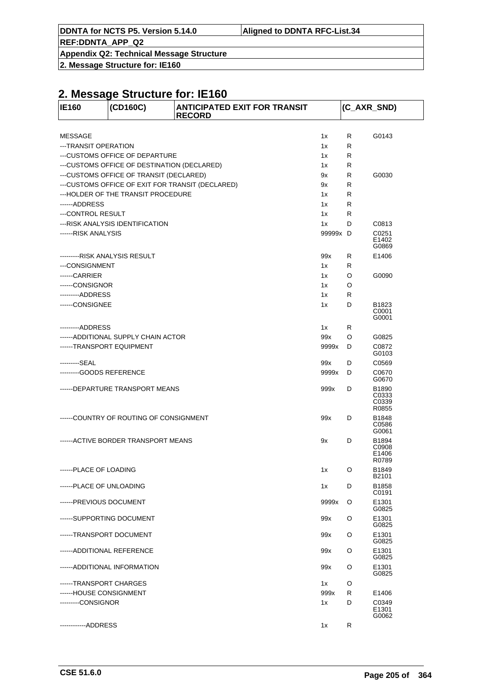**REF:DDNTA\_APP\_Q2**

**Appendix Q2: Technical Message Structure**

**2. Message Structure for: IE160**

| IE160                         | (CD160C)                                         | <b>ANTICIPATED EXIT FOR TRANSIT</b><br><b>RECORD</b> |          |   | (C_AXR_SND)                      |
|-------------------------------|--------------------------------------------------|------------------------------------------------------|----------|---|----------------------------------|
| <b>MESSAGE</b>                |                                                  |                                                      | 1x       | R | G0143                            |
| ---TRANSIT OPERATION          |                                                  |                                                      | 1x       | R |                                  |
|                               | ---CUSTOMS OFFICE OF DEPARTURE                   |                                                      | 1x       | R |                                  |
|                               | ---CUSTOMS OFFICE OF DESTINATION (DECLARED)      |                                                      | 1x       | R |                                  |
|                               | ---CUSTOMS OFFICE OF TRANSIT (DECLARED)          |                                                      | 9x       | R | G0030                            |
|                               | ---CUSTOMS OFFICE OF EXIT FOR TRANSIT (DECLARED) |                                                      | 9x       | R |                                  |
|                               | ---HOLDER OF THE TRANSIT PROCEDURE               |                                                      | 1x       | R |                                  |
| ------ADDRESS                 |                                                  |                                                      | 1x       | R |                                  |
| ---CONTROL RESULT             |                                                  |                                                      | 1x       | R |                                  |
|                               | ---RISK ANALYSIS IDENTIFICATION                  |                                                      | 1x       | D | C0813                            |
| ------RISK ANALYSIS           |                                                  |                                                      | 99999x D |   | C0251<br>E1402<br>G0869          |
| ---------RISK ANALYSIS RESULT |                                                  |                                                      | 99x      | R | E1406                            |
| ---CONSIGNMENT                |                                                  |                                                      | 1x       | R |                                  |
| ------CARRIER                 |                                                  |                                                      | 1x       | O | G0090                            |
| -----CONSIGNOR                |                                                  |                                                      | 1x       | O |                                  |
| ---------ADDRESS              |                                                  |                                                      | 1x       | R |                                  |
| ------CONSIGNEE               |                                                  |                                                      | 1x       | D | B1823<br>C0001<br>G0001          |
| ---------ADDRESS              |                                                  |                                                      | 1x       | R |                                  |
|                               | ------ ADDITIONAL SUPPLY CHAIN ACTOR             |                                                      | 99x      | O | G0825                            |
| ------TRANSPORT EQUIPMENT     |                                                  |                                                      | 9999x    | D | C0872<br>G0103                   |
| ---------SEAL                 |                                                  |                                                      | 99x      | D | C0569                            |
| ---------GOODS REFERENCE      |                                                  |                                                      | 9999x    | D | C0670<br>G0670                   |
|                               | ------DEPARTURE TRANSPORT MEANS                  |                                                      | 999x     | D | B1890<br>C0333<br>C0339<br>R0855 |
|                               | ------COUNTRY OF ROUTING OF CONSIGNMENT          |                                                      | 99x      | D | B1848<br>C0586<br>G0061          |
|                               | ------ ACTIVE BORDER TRANSPORT MEANS             |                                                      | 9x       | D | B1894<br>C0908<br>E1406<br>R0789 |
| ------ PLACE OF LOADING       |                                                  |                                                      | 1x       | O | B1849<br>B2101                   |
| ------PLACE OF UNLOADING      |                                                  |                                                      | 1x       | D | B1858<br>C0191                   |
| ------PREVIOUS DOCUMENT       |                                                  |                                                      | 9999x    | O | E1301<br>G0825                   |
| ------SUPPORTING DOCUMENT     |                                                  |                                                      | 99x      | O | E1301<br>G0825                   |
| ------TRANSPORT DOCUMENT      |                                                  |                                                      | 99x      | O | E1301<br>G0825                   |
| ------ ADDITIONAL REFERENCE   |                                                  |                                                      | 99x      | O | E1301<br>G0825                   |
|                               | ------ ADDITIONAL INFORMATION                    |                                                      | 99x      | O | E1301<br>G0825                   |
| ------TRANSPORT CHARGES       |                                                  |                                                      | 1x       | O |                                  |
| ------HOUSE CONSIGNMENT       |                                                  |                                                      | 999x     | R | E1406                            |
| ---------CONSIGNOR            |                                                  |                                                      | 1x       | D | C0349<br>E1301<br>G0062          |
| ------------ADDRESS           |                                                  |                                                      | 1x       | R |                                  |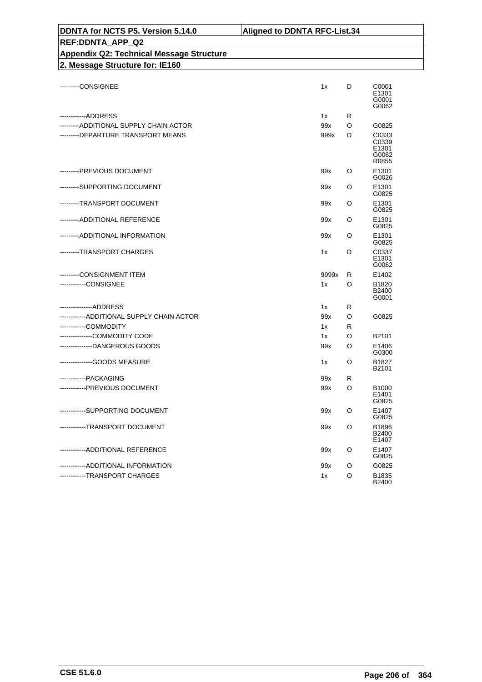#### **REF:DDNTA\_APP\_Q2 Appendix Q2: Technical Message Structure 2. Message Structure for: IE160**

| ---------CONSIGNEE                        | 1x    | D | C0001<br>E1301<br>G0001<br>G0062                       |
|-------------------------------------------|-------|---|--------------------------------------------------------|
| ------------ADDRESS                       | 1x    | R |                                                        |
| ---------ADDITIONAL SUPPLY CHAIN ACTOR    | 99x   | O | G0825                                                  |
| ---------DEPARTURE TRANSPORT MEANS        | 999x  | D | C <sub>0</sub> 333<br>C0339<br>E1301<br>G0062<br>R0855 |
| --------PREVIOUS DOCUMENT                 | 99x   | O | E1301<br>G0026                                         |
| --------SUPPORTING DOCUMENT               | 99x   | O | E1301<br>G0825                                         |
| ---------TRANSPORT DOCUMENT               | 99x   | O | E1301<br>G0825                                         |
| ---------ADDITIONAL REFERENCE             | 99x   | O | E1301<br>G0825                                         |
| ---------ADDITIONAL INFORMATION           | 99x   | O | E1301<br>G0825                                         |
| ---------TRANSPORT CHARGES                | 1x    | D | C0337<br>E1301<br>G0062                                |
| --------CONSIGNMENT ITEM                  | 9999x | R | E1402                                                  |
| ------------CONSIGNEE                     | 1x    | O | B1820<br>B2400<br>G0001                                |
| --------------ADDRESS                     | 1x    | R |                                                        |
| ------------ADDITIONAL SUPPLY CHAIN ACTOR | 99x   | O | G0825                                                  |
| -----------COMMODITY                      | 1x    | R |                                                        |
| ------------COMMODITY CODE                | 1x    | O | B <sub>2101</sub>                                      |
| -------------DANGEROUS GOODS              | 99x   | O | E1406<br>G0300                                         |
|                                           | 1x    | O | B1827<br>B2101                                         |
| ------------PACKAGING                     | 99x   | R |                                                        |
| ------------PREVIOUS DOCUMENT             | 99x   | O | B <sub>1000</sub><br>E1401<br>G0825                    |
| ----------SUPPORTING DOCUMENT             | 99x   | O | E1407<br>G0825                                         |
| ----------TRANSPORT DOCUMENT              | 99x   | O | B1896<br>B2400<br>E1407                                |
| -----------ADDITIONAL REFERENCE           | 99x   | O | E1407<br>G0825                                         |
| ------------ADDITIONAL INFORMATION        | 99x   | O | G0825                                                  |
| ------------TRANSPORT CHARGES             | 1x    | O | B1835<br>B2400                                         |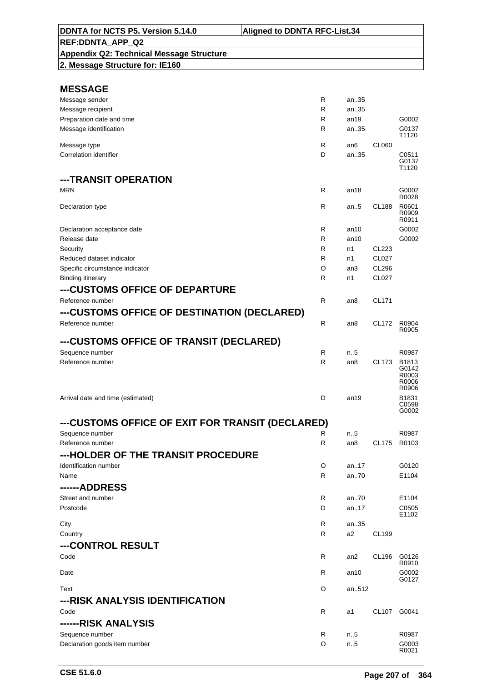| <b>Appendix Q2: Technical Message Structure</b>  |   |                 |                   |                |
|--------------------------------------------------|---|-----------------|-------------------|----------------|
| 2. Message Structure for: IE160                  |   |                 |                   |                |
|                                                  |   |                 |                   |                |
| <b>MESSAGE</b>                                   |   |                 |                   |                |
| Message sender                                   | R | an35            |                   |                |
| Message recipient                                | R | an35            |                   |                |
| Preparation date and time                        | R | an19            |                   | G0002          |
| Message identification                           | R | an35            |                   | G0137<br>T1120 |
| Message type                                     | R | an6             | CL <sub>060</sub> |                |
| Correlation identifier                           | D | an35            |                   | C0511          |
|                                                  |   |                 |                   | G0137          |
|                                                  |   |                 |                   | T1120          |
| ---TRANSIT OPERATION                             |   |                 |                   |                |
| <b>MRN</b>                                       | R | an18            |                   | G0002<br>R0028 |
| Declaration type                                 | R | an.5            | <b>CL188</b>      | R0601          |
|                                                  |   |                 |                   | R0909<br>R0911 |
| Declaration acceptance date                      | R | an10            |                   | G0002          |
| Release date                                     | R | an10            |                   | G0002          |
| Security                                         | R | n1              | CL223             |                |
| Reduced dataset indicator                        | R | n1              | CL027             |                |
| Specific circumstance indicator                  | O | an3             | CL296             |                |
| <b>Binding itinerary</b>                         | R | n1              | CL027             |                |
| ---CUSTOMS OFFICE OF DEPARTURE                   |   |                 |                   |                |
| Reference number                                 | R | an8             | CL171             |                |
| ---CUSTOMS OFFICE OF DESTINATION (DECLARED)      |   |                 |                   |                |
| Reference number                                 | R | an8             | <b>CL172</b>      | R0904          |
|                                                  |   |                 |                   | R0905          |
| ---CUSTOMS OFFICE OF TRANSIT (DECLARED)          |   |                 |                   |                |
| Sequence number                                  | R | n.5             |                   | R0987          |
| Reference number                                 | R | an8             | <b>CL173</b>      | B1813<br>G0142 |
|                                                  |   |                 |                   | R0003          |
|                                                  |   |                 |                   | R0006<br>R0906 |
| Arrival date and time (estimated)                | D | an19            |                   | B1831          |
|                                                  |   |                 |                   | C0598<br>G0002 |
| ---CUSTOMS OFFICE OF EXIT FOR TRANSIT (DECLARED) |   |                 |                   |                |
| Sequence number                                  | R | n.5             |                   | R0987          |
| Reference number                                 | R | an <sub>8</sub> | <b>CL175</b>      | R0103          |
| ---HOLDER OF THE TRANSIT PROCEDURE               |   |                 |                   |                |
| Identification number                            | O | an.17           |                   | G0120          |
| Name                                             | R | an70            |                   | E1104          |
| ------ADDRESS                                    |   |                 |                   |                |
| Street and number                                | R | an70            |                   | E1104          |
| Postcode                                         | D | an17            |                   | C0505          |
|                                                  |   |                 |                   | E1102          |
| City                                             | R | an35            |                   |                |
| Country                                          | R | a <sub>2</sub>  | CL199             |                |
| ---CONTROL RESULT                                |   |                 |                   |                |
| Code                                             | R | an2             | CL196             | G0126<br>R0910 |
| Date                                             | R | an10            |                   | G0002          |
|                                                  |   |                 |                   | G0127          |
| Text                                             | O | an512           |                   |                |
| ---RISK ANALYSIS IDENTIFICATION                  |   |                 |                   |                |
| Code                                             | R | a1              | CL107             | G0041          |
| ------RISK ANALYSIS                              |   |                 |                   |                |
| Sequence number                                  | R | n.5             |                   | R0987          |
| Declaration goods item number                    | O | n.5             |                   | G0003<br>R0021 |

**REF:DDNTA\_APP\_Q2**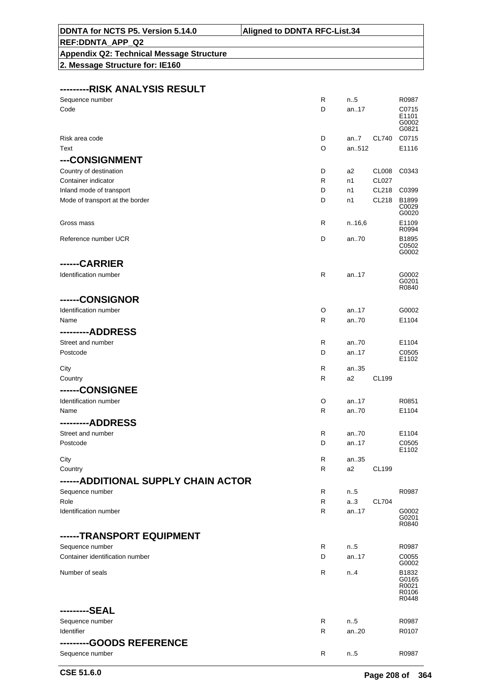| <b>CSE 51.6.0</b>             |        | Page 208 of      | 364            |
|-------------------------------|--------|------------------|----------------|
| Sequence number               | R      | $n_{.}5$         | R0987          |
| Sequence number<br>Identifier | R<br>R | $n_{.}5$<br>an20 | R0987<br>R0107 |
|                               |        |                  |                |

# E1101 G0002 G0821 **DDNTA for NCTS P5. Version 5.14.0 Aligned to DDNTA RFC-List.34 REF:DDNTA\_APP\_Q2 Appendix Q2: Technical Message Structure**

| ---------RISK ANALYSIS RESULT       |              |                |              |                                           |
|-------------------------------------|--------------|----------------|--------------|-------------------------------------------|
| Sequence number                     | $\mathsf{R}$ | n.5            |              | R0987                                     |
| Code                                | D            | an17           |              | C0715<br>E1101<br>G0002<br>G0821          |
| Risk area code                      | D            | an.7           | CL740        | C0715                                     |
| Text                                | O            | an512          |              | E1116                                     |
| ---CONSIGNMENT                      |              |                |              |                                           |
| Country of destination              | D            | a2             | CL008        | C0343                                     |
| Container indicator                 | R            | n1             | <b>CL027</b> |                                           |
| Inland mode of transport            | D            | n1             | CL218        | C0399                                     |
| Mode of transport at the border     | D            | n1             | CL218        | B1899<br>C0029<br>G0020                   |
| Gross mass                          | R            | n.16,6         |              | E1109<br>R0994                            |
| Reference number UCR                | D            | an70           |              | B1895<br>C0502<br>G0002                   |
| ------CARRIER                       |              |                |              |                                           |
| Identification number               | $\mathsf{R}$ | an17           |              | G0002<br>G0201<br>R0840                   |
| ------CONSIGNOR                     |              |                |              |                                           |
| Identification number               | O            | an17           |              | G0002                                     |
| Name<br>---------ADDRESS            | R            | an70           |              | E1104                                     |
| Street and number                   | R            | an70           |              | E1104                                     |
| Postcode                            | D            | an17           |              | C0505<br>E1102                            |
| City                                | R            | an35           |              |                                           |
| Country                             | R            | a <sub>2</sub> | CL199        |                                           |
| ------CONSIGNEE                     |              |                |              |                                           |
| Identification number               | O            | an17           |              | R0851                                     |
| Name                                | R            | an70           |              | E1104                                     |
| ---------ADDRESS                    |              |                |              |                                           |
| Street and number                   | R            | an70           |              | E1104                                     |
| Postcode                            | D            | an17           |              | C0505<br>E1102                            |
| City                                | R            | an35           |              |                                           |
| Country                             | $\mathsf{R}$ | a <sub>2</sub> | CL199        |                                           |
| ------ADDITIONAL SUPPLY CHAIN ACTOR |              |                |              |                                           |
| Sequence number                     | R            | n.5            |              | R0987                                     |
| Role                                | R            | a.3            | CL704        |                                           |
| Identification number               | R            | an17           |              | G0002<br>G0201<br>R0840                   |
| ------TRANSPORT EQUIPMENT           |              |                |              |                                           |
| Sequence number                     | R            | n.5            |              | R0987                                     |
| Container identification number     | D            | an17           |              | C0055<br>G0002                            |
| Number of seals                     | R            | n.4            |              | B1832<br>G0165<br>R0021<br>R0106<br>R0448 |
| ---------SEAL                       |              |                |              |                                           |
| Sequence number                     | R            | n.5            |              | R0987                                     |
| Identifier                          | R            | an20           |              | R0107                                     |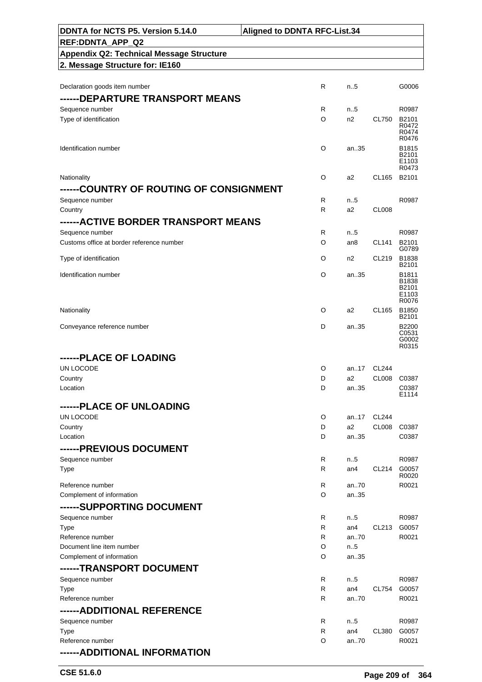| DDNTA for NCTS P5. Version 5.14.0                            | <b>Aligned to DDNTA RFC-List.34</b> |                         |                              |                                        |
|--------------------------------------------------------------|-------------------------------------|-------------------------|------------------------------|----------------------------------------|
| <b>REF:DDNTA APP Q2</b>                                      |                                     |                         |                              |                                        |
| <b>Appendix Q2: Technical Message Structure</b>              |                                     |                         |                              |                                        |
| 2. Message Structure for: IE160                              |                                     |                         |                              |                                        |
|                                                              |                                     |                         |                              |                                        |
| Declaration goods item number                                | R                                   | n.5                     |                              | G0006                                  |
| ------DEPARTURE TRANSPORT MEANS                              |                                     |                         |                              |                                        |
| Sequence number                                              | R                                   | n.5                     |                              | R0987                                  |
| Type of identification                                       | O                                   | n2                      | CL750                        | B2101                                  |
|                                                              |                                     |                         |                              | R0472<br>R0474                         |
|                                                              |                                     |                         |                              | R0476                                  |
| Identification number                                        | O                                   | an35                    |                              | B1815<br>B2101                         |
|                                                              |                                     |                         |                              | E1103                                  |
| Nationality                                                  | O                                   | a2                      | CL165                        | R0473<br>B2101                         |
| ------COUNTRY OF ROUTING OF CONSIGNMENT                      |                                     |                         |                              |                                        |
|                                                              |                                     |                         |                              |                                        |
| Sequence number<br>Country                                   | R<br>R                              | $n_{.}.5$<br>a2         | <b>CL008</b>                 | R0987                                  |
| ------ACTIVE BORDER TRANSPORT MEANS                          |                                     |                         |                              |                                        |
|                                                              |                                     |                         |                              |                                        |
| Sequence number<br>Customs office at border reference number | R<br>O                              | $n_{.}.5$<br>an8        | CL141                        | R0987<br>B2101                         |
|                                                              |                                     |                         |                              | G0789                                  |
| Type of identification                                       | O                                   | n <sub>2</sub>          | CL219                        | B1838<br>B2101                         |
| Identification number                                        | O                                   | an35                    |                              | B1811                                  |
|                                                              |                                     |                         |                              | B1838                                  |
|                                                              |                                     |                         |                              | B2101<br>E1103                         |
|                                                              |                                     |                         |                              | R0076                                  |
| Nationality                                                  | O                                   | a2                      | CL165                        | B <sub>1850</sub><br>B <sub>2101</sub> |
| Conveyance reference number                                  | D                                   | an35                    |                              | B2200                                  |
|                                                              |                                     |                         |                              | C0531<br>G0002                         |
|                                                              |                                     |                         |                              | R0315                                  |
| ------PLACE OF LOADING                                       |                                     |                         |                              |                                        |
| UN LOCODE                                                    | O                                   | an17                    | CL244                        |                                        |
| Country                                                      | D                                   | a2                      | <b>CL008</b>                 | C0387                                  |
| Location                                                     | D                                   | an35                    |                              | C0387<br>E1114                         |
|                                                              |                                     |                         |                              |                                        |
| ------PLACE OF UNLOADING                                     |                                     |                         |                              |                                        |
| UN LOCODE<br>Country                                         | O<br>D                              | an17<br>a2              | <b>CL244</b><br><b>CL008</b> | C0387                                  |
| Location                                                     | D                                   | an35                    |                              | C0387                                  |
| ------PREVIOUS DOCUMENT                                      |                                     |                         |                              |                                        |
| Sequence number                                              | R                                   | n.5                     |                              | R0987                                  |
| Type                                                         | R                                   | an4                     | CL214                        | G0057                                  |
|                                                              |                                     |                         |                              | R0020                                  |
| Reference number                                             | R                                   | an70                    |                              | R0021                                  |
| Complement of information                                    | O                                   | an35                    |                              |                                        |
| ------SUPPORTING DOCUMENT                                    |                                     |                         |                              |                                        |
| Sequence number                                              | R                                   | n.5                     |                              | R0987                                  |
| <b>Type</b>                                                  | R<br>R                              | an <sub>4</sub><br>an70 | CL213                        | G0057                                  |
| Reference number<br>Document line item number                | O                                   | n.5                     |                              | R0021                                  |
| Complement of information                                    | O                                   | an35                    |                              |                                        |
| ------TRANSPORT DOCUMENT                                     |                                     |                         |                              |                                        |
| Sequence number                                              | R                                   | $n_{.}.5$               |                              | R0987                                  |
| Type                                                         | R                                   | an <sub>4</sub>         | CL754                        | G0057                                  |
| Reference number                                             | R                                   | an.70                   |                              | R0021                                  |
| ------ADDITIONAL REFERENCE                                   |                                     |                         |                              |                                        |
| Sequence number                                              | R                                   | $n_{.}5$                |                              | R0987                                  |
| <b>Type</b>                                                  | R                                   | an4                     | CL380                        | G0057                                  |
| Reference number                                             | O                                   | an70                    |                              | R0021                                  |
| ------ADDITIONAL INFORMATION                                 |                                     |                         |                              |                                        |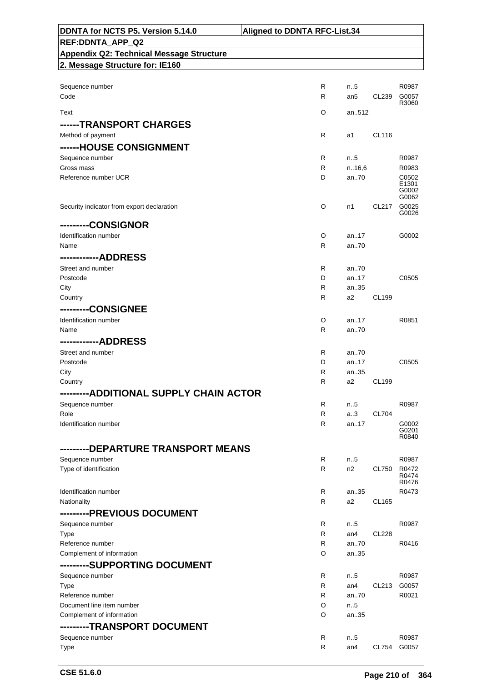| DDNTA for NCTS P5. Version 5.14.0               | <b>Aligned to DDNTA RFC-List.34</b> |               |              |                |
|-------------------------------------------------|-------------------------------------|---------------|--------------|----------------|
| <b>REF:DDNTA APP Q2</b>                         |                                     |               |              |                |
| <b>Appendix Q2: Technical Message Structure</b> |                                     |               |              |                |
| 2. Message Structure for: IE160                 |                                     |               |              |                |
|                                                 |                                     |               |              |                |
| Sequence number                                 | R                                   | n.5           |              | R0987          |
| Code                                            | R                                   | an5           | CL239        | G0057          |
|                                                 |                                     |               |              | R3060          |
| Text                                            | O                                   | an512         |              |                |
| ------TRANSPORT CHARGES                         |                                     |               |              |                |
| Method of payment                               | R                                   | a1            | CL116        |                |
| ------HOUSE CONSIGNMENT                         |                                     |               |              |                |
| Sequence number                                 | R                                   | n.5           |              | R0987          |
| Gross mass                                      | R                                   | n.16,6        |              | R0983          |
| Reference number UCR                            | D                                   | an70          |              | C0502          |
|                                                 |                                     |               |              | E1301<br>G0002 |
|                                                 |                                     |               |              | G0062          |
| Security indicator from export declaration      | O                                   | n1            | CL217        | G0025<br>G0026 |
|                                                 |                                     |               |              |                |
| --------CONSIGNOR                               |                                     |               |              |                |
| Identification number                           | O                                   | an. $.17$     |              | G0002          |
| Name                                            | R                                   | an.70         |              |                |
| -----------ADDRESS                              |                                     |               |              |                |
| Street and number                               | R                                   | an70          |              |                |
| Postcode                                        | D                                   | an17          |              | C0505          |
| City                                            | R                                   | an35          |              |                |
| Country                                         | R                                   | a2            | CL199        |                |
| ---------CONSIGNEE                              |                                     |               |              |                |
| Identification number                           | O                                   | an17          |              | R0851          |
| Name                                            | R                                   | an70          |              |                |
| ------------ADDRESS                             |                                     |               |              |                |
| Street and number                               | R                                   | an.70         |              |                |
| Postcode                                        | D                                   | an17          |              | C0505          |
| City                                            | R                                   | an35          |              |                |
| Country                                         | R                                   | a2            | CL199        |                |
| ---------ADDITIONAL SUPPLY CHAIN ACTOR          |                                     |               |              |                |
| Sequence number                                 | R                                   | $n_{.}.5$     |              | R0987          |
| Role                                            | R                                   | a.3           | <b>CL704</b> |                |
| Identification number                           | R                                   | an17          |              | G0002          |
|                                                 |                                     |               |              | G0201<br>R0840 |
| ---------DEPARTURE TRANSPORT MEANS              |                                     |               |              |                |
| Sequence number                                 | R                                   | n.5           |              | R0987          |
| Type of identification                          | $\mathsf{R}$                        | n2            | CL750        | R0472          |
|                                                 |                                     |               |              | R0474          |
| Identification number                           | R                                   | an35          |              | R0476<br>R0473 |
| Nationality                                     | $\mathsf{R}$                        | a2            | CL165        |                |
|                                                 |                                     |               |              |                |
| ---------PREVIOUS DOCUMENT                      |                                     |               |              |                |
| Sequence number                                 | R                                   | $n_{\cdot}.5$ |              | R0987          |
| <b>Type</b>                                     | R                                   | an4           | <b>CL228</b> |                |
| Reference number                                | R<br>O                              | an70          |              | R0416          |
| Complement of information                       |                                     | an35          |              |                |
| --------SUPPORTING DOCUMENT                     |                                     |               |              |                |
| Sequence number                                 | $\mathsf{R}$                        | n5            |              | R0987          |
| <b>Type</b>                                     | $\mathsf R$                         | an4           | CL213        | G0057          |
| Reference number<br>Document line item number   | $\mathsf R$<br>O                    | an70<br>n.5   |              | R0021          |
| Complement of information                       | O                                   | an35          |              |                |
|                                                 |                                     |               |              |                |
| --------TRANSPORT DOCUMENT                      |                                     |               |              |                |
| Sequence number                                 | $\mathsf{R}$                        | $n_{.}.5$     |              | R0987          |
| Type                                            | $\mathsf{R}$                        | an4           | CL754        | G0057          |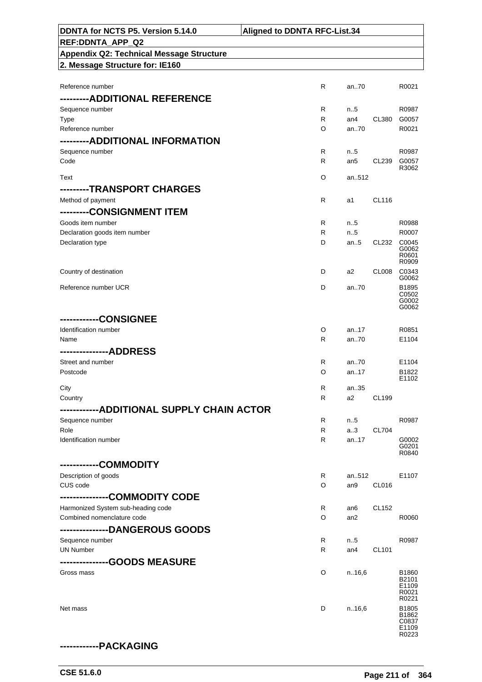| DDNTA for NCTS P5. Version 5.14.0               | <b>Aligned to DDNTA RFC-List.34</b> |                     |                |
|-------------------------------------------------|-------------------------------------|---------------------|----------------|
| <b>REF:DDNTA APP Q2</b>                         |                                     |                     |                |
| <b>Appendix Q2: Technical Message Structure</b> |                                     |                     |                |
| 2. Message Structure for: IE160                 |                                     |                     |                |
|                                                 |                                     |                     |                |
| Reference number                                | R                                   | an.70               | R0021          |
| --------ADDITIONAL REFERENCE                    |                                     |                     |                |
| Sequence number                                 | R                                   | n.5                 | R0987          |
| Type                                            | R                                   | CL380<br>an4        | G0057          |
| Reference number                                | O                                   | an70                | R0021          |
| ---------ADDITIONAL INFORMATION                 |                                     |                     |                |
| Sequence number                                 | R                                   | n.5                 | R0987          |
| Code                                            | R                                   | CL239<br>an5        | G0057<br>R3062 |
| Text                                            | O                                   | an512               |                |
| ---------TRANSPORT CHARGES                      |                                     |                     |                |
| Method of payment                               | R                                   | CL116<br>a1         |                |
| ---------CONSIGNMENT ITEM                       |                                     |                     |                |
| Goods item number                               | R                                   | $n_{.}.5$           | R0988          |
| Declaration goods item number                   | R                                   | n.5                 | R0007          |
| Declaration type                                | D                                   | CL232<br>an5        | C0045          |
|                                                 |                                     |                     | G0062<br>R0601 |
|                                                 |                                     |                     | R0909          |
| Country of destination                          | D                                   | a2<br><b>CL008</b>  | C0343          |
| Reference number UCR                            | D                                   | an70                | G0062<br>B1895 |
|                                                 |                                     |                     | C0502          |
|                                                 |                                     |                     | G0002<br>G0062 |
| -----------CONSIGNEE                            |                                     |                     |                |
| Identification number                           | O                                   | an.17               | R0851          |
| Name                                            | R                                   | an70                | E1104          |
| ---------------ADDRESS                          |                                     |                     |                |
| Street and number                               | R                                   | an70                | E1104          |
| Postcode                                        | O                                   | an17                | B1822          |
|                                                 |                                     |                     | E1102          |
| City<br>Country                                 | R<br>R                              | an35<br>a2<br>CL199 |                |
| ------------ADDITIONAL SUPPLY CHAIN ACTOR       |                                     |                     |                |
| Sequence number                                 | R                                   | n.5                 | R0987          |
| Role                                            | R                                   | a.3<br>CL704        |                |
| Identification number                           | R                                   | an17                | G0002          |
|                                                 |                                     |                     | G0201<br>R0840 |
|                                                 |                                     |                     |                |
| -----------COMMODITY<br>Description of goods    | R                                   | an512               | E1107          |
| CUS code                                        | O                                   | an9<br>CL016        |                |
|                                                 |                                     |                     |                |
| Harmonized System sub-heading code              | R                                   | CL152<br>an6        |                |
| Combined nomenclature code                      | O                                   | an2                 | R0060          |
|                                                 |                                     |                     |                |
| Sequence number                                 | R                                   | n5                  | R0987          |
| <b>UN Number</b>                                | R                                   | CL101<br>an4        |                |
|                                                 |                                     |                     |                |
| Gross mass                                      | O                                   | n.16,6              | B1860          |
|                                                 |                                     |                     | B2101          |
|                                                 |                                     |                     | E1109<br>R0021 |
|                                                 |                                     |                     | R0221          |
| Net mass                                        | D                                   | n.16,6              | B1805<br>B1862 |
|                                                 |                                     |                     | C0837<br>E1109 |
|                                                 |                                     |                     | R0223          |

#### **------------PACKAGING**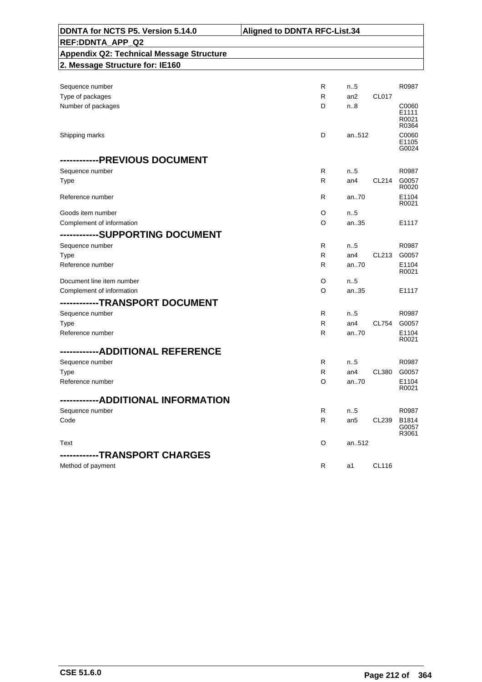| DDNTA for NCTS P5. Version 5.14.0               | <b>Aligned to DDNTA RFC-List.34</b> |              |                         |
|-------------------------------------------------|-------------------------------------|--------------|-------------------------|
| REF:DDNTA_APP_Q2                                |                                     |              |                         |
| <b>Appendix Q2: Technical Message Structure</b> |                                     |              |                         |
| 2. Message Structure for: IE160                 |                                     |              |                         |
|                                                 |                                     |              |                         |
| Sequence number                                 | R<br>$n_{.}.5$                      |              | R0987                   |
| Type of packages                                | $\mathsf{R}$<br>an2                 | CL017        |                         |
| Number of packages                              | D<br>n.8                            |              | C0060<br>E1111          |
|                                                 |                                     |              | R0021                   |
|                                                 |                                     |              | R0364                   |
| Shipping marks                                  | D<br>an512                          |              | C0060<br>E1105          |
|                                                 |                                     |              | G0024                   |
| -----------PREVIOUS DOCUMENT                    |                                     |              |                         |
| Sequence number                                 | $\mathsf{R}$<br>$n_{.}.5$           |              | R0987                   |
| <b>Type</b>                                     | $\mathsf{R}$<br>an4                 | CL214        | G0057<br>R0020          |
| Reference number                                | R<br>an70                           |              | E1104                   |
|                                                 |                                     |              | R0021                   |
| Goods item number                               | n.5<br>O                            |              |                         |
| Complement of information                       | O<br>an35                           |              | E1117                   |
| ----------SUPPORTING DOCUMENT                   |                                     |              |                         |
| Sequence number                                 | R<br>$n_{.}.5$                      |              | R0987                   |
| <b>Type</b><br>Reference number                 | R<br>an4<br>R<br>an70               | CL213        | G0057<br>E1104          |
|                                                 |                                     |              | R0021                   |
| Document line item number                       | O<br>n.5                            |              |                         |
| Complement of information                       | O<br>an35                           |              | E1117                   |
|                                                 |                                     |              |                         |
| Sequence number                                 | R<br>n5                             |              | R0987                   |
| Type                                            | R<br>an4                            | CL754        | G0057                   |
| Reference number                                | R<br>an70                           |              | E1104<br>R0021          |
| -----------ADDITIONAL REFERENCE                 |                                     |              |                         |
| Sequence number                                 | R<br>n5                             |              | R0987                   |
| Type                                            | R<br>an4                            | CL380        | G0057                   |
| Reference number                                | O<br>an70                           |              | E1104                   |
|                                                 |                                     |              | R0021                   |
| ------------ADDITIONAL INFORMATION              |                                     |              |                         |
| Sequence number                                 | R<br>n.5                            |              | R0987                   |
| Code                                            | $\mathsf{R}$<br>an5                 | CL239        | B1814<br>G0057<br>R3061 |
| Text                                            | O<br>an512                          |              |                         |
|                                                 |                                     |              |                         |
| Method of payment                               | R<br>a1                             | <b>CL116</b> |                         |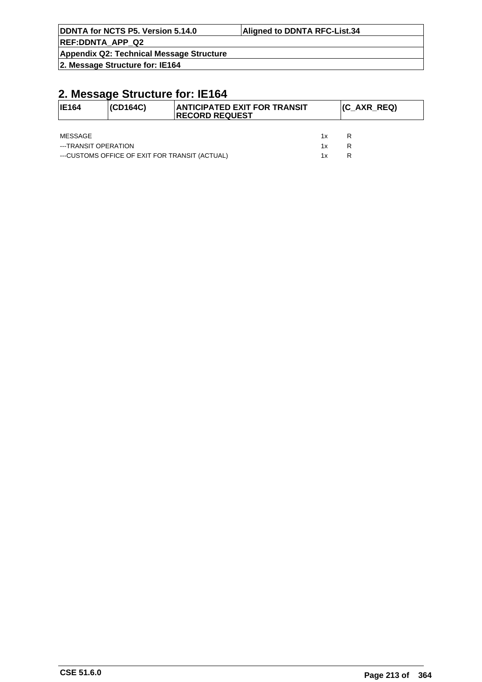**REF:DDNTA\_APP\_Q2**

**Appendix Q2: Technical Message Structure**

**2. Message Structure for: IE164**

| <b>IE164</b>         | $ $ (CD164C)                                   | <b>ANTICIPATED EXIT FOR TRANSIT</b><br><b>IRECORD REQUEST</b> |    | $ $ (C_AXR_REQ) |
|----------------------|------------------------------------------------|---------------------------------------------------------------|----|-----------------|
|                      |                                                |                                                               |    |                 |
| MESSAGE              |                                                |                                                               | 1x | R               |
| ---TRANSIT OPERATION |                                                |                                                               | 1x | R               |
|                      | ---CUSTOMS OFFICE OF EXIT FOR TRANSIT (ACTUAL) |                                                               | 1x | R               |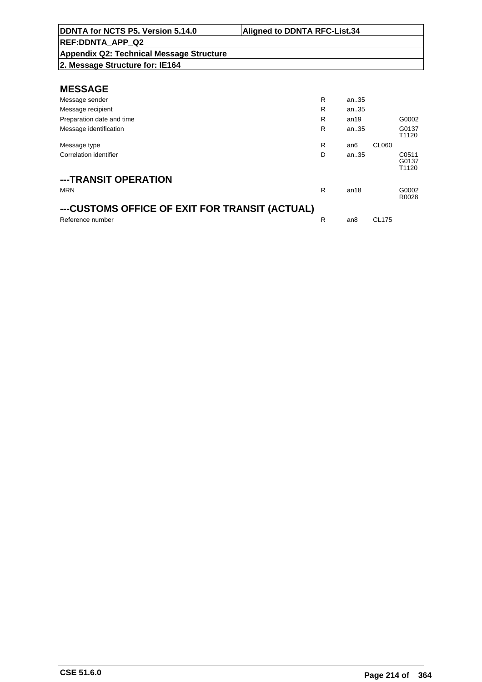| DDNTA for NCTS P5. Version 5.14.0<br><b>Aligned to DDNTA RFC-List.34</b> |  |   |                 |              |                         |  |
|--------------------------------------------------------------------------|--|---|-----------------|--------------|-------------------------|--|
|                                                                          |  |   |                 |              |                         |  |
| <b>REF:DDNTA APP Q2</b>                                                  |  |   |                 |              |                         |  |
| <b>Appendix Q2: Technical Message Structure</b>                          |  |   |                 |              |                         |  |
| 2. Message Structure for: IE164                                          |  |   |                 |              |                         |  |
|                                                                          |  |   |                 |              |                         |  |
| <b>MESSAGE</b>                                                           |  |   |                 |              |                         |  |
| Message sender                                                           |  | R | an.35           |              |                         |  |
| Message recipient                                                        |  | R | an.35           |              |                         |  |
| Preparation date and time                                                |  | R | an19            |              | G0002                   |  |
| Message identification                                                   |  | R | an35            |              | G0137<br>T1120          |  |
| Message type                                                             |  | R | an6             | <b>CL060</b> |                         |  |
| Correlation identifier                                                   |  | D | an.35           |              | C0511<br>G0137<br>T1120 |  |
| ---TRANSIT OPERATION                                                     |  |   |                 |              |                         |  |
| <b>MRN</b>                                                               |  | R | an18            |              | G0002<br>R0028          |  |
| ---CUSTOMS OFFICE OF EXIT FOR TRANSIT (ACTUAL)                           |  |   |                 |              |                         |  |
| Reference number                                                         |  | R | an <sub>8</sub> | CL175        |                         |  |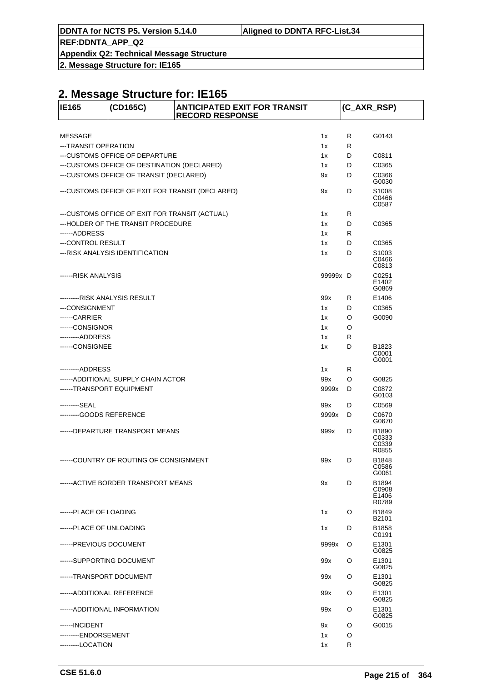**REF:DDNTA\_APP\_Q2**

**Appendix Q2: Technical Message Structure**

**2. Message Structure for: IE165**

| IE165                               | (CD165C)                                         | <b>ANTICIPATED EXIT FOR TRANSIT</b><br><b>RECORD RESPONSE</b> |          | (C_AXR_RSP) |                                     |
|-------------------------------------|--------------------------------------------------|---------------------------------------------------------------|----------|-------------|-------------------------------------|
| <b>MESSAGE</b>                      |                                                  |                                                               | 1x       | R           | G0143                               |
| ---TRANSIT OPERATION                |                                                  |                                                               | 1x       | R           |                                     |
|                                     | ---CUSTOMS OFFICE OF DEPARTURE                   |                                                               | 1x       | D           | C0811                               |
|                                     | ---CUSTOMS OFFICE OF DESTINATION (DECLARED)      |                                                               | 1x       | D           | C0365                               |
|                                     | ---CUSTOMS OFFICE OF TRANSIT (DECLARED)          |                                                               | 9x       | D           | C0366<br>G0030                      |
|                                     | ---CUSTOMS OFFICE OF EXIT FOR TRANSIT (DECLARED) |                                                               | 9x       | D           | S <sub>1008</sub><br>C0466<br>C0587 |
|                                     | ---CUSTOMS OFFICE OF EXIT FOR TRANSIT (ACTUAL)   |                                                               | 1x       | R           |                                     |
|                                     | ---HOLDER OF THE TRANSIT PROCEDURE               |                                                               | 1x       | D           | C0365                               |
| ------ADDRESS                       |                                                  |                                                               | 1x       | R           |                                     |
| ---CONTROL RESULT                   |                                                  |                                                               | 1x       | D           | C0365                               |
|                                     | --- RISK ANALYSIS IDENTIFICATION                 |                                                               | 1x       | D           | S <sub>1003</sub><br>C0466<br>C0813 |
| ------RISK ANALYSIS                 |                                                  |                                                               | 99999x D |             | C0251<br>E1402<br>G0869             |
|                                     | ---------RISK ANALYSIS RESULT                    |                                                               | 99x      | R           | E1406                               |
| ---CONSIGNMENT                      |                                                  |                                                               | 1x       | D           | C0365                               |
| ------CARRIER                       |                                                  |                                                               | 1x       | O           | G0090                               |
| ------CONSIGNOR                     |                                                  |                                                               | 1x       | O           |                                     |
| ---------ADDRESS<br>------CONSIGNEE |                                                  |                                                               | 1x<br>1x | R<br>D      | B1823                               |
|                                     |                                                  |                                                               |          |             | C0001<br>G0001                      |
| ---------ADDRESS                    |                                                  |                                                               | 1x       | R           |                                     |
|                                     | ------ ADDITIONAL SUPPLY CHAIN ACTOR             |                                                               | 99x      | O           | G0825                               |
| ------TRANSPORT EQUIPMENT           |                                                  |                                                               | 9999x    | D           | C0872<br>G0103                      |
| ---------SEAL                       |                                                  |                                                               | 99x      | D           | C0569                               |
| --------GOODS REFERENCE             |                                                  |                                                               | 9999x    | D           | C0670<br>G0670                      |
|                                     | ------DEPARTURE TRANSPORT MEANS                  |                                                               | 999x     | D           | B1890<br>C0333<br>C0339<br>R0855    |
|                                     | ------COUNTRY OF ROUTING OF CONSIGNMENT          |                                                               | 99x      | D           | B1848<br>C0586<br>G0061             |
|                                     | ------ ACTIVE BORDER TRANSPORT MEANS             |                                                               | 9x       | D           | B1894                               |
|                                     |                                                  |                                                               |          |             | C0908<br>E1406<br>R0789             |
| ------PLACE OF LOADING              |                                                  |                                                               | 1x       | O           | B1849<br>B2101                      |
| ------PLACE OF UNLOADING            |                                                  |                                                               | 1x       | D           | B1858<br>C0191                      |
| ------PREVIOUS DOCUMENT             |                                                  |                                                               | 9999x    | O           | E1301<br>G0825                      |
| ------SUPPORTING DOCUMENT           |                                                  |                                                               | 99x      | O           | E1301<br>G0825                      |
| ------TRANSPORT DOCUMENT            |                                                  |                                                               | 99x      | O           | E1301<br>G0825                      |
| ------ADDITIONAL REFERENCE          |                                                  |                                                               | 99x      | O           | E1301<br>G0825                      |
|                                     | ------ADDITIONAL INFORMATION                     |                                                               | 99x      | O           | E1301<br>G0825                      |
| ------INCIDENT                      |                                                  |                                                               | 9x       | O           | G0015                               |
| ---------ENDORSEMENT                |                                                  |                                                               | 1x       | O           |                                     |
| ---------LOCATION                   |                                                  |                                                               | 1x       | R           |                                     |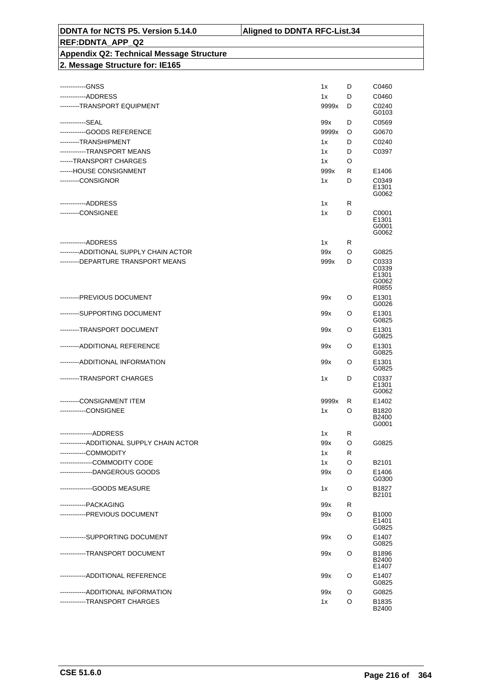#### **REF:DDNTA\_APP\_Q2 Appendix Q2: Technical Message Structure 2. Message Structure for: IE165**

| ------------GNSS                          | 1x    | D | C0460                                     |
|-------------------------------------------|-------|---|-------------------------------------------|
| ------------ADDRESS                       | 1x    | D | C0460                                     |
| ---------TRANSPORT EQUIPMENT              | 9999x | D | C0240<br>G0103                            |
| ------------SEAL                          | 99x   | D | C0569                                     |
| -----------GOODS REFERENCE                | 9999x | O | G0670                                     |
| --------TRANSHIPMENT                      | 1x    | D | C0240                                     |
| ------------TRANSPORT MEANS               | 1x    | D | C0397                                     |
| ------TRANSPORT CHARGES                   | 1x    | O |                                           |
| ------HOUSE CONSIGNMENT                   | 999x  | R | E1406                                     |
| --------CONSIGNOR                         | 1x    | D | C0349<br>E1301<br>G0062                   |
| ------------ADDRESS                       | 1x    | R |                                           |
| ---------CONSIGNEE                        | 1x    | D | C0001<br>E1301<br>G0001<br>G0062          |
| ------------ADDRESS                       | 1x    | R |                                           |
| ---------ADDITIONAL SUPPLY CHAIN ACTOR    | 99x   | O | G0825                                     |
| ---------DEPARTURE TRANSPORT MEANS        | 999x  | D | C0333<br>C0339<br>E1301<br>G0062<br>R0855 |
| --------PREVIOUS DOCUMENT                 | 99x   | O | E1301<br>G0026                            |
| --------SUPPORTING DOCUMENT               | 99x   | O | E1301<br>G0825                            |
| ---------TRANSPORT DOCUMENT               | 99x   | O | E1301<br>G0825                            |
| ---------ADDITIONAL REFERENCE             | 99x   | O | E1301<br>G0825                            |
| ---------ADDITIONAL INFORMATION           | 99x   | O | E1301<br>G0825                            |
| ---------TRANSPORT CHARGES                | 1x    | D | C0337<br>E1301<br>G0062                   |
| --------CONSIGNMENT ITEM                  | 9999x | R | E1402                                     |
| ------------CONSIGNEE                     | 1x    | O | B1820<br>B2400<br>G0001                   |
| ---------------ADDRESS                    | 1x    | R |                                           |
| ------------ADDITIONAL SUPPLY CHAIN ACTOR | 99x   | O | G0825                                     |
| -----------COMMODITY                      | 1x    | R |                                           |
| --------------COMMODITY CODE              | 1x    | O | B2101                                     |
| ---------------DANGEROUS GOODS            | 99x   | O | E1406<br>G0300                            |
| ---------------GOODS MEASURE              | 1x    | O | B1827<br>B2101                            |
| ------------PACKAGING                     | 99x   | R |                                           |
| ------------PREVIOUS DOCUMENT             | 99x   | O | B <sub>1000</sub><br>E1401<br>G0825       |
| -----------SUPPORTING DOCUMENT            | 99x   | O | E1407<br>G0825                            |
| ------------TRANSPORT DOCUMENT            | 99x   | O | B1896<br>B2400<br>E1407                   |
| ------------ADDITIONAL REFERENCE          | 99x   | O | E1407<br>G0825                            |
| ------------ADDITIONAL INFORMATION        | 99x   | O | G0825                                     |
| ------------TRANSPORT CHARGES             | 1x    | O | B1835<br>B2400                            |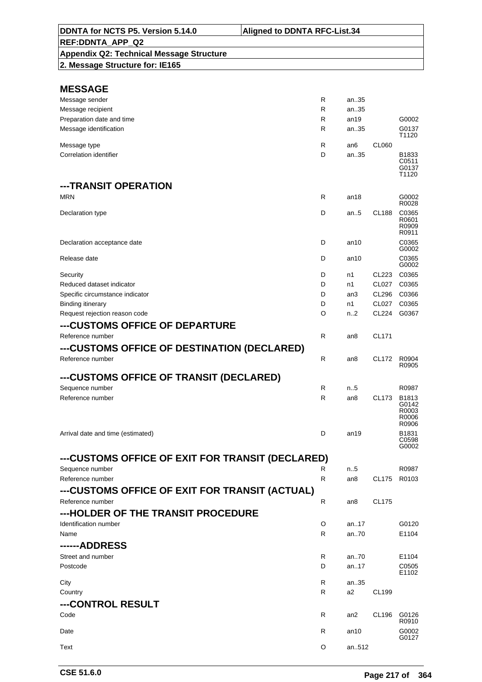| DDNTA for NCTS P5. Version 5.14.0                   | <b>Aligned to DDNTA RFC-List.34</b> |                 |              |                |
|-----------------------------------------------------|-------------------------------------|-----------------|--------------|----------------|
| <b>REF:DDNTA APP Q2</b>                             |                                     |                 |              |                |
| <b>Appendix Q2: Technical Message Structure</b>     |                                     |                 |              |                |
| 2. Message Structure for: IE165                     |                                     |                 |              |                |
|                                                     |                                     |                 |              |                |
| <b>MESSAGE</b>                                      |                                     |                 |              |                |
| Message sender                                      | R                                   | an35            |              |                |
| Message recipient                                   | R                                   | an35            |              |                |
| Preparation date and time<br>Message identification | R<br>R                              | an19<br>an35    |              | G0002<br>G0137 |
|                                                     |                                     |                 |              | T1120          |
| Message type                                        | R                                   | an <sub>6</sub> | CL060        |                |
| Correlation identifier                              | D                                   | an35            |              | B1833          |
|                                                     |                                     |                 |              | C0511<br>G0137 |
|                                                     |                                     |                 |              | T1120          |
| ---TRANSIT OPERATION                                |                                     |                 |              |                |
| <b>MRN</b>                                          | R                                   | an18            |              | G0002<br>R0028 |
| Declaration type                                    | D                                   | an.5            | <b>CL188</b> | C0365          |
|                                                     |                                     |                 |              | R0601<br>R0909 |
|                                                     |                                     |                 |              | R0911          |
| Declaration acceptance date                         | D                                   | an10            |              | C0365<br>G0002 |
| Release date                                        | D                                   | an10            |              | C0365          |
|                                                     |                                     |                 |              | G0002          |
| Security                                            | D                                   | n1              | CL223        | C0365          |
| Reduced dataset indicator                           | D                                   | n1              | CL027        | C0365          |
| Specific circumstance indicator                     | D                                   | an3             | CL296        | C0366          |
| <b>Binding itinerary</b>                            | D                                   | n1              | CL027        | C0365          |
| Request rejection reason code                       | O                                   | n <sub>2</sub>  | <b>CL224</b> | G0367          |
| ---CUSTOMS OFFICE OF DEPARTURE                      |                                     |                 |              |                |
| Reference number                                    | R                                   | an8             | CL171        |                |
| ---CUSTOMS OFFICE OF DESTINATION (DECLARED)         |                                     |                 |              |                |
| Reference number                                    | R                                   | an8             | <b>CL172</b> | R0904<br>R0905 |
|                                                     |                                     |                 |              |                |
| ---CUSTOMS OFFICE OF TRANSIT (DECLARED)             | R                                   | n5              |              | R0987          |
| Sequence number<br>Reference number                 | R                                   | an8             | CL173        | B1813          |
|                                                     |                                     |                 |              | G0142          |
|                                                     |                                     |                 |              | R0003<br>R0006 |
|                                                     |                                     |                 |              | R0906          |
| Arrival date and time (estimated)                   | D                                   | an19            |              | B1831<br>C0598 |
|                                                     |                                     |                 |              | G0002          |
| ---CUSTOMS OFFICE OF EXIT FOR TRANSIT (DECLARED)    |                                     |                 |              |                |
| Sequence number                                     | R                                   | n.5             |              | R0987          |
| Reference number                                    | R                                   | an8             | CL175        | R0103          |
| ---CUSTOMS OFFICE OF EXIT FOR TRANSIT (ACTUAL)      |                                     |                 |              |                |
| Reference number                                    | R                                   | an8             | CL175        |                |
| ---HOLDER OF THE TRANSIT PROCEDURE                  |                                     |                 |              |                |
| Identification number                               | O                                   | an17            |              | G0120          |
| Name                                                | R                                   | an70            |              | E1104          |
| ------ADDRESS                                       |                                     |                 |              |                |
| Street and number                                   | R                                   | an.70           |              | E1104          |
| Postcode                                            | D                                   | an. $.17$       |              | C0505          |
|                                                     | R                                   |                 |              | E1102          |
| City<br>Country                                     | R                                   | an35<br>a2      | CL199        |                |
| ---CONTROL RESULT                                   |                                     |                 |              |                |
| Code                                                | R                                   | an2             | CL196        | G0126          |
|                                                     |                                     |                 |              | R0910          |
| Date                                                | R                                   | an10            |              | G0002          |
|                                                     |                                     |                 |              | G0127          |

Text Communication Communication Communication Communication Communication Communication Communication Communication Communication Communication Communication Communication Communication Communication Communication Communi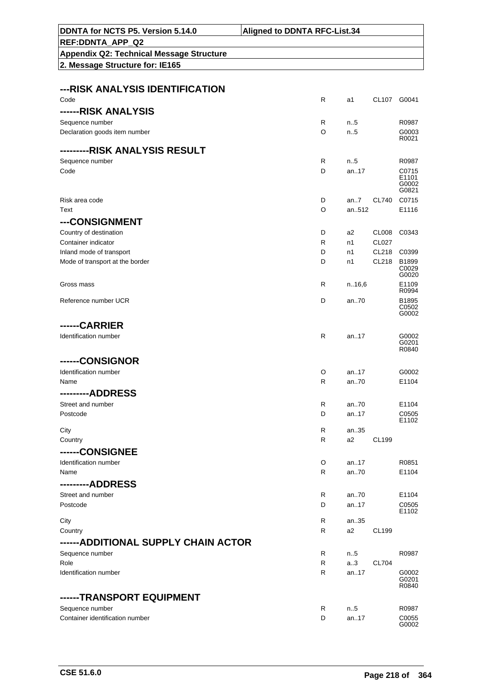| DDNTA for NCTS P5. Version 5.14.0                  | <b>Aligned to DDNTA RFC-List.34</b> |              |                |
|----------------------------------------------------|-------------------------------------|--------------|----------------|
| REF:DDNTA_APP_Q2                                   |                                     |              |                |
| <b>Appendix Q2: Technical Message Structure</b>    |                                     |              |                |
| 2. Message Structure for: IE165                    |                                     |              |                |
|                                                    |                                     |              |                |
| ---RISK ANALYSIS IDENTIFICATION                    |                                     |              |                |
| Code                                               | $\mathsf{R}$<br>a1                  | CL107        | G0041          |
| ------RISK ANALYSIS                                |                                     |              |                |
| Sequence number                                    | R<br>n.5                            |              | R0987          |
| Declaration goods item number                      | O<br>n.5                            |              | G0003          |
|                                                    |                                     |              | R0021          |
| ---------RISK ANALYSIS RESULT                      |                                     |              |                |
| Sequence number                                    | R<br>n <sub>0.5</sub>               |              | R0987          |
| Code                                               | D<br>an.17                          |              | C0715<br>E1101 |
|                                                    |                                     |              | G0002          |
|                                                    |                                     |              | G0821          |
| Risk area code<br>Text                             | D<br>an.7<br>an512<br>O             | <b>CL740</b> | C0715<br>E1116 |
| ---CONSIGNMENT                                     |                                     |              |                |
| Country of destination                             | D<br>a2                             | <b>CL008</b> | C0343          |
| Container indicator                                | R<br>n1                             | <b>CL027</b> |                |
| Inland mode of transport                           | D<br>n1                             | CL218        | C0399          |
| Mode of transport at the border                    | D<br>n1                             | CL218        | B1899          |
|                                                    |                                     |              | C0029<br>G0020 |
| Gross mass                                         | $\mathsf{R}$<br>n.16,6              |              | E1109          |
|                                                    |                                     |              | R0994          |
| Reference number UCR                               | D<br>an70                           |              | B1895<br>C0502 |
|                                                    |                                     |              | G0002          |
| ------CARRIER                                      |                                     |              |                |
| Identification number                              | $\mathsf{R}$<br>an17                |              | G0002<br>G0201 |
|                                                    |                                     |              | R0840          |
| ------CONSIGNOR                                    |                                     |              |                |
| Identification number                              | O<br>an.17                          |              | G0002          |
| Name                                               | R<br>an70                           |              | E1104          |
| ---------ADDRESS                                   |                                     |              |                |
| Street and number                                  | R<br>an.70                          |              | E1104          |
| Postcode                                           | D<br>an17                           |              | C0505          |
| City                                               | R<br>an35                           |              | E1102          |
| Country                                            | $\mathsf{R}$<br>a2                  | <b>CL199</b> |                |
| ------CONSIGNEE                                    |                                     |              |                |
| Identification number                              | O<br>an17                           |              | R0851          |
| Name                                               | an70<br>R                           |              | E1104          |
| ---------ADDRESS                                   |                                     |              |                |
| Street and number                                  | R<br>an70                           |              | E1104          |
| Postcode                                           | D<br>an17                           |              | C0505          |
|                                                    |                                     |              | E1102          |
| City<br>Country                                    | R<br>an35<br>R<br>a2                | CL199        |                |
|                                                    |                                     |              |                |
| ------ADDITIONAL SUPPLY CHAIN ACTOR                |                                     |              |                |
| Sequence number<br>Role                            | R<br>n.5<br>R<br>a.3                | CL704        | R0987          |
| Identification number                              | $\mathsf{R}$<br>an17                |              | G0002          |
|                                                    |                                     |              | G0201          |
|                                                    |                                     |              | R0840          |
| ------TRANSPORT EQUIPMENT                          |                                     |              |                |
| Sequence number<br>Container identification number | R<br>n.5<br>D<br>an17               |              | R0987<br>C0055 |
|                                                    |                                     |              | G0002          |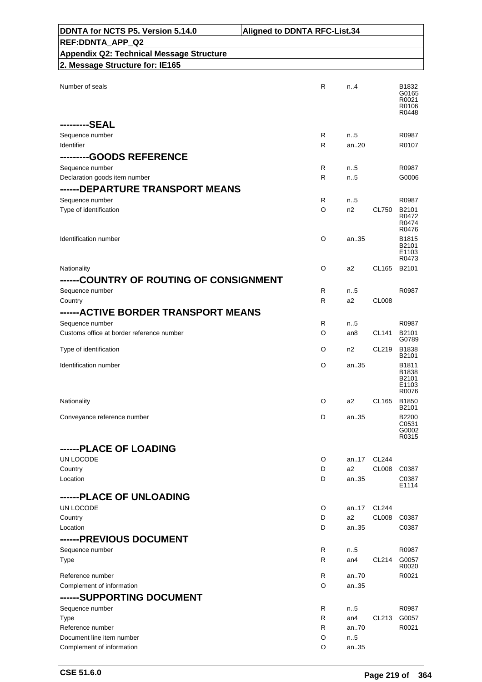| DDNTA for NCTS P5. Version 5.14.0                      | <b>Aligned to DDNTA RFC-List.34</b> |            |                       |                                           |
|--------------------------------------------------------|-------------------------------------|------------|-----------------------|-------------------------------------------|
| <b>REF:DDNTA APP Q2</b>                                |                                     |            |                       |                                           |
| <b>Appendix Q2: Technical Message Structure</b>        |                                     |            |                       |                                           |
| 2. Message Structure for: IE165                        |                                     |            |                       |                                           |
|                                                        |                                     |            |                       |                                           |
| Number of seals                                        | R.                                  | n4         |                       | B1832<br>G0165<br>R0021<br>R0106<br>R0448 |
| ---------SEAL                                          |                                     |            |                       |                                           |
| Sequence number                                        | R                                   | n.5        |                       | R0987                                     |
| Identifier                                             | R.                                  | an20       |                       | R0107                                     |
|                                                        |                                     |            |                       |                                           |
| Sequence number                                        | R.                                  | n5         |                       | R0987                                     |
| Declaration goods item number                          | R.                                  | n.5        |                       | G0006                                     |
| ------DEPARTURE TRANSPORT MEANS                        |                                     |            |                       |                                           |
| Sequence number                                        | R.                                  | n.5        |                       | R0987                                     |
| Type of identification                                 | O                                   | n2         | CL750                 | B2101<br>R0472<br>R0474<br>R0476          |
| Identification number                                  | O                                   | an35       |                       | B1815<br>B <sub>2101</sub><br>E1103       |
| Nationality                                            | O                                   | a2         | CL165                 | R0473<br>B2101                            |
| ------COUNTRY OF ROUTING OF CONSIGNMENT                |                                     |            |                       |                                           |
| Sequence number                                        | R                                   | n5         |                       | R0987                                     |
| Country                                                | R                                   | a2         | CL008                 |                                           |
| ------ACTIVE BORDER TRANSPORT MEANS                    |                                     |            |                       |                                           |
| Sequence number                                        | R.                                  | n5         |                       | R0987                                     |
| Customs office at border reference number              | O                                   | an8        | CL141                 | B2101                                     |
| Type of identification                                 | O                                   | n2         | CL219                 | G0789<br>B1838<br>B <sub>2101</sub>       |
| Identification number                                  | O                                   | an35       |                       | B1811<br>B1838<br>B2101<br>E1103          |
| Nationality                                            | O                                   | a2         | CL165                 | R0076<br>B1850<br>B2101                   |
| Conveyance reference number                            | D                                   | an35       |                       | B2200<br>C0531<br>G0002<br>R0315          |
| ------PLACE OF LOADING                                 |                                     |            |                       |                                           |
| UN LOCODE                                              | O                                   | an17       | <b>CL244</b>          |                                           |
| Country                                                | D                                   | a2         | CL008                 | C0387                                     |
| Location                                               | D                                   | an35       |                       | C0387<br>E1114                            |
| ------PLACE OF UNLOADING                               |                                     |            |                       |                                           |
| UN LOCODE<br>Country                                   | O<br>D                              | an17<br>a2 | <b>CL244</b><br>CL008 | C0387                                     |
| Location                                               | D                                   | an35       |                       | C0387                                     |
| ------PREVIOUS DOCUMENT                                |                                     |            |                       |                                           |
| Sequence number                                        | R                                   | n.5        |                       | R0987                                     |
| <b>Type</b>                                            | R                                   | an4        | CL214                 | G0057<br>R0020                            |
| Reference number                                       | R                                   | an70       |                       | R0021                                     |
| Complement of information<br>------SUPPORTING DOCUMENT | O                                   | an35       |                       |                                           |
| Sequence number                                        | R                                   | n.5        |                       | R0987                                     |
| Type                                                   | R                                   | an4        | CL213                 | G0057                                     |
| Reference number                                       | R                                   | an70       |                       | R0021                                     |
| Document line item number                              | O                                   | n.5        |                       |                                           |
| Complement of information                              | O                                   | an35       |                       |                                           |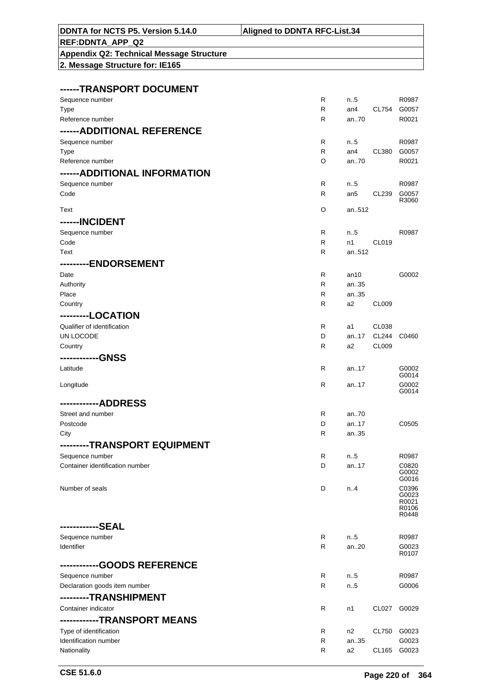| <b>Appendix Q2: Technical Message Structure</b> |              |                 |              |                |
|-------------------------------------------------|--------------|-----------------|--------------|----------------|
| 2. Message Structure for: IE165                 |              |                 |              |                |
|                                                 |              |                 |              |                |
| ------TRANSPORT DOCUMENT                        |              |                 |              |                |
| Sequence number                                 | $\mathsf{R}$ | $n_{.}.5$       |              | R0987          |
| <b>Type</b>                                     | $\mathsf{R}$ | an4             | CL754        | G0057          |
| Reference number                                | $\mathsf{R}$ | an70            |              | R0021          |
| ------ADDITIONAL REFERENCE                      |              |                 |              |                |
| Sequence number                                 | R            | n.5             |              | R0987          |
| <b>Type</b>                                     | R            | an <sub>4</sub> | CL380        | G0057          |
| Reference number                                | O            | an70            |              | R0021          |
| ------ADDITIONAL INFORMATION                    |              |                 |              |                |
| Sequence number                                 | R            | $n_{.}.5$       |              | R0987          |
| Code                                            | $\mathsf{R}$ | an <sub>5</sub> | CL239        | G0057          |
|                                                 |              |                 |              | R3060          |
| Text                                            | O            | an512           |              |                |
| ------INCIDENT                                  |              |                 |              |                |
| Sequence number                                 | R            | $n_{.}.5$       |              | R0987          |
| Code                                            | $\mathsf{R}$ | n1              | CL019        |                |
| Text                                            | R            | an512           |              |                |
| --------ENDORSEMENT                             |              |                 |              |                |
| Date                                            | $\mathsf{R}$ | an10            |              | G0002          |
| Authority                                       | $\mathsf{R}$ | an35            |              |                |
| Place                                           | $\mathsf{R}$ | an35            |              |                |
| Country                                         | $\mathsf{R}$ | a <sub>2</sub>  | CL009        |                |
| ---------LOCATION                               |              |                 |              |                |
| Qualifier of identification                     | R            | a1              | CL038        |                |
| UN LOCODE                                       | D            | an17            | <b>CL244</b> | C0460          |
| Country                                         | R            | a2              | <b>CL009</b> |                |
| -----------GNSS                                 |              |                 |              |                |
|                                                 |              |                 |              |                |
| Latitude                                        | R            | an.17           |              | G0002<br>G0014 |
| Longitude                                       | R            | an17            |              | G0002          |
|                                                 |              |                 |              | G0014          |
| ------------ADDRESS                             |              |                 |              |                |
| Street and number                               | R            | an70            |              |                |
| Postcode                                        | D            | an17            |              | C0505          |
| City                                            | R            | an35            |              |                |
| ---------TRANSPORT EQUIPMENT                    |              |                 |              |                |
| Sequence number                                 | R            | n.5             |              | R0987          |
| Container identification number                 | D            | an17            |              | C0820          |
|                                                 |              |                 |              | G0002<br>G0016 |
| Number of seals                                 | D            | n.4             |              | C0396          |
|                                                 |              |                 |              | G0023<br>R0021 |
|                                                 |              |                 |              | R0106          |
|                                                 |              |                 |              | R0448          |
| ------------SEAL                                |              |                 |              |                |
| Sequence number                                 | R            | $n_{.}.5$       |              | R0987          |
| Identifier                                      | $\mathsf{R}$ | an20            |              | G0023          |
|                                                 |              |                 |              | R0107          |
|                                                 |              |                 |              |                |
| Sequence number                                 | R            | $n_{.}.5$       |              | R0987          |
| Declaration goods item number                   | $\mathsf{R}$ | n5              |              | G0006          |
| ---------TRANSHIPMENT                           |              |                 |              |                |
| Container indicator                             | $\mathsf{R}$ | n1              | CL027        | G0029          |
|                                                 |              |                 |              |                |
| Type of identification                          | R            | n2              | CL750        | G0023          |
| Identification number                           | R            | an35            |              | G0023          |
| Nationality                                     | R            | a2              | CL165        | G0023          |
|                                                 |              |                 |              |                |

**REF:DDNTA\_APP\_Q2**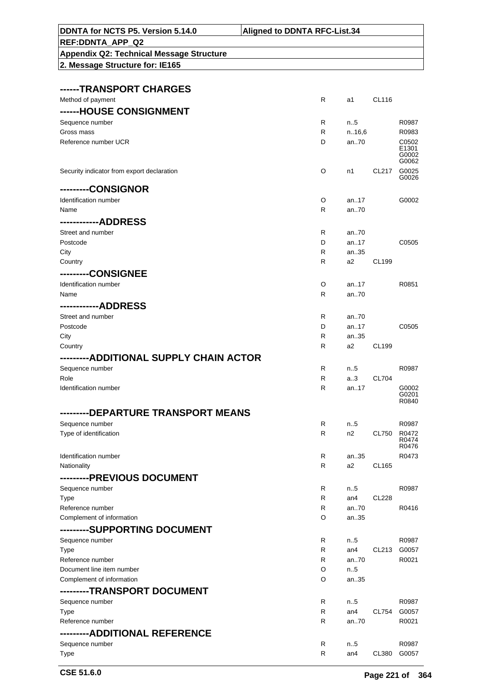| DDNTA for NCTS P5. Version 5.14.0               | <b>Aligned to DDNTA RFC-List.34</b> |                  |              |                |
|-------------------------------------------------|-------------------------------------|------------------|--------------|----------------|
| REF:DDNTA_APP_Q2                                |                                     |                  |              |                |
| <b>Appendix Q2: Technical Message Structure</b> |                                     |                  |              |                |
| 2. Message Structure for: IE165                 |                                     |                  |              |                |
|                                                 |                                     |                  |              |                |
| ------TRANSPORT CHARGES                         |                                     |                  |              |                |
| Method of payment                               | R                                   | a1               | CL116        |                |
|                                                 |                                     |                  |              |                |
| ------HOUSE CONSIGNMENT                         |                                     |                  |              |                |
| Sequence number<br>Gross mass                   | R<br>R                              | n.5<br>n.16,6    |              | R0987<br>R0983 |
| Reference number UCR                            | D                                   | an70             |              | C0502          |
|                                                 |                                     |                  |              | E1301<br>G0002 |
|                                                 |                                     |                  |              | G0062          |
| Security indicator from export declaration      | O                                   | n1               | CL217        | G0025          |
|                                                 |                                     |                  |              | G0026          |
| ---------CONSIGNOR                              |                                     |                  |              |                |
| Identification number<br>Name                   | O<br>R                              | an.17            |              | G0002          |
|                                                 |                                     | an70             |              |                |
| ------------ADDRESS                             |                                     |                  |              |                |
| Street and number<br>Postcode                   | R<br>D                              | an.70<br>an.17   |              | C0505          |
| City                                            | R                                   | an35             |              |                |
| Country                                         | R                                   | a2               | CL199        |                |
| ---------CONSIGNEE                              |                                     |                  |              |                |
| Identification number                           | O                                   | an. $.17$        |              | R0851          |
| Name                                            | R                                   | an70             |              |                |
| ------------ADDRESS                             |                                     |                  |              |                |
| Street and number                               | R                                   | an70             |              |                |
| Postcode                                        | D                                   | an17             |              | C0505          |
| City                                            | R                                   | an35             |              |                |
| Country                                         | R                                   | a2               | CL199        |                |
| --------ADDITIONAL SUPPLY CHAIN ACTOR           |                                     |                  |              |                |
| Sequence number                                 | R                                   | n.5              |              | R0987          |
| Role                                            | R                                   | a <sub>0</sub> 3 | CL704        |                |
| Identification number                           | R                                   | an.17            |              | G0002<br>G0201 |
|                                                 |                                     |                  |              | R0840          |
| ---------DEPARTURE TRANSPORT MEANS              |                                     |                  |              |                |
| Sequence number                                 | R                                   | n.5              |              | R0987          |
| Type of identification                          | R                                   | n2               | CL750        | R0472          |
|                                                 |                                     |                  |              | R0474<br>R0476 |
| Identification number                           | R                                   | an35             |              | R0473          |
| Nationality                                     | R                                   | a2               | CL165        |                |
| ---------PREVIOUS DOCUMENT                      |                                     |                  |              |                |
| Sequence number                                 | R                                   | n.5              |              | R0987          |
| <b>Type</b>                                     | R                                   | an4              | <b>CL228</b> |                |
| Reference number                                | R                                   | an70             |              | R0416          |
| Complement of information                       | O                                   | an35             |              |                |
| --------SUPPORTING DOCUMENT                     |                                     |                  |              |                |
| Sequence number                                 | R                                   | n.5              |              | R0987          |
| <b>Type</b><br>Reference number                 | R<br>R                              | an4<br>an70      | CL213        | G0057<br>R0021 |
| Document line item number                       | O                                   | n.5              |              |                |
| Complement of information                       | O                                   | an35             |              |                |
| ---------TRANSPORT DOCUMENT                     |                                     |                  |              |                |
| Sequence number                                 | R                                   | n.5              |              | R0987          |
| <b>Type</b>                                     | R                                   | an <sub>4</sub>  | CL754        | G0057          |
| Reference number                                | R                                   | an70             |              | R0021          |
| ---------ADDITIONAL REFERENCE                   |                                     |                  |              |                |
| Sequence number                                 | R                                   | n.5              |              | R0987          |
| <b>Type</b>                                     | R                                   | an4              | <b>CL380</b> | G0057          |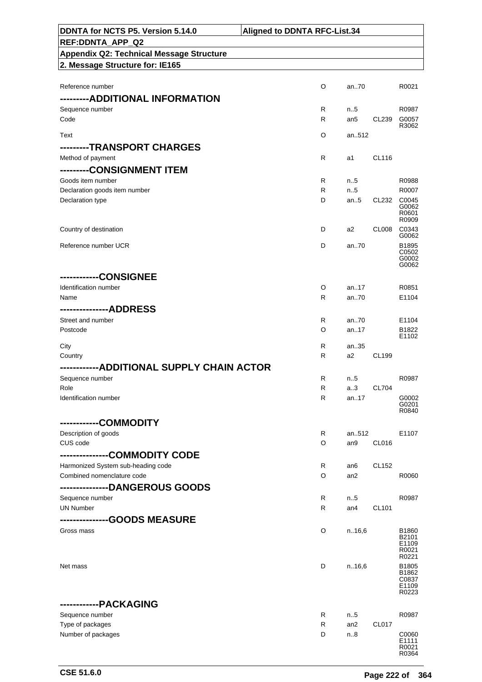| DDNTA for NCTS P5. Version 5.14.0               | <b>Aligned to DDNTA RFC-List.34</b> |                                           |
|-------------------------------------------------|-------------------------------------|-------------------------------------------|
| REF:DDNTA_APP_Q2                                |                                     |                                           |
| <b>Appendix Q2: Technical Message Structure</b> |                                     |                                           |
| 2. Message Structure for: IE165                 |                                     |                                           |
|                                                 |                                     |                                           |
| Reference number                                | O                                   | an70<br>R0021                             |
|                                                 |                                     |                                           |
| --------ADDITIONAL INFORMATION                  |                                     |                                           |
| Sequence number                                 | R                                   | n.5<br>R0987                              |
| Code                                            | R                                   | CL239<br>G0057<br>an5<br>R3062            |
| Text                                            | O                                   | an512                                     |
| ---------TRANSPORT CHARGES                      |                                     |                                           |
| Method of payment                               | R                                   | CL116<br>a1                               |
|                                                 |                                     |                                           |
| ---------CONSIGNMENT ITEM                       |                                     |                                           |
| Goods item number                               | R                                   | n <sub>0.5</sub><br>R0988                 |
| Declaration goods item number                   | R                                   | n.5<br>R0007                              |
| Declaration type                                | D                                   | CL232 C0045<br>an $.5$<br>G0062           |
|                                                 |                                     | R0601                                     |
|                                                 |                                     | R0909                                     |
| Country of destination                          | D                                   | a2<br>CL <sub>008</sub><br>C0343<br>G0062 |
| Reference number UCR                            | D                                   | an.70<br>B1895                            |
|                                                 |                                     | C0502<br>G0002                            |
|                                                 |                                     | G0062                                     |
| ----------CONSIGNEE                             |                                     |                                           |
| Identification number                           | O                                   | an17<br>R0851                             |
| Name                                            | R                                   | an70<br>E1104                             |
|                                                 |                                     |                                           |
| ---------------ADDRESS                          |                                     |                                           |
| Street and number                               | R                                   | an.70<br>E1104                            |
| Postcode                                        | O                                   | an17<br>B1822<br>E1102                    |
| City                                            | R                                   | an35                                      |
| Country                                         | R                                   | a2<br>CL199                               |
| -----------ADDITIONAL SUPPLY CHAIN ACTOR        |                                     |                                           |
| Sequence number                                 | R                                   | R0987<br>$n_{.}5$                         |
| Role                                            | R                                   | a.3<br>CL704                              |
| Identification number                           | R                                   | an.17<br>G0002                            |
|                                                 |                                     | G0201                                     |
|                                                 |                                     | R0840                                     |
| -----------COMMODITY                            |                                     |                                           |
| Description of goods                            | R                                   | an512<br>E1107                            |
| CUS code                                        | O                                   | an9<br>CL016                              |
|                                                 |                                     |                                           |
| Harmonized System sub-heading code              | R                                   | CL152<br>an6                              |
| Combined nomenclature code                      | O                                   | R0060<br>an2                              |
|                                                 |                                     |                                           |
| Sequence number                                 | R                                   | R0987<br>$n_{\cdot}.5$                    |
| <b>UN Number</b>                                | R                                   | CL101<br>an4                              |
|                                                 |                                     |                                           |
| -------------GOODS MEASURE                      |                                     |                                           |
| Gross mass                                      | O                                   | n.16,6<br>B1860<br>B2101                  |
|                                                 |                                     | E1109                                     |
|                                                 |                                     | R0021<br>R0221                            |
| Net mass                                        | D                                   | n.16,6<br>B1805                           |
|                                                 |                                     | B1862                                     |
|                                                 |                                     | C0837<br>E1109                            |
|                                                 |                                     | R0223                                     |
| ------------PACKAGING                           |                                     |                                           |
| Sequence number                                 | R                                   | R0987<br>$n_{\cdot}.5$                    |
| Type of packages                                | R                                   | CL017<br>an2                              |
| Number of packages                              | D                                   | n.8<br>C0060                              |
|                                                 |                                     | E1111<br>R0021                            |
|                                                 |                                     | R0364                                     |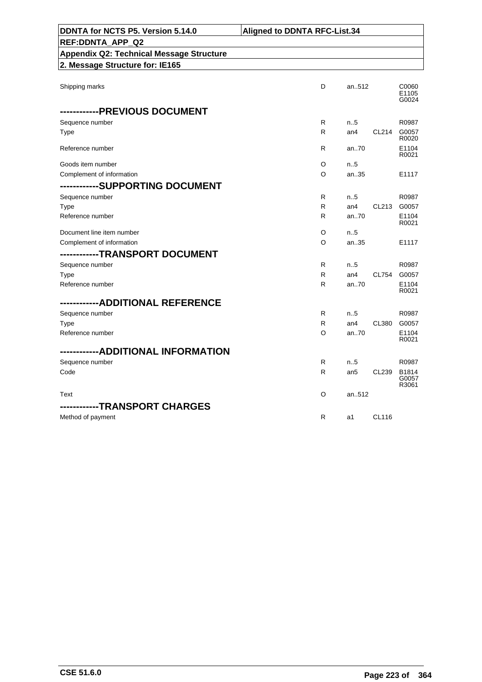| DDNTA for NCTS P5. Version 5.14.0<br><b>Aligned to DDNTA RFC-List.34</b> |                       |              |                         |
|--------------------------------------------------------------------------|-----------------------|--------------|-------------------------|
| <b>REF:DDNTA APP Q2</b>                                                  |                       |              |                         |
| <b>Appendix Q2: Technical Message Structure</b>                          |                       |              |                         |
| 2. Message Structure for: IE165                                          |                       |              |                         |
| Shipping marks                                                           | D<br>an512            |              | C0060                   |
|                                                                          |                       |              | E1105<br>G0024          |
| -----------PREVIOUS DOCUMENT                                             |                       |              |                         |
| Sequence number                                                          | R.<br>n.5             |              | R0987                   |
| <b>Type</b>                                                              | R.<br>an4             | CL214        | G0057<br>R0020          |
| Reference number                                                         | R<br>an70             |              | E1104<br>R0021          |
| Goods item number                                                        | O<br>n.5              |              |                         |
| Complement of information                                                | O<br>an35             |              | E1117                   |
| -----------SUPPORTING DOCUMENT                                           |                       |              |                         |
| Sequence number                                                          | R<br>n.5              |              | R0987                   |
| Type                                                                     | R.<br>an <sub>4</sub> | CL213        | G0057                   |
| Reference number                                                         | R.<br>an.70           |              | E1104<br>R0021          |
| Document line item number                                                | O<br>n.5              |              |                         |
| Complement of information                                                | O<br>an.35            |              | E1117                   |
| ----------TRANSPORT DOCUMENT                                             |                       |              |                         |
| Sequence number                                                          | R.<br>n.5             |              | R0987                   |
| Type                                                                     | R.<br>an <sub>4</sub> | CL754        | G0057                   |
| Reference number                                                         | R<br>an70             |              | E1104<br>R0021          |
| -----------ADDITIONAL REFERENCE                                          |                       |              |                         |
| Sequence number                                                          | R<br>n.5              |              | R0987                   |
| Type                                                                     | R<br>an <sub>4</sub>  | <b>CL380</b> | G0057                   |
| Reference number                                                         | O<br>an.70            |              | E1104<br>R0021          |
| -----------ADDITIONAL INFORMATION                                        |                       |              |                         |
| Sequence number                                                          | R<br>n.5              |              | R0987                   |
| Code                                                                     | R.<br>an <sub>5</sub> | CL239        | B1814<br>G0057<br>R3061 |
| Text                                                                     | O<br>an512            |              |                         |
| ----------TRANSPORT CHARGES                                              |                       |              |                         |
| Method of payment                                                        | R.<br>a1              | CL116        |                         |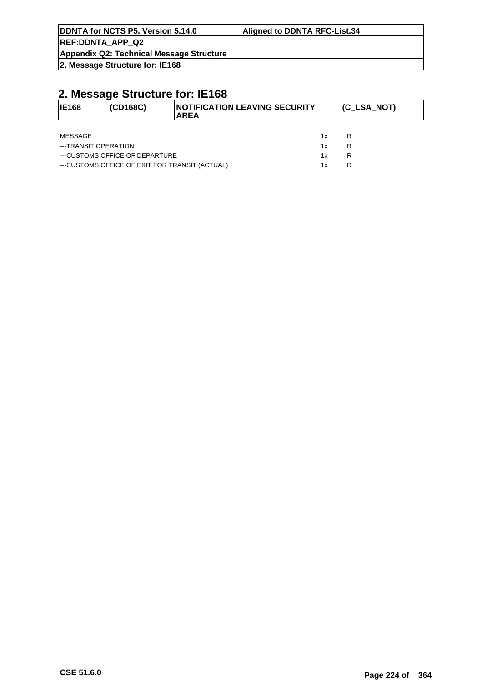**REF:DDNTA\_APP\_Q2**

**Appendix Q2: Technical Message Structure**

**2. Message Structure for: IE168**

| <b>IE168</b>         | (CD168C)                      | <b>INOTIFICATION LEAVING SECURITY</b><br><b>AREA</b> |    | (C_LSA_NOT) |
|----------------------|-------------------------------|------------------------------------------------------|----|-------------|
|                      |                               |                                                      |    |             |
| MESSAGE              |                               |                                                      | 1x | R           |
| ---TRANSIT OPERATION |                               |                                                      | 1x | R           |
|                      | --CUSTOMS OFFICE OF DEPARTURE |                                                      | 1x | R           |
|                      |                               | ---CUSTOMS OFFICE OF EXIT FOR TRANSIT (ACTUAL)       | 1x | R           |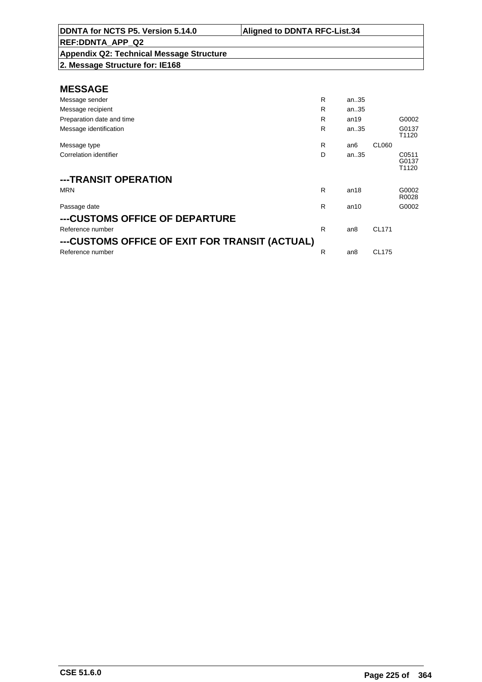| DDNTA for NCTS P5. Version 5.14.0               | <b>Aligned to DDNTA RFC-List.34</b> |       |       |                         |
|-------------------------------------------------|-------------------------------------|-------|-------|-------------------------|
| <b>REF:DDNTA APP Q2</b>                         |                                     |       |       |                         |
| <b>Appendix Q2: Technical Message Structure</b> |                                     |       |       |                         |
| 2. Message Structure for: IE168                 |                                     |       |       |                         |
|                                                 |                                     |       |       |                         |
| <b>MESSAGE</b>                                  |                                     |       |       |                         |
| Message sender                                  | R                                   | an35  |       |                         |
| Message recipient                               | R                                   | an.35 |       |                         |
| Preparation date and time                       | R                                   | an19  |       | G0002                   |
| Message identification                          | R                                   | an35  |       | G0137<br>T1120          |
| Message type                                    | R                                   | an6   | CL060 |                         |
| Correlation identifier                          | D                                   | an.35 |       | C0511<br>G0137<br>T1120 |
| ---TRANSIT OPERATION                            |                                     |       |       |                         |
| <b>MRN</b>                                      | R                                   | and R |       | GOOO?                   |

| <b>MRN</b>                                     | R | an18 |        | G0002<br>R0028 |
|------------------------------------------------|---|------|--------|----------------|
| Passage date                                   | R | an10 |        | G0002          |
| ---CUSTOMS OFFICE OF DEPARTURE                 |   |      |        |                |
| Reference number                               | R | an8  | CI 171 |                |
| ---CUSTOMS OFFICE OF EXIT FOR TRANSIT (ACTUAL) |   |      |        |                |
| Reference number                               | R | an8  | CL175  |                |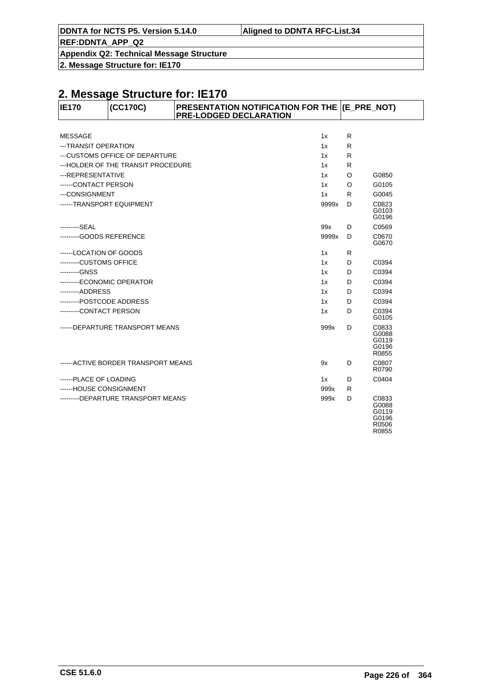**REF:DDNTA\_APP\_Q2**

**Appendix Q2: Technical Message Structure**

**2. Message Structure for: IE170**

| <b>IE170</b>              | (CC170C)                            | PRESENTATION NOTIFICATION FOR THE (E_PRE_NOT)<br>PRE-LODGED DECLARATION |       |              |                                                    |
|---------------------------|-------------------------------------|-------------------------------------------------------------------------|-------|--------------|----------------------------------------------------|
|                           |                                     |                                                                         |       |              |                                                    |
| <b>MESSAGE</b>            |                                     |                                                                         | 1x    | R            |                                                    |
| ---TRANSIT OPERATION      |                                     |                                                                         | 1x    | $\mathsf{R}$ |                                                    |
|                           | ---CUSTOMS OFFICE OF DEPARTURE      |                                                                         | 1x    | R            |                                                    |
|                           | ---HOLDER OF THE TRANSIT PROCEDURE  |                                                                         | 1x    | R            |                                                    |
| ---REPRESENTATIVE         |                                     |                                                                         | 1x    | O            | G0850                                              |
| ------CONTACT PERSON      |                                     |                                                                         | 1x    | $\circ$      | G0105                                              |
| ---CONSIGNMENT            |                                     |                                                                         | 1x    | R            | G0045                                              |
| ------TRANSPORT EQUIPMENT |                                     |                                                                         | 9999x | D            | C0823<br>G0103<br>G0196                            |
| ----------SFAI            |                                     |                                                                         | 99x   | D            | C0569                                              |
| --------GOODS REFERENCE   |                                     |                                                                         | 9999x | D            | C0670<br>G0670                                     |
| ------LOCATION OF GOODS   |                                     |                                                                         | 1x    | R            |                                                    |
| ---------CUSTOMS OFFICE   |                                     |                                                                         | 1x    | D            | C0394                                              |
| --------GNSS              |                                     |                                                                         | 1x    | D            | C0394                                              |
| --------ECONOMIC OPERATOR |                                     |                                                                         | 1x    | D            | C0394                                              |
| ---------ADDRESS          |                                     |                                                                         | 1x    | D            | C0394                                              |
| ---------POSTCODE ADDRESS |                                     |                                                                         | 1x    | D            | C0394                                              |
| ---------CONTACT PERSON   |                                     |                                                                         | 1x    | D            | C0394<br>G0105                                     |
|                           | ------DEPARTURE TRANSPORT MEANS     |                                                                         | 999x  | D            | C0833<br>G0088<br>G0119<br>G0196<br>R0855          |
|                           | ------ACTIVE BORDER TRANSPORT MEANS |                                                                         | 9x    | D            | C0807<br>R0790                                     |
| ------PLACE OF LOADING    |                                     |                                                                         | 1x    | D            | C0404                                              |
| ------HOUSE CONSIGNMENT   |                                     |                                                                         | 999x  | R            |                                                    |
|                           | ---------DEPARTURE TRANSPORT MEANS  |                                                                         | 999x  | D            | C0833<br>G0088<br>G0119<br>G0196<br>R0506<br>R0855 |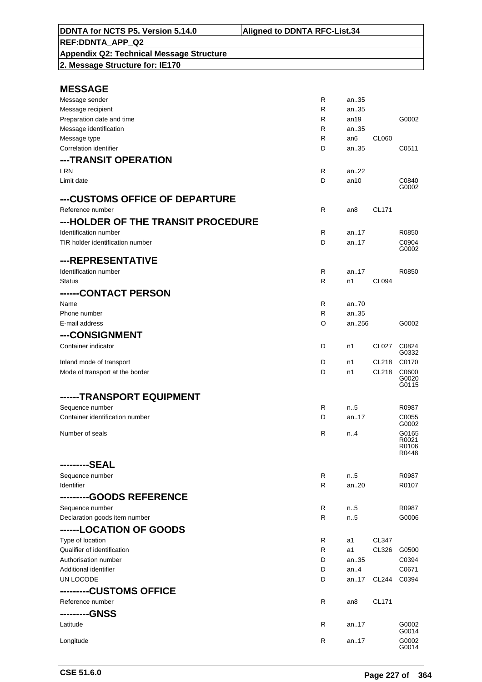| DDNTA for NCTS P5. Version 5.14.0               | <b>Aligned to DDNTA RFC-List.34</b> |             |                   |                |
|-------------------------------------------------|-------------------------------------|-------------|-------------------|----------------|
| <b>REF:DDNTA APP Q2</b>                         |                                     |             |                   |                |
| <b>Appendix Q2: Technical Message Structure</b> |                                     |             |                   |                |
| 2. Message Structure for: IE170                 |                                     |             |                   |                |
|                                                 |                                     |             |                   |                |
| <b>MESSAGE</b>                                  |                                     |             |                   |                |
| Message sender                                  | R                                   | an35        |                   |                |
| Message recipient                               | R                                   | an35        |                   |                |
| Preparation date and time                       | R                                   | an19        |                   | G0002          |
| Message identification<br>Message type          | R<br>R                              | an35<br>an6 | CL <sub>060</sub> |                |
| Correlation identifier                          | D                                   | an35        |                   | C0511          |
| ---TRANSIT OPERATION                            |                                     |             |                   |                |
| LRN                                             | R                                   | an.22       |                   |                |
| Limit date                                      | D                                   | an10        |                   | C0840          |
|                                                 |                                     |             |                   | G0002          |
| ---CUSTOMS OFFICE OF DEPARTURE                  |                                     |             |                   |                |
| Reference number                                | R                                   | an8         | CL171             |                |
| ---HOLDER OF THE TRANSIT PROCEDURE              |                                     |             |                   |                |
| Identification number                           | R                                   | an.17       |                   | R0850          |
| TIR holder identification number                | D                                   | an17        |                   | C0904<br>G0002 |
| ---REPRESENTATIVE                               |                                     |             |                   |                |
| Identification number                           | R                                   | an17        |                   | R0850          |
| <b>Status</b>                                   | R                                   | n1          | <b>CL094</b>      |                |
| ------CONTACT PERSON                            |                                     |             |                   |                |
| Name                                            | R                                   | an70        |                   |                |
| Phone number                                    | R                                   | an35        |                   |                |
| E-mail address                                  | O                                   | an256       |                   | G0002          |
| ---CONSIGNMENT                                  |                                     |             |                   |                |
| Container indicator                             | D                                   | n1          | CL027             | C0824          |
| Inland mode of transport                        | D                                   | n1          | CL218             | G0332<br>C0170 |
| Mode of transport at the border                 | D                                   | n1          | CL218             | C0600          |
|                                                 |                                     |             |                   | G0020<br>G0115 |
| ------TRANSPORT EQUIPMENT                       |                                     |             |                   |                |
| Sequence number                                 | R                                   | n.5         |                   | R0987          |
| Container identification number                 | D                                   | an17        |                   | C0055          |
|                                                 |                                     |             |                   | G0002          |
| Number of seals                                 | R                                   | n.4         |                   | G0165<br>R0021 |
|                                                 |                                     |             |                   | R0106<br>R0448 |
| ---------SEAL                                   |                                     |             |                   |                |
| Sequence number                                 | R                                   | $n_{.}.5$   |                   | R0987          |
| Identifier                                      | R                                   | an20        |                   | R0107          |
|                                                 |                                     |             |                   |                |
| Sequence number                                 | R                                   | n.5         |                   | R0987          |
| Declaration goods item number                   | R                                   | n.5         |                   | G0006          |
| ------LOCATION OF GOODS                         |                                     |             |                   |                |
| Type of location                                | R                                   | a1          | CL347             |                |
| Qualifier of identification                     | R                                   | a1          | CL326             | G0500          |
| Authorisation number                            | D                                   | an35        |                   | C0394          |

Additional identifier CO671

G0002<br>G0014

G0002<br>G0014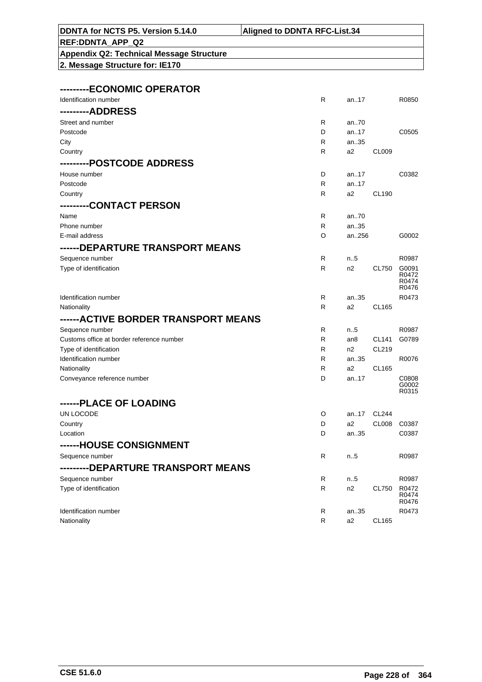| DDNTA for NCTS P5. Version 5.14.0               | <b>Aligned to DDNTA RFC-List.34</b> |                   |              |                                  |
|-------------------------------------------------|-------------------------------------|-------------------|--------------|----------------------------------|
| REF:DDNTA_APP_Q2                                |                                     |                   |              |                                  |
| <b>Appendix Q2: Technical Message Structure</b> |                                     |                   |              |                                  |
| 2. Message Structure for: IE170                 |                                     |                   |              |                                  |
|                                                 |                                     |                   |              |                                  |
| ---------ECONOMIC OPERATOR                      |                                     |                   |              |                                  |
| Identification number                           | R                                   | an. $.17$         |              | R0850                            |
| ---------ADDRESS                                |                                     |                   |              |                                  |
| Street and number                               | R                                   | an70              |              |                                  |
| Postcode                                        | D                                   | an.17             |              | C0505                            |
| City                                            | R                                   | an35              |              |                                  |
| Country                                         | R                                   | a <sub>2</sub>    | CL009        |                                  |
| ---------POSTCODE ADDRESS                       |                                     |                   |              |                                  |
| House number<br>Postcode                        | D<br>R                              | an. $.17$<br>an17 |              | C0382                            |
| Country                                         | R                                   | a2                | <b>CL190</b> |                                  |
| ---------CONTACT PERSON                         |                                     |                   |              |                                  |
| Name                                            | R                                   | an.70             |              |                                  |
| Phone number                                    | R                                   | an35              |              |                                  |
| E-mail address                                  | O                                   | an256             |              | G0002                            |
| ------DEPARTURE TRANSPORT MEANS                 |                                     |                   |              |                                  |
| Sequence number                                 | R                                   | n.5               |              | R0987                            |
| Type of identification                          | R                                   | n2                | CL750        | G0091<br>R0472<br>R0474<br>R0476 |
| Identification number                           | R                                   | an35              |              | R0473                            |
| Nationality                                     | R                                   | a <sub>2</sub>    | CL165        |                                  |
| ------ACTIVE BORDER TRANSPORT MEANS             |                                     |                   |              |                                  |
| Sequence number                                 | R                                   | n.5               |              | R0987                            |
| Customs office at border reference number       | R                                   | an8               | CL141        | G0789                            |
| Type of identification                          | R                                   | n2                | CL219        |                                  |
| Identification number<br>Nationality            | R<br>R                              | an35<br>a2        | CL165        | R0076                            |
| Conveyance reference number                     | D                                   | an17              |              | C0808                            |
| ------PLACE OF LOADING                          |                                     |                   |              | G0002<br>R0315                   |
| UN LOCODE                                       | O                                   | an17              | CL244        |                                  |
| Country                                         | D                                   | a2                | <b>CL008</b> | C0387                            |
| Location                                        | D                                   | an35              |              | C0387                            |
| ------HOUSE CONSIGNMENT                         |                                     |                   |              |                                  |
| Sequence number                                 | R                                   | n.5               |              | R0987                            |
| --------DEPARTURE TRANSPORT MEANS               |                                     |                   |              |                                  |
| Sequence number                                 | R                                   | n.5               |              | R0987                            |
| Type of identification                          | R                                   | n2                | CL750        | R0472<br>R0474<br>R0476          |
| Identification number                           | R                                   | an35              |              | R0473                            |
| Nationality                                     | R                                   | a2                | CL165        |                                  |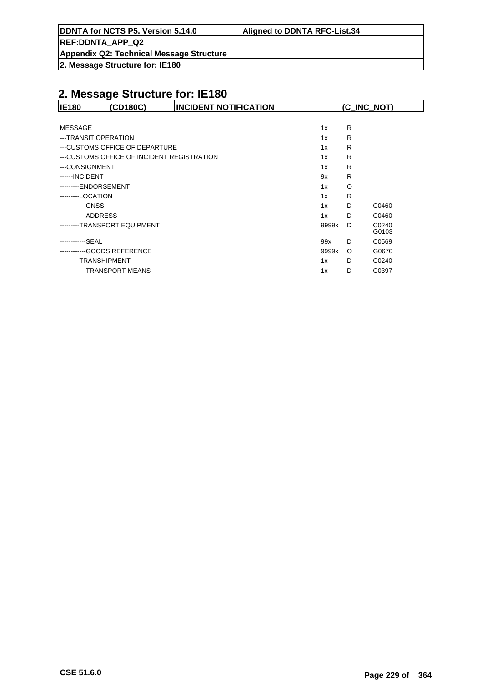|  |  | DDNTA for NCTS P5. Version 5.14.0 |  |
|--|--|-----------------------------------|--|
|  |  |                                   |  |

**Appendix Q2: Technical Message Structure**

**2. Message Structure for: IE180**

# **2. Message Structure for: IE180**

| <b>IE180</b>                | (CD180C)                                   | <b>INCIDENT NOTIFICATION</b> |       | (C INC NOT) |                |
|-----------------------------|--------------------------------------------|------------------------------|-------|-------------|----------------|
|                             |                                            |                              |       |             |                |
| <b>MESSAGE</b>              |                                            |                              | 1x    | R           |                |
| ---TRANSIT OPERATION        |                                            |                              | 1x    | R           |                |
|                             | ---CUSTOMS OFFICE OF DEPARTURE             |                              | 1x    | R           |                |
|                             | ---CUSTOMS OFFICE OF INCIDENT REGISTRATION |                              | 1x    | R           |                |
| ---CONSIGNMENT              |                                            |                              | 1x    | R           |                |
| ------INCIDENT              |                                            |                              | 9x    | R           |                |
| ---------ENDORSEMENT        |                                            |                              | 1x    | $\circ$     |                |
| ---------LOCATION           |                                            |                              | 1x    | R           |                |
| ------------GNSS            |                                            |                              | 1x    | D           | C0460          |
| ------------ADDRESS         |                                            |                              | 1x    | D           | C0460          |
|                             | --------TRANSPORT EQUIPMENT                |                              | 9999x | D           | C0240<br>G0103 |
| -------------SEAL           |                                            |                              | 99x   | D           | C0569          |
|                             |                                            |                              | 9999x | O           | G0670          |
| ---------TRANSHIPMENT       |                                            |                              | 1x    | D           | C0240          |
| ------------TRANSPORT MEANS |                                            |                              | 1x    | D           | C0397          |

**Aligned to DDNTA RFC-List.34**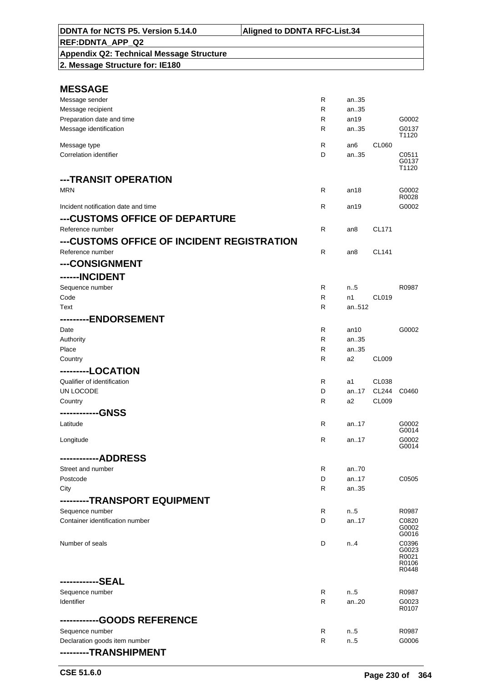| DDNTA for NCTS P5. Version 5.14.0        | <b>Aligned to DDNTA RFC-List.34</b> |
|------------------------------------------|-------------------------------------|
| <b>REF:DDNTA APP Q2</b>                  |                                     |
| Appendix Q2: Technical Message Structure |                                     |
| 2. Message Structure for: IE180          |                                     |
|                                          |                                     |
| <b>MESSAGE</b>                           |                                     |
| Message sender                           | R<br>an35                           |

| Message sender                             | $\mathsf{R}$ | an35           |              |                |
|--------------------------------------------|--------------|----------------|--------------|----------------|
| Message recipient                          | $\mathsf{R}$ | an35           |              |                |
| Preparation date and time                  | $\mathsf{R}$ | an19           |              | G0002          |
| Message identification                     | R            | an35           |              | G0137<br>T1120 |
| Message type                               | R            | an6            | CL060        |                |
| Correlation identifier                     | D            | an35           |              | C0511          |
|                                            |              |                |              | G0137<br>T1120 |
| ---TRANSIT OPERATION                       |              |                |              |                |
| <b>MRN</b>                                 | R            | an18           |              | G0002          |
| Incident notification date and time        | $\mathsf{R}$ | an19           |              | R0028<br>G0002 |
| ---CUSTOMS OFFICE OF DEPARTURE             |              |                |              |                |
| Reference number                           | R            | an8            | CL171        |                |
| ---CUSTOMS OFFICE OF INCIDENT REGISTRATION |              |                |              |                |
| Reference number                           | R            | an8            | <b>CL141</b> |                |
| ---CONSIGNMENT                             |              |                |              |                |
| ------INCIDENT                             |              |                |              |                |
| Sequence number                            | R            | $n_{.}.5$      |              | R0987          |
| Code                                       | R            | n1             | CL019        |                |
| Text                                       | R            | an512          |              |                |
| ---------ENDORSEMENT                       |              |                |              |                |
| Date                                       | R            | an10           |              | G0002          |
| Authority                                  | R            | an35           |              |                |
| Place                                      | R            | an35           |              |                |
| Country                                    | R            | a <sub>2</sub> | CL009        |                |
| ---------LOCATION                          |              |                |              |                |
| Qualifier of identification                | R            | a1             | CL038        |                |
| UN LOCODE                                  | D            | an17           | <b>CL244</b> | C0460          |
| Country                                    | $\mathsf{R}$ | a <sub>2</sub> | CL009        |                |
| ------------GNSS                           |              |                |              |                |
| Latitude                                   | R            | an17           |              | G0002          |
|                                            |              |                |              | G0014          |
| Longitude                                  | $\mathsf{R}$ | an17           |              | G0002<br>G0014 |
| ----------ADDRESS                          |              |                |              |                |
| Street and number                          | R            | an.70          |              |                |
| Postcode                                   | D            | an17           |              | C0505          |
| City                                       | R            | an35           |              |                |
| --------TRANSPORT EQUIPMENT                |              |                |              |                |
| Sequence number                            | R            | n.5            |              | R0987          |
| Container identification number            | D            | an17           |              | C0820          |
|                                            |              |                |              | G0002<br>G0016 |
| Number of seals                            | D            | n.4            |              | C0396          |
|                                            |              |                |              | G0023<br>R0021 |
|                                            |              |                |              | R0106<br>R0448 |
| ------------SEAL                           |              |                |              |                |
| Sequence number                            | R            | n.5            |              | R0987          |
| Identifier                                 | R            | an20           |              | G0023          |
|                                            |              |                |              | R0107          |
|                                            |              |                |              |                |
| Sequence number                            | R            | n.5            |              | R0987          |
| Declaration goods item number              | R            | n.5            |              | G0006          |
| --------TRANSHIPMENT                       |              |                |              |                |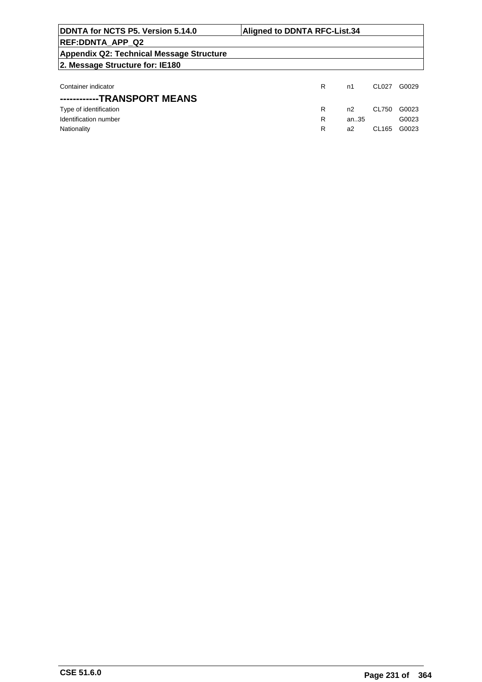| DDNTA for NCTS P5. Version 5.14.0        | <b>Aligned to DDNTA RFC-List.34</b> |   |       |        |       |
|------------------------------------------|-------------------------------------|---|-------|--------|-------|
| <b>REF:DDNTA_APP_Q2</b>                  |                                     |   |       |        |       |
| Appendix Q2: Technical Message Structure |                                     |   |       |        |       |
| 2. Message Structure for: IE180          |                                     |   |       |        |       |
|                                          |                                     |   |       |        |       |
| Container indicator                      |                                     | R | n1    | CI 027 | G0029 |
| ------------TRANSPORT MEANS              |                                     |   |       |        |       |
| Type of identification                   |                                     | R | n2    | CL750  | G0023 |
| Identification number                    |                                     | R | an.35 |        | G0023 |

Nationality **Nationality R** a 2 CL165 G0023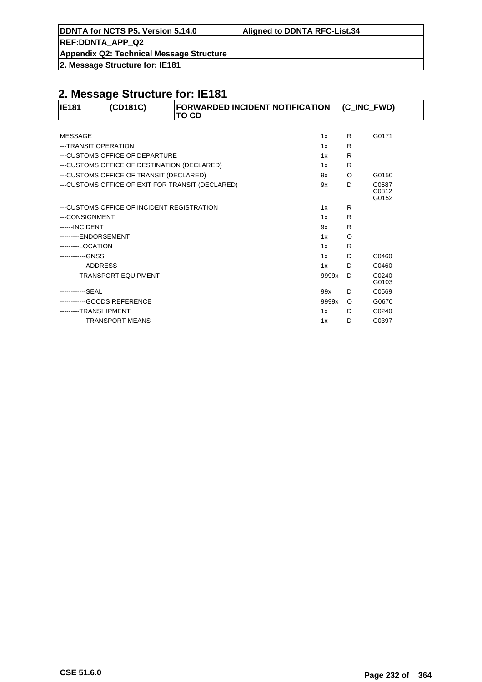**REF:DDNTA\_APP\_Q2**

**Appendix Q2: Technical Message Structure**

**2. Message Structure for: IE181**

| <b>IE181</b>                | (CD181C)                                         | <b>FORWARDED INCIDENT NOTIFICATION</b><br>TO CD |       |         | (C_INC_FWD)             |
|-----------------------------|--------------------------------------------------|-------------------------------------------------|-------|---------|-------------------------|
|                             |                                                  |                                                 |       |         |                         |
| MESSAGE                     |                                                  |                                                 | 1x    | R       | G0171                   |
| ---TRANSIT OPERATION        |                                                  |                                                 | 1x    | R       |                         |
|                             | ---CUSTOMS OFFICE OF DEPARTURE                   |                                                 | 1x    | R       |                         |
|                             | ---CUSTOMS OFFICE OF DESTINATION (DECLARED)      |                                                 | 1x    | R       |                         |
|                             | ---CUSTOMS OFFICE OF TRANSIT (DECLARED)          |                                                 | 9x    | $\circ$ | G0150                   |
|                             | ---CUSTOMS OFFICE OF EXIT FOR TRANSIT (DECLARED) |                                                 | 9x    | D       | C0587<br>C0812<br>G0152 |
|                             | ---CUSTOMS OFFICE OF INCIDENT REGISTRATION       |                                                 | 1x    | R       |                         |
| ---CONSIGNMENT              |                                                  |                                                 | 1x    | R       |                         |
| ------INCIDENT              |                                                  |                                                 | 9x    | R       |                         |
| ---------ENDORSEMENT        |                                                  |                                                 | 1x    | $\circ$ |                         |
| ---------LOCATION           |                                                  |                                                 | 1x    | R       |                         |
| -----------GNSS             |                                                  |                                                 | 1x    | D       | C0460                   |
| ------------ADDRESS         |                                                  |                                                 | 1x    | D       | C0460                   |
|                             | ---------TRANSPORT EQUIPMENT                     |                                                 | 9999x | D       | C0240<br>G0103          |
| ------------SFAI            |                                                  |                                                 | 99x   | D       | C0569                   |
| ------------GOODS REFERENCE |                                                  |                                                 | 9999x | O       | G0670                   |
| ---------TRANSHIPMENT       |                                                  |                                                 | 1x    | D       | C0240                   |
| ------------TRANSPORT MEANS |                                                  |                                                 | 1x    | D       | C0397                   |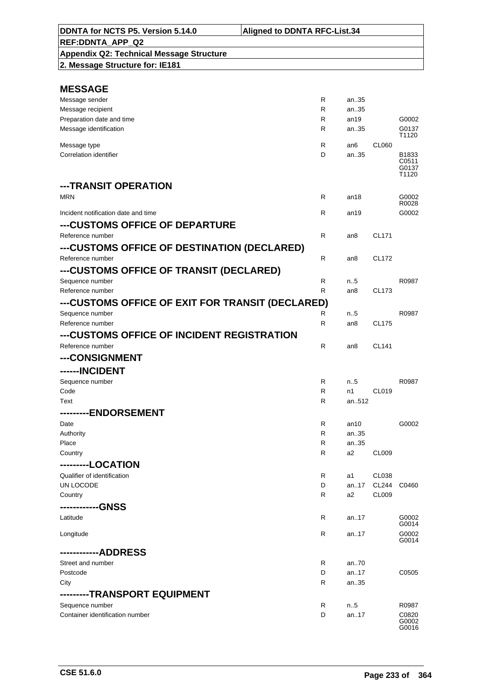|  | Aligned to DDNTA RFC-List.34 |
|--|------------------------------|
|  |                              |

### **REF:DDNTA\_APP\_Q2 Appendix Q2: Technical Message Structure**

**DDNTA for NCTS P5. Version 5.14.0** 

**2. Message Structure for: IE181**

| <b>MESSAGE</b>                                   |   |                 |              |                                  |
|--------------------------------------------------|---|-----------------|--------------|----------------------------------|
| Message sender                                   | R | an35            |              |                                  |
| Message recipient                                | R | an35            |              |                                  |
| Preparation date and time                        | R | an19            |              | G0002                            |
| Message identification                           | R | an35            |              | G0137<br>T1120                   |
| Message type                                     | R | an6             | CL060        |                                  |
| Correlation identifier                           | D | an35            |              | B1833<br>C0511<br>G0137<br>T1120 |
| ---TRANSIT OPERATION                             |   |                 |              |                                  |
| <b>MRN</b>                                       | R | an18            |              | G0002<br>R0028                   |
| Incident notification date and time              | R | an19            |              | G0002                            |
| --- CUSTOMS OFFICE OF DEPARTURE                  |   |                 |              |                                  |
| Reference number                                 | R | an8             | CL171        |                                  |
| ---CUSTOMS OFFICE OF DESTINATION (DECLARED)      |   |                 |              |                                  |
| Reference number                                 | R | an8             | CL172        |                                  |
| ---CUSTOMS OFFICE OF TRANSIT (DECLARED)          |   |                 |              |                                  |
| Sequence number                                  | R | n.5             |              | R0987                            |
| Reference number                                 | R | an <sub>8</sub> | CL173        |                                  |
| ---CUSTOMS OFFICE OF EXIT FOR TRANSIT (DECLARED) |   |                 |              |                                  |
| Sequence number                                  | R | $n_{.}.5$       |              | R0987                            |
| Reference number                                 | R | an8             | <b>CL175</b> |                                  |
| ---CUSTOMS OFFICE OF INCIDENT REGISTRATION       |   |                 |              |                                  |
| Reference number                                 | R | an8             | <b>CL141</b> |                                  |
| ---CONSIGNMENT                                   |   |                 |              |                                  |
| ------INCIDENT                                   |   |                 |              |                                  |
| Sequence number                                  | R | n.5             |              | R0987                            |
| Code                                             | R | n1              | CL019        |                                  |
| Text                                             | R | an512           |              |                                  |
| --------ENDORSEMENT                              |   |                 |              |                                  |
| Date                                             | R | an10            |              | G0002                            |
| Authority                                        | R | an35            |              |                                  |
| Place                                            | R | an35            |              |                                  |
| Country<br>--------LOCATION                      | R | a2              | <b>CL009</b> |                                  |
| Qualifier of identification                      | R | a1              | CL038        |                                  |
| UN LOCODE                                        | D | an17            | <b>CL244</b> | C0460                            |
| Country                                          | R | a2              | <b>CL009</b> |                                  |
| ------------GNSS                                 |   |                 |              |                                  |
| Latitude                                         | R | an17            |              | G0002<br>G0014                   |
| Longitude                                        | R | an17            |              | G0002<br>G0014                   |
| ------------ADDRESS                              |   |                 |              |                                  |
| Street and number                                | R | an70            |              |                                  |
| Postcode                                         | D | an17            |              | C0505                            |
| City                                             | R | an35            |              |                                  |
| --------TRANSPORT EQUIPMENT                      |   |                 |              |                                  |
| Sequence number                                  | R | n.5             |              | R0987                            |
| Container identification number                  | D | an17            |              | C0820<br>G0002                   |

G0016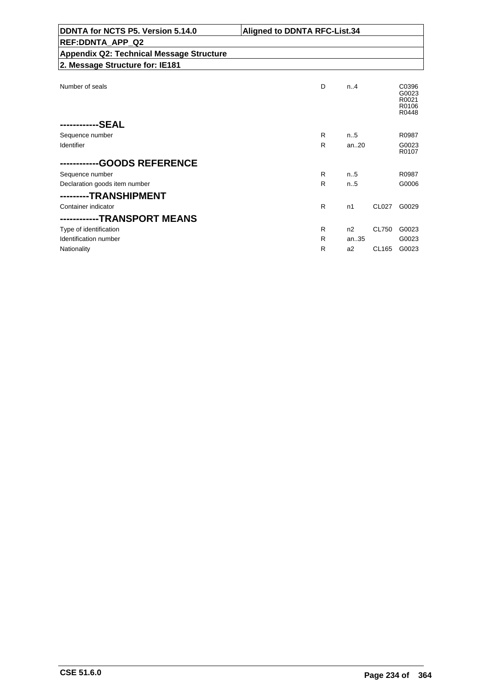| DDNTA for NCTS P5. Version 5.14.0               | <b>Aligned to DDNTA RFC-List.34</b> |       |              |                                           |
|-------------------------------------------------|-------------------------------------|-------|--------------|-------------------------------------------|
| REF:DDNTA_APP_Q2                                |                                     |       |              |                                           |
| <b>Appendix Q2: Technical Message Structure</b> |                                     |       |              |                                           |
| 2. Message Structure for: IE181                 |                                     |       |              |                                           |
| Number of seals                                 | D                                   | n.A   |              | C0396<br>G0023<br>R0021<br>R0106<br>R0448 |
| ----------SEAL                                  |                                     |       |              |                                           |
| Sequence number                                 | R                                   | n.5   |              | R0987                                     |
| Identifier                                      | R                                   | an.20 |              | G0023<br>R0107                            |
| <b>-GOODS REFERENCE</b>                         |                                     |       |              |                                           |
| Sequence number                                 | R                                   | n.5   |              | R0987                                     |
| Declaration goods item number                   | R                                   | n.5   |              | G0006                                     |
| ---------TRANSHIPMENT                           |                                     |       |              |                                           |
| Container indicator                             | $\mathsf{R}$                        | n1    | <b>CL027</b> | G0029                                     |
|                                                 |                                     |       |              |                                           |
| Type of identification                          | R                                   | n2    | CL750        | G0023                                     |
| Identification number                           | R                                   | an.35 |              | G0023                                     |
| Nationality                                     | R                                   | a2    | CL165        | G0023                                     |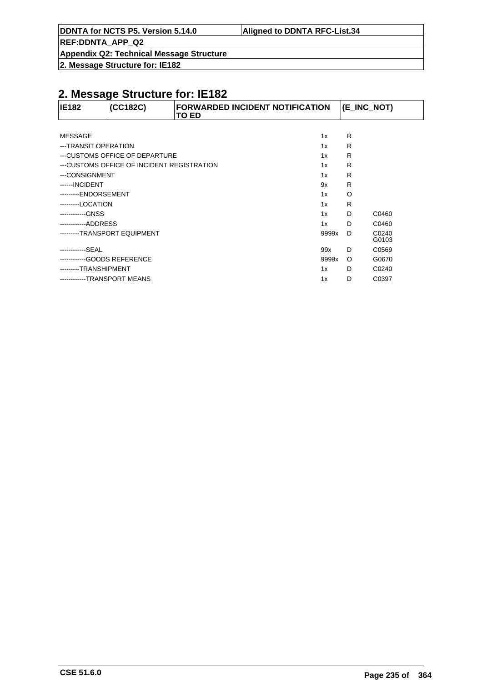**REF:DDNTA\_APP\_Q2**

**Appendix Q2: Technical Message Structure**

**2. Message Structure for: IE182**

| <b>IE182</b>                | (CC182C)                                   | <b>FORWARDED INCIDENT NOTIFICATION</b><br>TO ED |       |   | (E_INC_NOT)    |
|-----------------------------|--------------------------------------------|-------------------------------------------------|-------|---|----------------|
|                             |                                            |                                                 |       |   |                |
| <b>MESSAGE</b>              |                                            |                                                 | 1x    | R |                |
| ---TRANSIT OPERATION        |                                            |                                                 | 1x    | R |                |
|                             | ---CUSTOMS OFFICE OF DEPARTURE             |                                                 | 1x    | R |                |
|                             | ---CUSTOMS OFFICE OF INCIDENT REGISTRATION |                                                 | 1x    | R |                |
| ---CONSIGNMENT              |                                            |                                                 | 1x    | R |                |
| ------INCIDENT              |                                            |                                                 | 9x    | R |                |
| ---------ENDORSEMENT        |                                            |                                                 | 1x    | O |                |
| ---------LOCATION           |                                            |                                                 | 1x    | R |                |
| ------------GNSS            |                                            |                                                 | 1x    | D | C0460          |
| ------------ADDRESS         |                                            |                                                 | 1x    | D | C0460          |
|                             | ---------TRANSPORT EQUIPMENT               |                                                 | 9999x | D | C0240<br>G0103 |
| ------------SEAL            |                                            |                                                 | 99x   | D | C0569          |
| ------------GOODS REFERENCE |                                            |                                                 | 9999x | O | G0670          |
| ---------TRANSHIPMENT       |                                            |                                                 | 1x    | D | C0240          |
| ------------TRANSPORT MEANS |                                            |                                                 | 1x    | D | C0397          |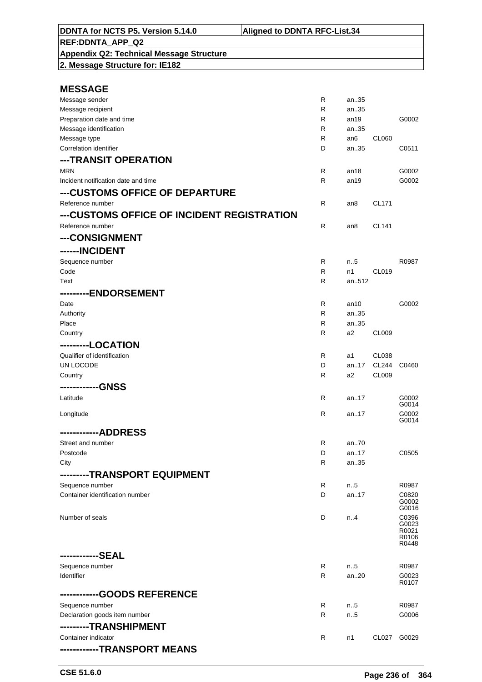### **REF:DDNTA\_APP\_Q2 Appendix Q2: Technical Message Structure**

**2. Message Structure for: IE182**

| Message sender                                     | $\mathsf{R}$ | an35        |              |                |
|----------------------------------------------------|--------------|-------------|--------------|----------------|
| Message recipient                                  | R            | an35        |              |                |
| Preparation date and time                          | R            | an19        |              | G0002          |
| Message identification                             | R            | an35        |              |                |
| Message type                                       | R            | an6         | CL060        |                |
| Correlation identifier                             | D            | an35        |              | C0511          |
| ---TRANSIT OPERATION                               |              |             |              |                |
| <b>MRN</b>                                         | $\mathsf{R}$ | an18        |              | G0002          |
| Incident notification date and time                | $\mathsf{R}$ | an19        |              | G0002          |
| ---CUSTOMS OFFICE OF DEPARTURE                     |              |             |              |                |
| Reference number                                   | R            | an8         | CL171        |                |
| ---CUSTOMS OFFICE OF INCIDENT REGISTRATION         |              |             |              |                |
| Reference number                                   | R            | an8         | CL141        |                |
| ---CONSIGNMENT                                     |              |             |              |                |
|                                                    |              |             |              |                |
| ------INCIDENT                                     |              |             |              |                |
| Sequence number                                    | R            | n.5         |              | R0987          |
| Code                                               | R            | n1          | CL019        |                |
| Text                                               | R            | an512       |              |                |
| --------ENDORSEMENT                                |              |             |              |                |
| Date                                               | R            | an10        |              | G0002          |
| Authority                                          | R            | an35        |              |                |
| Place                                              | R            | an35        |              |                |
| Country                                            | R            | a2          | CL009        |                |
| ---------LOCATION                                  |              |             |              |                |
| Qualifier of identification                        | R            | a1          | CL038        |                |
| UN LOCODE                                          | D            | an17        | <b>CL244</b> | C0460          |
| Country                                            | $\mathsf{R}$ | a2          | CL009        |                |
| ------------GNSS                                   |              |             |              |                |
| Latitude                                           | R            | an17        |              | G0002<br>G0014 |
| Longitude                                          | $\mathsf{R}$ | an17        |              | G0002          |
|                                                    |              |             |              | G0014          |
| ------------ADDRESS                                |              |             |              |                |
|                                                    | R            | an.70       |              |                |
| Street and number                                  |              |             |              |                |
| Postcode                                           | D            | an17        |              | C0505          |
| City                                               | R            | an35        |              |                |
|                                                    |              |             |              |                |
| ---------TRANSPORT EQUIPMENT                       |              |             |              |                |
| Sequence number<br>Container identification number | R<br>D       | n.5<br>an17 |              | R0987<br>C0820 |
|                                                    |              |             |              | G0002          |
|                                                    |              |             |              | G0016          |
| Number of seals                                    | D            | n.4         |              | C0396<br>G0023 |
|                                                    |              |             |              | R0021          |
|                                                    |              |             |              | R0106<br>R0448 |
| ------------SEAL                                   |              |             |              |                |
| Sequence number                                    | R            | n.5         |              | R0987          |
| Identifier                                         | $\mathsf{R}$ | an20        |              | G0023          |
|                                                    |              |             |              | R0107          |
|                                                    |              |             |              |                |
| Sequence number                                    | R            | n.5         |              | R0987          |
| Declaration goods item number                      | R            | n.5         |              | G0006          |
| ---------TRANSHIPMENT                              |              |             |              |                |
| Container indicator                                | R            | n1          | <b>CL027</b> | G0029          |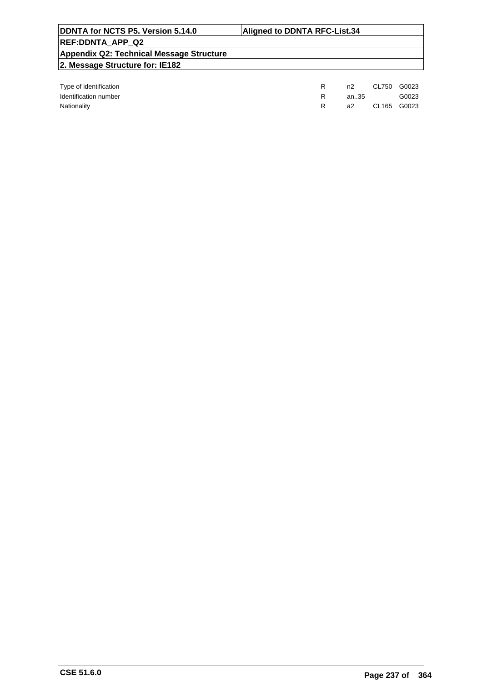| DDNTA for NCTS P5. Version 5.14.0        | Aligned to DDNTA RFC-List.34 |    |       |       |
|------------------------------------------|------------------------------|----|-------|-------|
| REF:DDNTA_APP_Q2                         |                              |    |       |       |
| Appendix Q2: Technical Message Structure |                              |    |       |       |
| 2. Message Structure for: IE182          |                              |    |       |       |
|                                          |                              |    |       |       |
| Type of identification                   | R                            | n2 | CL750 | G0023 |

Identification number **COO23** GOO23 Nationality **Nationality** R a 2 CL165 G0023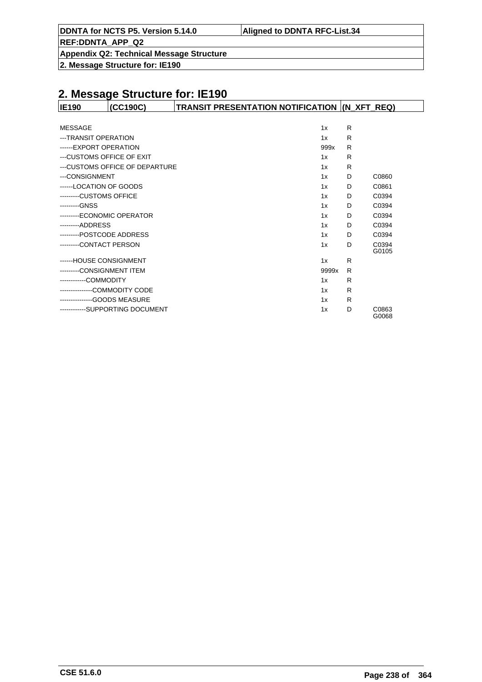| DDNTA for NCTS P5. Version 5.14.0 |  |  |  |
|-----------------------------------|--|--|--|
|                                   |  |  |  |

### **Aligned to DDNTA RFC-List.34**

**Appendix Q2: Technical Message Structure**

**2. Message Structure for: IE190**

| <b>IE190</b>                 | (CC190C)                       | TRANSIT PRESENTATION NOTIFICATION (N XFT REQ) |   |                            |
|------------------------------|--------------------------------|-----------------------------------------------|---|----------------------------|
|                              |                                |                                               |   |                            |
| <b>MESSAGE</b>               |                                | 1x                                            | R |                            |
| ---TRANSIT OPFRATION         |                                | 1x                                            | R |                            |
| ------EXPORT OPERATION       |                                | 999x                                          | R |                            |
| ---CUSTOMS OFFICE OF EXIT    |                                | 1x                                            | R |                            |
|                              | ---CUSTOMS OFFICE OF DEPARTURE | 1x                                            | R |                            |
| ---CONSIGNMENT               |                                | 1x                                            | D | C0860                      |
| ------LOCATION OF GOODS      |                                | 1x                                            | D | C0861                      |
| ---------CUSTOMS OFFICE      |                                | 1x                                            | D | C0394                      |
| --------GNSS                 |                                | 1x                                            | D | C0394                      |
| --------ECONOMIC OPERATOR    |                                | 1x                                            | D | C <sub>0394</sub>          |
| ---------ADDRESS             |                                | 1x                                            | D | C0394                      |
| ---------POSTCODE ADDRESS    |                                | 1x                                            | D | C0394                      |
| --------CONTACT PERSON       |                                | 1x                                            | D | C <sub>0394</sub><br>G0105 |
| ------HOUSE CONSIGNMENT      |                                | 1x                                            | R |                            |
| --------CONSIGNMENT ITEM     |                                | 9999x                                         | R |                            |
| -----------COMMODITY         |                                | 1x                                            | R |                            |
| --------------COMMODITY CODE |                                | 1x                                            | R |                            |
| ---------------GOODS MEASURE |                                | 1x                                            | R |                            |
|                              | -----------SUPPORTING DOCUMENT | 1x                                            | D | C0863<br>G0068             |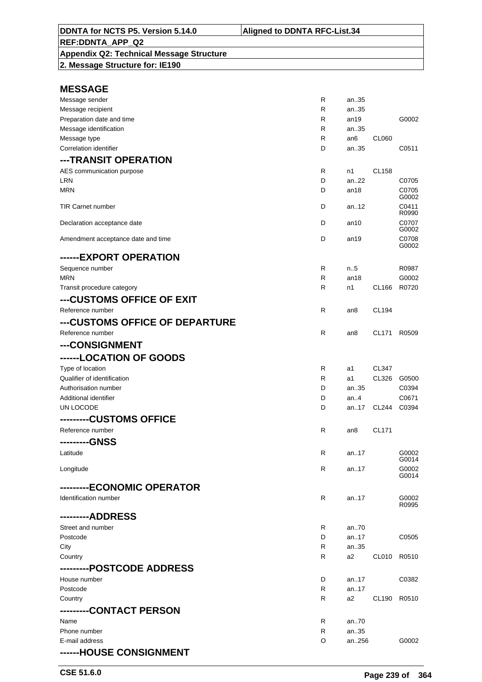#### **REF:DDNTA\_APP\_Q2 Appendix Q2: Technical Message Structure 2. Message Structure for: IE190**

| Message sender                     | $\mathsf{R}$ | an35         |                   |                |
|------------------------------------|--------------|--------------|-------------------|----------------|
| Message recipient                  | R            | an35         |                   |                |
| Preparation date and time          | R            | an19         |                   | G0002          |
| Message identification             | R            | an35         |                   |                |
| Message type                       | R            | an6          | CL <sub>060</sub> |                |
| Correlation identifier             | D            | an35         |                   | C0511          |
| ---TRANSIT OPERATION               |              |              |                   |                |
| AES communication purpose          | R            | n1           | CL158             |                |
| LRN                                | D            | an.22        |                   | C0705          |
| <b>MRN</b>                         | D            | an18         |                   | C0705          |
| <b>TIR Carnet number</b>           | D            | an12         |                   | G0002<br>C0411 |
|                                    |              |              |                   | R0990          |
| Declaration acceptance date        | D            | an10         |                   | C0707          |
|                                    |              |              |                   | G0002          |
| Amendment acceptance date and time | D            | an19         |                   | C0708<br>G0002 |
| ------EXPORT OPERATION             |              |              |                   |                |
| Sequence number                    | R            | n.5          |                   | R0987          |
| <b>MRN</b>                         | R            | an18         |                   | G0002          |
| Transit procedure category         | R            | n1           | CL166             | R0720          |
| ---CUSTOMS OFFICE OF EXIT          |              |              |                   |                |
| Reference number                   | R            | an8          | CL194             |                |
| ---CUSTOMS OFFICE OF DEPARTURE     |              |              |                   |                |
| Reference number                   | R            | an8          | CL171             | R0509          |
|                                    |              |              |                   |                |
| ---CONSIGNMENT                     |              |              |                   |                |
| ------LOCATION OF GOODS            |              |              |                   |                |
| Type of location                   | R            | a1           | CL347             |                |
| Qualifier of identification        | R            | a1           | CL326             | G0500          |
| Authorisation number               | D            | an35         |                   | C0394          |
| Additional identifier              | D            | an.4         |                   | C0671          |
| UN LOCODE                          | D            | an17         | CL244             | C0394          |
| --------CUSTOMS OFFICE             |              |              |                   |                |
| Reference number                   | R            | an8          | CL171             |                |
| ---------GNSS                      |              |              |                   |                |
| Latitude                           | R            | an17         |                   | G0002          |
|                                    |              |              |                   | <b>GUU14</b>   |
| Longitude                          | R            | an. $.17$    |                   | G0002<br>G0014 |
|                                    |              |              |                   |                |
| ---------ECONOMIC OPERATOR         |              |              |                   |                |
| Identification number              | R            | an17         |                   | G0002<br>R0995 |
| ---------ADDRESS                   |              |              |                   |                |
|                                    |              |              |                   |                |
| Street and number<br>Postcode      | R<br>D       | an70<br>an17 |                   | C0505          |
|                                    |              |              |                   |                |
| City<br>Country                    | R<br>R       | an35<br>a2   | CL010             | R0510          |
|                                    |              |              |                   |                |
| ---------POSTCODE ADDRESS          |              |              |                   |                |
| House number                       | D            | an17         |                   | C0382          |
| Postcode                           | R            | an17         |                   |                |
| Country                            | R            | a2           | CL190             | R0510          |
| ---------CONTACT PERSON            |              |              |                   |                |
| Name                               | R            | an70         |                   |                |
| Phone number                       | R            | an35         |                   |                |
| E-mail address                     | O            | an256        |                   | G0002          |
| ------HOUSE CONSIGNMENT            |              |              |                   |                |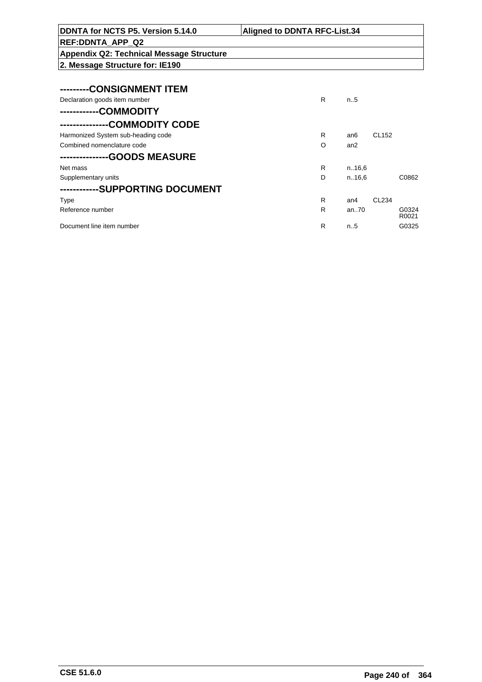| DDNTA for NCTS P5. Version 5.14.0               | <b>Aligned to DDNTA RFC-List.34</b> |                 |       |                |
|-------------------------------------------------|-------------------------------------|-----------------|-------|----------------|
| <b>REF:DDNTA APP Q2</b>                         |                                     |                 |       |                |
| <b>Appendix Q2: Technical Message Structure</b> |                                     |                 |       |                |
| 2. Message Structure for: IE190                 |                                     |                 |       |                |
|                                                 |                                     |                 |       |                |
| <b>CONSIGNMENT ITEM</b>                         |                                     |                 |       |                |
| Declaration goods item number                   | $\mathsf{R}$                        | $n_{.5}$        |       |                |
| -COMMODITY                                      |                                     |                 |       |                |
| -COMMODITY CODE                                 |                                     |                 |       |                |
| Harmonized System sub-heading code              | R                                   | an6             | CL152 |                |
| Combined nomenclature code                      | $\circ$                             | an2             |       |                |
| -GOODS MEASURE                                  |                                     |                 |       |                |
| Net mass                                        | R                                   | n.16,6          |       |                |
| Supplementary units                             | D                                   | n.16,6          |       | C0862          |
| -SUPPORTING DOCUMENT                            |                                     |                 |       |                |
| Type                                            | R                                   | an <sub>4</sub> | CL234 |                |
| Reference number                                | R                                   | an70            |       | G0324<br>R0021 |
| Document line item number                       | R                                   | $n_{.}5$        |       | G0325          |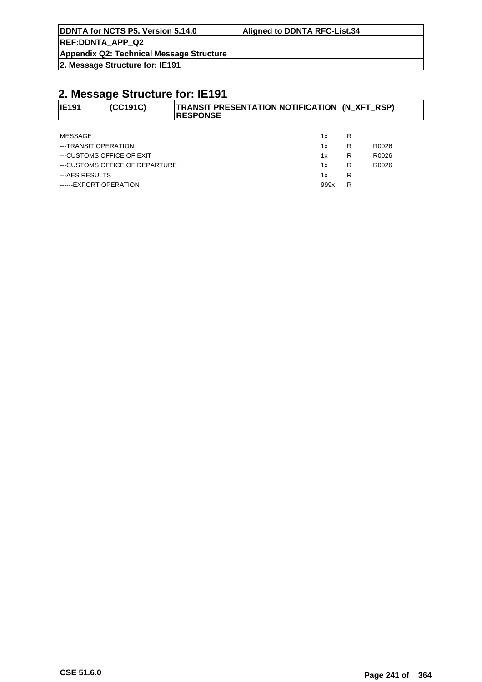**REF:DDNTA\_APP\_Q2**

**Appendix Q2: Technical Message Structure**

**2. Message Structure for: IE191**

| <b>IE191</b>                   | (CC191C) | TRANSIT PRESENTATION NOTIFICATION (N XFT RSP)<br><b>RESPONSE</b> |      |   |       |
|--------------------------------|----------|------------------------------------------------------------------|------|---|-------|
|                                |          |                                                                  |      |   |       |
| MESSAGE                        |          |                                                                  | 1x   | R |       |
| ---TRANSIT OPERATION           |          |                                                                  | 1x   | R | R0026 |
| ---CUSTOMS OFFICE OF EXIT      |          |                                                                  | 1x   | R | R0026 |
| ---CUSTOMS OFFICE OF DEPARTURE |          |                                                                  | 1x   | R | R0026 |
| ---AES RESULTS                 |          |                                                                  | 1x   | R |       |
| ------EXPORT OPERATION         |          |                                                                  | 999x | R |       |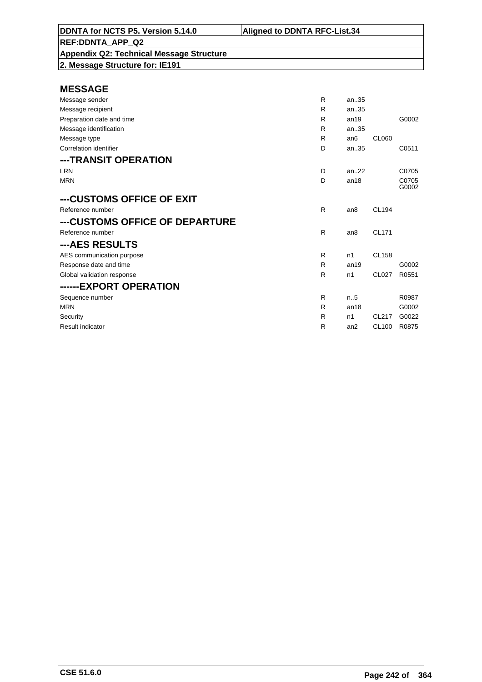#### **DDNTA for NCTS P5. Version 5.14.0 Aligned to DDNTA RFC-List.34 REF:DDNTA\_APP\_Q2**

#### **Appendix Q2: Technical Message Structure 2. Message Structure for: IE191**

| Message sender                 | R | an35             |              |                |
|--------------------------------|---|------------------|--------------|----------------|
| Message recipient              | R | an35             |              |                |
| Preparation date and time      | R | an19             |              | G0002          |
| Message identification         | R | an35             |              |                |
| Message type                   | R | an <sub>6</sub>  | <b>CL060</b> |                |
| Correlation identifier         | D | an35             |              | C0511          |
| ---TRANSIT OPERATION           |   |                  |              |                |
| LRN                            | D | an.22            |              | C0705          |
| <b>MRN</b>                     | D | an18             |              | C0705<br>G0002 |
| ---CUSTOMS OFFICE OF EXIT      |   |                  |              |                |
| Reference number               | R | an8              | CL194        |                |
| ---CUSTOMS OFFICE OF DEPARTURE |   |                  |              |                |
| Reference number               | R | an8              | CL171        |                |
| ---AES RESULTS                 |   |                  |              |                |
| AES communication purpose      | R | n1               | <b>CL158</b> |                |
| Response date and time         | R | an19             |              | G0002          |
| Global validation response     | R | n1               | <b>CL027</b> | R0551          |
| ------EXPORT OPERATION         |   |                  |              |                |
| Sequence number                | R | n <sub>0.5</sub> |              | R0987          |
| <b>MRN</b>                     | R | an18             |              | G0002          |
| Security                       | R | n1               | CL217        | G0022          |
| Result indicator               | R | an2              | <b>CL100</b> | R0875          |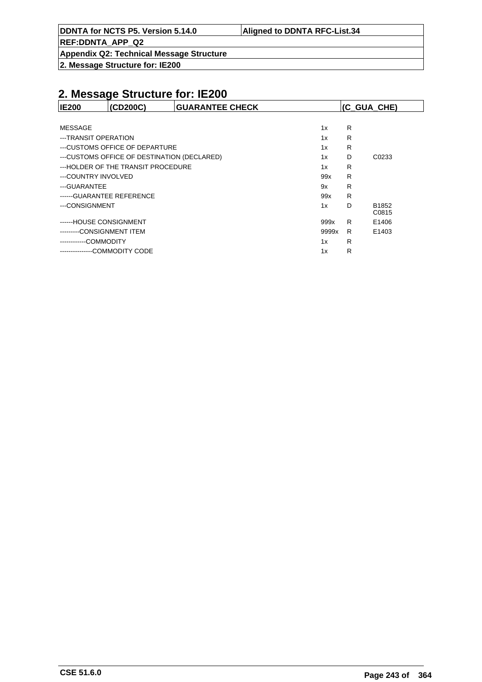**Appendix Q2: Technical Message Structure**

**2. Message Structure for: IE200**

| <b>IE200</b>              | (CD200C)                                    | <b>GUARANTEE CHECK</b> |       |   | (C GUA_CHE)    |
|---------------------------|---------------------------------------------|------------------------|-------|---|----------------|
|                           |                                             |                        |       |   |                |
| <b>MESSAGE</b>            |                                             |                        | 1x    | R |                |
| ---TRANSIT OPERATION      |                                             |                        | 1x    | R |                |
|                           | ---CUSTOMS OFFICE OF DEPARTURE              |                        | 1x    | R |                |
|                           | ---CUSTOMS OFFICE OF DESTINATION (DECLARED) |                        | 1x    | D | C0233          |
|                           | ---HOLDER OF THE TRANSIT PROCEDURE          |                        | 1x    | R |                |
| ---COUNTRY INVOLVED       |                                             |                        | 99x   | R |                |
| ---GUARANTEE              |                                             |                        | 9x    | R |                |
|                           | ------ GUARANTEE REFERENCE                  |                        | 99x   | R |                |
| ---CONSIGNMENT            |                                             |                        | 1x    | D | B1852<br>C0815 |
| ------HOUSE CONSIGNMENT   |                                             |                        | 999x  | R | E1406          |
| ---------CONSIGNMENT ITEM |                                             |                        | 9999x | R | E1403          |
| -----------COMMODITY      |                                             |                        | 1x    | R |                |
|                           | --------------COMMODITY CODE                |                        | 1x    | R |                |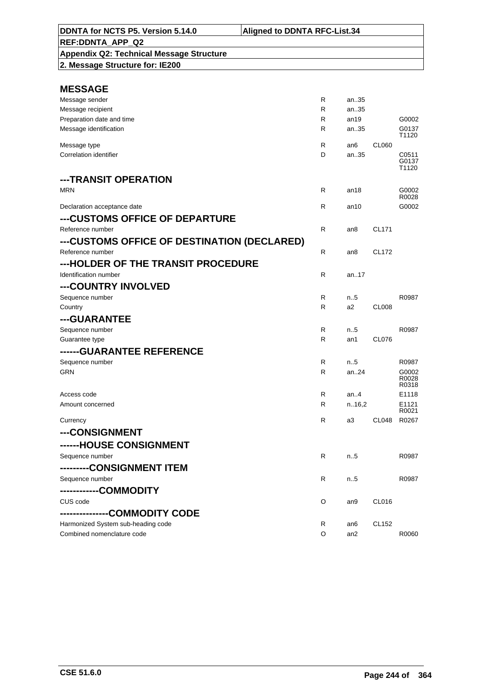| Aligned to DDNTA RFC-List.34 |
|------------------------------|
|                              |

### **REF:DDNTA\_APP\_Q2 Appendix Q2: Technical Message Structure**

**DDNTA for NCTS P5. Version 5.14.0** 

| <b>MESSAGE</b>                              |        |           |              |                |
|---------------------------------------------|--------|-----------|--------------|----------------|
| Message sender                              | R      | an35      |              |                |
| Message recipient                           | R      | an35      |              |                |
| Preparation date and time                   | R      | an19      |              | G0002          |
| Message identification                      | R      | an35      |              | G0137<br>T1120 |
| Message type                                | R      | an6       | <b>CL060</b> |                |
| Correlation identifier                      | D      | an35      |              | C0511<br>G0137 |
| ---TRANSIT OPERATION                        |        |           |              | T1120          |
| <b>MRN</b>                                  | R      | an18      |              | G0002<br>R0028 |
| Declaration acceptance date                 | R      | an10      |              | G0002          |
| ---CUSTOMS OFFICE OF DEPARTURE              |        |           |              |                |
| Reference number                            | R      | an8       | CL171        |                |
| ---CUSTOMS OFFICE OF DESTINATION (DECLARED) |        |           |              |                |
| Reference number                            | R      | an8       | CL172        |                |
| ---HOLDER OF THE TRANSIT PROCEDURE          |        |           |              |                |
| Identification number                       | R      | an17      |              |                |
| ---COUNTRY INVOLVED                         |        |           |              |                |
| Sequence number                             | R      | n5        |              | R0987          |
| Country                                     | R      | a2        | <b>CL008</b> |                |
| ---GUARANTEE                                |        |           |              |                |
| Sequence number<br>Guarantee type           | R<br>R | n5<br>an1 | CL076        | R0987          |
| ------GUARANTEE REFERENCE                   |        |           |              |                |
| Sequence number                             | R      | n.5       |              | R0987          |
| <b>GRN</b>                                  | R      | an24      |              | G0002          |
|                                             |        |           |              | R0028<br>R0318 |
| Access code                                 | R      | an.4      |              | E1118          |
| Amount concerned                            | R      | n. 16,2   |              | E1121<br>R0021 |
| Currency                                    | R      | аЗ        | CL048        | R0267          |
| ---CONSIGNMENT                              |        |           |              |                |
| <b>-HOUSE CONSIGNMENT</b>                   |        |           |              |                |
| Sequence number                             | R      | n5        |              | R0987          |
| --------CONSIGNMENT ITEM                    |        |           |              |                |
| Sequence number                             | R      | n.5       |              | R0987          |
| -----------COMMODITY                        |        |           |              |                |
| CUS code                                    | O      | an9       | CL016        |                |
|                                             |        |           |              |                |
| Harmonized System sub-heading code          | R      | an6       | CL152        |                |
| Combined nomenclature code                  | O      | an2       |              | R0060          |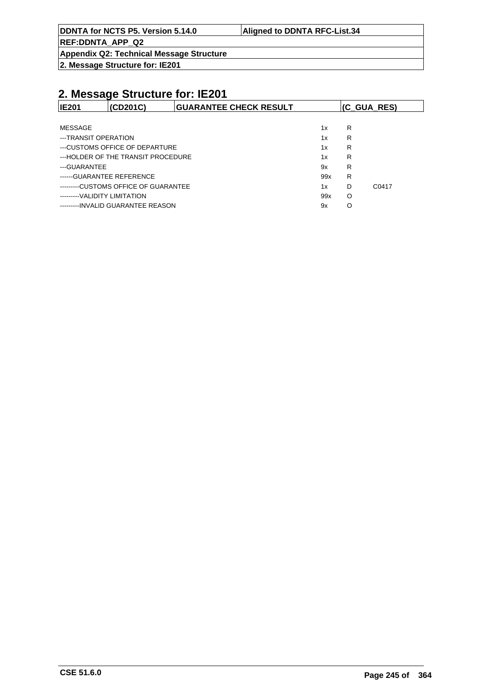|  |  | DDNTA for NCTS P5. Version 5.14.0 |  |
|--|--|-----------------------------------|--|
|  |  |                                   |  |

**Appendix Q2: Technical Message Structure**

**2. Message Structure for: IE201**

# **2. Message Structure for: IE201**

| <b>IE201</b>                        | (CD201C)                          | <b>GUARANTEE CHECK RESULT</b> |     | (C_GUA_RES) |       |
|-------------------------------------|-----------------------------------|-------------------------------|-----|-------------|-------|
|                                     |                                   |                               |     |             |       |
| MESSAGE                             |                                   |                               | 1x  | R           |       |
| ---TRANSIT OPERATION                |                                   |                               |     | R           |       |
| ---CUSTOMS OFFICE OF DEPARTURE      |                                   |                               |     | R           |       |
| ---HOLDER OF THE TRANSIT PROCEDURE  |                                   |                               | 1x  | R           |       |
| ---GUARANTEE                        |                                   |                               | 9x  | R           |       |
| ------ GUARANTEE REFERENCE          |                                   |                               |     | R           |       |
| --------CUSTOMS OFFICE OF GUARANTEE |                                   |                               | 1x  | D           | C0417 |
| ---------VALIDITY LIMITATION        |                                   |                               | 99x | O           |       |
|                                     | ---------INVALID GUARANTEE REASON |                               | 9x  | O           |       |

**Aligned to DDNTA RFC-List.34**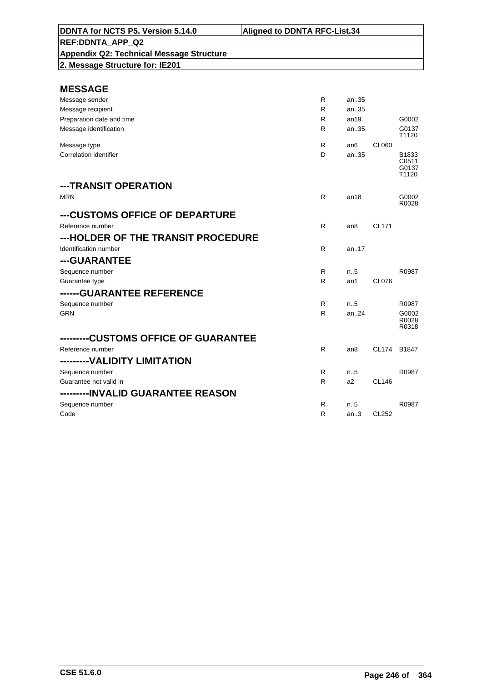| DDNTA for NCTS P5. Version 5.14.0 | Aligned to DDNTA RFC-List.34 |  |  |  |
|-----------------------------------|------------------------------|--|--|--|
| REF:DDNTA APP Q2                  |                              |  |  |  |

#### **REF:DDNTA\_APP\_Q2 Appendix Q2: Technical Message Structure 2. Message Structure for: IE201**

| R  | an35              |                               |                                  |
|----|-------------------|-------------------------------|----------------------------------|
| R  | an.35             |                               |                                  |
| R. | an19              |                               | G0002                            |
| R. | an35              |                               | G0137<br>T1120                   |
| R  | an <sub>6</sub>   | <b>CL060</b>                  |                                  |
| D  | an35              |                               | B1833<br>C0511<br>G0137<br>T1120 |
|    |                   |                               |                                  |
| R  | an18              |                               | G0002<br>R0028                   |
|    |                   |                               |                                  |
| R. | an8               | CL171                         |                                  |
|    |                   |                               |                                  |
| R  | an17              |                               |                                  |
|    |                   |                               |                                  |
| R  | n.5               |                               | R0987                            |
| R. | an1               | <b>CL076</b>                  |                                  |
|    |                   |                               |                                  |
| R  | n <sub>0.5</sub>  |                               | R0987                            |
| R  | an.24             |                               | G0002<br>R0028<br>R0318          |
|    |                   |                               |                                  |
| R  | an <sub>8</sub>   | <b>CL174</b>                  | B1847                            |
|    |                   |                               |                                  |
|    |                   |                               | R0987                            |
|    |                   |                               |                                  |
|    |                   |                               |                                  |
|    |                   |                               |                                  |
|    |                   |                               | R0987                            |
|    |                   |                               |                                  |
|    | R<br>R<br>R.<br>R | $n_{.}5$<br>a2<br>n.5<br>an.3 | CL146<br>CL252                   |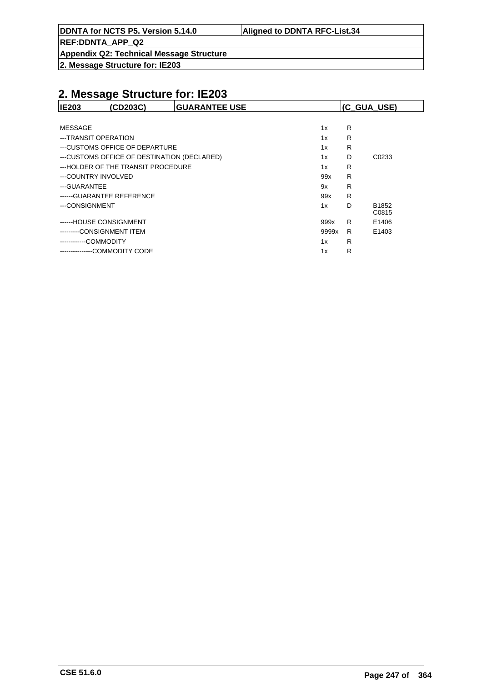**REF:DDNTA\_APP\_Q2**

**Appendix Q2: Technical Message Structure**

**2. Message Structure for: IE203**

| <b>IE203</b>                 | (CD203C)                                    | <b>GUARANTEE USE</b> |       |   | <b>(C GUA USE)</b> |
|------------------------------|---------------------------------------------|----------------------|-------|---|--------------------|
|                              |                                             |                      |       |   |                    |
| <b>MESSAGE</b>               |                                             |                      | 1x    | R |                    |
| ---TRANSIT OPERATION         |                                             | 1x                   | R     |   |                    |
|                              | ---CUSTOMS OFFICE OF DEPARTURE              |                      | 1x    | R |                    |
|                              | ---CUSTOMS OFFICE OF DESTINATION (DECLARED) |                      | 1x    | D | C0233              |
|                              | ---HOLDER OF THE TRANSIT PROCEDURE          |                      | 1x    | R |                    |
| ---COUNTRY INVOLVED          |                                             |                      | 99x   | R |                    |
| ---GUARANTEE                 |                                             |                      | 9x    | R |                    |
| ------ GUARANTEE REFERENCE   |                                             |                      | 99x   | R |                    |
| ---CONSIGNMENT               |                                             |                      | 1x    | D | B1852<br>C0815     |
| ------HOUSE CONSIGNMENT      |                                             |                      | 999x  | R | E1406              |
| --------CONSIGNMENT ITEM     |                                             |                      | 9999x | R | E1403              |
| -----------COMMODITY         |                                             |                      | 1x    | R |                    |
| --------------COMMODITY CODE |                                             |                      | 1x    | R |                    |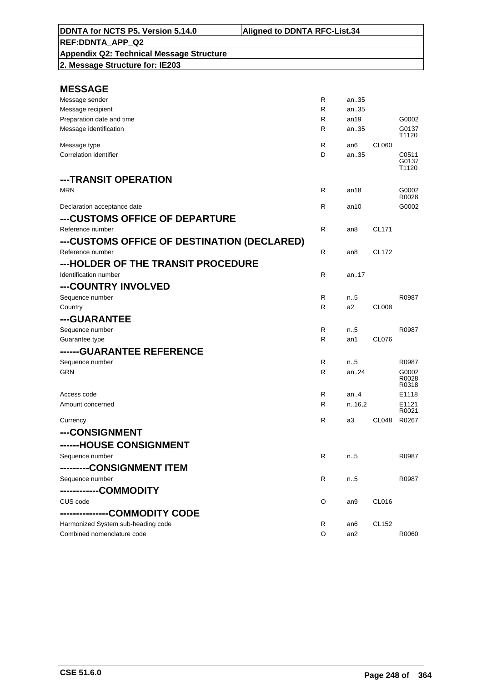| Aligned to DDNTA RFC-List.34 |
|------------------------------|
|                              |

#### **REF:DDNTA\_APP\_Q2 Appendix Q2: Technical Message Structure 2. Message Structure for: IE203**

**DDNTA for NCTS P5. Version 5.14.0** 

| Message sender                                     | R  | an35   |                   |                         |
|----------------------------------------------------|----|--------|-------------------|-------------------------|
| Message recipient                                  | R  | an35   |                   |                         |
| Preparation date and time                          | R. | an19   |                   | G0002                   |
| Message identification                             | R  | an35   |                   | G0137<br>T1120          |
| Message type                                       | R  | an6    | CL060             |                         |
| Correlation identifier                             | D  | an35   |                   | C0511<br>G0137<br>T1120 |
| ---TRANSIT OPERATION                               |    |        |                   |                         |
| <b>MRN</b>                                         | R  | an18   |                   | G0002<br>R0028          |
| Declaration acceptance date                        | R. | an10   |                   | G0002                   |
| ---CUSTOMS OFFICE OF DEPARTURE<br>Reference number | R  | an8    | CL171             |                         |
| ---CUSTOMS OFFICE OF DESTINATION (DECLARED)        |    |        |                   |                         |
| Reference number                                   | R  | an8    | CL172             |                         |
| ---HOLDER OF THE TRANSIT PROCEDURE                 |    |        |                   |                         |
| Identification number                              | R. | an.17  |                   |                         |
| ---COUNTRY INVOLVED                                |    |        |                   |                         |
| Sequence number                                    | R  | n.5    |                   | R0987                   |
| Country                                            | R  | a2     | <b>CL008</b>      |                         |
| ---GUARANTEE                                       |    |        |                   |                         |
| Sequence number                                    | R  | n.5    |                   | R0987                   |
| Guarantee type                                     | R  | an1    | CL076             |                         |
| ------GUARANTEE REFERENCE                          |    |        |                   |                         |
| Sequence number                                    | R. | n.5    |                   | R0987                   |
| <b>GRN</b>                                         | R  | an.24  |                   | G0002<br>R0028<br>R0318 |
| Access code                                        | R  | an.4   |                   | E1118                   |
| Amount concerned                                   | R  | n.16,2 |                   | E1121<br>R0021          |
| Currency                                           | R. | a3     | CL <sub>048</sub> | R0267                   |
| ---CONSIGNMENT                                     |    |        |                   |                         |
| ------HOUSE CONSIGNMENT                            |    |        |                   |                         |
| Sequence number                                    | R  | n.5    |                   | R0987                   |
| --------CONSIGNMENT ITEM                           |    |        |                   |                         |
| Sequence number                                    | R  | n.5    |                   | R0987                   |
| ----------COMMODITY                                |    |        |                   |                         |
| CUS code                                           | O  | an9    | CL016             |                         |
| ---------------COMMODITY CODE                      |    |        |                   |                         |
| Harmonized System sub-heading code                 | R  | an6    | CL152             |                         |
| Combined nomenclature code                         | O  | an2    |                   | R0060                   |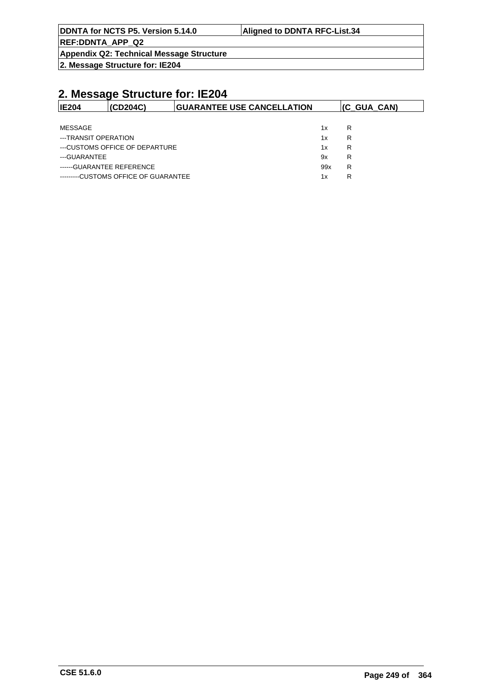|  | DDNTA for NCTS P5. Version 5.14.0 |
|--|-----------------------------------|
|  |                                   |

### **Aligned to DDNTA RFC-List.34**

**REF:DDNTA\_APP\_Q2**

**Appendix Q2: Technical Message Structure**

**2. Message Structure for: IE204**

| <b>IE204</b>              | (CD204C)                             | <b>GUARANTEE USE CANCELLATION</b> |     | (C_GUA_CAN) |
|---------------------------|--------------------------------------|-----------------------------------|-----|-------------|
|                           |                                      |                                   |     |             |
| MESSAGE                   |                                      |                                   | 1x  | R           |
| ---TRANSIT OPERATION      |                                      |                                   | 1x  | R           |
|                           | ---CUSTOMS OFFICE OF DEPARTURE       |                                   | 1x  | R           |
| ---GUARANTEE              |                                      |                                   | 9x  | R           |
| ------GUARANTEE REFERENCE |                                      |                                   | 99x | R           |
|                           | ---------CUSTOMS OFFICE OF GUARANTEE |                                   | 1x  | R           |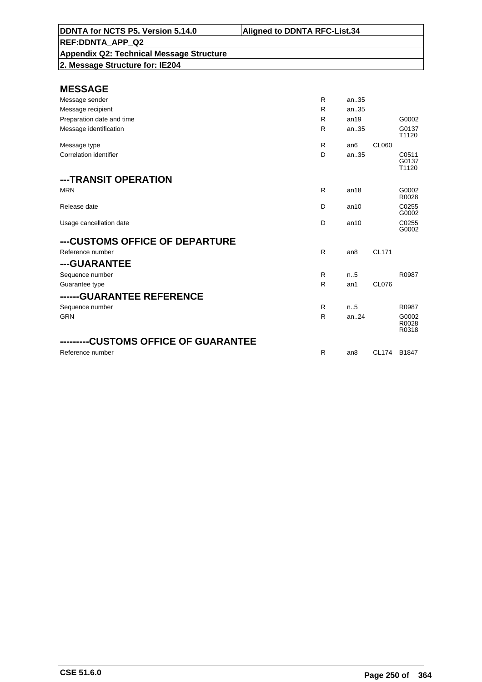| DDNTA for NCTS P5. Version 5.14.0               | Aligned to DDNTA RFC-List.34 |   |      |
|-------------------------------------------------|------------------------------|---|------|
| <b>REF:DDNTA_APP_Q2</b>                         |                              |   |      |
| <b>Appendix Q2: Technical Message Structure</b> |                              |   |      |
| 2. Message Structure for: IE204                 |                              |   |      |
|                                                 |                              |   |      |
|                                                 |                              |   |      |
| <b>MESSAGE</b><br>Message sender                |                              | R | an35 |

| Preparation date and time          | R            | an19             |              | G0002                   |
|------------------------------------|--------------|------------------|--------------|-------------------------|
| Message identification             | R            | an35             |              | G0137<br>T1120          |
| Message type                       | R            | an <sub>6</sub>  | CL060        |                         |
| Correlation identifier             | D            | an35             |              | C0511<br>G0137<br>T1120 |
| ---TRANSIT OPERATION               |              |                  |              |                         |
| <b>MRN</b>                         | $\mathsf{R}$ | an18             |              | G0002<br>R0028          |
| Release date                       | D            | an10             |              | C0255<br>G0002          |
| Usage cancellation date            | D            | an10             |              | C0255<br>G0002          |
| ---CUSTOMS OFFICE OF DEPARTURE     |              |                  |              |                         |
| Reference number                   | R            | an8              | CL171        |                         |
| ---GUARANTEE                       |              |                  |              |                         |
| Sequence number                    | R            | n <sub>0.5</sub> |              | R0987                   |
| Guarantee type                     | R            | an1              | <b>CL076</b> |                         |
| ------GUARANTEE REFERENCE          |              |                  |              |                         |
| Sequence number                    | R            | n <sub>0.5</sub> |              | R0987                   |
| <b>GRN</b>                         | R            | an.24            |              | G0002<br>R0028<br>R0318 |
| <b>CUSTOMS OFFICE OF GUARANTEE</b> |              |                  |              |                         |
| Reference number                   | R            | an <sub>8</sub>  | <b>CL174</b> | B1847                   |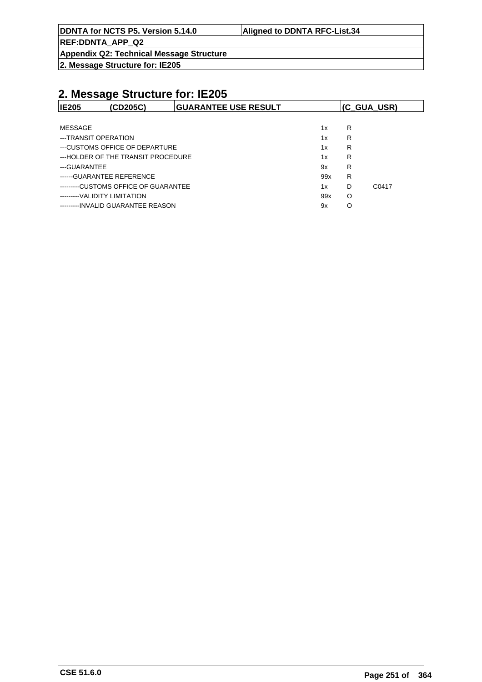|  |  | DDNTA for NCTS P5. Version 5.14.0 |  |
|--|--|-----------------------------------|--|
|  |  |                                   |  |

**Appendix Q2: Technical Message Structure**

**2. Message Structure for: IE205**

# **2. Message Structure for: IE205**

| <b>IE205</b>                   | (CD205C)                            | <b>GUARANTEE USE RESULT</b> |     |   | (C GUA USR) |
|--------------------------------|-------------------------------------|-----------------------------|-----|---|-------------|
|                                |                                     |                             |     |   |             |
| MESSAGE                        |                                     |                             | 1x  | R |             |
| ---TRANSIT OPERATION           |                                     |                             | 1x  | R |             |
| ---CUSTOMS OFFICE OF DEPARTURE |                                     |                             | 1x  | R |             |
|                                | ---HOLDER OF THE TRANSIT PROCEDURE  |                             | 1x  | R |             |
| ---GUARANTEE                   |                                     |                             | 9x  | R |             |
| ------ GUARANTEE REFERENCE     |                                     |                             | 99x | R |             |
|                                | --------CUSTOMS OFFICE OF GUARANTEE |                             | 1x  | D | C0417       |
| ---------VALIDITY LIMITATION   |                                     |                             | 99x | O |             |
|                                | ---------INVALID GUARANTEE REASON   |                             | 9x  | O |             |

**Aligned to DDNTA RFC-List.34**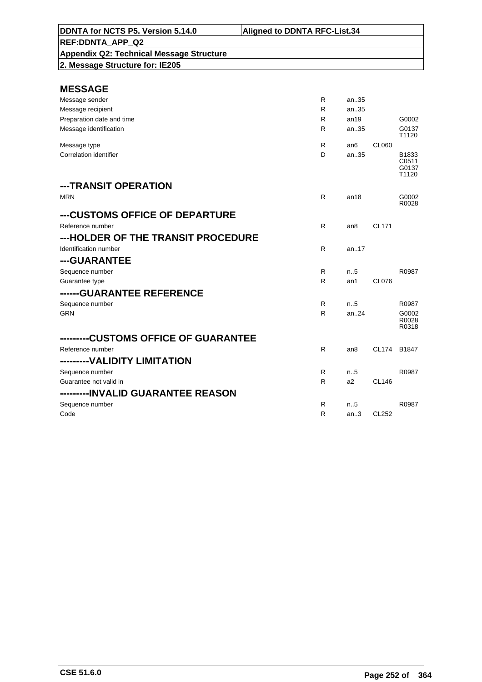| DDNTA for NCTS P5. Version 5.14.0 | Aligned to DDNTA RFC-List.34 |
|-----------------------------------|------------------------------|
| REF:DDNTA APP 02                  |                              |

#### **REF:DDNTA\_APP\_Q2 Appendix Q2: Technical Message Structure 2. Message Structure for: IE205**

| Message sender                      | R  | an35            |              |                                  |
|-------------------------------------|----|-----------------|--------------|----------------------------------|
| Message recipient                   | R  | an35            |              |                                  |
| Preparation date and time           | R  | an19            |              | G0002                            |
| Message identification              | R  | an35            |              | G0137<br>T1120                   |
| Message type                        | R. | an <sub>6</sub> | <b>CL060</b> |                                  |
| Correlation identifier              | D  | an35            |              | B1833<br>C0511<br>G0137<br>T1120 |
| ---TRANSIT OPERATION                |    |                 |              |                                  |
| <b>MRN</b>                          | R  | an18            |              | G0002<br>R0028                   |
| ---CUSTOMS OFFICE OF DEPARTURE      |    |                 |              |                                  |
| Reference number                    | R. | an8             | CL171        |                                  |
| ---HOLDER OF THE TRANSIT PROCEDURE  |    |                 |              |                                  |
| Identification number               | R. | an17            |              |                                  |
| ---GUARANTEE                        |    |                 |              |                                  |
| Sequence number                     | R  | $n_{.}5$        |              | R0987                            |
| Guarantee type                      | R. | an1             | <b>CL076</b> |                                  |
| ------GUARANTEE REFERENCE           |    |                 |              |                                  |
| Sequence number                     | R  | n.5             |              | R0987                            |
| <b>GRN</b>                          | R  | an.24           |              | G0002<br>R0028<br>R0318          |
| --------CUSTOMS OFFICE OF GUARANTEE |    |                 |              |                                  |
| Reference number                    | R  | an <sub>8</sub> | <b>CL174</b> | B1847                            |
| ---------VALIDITY LIMITATION        |    |                 |              |                                  |
| Sequence number                     | R  | $n_{.}5$        |              | R0987                            |
| Guarantee not valid in              | R. | a2              | <b>CL146</b> |                                  |
| ---------INVALID GUARANTEE REASON   |    |                 |              |                                  |
| Sequence number                     | R. | n.5             |              | R0987                            |
| Code                                | R  | an.3            | CL252        |                                  |
|                                     |    |                 |              |                                  |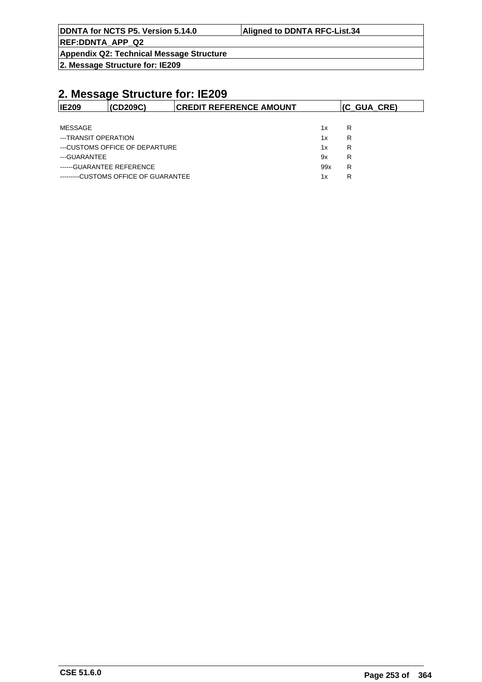|--|

#### **REF:DDNTA\_APP\_Q2**

**Appendix Q2: Technical Message Structure**

**2. Message Structure for: IE209**

# **2. Message Structure for: IE209**

| <b>IE209</b>              | (CD209C)                             | <b>CREDIT REFERENCE AMOUNT</b> |     | (C_GUA_CRE) |
|---------------------------|--------------------------------------|--------------------------------|-----|-------------|
|                           |                                      |                                |     |             |
| MESSAGE                   |                                      |                                | 1x  | R           |
| ---TRANSIT OPERATION      |                                      |                                | 1x  | R           |
|                           | --CUSTOMS OFFICE OF DEPARTURE        |                                | 1x  | R           |
| ---GUARANTEE              |                                      |                                | 9x  | R           |
| ------GUARANTEE REFERENCE |                                      |                                | 99x | R           |
|                           | ---------CUSTOMS OFFICE OF GUARANTEE |                                | 1x  | R           |

**Aligned to DDNTA RFC-List.34**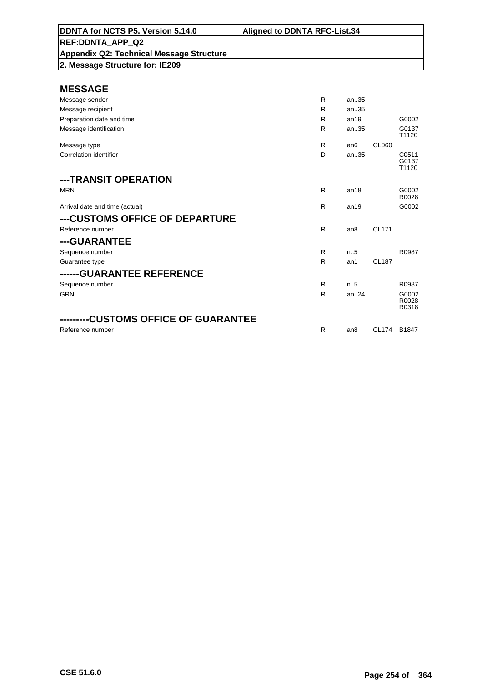| DDNTA for NCTS P5. Version 5.14.0               | <b>Aligned to DDNTA RFC-List.34</b> |          |                   |                |
|-------------------------------------------------|-------------------------------------|----------|-------------------|----------------|
| REF:DDNTA_APP_Q2                                |                                     |          |                   |                |
| <b>Appendix Q2: Technical Message Structure</b> |                                     |          |                   |                |
| 2. Message Structure for: IE209                 |                                     |          |                   |                |
| <b>MESSAGE</b>                                  |                                     |          |                   |                |
|                                                 |                                     |          |                   |                |
| Message sender                                  | R                                   | an. $35$ |                   |                |
| Message recipient                               | R                                   | an. $35$ |                   |                |
| Preparation date and time                       | R                                   | an19     |                   | G0002          |
| Message identification                          | R                                   | an35     |                   | G0137<br>T1120 |
| Message type                                    | R                                   | an6      | CL <sub>060</sub> |                |

| iviessage type                      | K | ano              | <b>ULUOU</b> |                         |
|-------------------------------------|---|------------------|--------------|-------------------------|
| Correlation identifier              | D | an35             |              | C0511<br>G0137<br>T1120 |
| ---TRANSIT OPERATION                |   |                  |              |                         |
| <b>MRN</b>                          | R | an18             |              | G0002<br>R0028          |
| Arrival date and time (actual)      | R | an19             |              | G0002                   |
| ---CUSTOMS OFFICE OF DEPARTURE      |   |                  |              |                         |
| Reference number                    | R | an <sub>8</sub>  | CL171        |                         |
| ---GUARANTEE                        |   |                  |              |                         |
| Sequence number                     | R | $n_{.}5$         |              | R0987                   |
| Guarantee type                      | R | an1              | <b>CL187</b> |                         |
| ------GUARANTEE REFERENCE           |   |                  |              |                         |
| Sequence number                     | R | n <sub>0.5</sub> |              | R0987                   |
| <b>GRN</b>                          | R | an. $.24$        |              | G0002<br>R0028<br>R0318 |
| <b>-CUSTOMS OFFICE OF GUARANTEE</b> |   |                  |              |                         |
| Reference number                    | R | an <sub>8</sub>  | CL174        | B1847                   |
|                                     |   |                  |              |                         |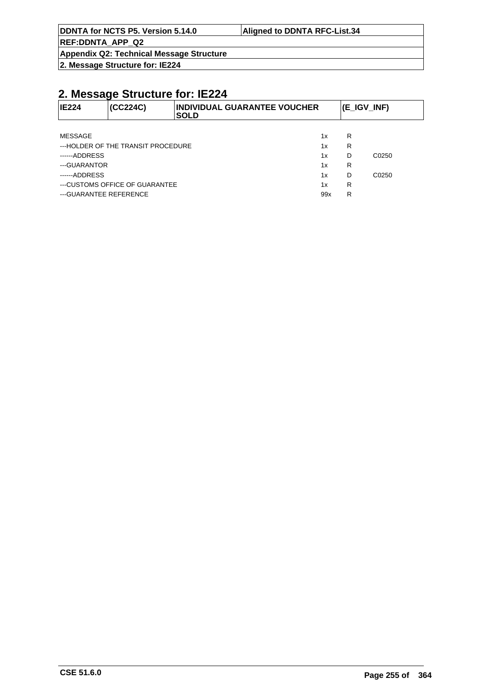**REF:DDNTA\_APP\_Q2**

**Appendix Q2: Technical Message Structure**

**2. Message Structure for: IE224**

| <b>IE224</b>                             | (CC224C) | <b>INDIVIDUAL GUARANTEE VOUCHER</b><br><b>SOLD</b> |     |   | (E_IGV_INF)       |
|------------------------------------------|----------|----------------------------------------------------|-----|---|-------------------|
|                                          |          |                                                    |     |   |                   |
| MESSAGE                                  |          |                                                    | 1x  | R |                   |
| ---HOLDER OF THE TRANSIT PROCEDURE<br>1x |          |                                                    |     | R |                   |
| ------ADDRESS<br>1x                      |          |                                                    |     | D | C0250             |
| ---GUARANTOR<br>1x                       |          |                                                    |     | R |                   |
| ------ADDRESS<br>1x                      |          |                                                    |     | D | C <sub>0250</sub> |
| ---CUSTOMS OFFICE OF GUARANTEE<br>1x     |          |                                                    |     | R |                   |
| --- GUARANTEE REFERENCE                  |          |                                                    | 99x | R |                   |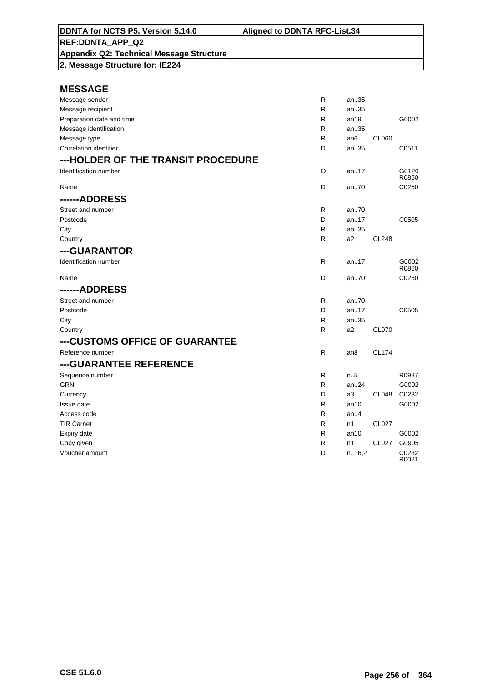| <b>DDNTA for NCTS P5. Version 5.14.0</b>        | Aligned to DDNTA RFC-List.34 |
|-------------------------------------------------|------------------------------|
| <b>REF:DDNTA_APP_Q2</b>                         |                              |
| <b>Appendix Q2: Technical Message Structure</b> |                              |
| 2. Message Structure for: IE224                 |                              |
|                                                 |                              |
| <b>MESSAGE</b>                                  |                              |

| Message sender                     | R            | an35            |              |       |
|------------------------------------|--------------|-----------------|--------------|-------|
| Message recipient                  | R            | an35            |              |       |
| Preparation date and time          | R            | an19            |              | G0002 |
| Message identification             | R.           | an35            |              |       |
| Message type                       | R            | an <sub>6</sub> | <b>CL060</b> |       |
| Correlation identifier             | D            | an35            |              | C0511 |
| ---HOLDER OF THE TRANSIT PROCEDURE |              |                 |              |       |
| Identification number              | O            | an17            |              | G0120 |
|                                    |              |                 |              | R0850 |
| Name                               | D            | an.70           |              | C0250 |
| ------ADDRESS                      |              |                 |              |       |
| Street and number                  | R            | an70            |              |       |
| Postcode                           | D            | an17            |              | C0505 |
| City                               | R            | an35            |              |       |
| Country                            | R            | a2              | <b>CL248</b> |       |
| --- GUARANTOR                      |              |                 |              |       |
| Identification number              | R            | an17            |              | G0002 |
|                                    |              |                 |              | R0860 |
| Name                               | D            | an70            |              | C0250 |
| ------ADDRESS                      |              |                 |              |       |
| Street and number                  | R            | an.70           |              |       |
| Postcode                           | D            | an.17           |              | C0505 |
| City                               | R            | an35            |              |       |
| Country                            | R            | a2              | <b>CL070</b> |       |
| ---CUSTOMS OFFICE OF GUARANTEE     |              |                 |              |       |
| Reference number                   | R            | an <sub>8</sub> | <b>CL174</b> |       |
| --- GUARANTEE REFERENCE            |              |                 |              |       |
| Sequence number                    | R            | n.5             |              | R0987 |
| <b>GRN</b>                         | R            | an.24           |              | G0002 |
| Currency                           | D            | a3              | <b>CL048</b> | C0232 |
| Issue date                         | R            | an10            |              | G0002 |
| Access code                        | R            | an.4            |              |       |
| <b>TIR Carnet</b>                  | R            | n1              | <b>CL027</b> |       |
| Expiry date                        | $\mathsf{R}$ | an10            |              | G0002 |
| Copy given                         | $\mathsf{R}$ | n1              | CL027        | G0905 |
| Voucher amount                     | D            | n.16,2          |              | C0232 |
|                                    |              |                 |              | R0021 |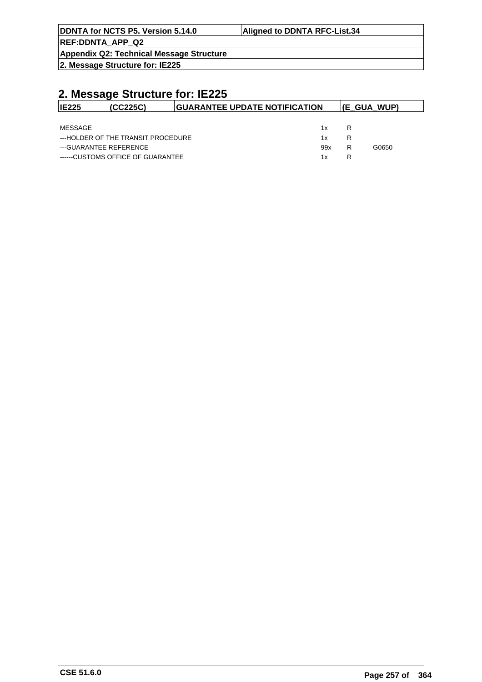|  |  | DDNTA for NCTS P5. Version 5.14.0 |  |
|--|--|-----------------------------------|--|
|  |  |                                   |  |

#### **REF:DDNTA\_APP\_Q2**

**Appendix Q2: Technical Message Structure**

**2. Message Structure for: IE225**

# **2. Message Structure for: IE225**

| <b>IE225</b>           | (CC225C)                           | <b>GUARANTEE UPDATE NOTIFICATION</b><br>KE GUA WUP) |     |   |       |
|------------------------|------------------------------------|-----------------------------------------------------|-----|---|-------|
|                        |                                    |                                                     |     |   |       |
| MESSAGE                |                                    |                                                     | 1x  | R |       |
|                        | ---HOLDER OF THE TRANSIT PROCEDURE |                                                     | 1x  |   |       |
| ---GUARANTEE REFERENCE |                                    |                                                     | 99x | R | G0650 |
|                        | ------CUSTOMS OFFICE OF GUARANTEE  |                                                     | 1x  |   |       |

**Aligned to DDNTA RFC-List.34**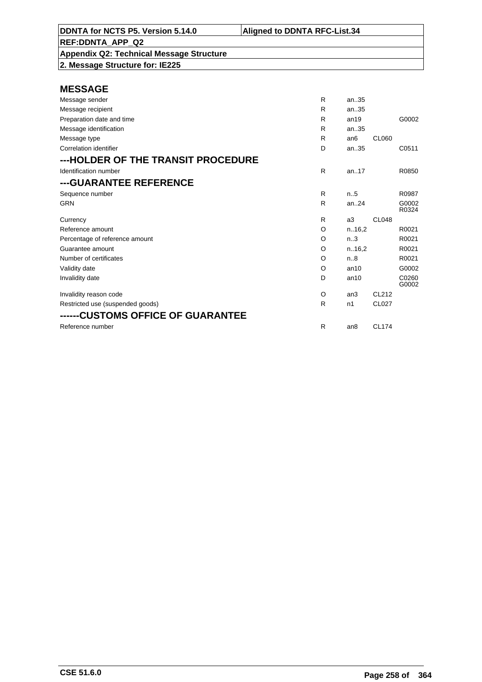| DDNTA for NCTS P5. Version 5.14.0 | Aligned to DDNTA RFC-List.34 |
|-----------------------------------|------------------------------|
|                                   |                              |

| Message sender                     | R | an.35            |              |                |
|------------------------------------|---|------------------|--------------|----------------|
| Message recipient                  | R | an35             |              |                |
| Preparation date and time          | R | an19             |              | G0002          |
| Message identification             | R | an35             |              |                |
| Message type                       | R | an <sub>6</sub>  | CL060        |                |
| Correlation identifier             | D | an35             |              | C0511          |
| ---HOLDER OF THE TRANSIT PROCEDURE |   |                  |              |                |
| Identification number              | R | an.17            |              | R0850          |
| ---GUARANTEE REFERENCE             |   |                  |              |                |
| Sequence number                    | R | n <sub>0.5</sub> |              | R0987          |
| <b>GRN</b>                         | R | an.24            |              | G0002<br>R0324 |
| Currency                           | R | a <sub>3</sub>   | <b>CL048</b> |                |
| Reference amount                   | O | n.16,2           |              | R0021          |
| Percentage of reference amount     | O | n <sub>0</sub> 3 |              | R0021          |
| Guarantee amount                   | O | n.16,2           |              | R0021          |
| Number of certificates             | O | n.8              |              | R0021          |
| Validity date                      | O | an10             |              | G0002          |
| Invalidity date                    | D | an10             |              | C0260<br>G0002 |
| Invalidity reason code             | O | an3              | CL212        |                |
| Restricted use (suspended goods)   | R | n1               | <b>CL027</b> |                |
| ------CUSTOMS OFFICE OF GUARANTEE  |   |                  |              |                |
| Reference number                   | R | an <sub>8</sub>  | <b>CL174</b> |                |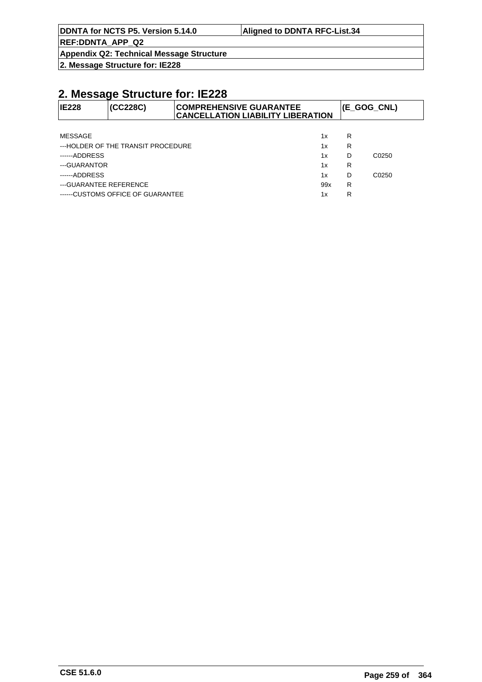## **REF:DDNTA\_APP\_Q2**

**Appendix Q2: Technical Message Structure**

**2. Message Structure for: IE228**

| <b>IE228</b>                   | (CC228C)                           | <b>COMPREHENSIVE GUARANTEE</b><br><b>CANCELLATION LIABILITY LIBERATION</b> |    |   | (E_GOG_CNL)       |
|--------------------------------|------------------------------------|----------------------------------------------------------------------------|----|---|-------------------|
|                                |                                    |                                                                            |    |   |                   |
| MESSAGE                        |                                    |                                                                            | 1x | R |                   |
|                                | ---HOLDER OF THE TRANSIT PROCEDURE |                                                                            | 1x | R |                   |
| ------ADDRESS                  |                                    |                                                                            | 1x | D | C <sub>0250</sub> |
| ---GUARANTOR                   |                                    |                                                                            | 1x | R |                   |
| ------ADDRESS                  |                                    |                                                                            | 1x | D | C0250             |
| --- GUARANTEE REFERENCE<br>99x |                                    |                                                                            | R  |   |                   |
|                                | ------CUSTOMS OFFICE OF GUARANTEE  |                                                                            | 1x | R |                   |
|                                |                                    |                                                                            |    |   |                   |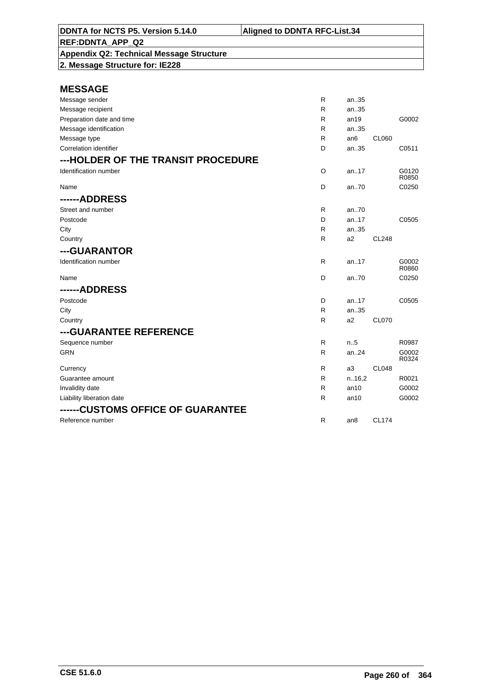| <b>DDNTA for NCTS P5. Version 5.14.0</b>        | Aligned to DDNTA RFC-List.34 |
|-------------------------------------------------|------------------------------|
| <b>REF:DDNTA APP Q2</b>                         |                              |
| <b>Appendix Q2: Technical Message Structure</b> |                              |

| Message sender<br>Message recipient<br>Preparation date and time<br>Message identification<br>Message type<br>Correlation identifier<br>---HOLDER OF THE TRANSIT PROCEDURE | $\mathsf{R}$<br>R<br>$\mathsf{R}$<br>$\mathsf{R}$<br>$\mathsf{R}$<br>D | an35<br>an35<br>an19<br>an35<br>an <sub>6</sub><br>an35 | <b>CL060</b> | G0002<br>C0511 |
|----------------------------------------------------------------------------------------------------------------------------------------------------------------------------|------------------------------------------------------------------------|---------------------------------------------------------|--------------|----------------|
| Identification number                                                                                                                                                      | O                                                                      | an17                                                    |              | G0120          |
|                                                                                                                                                                            |                                                                        |                                                         |              | R0850          |
| Name                                                                                                                                                                       | D                                                                      | an.70                                                   |              | C0250          |
| ------ADDRESS                                                                                                                                                              |                                                                        |                                                         |              |                |
| Street and number                                                                                                                                                          | $\mathsf{R}$                                                           | an.70                                                   |              |                |
| Postcode                                                                                                                                                                   | D                                                                      | an.17                                                   |              | C0505          |
| City                                                                                                                                                                       | R                                                                      | an35                                                    |              |                |
| Country                                                                                                                                                                    | $\mathsf{R}$                                                           | a2                                                      | <b>CL248</b> |                |
| ---GUARANTOR                                                                                                                                                               |                                                                        |                                                         |              |                |
| Identification number                                                                                                                                                      | $\mathsf{R}$                                                           | an17                                                    |              | G0002<br>R0860 |
| Name                                                                                                                                                                       | D                                                                      | an.70                                                   |              | C0250          |
| ------ADDRESS                                                                                                                                                              |                                                                        |                                                         |              |                |
| Postcode                                                                                                                                                                   | D                                                                      | an.17                                                   |              | C0505          |
| City                                                                                                                                                                       | $\mathsf{R}$                                                           | an35                                                    |              |                |
| Country                                                                                                                                                                    | $\mathsf{R}$                                                           | a2                                                      | <b>CL070</b> |                |
| --- GUARANTEE REFERENCE                                                                                                                                                    |                                                                        |                                                         |              |                |
| Sequence number                                                                                                                                                            | $\mathsf{R}$                                                           | n.5                                                     |              | R0987          |
| GRN                                                                                                                                                                        | $\mathsf{R}$                                                           | an.24                                                   |              | G0002          |
|                                                                                                                                                                            |                                                                        |                                                         |              | R0324          |
| Currency                                                                                                                                                                   | $\mathsf{R}$                                                           | a3                                                      | <b>CL048</b> |                |
| Guarantee amount                                                                                                                                                           | $\mathsf{R}$                                                           | n.16,2                                                  |              | R0021          |
| Invalidity date                                                                                                                                                            | R<br>$\mathsf{R}$                                                      | an10<br>an10                                            |              | G0002<br>G0002 |
| Liability liberation date                                                                                                                                                  |                                                                        |                                                         |              |                |
| ------CUSTOMS OFFICE OF GUARANTEE                                                                                                                                          |                                                                        |                                                         |              |                |
| Reference number                                                                                                                                                           | $\mathsf{R}$                                                           | an <sub>8</sub>                                         | <b>CL174</b> |                |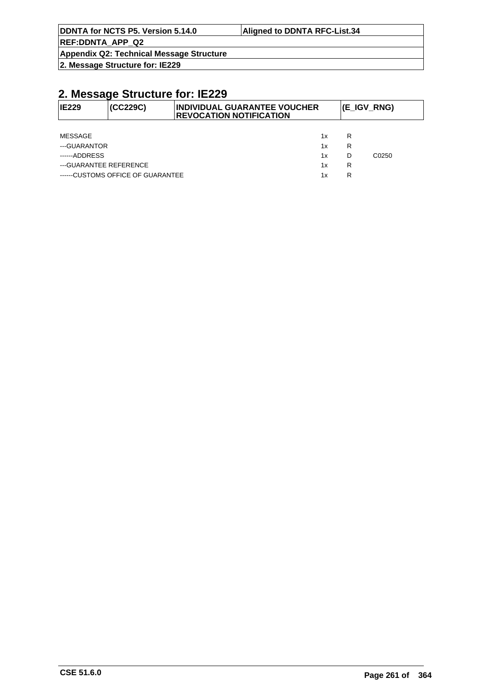**REF:DDNTA\_APP\_Q2**

**Appendix Q2: Technical Message Structure**

**2. Message Structure for: IE229**

| IE229                  | (CC229C)                          | <b>INDIVIDUAL GUARANTEE VOUCHER</b><br><b>REVOCATION NOTIFICATION</b> |    |   | (E_IGV_RNG) |
|------------------------|-----------------------------------|-----------------------------------------------------------------------|----|---|-------------|
|                        |                                   |                                                                       |    |   |             |
| MESSAGE                |                                   |                                                                       | 1x | R |             |
| ---GUARANTOR           |                                   |                                                                       | 1x | R |             |
| ------ADDRESS          |                                   |                                                                       | 1x | D | C0250       |
| ---GUARANTEE REFERENCE |                                   |                                                                       | 1x | R |             |
|                        | ------CUSTOMS OFFICE OF GUARANTEE |                                                                       | 1x | R |             |
|                        |                                   |                                                                       |    |   |             |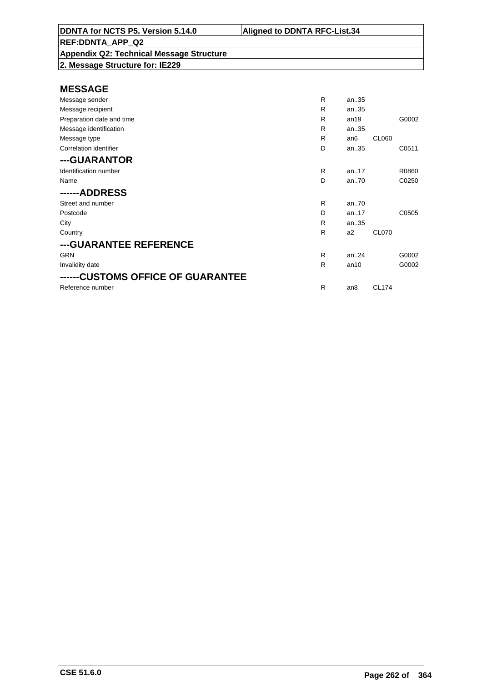| Message sender               | $\mathsf{R}$ | an35            |              |       |
|------------------------------|--------------|-----------------|--------------|-------|
| Message recipient            | R            | an.35           |              |       |
| Preparation date and time    | R            | an19            |              | G0002 |
| Message identification       | R            | an.35           |              |       |
| Message type                 | R            | an <sub>6</sub> | CL060        |       |
| Correlation identifier       | D            | an35            |              | C0511 |
| ---GUARANTOR                 |              |                 |              |       |
| Identification number        | R            | an.17           |              | R0860 |
| Name                         | D            | an70            |              | C0250 |
| ------ADDRESS                |              |                 |              |       |
| Street and number            | R            | an.70           |              |       |
| Postcode                     | D            | an.17           |              | C0505 |
| City                         | R            | an.35           |              |       |
| Country                      | R            | a <sub>2</sub>  | <b>CL070</b> |       |
| --- GUARANTEE REFERENCE      |              |                 |              |       |
| <b>GRN</b>                   | R            | an.24           |              | G0002 |
| Invalidity date              | R            | an10            |              | G0002 |
| -CUSTOMS OFFICE OF GUARANTEE |              |                 |              |       |
| Reference number             | $\mathsf{R}$ | an8             | <b>CL174</b> |       |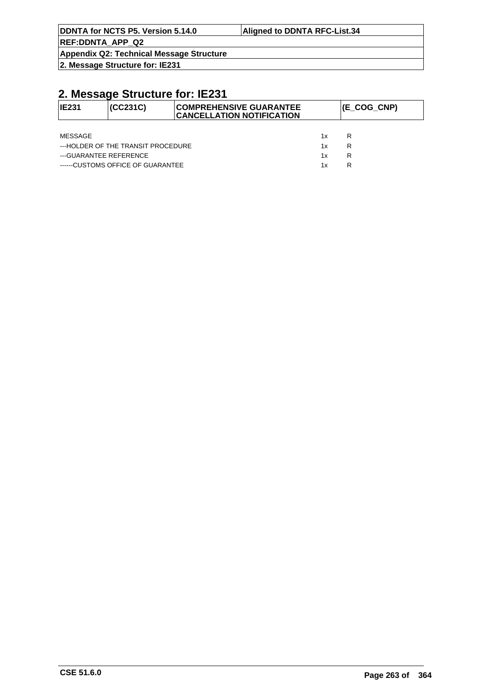**REF:DDNTA\_APP\_Q2**

**Appendix Q2: Technical Message Structure**

**2. Message Structure for: IE231**

| <b>IE231</b>                      | (CC231C)                           | <b>COMPREHENSIVE GUARANTEE</b><br><b>CANCELLATION NOTIFICATION</b> |    | $ $ (E_COG_CNP) |
|-----------------------------------|------------------------------------|--------------------------------------------------------------------|----|-----------------|
|                                   |                                    |                                                                    |    |                 |
| MESSAGE                           |                                    |                                                                    | 1x | R               |
|                                   | ---HOLDER OF THE TRANSIT PROCEDURE |                                                                    | 1x | R               |
| --- GUARANTEE REFERENCE           |                                    |                                                                    | 1x | R               |
| ------CUSTOMS OFFICE OF GUARANTEE |                                    |                                                                    | 1х | R               |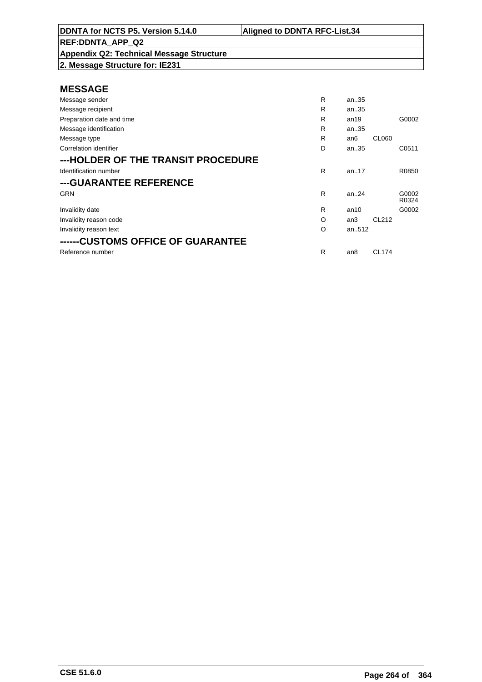| DDNTA for NCTS P5. Version 5.14.0 | Aligned to DDNTA RFC-List.34 |
|-----------------------------------|------------------------------|
| . _ _ _ _ _ __ .                  |                              |

| Message sender                     | R  | an.35           |       |                |
|------------------------------------|----|-----------------|-------|----------------|
| Message recipient                  | R  | an.35           |       |                |
| Preparation date and time          | R  | an19            |       | G0002          |
| Message identification             | R  | an35            |       |                |
| Message type                       | R  | an6             | CL060 |                |
| Correlation identifier             | D  | an.35           |       | C0511          |
| ---HOLDER OF THE TRANSIT PROCEDURE |    |                 |       |                |
| Identification number              | R. | an. $.17$       |       | R0850          |
| ---GUARANTEE REFERENCE             |    |                 |       |                |
| <b>GRN</b>                         | R  | an.24           |       | G0002<br>R0324 |
| Invalidity date                    | R  | an10            |       | G0002          |
| Invalidity reason code             | O  | an <sub>3</sub> | CL212 |                |
| Invalidity reason text             | O  | an512           |       |                |
| ------CUSTOMS OFFICE OF GUARANTEE  |    |                 |       |                |
| Reference number                   | R. | an <sub>8</sub> | CL174 |                |
|                                    |    |                 |       |                |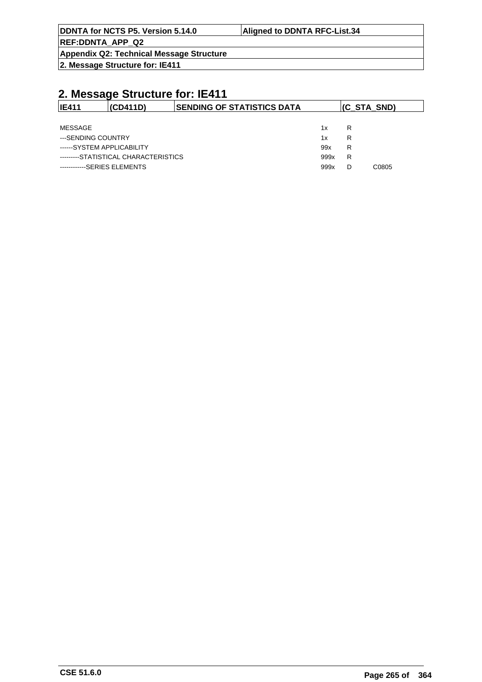|  |  | DDNTA for NCTS P5. Version 5.14.0 |  |
|--|--|-----------------------------------|--|
|  |  |                                   |  |

#### **Aligned to DDNTA RFC-List.34**

**REF:DDNTA\_APP\_Q2**

**Appendix Q2: Technical Message Structure**

**2. Message Structure for: IE411**

| <b>IE411</b>                        | (CD411D) | <b>SENDING OF STATISTICS DATA</b> |      | $(C$ STA SND) |       |
|-------------------------------------|----------|-----------------------------------|------|---------------|-------|
|                                     |          |                                   |      |               |       |
| MESSAGE                             |          |                                   | 1x   | R             |       |
| ---SENDING COUNTRY                  |          | 1x                                | R    |               |       |
| ------SYSTEM APPLICABILITY          |          |                                   | 99x  | R             |       |
| --------STATISTICAL CHARACTERISTICS |          | 999x                              | R    |               |       |
| -----------SERIES ELEMENTS          |          |                                   | 999x | D             | C0805 |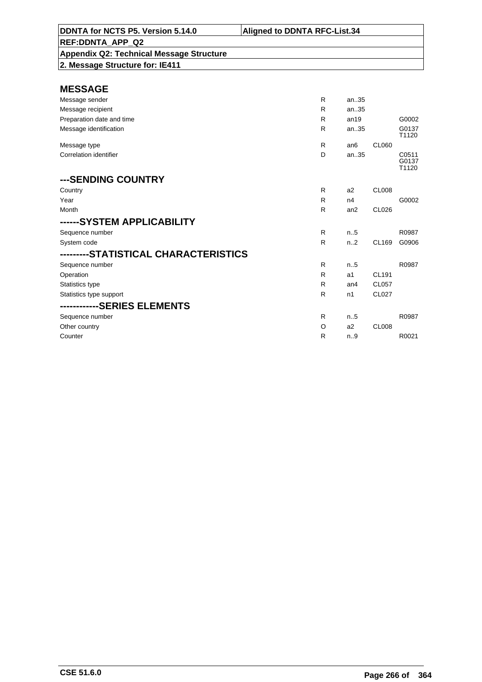| DDNTA for NCTS P5. Version 5.14.0 | Aligned to DDNTA RFC-List.34 |
|-----------------------------------|------------------------------|
|                                   |                              |

## **REF:DDNTA\_APP\_Q2 Appendix Q2: Technical Message Structure**

| <b>MESSAGE</b>                      |    |                  |              |                         |
|-------------------------------------|----|------------------|--------------|-------------------------|
| Message sender                      | R  | an35             |              |                         |
| Message recipient                   | R  | an35             |              |                         |
| Preparation date and time           | R  | an19             |              | G0002                   |
| Message identification              | R  | an.35            |              | G0137<br>T1120          |
| Message type                        | R  | an <sub>6</sub>  | CL060        |                         |
| Correlation identifier              | D  | an35             |              | C0511<br>G0137<br>T1120 |
| ---SENDING COUNTRY                  |    |                  |              |                         |
| Country                             | R  | a2               | <b>CL008</b> |                         |
| Year                                | R  | n4               |              | G0002                   |
| Month                               | R  | an2              | CL026        |                         |
| ------SYSTEM APPLICABILITY          |    |                  |              |                         |
| Sequence number                     | R  | n.5              |              | R0987                   |
| System code                         | R. | n <sub>1</sub> 2 | CL169        | G0906                   |
| --------STATISTICAL CHARACTERISTICS |    |                  |              |                         |
| Sequence number                     | R. | n.5              |              | R0987                   |
| Operation                           | R  | a1               | CL191        |                         |
| Statistics type                     | R  | an <sub>4</sub>  | <b>CL057</b> |                         |
| Statistics type support             | R  | n1               | <b>CL027</b> |                         |
|                                     |    |                  |              |                         |
| Sequence number                     | R. | n.5              |              | R0987                   |
| Other country                       | O  | a2               | <b>CL008</b> |                         |
| Counter                             | R  | n.9              |              | R0021                   |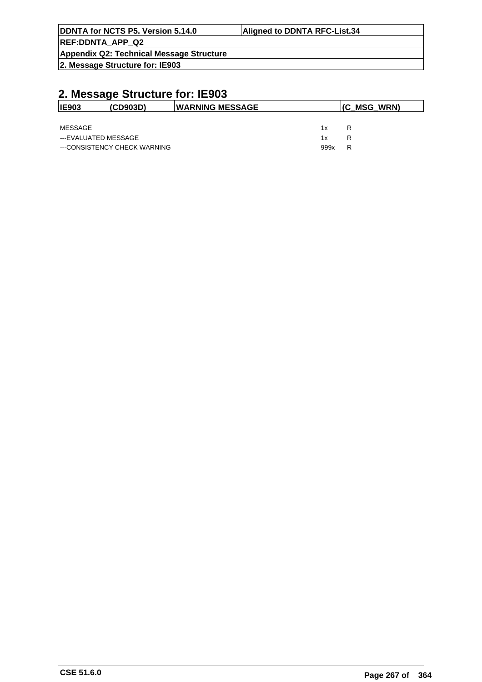| DDNTA for NCTS P5. Version 5.14.0               | Aligned to DDNTA RFC-List.34 |
|-------------------------------------------------|------------------------------|
| <b>REF:DDNTA APP Q2</b>                         |                              |
| <b>Appendix Q2: Technical Message Structure</b> |                              |

| <b>IE903</b>         | <b>(CD903D)</b>              | <b>IWARNING MESSAGE</b> |      | $ $ (C_MSG_WRN) |
|----------------------|------------------------------|-------------------------|------|-----------------|
|                      |                              |                         |      |                 |
| MESSAGE              |                              |                         | 1x   | R               |
| ---EVALUATED MESSAGE |                              |                         | 1x   | R               |
|                      | ---CONSISTENCY CHECK WARNING |                         | 999x | R               |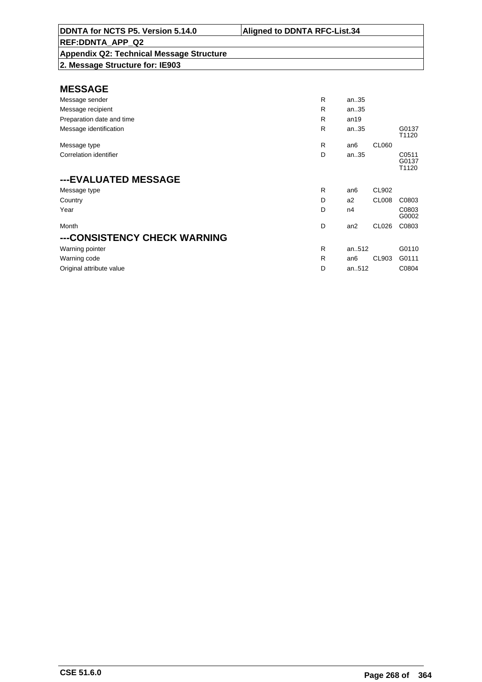| DDNTA for NCTS P5. Version 5.14.0        | Aligned to DDNTA RFC-List.34 |
|------------------------------------------|------------------------------|
| <b>REF:DDNTA APP Q2</b>                  |                              |
| Appendix Q2: Technical Message Structure |                              |
| 2. Message Structure for: IE903          |                              |
|                                          |                              |

| Message sender               | R | an35  |              |                         |
|------------------------------|---|-------|--------------|-------------------------|
| Message recipient            | R | an.35 |              |                         |
| Preparation date and time    | R | an19  |              |                         |
| Message identification       | R | an35  |              | G0137<br>T1120          |
| Message type                 | R | an6   | <b>CL060</b> |                         |
| Correlation identifier       | D | an.35 |              | C0511<br>G0137<br>T1120 |
| ---EVALUATED MESSAGE         |   |       |              |                         |
| Message type                 | R | an6   | CL902        |                         |
| Country                      | D | a2    | <b>CL008</b> | C0803                   |
| Year                         | D | n4    |              | C0803<br>G0002          |
| Month                        | D | an2   | CL026        | C0803                   |
| ---CONSISTENCY CHECK WARNING |   |       |              |                         |
| Warning pointer              | R | an512 |              | G0110                   |
| Warning code                 | R | an6   | CL903        | G0111                   |
| Original attribute value     | D | an512 |              | C0804                   |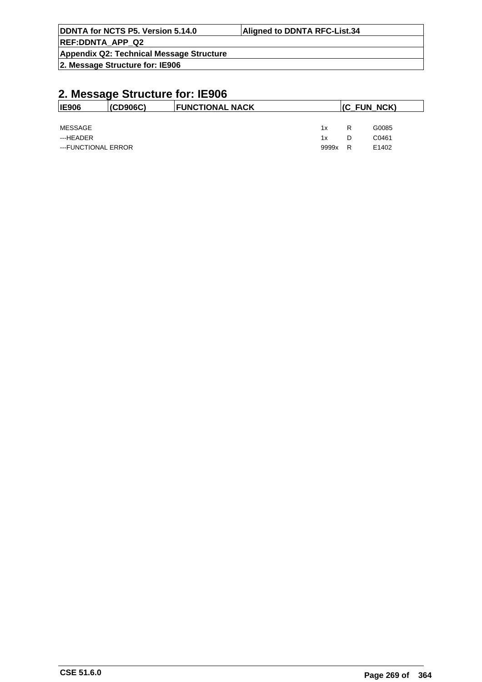| DDNTA for NCTS P5. Version 5.14.0        | Aligned to DDNTA RFC-List.34 |
|------------------------------------------|------------------------------|
| <b>REF:DDNTA APP Q2</b>                  |                              |
| Appendix Q2: Technical Message Structure |                              |
| 2. Message Structure for: IE906          |                              |

| <b>IE906</b>        | (CD906C) | <b>FUNCTIONAL NACK</b> | $ $ (C_FUN_NCK) |   |       |
|---------------------|----------|------------------------|-----------------|---|-------|
|                     |          |                        |                 |   |       |
| MESSAGE             |          |                        | 1x              | R | G0085 |
| ---HEADER           |          |                        | 1x              | D | C0461 |
| ---FUNCTIONAL ERROR |          |                        | 9999x           | R | E1402 |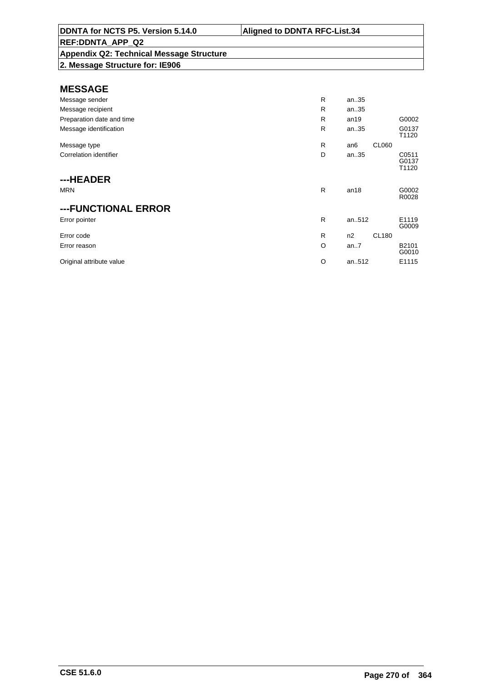| Message sender            | R | an35            |              |                         |
|---------------------------|---|-----------------|--------------|-------------------------|
| Message recipient         | R | an35            |              |                         |
| Preparation date and time | R | an19            |              | G0002                   |
| Message identification    | R | an35            |              | G0137<br>T1120          |
| Message type              | R | an <sub>6</sub> | <b>CL060</b> |                         |
| Correlation identifier    | D | an35            |              | C0511<br>G0137<br>T1120 |
| ---HEADER                 |   |                 |              |                         |
| <b>MRN</b>                | R | an18            |              | G0002<br>R0028          |
| ---FUNCTIONAL ERROR       |   |                 |              |                         |
| Error pointer             | R | an512           |              | E1119<br>G0009          |
| Error code                | R | n2              | CL180        |                         |
| Error reason              | O | an $7$          |              | B2101<br>G0010          |
| Original attribute value  | O | an512           |              | E1115                   |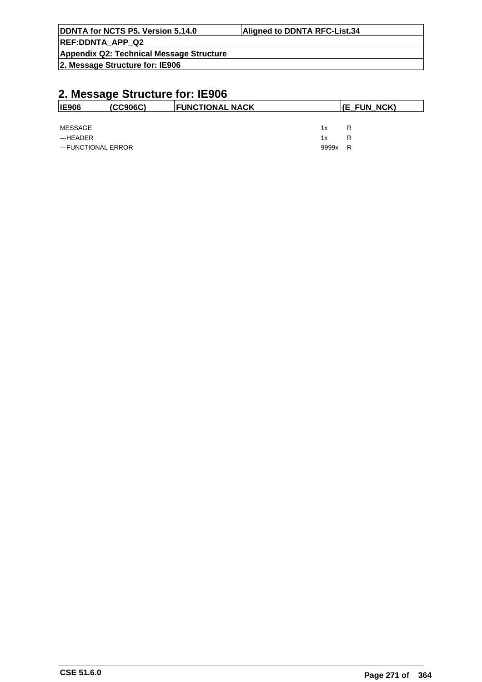| DDNTA for NCTS P5. Version 5.14.0        | Aligned to DDNTA RFC-List.34 |
|------------------------------------------|------------------------------|
| <b>REF:DDNTA APP Q2</b>                  |                              |
| Appendix Q2: Technical Message Structure |                              |
| 2. Message Structure for: IE906          |                              |

| <b>IE906</b>        | (CC906C) | <b>FUNCTIONAL NACK</b> |       | <b>(E_FUN_NCK)</b> |
|---------------------|----------|------------------------|-------|--------------------|
|                     |          |                        |       |                    |
| MESSAGE             |          |                        | 1x    | R                  |
| ---HEADER           |          |                        | 1x    | R                  |
| ---FUNCTIONAL ERROR |          |                        | 9999x | R                  |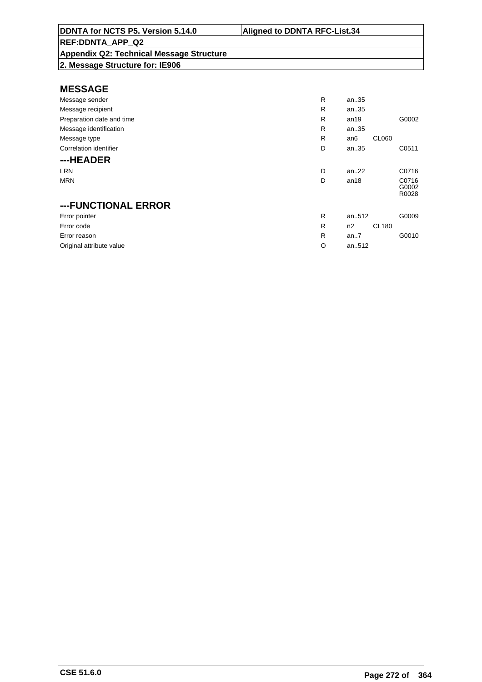## **REF:DDNTA\_APP\_Q2 Appendix Q2: Technical Message Structure**

## **2. Message Structure for: IE906**

| Message sender            | R       | an35            |                         |
|---------------------------|---------|-----------------|-------------------------|
| Message recipient         | R       | an.35           |                         |
| Preparation date and time | R       | an19            | G0002                   |
| Message identification    | R       | an35            |                         |
| Message type              | R       | an <sub>6</sub> | CL060                   |
| Correlation identifier    | D       | an35            | C0511                   |
| ---HEADER                 |         |                 |                         |
| <b>LRN</b>                | D       | an $22$         | C0716                   |
| <b>MRN</b>                | D       | an18            | C0716<br>G0002<br>R0028 |
| ---FUNCTIONAL ERROR       |         |                 |                         |
| Error pointer             | R       | an512           | G0009                   |
| Error code                | R       | n2              | <b>CL180</b>            |
| Error reason              | R       | an.7            | G0010                   |
| Original attribute value  | $\circ$ | an512           |                         |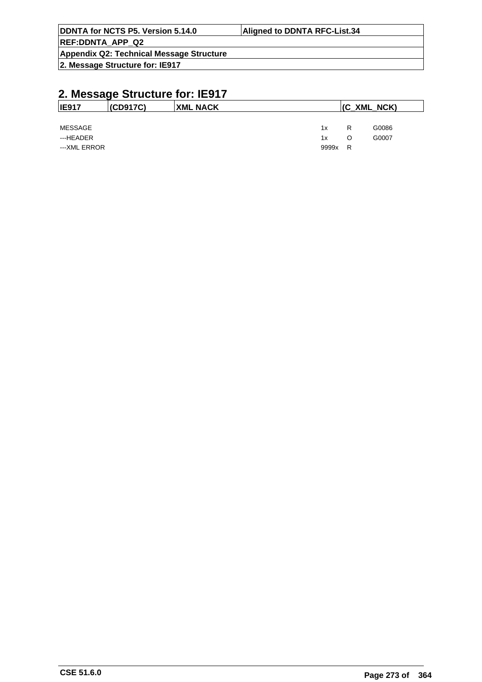| DDNTA for NCTS P5. Version 5.14.0        | Aligned to DDNTA RFC-List.34 |
|------------------------------------------|------------------------------|
| <b>IREF:DDNTA APP Q2</b>                 |                              |
| Appendix Q2: Technical Message Structure |                              |
| 2. Message Structure for: IE917          |                              |

| <b>IE917</b> | $ $ (CD917C) | <b>XML NACK</b> |       |   | $ $ (C_XML_NCK) |
|--------------|--------------|-----------------|-------|---|-----------------|
|              |              |                 |       |   |                 |
| MESSAGE      |              |                 | 1x    | R | G0086           |
| ---HEADER    |              |                 | 1x    | O | G0007           |
| ---XML ERROR |              |                 | 9999x | R |                 |
|              |              |                 |       |   |                 |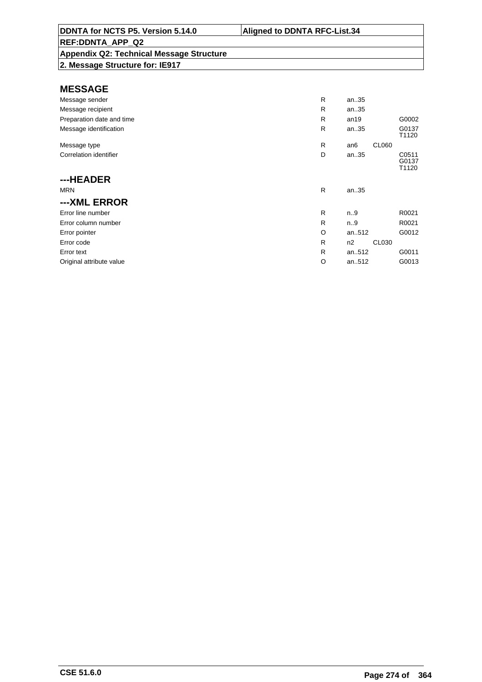| Message sender            | $\mathsf{R}$ | an35  |       |                         |
|---------------------------|--------------|-------|-------|-------------------------|
| Message recipient         | R            | an35  |       |                         |
| Preparation date and time | R            | an19  |       | G0002                   |
| Message identification    | R            | an35  |       | G0137<br>T1120          |
| Message type              | R            | an6   | CL060 |                         |
| Correlation identifier    | D            | an35  |       | C0511<br>G0137<br>T1120 |
| ---HEADER                 |              |       |       |                         |
| <b>MRN</b>                | R            | an35  |       |                         |
| ---XML ERROR              |              |       |       |                         |
| Error line number         | R            | n.9   |       | R0021                   |
| Error column number       | R            | n.9   |       | R0021                   |
| Error pointer             | O            | an512 |       | G0012                   |
| Error code                | R            | n2    | CL030 |                         |
| Error text                | R            | an512 |       | G0011                   |
| Original attribute value  | O            | an512 |       | G0013                   |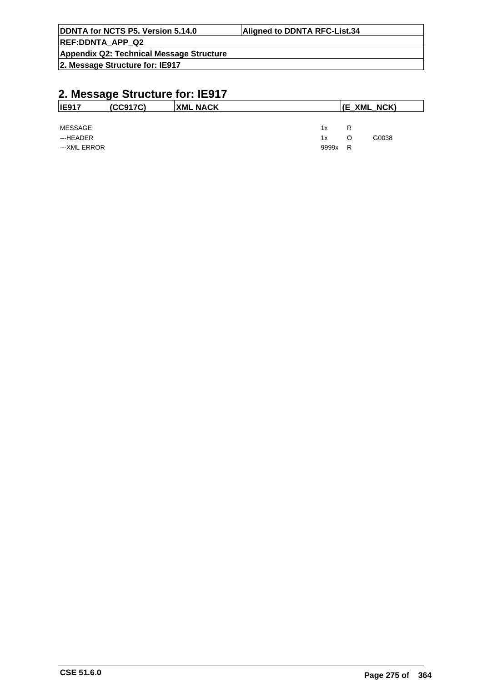| DDNTA for NCTS P5. Version 5.14.0        | Aligned to DDNTA RFC-List.34 |
|------------------------------------------|------------------------------|
| <b>REF:DDNTA APP Q2</b>                  |                              |
| Appendix Q2: Technical Message Structure |                              |
| 2. Message Structure for: IE917          |                              |

| <b>IE917</b> | (CC917C) | <b>XML NACK</b> |       |   | (E_XML_NCK) |  |  |
|--------------|----------|-----------------|-------|---|-------------|--|--|
|              |          |                 |       |   |             |  |  |
| MESSAGE      |          |                 | 1x    | R |             |  |  |
| ---HEADER    |          |                 | 1x    | O | G0038       |  |  |
| ---XML ERROR |          |                 | 9999x | R |             |  |  |
|              |          |                 |       |   |             |  |  |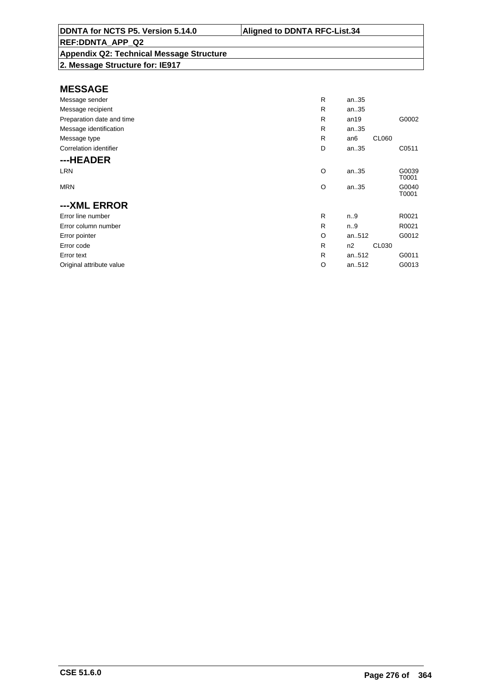| Message sender            | R | an35           |       |                |
|---------------------------|---|----------------|-------|----------------|
| Message recipient         | R | an35           |       |                |
| Preparation date and time | R | an19           |       | G0002          |
| Message identification    | R | an35           |       |                |
| Message type              | R | an6            | CL060 |                |
| Correlation identifier    | D | an35           |       | C0511          |
| ---HEADER                 |   |                |       |                |
| <b>LRN</b>                | O | an35           |       | G0039<br>T0001 |
| <b>MRN</b>                | O | an35           |       | G0040<br>T0001 |
| ---XML ERROR              |   |                |       |                |
| Error line number         | R | n.9            |       | R0021          |
| Error column number       | R | n.9            |       | R0021          |
| Error pointer             | O | an512          |       | G0012          |
| Error code                | R | n <sub>2</sub> | CL030 |                |
| Error text                | R | an512          |       | G0011          |
| Original attribute value  | O | an512          |       | G0013          |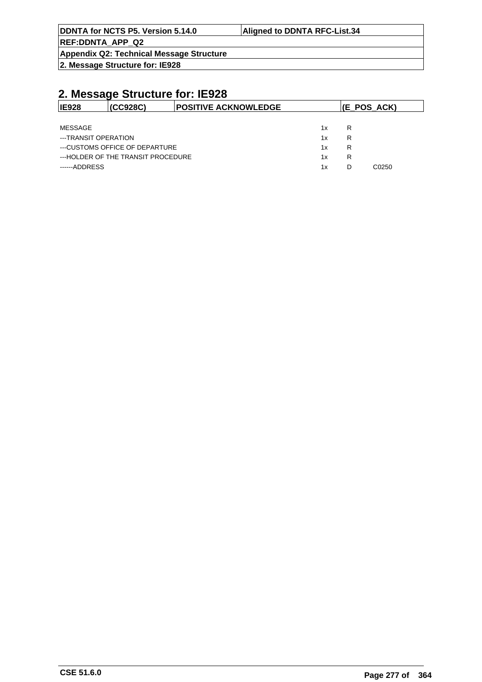|--|

#### **REF:DDNTA\_APP\_Q2**

**Appendix Q2: Technical Message Structure**

**2. Message Structure for: IE928**

# **2. Message Structure for: IE928**

| <b>IE928</b>         | (CC928C)                           | <b>POSITIVE ACKNOWLEDGE</b> |    |   | (E_POS_ACK)       |
|----------------------|------------------------------------|-----------------------------|----|---|-------------------|
|                      |                                    |                             |    |   |                   |
| MESSAGE              |                                    |                             | 1x | R |                   |
| ---TRANSIT OPERATION |                                    |                             | 1x | R |                   |
|                      | --CUSTOMS OFFICE OF DEPARTURE      |                             | 1x | R |                   |
|                      | ---HOLDER OF THE TRANSIT PROCEDURE |                             | 1x | R |                   |
| ------ADDRESS        |                                    |                             | 1x | Ð | C <sub>0250</sub> |

**Aligned to DDNTA RFC-List.34**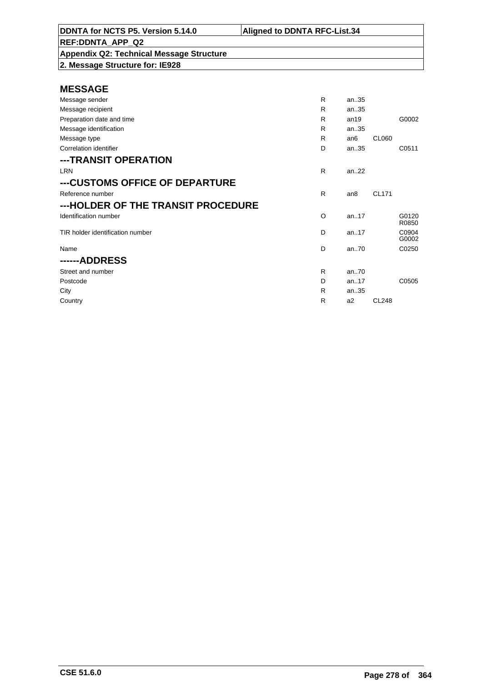#### **REF:DDNTA\_APP\_Q2 Appendix Q2: Technical Message Structure 2. Message Structure for: IE928**

| Message sender                     | R | an35            |              |                |
|------------------------------------|---|-----------------|--------------|----------------|
| Message recipient                  | R | an35            |              |                |
| Preparation date and time          | R | an19            |              | G0002          |
| Message identification             | R | an.35           |              |                |
| Message type                       | R | an <sub>6</sub> | <b>CL060</b> |                |
| Correlation identifier             | D | an35            |              | C0511          |
| ---TRANSIT OPERATION               |   |                 |              |                |
| LRN                                | R | an.22           |              |                |
| ---CUSTOMS OFFICE OF DEPARTURE     |   |                 |              |                |
| Reference number                   | R | an <sub>8</sub> | CL171        |                |
| ---HOLDER OF THE TRANSIT PROCEDURE |   |                 |              |                |
| Identification number              | O | an.17           |              | G0120<br>R0850 |
| TIR holder identification number   | D | an.17           |              | C0904<br>G0002 |
| Name                               | D | an70            |              | C0250          |
| ------ADDRESS                      |   |                 |              |                |
| Street and number                  | R | an70            |              |                |
| Postcode                           | D | an.17           |              | C0505          |
| City                               | R | an35            |              |                |
| Country                            | R | a2              | <b>CL248</b> |                |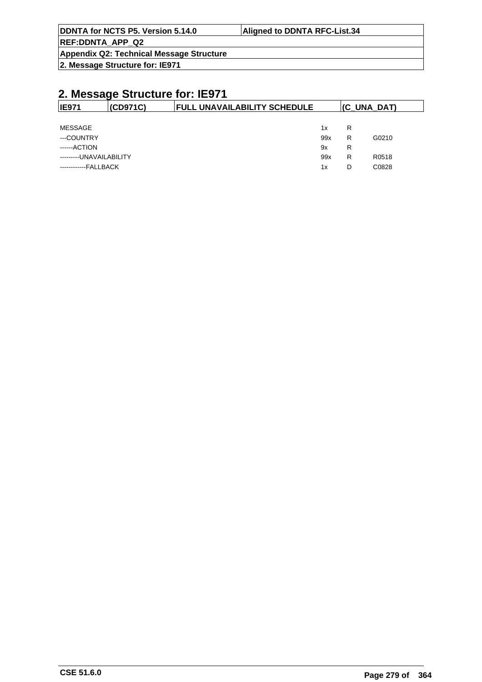| <b>DDNTA for NCTS P5. Version 5.14.0</b> | Aligned to DDNTA RFC-List.34 |
|------------------------------------------|------------------------------|
|                                          |                              |

**REF:DDNTA\_APP\_Q2**

**Appendix Q2: Technical Message Structure**

**2. Message Structure for: IE971**

| <b>IE971</b>            | (CD971C) | <b>FULL UNAVAILABILITY SCHEDULE</b> |     |   | (C UNA DAT) |
|-------------------------|----------|-------------------------------------|-----|---|-------------|
|                         |          |                                     |     |   |             |
| MESSAGE                 |          |                                     | 1x  | R |             |
| ---COUNTRY              |          |                                     | 99x | R | G0210       |
| ------ACTION            |          |                                     | 9x  | R |             |
| ---------UNAVAILABILITY |          |                                     | 99x | R | R0518       |
| ------------FALLBACK    |          |                                     | 1x  | D | C0828       |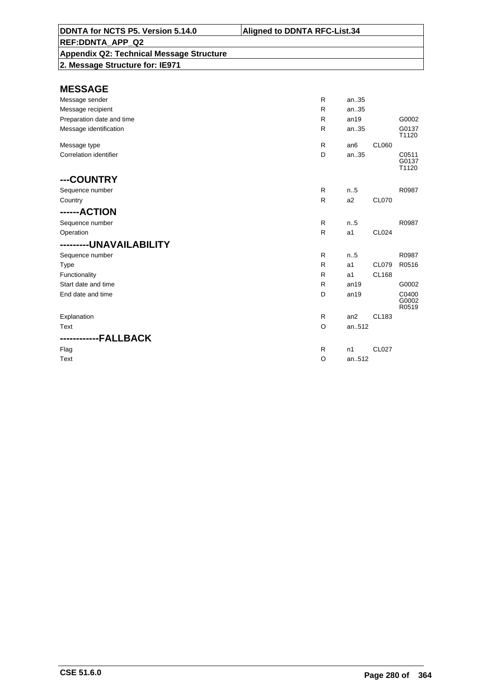#### **DDNTA for NCTS P5. Version 5.14.0 Aligned to DDNTA RFC-List.34 REF:DDNTA\_APP\_Q2**

## **Appendix Q2: Technical Message Structure 2. Message Structure for: IE971**

| Message sender            | $\mathsf{R}$ | an35  |              |                         |
|---------------------------|--------------|-------|--------------|-------------------------|
| Message recipient         | $\mathsf{R}$ | an35  |              |                         |
| Preparation date and time | R            | an19  |              | G0002                   |
| Message identification    | R            | an35  |              | G0137<br>T1120          |
| Message type              | R            | an6   | <b>CL060</b> |                         |
| Correlation identifier    | D            | an35  |              | C0511<br>G0137<br>T1120 |
| ---COUNTRY                |              |       |              |                         |
| Sequence number           | R            | n.5   |              | R0987                   |
| Country                   | R            | a2    | <b>CL070</b> |                         |
| ------ACTION              |              |       |              |                         |
| Sequence number           | R            | n.5   |              | R0987                   |
| Operation                 | R            | a1    | <b>CL024</b> |                         |
| ---------UNAVAILABILITY   |              |       |              |                         |
| Sequence number           | R            | n.5   |              | R0987                   |
| <b>Type</b>               | R.           | a1    | CL079        | R0516                   |
| Functionality             | R            | a1    | <b>CL168</b> |                         |
| Start date and time       | R            | an19  |              | G0002                   |
| End date and time         | D            | an19  |              | C0400<br>G0002<br>R0519 |
| Explanation               | $\mathsf{R}$ | an2   | CL183        |                         |
| Text                      | O            | an512 |              |                         |
| ------------FALLBACK      |              |       |              |                         |
| Flag                      | R            | n1    | <b>CL027</b> |                         |
| Text                      | O            | an512 |              |                         |
|                           |              |       |              |                         |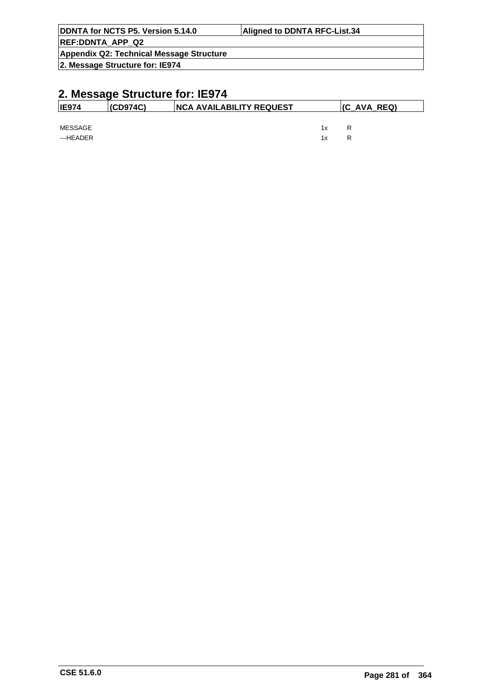| DDNTA for NCTS P5. Version 5.14.0        | Aligned to DDNTA RFC-List.34 |
|------------------------------------------|------------------------------|
| <b>REF:DDNTA APP Q2</b>                  |                              |
| Appendix Q2: Technical Message Structure |                              |
| 2. Message Structure for: IE974          |                              |

| <b>IE974</b> | (CD974C) | <b>INCA AVAILABILITY REQUEST</b> |    | $ $ (C_AVA_REQ) |  |  |
|--------------|----------|----------------------------------|----|-----------------|--|--|
|              |          |                                  |    |                 |  |  |
| MESSAGE      |          |                                  | 1x | R               |  |  |
| ---HEADER    |          |                                  | 1x | R               |  |  |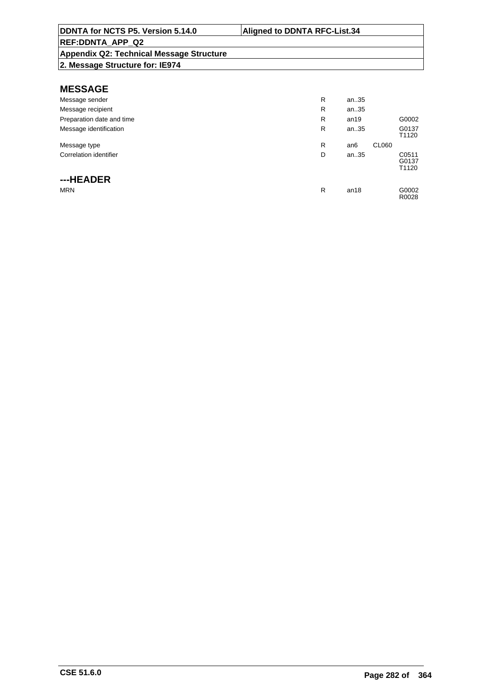# **REF:DDNTA\_APP\_Q2**

#### **Appendix Q2: Technical Message Structure 2. Message Structure for: IE974**

| Message sender            | R | an35            |       |                         |
|---------------------------|---|-----------------|-------|-------------------------|
| Message recipient         | R | an35            |       |                         |
| Preparation date and time | R | an19            |       | G0002                   |
| Message identification    | R | an35            |       | G0137<br>T1120          |
| Message type              | R | an <sub>6</sub> | CL060 |                         |
| Correlation identifier    | D | an35            |       | C0511<br>G0137<br>T1120 |
| ---HEADER                 |   |                 |       |                         |
| <b>MRN</b>                | R | an18            |       | G0002<br>R0028          |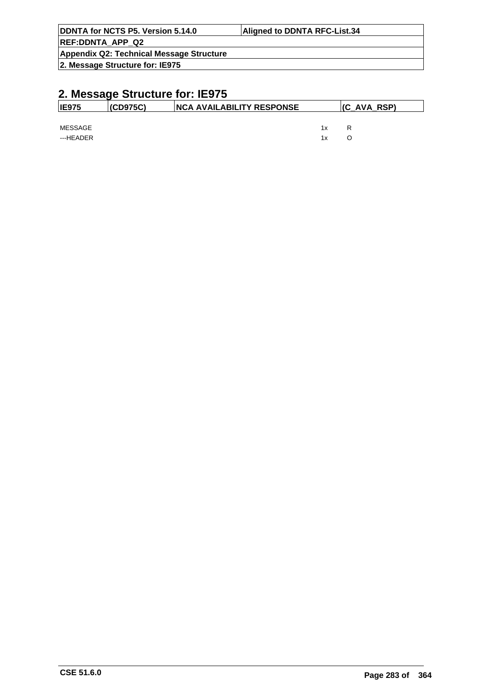| DDNTA for NCTS P5. Version 5.14.0        | Aligned to DDNTA RFC-List.34 |
|------------------------------------------|------------------------------|
| <b>REF:DDNTA APP Q2</b>                  |                              |
| Appendix Q2: Technical Message Structure |                              |
| 2. Message Structure for: IE975          |                              |

| <b>IE975</b> | (CD975C) | <b>NCA AVAILABILITY RESPONSE</b> |          | $ $ (C_AVA_RSP) |
|--------------|----------|----------------------------------|----------|-----------------|
| MESSAGE      |          |                                  |          |                 |
| ---HEADER    |          |                                  | 1x<br>1x | R<br>$\Omega$   |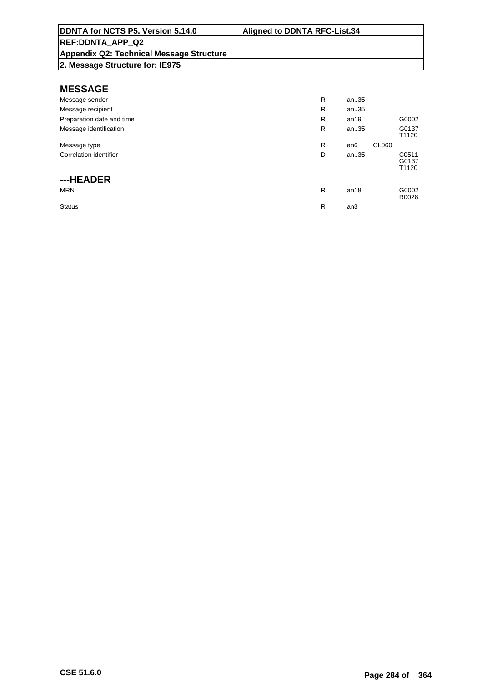| Message sender            | R | an35            |              |                         |
|---------------------------|---|-----------------|--------------|-------------------------|
| Message recipient         | R | an35            |              |                         |
| Preparation date and time | R | an19            |              | G0002                   |
| Message identification    | R | an35            |              | G0137<br>T1120          |
| Message type              | R | an <sub>6</sub> | <b>CL060</b> |                         |
| Correlation identifier    | D | an35            |              | C0511<br>G0137<br>T1120 |
| ---HEADER                 |   |                 |              |                         |
| <b>MRN</b>                | R | an18            |              | G0002<br>R0028          |
| <b>Status</b>             | R | an3             |              |                         |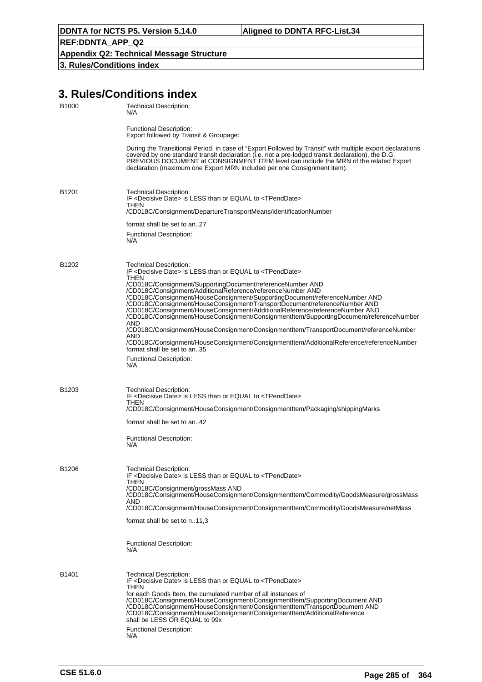**REF:DDNTA\_APP\_Q2**

**Appendix Q2: Technical Message Structure**

**3. Rules/Conditions index**

| B1000             | <b>Technical Description:</b><br>N/A                                                                                                                                                                                                                                                                                                                                                                                                                                                                                                                                                                   |
|-------------------|--------------------------------------------------------------------------------------------------------------------------------------------------------------------------------------------------------------------------------------------------------------------------------------------------------------------------------------------------------------------------------------------------------------------------------------------------------------------------------------------------------------------------------------------------------------------------------------------------------|
|                   | <b>Functional Description:</b><br>Export followed by Transit & Groupage:                                                                                                                                                                                                                                                                                                                                                                                                                                                                                                                               |
|                   | During the Transitional Period, in case of "Export Followed by Transit" with multiple export declarations<br>covered by one standard transit declaration (i.e. not a pre-lodged transit declaration), the D.G.<br>PREVIOUS DOCUMENT at CONSIGNMENT ITEM level can include the MRN of the related Export<br>declaration (maximum one Export MRN included per one Consignment item).                                                                                                                                                                                                                     |
| B <sub>1201</sub> | Technical Description:<br>IF <decisive date=""> is LESS than or EQUAL to <tpenddate><br/><b>THEN</b><br/>/CD018C/Consignment/DepartureTransportMeans/identificationNumber</tpenddate></decisive>                                                                                                                                                                                                                                                                                                                                                                                                       |
|                   | format shall be set to an27<br>Functional Description:<br>N/A                                                                                                                                                                                                                                                                                                                                                                                                                                                                                                                                          |
| B <sub>1202</sub> | Technical Description:<br>IF <decisive date=""> is LESS than or EQUAL to <tpenddate><br/><b>THEN</b><br/>/CD018C/Consignment/SupportingDocument/referenceNumber AND<br/>/CD018C/Consignment/AdditionalReference/referenceNumber AND<br/>/CD018C/Consignment/HouseConsignment/SupportingDocument/referenceNumber AND<br/>/CD018C/Consignment/HouseConsignment/TransportDocument/referenceNumber AND<br/>/CD018C/Consignment/HouseConsignment/AdditionalReference/referenceNumber AND<br/>/CD018C/Consignment/HouseConsignment/ConsignmentItem/SupportingDocument/referenceNumber</tpenddate></decisive> |
|                   | AND<br>/CD018C/Consignment/HouseConsignment/ConsignmentItem/TransportDocument/referenceNumber<br>AND<br>/CD018C/Consignment/HouseConsignment/ConsignmentItem/AdditionalReference/referenceNumber<br>format shall be set to an35<br>Functional Description:<br>N/A                                                                                                                                                                                                                                                                                                                                      |
| B <sub>1203</sub> | <b>Technical Description:</b><br>IF <decisive date=""> is LESS than or EQUAL to <tpenddate><br/><b>THEN</b><br/>/CD018C/Consignment/HouseConsignment/ConsignmentItem/Packaging/shippingMarks<br/>format shall be set to an42<br/>Functional Description:<br/>N/A</tpenddate></decisive>                                                                                                                                                                                                                                                                                                                |
| B1206             | Technical Description:<br>IF <decisive date=""> is LESS than or EQUAL to <tpenddate><br/>THEN<br/>/CD018C/Consignment/grossMass AND<br/>/CD018C/Consignment/HouseConsignment/ConsignmentItem/Commodity/GoodsMeasure/grossMass<br/>AND<br/>/CD018C/Consignment/HouseConsignment/ConsignmentItem/Commodity/GoodsMeasure/netMass<br/>format shall be set to n11,3<br/>Functional Description:</tpenddate></decisive>                                                                                                                                                                                      |
| B <sub>1401</sub> | N/A<br><b>Technical Description:</b><br>IF <decisive date=""> is LESS than or EQUAL to <tpenddate></tpenddate></decisive>                                                                                                                                                                                                                                                                                                                                                                                                                                                                              |
|                   | THEN<br>for each Goods Item, the cumulated number of all instances of<br>/CD018C/Consignment/HouseConsignment/ConsignmentItem/SupportingDocument AND<br>/CD018C/Consignment/HouseConsignment/ConsignmentItem/TransportDocument AND<br>/CD018C/Consignment/HouseConsignment/ConsignmentItem/AdditionalReference<br>shall be LESS OR EQUAL to 99x                                                                                                                                                                                                                                                        |
|                   | <b>Functional Description:</b><br>N/A                                                                                                                                                                                                                                                                                                                                                                                                                                                                                                                                                                  |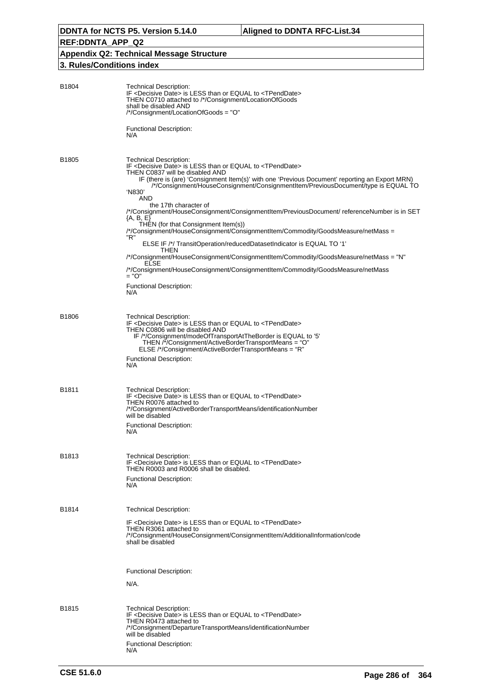### **REF:DDNTA\_APP\_Q2 Appendix Q2: Technical Message Structure**

| B1804             | <b>Technical Description:</b><br>IF <decisive date=""> is LESS than or EQUAL to <tpenddate><br/>THEN C0710 attached to /*/Consignment/LocationOfGoods<br/>shall be disabled AND<br/>/*/Consignment/LocationOfGoods = "O"<br/><b>Functional Description:</b><br/>N/A</tpenddate></decisive>                                                                                                                                                                                                                                                                                                                                                                                                                                                                                                                                                                                                                                                                                                                   |
|-------------------|--------------------------------------------------------------------------------------------------------------------------------------------------------------------------------------------------------------------------------------------------------------------------------------------------------------------------------------------------------------------------------------------------------------------------------------------------------------------------------------------------------------------------------------------------------------------------------------------------------------------------------------------------------------------------------------------------------------------------------------------------------------------------------------------------------------------------------------------------------------------------------------------------------------------------------------------------------------------------------------------------------------|
| B <sub>1805</sub> | <b>Technical Description:</b><br>IF <decisive date=""> is LESS than or EQUAL to <tpenddate><br/>THEN C0837 will be disabled AND<br/>IF (there is (are) 'Consignment Item(s)' with one 'Previous Document' reporting an Export MRN)<br/>/*/Consignment/HouseConsignment/ConsignmentItem/PreviousDocument/type is EQUAL TO<br/>'N830'<br/><b>AND</b><br/>the 17th character of<br/>/*/Consignment/HouseConsignment/ConsignmentItem/PreviousDocument/ referenceNumber is in SET<br/><math>{A, B, E}</math><br/>THEN (for that Consignment Item(s))<br/>/*/Consignment/HouseConsignment/ConsignmentItem/Commodity/GoodsMeasure/netMass =<br/>"R"<br/>ELSE IF /*/ TransitOperation/reducedDatasetIndicator is EQUAL TO '1'<br/>THEN<br/>/*/Consignment/HouseConsignment/ConsignmentItem/Commodity/GoodsMeasure/netMass = "N"<br/>ELSE<br/>/*/Consignment/HouseConsignment/ConsignmentItem/Commodity/GoodsMeasure/netMass<br/><math>= "O"</math><br/><b>Functional Description:</b><br/>N/A</tpenddate></decisive> |
| B <sub>1806</sub> | <b>Technical Description:</b><br>IF <decisive date=""> is LESS than or EQUAL to <tpenddate><br/>THEN C0806 will be disabled AND<br/>IF /*/Consignment/modeOfTransportAtTheBorder is EQUAL to '5'<br/>THEN <math>\sqrt{\epsilon}</math>/Consignment/ActiveBorderTransportMeans = "O"<br/>ELSE /*/Consignment/ActiveBorderTransportMeans = "R"<br/>Functional Description:<br/>N/A</tpenddate></decisive>                                                                                                                                                                                                                                                                                                                                                                                                                                                                                                                                                                                                      |
| B <sub>1811</sub> | <b>Technical Description:</b><br>IF <decisive date=""> is LESS than or EQUAL to <tpenddate><br/>THEN R0076 attached to<br/>/*/Consignment/ActiveBorderTransportMeans/identificationNumber<br/>will be disabled<br/>Functional Description:<br/>N/A</tpenddate></decisive>                                                                                                                                                                                                                                                                                                                                                                                                                                                                                                                                                                                                                                                                                                                                    |
| B <sub>1813</sub> | Technical Description:<br>IF <decisive date=""> is LESS than or EQUAL to <tpenddate><br/>THEN R0003 and R0006 shall be disabled.<br/><b>Functional Description:</b><br/>N/A</tpenddate></decisive>                                                                                                                                                                                                                                                                                                                                                                                                                                                                                                                                                                                                                                                                                                                                                                                                           |
| B1814             | <b>Technical Description:</b><br>IF <decisive date=""> is LESS than or EQUAL to <tpenddate><br/>THEN R3061 attached to<br/>/*/Consignment/HouseConsignment/ConsignmentItem/AdditionalInformation/code<br/>shall be disabled<br/><b>Functional Description:</b><br/>N/A.</tpenddate></decisive>                                                                                                                                                                                                                                                                                                                                                                                                                                                                                                                                                                                                                                                                                                               |
| B <sub>1815</sub> | <b>Technical Description:</b><br>IF <decisive date=""> is LESS than or EQUAL to <tpenddate><br/>THEN R0473 attached to<br/>/*/Consignment/DepartureTransportMeans/identificationNumber<br/>will be disabled<br/><b>Functional Description:</b><br/>N/A</tpenddate></decisive>                                                                                                                                                                                                                                                                                                                                                                                                                                                                                                                                                                                                                                                                                                                                |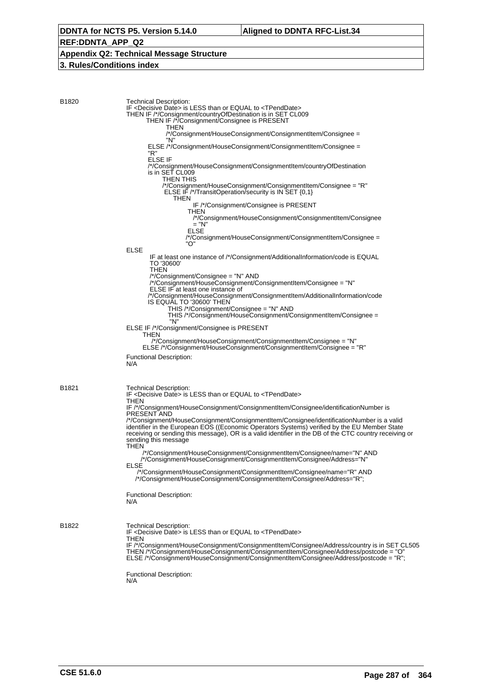**REF:DDNTA\_APP\_Q2**

#### **Appendix Q2: Technical Message Structure**

| B1820 | <b>Technical Description:</b><br>IF <decisive date=""> is LESS than or EQUAL to <tpenddate><br/>THEN IF /*/Consignment/countryOfDestination is in SET CL009<br/>THEN IF /*/Consignment/Consignee is PRESENT</tpenddate></decisive>                                                                                          |
|-------|-----------------------------------------------------------------------------------------------------------------------------------------------------------------------------------------------------------------------------------------------------------------------------------------------------------------------------|
|       | THEN<br>/*/Consignment/HouseConsignment/ConsignmentItem/Consignee =                                                                                                                                                                                                                                                         |
|       | "N"<br>ELSE /*/Consignment/HouseConsignment/ConsignmentItem/Consignee =<br>"R"                                                                                                                                                                                                                                              |
|       | <b>ELSE IF</b><br>/*/Consignment/HouseConsignment/ConsignmentItem/countryOfDestination<br>is in SET CL009                                                                                                                                                                                                                   |
|       | THEN THIS<br>/*/Consignment/HouseConsignment/ConsignmentItem/Consignee = "R"<br>ELSE IF /*/TransitOperation/security is IN SET {0,1}                                                                                                                                                                                        |
|       | THEN<br>IF /*/Consignment/Consignee is PRESENT                                                                                                                                                                                                                                                                              |
|       | <b>THEN</b><br>/*/Consignment/HouseConsignment/ConsignmentItem/Consignee<br>$= "N"$<br><b>ELSE</b>                                                                                                                                                                                                                          |
|       | /*/Consignment/HouseConsignment/ConsignmentItem/Consignee =<br>"O"                                                                                                                                                                                                                                                          |
|       | ELSE<br>IF at least one instance of /*/Consignment/AdditionalInformation/code is EQUAL<br>TO '30600'<br>THEN                                                                                                                                                                                                                |
|       | /*/Consignment/Consignee = "N" AND<br>/*/Consignment/HouseConsignment/ConsignmentItem/Consignee = "N"<br>ELSE IF at least one instance of                                                                                                                                                                                   |
|       | /*/Consignment/HouseConsignment/ConsignmentItem/AdditionalInformation/code<br>IS EQUAL TO '30600' THEN<br>THIS /*/Consignment/Consignee = "N" AND                                                                                                                                                                           |
|       | THIS /*/Consignment/HouseConsignment/ConsignmentItem/Consignee =<br>"N"                                                                                                                                                                                                                                                     |
|       | ELSE IF /*/Consignment/Consignee is PRESENT<br>THEN                                                                                                                                                                                                                                                                         |
|       | /*/Consignment/HouseConsignment/ConsignmentItem/Consignee = "N"<br>ELSE /*/Consignment/HouseConsignment/ConsignmentItem/Consignee = "R"                                                                                                                                                                                     |
|       | <b>Functional Description:</b><br>N/A                                                                                                                                                                                                                                                                                       |
| B1821 | <b>Technical Description:</b>                                                                                                                                                                                                                                                                                               |
|       | IF <decisive date=""> is LESS than or EQUAL to <tpenddate><br/>THEN</tpenddate></decisive>                                                                                                                                                                                                                                  |
|       | IF /*/Consignment/HouseConsignment/ConsignmentItem/Consignee/identificationNumber is<br>PRESENT AND                                                                                                                                                                                                                         |
|       | /*/Consignment/HouseConsignment/ConsignmentItem/Consignee/identificationNumber is a valid<br>identifier in the European EOS ((Economic Operators Systems) verified by the EU Member State<br>receiving or sending this message), OR is a valid identifier in the DB of the CTC country receiving or<br>sending this message |
|       | THEN<br>/*/Consignment/HouseConsignment/ConsignmentItem/Consignee/name="N" AND<br>/*/Consignment/HouseConsignment/ConsignmentItem/Consignee/Address="N"                                                                                                                                                                     |
|       | ELSE<br>/*/Consignment/HouseConsignment/ConsignmentItem/Consignee/name="R" AND<br>/*/Consignment/HouseConsignment/ConsignmentItem/Consignee/Address="R";                                                                                                                                                                    |
|       | Functional Description:<br>N/A                                                                                                                                                                                                                                                                                              |
| B1822 | Technical Description:<br>IF <decisive date=""> is LESS than or EQUAL to <tpenddate></tpenddate></decisive>                                                                                                                                                                                                                 |
|       | THEN<br>IF/*/Consignment/HouseConsignment/ConsignmentItem/Consignee/Address/country is in SET CL505<br>THEN /*/Consignment/HouseConsignment/ConsignmentItem/Consignee/Address/postcode = "O"<br>ELSE/*/Consignment/HouseConsignment/ConsignmentItem/Consignee/Address/postcode = "R";                                       |
|       | Functional Description:<br>N/A                                                                                                                                                                                                                                                                                              |
|       |                                                                                                                                                                                                                                                                                                                             |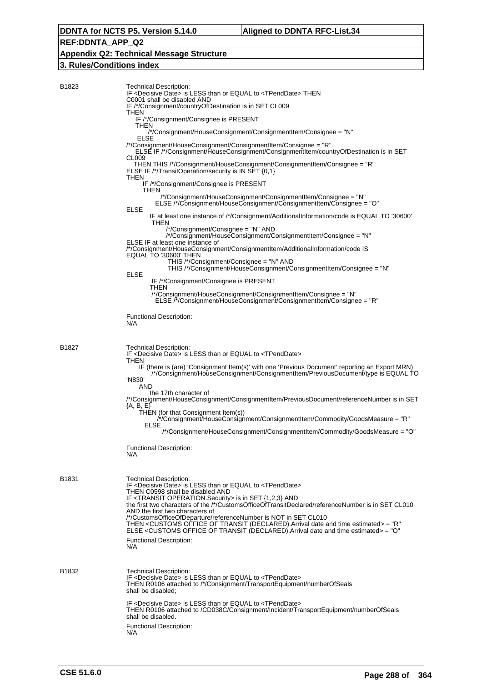**REF:DDNTA\_APP\_Q2**

#### **Appendix Q2: Technical Message Structure**

| B1823 | <b>Technical Description:</b><br>IF <decisive date=""> is LESS than or EQUAL to <tpenddate> THEN</tpenddate></decisive>                                                                           |
|-------|---------------------------------------------------------------------------------------------------------------------------------------------------------------------------------------------------|
|       | C0001 shall be disabled AND                                                                                                                                                                       |
|       | IF /*/Consignment/countryOfDestination is in SET CL009<br>THEN                                                                                                                                    |
|       | IF /*/Consignment/Consignee is PRESENT<br>THEN                                                                                                                                                    |
|       | /*/Consignment/HouseConsignment/ConsignmentItem/Consignee = "N"<br><b>ELSE</b>                                                                                                                    |
|       | /*/Consignment/HouseConsignment/ConsignmentItem/Consignee = "R"<br>ELSE IF /*/Consignment/HouseConsignment/ConsignmentItem/countryOfDestination is in SET<br>CL <sub>009</sub>                    |
|       | THEN THIS /*/Consignment/HouseConsignment/ConsignmentItem/Consignee = "R"<br>ELSE IF /*/TransitOperation/security is IN SET {0,1}<br>THEN                                                         |
|       | IF /*/Consignment/Consignee is PRESENT<br>THEN                                                                                                                                                    |
|       | /*/Consignment/HouseConsignment/ConsignmentItem/Consignee = "N"<br>ELSE /*/Consignment/HouseConsignment/ConsignmentItem/Consignee = "O"<br><b>ELSE</b>                                            |
|       | IF at least one instance of /*/Consignment/AdditionalInformation/code is EQUAL TO '30600'<br><b>THEN</b>                                                                                          |
|       | /*/Consignment/Consignee = "N" AND<br>/*/Consignment/HouseConsignment/ConsignmentItem/Consignee = "N"                                                                                             |
|       | ELSE IF at least one instance of<br>/*/Consignment/HouseConsignment/ConsignmentItem/AdditionalInformation/code IS                                                                                 |
|       | EQUAL TO '30600' THEN<br>THIS /*/Consignment/Consignee = "N" AND<br>THIS /*/Consignment/HouseConsignment/ConsignmentItem/Consignee = "N"                                                          |
|       | ELSE<br>IF /*/Consignment/Consignee is PRESENT                                                                                                                                                    |
|       | THFN<br>/*/Consignment/HouseConsignment/ConsignmentItem/Consignee = "N"                                                                                                                           |
|       | ELSE /*/Consignment/HouseConsignment/ConsignmentItem/Consignee = "R"                                                                                                                              |
|       | <b>Functional Description:</b><br>N/A                                                                                                                                                             |
| B1827 | Technical Description:                                                                                                                                                                            |
|       | IF <decisive date=""> is LESS than or EQUAL to <tpenddate><br/>THEN</tpenddate></decisive>                                                                                                        |
|       | IF (there is (are) 'Consignment Item(s)' with one 'Previous Document' reporting an Export MRN)<br>/*/Consignment/HouseConsignment/ConsignmentItem/PreviousDocument/type is EQUAL TO<br>'N830'     |
|       | <b>AND</b><br>the 17th character of<br>/*/Consignment/HouseConsignment/ConsignmentItem/PreviousDocument/referenceNumber is in SET                                                                 |
|       | ${A, B, E}$<br>THEN (for that Consignment Item(s))                                                                                                                                                |
|       | /*/Consignment/HouseConsignment/ConsignmentItem/Commodity/GoodsMeasure = "R"<br><b>ELSE</b>                                                                                                       |
|       | /*/Consignment/HouseConsignment/ConsignmentItem/Commodity/GoodsMeasure = "O"                                                                                                                      |
|       | Functional Description:<br>N/A                                                                                                                                                                    |
|       |                                                                                                                                                                                                   |
| B1831 | Technical Description:<br>IF <decisive date=""> is LESS than or EQUAL to <tpenddate></tpenddate></decisive>                                                                                       |
|       | THEN C0598 shall be disabled AND<br>IF <transit operation.="" security=""> is in SET {1,2,3} AND</transit>                                                                                        |
|       | the first two characters of the /*/CustomsOfficeOfTransitDeclared/referenceNumber is in SET CL010<br>AND the first two characters of                                                              |
|       | /*/CustomsOfficeOfDeparture/referenceNumber is NOT in SET CL010<br>THEN <customs (declared).="" and="" arrival="" date="" estimated="" of="" office="" time="" transit=""> = "R"</customs>        |
|       | ELSE <customs (declared).="" and="" arrival="" date="" estimated="" of="" office="" time="" transit=""> = "O"<br/>Functional Description:</customs>                                               |
|       | N/A                                                                                                                                                                                               |
| B1832 | <b>Technical Description:</b>                                                                                                                                                                     |
|       | IF <decisive date=""> is LESS than or EQUAL to <tpenddate><br/>THEN R0106 attached to /*/Consignment/TransportEquipment/numberOfSeals<br/>shall be disabled;</tpenddate></decisive>               |
|       | IF <decisive date=""> is LESS than or EQUAL to <tpenddate><br/>THEN R0106 attached to /CD038C/Consignment/Incident/TransportEquipment/numberOfSeals<br/>shall be disabled.</tpenddate></decisive> |
|       | <b>Functional Description:</b><br>N/A                                                                                                                                                             |
|       |                                                                                                                                                                                                   |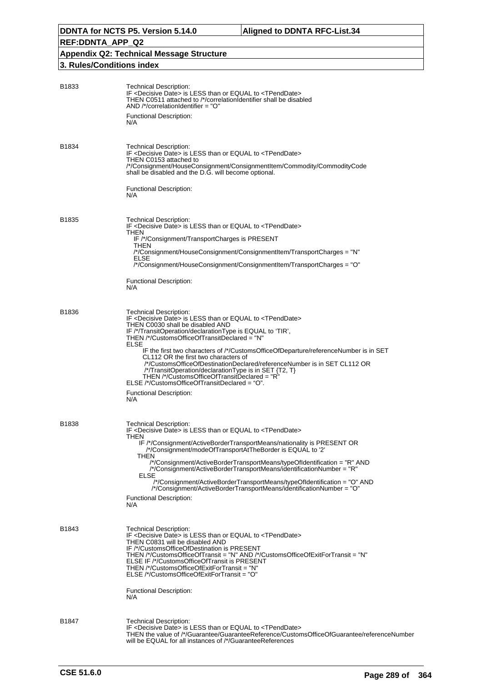## **REF:DDNTA\_APP\_Q2 Appendix Q2: Technical Message Structure**

| B1833 | <b>Technical Description:</b><br>IF <decisive date=""> is LESS than or EQUAL to <tpenddate><br/>THEN C0511 attached to /*/correlationIdentifier shall be disabled<br/>AND /*/correlationIdentifier = <math>"O"</math><br/><b>Functional Description:</b><br/>N/A</tpenddate></decisive>                                                                                                                                                                                                                                                                                                                                                                                                                       |
|-------|---------------------------------------------------------------------------------------------------------------------------------------------------------------------------------------------------------------------------------------------------------------------------------------------------------------------------------------------------------------------------------------------------------------------------------------------------------------------------------------------------------------------------------------------------------------------------------------------------------------------------------------------------------------------------------------------------------------|
| B1834 | <b>Technical Description:</b><br>IF <decisive date=""> is LESS than or EQUAL to <tpenddate><br/>THEN C0153 attached to<br/>/*/Consignment/HouseConsignment/ConsignmentItem/Commodity/CommodityCode<br/>shall be disabled and the D.G. will become optional.<br/>Functional Description:<br/>N/A</tpenddate></decisive>                                                                                                                                                                                                                                                                                                                                                                                        |
| B1835 | <b>Technical Description:</b><br>IF <decisive date=""> is LESS than or EQUAL to <tpenddate><br/><b>THEN</b><br/>IF /*/Consignment/TransportCharges is PRESENT<br/>THEN<br/>/*/Consignment/HouseConsignment/ConsignmentItem/TransportCharges = "N"<br/><b>ELSE</b><br/>/*/Consignment/HouseConsignment/ConsignmentItem/TransportCharges = "O"<br/>Functional Description:<br/>N/A</tpenddate></decisive>                                                                                                                                                                                                                                                                                                       |
| B1836 | <b>Technical Description:</b><br>IF <decisive date=""> is LESS than or EQUAL to <tpenddate><br/>THEN C0030 shall be disabled AND<br/>IF /*/TransitOperation/declarationType is EQUAL to 'TIR',<br/>THEN /*/CustomsOfficeOfTransitDeclared = "N"<br/><b>ELSE</b><br/>IF the first two characters of /*/CustomsOfficeOfDeparture/referenceNumber is in SET<br/>CL112 OR the first two characters of<br/>/*/CustomsOfficeOfDestinationDeclared/referenceNumber is in SET CL112 OR<br/>/*/TransitOperation/declarationType is in SET {T2, T}<br/>THEN /*/CustomsOfficeOfTransitDeclared = "R"<br/>ELSE /*/CustomsOfficeOfTransitDeclared = "O".<br/><b>Functional Description:</b><br/>N/A</tpenddate></decisive> |
| B1838 | <b>Technical Description:</b><br>IF <decisive date=""> is LESS than or EQUAL to <tpenddate><br/>THEN<br/>IF /*/Consignment/ActiveBorderTransportMeans/nationality is PRESENT OR<br/>/*/Consignment/modeOfTransportAtTheBorder is EQUAL to '2'<br/>THEN<br/>/*/Consignment/ActiveBorderTransportMeans/typeOfIdentification = "R" AND<br/>/*/Consignment/ActiveBorderTransportMeans/identificationNumber = "R"<br/><b>ELSE</b><br/>/*/Consignment/ActiveBorderTransportMeans/typeOfIdentification = "O" AND<br/>/*/Consignment/ActiveBorderTransportMeans/identificationNumber = "O"<br/><b>Functional Description:</b><br/>N/A</tpenddate></decisive>                                                          |
| B1843 | <b>Technical Description:</b><br>IF <decisive date=""> is LESS than or EQUAL to <tpenddate><br/>THEN C0831 will be disabled AND<br/>IF /*/CustomsOfficeOfDestination is PRESENT<br/>THEN /*/CustomsOfficeOfTransit = "N" AND /*/CustomsOfficeOfExitForTransit = "N"<br/>ELSE IF /*/CustomsOfficeOfTransit is PRESENT<br/>THEN /*/CustomsOfficeOfExitForTransit = "N"<br/>ELSE /*/CustomsOfficeOfExitForTransit = "O"<br/><b>Functional Description:</b><br/>N/A</tpenddate></decisive>                                                                                                                                                                                                                        |
| B1847 | <b>Technical Description:</b><br>IF <decisive date=""> is LESS than or EQUAL to <tpenddate><br/>THEN the value of /*/Guarantee/GuaranteeReference/CustomsOfficeOfGuarantee/referenceNumber<br/>will be EQUAL for all instances of /*/GuaranteeReferences</tpenddate></decisive>                                                                                                                                                                                                                                                                                                                                                                                                                               |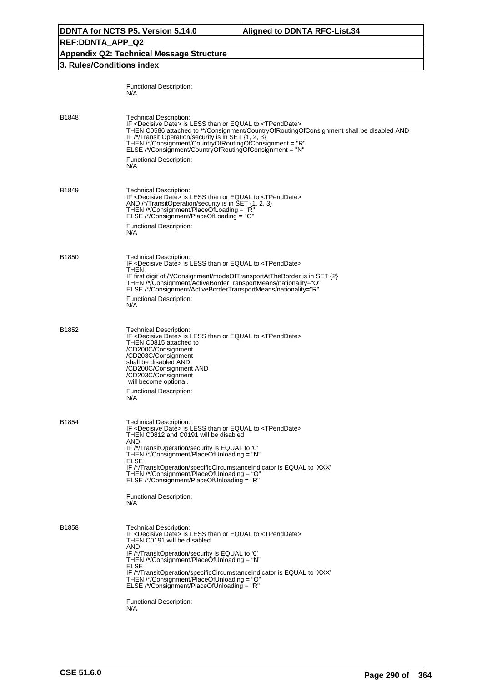#### **REF:DDNTA\_APP\_Q2 Appendix Q2: Technical Message Structure**

**3. Rules/Conditions index**

Functional Description: N/A B1848 Technical Description: IF <Decisive Date> is LESS than or EQUAL to <TPendDate> THEN C0586 attached to /\*/Consignment/CountryOfRoutingOfConsignment shall be disabled AND IF /\*/Transit Operation/security is in SET {1, 2, 3} THEN /\*/Consignment/CountryOfRoutingOfConsignment = "R" ELSE /\*/Consignment/CountryOfRoutingOfConsignment = "N" Functional Description: N/A B1849 Technical Description: IF <Decisive Date> is LESS than or EQUAL to <TPendDate> AND /\*/TransitOperation/security is in SET {1, 2, 3} THEN /\*/Consignment/PlaceOfLoading = ''R'' ELSE /\*/Consignment/PlaceOfLoading = ''O'' Functional Description: N/A B1850 Technical Description: IF <Decisive Date> is LESS than or EQUAL to <TPendDate> THEN IF first digit of /\*/Consignment/modeOfTransportAtTheBorder is in SET {2} THEN /\*/Consignment/ActiveBorderTransportMeans/nationality="O" ELSE /\*/Consignment/ActiveBorderTransportMeans/nationality="R" Functional Description: N/A B1852 Technical Description: IF <Decisive Date> is LESS than or EQUAL to <TPendDate> THEN C0815 attached to /CD200C/Consignment /CD203C/Consignment shall be disabled AND /CD200C/Consignment AND /CD203C/Consignment will become optional. Functional Description: N/A B1854 Technical Description: IF <Decisive Date> is LESS than or EQUAL to <TPendDate> THEN C0812 and C0191 will be disabled AND IF /\*/TransitOperation/security is EQUAL to '0' THEN /\*/Consignment/PlaceOfUnloading = "N" ELSE IF /\*/TransitOperation/specificCircumstanceIndicator is EQUAL to 'XXX' THEN /\*/Consignment/PlaceOfUnloading = "O" ELSE /\*/Consignment/PlaceOfUnloading = "R" Functional Description: N/A B1858 Technical Description: IF <Decisive Date> is LESS than or EQUAL to <TPendDate> THEN C0191 will be disabled AND IF /\*/TransitOperation/security is EQUAL to '0' THEN /\*/Consignment/PlaceOfUnloading = "N" ELSE IF /\*/TransitOperation/specificCircumstanceIndicator is EQUAL to 'XXX' THEN /\*/Consignment/PlaceOfUnloading = "O" ELSE /\*/Consignment/PlaceOfUnloading = "R" Functional Description: N/A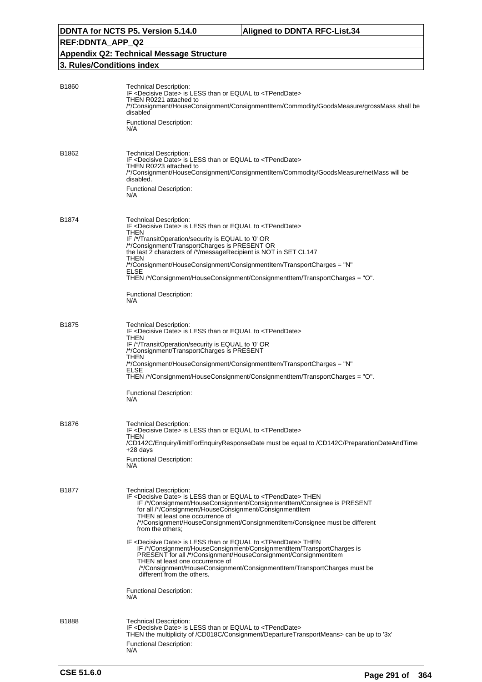## **DDNTA for NCTS P5. Version 5.14.0 Aligned to DDNTA RFC-List.34**

**REF:DDNTA\_APP\_Q2 Appendix Q2: Technical Message Structure**

| B1860             | <b>Technical Description:</b><br>IF <decisive date=""> is LESS than or EQUAL to <tpenddate><br/>THEN R0221 attached to<br/>/*/Consignment/HouseConsignment/ConsignmentItem/Commodity/GoodsMeasure/grossMass shall be<br/>disabled<br/><b>Functional Description:</b><br/>N/A</tpenddate></decisive>                                                                                                                                                                                                                                                                                                                                                                                                                                                                                                                                    |
|-------------------|----------------------------------------------------------------------------------------------------------------------------------------------------------------------------------------------------------------------------------------------------------------------------------------------------------------------------------------------------------------------------------------------------------------------------------------------------------------------------------------------------------------------------------------------------------------------------------------------------------------------------------------------------------------------------------------------------------------------------------------------------------------------------------------------------------------------------------------|
| B1862             | <b>Technical Description:</b><br>IF <decisive date=""> is LESS than or EQUAL to <tpenddate><br/>THEN R0223 attached to<br/>/*/Consignment/HouseConsignment/ConsignmentItem/Commodity/GoodsMeasure/netMass will be<br/>disabled.<br/>Functional Description:<br/>N/A</tpenddate></decisive>                                                                                                                                                                                                                                                                                                                                                                                                                                                                                                                                             |
| B1874             | <b>Technical Description:</b><br>IF <decisive date=""> is LESS than or EQUAL to <tpenddate><br/>THEN<br/>IF /*/TransitOperation/security is EQUAL to '0' OR<br/>/*/Consignment/TransportCharges is PRESENT OR<br/>the last 2 characters of /*/messageRecipient is NOT in SET CL147<br/>THEN<br/>/*/Consignment/HouseConsignment/ConsignmentItem/TransportCharges = "N"<br/><b>ELSE</b><br/>THEN /*/Consignment/HouseConsignment/ConsignmentItem/TransportCharges = "O".<br/><b>Functional Description:</b><br/>N/A</tpenddate></decisive>                                                                                                                                                                                                                                                                                              |
| B <sub>1875</sub> | <b>Technical Description:</b><br>IF <decisive date=""> is LESS than or EQUAL to <tpenddate><br/>THEN<br/>IF /*/TransitOperation/security is EQUAL to '0' OR<br/>/*/Consignment/TransportCharges is PRESENT<br/>THEN<br/>/*/Consignment/HouseConsignment/ConsignmentItem/TransportCharges = "N"<br/>ELSE<br/>THEN /*/Consignment/HouseConsignment/ConsignmentItem/TransportCharges = "O".<br/>Functional Description:<br/>N/A</tpenddate></decisive>                                                                                                                                                                                                                                                                                                                                                                                    |
| B1876             | <b>Technical Description:</b><br>IF <decisive date=""> is LESS than or EQUAL to <tpenddate><br/>THEN<br/>/CD142C/Enquiry/limitForEnquiryResponseDate must be equal to /CD142C/PreparationDateAndTime<br/>+28 days<br/><b>Functional Description:</b><br/>N/A</tpenddate></decisive>                                                                                                                                                                                                                                                                                                                                                                                                                                                                                                                                                    |
| B1877             | <b>Technical Description:</b><br>IF <decisive date=""> is LESS than or EQUAL to <tpenddate> THEN<br/>IF /*/Consignment/HouseConsignment/ConsignmentItem/Consignee is PRESENT<br/>for all /*/Consignment/HouseConsignment/ConsignmentItem<br/>THEN at least one occurrence of<br/>/*/Consignment/HouseConsignment/ConsignmentItem/Consignee must be different<br/>from the others:<br/>IF <decisive date=""> is LESS than or EQUAL to <tpenddate> THEN<br/>IF /*/Consignment/HouseConsignment/ConsignmentItem/TransportCharges is<br/>PRESENT for all /*/Consignment/HouseConsignment/ConsignmentItem<br/>THEN at least one occurrence of<br/>/*/Consignment/HouseConsignment/ConsignmentItem/TransportCharges must be<br/>different from the others.<br/>Functional Description:<br/>N/A</tpenddate></decisive></tpenddate></decisive> |
| B1888             | <b>Technical Description:</b><br>IF <decisive date=""> is LESS than or EQUAL to <tpenddate><br/>THEN the multiplicity of /CD018C/Consignment/DepartureTransportMeans&gt; can be up to '3x'<br/><b>Functional Description:</b><br/>N/A</tpenddate></decisive>                                                                                                                                                                                                                                                                                                                                                                                                                                                                                                                                                                           |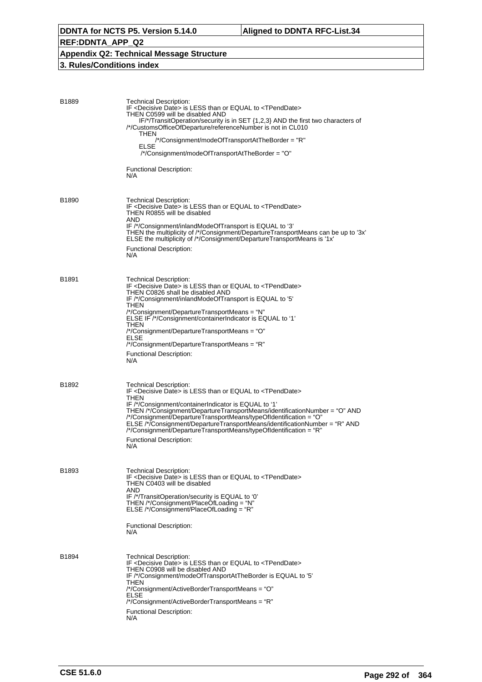## **DDNTA for NCTS P5. Version 5.14.0 Aligned to DDNTA RFC-List.34**

## **REF:DDNTA\_APP\_Q2**

## **Appendix Q2: Technical Message Structure**

| B1889 | Technical Description:<br>IF <decisive date=""> is LESS than or EQUAL to <tpenddate><br/>THEN C0599 will be disabled AND<br/>IF/*/TransitOperation/security is in SET {1,2,3} AND the first two characters of<br/>/*/CustomsOfficeOfDeparture/referenceNumber is not in CL010<br/>THEN<br/>/*/Consignment/modeOfTransportAtTheBorder = "R"<br/><b>ELSE</b><br/>/*/Consignment/modeOfTransportAtTheBorder = "O"<br/>Functional Description:<br/>N/A</tpenddate></decisive>                                                          |
|-------|------------------------------------------------------------------------------------------------------------------------------------------------------------------------------------------------------------------------------------------------------------------------------------------------------------------------------------------------------------------------------------------------------------------------------------------------------------------------------------------------------------------------------------|
| B1890 | Technical Description:<br>IF <decisive date=""> is LESS than or EQUAL to <tpenddate><br/>THEN R0855 will be disabled<br/>AND<br/>IF /*/Consignment/inlandModeOfTransport is EQUAL to '3'<br/>THEN the multiplicity of /*/Consignment/DepartureTransportMeans can be up to '3x'<br/>ELSE the multiplicity of /*/Consignment/DepartureTransportMeans is '1x'<br/><b>Functional Description:</b><br/>N/A</tpenddate></decisive>                                                                                                       |
| B1891 | <b>Technical Description:</b><br>IF <decisive date=""> is LESS than or EQUAL to <tpenddate><br/>THEN C0826 shall be disabled AND<br/>IF /*/Consignment/inlandModeOfTransport is EQUAL to '5'<br/>THEN<br/>/*/Consignment/DepartureTransportMeans = "N"<br/>ELSE IF /*/Consignment/containerIndicator is EQUAL to '1'<br/>THEN<br/>/*/Consignment/DepartureTransportMeans = "O"<br/>ELSE<br/>/*/Consignment/DepartureTransportMeans = "R"<br/><b>Functional Description:</b><br/>N/A</tpenddate></decisive>                         |
| B1892 | Technical Description:<br>IF <decisive date=""> is LESS than or EQUAL to <tpenddate><br/>THEN<br/>IF /*/Consignment/containerIndicator is EQUAL to '1'<br/>THEN /*/Consignment/DepartureTransportMeans/identificationNumber = "O" AND<br/>/*/Consignment/DepartureTransportMeans/typeOfIdentification = "O"<br/>ELSE /*/Consignment/DepartureTransportMeans/identificationNumber = "R" AND<br/>/*/Consignment/DepartureTransportMeans/typeOfIdentification = "R"<br/><b>Functional Description:</b><br/>N/A</tpenddate></decisive> |
| B1893 | <b>Technical Description:</b><br>IF <decisive date=""> is LESS than or EQUAL to <tpenddate><br/>THEN C0403 will be disabled<br/>AND<br/>IF /*/TransitOperation/security is EQUAL to '0'<br/>THEN /*/Consignment/PlaceOfLoading = "N"<br/>ELSE /*/Consignment/PlaceOfLoading = "R"<br/><b>Functional Description:</b><br/>N/A</tpenddate></decisive>                                                                                                                                                                                |
| B1894 | <b>Technical Description:</b><br>IF <decisive date=""> is LESS than or EQUAL to <tpenddate><br/>THEN C0908 will be disabled AND<br/>IF /*/Consignment/modeOfTransportAtTheBorder is EQUAL to '5'<br/>THEN<br/>/*/Consignment/ActiveBorderTransportMeans = "O"<br/><b>ELSE</b><br/>/*/Consignment/ActiveBorderTransportMeans = "R"<br/><b>Functional Description:</b><br/>N/A</tpenddate></decisive>                                                                                                                                |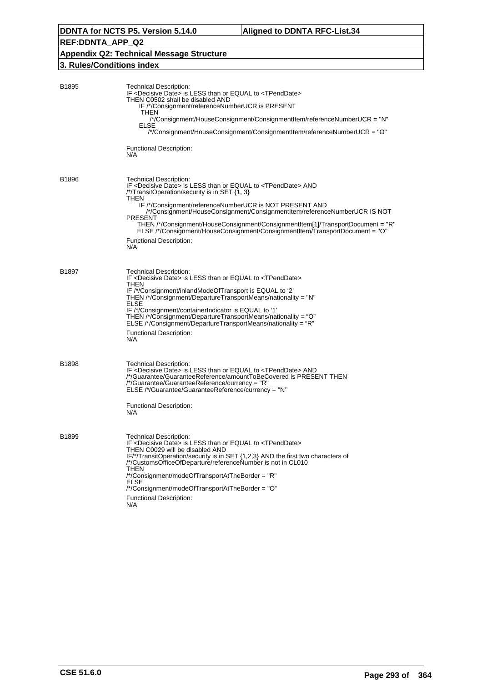## **Appendix Q2: Technical Message Structure**

| B1895 | Technical Description:<br>IF <decisive date=""> is LESS than or EQUAL to <tpenddate><br/>THEN C0502 shall be disabled AND<br/>IF /*/Consignment/referenceNumberUCR is PRESENT<br/>THEN<br/>/*/Consignment/HouseConsignment/ConsignmentItem/referenceNumberUCR = "N"<br/><b>ELSE</b><br/>/*/Consignment/HouseConsignment/ConsignmentItem/referenceNumberUCR = "O"<br/>Functional Description:<br/>N/A</tpenddate></decisive>                                                                                                                      |
|-------|--------------------------------------------------------------------------------------------------------------------------------------------------------------------------------------------------------------------------------------------------------------------------------------------------------------------------------------------------------------------------------------------------------------------------------------------------------------------------------------------------------------------------------------------------|
| B1896 | Technical Description:<br>IF <decisive date=""> is LESS than or EQUAL to <tpenddate> AND<br/>/*/TransitOperation/security is in SET {1, 3}<br/>THEN<br/>IF /*/Consignment/referenceNumberUCR is NOT PRESENT AND<br/>/*/Consignment/HouseConsignment/ConsignmentItem/referenceNumberUCR IS NOT<br/><b>PRESENT</b><br/>THEN /*/Consignment/HouseConsignment/ConsignmentItem[1]/TransportDocument = "R"<br/>ELSE /*/Consignment/HouseConsignment/ConsignmentItem/TransportDocument = "O"<br/>Functional Description:<br/>N/A</tpenddate></decisive> |
| B1897 | Technical Description:<br>IF <decisive date=""> is LESS than or EQUAL to <tpenddate><br/>THEN<br/>IF /*/Consignment/inlandModeOfTransport is EQUAL to '2'<br/>THEN /*/Consignment/DepartureTransportMeans/nationality = "N"<br/>ELSE<br/>IF /*/Consignment/containerIndicator is EQUAL to '1'<br/>THEN /*/Consignment/DepartureTransportMeans/nationality = "O"<br/>ELSE /*/Consignment/DepartureTransportMeans/nationality = "R"<br/>Functional Description:<br/>N/A</tpenddate></decisive>                                                     |
| B1898 | Technical Description:<br>IF <decisive date=""> is LESS than or EQUAL to <tpenddate> AND<br/>/*/Guarantee/GuaranteeReference/amountToBeCovered is PRESENT THEN<br/>/*/Guarantee/GuaranteeReference/currency = "R"<br/>ELSE /*/Guarantee/GuaranteeReference/currency = "N"<br/>Functional Description:<br/>N/A</tpenddate></decisive>                                                                                                                                                                                                             |
| B1899 | Technical Description:<br>IF <decisive date=""> is LESS than or EQUAL to <tpenddate><br/>THEN C0029 will be disabled AND<br/>IF/*/TransitOperation/security is in SET {1,2,3} AND the first two characters of<br/>/*/CustomsOfficeOfDeparture/referenceNumber is not in CL010<br/>THEN<br/>/*/Consignment/modeOfTransportAtTheBorder = "R"<br/><b>ELSE</b><br/>/*/Consignment/modeOfTransportAtTheBorder = "O"<br/><b>Functional Description:</b><br/>N/A</tpenddate></decisive>                                                                 |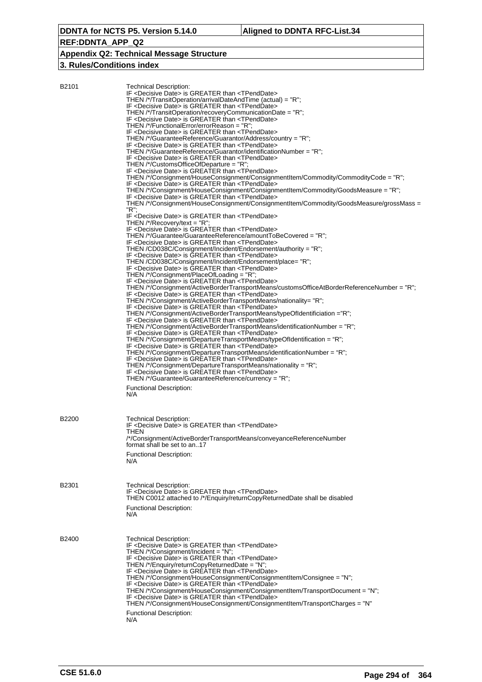## **Appendix Q2: Technical Message Structure**

| B2101 | <b>Technical Description:</b><br>IF <decisive date=""> is GREATER than <tpenddate><br/>THEN /*/TransitOperation/arrivalDateAndTime (actual) = "R";<br/>IF <decisive date=""> is GREATER than <tpenddate><br/>THEN /*/TransitOperation/recoveryCommunicationDate = "R";<br/>IF <decisive date=""> is GREATER than <tpenddate><br/>THEN /*/FunctionalError/errorReason = "R";<br/>IF <decisive date=""> is GREATER than <tpenddate><br/>THEN /*/GuaranteeReference/Guarantor/Address/country = "R";<br/>IF <decisive date=""> is GREATER than <tpenddate><br/>THEN /*/GuaranteeReference/Guarantor/identificationNumber = "R";<br/>IF <decisive date=""> is GREATER than <tpenddate><br/>THEN /*/CustomsOfficeOfDeparture = "R";<br/>IF <decisive date=""> is GREATER than <tpenddate><br/>THEN /*/Consignment/HouseConsignment/ConsignmentItem/Commodity/CommodityCode = "R";<br/>IF <decisive date=""> is GREATER than <tpenddate><br/>THEN /*/Consignment/HouseConsignment/ConsignmentItem/Commodity/GoodsMeasure = "R";<br/>IF <decisive date=""> is GREATER than <tpenddate><br/>THEN /*/Consignment/HouseConsignment/ConsignmentItem/Commodity/GoodsMeasure/grossMass =<br/>"R";<br/>IF <decisive date=""> is GREATER than <tpenddate><br/>THEN <math>/*</math>/Recovery/text = "R";<br/>IF <decisive date=""> is GREATER than <tpenddate><br/>THEN /*/Guarantee/GuaranteeReference/amountToBeCovered = "R";<br/>IF <decisive date=""> is GREATER than <tpenddate><br/>THEN /CD038C/Consignment/Incident/Endorsement/authority = "R";<br/>IF <decisive date=""> is GREATER than <tpenddate><br/>THEN /CD038C/Consignment/Incident/Endorsement/place="R";<br/>IF <decisive date=""> is GREATER than <tpenddate><br/>THEN /*/Consignment/PlaceOfLoading = "R";<br/>IF <decisive date=""> is GREATER than <tpenddate><br/>THEN /*/Consignment/ActiveBorderTransportMeans/customsOfficeAtBorderReferenceNumber = "R";<br/>IF <decisive date=""> is GREATER than <tpenddate><br/>THEN /*/Consignment/ActiveBorderTransportMeans/nationality="R";<br/>IF <decisive date=""> is GREATER than <tpenddate><br/>THEN /*/Consignment/ActiveBorderTransportMeans/typeOfIdentificiation ="R";<br/>IF <decisive date=""> is GREATER than <tpenddate><br/>THEN /*/Consignment/ActiveBorderTransportMeans/identificationNumber = "R";<br/>IF <decisive date=""> is GREATER than <tpenddate><br/>THEN /*/Consignment/DepartureTransportMeans/typeOfIdentification = "R";<br/>IF <decisive date=""> is GREATER than <tpenddate><br/>THEN <math>/*/Consignment/Department</math>TransportMeans/identificationNumber = "R";<br/>IF <decisive date=""> is GREATER than <tpenddate><br/>THEN /*/Consignment/DepartureTransportMeans/nationality = "R";<br/>IF <decisive date=""> is GREATER than <tpenddate></tpenddate></decisive></tpenddate></decisive></tpenddate></decisive></tpenddate></decisive></tpenddate></decisive></tpenddate></decisive></tpenddate></decisive></tpenddate></decisive></tpenddate></decisive></tpenddate></decisive></tpenddate></decisive></tpenddate></decisive></tpenddate></decisive></tpenddate></decisive></tpenddate></decisive></tpenddate></decisive></tpenddate></decisive></tpenddate></decisive></tpenddate></decisive></tpenddate></decisive></tpenddate></decisive></tpenddate></decisive> |  |
|-------|----------------------------------------------------------------------------------------------------------------------------------------------------------------------------------------------------------------------------------------------------------------------------------------------------------------------------------------------------------------------------------------------------------------------------------------------------------------------------------------------------------------------------------------------------------------------------------------------------------------------------------------------------------------------------------------------------------------------------------------------------------------------------------------------------------------------------------------------------------------------------------------------------------------------------------------------------------------------------------------------------------------------------------------------------------------------------------------------------------------------------------------------------------------------------------------------------------------------------------------------------------------------------------------------------------------------------------------------------------------------------------------------------------------------------------------------------------------------------------------------------------------------------------------------------------------------------------------------------------------------------------------------------------------------------------------------------------------------------------------------------------------------------------------------------------------------------------------------------------------------------------------------------------------------------------------------------------------------------------------------------------------------------------------------------------------------------------------------------------------------------------------------------------------------------------------------------------------------------------------------------------------------------------------------------------------------------------------------------------------------------------------------------------------------------------------------------------------------------------------------------------------------------------------------------------------------------------------------------------------------------------------------------------------------------------------------------------------------------------------------------------------------------------------------------------------------------------------------------------------------------------------------------------------------------------------------------------------------------------------------------------------------------------------------------------------------------------------------------------------------------------------------------------------------------------------------------------------------------------------------------------------------------------------------------------------------|--|
|       | THEN /*/Guarantee/GuaranteeReference/currency = "R";                                                                                                                                                                                                                                                                                                                                                                                                                                                                                                                                                                                                                                                                                                                                                                                                                                                                                                                                                                                                                                                                                                                                                                                                                                                                                                                                                                                                                                                                                                                                                                                                                                                                                                                                                                                                                                                                                                                                                                                                                                                                                                                                                                                                                                                                                                                                                                                                                                                                                                                                                                                                                                                                                                                                                                                                                                                                                                                                                                                                                                                                                                                                                                                                                                                                 |  |
|       | Functional Description:<br>N/A                                                                                                                                                                                                                                                                                                                                                                                                                                                                                                                                                                                                                                                                                                                                                                                                                                                                                                                                                                                                                                                                                                                                                                                                                                                                                                                                                                                                                                                                                                                                                                                                                                                                                                                                                                                                                                                                                                                                                                                                                                                                                                                                                                                                                                                                                                                                                                                                                                                                                                                                                                                                                                                                                                                                                                                                                                                                                                                                                                                                                                                                                                                                                                                                                                                                                       |  |
| B2200 | <b>Technical Description:</b><br>IF <decisive date=""> is GREATER than <tpenddate><br/>THEN<br/>/*/Consignment/ActiveBorderTransportMeans/conveyanceReferenceNumber<br/>format shall be set to an17<br/><b>Functional Description:</b><br/>N/A</tpenddate></decisive>                                                                                                                                                                                                                                                                                                                                                                                                                                                                                                                                                                                                                                                                                                                                                                                                                                                                                                                                                                                                                                                                                                                                                                                                                                                                                                                                                                                                                                                                                                                                                                                                                                                                                                                                                                                                                                                                                                                                                                                                                                                                                                                                                                                                                                                                                                                                                                                                                                                                                                                                                                                                                                                                                                                                                                                                                                                                                                                                                                                                                                                |  |
| B2301 | <b>Technical Description:</b><br>IF <decisive date=""> is GREATER than <tpenddate><br/>THEN C0012 attached to /*/Enquiry/returnCopyReturnedDate shall be disabled<br/><b>Functional Description:</b><br/>N/A</tpenddate></decisive>                                                                                                                                                                                                                                                                                                                                                                                                                                                                                                                                                                                                                                                                                                                                                                                                                                                                                                                                                                                                                                                                                                                                                                                                                                                                                                                                                                                                                                                                                                                                                                                                                                                                                                                                                                                                                                                                                                                                                                                                                                                                                                                                                                                                                                                                                                                                                                                                                                                                                                                                                                                                                                                                                                                                                                                                                                                                                                                                                                                                                                                                                  |  |
| B2400 | <b>Technical Description:</b><br>IF <decisive date=""> is GREATER than <tpenddate><br/>THEN <math>/*/Consignment/Incident = "N";</math><br/>IF <decisive date=""> is GREATER than <tpenddate><br/>THEN /*/Enquiry/returnCopyReturnedDate = "N";<br/>IF <decisive date=""> is GREATER than <tpenddate><br/>THEN /*/Consignment/HouseConsignment/ConsignmentItem/Consignee = "N";<br/>IF <decisive date=""> is GREATER than <tpenddate><br/>THEN /*/Consignment/HouseConsignment/ConsignmentItem/TransportDocument = "N";<br/>IF <decisive date=""> is GREATER than <tpenddate><br/>THEN /*/Consignment/HouseConsignment/ConsignmentItem/TransportCharges = "N"<br/><b>Functional Description:</b><br/>N/A</tpenddate></decisive></tpenddate></decisive></tpenddate></decisive></tpenddate></decisive></tpenddate></decisive>                                                                                                                                                                                                                                                                                                                                                                                                                                                                                                                                                                                                                                                                                                                                                                                                                                                                                                                                                                                                                                                                                                                                                                                                                                                                                                                                                                                                                                                                                                                                                                                                                                                                                                                                                                                                                                                                                                                                                                                                                                                                                                                                                                                                                                                                                                                                                                                                                                                                                          |  |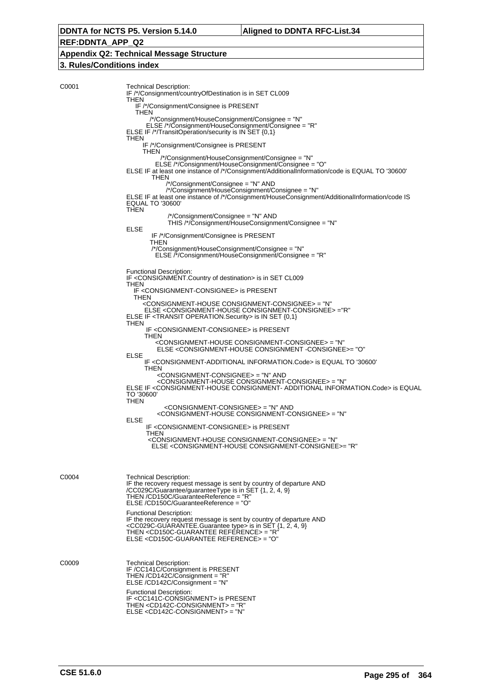## **Appendix Q2: Technical Message Structure**

| C0001 | Technical Description:<br>IF /*/Consignment/countryOfDestination is in SET CL009<br>THEN<br>IF /*/Consignment/Consignee is PRESENT                                                                                                                                                                                                    |
|-------|---------------------------------------------------------------------------------------------------------------------------------------------------------------------------------------------------------------------------------------------------------------------------------------------------------------------------------------|
|       | THEN<br>/*/Consignment/HouseConsignment/Consignee = "N"<br>ELSE /*/Consignment/HouseConsignment/Consignee = "R"<br>ELSE IF /*/TransitOperation/security is IN SET {0,1}                                                                                                                                                               |
|       | THEN<br>IF /*/Consignment/Consignee is PRESENT                                                                                                                                                                                                                                                                                        |
|       | THEN<br>/*/Consignment/HouseConsignment/Consignee = "N"<br>ELSE /*/Consignment/HouseConsignment/Consignee = "O"<br>ELSE IF at least one instance of /*/Consignment/AdditionalInformation/code is EQUAL TO '30600'<br>THEN                                                                                                             |
|       | /*/Consignment/Consignee = "N" AND<br>/*/Consignment/HouseConsignment/Consignee = "N"<br>ELSE IF at least one instance of /*/Consignment/HouseConsignment/AdditionalInformation/code IS<br>EQUAL TO '30600'                                                                                                                           |
|       | THEN<br>/*/Consignment/Consignee = "N" AND<br>THIS /*/Consignment/HouseConsignment/Consignee = "N"<br><b>ELSE</b>                                                                                                                                                                                                                     |
|       | IF /*/Consignment/Consignee is PRESENT<br>THEN<br>/*/Consignment/HouseConsignment/Consignee = "N"                                                                                                                                                                                                                                     |
|       | ELSE /*/Consignment/HouseConsignment/Consignee = "R"                                                                                                                                                                                                                                                                                  |
|       | <b>Functional Description:</b><br>IF <consignment.country destination="" of=""> is in SET CL009</consignment.country>                                                                                                                                                                                                                 |
|       | THEN<br>IF <consignment-consignee> is PRESENT<br/><b>THEN</b></consignment-consignee>                                                                                                                                                                                                                                                 |
|       | ELSE <consignment-house consignment-consignee=""> ="R"<br/>ELSE IF <transit operation.="" security=""> is IN SET <math>\{0,1\}</math><br/><b>THEN</b></transit></consignment-house>                                                                                                                                                   |
|       | IF <consignment-consignee> is PRESENT<br/><b>THEN</b></consignment-consignee>                                                                                                                                                                                                                                                         |
|       | ELSE <consignment-house -consignee="" consignment="">= "O"<br/>ELSE</consignment-house>                                                                                                                                                                                                                                               |
|       | IF <consignment-additional information.code=""> is EQUAL TO '30600'<br/>THEN</consignment-additional>                                                                                                                                                                                                                                 |
|       | <consignment-consignee> = "N" AND<br/><consignment-house consignment-consignee=""> = "N"<br/>ELSE IF <consignment-house additional="" consignment-="" information.code=""> is EQUAL<br/>TO '30600'<br/><b>THEN</b></consignment-house></consignment-house></consignment-consignee>                                                    |
|       | <consignment-consignee> = "N" AND<br/><consignment-house consignment-consignee=""> = "N"</consignment-house></consignment-consignee>                                                                                                                                                                                                  |
|       | ELSE<br>IF <consignment-consignee> is PRESENT<br/>THEN</consignment-consignee>                                                                                                                                                                                                                                                        |
|       | <consignment-house consignment-consignee=""> = "N"<br/>ELSE <consignment-house consignment-consignee="">= "R"</consignment-house></consignment-house>                                                                                                                                                                                 |
| C0004 | Technical Description:<br>IF the recovery request message is sent by country of departure AND<br>/CC029C/Guarantee/guaranteeType is in SET {1, 2, 4, 9}<br>THEN /CD150C/GuaranteeReference = "R"<br>$ELSE / CD150C/GuaranteeReference = "O"$                                                                                          |
|       | <b>Functional Description:</b><br>IF the recovery request message is sent by country of departure AND<br><cc029c-guarantee.guarantee type=""> is in SET {1, 2, 4, 9}<br/>THEN <cd150c-guarantee reference=""> = "R"<br/>ELSE <cd150c-guarantee reference=""> = "O"</cd150c-guarantee></cd150c-guarantee></cc029c-guarantee.guarantee> |
| C0009 | Technical Description:<br>IF /CC141C/Consignment is PRESENT<br>THEN /CD142C/Consignment = "R"<br>$ELSE / CD142C/Consignment = "N"$                                                                                                                                                                                                    |
|       | <b>Functional Description:</b><br>IF <cc141c-consignment> is PRESENT<br/>THEN <cd142c-consignment> = "R"<br/><math>ELSE &lt; CD142C</math>-CONSIGNMENT&gt; = "N"</cd142c-consignment></cc141c-consignment>                                                                                                                            |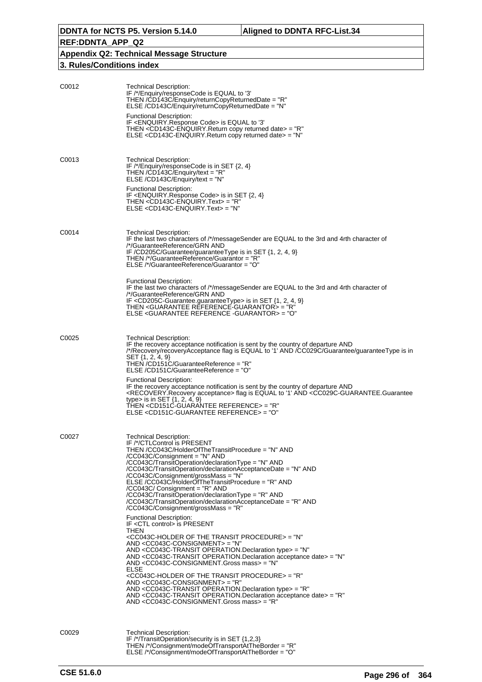**Appendix Q2: Technical Message Structure**

| C0012              | Technical Description:<br>IF /*/Enquiry/responseCode is EQUAL to '3'<br>THEN /CD143C/Enquiry/returnCopyReturnedDate = "R"<br>ELSE /CD143C/Enquiry/returnCopyReturnedDate = "N"<br>Functional Description:<br>IF <enquiry.response code=""> is EQUAL to '3'<br/>THEN <cd143c-enquiry.return copy="" date="" returned=""> = "R"<br/>ELSE <cd143c-enquiry.return copy="" date="" returned=""> = "N"</cd143c-enquiry.return></cd143c-enquiry.return></enquiry.response>                                                                                                                                                                                                                                                                                                                                                                                                                                                                                                                                                                                                                                                                                                                                                                                                                                                                                                                                                                                                |
|--------------------|--------------------------------------------------------------------------------------------------------------------------------------------------------------------------------------------------------------------------------------------------------------------------------------------------------------------------------------------------------------------------------------------------------------------------------------------------------------------------------------------------------------------------------------------------------------------------------------------------------------------------------------------------------------------------------------------------------------------------------------------------------------------------------------------------------------------------------------------------------------------------------------------------------------------------------------------------------------------------------------------------------------------------------------------------------------------------------------------------------------------------------------------------------------------------------------------------------------------------------------------------------------------------------------------------------------------------------------------------------------------------------------------------------------------------------------------------------------------|
| C0013              | Technical Description:<br>IF $/*/Enquiry/responseCode$ is in SET $\{2, 4\}$<br>THEN /CD143C/Enquiry/text = "R"<br>ELSE /CD143C/Enquiry/text = "N"<br>Functional Description:<br>IF <enquiry.response code=""> is in SET <math>\{2, 4\}</math><br/>THEN &lt;<math>CD143C</math>-ENQUIRY.Text&gt; = "R"<br/><math>ELSE &lt;</math>CD143C-ENQUIRY.Text&gt; = "N"</enquiry.response>                                                                                                                                                                                                                                                                                                                                                                                                                                                                                                                                                                                                                                                                                                                                                                                                                                                                                                                                                                                                                                                                                   |
| C0014              | Technical Description:<br>IF the last two characters of /*/messageSender are EQUAL to the 3rd and 4rth character of<br>/*/GuaranteeReference/GRN AND<br>IF/CD205C/Guarantee/guaranteeType is in SET {1, 2, 4, 9}<br>THEN /*/GuaranteeReference/Guarantor = "R"<br>ELSE /*/GuaranteeReference/Guarantor = "O"<br>Functional Description:<br>IF the last two characters of /*/messageSender are EQUAL to the 3rd and 4rth character of<br>/*/GuaranteeReference/GRN AND<br>IF <cd205c-guarantee.guaranteetype> is in SET {1, 2, 4, 9}<br/>THEN <guarantee reference-guarantor=""> = "R"<br/>ELSE <guarantee -guarantor="" reference=""> = "O"</guarantee></guarantee></cd205c-guarantee.guaranteetype>                                                                                                                                                                                                                                                                                                                                                                                                                                                                                                                                                                                                                                                                                                                                                               |
| C0025              | Technical Description:<br>IF the recovery acceptance notification is sent by the country of departure AND<br>/*/Recovery/recoveryAcceptance flag is EQUAL to '1' AND /CC029C/Guarantee/guaranteeType is in<br>SET {1, 2, 4, 9}<br>THEN /CD151C/GuaranteeReference = "R"<br>ELSE /CD151C/GuaranteeReference = "O"<br>Functional Description:<br>IF the recovery acceptance notification is sent by the country of departure AND<br><recovery.recovery acceptance=""> flag is EQUAL to '1' AND <cc029c-guarantee.guarantee<br>type is in SET <math>\{1, 2, 4, 9\}</math><br/>THEN <cd151c-guarantee reference=""> = "R"<br/>ELSE <cd151c-guarantee reference=""> = "O"</cd151c-guarantee></cd151c-guarantee></cc029c-guarantee.guarantee<br></recovery.recovery>                                                                                                                                                                                                                                                                                                                                                                                                                                                                                                                                                                                                                                                                                                     |
| C <sub>0</sub> 027 | Technical Description:<br>IF /*/CTLControl is PRESENT<br>THEN /CC043C/HolderOfTheTransitProcedure = "N" AND<br>/CC043C/Consignment = "N" AND<br>/CC043C/TransitOperation/declarationType = "N" AND<br>/CC043C/TransitOperation/declarationAcceptanceDate = "N" AND<br>/CC043C/Consignment/grossMass = "N"<br>ELSE /CC043C/HolderOfTheTransitProcedure = "R" AND<br>/CC043C/ Consignment = "R" $AND$<br>/CC043C/TransitOperation/declarationType = "R" AND<br>/CC043C/TransitOperation/declarationAcceptanceDate = "R" AND<br>/CC043C/Consignment/grossMass = "R"<br><b>Functional Description:</b><br>IF <ctl control=""> is PRESENT<br/>THEN<br/><cc043c-holder of="" procedure="" the="" transit=""> = "N"<br/>AND <cc043c-consignment> = "N"<br/>AND <cc043c-transit operation.declaration="" type=""> = "N"<br/>AND &lt;<math>CC043C</math>-TRANSIT OPERATION. Declaration acceptance date&gt; = "N"<br/>AND <cc043c-consignment.gross mass=""> = "N"<br/>ELSE<br/><cc043c-holder of="" procedure="" the="" transit=""> = "R"<br/><math>AND &lt; CC043C</math>-CONSIGNMENT<math>&gt;</math> = "R"<br/>AND <cc043c-transit operation.declaration="" type=""> = "R"<br/>AND &lt;<math>CC043C</math>-TRANSIT OPERATION. Declaration acceptance date&gt; = "R"<br/>AND <cc043c-consignment.gross mass=""> = "R"</cc043c-consignment.gross></cc043c-transit></cc043c-holder></cc043c-consignment.gross></cc043c-transit></cc043c-consignment></cc043c-holder></ctl> |
| C0029              | Technical Description:<br>IF $\sqrt{\tau}$ TransitOperation/security is in SET $\{1,2,3\}$<br>THEN /*/Consignment/modeOfTransportAtTheBorder = "R"<br>ELSE /*/Consignment/modeOfTransportAtTheBorder = "O"                                                                                                                                                                                                                                                                                                                                                                                                                                                                                                                                                                                                                                                                                                                                                                                                                                                                                                                                                                                                                                                                                                                                                                                                                                                         |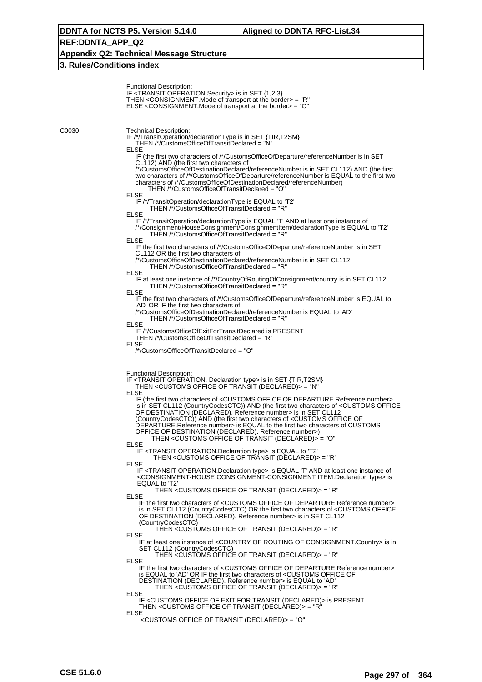C0030

## **Appendix Q2: Technical Message Structure**

| <b>Functional Description:</b><br>IF <transit operation.security=""> is in SET {1,2,3}<br/>THEN <consignment. <math="" at="" border="" mode="" of="" the="" transport="">= "R"<br/>ELSE <consignment. <math="" at="" border="" mode="" of="" the="" transport="">&gt; = "O"</consignment.></consignment.></transit>                                                                                                                                                                                                                                                                                                              |
|----------------------------------------------------------------------------------------------------------------------------------------------------------------------------------------------------------------------------------------------------------------------------------------------------------------------------------------------------------------------------------------------------------------------------------------------------------------------------------------------------------------------------------------------------------------------------------------------------------------------------------|
| Technical Description:<br>IF /*/TransitOperation/declarationType is in SET {TIR,T2SM}<br>THEN /*/CustomsOfficeOfTransitDeclared = "N"<br>ELSE                                                                                                                                                                                                                                                                                                                                                                                                                                                                                    |
| IF (the first two characters of /*/CustomsOfficeOfDeparture/referenceNumber is in SET<br>CL112) AND (the first two characters of<br>/*/CustomsOfficeOfDestinationDeclared/referenceNumber is in SET CL112) AND (the first<br>two characters of /*/CustomsOfficeOfDeparture/referenceNumber is EQUAL to the first two<br>characters of /*/CustomsOfficeOfDestinationDeclared/referenceNumber)<br>THEN /*/CustomsOfficeOfTransitDeclared = "O"                                                                                                                                                                                     |
| ELSE<br>IF /*/TransitOperation/declarationType is EQUAL to 'T2'<br>THEN /*/CustomsOfficeOfTransitDeclared = "R"                                                                                                                                                                                                                                                                                                                                                                                                                                                                                                                  |
| <b>ELSE</b><br>IF /*/TransitOperation/declarationType is EQUAL 'T' AND at least one instance of<br>/*/Consignment/HouseConsignment/ConsignmentItem/declarationType is EQUAL to 'T2'<br>THEN /*/CustomsOfficeOfTransitDeclared = "R"                                                                                                                                                                                                                                                                                                                                                                                              |
| <b>ELSE</b><br>IF the first two characters of /*/CustomsOfficeOfDeparture/referenceNumber is in SET<br>CL112 OR the first two characters of<br>/*/CustomsOfficeOfDestinationDeclared/referenceNumber is in SET CL112<br>THEN /*/CustomsOfficeOfTransitDeclared = "R"                                                                                                                                                                                                                                                                                                                                                             |
| ELSE<br>IF at least one instance of /*/CountryOfRoutingOfConsignment/country is in SET CL112<br>THEN /*/CustomsOfficeOfTransitDeclared = "R"                                                                                                                                                                                                                                                                                                                                                                                                                                                                                     |
| <b>ELSE</b><br>IF the first two characters of /*/CustomsOfficeOfDeparture/referenceNumber is EQUAL to<br>'AD' OR IF the first two characters of<br>/*/CustomsOfficeOfDestinationDeclared/referenceNumber is EQUAL to 'AD'<br>THEN /*/CustomsOfficeOfTransitDeclared = "R"                                                                                                                                                                                                                                                                                                                                                        |
| <b>ELSE</b><br>IF /*/CustomsOfficeOfExitForTransitDeclared is PRESENT<br>THEN /*/CustomsOfficeOfTransitDeclared = "R"<br>ELSE                                                                                                                                                                                                                                                                                                                                                                                                                                                                                                    |
| /*/CustomsOfficeOfTransitDeclared = "O"                                                                                                                                                                                                                                                                                                                                                                                                                                                                                                                                                                                          |
| <b>Functional Description:</b><br>IF <transit declaration="" operation.="" type=""> is in SET {TIR, T2SM}<br/>THEN <customs (declared)="" of="" office="" transit=""> = "N"</customs></transit>                                                                                                                                                                                                                                                                                                                                                                                                                                  |
| <b>ELSE</b><br>IF (the first two characters of <customs departure.reference="" number="" of="" office=""><br/>is in SET CL112 (CountryCodesCTC)) AND (the first two characters of <customs office<br="">OF DESTINATION (DECLARED). Reference number&gt; is in SET CL112<br/>(CountryCodesCTC)) AND (the first two characters of <customs of<br="" office="">DEPARTURE.Reference number&gt; is EQUAL to the first two characters of CUSTOMS<br/>OFFICE OF DESTINATION (DECLARED). Reference number&gt;)<br/>THEN <customs (declared)="" of="" office="" transit=""> = "O"<br/><b>ELSE</b></customs></customs></customs></customs> |
| IF <transit declaration="" operation.="" type=""> is EQUAL to 'T2'<br/>THEN <customs (declared)="" of="" office="" transit=""> = "R"<br/><b>ELSE</b></customs></transit>                                                                                                                                                                                                                                                                                                                                                                                                                                                         |
| IF <transit operation.declaration="" type=""> is EQUAL 'T' AND at least one instance of<br/><consignment-house consignment-consignment="" item.declaration="" type=""> is<br/>EQUAL to 'T2'<br/>THEN <customs (declared)="" of="" office="" transit=""> = "R"</customs></consignment-house></transit>                                                                                                                                                                                                                                                                                                                            |
| <b>ELSE</b><br>IF the first two characters of <customs departure.="" number="" of="" office="" reference=""><br/>is in SET CL112 (CountryCodesCTC) OR the first two characters of <customs office<br="">OF DESTINATION (DECLARED). Reference number&gt; is in SET CL112<br/>(CountryCodesCTC)</customs></customs>                                                                                                                                                                                                                                                                                                                |
| THEN < CUSTOMS OFFICE OF TRANSIT (DECLARED) > = "R"<br>ELSE                                                                                                                                                                                                                                                                                                                                                                                                                                                                                                                                                                      |
| IF at least one instance of <country consignment.country="" of="" routing=""> is in<br/>SET CL112 (CountryCodesCTC)<br/>THEN &lt; CUSTOMS OFFICE OF TRANSIT (DECLARED) &gt; = "R"</country>                                                                                                                                                                                                                                                                                                                                                                                                                                      |
| <b>ELSE</b><br>IF the first two characters of <customs departure.="" number="" of="" office="" reference=""><br/>is EQUAL to 'AD' OR IF the first two characters of <customs of<br="" office="">DESTINATION (DECLARED). Reference number&gt; is EQUAL to 'AD'</customs></customs>                                                                                                                                                                                                                                                                                                                                                |
| THEN <customs (declared)="" of="" office="" transit=""> = "R"<br/><b>ELSE</b><br/>IF <customs (declared)="" exit="" for="" of="" office="" transit=""> is PRESENT</customs></customs>                                                                                                                                                                                                                                                                                                                                                                                                                                            |
| THEN < CUSTOMS OFFICE OF TRANSIT (DECLARED) > = "R"<br>ELSE<br><customs (declared)="" of="" office="" transit=""> = "O"</customs>                                                                                                                                                                                                                                                                                                                                                                                                                                                                                                |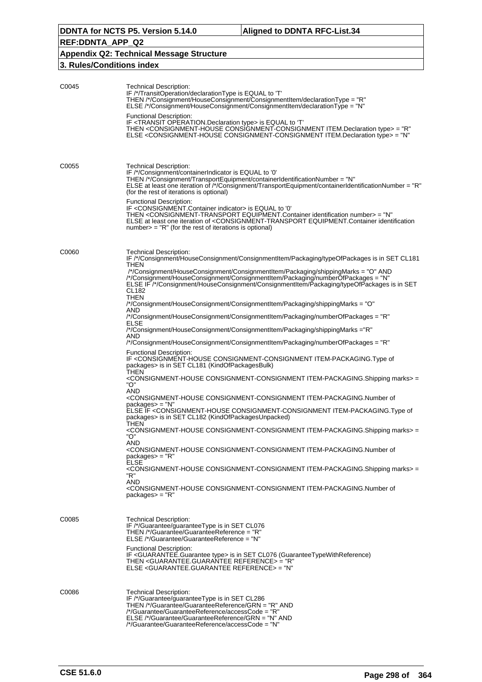**Appendix Q2: Technical Message Structure**

| C0045 | <b>Technical Description:</b><br>IF /*/TransitOperation/declarationType is EQUAL to 'T'<br>THEN /*/Consignment/HouseConsignment/ConsignmentItem/declarationType = "R"<br>ELSE /*/Consignment/HouseConsignment/ConsignmentItem/declarationType = "N"<br><b>Functional Description:</b><br>IF <transit declaration="" operation.="" type=""> is EQUAL to 'T'<br/>THEN <consignment-house consignment-consignment="" item.declaration="" type=""> = "R"</consignment-house></transit>                                                                                                                                                                                                                                                                                                                                                                                                                                                                                                                                                                                                                                                                                                                                                                                                                                                                                                                                                                                                                                                                                                                                                                                                                                                                                                                                                                                                                                                                                                                                   |
|-------|----------------------------------------------------------------------------------------------------------------------------------------------------------------------------------------------------------------------------------------------------------------------------------------------------------------------------------------------------------------------------------------------------------------------------------------------------------------------------------------------------------------------------------------------------------------------------------------------------------------------------------------------------------------------------------------------------------------------------------------------------------------------------------------------------------------------------------------------------------------------------------------------------------------------------------------------------------------------------------------------------------------------------------------------------------------------------------------------------------------------------------------------------------------------------------------------------------------------------------------------------------------------------------------------------------------------------------------------------------------------------------------------------------------------------------------------------------------------------------------------------------------------------------------------------------------------------------------------------------------------------------------------------------------------------------------------------------------------------------------------------------------------------------------------------------------------------------------------------------------------------------------------------------------------------------------------------------------------------------------------------------------------|
| C0055 | ELSE <consignment-house consignment-consignment="" item.declaration="" type=""> = "N"<br/><b>Technical Description:</b><br/>IF /*/Consignment/containerIndicator is EQUAL to '0'<br/>THEN /*/Consignment/TransportEquipment/containerIdentificationNumber = "N"</consignment-house>                                                                                                                                                                                                                                                                                                                                                                                                                                                                                                                                                                                                                                                                                                                                                                                                                                                                                                                                                                                                                                                                                                                                                                                                                                                                                                                                                                                                                                                                                                                                                                                                                                                                                                                                  |
|       | ELSE at least one iteration of /*/Consignment/TransportEquipment/containerIdentificationNumber = "R"<br>(for the rest of iterations is optional)<br><b>Functional Description:</b><br>IF <consignment.container indicator=""> is EQUAL to '0'<br/>THEN <consignment-transport equipment.container="" identification="" number=""> = "N"<br/>ELSE at least one iteration of <consignment-transport equipment.container="" identification<br=""><math>numbers = "R"</math> (for the rest of iterations is optional)</consignment-transport></consignment-transport></consignment.container>                                                                                                                                                                                                                                                                                                                                                                                                                                                                                                                                                                                                                                                                                                                                                                                                                                                                                                                                                                                                                                                                                                                                                                                                                                                                                                                                                                                                                            |
| C0060 | <b>Technical Description:</b><br>IF /*/Consignment/HouseConsignment/ConsignmentItem/Packaging/typeOfPackages is in SET CL181<br><b>THEN</b><br>/*/Consignment/HouseConsignment/ConsignmentItem/Packaging/shippingMarks = "O" AND<br>/*/Consignment/HouseConsignment/ConsignmentItem/Packaging/numberOfPackages = "N"<br>ELSE IF /*/Consignment/HouseConsignment/ConsignmentItem/Packaging/typeOfPackages is in SET<br>CL182<br>THEN<br>/*/Consignment/HouseConsignment/ConsignmentItem/Packaging/shippingMarks = "O"<br>AND<br>/*/Consignment/HouseConsignment/ConsignmentItem/Packaging/numberOfPackages = "R"<br><b>ELSE</b><br>/*/Consignment/HouseConsignment/ConsignmentItem/Packaging/shippingMarks ="R"<br>AND<br>/*/Consignment/HouseConsignment/ConsignmentItem/Packaging/numberOfPackages = "R"<br><b>Functional Description:</b><br>IF <consignment-house consignment-consignment="" item-packaging.="" of<br="" type="">packages&gt; is in SET CL181 (KindOfPackagesBulk)<br/>THEN<br/><consignment-house consignment-consignment="" item-packaging.shipping="" marks=""> =<br/>"О"<br/><b>AND</b><br/><consignment-house consignment-consignment="" item-packaging.number="" of<br=""><math>packaaes = "N"</math><br/>ELSE IF <consignment-house consignment-consignment="" item-packaging.="" of<br="" type="">packages&gt; is in SET CL182 (KindOfPackagesUnpacked)<br/>THEN<br/><consignment-house consignment-consignment="" item-packaging.shipping="" marks=""> =<br/>"О"<br/>AND<br/><consignment-house consignment-consignment="" item-packaging.number="" of<br="">packages&gt; = "R"<br/>ELSE<br/><consignment-house consignment-consignment="" item-packaging.shipping="" marks=""> =<br/>"R"<br/><b>AND</b><br/><consignment-house consignment-consignment="" item-packaging.number="" of<br=""><math>packages = "R"</math></consignment-house></consignment-house></consignment-house></consignment-house></consignment-house></consignment-house></consignment-house></consignment-house> |
| C0085 | <b>Technical Description:</b><br>IF /*/Guarantee/guaranteeType is in SET CL076<br>THEN /*/Guarantee/GuaranteeReference = "R"<br>ELSE /*/Guarantee/GuaranteeReference = "N"<br><b>Functional Description:</b><br>IF <guarantee.guarantee type=""> is in SET CL076 (GuaranteeTypeWithReference)<br/>THEN <guarantee.guarantee reference=""> = "R"<br/>ELSE <guarantee.guarantee reference=""> = "N"</guarantee.guarantee></guarantee.guarantee></guarantee.guarantee>                                                                                                                                                                                                                                                                                                                                                                                                                                                                                                                                                                                                                                                                                                                                                                                                                                                                                                                                                                                                                                                                                                                                                                                                                                                                                                                                                                                                                                                                                                                                                  |
| C0086 | Technical Description:<br>IF /*/Guarantee/guaranteeType is in SET CL286<br>THEN /*/Guarantee/GuaranteeReference/GRN = "R" AND<br>/*/Guarantee/GuaranteeReference/accessCode = "R"<br>ELSE /*/Guarantee/GuaranteeReference/GRN = "N" AND<br>/*/Guarantee/GuaranteeReference/accessCode = "N"                                                                                                                                                                                                                                                                                                                                                                                                                                                                                                                                                                                                                                                                                                                                                                                                                                                                                                                                                                                                                                                                                                                                                                                                                                                                                                                                                                                                                                                                                                                                                                                                                                                                                                                          |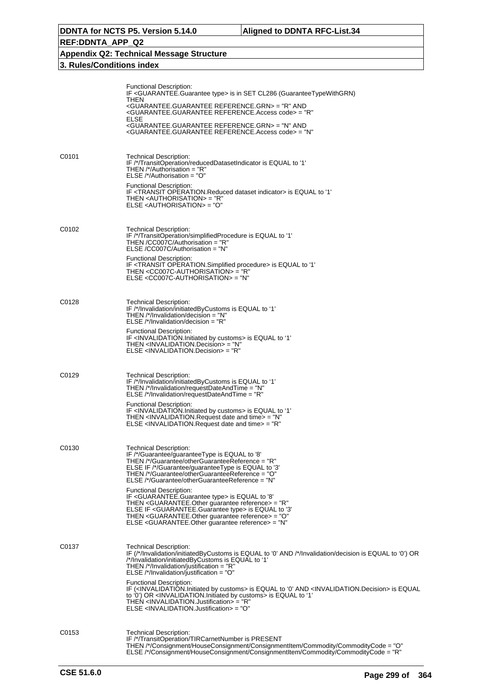## **DDNTA for NCTS P5. Version 5.14.0 Aligned to DDNTA RFC-List.34**

# **REF:DDNTA\_APP\_Q2**

**Appendix Q2: Technical Message Structure**

|       | <b>Functional Description:</b><br>IF <guarantee.guarantee type=""> is in SET CL286 (GuaranteeTypeWithGRN)<br/>THEN<br/><guarantee.guarantee reference.grn=""> = "R" AND<br/>ELSE<br/><guarantee.guarantee reference.grn=""> = "N" AND</guarantee.guarantee></guarantee.guarantee></guarantee.guarantee>                                                                                                                                                                                                                                                                                                                                                                                                                            |
|-------|------------------------------------------------------------------------------------------------------------------------------------------------------------------------------------------------------------------------------------------------------------------------------------------------------------------------------------------------------------------------------------------------------------------------------------------------------------------------------------------------------------------------------------------------------------------------------------------------------------------------------------------------------------------------------------------------------------------------------------|
| C0101 | <b>Technical Description:</b><br>IF /*/TransitOperation/reducedDatasetIndicator is EQUAL to '1'<br>THEN $/*/$ Authorisation = "R"<br>ELSE $/*/Authorisation = "O"$<br><b>Functional Description:</b><br>IF <transit dataset="" indicator="" operation.reduced=""> is EQUAL to '1'<br/>THEN <authorisation> = "R"<br/><math>ELSE &lt;</math>AUTHORISATION&gt; = "O"</authorisation></transit>                                                                                                                                                                                                                                                                                                                                       |
| C0102 | <b>Technical Description:</b><br>IF /*/TransitOperation/simplifiedProcedure is EQUAL to '1'<br>THEN /CC007C/Authorisation = "R"<br>ELSE /CC007C/Authorisation = "N"<br><b>Functional Description:</b><br>IF <transit operation.simplified="" procedure=""> is EQUAL to '1'<br/>THEN <cc007c-authorisation> = "R"<br/><math>ELSE &lt;</math>CC007C-AUTHORISATION&gt; = "N"</cc007c-authorisation></transit>                                                                                                                                                                                                                                                                                                                         |
| C0128 | Technical Description:<br>IF /*/Invalidation/initiatedByCustoms is EQUAL to '1'<br>THEN $/*$ /Invalidation/decision = "N"<br>ELSE $/*$ /Invalidation/decision = "R"<br><b>Functional Description:</b><br>IF <invalidation.initiated by="" customs=""> is EQUAL to '1'<br/>THEN <invalidation.decision> = "N"<br/><math>ELSE</math> <invalidation. decision=""> = "R"</invalidation.></invalidation.decision></invalidation.initiated>                                                                                                                                                                                                                                                                                              |
| C0129 | Technical Description:<br>IF /*/Invalidation/initiatedByCustoms is EQUAL to '1'<br>THEN /*/Invalidation/requestDateAndTime = "N"<br>ELSE /*/Invalidation/requestDateAndTime = "R"<br><b>Functional Description:</b><br>IF <invalidation.initiated by="" customs=""> is EQUAL to '1'<br/>THEN <invalidation.request and="" date="" time=""> = "N"<br/>ELSE <invalidation.request and="" date="" time=""> = "R"</invalidation.request></invalidation.request></invalidation.initiated>                                                                                                                                                                                                                                               |
| C0130 | <b>Technical Description:</b><br>IF /*/Guarantee/guaranteeType is EQUAL to '8'<br>THEN /*/Guarantee/otherGuaranteeReference = "R"<br>ELSE IF /*/Guarantee/guaranteeType is EQUAL to '3'<br>THEN /*/Guarantee/otherGuaranteeReference = "O"<br>ELSE /*/Guarantee/otherGuaranteeReference = "N"<br><b>Functional Description:</b><br>IF <guarantee.guarantee type=""> is EQUAL to '8'<br/>THEN <guarantee.other guarantee="" reference=""> = "R"<br/>ELSE IF <guarantee.guarantee type=""> is EQUAL to '3'<br/>THEN <guarantee.other guarantee="" reference=""> = "O"<br/>ELSE <guarantee.other quarantee="" reference=""> = "N"</guarantee.other></guarantee.other></guarantee.guarantee></guarantee.other></guarantee.guarantee>   |
| C0137 | <b>Technical Description:</b><br>IF (/*/Invalidation/initiatedByCustoms is EQUAL to '0' AND /*/Invalidation/decision is EQUAL to '0') OR<br>/*/Invalidation/initiatedByCustoms is EQUAL to '1'<br>THEN $/*$ /Invalidation/justification = "R"<br>ELSE /*/Invalidation/justification = "O"<br><b>Functional Description:</b><br>IF ( <invalidation.initiated by="" customs=""> is EQUAL to '0' AND <invalidation.decision> is EQUAL<br/>to '0') OR <invalidation. by="" customs="" initiated=""> is EQUAL to '1'<br/>THEN <invalidation.justification> = "R"<br/>ELSE <invalidation.justification> = "O"</invalidation.justification></invalidation.justification></invalidation.></invalidation.decision></invalidation.initiated> |
| C0153 | Technical Description:<br>IF /*/TransitOperation/TIRCarnetNumber is PRESENT<br>THEN /*/Consignment/HouseConsignment/ConsignmentItem/Commodity/CommodityCode = "O"<br>ELSE /*/Consignment/HouseConsignment/ConsignmentItem/Commodity/CommodityCode = "R"                                                                                                                                                                                                                                                                                                                                                                                                                                                                            |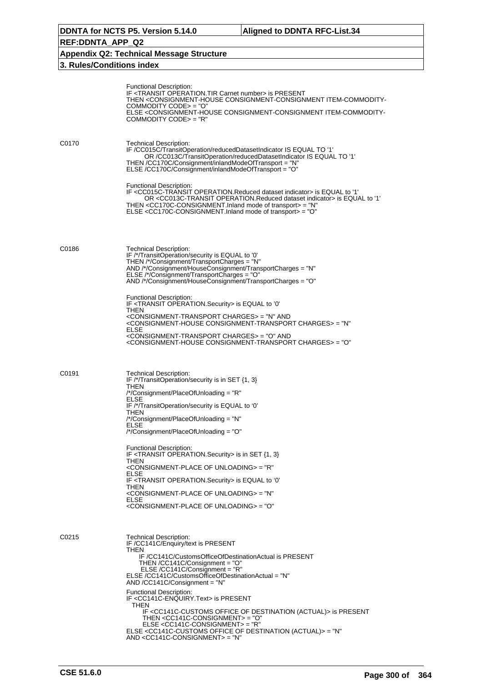|                           | DDNTA for NCTS P5. Version 5.14.0                                                                                                                                                                                                                                                                                                                                                                                                                                                                                                                                                                                                                                                                                 | <b>Aligned to DDNTA RFC-List.34</b> |
|---------------------------|-------------------------------------------------------------------------------------------------------------------------------------------------------------------------------------------------------------------------------------------------------------------------------------------------------------------------------------------------------------------------------------------------------------------------------------------------------------------------------------------------------------------------------------------------------------------------------------------------------------------------------------------------------------------------------------------------------------------|-------------------------------------|
| <b>REF:DDNTA APP Q2</b>   |                                                                                                                                                                                                                                                                                                                                                                                                                                                                                                                                                                                                                                                                                                                   |                                     |
|                           | <b>Appendix Q2: Technical Message Structure</b>                                                                                                                                                                                                                                                                                                                                                                                                                                                                                                                                                                                                                                                                   |                                     |
| 3. Rules/Conditions index |                                                                                                                                                                                                                                                                                                                                                                                                                                                                                                                                                                                                                                                                                                                   |                                     |
|                           | <b>Functional Description:</b><br>IF <transit carnet="" number="" operation.tir=""> is PRESENT<br/>THEN <consignment-house consignment-consignment="" item-commodity-<br=""><math>COMMODITY CODE&gt; = "O"</math><br/>ELSE <consignment-house consignment-consignment="" item-commodity-<br="">COMMODITY CODE&gt; = "R"</consignment-house></consignment-house></transit>                                                                                                                                                                                                                                                                                                                                         |                                     |
| C0170                     | <b>Technical Description:</b><br>IF /CC015C/TransitOperation/reducedDatasetIndicator IS EQUAL TO '1'<br>OR /CC013C/TransitOperation/reducedDatasetIndicator IS EQUAL TO '1'<br>THEN /CC170C/Consignment/inlandModeOfTransport = "N"<br>ELSE/CC170C/Consignment/inlandModeOfTransport = "O"<br><b>Functional Description:</b><br>IF <cc015c-transit dataset="" indicator="" operation.reduced=""> is EQUAL to '1'<br/>OR <cc013c-transit dataset="" indicator="" operation.reduced=""> is EQUAL to '1'<br/>THEN <cc170c-consignment.inland mode="" of="" transport=""> = "N"</cc170c-consignment.inland></cc013c-transit></cc015c-transit>                                                                         |                                     |
| C0186                     | ELSE <cc170c-consignment.inland mode="" of="" transport=""> = "O"<br/><b>Technical Description:</b><br/>IF /*/TransitOperation/security is EQUAL to '0'<br/>THEN /*/Consignment/TransportCharges = "N"<br/>AND /*/Consignment/HouseConsignment/TransportCharges = "N"<br/>ELSE /*/Consignment/TransportCharges = "O"<br/>AND /*/Consignment/HouseConsignment/TransportCharges = "O"</cc170c-consignment.inland>                                                                                                                                                                                                                                                                                                   |                                     |
|                           | <b>Functional Description:</b><br>IF <transit operation.security=""> is EQUAL to '0'<br/>THEN<br/><consignment-transport charges=""> = "N" AND<br/><consignment-house charges="" consignment-transport=""> = "N"<br/><b>ELSE</b><br/><consignment-transport charges=""> = "O" AND</consignment-transport></consignment-house></consignment-transport></transit>                                                                                                                                                                                                                                                                                                                                                   |                                     |
| C0191                     | <b>Technical Description:</b><br>IF /*/TransitOperation/security is in SET {1, 3}<br>THEN<br>/*/Consignment/PlaceOfUnloading = "R"<br>ELSE<br>IF /*/TransitOperation/security is EQUAL to '0'<br>THEN<br>/*/Consignment/PlaceOfUnloading = "N"<br>ELSE<br>/*/Consignment/PlaceOfUnloading = "O"<br><b>Functional Description:</b><br>IF $\leq$ TRANSIT OPERATION. Security is in SET $\{1, 3\}$<br>THEN<br><consignment-place of="" unloading=""> = "R"<br/>ELSE<br/>IF <transit operation.security=""> is EQUAL to '0'<br/>THEN<br/><consignment-place of="" unloading=""> = "N"<br/>ELSE<br/><consignment-place of="" unloading=""> = "O"</consignment-place></consignment-place></transit></consignment-place> |                                     |
| C0215                     | <b>Technical Description:</b><br>IF /CC141C/Enquiry/text is PRESENT<br>THEN<br>IF /CC141C/CustomsOfficeOfDestinationActual is PRESENT<br>THEN /CC141C/Consignment = "O"<br>ELSE /CC141C/Consignment = "R"<br>ELSE /CC141C/CustomsOfficeOfDestinationActual = "N"<br>AND /CC141C/Consignment = " $N$ "<br><b>Functional Description:</b><br>IF <cc141c-enquiry.text> is PRESENT<br/>THEN<br/>IF <cc141c-customs (actual)="" destination="" of="" office=""> is PRESENT<br/>THEN <cc141c-consignment> = "O"<br/>ELSE <cc141c-consignment> = "R"<br/>ELSE &lt; CC141C-CUSTOMS OFFICE OF DESTINATION (ACTUAL) &gt; = "N"</cc141c-consignment></cc141c-consignment></cc141c-customs></cc141c-enquiry.text>             |                                     |

AND <CC141C-CONSIGNMENT> = "N"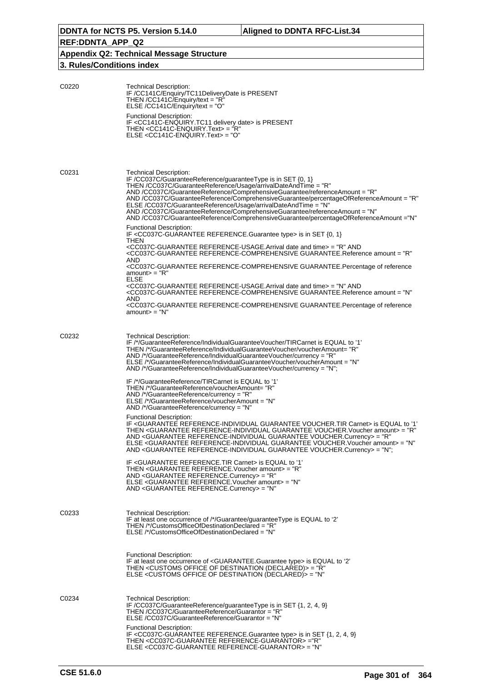## **Appendix Q2: Technical Message Structure**

| C0220 | Technical Description:<br>IF /CC141C/Enquiry/TC11DeliveryDate is PRESENT<br>THEN /CC141C/Enquiry/text = "R"<br>ELSE /CC141C/Enquiry/text = $"O"$                                                                                                                                                                                                                                                                                                                                                                                                                              |
|-------|-------------------------------------------------------------------------------------------------------------------------------------------------------------------------------------------------------------------------------------------------------------------------------------------------------------------------------------------------------------------------------------------------------------------------------------------------------------------------------------------------------------------------------------------------------------------------------|
|       | Functional Description:<br>IF <cc141c-enquiry.tc11 date="" delivery=""> is PRESENT<br/>THEN &lt;<math>CC141C</math>-ENQUIRY.Text&gt; = "R"<br/><math>ELSE &lt; CC141C</math>-<math>ENQUIRY.Text</math><math>= "O"</math></cc141c-enquiry.tc11>                                                                                                                                                                                                                                                                                                                                |
| C0231 | Technical Description:<br>IF /CC037C/GuaranteeReference/guaranteeType is in SET {0, 1}<br>THEN /CC037C/GuaranteeReference/Usage/arrivalDateAndTime = "R"<br>AND /CC037C/GuaranteeReference/ComprehensiveGuarantee/referenceAmount = "R"<br>AND /CC037C/GuaranteeReference/ComprehensiveGuarantee/percentageOfReferenceAmount = "R"<br>ELSE /CC037C/GuaranteeReference/Usage/arrivalDateAndTime = "N"<br>AND /CC037C/GuaranteeReference/ComprehensiveGuarantee/referenceAmount = "N"<br>"AND /CC037C/GuaranteeReference/ComprehensiveGuarantee/percentageOfReferenceAmount ="N |
|       | <b>Functional Description:</b><br>IF <cc037c-guarantee reference.guarantee="" type=""> is in SET {0, 1}<br/>THEN</cc037c-guarantee>                                                                                                                                                                                                                                                                                                                                                                                                                                           |
|       | <cc037c-guarantee and="" date="" reference-usage.arrival="" time=""> = "R" AND<br/><cc037c-guarantee <br="" amount="R" guarantee.reference="" reference-comprehensive="">AND</cc037c-guarantee></cc037c-guarantee>                                                                                                                                                                                                                                                                                                                                                            |
|       | <cc037c-guarantee guarantee.percentage="" of="" reference-comprehensive="" reference<br=""><math>amount = "R"</math><br/><b>ELSE</b></cc037c-guarantee>                                                                                                                                                                                                                                                                                                                                                                                                                       |
|       | <cc037c-guarantee and="" date="" reference-usage.arrival="" time=""> = "N" AND<br/><cc037c-guarantee <br="" amount="N" guarantee.reference="" reference-comprehensive="">AND</cc037c-guarantee></cc037c-guarantee>                                                                                                                                                                                                                                                                                                                                                            |
|       | <cc037c-guarantee guarantee.percentage="" of="" reference-comprehensive="" reference<br=""><math>amount = "N"</math></cc037c-guarantee>                                                                                                                                                                                                                                                                                                                                                                                                                                       |
| C0232 | Technical Description:<br>IF /*/GuaranteeReference/IndividualGuaranteeVoucher/TIRCarnet is EQUAL to '1'<br>THEN /*/GuaranteeReference/IndividualGuaranteeVoucher/voucherAmount= "R"<br>AND $/*/G$ uaranteeReference/IndividualGuaranteeVoucher/currency = "R"<br>ELSE /*/GuaranteeReference/IndividualGuaranteeVoucher/voucherAmount = "N"<br>AND /*/GuaranteeReference/IndividualGuaranteeVoucher/currency = "N";                                                                                                                                                            |
|       | IF /*/GuaranteeReference/TIRCarnet is EQUAL to '1'<br>THEN /*/GuaranteeReference/voucherAmount= "R"<br>AND $/*/GuaranteeReference/currence = "R"$<br>ELSE /*/GuaranteeReference/voucherAmount = "N"<br>AND $/*/GuaranteeReference/currence = "N"$                                                                                                                                                                                                                                                                                                                             |
|       | <b>Functional Description:</b><br>IF <guarantee carnet="" guarantee="" reference-individual="" voucher.tir=""> is EQUAL to '1'<br/>THEN <guarantee amount="" guarantee="" reference-individual="" voucher.voucher=""> = "R"<br/>AND <guarantee guarantee="" reference-individual="" voucher.currency=""> = "R"<br/>ELSE <guarantee amount="" guarantee="" reference-individual="" voucher="" voucher.=""> = "N"<br/>AND <guarantee guarantee="" reference-individual="" voucher.currency=""> = "N";</guarantee></guarantee></guarantee></guarantee></guarantee>               |
|       | IF <guarantee carnet="" reference.tir=""> is EQUAL to '1'<br/>THEN <guarantee amount="" reference.voucher=""> = "R"<br/>AND <guarantee reference.currency=""> = "R"<br/>ELSE <guarantee amount="" reference.voucher=""> = "N"<br/>AND <guarantee reference.currency=""> = "N"</guarantee></guarantee></guarantee></guarantee></guarantee>                                                                                                                                                                                                                                     |
| C0233 | <b>Technical Description:</b><br>IF at least one occurrence of /*/Guarantee/guaranteeType is EQUAL to '2'<br>THEN /*/CustomsOfficeOfDestinationDeclared = "R"<br>ELSE $/*/C$ ustomsOfficeOfDestinationDeclared = "N"                                                                                                                                                                                                                                                                                                                                                          |
|       | <b>Functional Description:</b><br>IF at least one occurrence of <guarantee. guarantee="" type=""> is EQUAL to '2'<br/>THEN <customs (declared)="" destination="" of="" office=""> = "R"<br/>ELSE <customs (declared)="" destination="" of="" office=""> = "N"</customs></customs></guarantee.>                                                                                                                                                                                                                                                                                |
| C0234 | Technical Description:<br>IF/CC037C/GuaranteeReference/guaranteeType is in SET {1, 2, 4, 9}<br>THEN /CC037C/GuaranteeReference/Guarantor = "R"<br>ELSE /CC037C/GuaranteeReference/Guarantor = "N"                                                                                                                                                                                                                                                                                                                                                                             |
|       | <b>Functional Description:</b><br>IF <cc037c-guarantee reference.guarantee="" type=""> is in SET {1, 2, 4, 9}<br/>THEN <cc037c-guarantee reference-guarantor="">="R"<br/>ELSE <cc037c-guarantee reference-guarantor=""> = "N"</cc037c-guarantee></cc037c-guarantee></cc037c-guarantee>                                                                                                                                                                                                                                                                                        |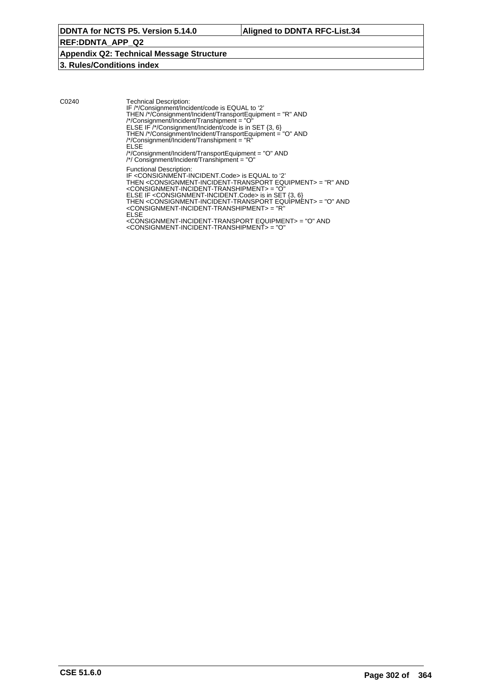#### **Appendix Q2: Technical Message Structure**

**3. Rules/Conditions index**

C0240 Technical Description: IF /\*/Consignment/Incident/code is EQUAL to '2' THEN /\*/Consignment/Incident/TransportEquipment = "R" AND /\*/Consignment/Incident/Transhipment = "O" ELSE IF /\*/Consignment/Incident/code is in SET {3, 6} THEN /\*/Consignment/Incident/TransportEquipment = "O" AND /\*/Consignment/Incident/Transhipment = "R" ELSE /\*/Consignment/Incident/TransportEquipment = "O" AND /\*/ Consignment/Incident/Transhipment = "O" Functional Description: IF <CONSIGNMENT-INCIDENT.Code> is EQUAL to '2' THEN <CONSIGNMENT-INCIDENT-TRANSPORT EQUIPMENT> = "R" AND <CONSIGNMENT-INCIDENT-TRANSHIPMENT> = "O" ELSE IF <CONSIGNMENT-INCIDENT.Code> is in SET {3, 6} THEN <CONSIGNMENT-INCIDENT-TRANSPORT EQUIPMENT> = "O" AND <CONSIGNMENT-INCIDENT-TRANSHIPMENT> = "R"

ELSE <CONSIGNMENT-INCIDENT-TRANSPORT EQUIPMENT> = "O" AND <CONSIGNMENT-INCIDENT-TRANSHIPMENT> = "O"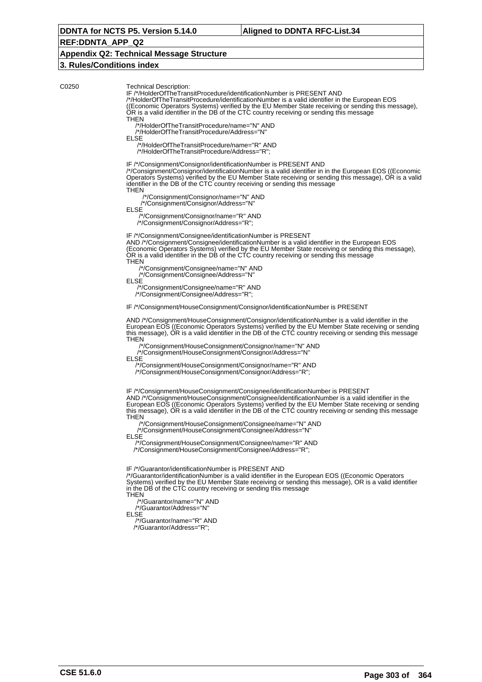## **Appendix Q2: Technical Message Structure**

| C0250 | Technical Description:<br>IF /*/HolderOfTheTransitProcedure/identificationNumber is PRESENT AND<br>/*/HolderOfTheTransitProcedure/identificationNumber is a valid identifier in the European EOS<br>((Economic Operators Systems) verified by the EU Member State receiving or sending this message),<br>OR is a valid identifier in the DB of the CTC country receiving or sending this message<br>THEN<br>/*/HolderOfTheTransitProcedure/name="N" AND |
|-------|---------------------------------------------------------------------------------------------------------------------------------------------------------------------------------------------------------------------------------------------------------------------------------------------------------------------------------------------------------------------------------------------------------------------------------------------------------|
|       | /*/HolderOfTheTransitProcedure/Address="N"<br>ELSE<br>/*/HolderOfTheTransitProcedure/name="R" AND                                                                                                                                                                                                                                                                                                                                                       |
|       | /*/HolderOfTheTransitProcedure/Address="R";                                                                                                                                                                                                                                                                                                                                                                                                             |
|       | IF /*/Consignment/Consignor/identificationNumber is PRESENT AND<br>/*/Consignment/Consignor/identificationNumber is a valid identifier in in the European EOS ((Economic<br>Operators Systems) verified by the EU Member State receiving or sending this message), OR is a valid<br>identifier in the DB of the CTC country receiving or sending this message<br>THEN                                                                                   |
|       | /*/Consignment/Consignor/name="N" AND<br>/*/Consignment/Consignor/Address="N"<br><b>ELSE</b>                                                                                                                                                                                                                                                                                                                                                            |
|       | /*/Consignment/Consignor/name="R" AND<br>/*/Consignment/Consignor/Address="R";                                                                                                                                                                                                                                                                                                                                                                          |
|       | IF /*/Consignment/Consignee/identificationNumber is PRESENT<br>AND /*/Consignment/Consignee/identificationNumber is a valid identifier in the European EOS<br>(Economic Operators Systems) verified by the EU Member State receiving or sending this message),<br>OR is a valid identifier in the DB of the CTC country receiving or sending this message<br>THEN                                                                                       |
|       | /*/Consignment/Consignee/name="N" AND<br>/*/Consignment/Consignee/Address="N"<br>ELSE                                                                                                                                                                                                                                                                                                                                                                   |
|       | /*/Consignment/Consignee/name="R" AND<br>/*/Consignment/Consignee/Address="R";                                                                                                                                                                                                                                                                                                                                                                          |
|       | IF/*/Consignment/HouseConsignment/Consignor/identificationNumber is PRESENT                                                                                                                                                                                                                                                                                                                                                                             |
|       | AND /*/Consignment/HouseConsignment/Consignor/identificationNumber is a valid identifier in the<br>European EOS ((Economic Operators Systems) verified by the EU Member State receiving or sending<br>this message), OR is a valid identifier in the DB of the CTC country receiving or sending this message<br>THEN                                                                                                                                    |
|       | /*/Consignment/HouseConsignment/Consignor/name="N" AND<br>/*/Consignment/HouseConsignment/Consignor/Address="N"<br>ELSE                                                                                                                                                                                                                                                                                                                                 |
|       | /*/Consignment/HouseConsignment/Consignor/name="R" AND<br>/*/Consignment/HouseConsignment/Consignor/Address="R";                                                                                                                                                                                                                                                                                                                                        |
|       | IF /*/Consignment/HouseConsignment/Consignee/identificationNumber is PRESENT<br>AND /*/Consignment/HouseConsignment/Consignee/identificationNumber is a valid identifier in the<br>European EOS ((Economic Operators Systems) verified by the EU Member State receiving or sending<br>this message), OR is a valid identifier in the DB of the CTC country receiving or sending this message<br>THEN                                                    |
|       | /*/Consignment/HouseConsignment/Consignee/name="N" AND<br>/*/Consignment/HouseConsignment/Consignee/Address="N"<br>ELSE                                                                                                                                                                                                                                                                                                                                 |
|       | /*/Consignment/HouseConsignment/Consignee/name="R" AND<br>/*/Consignment/HouseConsignment/Consignee/Address="R";                                                                                                                                                                                                                                                                                                                                        |
|       | IF /*/Guarantor/identificationNumber is PRESENT AND<br>/*/Guarantor/identificationNumber is a valid identifier in the European EOS ((Economic Operators<br>Systems) verified by the EU Member State receiving or sending this message), OR is a valid identifier<br>in the DB of the CTC country receiving or sending this message<br>THEN                                                                                                              |
|       | /*/Guarantor/name="N" AND<br>/*/Guarantor/Address="N"<br>ELSE                                                                                                                                                                                                                                                                                                                                                                                           |
|       | /*/Guarantor/name="R" AND<br>/*/Guarantor/Address="R";                                                                                                                                                                                                                                                                                                                                                                                                  |
|       |                                                                                                                                                                                                                                                                                                                                                                                                                                                         |
|       |                                                                                                                                                                                                                                                                                                                                                                                                                                                         |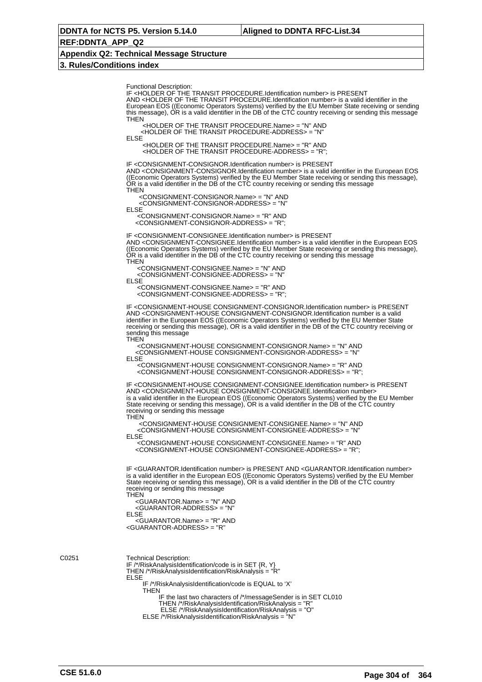## **Appendix Q2: Technical Message Structure**

**3. Rules/Conditions index**

| <b>Functional Description:</b><br>IF <holder number="" of="" procedure.identification="" the="" transit=""> is PRESENT<br/>AND <holder number="" of="" procedure.identification="" the="" transit=""> is a valid identifier in the<br/>European EOS ((Economic Operators Systems) verified by the EU Member State receiving or sending<br/>this message), OR is a valid identifier in the DB of the CTC country receiving or sending this message<br/>THEN</holder></holder>     |
|----------------------------------------------------------------------------------------------------------------------------------------------------------------------------------------------------------------------------------------------------------------------------------------------------------------------------------------------------------------------------------------------------------------------------------------------------------------------------------|
| <holder of="" procedure.name="" the="" transit=""> = "N" AND<br/><holder of="" procedure-address="" the="" transit=""> = "N"<br/>ELSE</holder></holder>                                                                                                                                                                                                                                                                                                                          |
| <holder of="" procedure.name="" the="" transit=""> = "R" AND<br/><holder of="" procedure-address="" the="" transit=""> = "R";</holder></holder>                                                                                                                                                                                                                                                                                                                                  |
| IF <consignment-consignor.identification number=""> is PRESENT<br/>AND <consignment-consignor.identification number=""> is a valid identifier in the European EOS<br/>((Economic Operators Systems) verified by the EU Member State receiving or sending this message),<br/>OR is a valid identifier in the DB of the CTC country receiving or sending this message<br/>THEN</consignment-consignor.identification></consignment-consignor.identification>                       |
| <consignment-consignor.name> = "N" AND<br/><consignment-consignor-address> = "N"</consignment-consignor-address></consignment-consignor.name>                                                                                                                                                                                                                                                                                                                                    |
| ELSE<br><consignment-consignor.name> = "R" AND<br/><consignment-consignor-address> = "R":</consignment-consignor-address></consignment-consignor.name>                                                                                                                                                                                                                                                                                                                           |
| IF <consignment-consignee.identification number=""> is PRESENT<br/>AND <consignment-consignee.identification number=""> is a valid identifier in the European EOS<br/>((Economic Operators Systems) verified by the EU Member State receiving or sending this message),<br/>OR is a valid identifier in the DB of the CTC country receiving or sending this message<br/>THEN</consignment-consignee.identification></consignment-consignee.identification>                       |
| <consignment-consignee.name> = "N" AND<br/><consignment-consignee-address> = "N"<br/><b>ELSE</b></consignment-consignee-address></consignment-consignee.name>                                                                                                                                                                                                                                                                                                                    |
| <consignment-consignee.name> = "R" AND<br/><consignment-consignee-address> = "R";</consignment-consignee-address></consignment-consignee.name>                                                                                                                                                                                                                                                                                                                                   |
| IF <consignment-house consignment-consignor.identification="" number=""> is PRESENT<br/>AND <consignment-house a="" consignment-consignor.identification="" is="" number="" valid<br="">identifier in the European EOS ((Economic Operators Systems) verified by the EU Member State<br/>receiving or sending this message), OR is a valid identifier in the DB of the CTC country receiving or<br/>sending this message<br/><b>THEN</b></consignment-house></consignment-house> |
| <b>ELSE</b>                                                                                                                                                                                                                                                                                                                                                                                                                                                                      |
| <consignment-house consignment-consignor.name=""> = "R" AND<br/><consignment-house consignment-consignor-address=""> = "R";</consignment-house></consignment-house>                                                                                                                                                                                                                                                                                                              |
| IF <consignment-house consignment-consignee.identification="" number=""> is PRESENT<br/>AND <consignment-house consignment-consignee.identification="" number=""><br/>is a valid identifier in the European EOS ((Economic Operators Systems) verified by the EU Member<br/>State receiving or sending this message), OR is a valid identifier in the DB of the CTC country<br/>receiving or sending this message<br/><b>THEN</b></consignment-house></consignment-house>        |
| FI SF.                                                                                                                                                                                                                                                                                                                                                                                                                                                                           |
| <consignment-house consignment-consignee.name=""> = "R" AND</consignment-house>                                                                                                                                                                                                                                                                                                                                                                                                  |
| IF <guarantor.identification number=""> is PRESENT AND <guarantor.identification number=""><br/>is a valid identifier in the European EOS ((Economic Operators Systems) verified by the EU Member<br/>State receiving or sending this message), OR is a valid identifier in the DB of the CTC country<br/>receiving or sending this message<br/>THEN</guarantor.identification></guarantor.identification>                                                                       |
| <guarantor.name> = "N" AND<br/><guarantor-address> = "N"<br/>ELSE</guarantor-address></guarantor.name>                                                                                                                                                                                                                                                                                                                                                                           |
| <guarantor.name> = "R" AND<br/><guarantor-address> = "R"</guarantor-address></guarantor.name>                                                                                                                                                                                                                                                                                                                                                                                    |
| Technical Description:<br>IF $/*$ /RiskAnalysisIdentification/code is in SET $\{R, Y\}$<br>THEN /*/RiskAnalysisIdentification/RiskAnalysis = "R"<br><b>ELSE</b>                                                                                                                                                                                                                                                                                                                  |
| IF /*/RiskAnalysisIdentification/code is EQUAL to 'X'<br>THEN<br>IF the last two characters of /*/messageSender is in SET CL010                                                                                                                                                                                                                                                                                                                                                  |
| THEN /*/RiskAnalysisIdentification/RiskAnalysis = "R"<br>ELSE /*/RiskAnalysisIdentification/RiskAnalysis = "O"<br>ELSE /*/RiskAnalysisIdentification/RiskAnalysis = "N"                                                                                                                                                                                                                                                                                                          |

C0251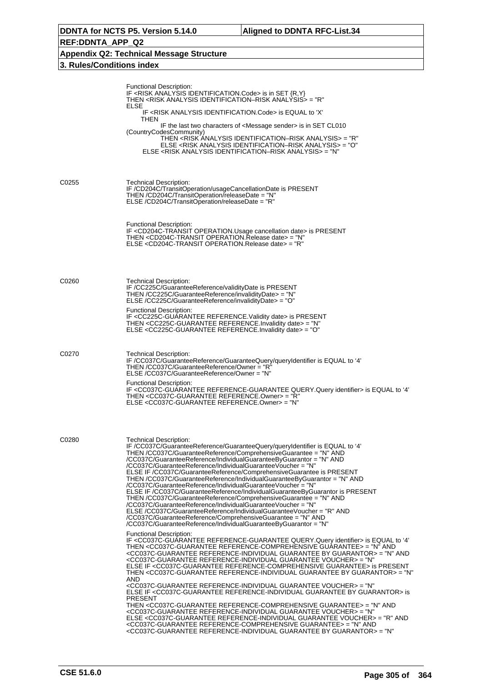## **DDNTA for NCTS P5. Version 5.14.0 Aligned to DDNTA RFC-List.34**

## **Appendix Q2: Technical Message Structure**

## **3. Rules/Conditions index**

**REF:DDNTA\_APP\_Q2**

|       | <b>Functional Description:</b><br>IF <risk analysis="" identification.code=""> is in SET {R,Y}<br/>THEN <risk analysis="" identification-risk=""> = "R"<br/><b>ELSE</b><br/>IF <risk analysis="" identification.code=""> is EQUAL to 'X'<br/>THEN<br/>IF the last two characters of <message sender=""> is in SET CL010<br/>(CountryCodesCommunity)<br/>THEN <risk analysis="" identification—risk=""> = "R"<br/>ELSE <risk analysis="" identification-risk=""> = "O"<br/>ELSE <risk analysis="" identification–risk=""> = "N"</risk></risk></risk></message></risk></risk></risk>                                                                                                                                                                                                                                                                                                                                                                                    |
|-------|-----------------------------------------------------------------------------------------------------------------------------------------------------------------------------------------------------------------------------------------------------------------------------------------------------------------------------------------------------------------------------------------------------------------------------------------------------------------------------------------------------------------------------------------------------------------------------------------------------------------------------------------------------------------------------------------------------------------------------------------------------------------------------------------------------------------------------------------------------------------------------------------------------------------------------------------------------------------------|
| C0255 | Technical Description:<br>IF/CD204C/TransitOperation/usageCancellationDate is PRESENT<br>THEN /CD204C/TransitOperation/releaseDate = "N"<br>ELSE /CD204C/TransitOperation/releaseDate = "R"                                                                                                                                                                                                                                                                                                                                                                                                                                                                                                                                                                                                                                                                                                                                                                           |
|       | <b>Functional Description:</b><br>IF <cd204c-transit cancellation="" date="" operation.usage=""> is PRESENT<br/>THEN <cd204c-transit date="" operation.="" release=""> = "N"<br/>ELSE <cd204c-transit date="" operation.release=""> = "R"</cd204c-transit></cd204c-transit></cd204c-transit>                                                                                                                                                                                                                                                                                                                                                                                                                                                                                                                                                                                                                                                                          |
| C0260 | <b>Technical Description:</b><br>IF /CC225C/GuaranteeReference/validityDate is PRESENT<br>THEN /CC225C/GuaranteeReference/invalidityDate> = "N"<br>ELSE /CC225C/GuaranteeReference/invalidityDate> = "O"<br><b>Functional Description:</b><br>IF <cc225c-guarantee date="" reference.validity=""> is PRESENT<br/>THEN <cc225c-guarantee date="" reference.invalidity=""> = "N"<br/>ELSE <cc225c-guarantee date="" reference.invalidity=""> = "O"</cc225c-guarantee></cc225c-guarantee></cc225c-guarantee>                                                                                                                                                                                                                                                                                                                                                                                                                                                             |
| C0270 | <b>Technical Description:</b><br>IF/CC037C/GuaranteeReference/GuaranteeQuery/queryIdentifier is EQUAL to '4'<br>THEN /CC037C/GuaranteeReference/Owner = "R"<br>ELSE /CC037C/GuaranteeReference/Owner = "N"<br><b>Functional Description:</b><br>IF <cc037c-guarantee identifier="" query.query="" reference-guarantee=""> is EQUAL to '4'<br/>THEN <cc037c-guarantee reference.owner=""> = "R"<br/>ELSE <cc037c-guarantee reference.owner=""> = "N"</cc037c-guarantee></cc037c-guarantee></cc037c-guarantee>                                                                                                                                                                                                                                                                                                                                                                                                                                                          |
| C0280 | <b>Technical Description:</b><br>IF/CC037C/GuaranteeReference/GuaranteeQuery/queryIdentifier is EQUAL to '4'<br>THEN /CC037C/GuaranteeReference/ComprehensiveGuarantee = "N" AND<br>/CC037C/GuaranteeReference/IndividualGuaranteeByGuarantor = "N" AND<br>/CC037C/GuaranteeReference/IndividualGuaranteeVoucher = "N"<br>ELSE IF/CC037C/GuaranteeReference/ComprehensiveGuarantee is PRESENT<br>THEN /CC037C/GuaranteeReference/IndividualGuaranteeByGuarantor = "N" AND<br>/CC037C/GuaranteeReference/IndividualGuaranteeVoucher = "N"<br>ELSE IF /CC037C/GuaranteeReference/IndividualGuaranteeByGuarantor is PRESENT<br>THEN /CC037C/GuaranteeReference/ComprehensiveGuarantee = "N" AND<br>/CC037C/GuaranteeReference/IndividualGuaranteeVoucher = "N"<br>ELSE /CC037C/GuaranteeReference/IndividualGuaranteeVoucher = "R" AND<br>/CC037C/GuaranteeReference/ComprehensiveGuarantee = "N" AND<br>/CC037C/GuaranteeReference/IndividualGuaranteeByGuarantor = "N" |
|       | <b>Functional Description:</b><br>IF <cc037c-guarantee identifier="" query.query="" reference-guarantee=""> is EQUAL to '4'<br/>THEN <cc037c-guarantee guarantee="" reference-comprehensive=""> = "N" AND<br/><cc037c-guarantee by="" guarantee="" guarantor="" reference-individual=""> = "N" AND<br/><cc037c-guarantee guarantee="" reference-individual="" voucher=""> = "N"<br/>ELSE IF <cc037c-guarantee guarantee="" reference-comprehensive=""> is PRESENT<br/>THEN <cc037c-guarantee by="" guarantee="" guarantor="" reference-individual=""> = "N"<br/>AND</cc037c-guarantee></cc037c-guarantee></cc037c-guarantee></cc037c-guarantee></cc037c-guarantee></cc037c-guarantee>                                                                                                                                                                                                                                                                                 |
|       | <cc037c-guarantee guarantee="" reference-individual="" voucher=""> = "N"<br/>ELSE IF <cc037c-guarantee by="" guarantee="" guarantor="" reference-individual=""> is<br/><b>PRESENT</b><br/>THEN <cc037c-guarantee guarantee="" reference-comprehensive=""> = "N" AND<br/><cc037c-guarantee guarantee="" reference-individual="" voucher=""> = "N"<br/>ELSE <cc037c-guarantee guarantee="" reference-individual="" voucher=""> = "R" AND<br/><cc037c-guarantee guarantee="" reference-comprehensive=""> = "N" AND<br/><cc037c-guarantee by="" guarantee="" guarantor="" reference-individual=""> = "N"</cc037c-guarantee></cc037c-guarantee></cc037c-guarantee></cc037c-guarantee></cc037c-guarantee></cc037c-guarantee></cc037c-guarantee>                                                                                                                                                                                                                             |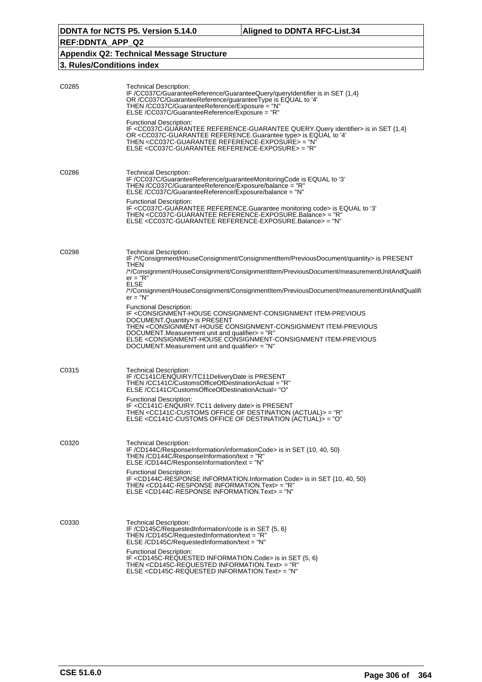## **Appendix Q2: Technical Message Structure**

| C0285 | <b>Technical Description:</b><br>IF /CC037C/GuaranteeReference/GuaranteeQuery/queryIdentifier is in SET {1,4}<br>OR /CC037C/GuaranteeReference/guaranteeType is EQUAL to '4'<br>THEN /CC037C/GuaranteeReference/Exposure = "N"<br>ELSE /CC037C/GuaranteeReference/Exposure = "R"                                                                                                                 |
|-------|--------------------------------------------------------------------------------------------------------------------------------------------------------------------------------------------------------------------------------------------------------------------------------------------------------------------------------------------------------------------------------------------------|
|       | <b>Functional Description:</b><br>IF <cc037c-guarantee identifier="" query.query="" reference-guarantee=""> is in SET {1,4}<br/>OR <cc037c-guarantee reference.guarantee="" type=""> is EQUAL to '4'<br/>THEN <cc037c-guarantee reference-exposure=""> = "N"<br/>ELSE <cc037c-guarantee reference-exposure=""> = "R"</cc037c-guarantee></cc037c-guarantee></cc037c-guarantee></cc037c-guarantee> |
| C0286 | Technical Description:<br>IF/CC037C/GuaranteeReference/guaranteeMonitoringCode is EQUAL to '3'<br>THEN /CC037C/GuaranteeReference/Exposure/balance = "R"<br>ELSE /CC037C/GuaranteeReference/Exposure/balance = "N"                                                                                                                                                                               |
|       | <b>Functional Description:</b><br>IF <cc037c-guarantee code="" monitoring="" reference.guarantee=""> is EQUAL to '3'<br/>THEN <cc037c-guarantee reference-exposure.balance=""> = "R"<br/>ELSE <cc037c-guarantee reference-exposure.balance=""> = "N"</cc037c-guarantee></cc037c-guarantee></cc037c-guarantee>                                                                                    |
| C0298 | <b>Technical Description:</b><br>IF/*/Consignment/HouseConsignment/ConsignmentItem/PreviousDocument/quantity> is PRESENT<br>THFN                                                                                                                                                                                                                                                                 |
|       | /*/Consignment/HouseConsignment/ConsignmentItem/PreviousDocument/measurementUnitAndQualifi<br>$er = "R"$<br><b>ELSE</b><br>/*/Consignment/HouseConsignment/ConsignmentItem/PreviousDocument/measurementUnitAndQualifi<br>$er = "N"$                                                                                                                                                              |
|       | <b>Functional Description:</b><br>IF <consignment-house consignment-consignment="" item-previous<br="">DOCUMENT.Quantity&gt; is PRESENT<br/>THEN <consignment-house consignment-consignment="" item-previous<br="">DOCUMENT.Measurement unit and qualifier&gt; = "R"</consignment-house></consignment-house>                                                                                     |
|       | ELSE <consignment-house consignment-consignment="" item-previous<br="">DOCUMENT.Measurement unit and qualifier&gt; = "N"</consignment-house>                                                                                                                                                                                                                                                     |
| C0315 | Technical Description:<br>IF /CC141C/ENQUIRY/TC11DeliveryDate is PRESENT<br>THEN /CC141C/CustomsOfficeOfDestinationActual = "R"<br>ELSE /CC141C/CustomsOfficeOfDestinationActual= "O"                                                                                                                                                                                                            |
|       | <b>Functional Description:</b><br>IF <cc141c-enquiry.tc11 date="" delivery=""> is PRESENT<br/>THEN &lt; CC141C-CUSTOMS OFFICE OF DESTINATION (ACTUAL) &gt; = "R"<br/>ELSE &lt; CC141C-CUSTOMS OFFICE OF DESTINATION (ACTUAL) <math>&gt;</math> = "O"</cc141c-enquiry.tc11>                                                                                                                       |
| C0320 | <b>Technical Description:</b><br>IF /CD144C/ResponseInformation/informationCode> is in SET {10, 40, 50}<br>THEN /CD144C/ResponseInformation/text = $"R"$<br>ELSE /CD144C/ResponseInformation/text = "N"                                                                                                                                                                                          |
|       | <b>Functional Description:</b><br>IF <cd144c-response code="" information.information=""> is in SET {10, 40, 50}<br/>THEN <cd144c-response information.text=""> = "R"<br/>ELSE <cd144c-response information.text=""> = "N"</cd144c-response></cd144c-response></cd144c-response>                                                                                                                 |
| C0330 | <b>Technical Description:</b><br>IF/CD145C/RequestedInformation/code is in SET {5, 6}<br>THEN /CD145C/RequestedInformation/text = $"R"$<br>ELSE /CD145C/RequestedInformation/text = "N"                                                                                                                                                                                                          |
|       | <b>Functional Description:</b><br>IF <cd145c-requested information.code=""> is in SET {5, 6}<br/>THEN <cd145c-requested information.text=""> = "R"<br/>ELSE <cd145c-requested information.text=""> = "N"</cd145c-requested></cd145c-requested></cd145c-requested>                                                                                                                                |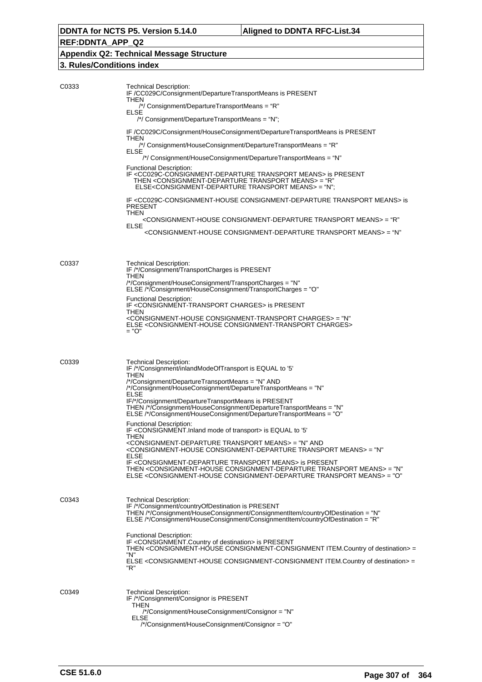## **DDNTA for NCTS P5. Version 5.14.0 Aligned to DDNTA RFC-List.34**

**REF:DDNTA\_APP\_Q2**

## **Appendix Q2: Technical Message Structure**

| C0333 | Technical Description:<br>IF/CC029C/Consignment/DepartureTransportMeans is PRESENT<br>THEN<br>$\frac{1}{2}$ Consignment/DepartureTransportMeans = "R"<br><b>ELSE</b><br>/*/ Consignment/DepartureTransportMeans = "N";<br>IF/CC029C/Consignment/HouseConsignment/DepartureTransportMeans is PRESENT<br>THEN<br>/*/ Consignment/HouseConsignment/DepartureTransportMeans = "R"<br><b>ELSE</b><br>/*/ Consignment/HouseConsignment/DepartureTransportMeans = "N"<br><b>Functional Description:</b><br>IF <cc029c-consignment-departure means="" transport=""> is PRESENT<br/>THEN <consignment-departure means="" transport=""> = "R"<br/>ELSE<consignment-departure means="" transport=""> = "N";<br/>IF <cc029c-consignment-house consignment-departure="" means="" transport=""> is<br/><b>PRESENT</b><br/><b>THEN</b><br/><consignment-house consignment-departure="" means="" transport=""> = "R"<br/><b>ELSE</b><br/><consignment-house consignment-departure="" means="" transport=""> = "N"</consignment-house></consignment-house></cc029c-consignment-house></consignment-departure></consignment-departure></cc029c-consignment-departure> |
|-------|-----------------------------------------------------------------------------------------------------------------------------------------------------------------------------------------------------------------------------------------------------------------------------------------------------------------------------------------------------------------------------------------------------------------------------------------------------------------------------------------------------------------------------------------------------------------------------------------------------------------------------------------------------------------------------------------------------------------------------------------------------------------------------------------------------------------------------------------------------------------------------------------------------------------------------------------------------------------------------------------------------------------------------------------------------------------------------------------------------------------------------------------------------|
| C0337 | <b>Technical Description:</b><br>IF /*/Consignment/TransportCharges is PRESENT<br>THEN<br>/*/Consignment/HouseConsignment/TransportCharges = "N"<br>ELSE /*/Consignment/HouseConsignment/TransportCharges = "O"<br><b>Functional Description:</b><br>IF <consignment-transport charges=""> is PRESENT<br/>THEN<br/>ELSE <consignment-house charges="" consignment-transport=""><br/><math>= "O"</math></consignment-house></consignment-transport>                                                                                                                                                                                                                                                                                                                                                                                                                                                                                                                                                                                                                                                                                                  |
| C0339 | Technical Description:<br>IF /*/Consignment/inlandModeOfTransport is EQUAL to '5'<br><b>THEN</b><br>/*/Consignment/DepartureTransportMeans = "N" AND<br>/*/Consignment/HouseConsignment/DepartureTransportMeans = "N"<br><b>ELSE</b><br>IF/*/Consignment/DepartureTransportMeans is PRESENT<br>THEN /*/Consignment/HouseConsignment/DepartureTransportMeans = "N"<br>ELSE /*/Consignment/HouseConsignment/DepartureTransportMeans = "O"<br><b>Functional Description:</b><br>IF <consignment.inland mode="" of="" transport=""> is EQUAL to '5'<br/>THEN<br/><consignment-departure means="" transport=""> = "N" AND<br/><consignment-house consignment-departure="" means="" transport=""> = "N"<br/>ELSE<br/>IF <consignment-departure means="" transport=""> is PRESENT<br/>THEN <consignment-house consignment-departure="" means="" transport=""> = "N"<br/>ELSE <consignment-house consignment-departure="" means="" transport=""> = "O"</consignment-house></consignment-house></consignment-departure></consignment-house></consignment-departure></consignment.inland>                                                                     |
| C0343 | Technical Description:<br>IF /*/Consignment/countryOfDestination is PRESENT<br>THEN /*/Consignment/HouseConsignment/ConsignmentItem/countryOfDestination = "N"<br>ELSE /*/Consignment/HouseConsignment/ConsignmentItem/countryOfDestination = "R"<br><b>Functional Description:</b><br>IF <consignment.country destination="" of=""> is PRESENT<br/>THEN <consignment-house consignment-consignment="" destination="" item.country="" of=""> =<br/>"N"<br/>ELSE <consignment-house consignment-consignment="" destination="" item.country="" of=""> =<br/>"R"</consignment-house></consignment-house></consignment.country>                                                                                                                                                                                                                                                                                                                                                                                                                                                                                                                         |
| C0349 | Technical Description:<br>IF /*/Consignment/Consignor is PRESENT<br>THEN<br>/*/Consignment/HouseConsignment/Consignor = "N"<br>ELSE<br>/*/Consignment/HouseConsignment/Consignor = "O"                                                                                                                                                                                                                                                                                                                                                                                                                                                                                                                                                                                                                                                                                                                                                                                                                                                                                                                                                              |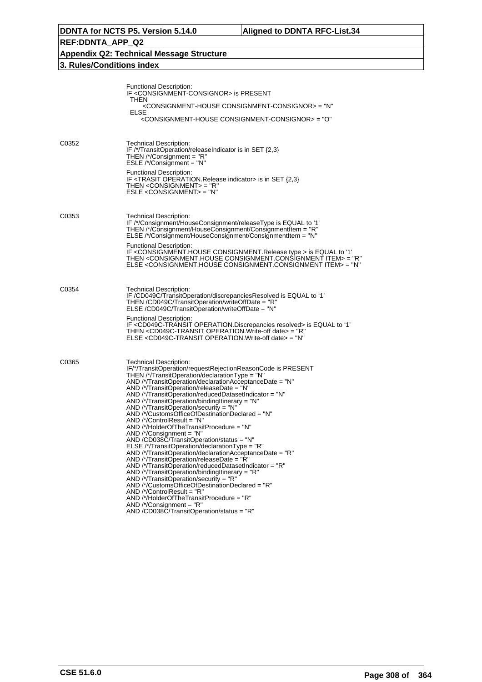### **DDNTA for NCTS P5. Version 5.14.0 Aligned to DDNTA RFC-List.34 REF:DDNTA\_APP\_Q2**

## **Appendix Q2: Technical Message Structure**

|       | <b>Functional Description:</b><br>IF <consignment-consignor> is PRESENT<br/>THEN<br/><consignment-house consignment-consignor=""> = "N"<br/><b>ELSE</b><br/><consignment-house consignment-consignor=""> = "O"</consignment-house></consignment-house></consignment-consignor>                                                                                                                                                                                                                                                                                                                                                                                                                                                                                                                                                                                                                                                                                                                                                                                                                                                                     |
|-------|----------------------------------------------------------------------------------------------------------------------------------------------------------------------------------------------------------------------------------------------------------------------------------------------------------------------------------------------------------------------------------------------------------------------------------------------------------------------------------------------------------------------------------------------------------------------------------------------------------------------------------------------------------------------------------------------------------------------------------------------------------------------------------------------------------------------------------------------------------------------------------------------------------------------------------------------------------------------------------------------------------------------------------------------------------------------------------------------------------------------------------------------------|
| C0352 | Technical Description:<br>IF /*/TransitOperation/releaseIndicator is in SET {2,3}<br>THEN $/*/Consignment = "R"$<br>ESLE $/*/Consignment = "N"$<br><b>Functional Description:</b><br>IF <trasit indicator="" operation.release=""> is in SET {2,3}<br/>THEN &lt; CONSIGNMENT &gt; = "R"<br/><math>ESLE &lt;</math>CONSIGNMENT&gt; = "N"</trasit>                                                                                                                                                                                                                                                                                                                                                                                                                                                                                                                                                                                                                                                                                                                                                                                                   |
| C0353 | Technical Description:<br>IF /*/Consignment/HouseConsignment/releaseType is EQUAL to '1'<br>THEN /*/Consignment/HouseConsignment/ConsignmentItem = "R"<br>ELSE /*/Consignment/HouseConsignment/ConsignmentItem = "N"<br><b>Functional Description:</b><br>IF <consignment.house consignment.release="" type=""> is EQUAL to '1'<br/>THEN <consignment.house consignment.consignment="" item=""> = "R"<br/>ELSE <consignment.house consignment.consignment="" item=""> = "N"</consignment.house></consignment.house></consignment.house>                                                                                                                                                                                                                                                                                                                                                                                                                                                                                                                                                                                                            |
| C0354 | <b>Technical Description:</b><br>IF/CD049C/TransitOperation/discrepanciesResolved is EQUAL to '1'<br>THEN /CD049C/TransitOperation/writeOffDate = "R"<br>ELSE /CD049C/TransitOperation/writeOffDate = "N"<br><b>Functional Description:</b><br>IF <cd049c-transit operation.discrepancies="" resolved=""> is EQUAL to '1'<br/>THEN <cd049c-transit date="" operation.write-off=""> = "R"<br/>ELSE <cd049c-transit date="" operation.="" write-off=""> = "N"</cd049c-transit></cd049c-transit></cd049c-transit>                                                                                                                                                                                                                                                                                                                                                                                                                                                                                                                                                                                                                                     |
| C0365 | Technical Description:<br>IF/*/TransitOperation/requestRejectionReasonCode is PRESENT<br>THEN /*/TransitOperation/declarationType = "N"<br>AND /*/TransitOperation/declarationAcceptanceDate = "N"<br>AND /*/TransitOperation/releaseDate = "N"<br>AND $/*/TransitOperation/reducedDatabaseIndicateer = "N"$<br>AND /*/TransitOperation/bindingItinerary = "N"<br>AND /*/TransitOperation/security = "N"<br>AND /*/CustomsOfficeOfDestinationDeclared = "N"<br>AND $/*/ControlResult = "N"$<br>AND $/*/HolderOfThe TransitProceedure = "N"$<br>AND $/*/Consignment = "N"$<br>AND /CD038C/TransitOperation/status = "N"<br>ELSE /*/TransitOperation/declarationType = "R"<br>AND $/*$ /TransitOperation/declarationAcceptanceDate = "R"<br>AND /*/TransitOperation/releaseDate = "R"<br>AND /*/TransitOperation/reducedDatasetIndicator = "R"<br>AND /*/TransitOperation/bindingItinerary = "R"<br>AND /*/TransitOperation/security = "R"<br>AND /*/CustomsOfficeOfDestinationDeclared = "R"<br>AND /*/ControlResult = "R"<br>AND /*/HolderOfTheTransitProcedure = "R"<br>AND $/*/Consignment = "R"$<br>AND /CD038C/TransitOperation/status = $"R"$ |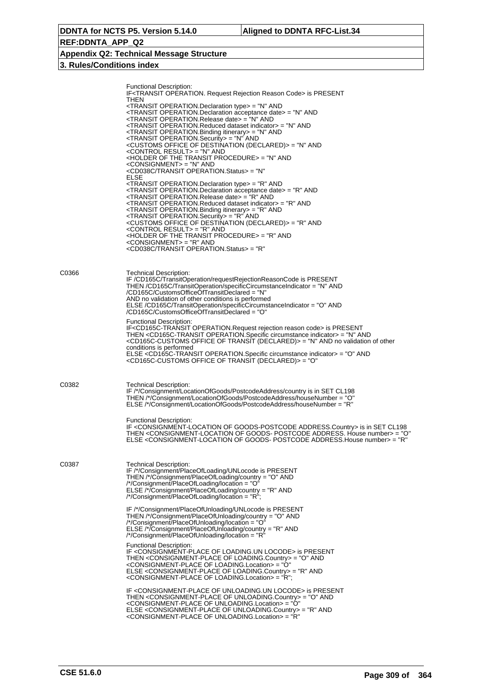### **Appendix Q2: Technical Message Structure**

|       | <b>Functional Description:</b><br>IF <transit code="" operation.="" reason="" rejection="" request=""> is PRESENT<br/>THEN<br/><transit operation.declaration="" type=""> = "N" AND<br/><transit acceptance="" date="" operation.declaration=""> = "N" AND<br/><transit date="" operation.release=""> = "N" AND<br/><transit dataset="" indicator="" operation.reduced=""> = "N" AND<br/><transit binding="" itinerary="" operation.=""> = "N" AND<br/><transit operation.security=""> = "N" AND<br/><customs (declared)="" destination="" of="" office=""> = "N" AND<br/><control result=""> = "N" AND<br/><holder of="" procedure="" the="" transit=""> = "N" AND<br/><consignment> = "N" AND<br/><cd038c operation.status="" transit=""> = "N"<br/>ELSE<br/><transit operation.declaration="" type=""> = "R" AND<br/><transit acceptance="" date="" operation.declaration=""> = "R" AND<br/><transit date="" operation.release=""> = "R" AND<br/><transit dataset="" indicator="" operation.reduced=""> = "R" AND<br/><transit binding="" itinerary="" operation.=""> = "R" AND<br/><transit operation.security=""> = "R" AND<br/><customs (declared)="" destination="" of="" office=""> = "R" AND<br/><control result=""> = "R" AND<br/><holder of="" procedure="" the="" transit=""> = "R" AND<br/><consignment> = "R" AND<br/><cd038c operation.status="" transit=""> = "R"</cd038c></consignment></holder></control></customs></transit></transit></transit></transit></transit></transit></cd038c></consignment></holder></control></customs></transit></transit></transit></transit></transit></transit></transit> |
|-------|-----------------------------------------------------------------------------------------------------------------------------------------------------------------------------------------------------------------------------------------------------------------------------------------------------------------------------------------------------------------------------------------------------------------------------------------------------------------------------------------------------------------------------------------------------------------------------------------------------------------------------------------------------------------------------------------------------------------------------------------------------------------------------------------------------------------------------------------------------------------------------------------------------------------------------------------------------------------------------------------------------------------------------------------------------------------------------------------------------------------------------------------------------------------------------------------------------------------------------------------------------------------------------------------------------------------------------------------------------------------------------------------------------------------------------------------------------------------------------------------------------------------------------------------------------------------------------------------------------------------------------|
| C0366 | Technical Description:<br>IF/CD165C/TransitOperation/requestRejectionReasonCode is PRESENT<br>THEN /CD165C/TransitOperation/specificCircumstanceIndicator = "N" AND<br>/CD165C/CustomsOfficeOfTransitDeclared = "N"<br>AND no validation of other conditions is performed<br>ELSE /CD165C/TransitOperation/specificCircumstanceIndicator = "O" AND<br>/CD165C/CustomsOfficeOfTransitDeclared = "O"<br>Functional Description:<br>IF <cd165c-transit code="" operation.request="" reason="" rejection=""> is PRESENT<br/>THEN <cd165c-transit circumstance="" indicator="" operation.specific=""> = "N" AND<br/><cd165c-customs (declared)="" of="" office="" transit=""> = "N" AND no validation of other<br/>conditions is performed<br/>ELSE <cd165c-transit circumstance="" indicator="" operation.="" specific=""> = "O" AND</cd165c-transit></cd165c-customs></cd165c-transit></cd165c-transit>                                                                                                                                                                                                                                                                                                                                                                                                                                                                                                                                                                                                                                                                                                                        |
| C0382 | Technical Description:<br>IF /*/Consignment/LocationOfGoods/PostcodeAddress/country is in SET CL198<br>THEN /*/Consignment/LocationOfGoods/PostcodeAddress/houseNumber = "O"<br>ELSE /*/Consignment/LocationOfGoods/PostcodeAddress/houseNumber = "R"<br>Functional Description:<br>IF <consignment-location address.country="" goods-postcode="" of=""> is in SET CL198<br/>THEN <consignment-location address.="" goods-="" house="" number="" of="" postcode=""> = "O"<br/>ELSE <consignment-location address.house="" goods-="" number="" of="" postcode=""> = "R"</consignment-location></consignment-location></consignment-location>                                                                                                                                                                                                                                                                                                                                                                                                                                                                                                                                                                                                                                                                                                                                                                                                                                                                                                                                                                                 |
| C0387 | Technical Description:<br>IF /*/Consignment/PlaceOfLoading/UNLocode is PRESENT<br>THEN /*/Consignment/PlaceOfLoading/country = "O" AND<br>/*/Consignment/PlaceOfLoading/location = "O"<br>ELSE /*/Consignment/PlaceOfLoading/country = "R" AND<br>/*/Consignment/PlaceOfLoading/location = "R";<br>IF /*/Consignment/PlaceOfUnloading/UNLocode is PRESENT<br>THEN /*/Consignment/PlaceOfUnloading/country = "O" AND<br>/*/Consignment/PlaceOfUnloading/location = "O"<br>ELSE /*/Consignment/PlaceOfUnloading/country = "R" AND<br>/*/Consignment/PlaceOfUnloading/location = "R"<br><b>Functional Description:</b><br>IF <consignment-place loading.un="" locode="" of=""> is PRESENT<br/>THEN <consignment-place loading.country="" of=""> = "O" AND<br/><consignment-place loading.location="" of=""> = "O"<br/>ELSE <consignment-place loading.country="" of=""> = "R" AND<br/><consignment-place loading.location="" of=""> = "R";<br/>IF <consignment-place locode="" of="" unloading.un=""> is PRESENT<br/>THEN <consignment-place of="" unloading.country=""> = "O" AND<br/><consignment-place of="" unloading.location=""> = "O"<br/>ELSE <consignment-place of="" unloading.country=""> = "R" AND<br/><consignment-place of="" unloading.location=""> = "R"</consignment-place></consignment-place></consignment-place></consignment-place></consignment-place></consignment-place></consignment-place></consignment-place></consignment-place></consignment-place>                                                                                                                                               |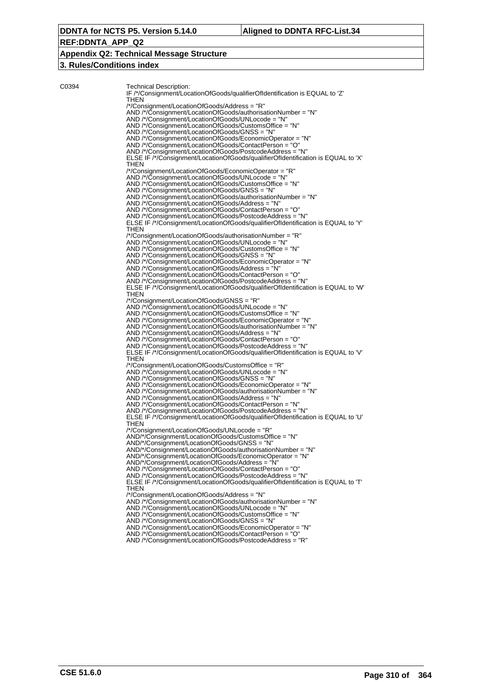#### **Appendix Q2: Technical Message Structure**

#### **3. Rules/Conditions index**

C0394 Technical Description: IF /\*/Consignment/LocationOfGoods/qualifierOfIdentification is EQUAL to 'Z' THEN /\*/Consignment/LocationOfGoods/Address = "R" AND /\*/Consignment/LocationOfGoods/authorisationNumber = "N" AND /\*/Consignment/LocationOfGoods/UNLocode = "N" AND /\*/Consignment/LocationOfGoods/CustomsOffice = "N" AND /\*/Consignment/LocationOfGoods/GNSS = "N" AND /\*/Consignment/LocationOfGoods/EconomicOperator = "N" AND /\*/Consignment/LocationOfGoods/ContactPerson = "O" AND /\*/Consignment/LocationOfGoods/PostcodeAddress = "N" ELSE IF /\*/Consignment/LocationOfGoods/qualifierOfIdentification is EQUAL to 'X' THEN /\*/Consignment/LocationOfGoods/EconomicOperator = "R" AND /\*/Consignment/LocationOfGoods/UNLocode = "N" AND /\*/Consignment/LocationOfGoods/CustomsOffice = "N" AND /\*/Consignment/LocationOfGoods/GNSS = "N" AND /\*/Consignment/LocationOfGoods/authorisationNumber = "N" AND /\*/Consignment/LocationOfGoods/Address = "N" AND /\*/Consignment/LocationOfGoods/ContactPerson = "O" AND /\*/Consignment/LocationOfGoods/PostcodeAddress = "N" ELSE IF /\*/Consignment/LocationOfGoods/qualifierOfIdentification is EQUAL to 'Y' **THEN** /\*/Consignment/LocationOfGoods/authorisationNumber = "R" AND /\*/Consignment/LocationOfGoods/UNLocode = "N" AND /\*/Consignment/LocationOfGoods/CustomsOffice = "N" AND /\*/Consignment/LocationOfGoods/GNSS = "N" AND /\*/Consignment/LocationOfGoods/EconomicOperator = "N" AND /\*/Consignment/LocationOfGoods/Address = "N" AND /\*/Consignment/LocationOfGoods/ContactPerson = "O" AND /\*/Consignment/LocationOfGoods/PostcodeAddress = "N" ELSE IF /\*/Consignment/LocationOfGoods/qualifierOfIdentification is EQUAL to 'W' THEN /\*/Consignment/LocationOfGoods/GNSS = "R" AND /\*/Consignment/LocationOfGoods/UNLocode = "N" AND /\*/Consignment/LocationOfGoods/CustomsOffice = "N" AND /\*/Consignment/LocationOfGoods/EconomicOperator = "N" AND /\*/Consignment/LocationOfGoods/authorisationNumber = "N" AND /\*/Consignment/LocationOfGoods/Address = "N" AND /\*/Consignment/LocationOfGoods/ContactPerson = "O" AND /\*/Consignment/LocationOfGoods/PostcodeAddress = "N" ELSE IF /\*/Consignment/LocationOfGoods/qualifierOfIdentification is EQUAL to 'V' THEN /\*/Consignment/LocationOfGoods/CustomsOffice = "R" AND /\*/Consignment/LocationOfGoods/UNLocode = "N" AND /\*/Consignment/LocationOfGoods/GNSS = "N" AND /\*/Consignment/LocationOfGoods/EconomicOperator = "N" AND /\*/Consignment/LocationOfGoods/authorisationNumber = "N" AND /\*/Consignment/LocationOfGoods/Address = "N" AND /\*/Consignment/LocationOfGoods/ContactPerson = "N" AND /\*/Consignment/LocationOfGoods/PostcodeAddress = "N" ELSE IF /\*/Consignment/LocationOfGoods/qualifierOfIdentification is EQUAL to 'U' THEN /\*/Consignment/LocationOfGoods/UNLocode = "R" AND/\*/Consignment/LocationOfGoods/CustomsOffice = "N" AND/\*/Consignment/LocationOfGoods/GNSS = "N" AND/\*/Consignment/LocationOfGoods/authorisationNumber = "N" AND/\*/Consignment/LocationOfGoods/EconomicOperator = "N" AND/\*/Consignment/LocationOfGoods/Address = "N" AND /\*/Consignment/LocationOfGoods/ContactPerson = "O" AND /\*/Consignment/LocationOfGoods/PostcodeAddress = "N" ELSE IF /\*/Consignment/LocationOfGoods/qualifierOfIdentification is EQUAL to 'T' THEN /\*/Consignment/LocationOfGoods/Address = "N" AND /\*/Consignment/LocationOfGoods/authorisationNumber = "N" AND /\*/Consignment/LocationOfGoods/UNLocode = "N" AND /\*/Consignment/LocationOfGoods/CustomsOffice = "N" AND /\*/Consignment/LocationOfGoods/GNSS = "N" AND /\*/Consignment/LocationOfGoods/EconomicOperator = "N" AND /\*/Consignment/LocationOfGoods/ContactPerson = "O"

AND /\*/Consignment/LocationOfGoods/PostcodeAddress = "R"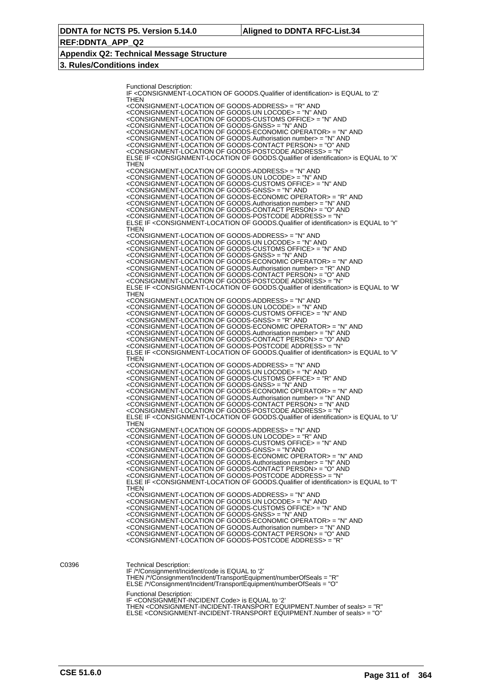### **Appendix Q2: Technical Message Structure**

**3. Rules/Conditions index**

| IF <consignment-location goods.qualifier="" identification="" of=""> is EQUAL to 'Z'</consignment-location>                                                                                 |
|---------------------------------------------------------------------------------------------------------------------------------------------------------------------------------------------|
|                                                                                                                                                                                             |
| THEN                                                                                                                                                                                        |
| <consignment-location goods-address="" of=""> = "R" AND</consignment-location>                                                                                                              |
| <consignment-location goods.un="" locode="" of=""> = "N" AND<br/><consignment-location goods-customs="" of="" office=""> = "N" AND</consignment-location></consignment-location>            |
| <consignment-location goods-gnss="" of=""> = "N" AND</consignment-location>                                                                                                                 |
| <consignment-location goods-economic="" of="" operator=""> = "N" AND</consignment-location>                                                                                                 |
| <consignment-location goods.authorisation="" number="" of=""> = "N" AND</consignment-location>                                                                                              |
| <consignment-location goods-contact="" of="" person=""> = "O" AND</consignment-location>                                                                                                    |
| <consignment-location address="" goods-postcode="" of=""> = "N"</consignment-location>                                                                                                      |
| ELSE IF <consignment-location goods.qualifier="" identification="" of=""> is EQUAL to 'X'</consignment-location>                                                                            |
| THEN                                                                                                                                                                                        |
| <consignment-location goods-address="" of=""> = "N" AND</consignment-location>                                                                                                              |
| <consignment-location goods.un="" locode="" of=""> = "N" AND</consignment-location>                                                                                                         |
| <consignment-location goods-customs="" of="" office=""> = "N" AND</consignment-location>                                                                                                    |
| <consignment-location goods-gnss="" of=""> = "N" AND<br/><consignment-location goods-economic="" of="" operator=""> = "R" AND</consignment-location></consignment-location>                 |
| <consignment-location goods.authorisation="" number="" of=""> = "N" AND</consignment-location>                                                                                              |
| <consignment-location goods-contact="" of="" person=""> = "O" AND</consignment-location>                                                                                                    |
| <consignment-location address="" goods-postcode="" of=""> = "N"</consignment-location>                                                                                                      |
| ELSE IF <consignment-location goods.qualifier="" identification="" of=""> is EQUAL to 'Y'</consignment-location>                                                                            |
| THEN                                                                                                                                                                                        |
| <consignment-location goods-address="" of=""> = "N" AND</consignment-location>                                                                                                              |
| <consignment-location goods.un="" locode="" of=""> = "N" AND</consignment-location>                                                                                                         |
| <consignment-location goods-customs="" of="" office=""> = "N" AND</consignment-location>                                                                                                    |
| <consignment-location goods-gnss="" of=""> = "N" AND</consignment-location>                                                                                                                 |
| <consignment-location goods-economic="" of="" operator=""> = "N" AND</consignment-location>                                                                                                 |
| <consignment-location goods.authorisation="" number="" of=""> = "R" AND<br/><consignment-location goods-contact="" of="" person=""> = "O" AND</consignment-location></consignment-location> |
| <consignment-location address="" goods-postcode="" of=""> = "N"</consignment-location>                                                                                                      |
| ELSE IF <consignment-location goods.qualifier="" identification="" of=""> is EQUAL to 'W'</consignment-location>                                                                            |
| THEN                                                                                                                                                                                        |
| <consignment-location goods-address="" of=""> = "N" AND</consignment-location>                                                                                                              |
| <consignment-location goods.un="" locode="" of=""> = "N" AND</consignment-location>                                                                                                         |
| <consignment-location goods-customs="" of="" office=""> = "N" AND</consignment-location>                                                                                                    |
| <consignment-location goods-gnss="" of=""> = "R" AND</consignment-location>                                                                                                                 |
| <consignment-location goods-economic="" of="" operator=""> = "N" AND</consignment-location>                                                                                                 |
| <consignment-location goods.authorisation="" number="" of=""> = "N" AND</consignment-location>                                                                                              |
| <consignment-location goods-contact="" of="" person=""> = "O" AND<br/><consignment-location address="" goods-postcode="" of=""> = "N"</consignment-location></consignment-location>         |
| ELSE IF <consignment-location goods.qualifier="" identification="" of=""> is EQUAL to 'V'</consignment-location>                                                                            |
| THEN                                                                                                                                                                                        |
| <consignment-location goods-address="" of=""> = "N" AND</consignment-location>                                                                                                              |
| <consignment-location goods.un="" locode="" of=""> = "N" AND</consignment-location>                                                                                                         |
| <consignment-location goods-customs="" of="" office=""> = "R" AND</consignment-location>                                                                                                    |
| <consignment-location goods-gnss="" of=""> = "N" AND</consignment-location>                                                                                                                 |
| <consignment-location goods-economic="" of="" operator=""> = "N" AND</consignment-location>                                                                                                 |
| <consignment-location goods.authorisation="" number="" of=""> = "N" AND</consignment-location>                                                                                              |
| <consignment-location goods-contact="" of="" person=""> = "N" AND</consignment-location>                                                                                                    |
| <consignment-location address="" goods-postcode="" of=""> = "N"</consignment-location>                                                                                                      |
|                                                                                                                                                                                             |
| ELSE IF <consignment-location goods.qualifier="" identification="" of=""> is EQUAL to 'U'</consignment-location>                                                                            |
| THEN                                                                                                                                                                                        |
| <consignment-location goods-address="" of=""> = "N" AND</consignment-location>                                                                                                              |
| <consignment-location goods.un="" locode="" of=""> = "R" AND<br/><consignment-location goods-customs="" of="" office=""> = "N" AND</consignment-location></consignment-location>            |
| <consignment-location goods-gnss="" of=""> = "N"AND</consignment-location>                                                                                                                  |
| <consignment-location goods-economic="" of="" operator=""> = "N" AND</consignment-location>                                                                                                 |
| <consignment-location goods.authorisation="" number="" of=""> = "N" AND</consignment-location>                                                                                              |
| <consignment-location goods-contact="" of="" person=""> = "O" AND</consignment-location>                                                                                                    |
| <consignment-location address="" goods-postcode="" of=""> = "N"</consignment-location>                                                                                                      |
| ELSE IF <consignment-location goods.qualifier="" identification="" of=""> is EQUAL to 'T'</consignment-location>                                                                            |
| THEN                                                                                                                                                                                        |
| <consignment-location goods-address="" of=""> = "N" AND</consignment-location>                                                                                                              |
| <consignment-location goods.un="" locode="" of=""> = "N" AND</consignment-location>                                                                                                         |
| <consignment-location goods-customs="" of="" office=""> = "N" AND<br/><consignment-location goods-gnss="" of=""> = "N" AND</consignment-location></consignment-location>                    |
| <consignment-location goods-economic="" of="" operator=""> = "N" AND</consignment-location>                                                                                                 |
| <consignment-location goods.authorisation="" number="" of=""> = "N" AND</consignment-location>                                                                                              |
| <consignment-location goods-contact="" of="" person=""> = "O" AND</consignment-location>                                                                                                    |
| <consignment-location address="" goods-postcode="" of=""> = "R"</consignment-location>                                                                                                      |
|                                                                                                                                                                                             |
|                                                                                                                                                                                             |
| <b>Technical Description:</b>                                                                                                                                                               |
| IF /*/Consignment/Incident/code is EQUAL to '2'                                                                                                                                             |
| THEN /*/Consignment/Incident/TransportEquipment/numberOfSeals = "R"                                                                                                                         |
| ELSE /*/Consignment/Incident/TransportEquipment/numberOfSeals = "O"                                                                                                                         |

Functional Description: IF <CONSIGNMENT-INCIDENT.Code> is EQUAL to '2' THEN <CONSIGNMENT-INCIDENT-TRANSPORT EQUIPMENT.Number of seals> = "R" ELSE <CONSIGNMENT-INCIDENT-TRANSPORT EQUIPMENT.Number of seals> = "O"

C0396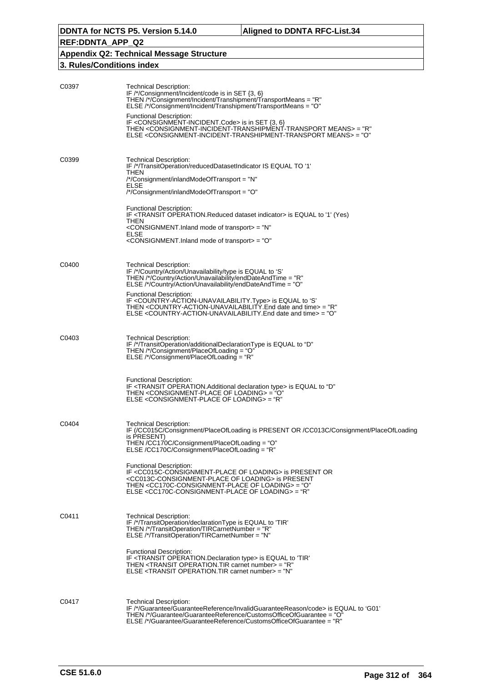## **Appendix Q2: Technical Message Structure**

| C0397 | <b>Technical Description:</b><br>IF /*/Consignment/Incident/code is in SET {3, 6}<br>THEN /*/Consignment/Incident/Transhipment/TransportMeans = "R"<br>ELSE /*/Consignment/Incident/Transhipment/TransportMeans = "O"<br><b>Functional Description:</b>                                                                                                            |
|-------|--------------------------------------------------------------------------------------------------------------------------------------------------------------------------------------------------------------------------------------------------------------------------------------------------------------------------------------------------------------------|
|       | IF <consignment-incident.code> is in SET {3, 6}<br/>THEN &lt; CONSIGNMENT-INCIDENT-TRANSHIPMENT-TRANSPORT MEANS &gt; = "R"<br/>ELSE <consignment-incident-transhipment-transport means=""> = "O"</consignment-incident-transhipment-transport></consignment-incident.code>                                                                                         |
| C0399 | <b>Technical Description:</b><br>IF /*/TransitOperation/reducedDatasetIndicator IS EQUAL TO '1'<br><b>THEN</b><br>/*/Consignment/inlandModeOfTransport = "N"                                                                                                                                                                                                       |
|       | ELSE<br>/*/Consignment/inlandModeOfTransport = "O"                                                                                                                                                                                                                                                                                                                 |
|       | <b>Functional Description:</b><br>IF <transit dataset="" indicator="" operation.reduced=""> is EQUAL to '1' (Yes)<br/>THEN</transit>                                                                                                                                                                                                                               |
|       | <consignment.inland mode="" of="" transport=""> = "N"<br/>ELSE</consignment.inland>                                                                                                                                                                                                                                                                                |
|       | <consignment.inland mode="" of="" transport=""> = "O"</consignment.inland>                                                                                                                                                                                                                                                                                         |
| C0400 | <b>Technical Description:</b><br>IF /*/Country/Action/Unavailability/type is EQUAL to 'S'<br>THEN /*/Country/Action/Unavailability/endDateAndTime = "R"<br>ELSE /*/Country/Action/Unavailability/endDateAndTime = "O"                                                                                                                                              |
|       | <b>Functional Description:</b><br>IF <country-action-unavailability.type> is EQUAL to 'S'<br/>THEN <country-action-unavailability.end and="" date="" time=""> = "R"<br/>ELSE <country-action-unavailability.end and="" date="" time=""> = "O"</country-action-unavailability.end></country-action-unavailability.end></country-action-unavailability.type>         |
| C0403 | <b>Technical Description:</b><br>IF /*/TransitOperation/additionalDeclarationType is EQUAL to "D"<br>THEN /*/Consignment/PlaceOfLoading = "O"<br>ELSE /*/Consignment/PlaceOfLoading = "R"                                                                                                                                                                          |
|       | <b>Functional Description:</b><br>IF <transit declaration="" operation.additional="" type=""> is EQUAL to "D"<br/>THEN <consignment-place loading="" of=""> = "O"<br/>ELSE &lt; CONSIGNMENT-PLACE OF LOADING &gt; = "R"</consignment-place></transit>                                                                                                              |
| C0404 | Technical Description:<br>IF (/CC015C/Consignment/PlaceOfLoading is PRESENT OR /CC013C/Consignment/PlaceOfLoading<br>is PRESENT)<br>THEN /CC170C/Consignment/PlaceOfLoading = "O"<br>ELSE /CC170C/Consignment/PlaceOfLoading = "R"                                                                                                                                 |
|       | <b>Functional Description:</b><br>IF <cc015c-consignment-place loading="" of=""> is PRESENT OR<br/><cc013c-consignment-place loading="" of=""> is PRESENT<br/>THEN <cc170c-consignment-place loading="" of=""> = "O"<br/>ELSE &lt; CC170C-CONSIGNMENT-PLACE OF LOADING &gt; = "R"</cc170c-consignment-place></cc013c-consignment-place></cc015c-consignment-place> |
| C0411 | <b>Technical Description:</b><br>IF /*/TransitOperation/declarationType is EQUAL to 'TIR'<br>THEN /*/TransitOperation/TIRCarnetNumber = "R"<br>ELSE /*/TransitOperation/TIRCarnetNumber = "N"                                                                                                                                                                      |
|       | <b>Functional Description:</b><br>IF <transit operation.declaration="" type=""> is EQUAL to 'TIR'<br/>THEN <transit carnet="" number="" operation.tir=""> = "R"<br/>ELSE <transit carnet="" number="" operation.tir=""> = "N"</transit></transit></transit>                                                                                                        |
| C0417 | <b>Technical Description:</b><br>IF /*/Guarantee/GuaranteeReference/InvalidGuaranteeReason/code> is EQUAL to 'G01'<br>THEN            /*/Guarantee/GuaranteeReference/CustomsOfficeOfGuarantee = "O"<br>ELSE /*/Guarantee/GuaranteeReference/CustomsOfficeOfGuarantee = "R"                                                                                        |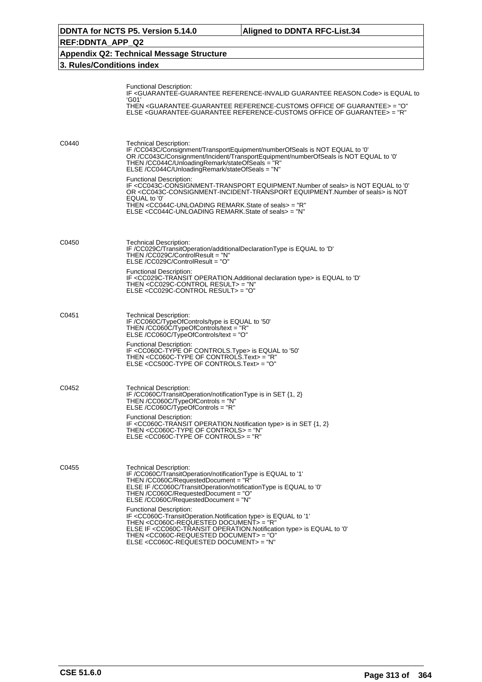| DDNTA for NCTS P5. Version 5.14.0<br><b>Aligned to DDNTA RFC-List.34</b> |                                                                                                                                                                                                                                                                                                                                                                                                                                                                                                                                                                                                                                                                                                                                           |                                                                                                                                                                                                                                                                                                                                                                                                                                |
|--------------------------------------------------------------------------|-------------------------------------------------------------------------------------------------------------------------------------------------------------------------------------------------------------------------------------------------------------------------------------------------------------------------------------------------------------------------------------------------------------------------------------------------------------------------------------------------------------------------------------------------------------------------------------------------------------------------------------------------------------------------------------------------------------------------------------------|--------------------------------------------------------------------------------------------------------------------------------------------------------------------------------------------------------------------------------------------------------------------------------------------------------------------------------------------------------------------------------------------------------------------------------|
| <b>REF:DDNTA APP Q2</b>                                                  |                                                                                                                                                                                                                                                                                                                                                                                                                                                                                                                                                                                                                                                                                                                                           |                                                                                                                                                                                                                                                                                                                                                                                                                                |
|                                                                          | <b>Appendix Q2: Technical Message Structure</b>                                                                                                                                                                                                                                                                                                                                                                                                                                                                                                                                                                                                                                                                                           |                                                                                                                                                                                                                                                                                                                                                                                                                                |
| 3. Rules/Conditions index                                                |                                                                                                                                                                                                                                                                                                                                                                                                                                                                                                                                                                                                                                                                                                                                           |                                                                                                                                                                                                                                                                                                                                                                                                                                |
|                                                                          | <b>Functional Description:</b><br>'G01'                                                                                                                                                                                                                                                                                                                                                                                                                                                                                                                                                                                                                                                                                                   | IF <guarantee-guarantee guarantee="" reason.code="" reference-invalid=""> is EQUAL to<br/>THEN <guarantee-guarantee guarantee="" of="" office="" reference-customs=""> = "O"<br/>ELSE <guarantee-guarantee guarantee="" of="" office="" reference-customs=""> = "R"</guarantee-guarantee></guarantee-guarantee></guarantee-guarantee>                                                                                          |
| C0440                                                                    | Technical Description:<br>THEN /CC044C/UnloadingRemark/stateOfSeals = "R"<br>ELSE /CC044C/UnloadingRemark/stateOfSeals = "N"<br><b>Functional Description:</b><br>EQUAL to '0'<br>THEN <cc044c-unloading of="" remark.state="" seals=""> = "R"<br/>ELSE <cc044c-unloading of="" remark.state="" seals=""> = "N"</cc044c-unloading></cc044c-unloading>                                                                                                                                                                                                                                                                                                                                                                                     | IF/CC043C/Consignment/TransportEquipment/numberOfSeals is NOT EQUAL to '0'<br>OR /CC043C/Consignment/Incident/TransportEquipment/numberOfSeals is NOT EQUAL to '0'<br>IF <cc043c-consignment-transport equipment.number="" of="" seals=""> is NOT EQUAL to '0'<br/>OR <cc043c-consignment-incident-transport equipment.number="" of="" seals=""> is NOT</cc043c-consignment-incident-transport></cc043c-consignment-transport> |
| C0450                                                                    | <b>Technical Description:</b><br>IF /CC029C/TransitOperation/additionalDeclarationType is EQUAL to 'D'<br>THEN /CC029C/ControlResult = "N"<br>ELSE /CC029C/ControlResult = "O"<br><b>Functional Description:</b><br>IF <cc029c-transit declaration="" operation.additional="" type=""> is EQUAL to 'D'<br/>THEN <cc029c-control result=""> = "N"<br/>ELSE <cc029c-control result=""> = "O"</cc029c-control></cc029c-control></cc029c-transit>                                                                                                                                                                                                                                                                                             |                                                                                                                                                                                                                                                                                                                                                                                                                                |
| C0451                                                                    | Technical Description:<br>IF/CC060C/TypeOfControls/type is EQUAL to '50'<br>THEN /CC060C/TypeOfControls/text = "R"<br>ELSE /CC060C/TypeOfControls/text = "O"<br><b>Functional Description:</b><br>IF <cc060c-type controls.="" of="" type=""> is EQUAL to '50'<br/>THEN <cc060c-type controls.text="" of=""> = "R"<br/>ELSE &lt; CC500C-TYPE OF CONTROLS. Text&gt; = "O"</cc060c-type></cc060c-type>                                                                                                                                                                                                                                                                                                                                      |                                                                                                                                                                                                                                                                                                                                                                                                                                |
| C0452                                                                    | <b>Technical Description:</b><br>IF/CC060C/TransitOperation/notificationType is in SET {1, 2}<br>THEN /CC060C/TypeOfControls = "N"<br>$ELSE / CC060C/T$ ypeOfControls = "R"<br><b>Functional Description:</b><br>IF <cc060c-transit notification="" operation.="" type=""> is in SET {1, 2}<br/>THEN <cc060c-type controls="" of=""> = "N"<br/>ELSE <cc060c-type controls="" of=""> = "R"</cc060c-type></cc060c-type></cc060c-transit>                                                                                                                                                                                                                                                                                                    |                                                                                                                                                                                                                                                                                                                                                                                                                                |
| C0455                                                                    | <b>Technical Description:</b><br>IF/CC060C/TransitOperation/notificationType is EQUAL to '1'<br>THEN /CC060C/RequestedDocument = "R"<br>ELSE IF /CC060C/TransitOperation/notificationType is EQUAL to '0'<br>THEN/CC060C/RequestedDocument = "O"<br>ELSE /CC060C/RequestedDocument = "N"<br><b>Functional Description:</b><br>IF <cc060c-transitoperation.notification type=""> is EQUAL to '1'<br/>THEN <cc060c-requested document=""> = "R"<br/>ELSE IF <cc060c-transit operation.notification="" type=""> is EQUAL to '0'<br/>THEN <cc060c-requested document=""> = "O"<br/>ELSE <cc060c-requested document=""> = "N"</cc060c-requested></cc060c-requested></cc060c-transit></cc060c-requested></cc060c-transitoperation.notification> |                                                                                                                                                                                                                                                                                                                                                                                                                                |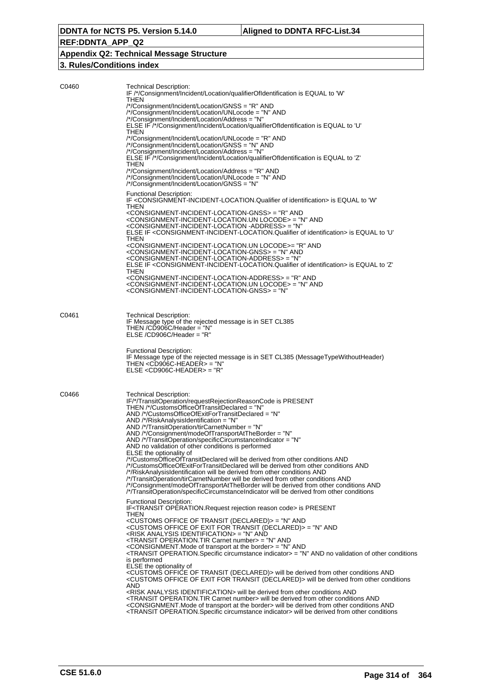## **Appendix Q2: Technical Message Structure**

| C0460 | <b>Technical Description:</b><br>IF /*/Consignment/Incident/Location/qualifierOfldentification is EQUAL to 'W'<br>THEN<br>/*/Consignment/Incident/Location/GNSS = "R" AND<br>/*/Consignment/Incident/Location/UNLocode = "N" AND<br>/*/Consignment/Incident/Location/Address = "N"<br>ELSE IF /*/Consignment/Incident/Location/qualifierOfldentification is EQUAL to 'U'<br>THEN<br>/*/Consignment/Incident/Location/UNLocode = "R" AND<br>/*/Consignment/Incident/Location/GNSS = "N" AND<br>/*/Consignment/Incident/Location/Address = "N"<br>ELSE IF /*/Consignment/Incident/Location/qualifierOfldentification is EQUAL to 'Z'<br>THEN<br>/*/Consignment/Incident/Location/Address = "R" AND<br>/*/Consignment/Incident/Location/UNLocode = "N" AND<br>/*/Consignment/Incident/Location/GNSS = "N"<br><b>Functional Description:</b><br>IF <consignment-incident-location.qualifier identification="" of=""> is EQUAL to 'W'<br/>THEN<br/><consignment-incident-location-gnss> = "R" AND<br/><consignment-incident-location.un locode=""> = "N" AND<br/><consignment-incident-location -address=""> = "N"<br/>ELSE IF <consignment-incident-location.qualifier identification="" of=""> is EQUAL to 'U'</consignment-incident-location.qualifier></consignment-incident-location></consignment-incident-location.un></consignment-incident-location-gnss></consignment-incident-location.qualifier> |
|-------|---------------------------------------------------------------------------------------------------------------------------------------------------------------------------------------------------------------------------------------------------------------------------------------------------------------------------------------------------------------------------------------------------------------------------------------------------------------------------------------------------------------------------------------------------------------------------------------------------------------------------------------------------------------------------------------------------------------------------------------------------------------------------------------------------------------------------------------------------------------------------------------------------------------------------------------------------------------------------------------------------------------------------------------------------------------------------------------------------------------------------------------------------------------------------------------------------------------------------------------------------------------------------------------------------------------------------------------------------------------------------------------------------------|
|       | THEN<br><consignment-incident-location.un locode="">= "R" AND<br/><consignment-incident-location-gnss> = "N" AND<br/><consignment-incident-location-address> = "N"<br/>ELSE IF <consignment-incident-location.qualifier identification="" of=""> is EQUAL to 'Z'<br/>THEN<br/><consignment-incident-location-address> = "R" AND<br/><consignment-incident-location-gnss> = "N"</consignment-incident-location-gnss></consignment-incident-location-address></consignment-incident-location.qualifier></consignment-incident-location-address></consignment-incident-location-gnss></consignment-incident-location.un>                                                                                                                                                                                                                                                                                                                                                                                                                                                                                                                                                                                                                                                                                                                                                                                   |
| C0461 | Technical Description:<br>IF Message type of the rejected message is in SET CL385<br>THEN / $CD906C/Header = "N"$<br>$ELSE / CD906C/Header = "R"$                                                                                                                                                                                                                                                                                                                                                                                                                                                                                                                                                                                                                                                                                                                                                                                                                                                                                                                                                                                                                                                                                                                                                                                                                                                       |
|       | <b>Functional Description:</b><br>IF Message type of the rejected message is in SET CL385 (MessageTypeWithoutHeader)<br>THEN < $CD906C$ -HEADER> = "N"<br>$ELSE <$ CD906C-HEADER> = "R"                                                                                                                                                                                                                                                                                                                                                                                                                                                                                                                                                                                                                                                                                                                                                                                                                                                                                                                                                                                                                                                                                                                                                                                                                 |
| C0466 | <b>Technical Description:</b><br>IF/*/TransitOperation/requestRejectionReasonCode is PRESENT<br>THEN /*/CustomsOfficeOfTransitDeclared = "N"<br>AND /*/CustomsOfficeOfExitForTransitDeclared = "N"<br>AND /*/RiskAnalysisIdentification = "N"<br>AND /*/TransitOperation/tirCarnetNumber = "N"<br>AND /*/Consignment/modeOfTransportAtTheBorder = "N"<br>AND $/*/TransitOperation/specificCircumstanceIndicator = "N"$<br>AND no validation of other conditions is performed<br>ELSE the optionality of<br>/*/CustomsOfficeOfTransitDeclared will be derived from other conditions AND<br>/*/CustomsOfficeOfExitForTransitDeclared will be derived from other conditions AND<br>/*/RiskAnalysisIdentification will be derived from other conditions AND<br>/*/TransitOperation/tirCarnetNumber will be derived from other conditions AND<br>/*/Consignment/modeOfTransportAtTheBorder will be derived from other conditions AND<br>/*/TransitOperation/specificCircumstanceIndicator will be derived from other conditions                                                                                                                                                                                                                                                                                                                                                                              |
|       | <b>Functional Description:</b><br>IF <transit code="" operation.request="" reason="" rejection=""> is PRESENT<br/>THEN<br/><customs (declared)="" exit="" for="" of="" office="" transit=""> = "N" AND<br/><risk analysis="" identification=""> = "N" AND<br/><transit carnet="" number="" operation.tir=""> = "N" AND<br/><consignment. at="" border="" mode="" of="" the="" transport=""> = "N" AND<br/><transit circumstance="" indicator="" operation.specific=""> = "N" AND no validation of other conditions<br/>is performed<br/>ELSE the optionality of<br/><customs (declared)="" of="" office="" transit=""> will be derived from other conditions AND<br/><customs (declared)="" exit="" for="" of="" office="" transit=""> will be derived from other conditions<br/>AND<br/><risk analysis="" identification=""> will be derived from other conditions AND<br/><transit carnet="" number="" operation.tir=""> will be derived from other conditions AND<br/><consignment.mode at="" border="" of="" the="" transport=""> will be derived from other conditions AND<br/><transit circumstance="" indicator="" operation.specific=""> will be derived from other conditions</transit></consignment.mode></transit></risk></customs></customs></transit></consignment.></transit></risk></customs></transit>                                                                                  |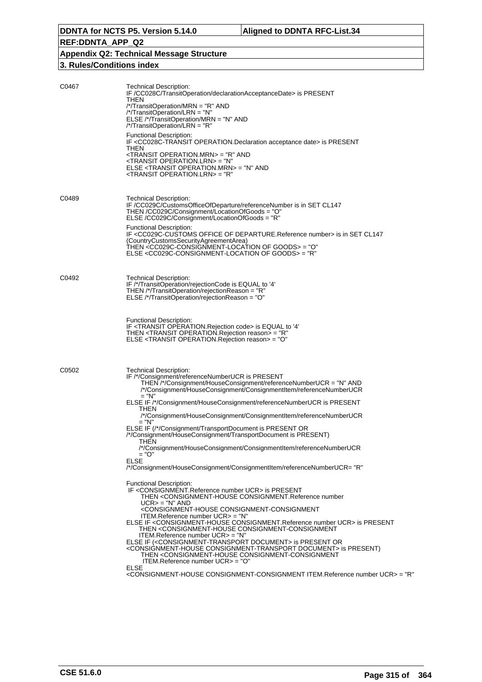## **Appendix Q2: Technical Message Structure**

| C0467 | <b>Technical Description:</b><br>IF/CC028C/TransitOperation/declarationAcceptanceDate> is PRESENT<br>THEN<br>/*/TransitOperation/MRN = "R" AND<br>/*/TransitOperation/LRN = "N"<br>ELSE /*/TransitOperation/MRN = "N" AND<br>/*/TransitOperation/LRN = "R"                                                                                                                                                                                                                                                                                                                                                                                                                                                                                                                                                                                                                                                                                                                                                      |
|-------|-----------------------------------------------------------------------------------------------------------------------------------------------------------------------------------------------------------------------------------------------------------------------------------------------------------------------------------------------------------------------------------------------------------------------------------------------------------------------------------------------------------------------------------------------------------------------------------------------------------------------------------------------------------------------------------------------------------------------------------------------------------------------------------------------------------------------------------------------------------------------------------------------------------------------------------------------------------------------------------------------------------------|
|       | <b>Functional Description:</b><br>IF <cc028c-transit acceptance="" date="" declaration="" operation.=""> is PRESENT<br/>THEN<br/><transit operation.mrn=""> = "R" AND<br/><transit operation.lrn=""> = "N"<br/>ELSE <transit operation.mrn=""> = "N" AND<br/><math>&lt;</math>TRANSIT OPERATION.LRN&gt; = "R"</transit></transit></transit></cc028c-transit>                                                                                                                                                                                                                                                                                                                                                                                                                                                                                                                                                                                                                                                    |
| C0489 | Technical Description:<br>IF/CC029C/CustomsOfficeOfDeparture/referenceNumber is in SET CL147<br>THEN /CC029C/Consignment/LocationOfGoods = "O"<br>ELSE /CC029C/Consignment/LocationOfGoods = "R"<br><b>Functional Description:</b>                                                                                                                                                                                                                                                                                                                                                                                                                                                                                                                                                                                                                                                                                                                                                                              |
|       | IF <cc029c-customs departure.reference="" number="" of="" office=""> is in SET CL147<br/>(CountryCustomsSecurityAgreementArea)<br/>THEN <cc029c-consignment-location goods="" of=""> = "O"<br/>ELSE <cc029c-consignment-location goods="" of=""> = "R"</cc029c-consignment-location></cc029c-consignment-location></cc029c-customs>                                                                                                                                                                                                                                                                                                                                                                                                                                                                                                                                                                                                                                                                             |
| C0492 | Technical Description:<br>IF /*/TransitOperation/rejectionCode is EQUAL to '4'<br>THEN /*/TransitOperation/rejectionReason = "R"<br>ELSE /*/TransitOperation/rejectionReason = "O"                                                                                                                                                                                                                                                                                                                                                                                                                                                                                                                                                                                                                                                                                                                                                                                                                              |
|       | <b>Functional Description:</b><br>IF <transit code="" operation.rejection=""> is EQUAL to '4'<br/>THEN <transit operation.rejection="" reason=""> = "R"<br/>ELSE <transit operation.rejection="" reason=""> = "O"</transit></transit></transit>                                                                                                                                                                                                                                                                                                                                                                                                                                                                                                                                                                                                                                                                                                                                                                 |
| C0502 | <b>Technical Description:</b><br>IF /*/Consignment/referenceNumberUCR is PRESENT<br>THEN /*/Consignment/HouseConsignment/referenceNumberUCR = "N" AND<br>/*/Consignment/HouseConsignment/ConsignmentItem/referenceNumberUCR<br>$= "N"$<br>ELSE IF /*/Consignment/HouseConsignment/referenceNumberUCR is PRESENT<br>THEN<br>/*/Consignment/HouseConsignment/ConsignmentItem/referenceNumberUCR<br>= "N"<br>ELSE IF (/*/Consignment/TransportDocument is PRESENT OR<br>/*/Consignment/HouseConsignment/TransportDocument is PRESENT)<br>THEN<br>/*/Consignment/HouseConsignment/ConsignmentItem/referenceNumberUCR<br>= "O"<br><b>ELSE</b><br>/*/Consignment/HouseConsignment/ConsignmentItem/referenceNumberUCR= "R"                                                                                                                                                                                                                                                                                             |
|       | <b>Functional Description:</b><br>IF <consignment.reference number="" ucr=""> is PRESENT<br/>THEN <consignment-house consignment.reference="" number<br=""><math>UCR</math> = "N" AND<br/><consignment-house consignment-consignment<br="">ITEM.Reference number UCR&gt; = "N"<br/>ELSE IF <consignment-house consignment.reference="" number="" ucr=""> is PRESENT<br/>THEN <consignment-house consignment-consignment<br="">ITEM.Reference number UCR&gt; = "N"<br/>ELSE IF (<consignment-transport document=""> is PRESENT OR<br/><consignment-house consignment-transport="" document=""> is PRESENT)<br/>THEN <consignment-house consignment-consignment<br="">ITEM.Reference number UCR&gt; = "O"<br/><b>ELSE</b><br/><consignment-house consignment-consignment="" item.reference="" number="" ucr=""> = "R"</consignment-house></consignment-house></consignment-house></consignment-transport></consignment-house></consignment-house></consignment-house></consignment-house></consignment.reference> |
|       |                                                                                                                                                                                                                                                                                                                                                                                                                                                                                                                                                                                                                                                                                                                                                                                                                                                                                                                                                                                                                 |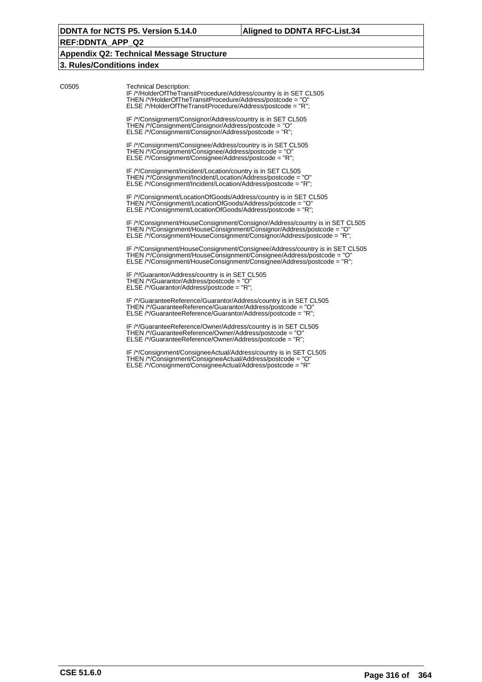#### **Appendix Q2: Technical Message Structure**

#### **3. Rules/Conditions index**

C0505 Technical Description: IF /\*/HolderOfTheTransitProcedure/Address/country is in SET CL505 THEN /\*/HolderOfTheTransitProcedure/Address/postcode = "O" ELSE /\*/HolderOfTheTransitProcedure/Address/postcode = "R";

> IF /\*/Consignment/Consignor/Address/country is in SET CL505 THEN /\*/Consignment/Consignor/Address/postcode = "O" ELSE /\*/Consignment/Consignor/Address/postcode = "R";

> IF /\*/Consignment/Consignee/Address/country is in SET CL505 THEN /\*/Consignment/Consignee/Address/postcode = "O" ELSE /\*/Consignment/Consignee/Address/postcode = "R";

IF /\*/Consignment/Incident/Location/country is in SET CL505 THEN /\*/Consignment/Incident/Location/Address/postcode = "O" ELSE /\*/Consignment/Incident/Location/Address/postcode = "R";

IF /\*/Consignment/LocationOfGoods/Address/country is in SET CL505 THEN /\*/Consignment/LocationOfGoods/Address/postcode = "O" ELSE /\*/Consignment/LocationOfGoods/Address/postcode = "R";

IF /\*/Consignment/HouseConsignment/Consignor/Address/country is in SET CL505 THEN /\*/Consignment/HouseConsignment/Consignor/Address/postcode = "O" ELSE /\*/Consignment/HouseConsignment/Consignor/Address/postcode = "R";

IF /\*/Consignment/HouseConsignment/Consignee/Address/country is in SET CL505 THEN /\*/Consignment/HouseConsignment/Consignee/Address/postcode = "O" ELSE /\*/Consignment/HouseConsignment/Consignee/Address/postcode = "R";

IF /\*/Guarantor/Address/country is in SET CL505 THEN /\*/Guarantor/Address/postcode = "O" ELSE /\*/Guarantor/Address/postcode = "R";

IF /\*/GuaranteeReference/Guarantor/Address/country is in SET CL505 THEN /\*/GuaranteeReference/Guarantor/Address/postcode = "O" ELSE /\*/GuaranteeReference/Guarantor/Address/postcode = "R";

IF /\*/GuaranteeReference/Owner/Address/country is in SET CL505 THEN /\*/GuaranteeReference/Owner/Address/postcode = "O" ELSE /\*/GuaranteeReference/Owner/Address/postcode = "R";

IF /\*/Consignment/ConsigneeActual/Address/country is in SET CL505 THEN /\*/Consignment/ConsigneeActual/Address/postcode = "O" ELSE /\*/Consignment/ConsigneeActual/Address/postcode = "R"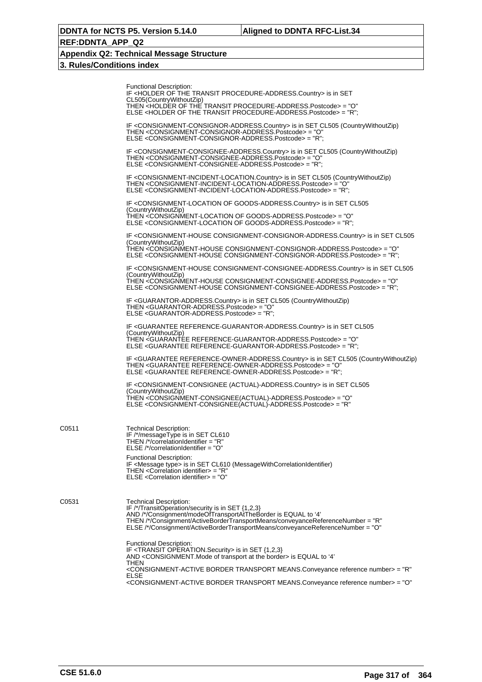## **Appendix Q2: Technical Message Structure**

|       | <b>Functional Description:</b><br>IF <holder of="" procedure-address.country="" the="" transit=""> is in SET<br/>CL505(CountryWithoutZip)<br/>THEN <holder of="" procedure-address.postcode="" the="" transit=""> = "O"<br/>ELSE <holder of="" procedure-address.postcode="" the="" transit=""> = "R";</holder></holder></holder>                         |
|-------|-----------------------------------------------------------------------------------------------------------------------------------------------------------------------------------------------------------------------------------------------------------------------------------------------------------------------------------------------------------|
|       | IF <consignment-consignor-address.country> is in SET CL505 (CountryWithoutZip)<br/>THEN<consignment-consignor-address.postcode> = "O"<br/>ELSE <consignment-consignor-address.postcode> = "R";</consignment-consignor-address.postcode></consignment-consignor-address.postcode></consignment-consignor-address.country>                                  |
|       | IF <consignment-consignee-address.country> is in SET CL505 (CountryWithoutZip)<br/>THEN<consignment-consignee-address.postcode> = "O"<br/>ELSE <consignment-consignee-address.postcode> = "R";</consignment-consignee-address.postcode></consignment-consignee-address.postcode></consignment-consignee-address.country>                                  |
|       | IF <consignment-incident-location.country> is in SET CL505 (CountryWithoutZip)<br/>THEN <consignment-incident-location-address.postcode> = "O"<br/>ELSE <consignment-incident-location-address.postcode> = "R";</consignment-incident-location-address.postcode></consignment-incident-location-address.postcode></consignment-incident-location.country> |
|       | IF <consignment-location goods-address.country="" of=""> is in SET CL505<br/>(CountryWithoutZip)<br/>THEN <consignment-location goods-address.postcode="" of=""> = "O"<br/>ELSE <consignment-location goods-address.postcode="" of=""> = "R";</consignment-location></consignment-location></consignment-location>                                        |
|       | IF <consignment-house consignment-consignor-address.country=""> is in SET CL505<br/>(CountryWithoutZip)<br/>THEN <consignment-house consignment-consignor-address.postcode=""> = "O"<br/>ELSE <consignment-house consignment-consignor-address.postcode=""> = "R";</consignment-house></consignment-house></consignment-house>                            |
|       | IF <consignment-house consignment-consignee-address.country=""> is in SET CL505<br/>(CountryWithoutZip)<br/>THEN <consignment-house consignment-consignee-address.postcode=""> = "O"<br/>ELSE <consignment-house consignment-consignee-address.postcode=""> = "R";</consignment-house></consignment-house></consignment-house>                            |
|       | IF <guarantor-address.country> is in SET CL505 (CountryWithoutZip)<br/>THEN <guarantor-address.postcode> = "O"<br/>ELSE <guarantor-address.postcode> = "R";</guarantor-address.postcode></guarantor-address.postcode></guarantor-address.country>                                                                                                         |
|       | IF <guarantee reference-guarantor-address.country=""> is in SET CL505<br/>(CountryWithoutZip)<br/>THEN <guarantee reference-guarantor-address.postcode=""> = "O"<br/>ELSE <guarantee reference-guarantor-address.postcode=""> = "R";</guarantee></guarantee></guarantee>                                                                                  |
|       | IF <guarantee reference-owner-address.country=""> is in SET CL505 (CountryWithoutZip)<br/>THEN <guarantee reference-owner-address.postcode=""> = "O"<br/>ELSE <guarantee reference-owner-address.postcode=""> = "R";</guarantee></guarantee></guarantee>                                                                                                  |
|       | IF <consignment-consignee (actual)-address.country=""> is in SET CL505<br/>(CountryWithoutZip)<br/>THEN <consignment-consignee(actual)-address.postcode> = "O"<br/>ELSE <consignment-consignee(actual)-address.postcode> = "R"</consignment-consignee(actual)-address.postcode></consignment-consignee(actual)-address.postcode></consignment-consignee>  |
| C0511 | Technical Description:<br>IF /*/messageType is in SET CL610<br>THEN /*/correlationIdentifier = $"R"$<br>ELSE /*/correlationIdentifier = $"O"$                                                                                                                                                                                                             |
|       | <b>Functional Description:</b><br>IF <message type=""> is in SET CL610 (MessageWithCorrelationIdentifier)<br/>THEN <correlation identifier=""> = "R"<br/><math>ELSE &lt;</math>Correlation identifier&gt; = "O"</correlation></message>                                                                                                                   |
| C0531 | <b>Technical Description:</b><br>IF /*/TransitOperation/security is in SET {1,2,3}<br>AND /*/Consignment/modeOfTransportAtTheBorder is EQUAL to '4'<br>THEN /*/Consignment/ActiveBorderTransportMeans/conveyanceReferenceNumber = "R"<br>ELSE /*/Consignment/ActiveBorderTransportMeans/conveyanceReferenceNumber = "O"                                   |
|       | <b>Functional Description:</b><br>IF <transit operation.="" security=""> is in SET {1,2,3}<br/>AND <consignment. at="" border="" mode="" of="" the="" transport=""> is EQUAL to '4'<br/>THEN</consignment.></transit>                                                                                                                                     |
|       | <consignment-active border="" means.conveyance="" number="" reference="" transport=""> = "R"<br/>ELSE<br/><consignment-active border="" means.conveyance="" number="" reference="" transport=""> = "O"</consignment-active></consignment-active>                                                                                                          |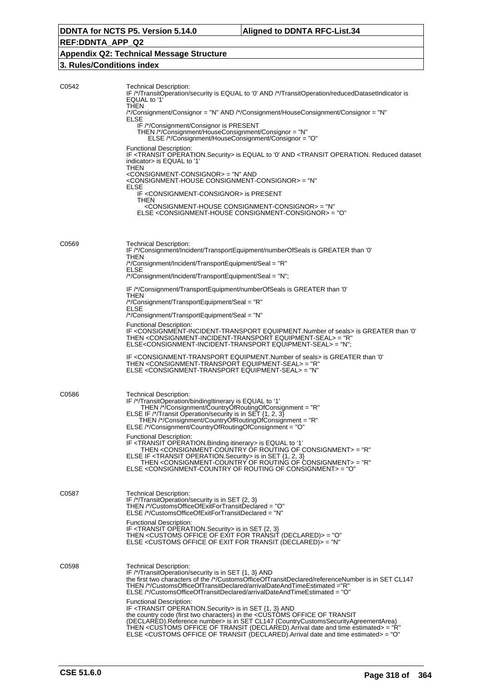## **Appendix Q2: Technical Message Structure**

| C0542 | <b>Technical Description:</b><br>IF /*/TransitOperation/security is EQUAL to '0' AND /*/TransitOperation/reducedDatasetIndicator is<br>EQUAL to '1"<br>THEN<br>/*/Consignment/Consignor = "N" AND /*/Consignment/HouseConsignment/Consignor = "N"<br>ELSE<br>IF /*/Consignment/Consignor is PRESENT<br>THEN /*/Consignment/HouseConsignment/Consignor = "N"<br>ELSE /*/Consignment/HouseConsignment/Consignor = "O"<br><b>Functional Description:</b><br>IF <transit operation.security=""> is EQUAL to '0' AND <transit dataset<br="" operation.="" reduced="">indicator&gt; is EQUAL to '1'<br/>THEN<br/><consignment-consignor> = "N" AND<br/>ELSE<br/>IF <consignment-consignor> is PRESENT<br/><b>THEN</b><br/><consignment-house consignment-consignor=""> = "N"<br/>ELSE <consignment-house consignment-consignor=""> = "O"</consignment-house></consignment-house></consignment-consignor></consignment-consignor></transit></transit> |
|-------|------------------------------------------------------------------------------------------------------------------------------------------------------------------------------------------------------------------------------------------------------------------------------------------------------------------------------------------------------------------------------------------------------------------------------------------------------------------------------------------------------------------------------------------------------------------------------------------------------------------------------------------------------------------------------------------------------------------------------------------------------------------------------------------------------------------------------------------------------------------------------------------------------------------------------------------------|
| C0569 | Technical Description:<br>IF /*/Consignment/Incident/TransportEquipment/numberOfSeals is GREATER than '0'<br>THEN<br>/*/Consignment/Incident/TransportEquipment/Seal = "R"<br>ELSE<br>/*/Consignment/Incident/TransportEquipment/Seal = "N";                                                                                                                                                                                                                                                                                                                                                                                                                                                                                                                                                                                                                                                                                                   |
|       | IF /*/Consignment/TransportEquipment/numberOfSeals is GREATER than '0'<br>THEN<br>/*/Consignment/TransportEquipment/Seal = "R"<br><b>ELSE</b><br>/*/Consignment/TransportEquipment/Seal = "N"<br><b>Functional Description:</b><br>IF <consignment-incident-transport equipment.number="" of="" seals=""> is GREATER than '0'<br/>THEN <consignment-incident-transport equipment-seal=""> = "R"<br/>ELSE<consignment-incident-transport equipment-seal=""> = "N";</consignment-incident-transport></consignment-incident-transport></consignment-incident-transport>                                                                                                                                                                                                                                                                                                                                                                           |
|       | IF <consignment-transport equipment.number="" of="" seals=""> is GREATER than '0'<br/>THEN <consignment-transport equipment-seal=""> = "R"<br/>ELSE <consignment-transport equipment-seal=""> = "N"</consignment-transport></consignment-transport></consignment-transport>                                                                                                                                                                                                                                                                                                                                                                                                                                                                                                                                                                                                                                                                    |
| C0586 | Technical Description:<br>IF /*/TransitOperation/bindingItinerary is EQUAL to '1'<br>THEN /*/Consignment/CountryOfRoutingOfConsignment = "R"<br>ELSE IF /*/Transit Operation/security is in SET $\{1, 2, 3\}$<br>THEN /*/Consignment/CountryOfRoutingOfConsignment = "R"<br>ELSE /*/Consignment/CountryOfRoutingOfConsignment = "O"<br><b>Functional Description:</b><br>IF <transit binding="" itinerary="" operation.=""> is EQUAL to '1'<br/>THEN <consignment-country consignment="" of="" routing=""> = "R"<br/>ELSE IF <transit operation.="" security=""> is in SET {1, 2, 3}<br/>THEN <consignment-country consignment="" of="" routing=""> = "R"<br/>ELSE &lt; CONSIGNMENT-COUNTRY OF ROUTING OF CONSIGNMENT &gt; = "O"</consignment-country></transit></consignment-country></transit>                                                                                                                                               |
| C0587 | <b>Technical Description:</b><br>IF /*/TransitOperation/security is in SET {2, 3}<br>THEN /*/CustomsOfficeOfExitForTransitDeclared = "O"<br>ELSE /*/CustomsOfficeOfExitForTransitDeclared = "N"<br><b>Functional Description:</b><br>IF <transit operation.security=""> is in SET {2, 3}<br/>THEN <customs (declared)="" exit="" for="" of="" office="" transit=""> = "O"<br/>ELSE &lt; CUSTOMS OFFICE OF EXIT FOR TRANSIT (DECLARED) &gt; = "N"</customs></transit>                                                                                                                                                                                                                                                                                                                                                                                                                                                                           |
| C0598 | <b>Technical Description:</b><br>IF /*/TransitOperation/security is in SET {1, 3} AND<br>the first two characters of the /*/CustomsOfficeOfTransitDeclared/referenceNumber is in SET CL147<br>THEN /*/CustomsOfficeOfTransitDeclared/arrivalDateAndTimeEstimated ="R"<br>ELSE /*/CustomsOfficeOfTransitDeclared/arrivalDateAndTimeEstimated = "O"<br><b>Functional Description:</b><br>IF <transit operation.security=""> is in SET {1, 3} AND<br/>the country code (first two characters) in the <customs of="" office="" transit<br="">(DECLARED).Reference number&gt; is in SET CL147 (CountryCustomsSecurityAgreementArea)<br/>THEN <customs (declared).="" and="" arrival="" date="" estimated="" of="" office="" time="" transit=""> = "R"<br/>ELSE <customs (declared).="" and="" arrival="" date="" estimated="" of="" office="" time="" transit=""> = "O"</customs></customs></customs></transit>                                     |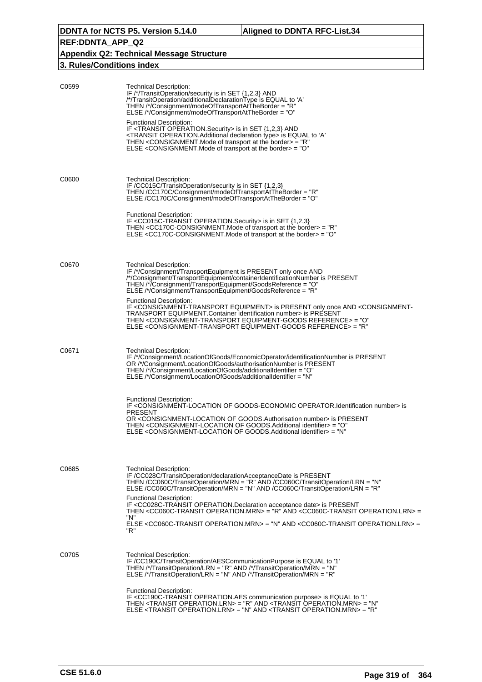# **Appendix Q2: Technical Message Structure**

| C0599 | Technical Description:<br>IF /*/TransitOperation/security is in SET {1,2,3} AND<br>/*/TransitOperation/additionalDeclarationType is EQUAL to 'A'<br>THEN /*/Consignment/modeOfTransportAtTheBorder = "R"<br>ELSE /*/Consignment/modeOfTransportAtTheBorder = "O"<br><b>Functional Description:</b><br>IF <transit operation.="" security=""> is in SET {1,2,3} AND<br/><transit declaration="" operation.additional="" type=""> is EQUAL to 'A'<br/>THEN <consignment. <math="" at="" border="" mode="" of="" the="" transport="">= "R"<br/>ELSE <consignment. at="" border="" mode="" of="" the="" transport=""> = "O"</consignment.></consignment.></transit></transit>                                                                                                                                               |
|-------|-------------------------------------------------------------------------------------------------------------------------------------------------------------------------------------------------------------------------------------------------------------------------------------------------------------------------------------------------------------------------------------------------------------------------------------------------------------------------------------------------------------------------------------------------------------------------------------------------------------------------------------------------------------------------------------------------------------------------------------------------------------------------------------------------------------------------|
| C0600 | <b>Technical Description:</b><br>IF/CC015C/TransitOperation/security is in SET {1,2,3}<br>THEN /CC170C/Consignment/modeOfTransportAtTheBorder = "R"<br>ELSE/CC170C/Consignment/modeOfTransportAtTheBorder = "O"<br><b>Functional Description:</b><br>IF <cc015c-transit operation.="" security=""> is in SET {1,2,3}<br/>THEN &lt;<math>CC170C</math>-CONSIGNMENT. Mode of transport at the border<math>&gt;</math> = "R"<br/>ELSE &lt; <math>CC170C</math>-CONSIGNMENT. Mode of transport at the border <math>&gt;</math> = "O"</cc015c-transit>                                                                                                                                                                                                                                                                       |
| C0670 | <b>Technical Description:</b><br>IF /*/Consignment/TransportEquipment is PRESENT only once AND<br>/*/Consignment/TransportEquipment/containerIdentificationNumber is PRESENT<br>THEN /*/Consignment/TransportEquipment/GoodsReference = "O"<br>ELSE /*/Consignment/TransportEquipment/GoodsReference = "R"<br><b>Functional Description:</b><br>IF <consignment-transport equipment=""> is PRESENT only once AND <consignment-<br>TRANSPORT EQUIPMENT.Container identification number&gt; is PRESENT<br/>THEN <consignment-transport equipment-goods="" reference=""> = "O"<br/>ELSE <consignment-transport equipment-goods="" reference=""> = "R"</consignment-transport></consignment-transport></consignment-<br></consignment-transport>                                                                            |
| C0671 | <b>Technical Description:</b><br>IF /*/Consignment/LocationOfGoods/EconomicOperator/identificationNumber is PRESENT<br>OR /*/Consignment/LocationOfGoods/authorisationNumber is PRESENT<br>THEN /*/Consignment/LocationOfGoods/additionalIdentifier = "O"<br>$ELSE$ /*/Consignment/LocationOfGoods/additionalIdentifier = "N"<br><b>Functional Description:</b><br>IF <consignment-location goods-economic="" number="" of="" operator.identification=""> is<br/><b>PRESENT</b><br/>OR <consignment-location goods.authorisation="" number="" of=""> is PRESENT<br/>THEN <consignment-location goods.additional="" identifier="" of=""> = "O"<br/>ELSE <consignment-location goods.additional="" identifier="" of=""> = "N"</consignment-location></consignment-location></consignment-location></consignment-location> |
| C0685 | <b>Technical Description:</b><br>IF/CC028C/TransitOperation/declarationAcceptanceDate is PRESENT<br>THEN/CC060C/TransitOperation/MRN = "R" AND/CC060C/TransitOperation/LRN = "N"<br>ELSE /CC060C/TransitOperation/MRN = "N" AND /CC060C/TransitOperation/LRN = "R"<br><b>Functional Description:</b><br>IF <cc028c-transit acceptance="" date="" declaration="" operation.=""> is PRESENT<br/>THEN <cc060c-transit operation.mrn=""> = "R" AND <cc060c-transit operation.lrn=""> =<br/>"N"<br/>ELSE <cc060c-transit operation.mrn=""> = "N" AND <cc060c-transit operation.lrn=""> =<br/>"R"</cc060c-transit></cc060c-transit></cc060c-transit></cc060c-transit></cc028c-transit>                                                                                                                                        |
| C0705 | <b>Technical Description:</b><br>IF /CC190C/TransitOperation/AESCommunicationPurpose is EQUAL to '1'<br>THEN /*/TransitOperation/LRN = "R" AND /*/TransitOperation/MRN = "N"<br>ELSE /*/TransitOperation/LRN = "N" AND /*/TransitOperation/MRN = "R"<br><b>Functional Description:</b><br>IF <cc190c-transit communication="" operation.aes="" purpose=""> is EQUAL to '1'<br/>THEN <transit operation.lrn=""> = "R" AND <transit operation.mrn=""> = "N"<br/>ELSE <transit operation.lrn=""> = "N" AND <transit operation.mrn=""> = "R"</transit></transit></transit></transit></cc190c-transit>                                                                                                                                                                                                                       |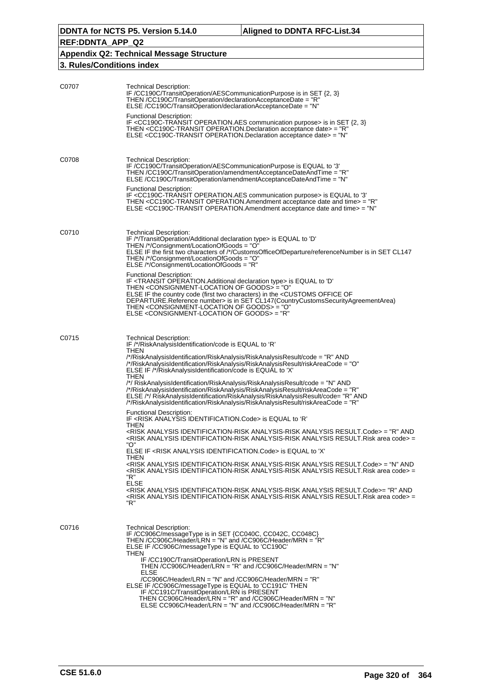**Appendix Q2: Technical Message Structure**

| C0707 | <b>Technical Description:</b><br>IF/CC190C/TransitOperation/AESCommunicationPurpose is in SET {2, 3}<br>THEN /CC190C/TransitOperation/declarationAcceptanceDate = "R"<br>ELSE /CC190C/TransitOperation/declarationAcceptanceDate = " $N$ "                                                                                                                                                                                                                                                                                                                                                                                                                                                                                                                                                                                                                                                                                                        |
|-------|---------------------------------------------------------------------------------------------------------------------------------------------------------------------------------------------------------------------------------------------------------------------------------------------------------------------------------------------------------------------------------------------------------------------------------------------------------------------------------------------------------------------------------------------------------------------------------------------------------------------------------------------------------------------------------------------------------------------------------------------------------------------------------------------------------------------------------------------------------------------------------------------------------------------------------------------------|
|       | <b>Functional Description:</b><br>IF <cc190c-transit communication="" operation.aes="" purpose=""> is in SET {2, 3}<br/>THEN <cc190c-transit acceptance="" date="" declaration="" operation.=""> = "R"<br/>ELSE &lt;<math>CC190C</math>-TRANSIT OPERATION. Declaration acceptance date&gt; = "N"</cc190c-transit></cc190c-transit>                                                                                                                                                                                                                                                                                                                                                                                                                                                                                                                                                                                                                |
| C0708 | Technical Description:<br>IF /CC190C/TransitOperation/AESCommunicationPurpose is EQUAL to '3'<br>THEN /CC190C/TransitOperation/amendmentAcceptanceDateAndTime = "R"<br>ELSE /CC190C/TransitOperation/amendmentAcceptanceDateAndTime = " $N$ "                                                                                                                                                                                                                                                                                                                                                                                                                                                                                                                                                                                                                                                                                                     |
|       | <b>Functional Description:</b><br>IF <cc190c-transit communication="" operation.aes="" purpose=""> is EQUAL to '3'<br/>THEN <cc190c-transit acceptance="" and="" date="" operation.amendment="" time=""> = "R"<br/>ELSE <cc190c-transit <math="" acceptance="" amendment="" and="" date="" operation.="" time="">&gt; = "N"</cc190c-transit></cc190c-transit></cc190c-transit>                                                                                                                                                                                                                                                                                                                                                                                                                                                                                                                                                                    |
| C0710 | <b>Technical Description:</b><br>IF /*/TransitOperation/Additional declaration type> is EQUAL to 'D'<br>THEN /*/Consignment/LocationOfGoods = "O"<br>ELSE IF the first two characters of /*/CustomsOfficeOfDeparture/referenceNumber is in SET CL147<br>THEN /*/Consignment/LocationOfGoods = "O"                                                                                                                                                                                                                                                                                                                                                                                                                                                                                                                                                                                                                                                 |
|       | ELSE $/*/Consignment/LocationOfGoods = "R"$<br><b>Functional Description:</b><br>IF <transit declaration="" operation.additional="" type=""> is EQUAL to 'D'<br/>THEN <consignment-location goods="" of=""> = "O"<br/>ELSE IF the country code (first two characters) in the <customs of<br="" office="">DEPARTURE.Reference number&gt; is in SET CL147(CountryCustomsSecurityAgreementArea)<br/>THEN <consignment-location goods="" of=""> = "O"<br/>ELSE <consignment-location goods="" of=""> = "R"</consignment-location></consignment-location></customs></consignment-location></transit>                                                                                                                                                                                                                                                                                                                                                   |
| C0715 | Technical Description:<br>IF /*/RiskAnalysisIdentification/code is EQUAL to 'R'<br>THEN<br>/*/RiskAnalysisIdentification/RiskAnalysis/RiskAnalysisResult/code = "R" AND<br>/*/RiskAnalysisIdentification/RiskAnalysis/RiskAnalysisResult/riskAreaCode = "O"<br>ELSE IF /*/RiskAnalysisIdentification/code is EQUAL to 'X'<br><b>THEN</b><br>/*/ RiskAnalysisIdentification/RiskAnalysis/RiskAnalysisResult/code = "N" AND<br>/*/RiskAnalysisIdentification/RiskAnalysis/RiskAnalysisResult/riskAreaCode = "R"<br>ELSE /*/ RiskAnalysisIdentification/RiskAnalysis/RiskAnalysisResult/code= "R" AND                                                                                                                                                                                                                                                                                                                                                |
|       | /*/RiskAnalysisIdentification/RiskAnalysis/RiskAnalysisResult/riskAreaCode = "R"<br><b>Functional Description:</b><br>IF <risk analysis="" identification.code=""> is EQUAL to 'R'<br/>THEN<br/><risk analysis="" analysis-risk="" identification-risk="" result.code=""> = "R" AND<br/><risk analysis="" analysis-risk="" area="" code="" identification-risk="" result.risk=""> =<br/>"О"<br/>ELSE IF <risk analysis="" identification.code=""> is EQUAL to 'X'<br/>THEN<br/><risk analysis="" analysis-risk="" identification-risk="" result.code=""> = "N" AND<br/><risk analysis="" analysis-risk="" area="" code="" identification-risk="" result.risk=""> =<br/>"R"<br/><b>ELSE</b><br/><risk analysis="" analysis-risk="" identification-risk="" result.code="">= "R" AND<br/><risk analysis="" analysis-risk="" area="" code="" identification-risk="" result.risk=""> =<br/>"R"</risk></risk></risk></risk></risk></risk></risk></risk> |
| C0716 | <b>Technical Description:</b><br>IF/CC906C/messageType is in SET {CC040C, CC042C, CC048C}<br>THEN /CC906C/Header/LRN = "N" and /CC906C/Header/MRN = "R"<br>ELSE IF /CC906C/messageType is EQUAL to 'CC190C'<br>THEN<br>IF /CC190C/TransitOperation/LRN is PRESENT<br>THEN /CC906C/Header/LRN = "R" and /CC906C/Header/MRN = "N"<br>ELSE<br>/CC906C/Header/LRN = "N" and /CC906C/Header/MRN = "R"<br>ELSE IF /CC906C/messageType is EQUAL to 'CC191C' THEN<br>IF /CC191C/TransitOperation/LRN is PRESENT<br>THEN CC906C/Header/LRN = "R" and /CC906C/Header/MRN = "N"<br>ELSE CC906C/Header/LRN = "N" and /CC906C/Header/MRN = "R"                                                                                                                                                                                                                                                                                                                 |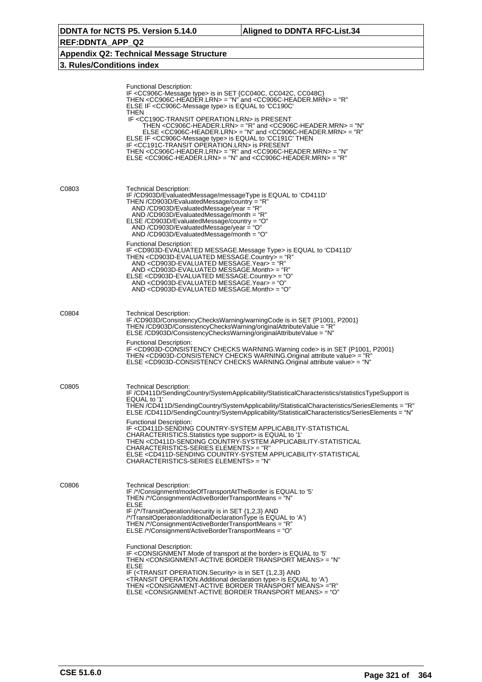## **Appendix Q2: Technical Message Structure**

|       | Functional Description:<br>IF <cc906c-message type=""> is in SET {CC040C, CC042C, CC048C}<br/>THEN <cc906c-header.lrn> = "N" and <cc906c-header.mrn> = "R"<br/>ELSE IF <cc906c-message type=""> is EQUAL to 'CC190C'<br/>THEN<br/>IF <cc190c-transit operation.lrn=""> is PRESENT<br/>THEN <cc906c-header.lrn> = "R" and <cc906c-header.mrn> = "N"<br/>ELSE <cc906c-header.lrn> = "N" and <cc906c-header.mrn> = "R"<br/>ELSE IF <cc906c-message type=""> is EQUAL to 'CC191C' THEN<br/>IF <cc191c-transit operation.lrn=""> is PRESENT<br/>THEN <cc906c-header.lrn> = "R" and <cc906c-header.mrn> = "N"<br/><math>ELSE &lt;</math>CC906C-HEADER.LRN&gt; = "N" and <cc906c-header.mrn> = "R"</cc906c-header.mrn></cc906c-header.mrn></cc906c-header.lrn></cc191c-transit></cc906c-message></cc906c-header.mrn></cc906c-header.lrn></cc906c-header.mrn></cc906c-header.lrn></cc190c-transit></cc906c-message></cc906c-header.mrn></cc906c-header.lrn></cc906c-message> |
|-------|----------------------------------------------------------------------------------------------------------------------------------------------------------------------------------------------------------------------------------------------------------------------------------------------------------------------------------------------------------------------------------------------------------------------------------------------------------------------------------------------------------------------------------------------------------------------------------------------------------------------------------------------------------------------------------------------------------------------------------------------------------------------------------------------------------------------------------------------------------------------------------------------------------------------------------------------------------------------|
| C0803 | Technical Description:<br>IF/CD903D/EvaluatedMessage/messageType is EQUAL to 'CD411D'<br>THEN /CD903D/EvaluatedMessage/country = "R"<br>AND /CD903D/EvaluatedMessage/year = "R"<br>AND /CD903D/EvaluatedMessage/month = "R"<br>ELSE /CD903D/EvaluatedMessage/country = "O"<br>AND /CD903D/EvaluatedMessage/year = "O"<br>AND /CD903D/EvaluatedMessage/month = "O"                                                                                                                                                                                                                                                                                                                                                                                                                                                                                                                                                                                                    |
|       | <b>Functional Description:</b><br>IF <cd903d-evaluated message.message="" type=""> is EQUAL to 'CD411D'<br/>THEN <cd903d-evaluated message.country=""> = "R"<br/>AND <cd903d-evaluated message.="" year=""> = "R"<br/>AND <cd903d-evaluated message.month=""> = "R"<br/>ELSE <cd903d-evaluated message.country=""> = "O"<br/>AND <cd903d-evaluated message.="" year=""> = "O"<br/>AND <cd903d-evaluated message.month=""> = "O"</cd903d-evaluated></cd903d-evaluated></cd903d-evaluated></cd903d-evaluated></cd903d-evaluated></cd903d-evaluated></cd903d-evaluated>                                                                                                                                                                                                                                                                                                                                                                                                 |
| C0804 | Technical Description:<br>IF /CD903D/ConsistencyChecksWarning/warningCode is in SET {P1001, P2001}<br>THEN /CD903D/ConsistencyChecksWarning/originalAttributeValue = "R"<br>ELSE /CD903D/ConsistencyChecksWarning/originalAttributeValue = "N"<br><b>Functional Description:</b><br>IF <cd903d-consistency checks="" code="" warning="" warning.=""> is in SET {P1001, P2001}<br/>THEN <cd903d-consistency attribute="" checks="" original="" value="" warning=""> = "R"</cd903d-consistency></cd903d-consistency>                                                                                                                                                                                                                                                                                                                                                                                                                                                   |
| C0805 | ELSE <cd903d-consistency attribute="" checks="" value="" warning.original=""> = "N"<br/>Technical Description:<br/>IF/CD411D/SendingCountry/SystemApplicability/StatisticalCharacteristics/statisticsTypeSupport is<br/>EQUAL to '1'<br/>THEN/CD411D/SendingCountry/SystemApplicability/StatisticalCharacteristics/SeriesElements = "R"<br/>ELSE/CD411D/SendingCountry/SystemApplicability/StatisticalCharacteristics/SeriesElements = "N"<br/><b>Functional Description:</b></cd903d-consistency>                                                                                                                                                                                                                                                                                                                                                                                                                                                                   |
|       | IF <cd411d-sending applicability-statistical<br="" country-system="">CHARACTERISTICS.Statistics type support&gt; is EQUAL to '1'<br/>THEN <cd411d-sending applicability-statistical<br="" country-system="">CHARACTERISTICS-SERIES ELEMENTS&gt; = "R"<br/>ELSE <cd411d-sending applicability-statistical<br="" country-system="">CHARACTERISTICS-SERIES ELEMENTS&gt; = "N"</cd411d-sending></cd411d-sending></cd411d-sending>                                                                                                                                                                                                                                                                                                                                                                                                                                                                                                                                        |
| C0806 | Technical Description:<br>IF /*/Consignment/modeOfTransportAtTheBorder is EQUAL to '5'<br>THEN /*/Consignment/ActiveBorderTransportMeans = "N"<br>FI SF<br>IF (/*/TransitOperation/security is in SET {1,2,3} AND<br>/*/TransitOperation/additionalDeclarationTvpe is EQUAL to 'A')<br>THEN /*/Consignment/ActiveBorderTransportMeans = "R"<br>ELSE /*/Consignment/ActiveBorderTransportMeans = "O"                                                                                                                                                                                                                                                                                                                                                                                                                                                                                                                                                                  |
|       | <b>Functional Description:</b><br>IF <consignment.mode at="" border="" of="" the="" transport=""> is EQUAL to '5'<br/>THEN <consignment-active border="" means="" transport=""> = "N"<br/>ELSE<br/>IF (<transit operation.security=""> is in SET {1,2,3} AND<br/><transit declaration="" operation.additional="" type=""> is EQUAL to 'A')<br/>THEN <consignment-active border="" means="" transport=""> ="R"<br/>ELSE <consignment-active border="" means="" transport=""> = "O"</consignment-active></consignment-active></transit></transit></consignment-active></consignment.mode>                                                                                                                                                                                                                                                                                                                                                                              |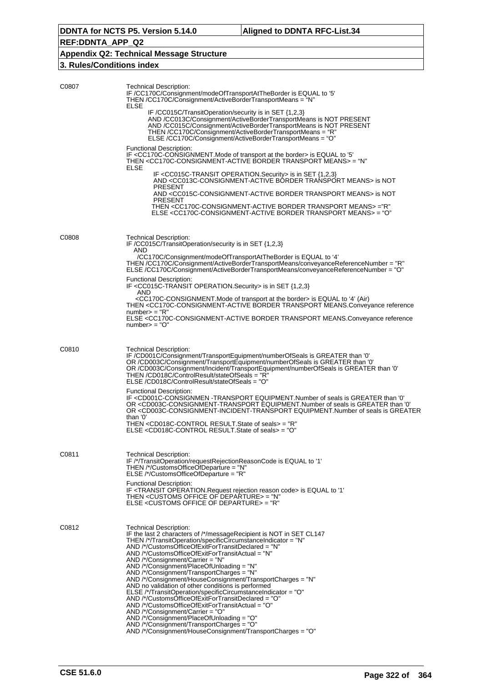## **Appendix Q2: Technical Message Structure**

| <b>Technical Description:</b><br>IF /CC170C/Consignment/modeOfTransportAtTheBorder is EQUAL to '5'<br>THEN /CC170C/Consignment/ActiveBorderTransportMeans = "N"<br><b>ELSE</b>                                                                                                                                                                                                                                                                                                                                                                                                                                                                                                                                                                                                                                                    |
|-----------------------------------------------------------------------------------------------------------------------------------------------------------------------------------------------------------------------------------------------------------------------------------------------------------------------------------------------------------------------------------------------------------------------------------------------------------------------------------------------------------------------------------------------------------------------------------------------------------------------------------------------------------------------------------------------------------------------------------------------------------------------------------------------------------------------------------|
| IF /CC015C/TransitOperation/security is in SET {1,2,3}<br>AND /CC013C/Consignment/ActiveBorderTransportMeans is NOT PRESENT<br>AND /CC015C/Consignment/ActiveBorderTransportMeans is NOT PRESENT<br>THEN /CC170C/Consignment/ActiveBorderTransportMeans = "R"<br>ELSE /CC170C/Consignment/ActiveBorderTransportMeans = "O"                                                                                                                                                                                                                                                                                                                                                                                                                                                                                                        |
| <b>Functional Description:</b><br>IF <cc170c-consignment. at="" border="" mode="" of="" the="" transport=""> is EQUAL to '5'<br/>THEN <cc170c-consignment-active border="" means="" transport=""> = "N"<br/>ELSE</cc170c-consignment-active></cc170c-consignment.>                                                                                                                                                                                                                                                                                                                                                                                                                                                                                                                                                                |
| IF <cc015c-transit operation.="" security=""> is in SET <math>\{1,2,3\}</math><br/>AND <cc013c-consignment-active border="" means="" transport=""> is NOT</cc013c-consignment-active></cc015c-transit>                                                                                                                                                                                                                                                                                                                                                                                                                                                                                                                                                                                                                            |
| <b>PRESENT</b><br>AND <cc015c-consignment-active border="" means="" transport=""> is NOT<br/><b>PRESENT</b></cc015c-consignment-active>                                                                                                                                                                                                                                                                                                                                                                                                                                                                                                                                                                                                                                                                                           |
| THEN <cc170c-consignment-active border="" means="" transport=""> ="R"<br/>ELSE <cc170c-consignment-active border="" means="" transport=""> = "O"</cc170c-consignment-active></cc170c-consignment-active>                                                                                                                                                                                                                                                                                                                                                                                                                                                                                                                                                                                                                          |
| Technical Description:<br>IF/CC015C/TransitOperation/security is in SET {1,2,3}                                                                                                                                                                                                                                                                                                                                                                                                                                                                                                                                                                                                                                                                                                                                                   |
| AND<br>/CC170C/Consignment/modeOfTransportAtTheBorder is EQUAL to '4'<br>THEN /CC170C/Consignment/ActiveBorderTransportMeans/conveyanceReferenceNumber = "R"<br>ELSE/CC170C/Consignment/ActiveBorderTransportMeans/conveyanceReferenceNumber = "O"                                                                                                                                                                                                                                                                                                                                                                                                                                                                                                                                                                                |
| <b>Functional Description:</b><br>IF <cc015c-transit operation.="" security=""> is in SET {1,2,3}</cc015c-transit>                                                                                                                                                                                                                                                                                                                                                                                                                                                                                                                                                                                                                                                                                                                |
| AND<br><cc170c-consignment.mode at="" border="" of="" the="" transport=""> is EQUAL to '4' (Air)<br/>THEN <cc170c-consignment-active border="" means.conveyance="" reference<="" td="" transport=""></cc170c-consignment-active></cc170c-consignment.mode>                                                                                                                                                                                                                                                                                                                                                                                                                                                                                                                                                                        |
| $number$ = "R"<br>ELSE <cc170c-consignment-active border="" means.conveyance="" reference<br="" transport=""><math>number = "O"</math></cc170c-consignment-active>                                                                                                                                                                                                                                                                                                                                                                                                                                                                                                                                                                                                                                                                |
| Technical Description:<br>IF/CD001C/Consignment/TransportEquipment/numberOfSeals is GREATER than '0'<br>OR /CD003C/Consignment/TransportEquipment/numberOfSeals is GREATER than '0'<br>OR /CD003C/Consignment/Incident/TransportEquipment/numberOfSeals is GREATER than '0'<br>THEN /CD018C/ControlResult/stateOfSeals = "R"<br>ELSE /CD018C/ControlResult/stateOfSeals = "O"                                                                                                                                                                                                                                                                                                                                                                                                                                                     |
| Functional Description:<br>IF <cd001c-consignmen '0'<br="" -transport="" equipment.number="" greater="" is="" of="" seals="" than="">OR <cd003c-consignment-transport '0'<br="" equipment.number="" greater="" is="" of="" seals="" than="">OR <cd003c-consignment-incident-transport equipment.number="" greater<="" is="" of="" seals="" td=""></cd003c-consignment-incident-transport></cd003c-consignment-transport></cd001c-consignmen>                                                                                                                                                                                                                                                                                                                                                                                      |
| than '0'<br>THEN <cd018c-control of="" result.state="" seals=""> = "R"<br/>ELSE <cd018c-control of="" result.state="" seals=""> = "O"</cd018c-control></cd018c-control>                                                                                                                                                                                                                                                                                                                                                                                                                                                                                                                                                                                                                                                           |
| Technical Description:<br>IF /*/TransitOperation/requestRejectionReasonCode is EQUAL to '1'<br>THEN /*/CustomsOfficeOfDeparture = "N"<br>ELSE /*/CustomsOfficeOfDeparture = "R"                                                                                                                                                                                                                                                                                                                                                                                                                                                                                                                                                                                                                                                   |
| <b>Functional Description:</b><br>IF <transit code="" operation.request="" reason="" rejection=""> is EQUAL to '1'<br/>THEN <customs departure="" of="" office=""> = "N"<br/>ELSE &lt; CUSTOMS OFFICE OF DEPARTURE &gt; = "R"</customs></transit>                                                                                                                                                                                                                                                                                                                                                                                                                                                                                                                                                                                 |
| Technical Description:<br>IF the last 2 characters of /*/messageRecipient is NOT in SET CL147<br>THEN /*/TransitOperation/specificCircumstanceIndicator = "N"<br>AND /*/CustomsOfficeOfExitForTransitDeclared = "N"<br>AND /*/CustomsOfficeOfExitForTransitActual = "N"<br>AND /*/Consignment/Carrier = "N"<br>AND /*/Consignment/PlaceOfUnloading = "N"<br>AND /*/Consignment/TransportCharges = "N"<br>AND /*/Consignment/HouseConsignment/TransportCharges = "N"<br>AND no validation of other conditions is performed<br>ELSE /*/TransitOperation/specificCircumstanceIndicator = "O"<br>AND /*/CustomsOfficeOfExitForTransitDeclared = "O"<br>AND /*/CustomsOfficeOfExitForTransitActual = "O"<br>AND /*/Consignment/Carrier = "O"<br>AND /*/Consignment/PlaceOfUnloading = "O"<br>AND /*/Consignment/TransportCharges = "O" |
|                                                                                                                                                                                                                                                                                                                                                                                                                                                                                                                                                                                                                                                                                                                                                                                                                                   |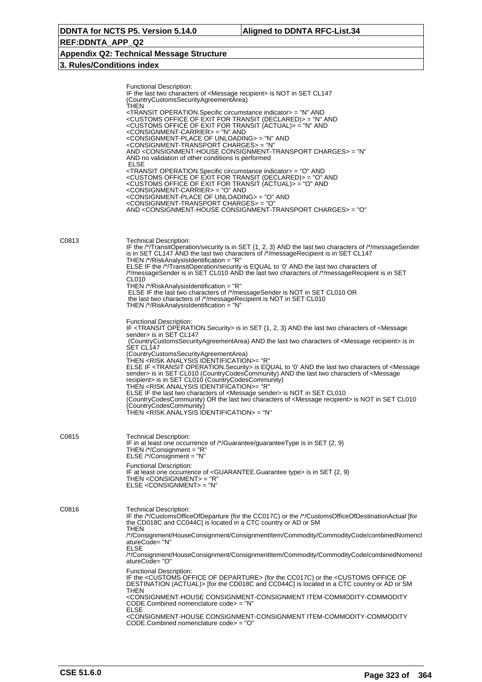## **Appendix Q2: Technical Message Structure**

|       | IF the last two characters of <message recipient=""> is NOT in SET CL147<br/>(CountryCustomsSecurityAgreementArea)</message>                                                                                                                                                                                                                                                                                                                                                                                                                                                                                                                                                                                                                                                                                                                                                                                                                                                                                                                                                 |
|-------|------------------------------------------------------------------------------------------------------------------------------------------------------------------------------------------------------------------------------------------------------------------------------------------------------------------------------------------------------------------------------------------------------------------------------------------------------------------------------------------------------------------------------------------------------------------------------------------------------------------------------------------------------------------------------------------------------------------------------------------------------------------------------------------------------------------------------------------------------------------------------------------------------------------------------------------------------------------------------------------------------------------------------------------------------------------------------|
|       | THEN<br><transit circumstance="" indicator="" operation.="" specific=""> = "N" AND<br/><customs (declared)="" exit="" for="" of="" office="" transit=""> = "N" AND<br/><customs (actual)="" exit="" for="" of="" office="" transit=""> = "N" AND<br/><consignment-carrier> = "N" AND<br/><consignment-place of="" unloading=""> = "N" AND<br/><consignment-transport charges=""> = "N"<br/>AND <consignment-house charges="" consignment-transport=""> = "N"<br/>AND no validation of other conditions is performed<br/>ELSE</consignment-house></consignment-transport></consignment-place></consignment-carrier></customs></customs></transit>                                                                                                                                                                                                                                                                                                                                                                                                                             |
|       | <transit circumstance="" indicator="" operation.specific=""> = "O" AND<br/><customs (declared)="" exit="" for="" of="" office="" transit=""> = "O" AND<br/><customs (actual)="" exit="" for="" of="" office="" transit=""> = "O" AND<br/><consignment-carrier> = "O" AND<br/><consignment-place of="" unloading=""> = "O" AND<br/><consignment-transport charges=""> = "O"<br/>AND <consignment-house charges="" consignment-transport=""> = "O"</consignment-house></consignment-transport></consignment-place></consignment-carrier></customs></customs></transit>                                                                                                                                                                                                                                                                                                                                                                                                                                                                                                         |
| C0813 | <b>Technical Description:</b><br>IF the $/*/T$ ransit Operation/security is in SET $\{1, 2, 3\}$ AND the last two characters of $/*/T$ ressage Sender<br>is in SET CL147 AND the last two characters of /*/messageRecipient is in SET CL147<br>THEN /*/RiskAnalysisIdentification = "R"<br>ELSE IF the /*/TransitOperation/security is EQUAL to '0' AND the last two characters of<br>/*/messageSender is in SET CL010 AND the last two characters of /*/messageRecipient is in SET<br>CL010<br>THEN $/*$ /RiskAnalysisIdentification = "R"<br>ELSE IF the last two characters of /*/messageSender is NOT in SET CL010 OR<br>the last two characters of /*/messageRecipient is NOT in SET CL010<br>THEN $/*$ /RiskAnalysisIdentification = "N"                                                                                                                                                                                                                                                                                                                               |
|       | Functional Description:<br>IF <transit operation.security=""> is in SET {1, 2, 3} AND the last two characters of <message<br>sender&gt; is in SET CL147<br/>(CountryCustomsSecurityAgreementArea) AND the last two characters of <message recipient=""> is in<br/>SET CL147<br/>(CountryCustomsSecurityAgreementArea)<br/>THEN <risk analysis="" identification="">= "R"<br/>ELSE IF <transit operation.="" security=""> is EQUAL to '0' AND the last two characters of <message<br>sender&gt; is in SET CL010 (CountryCodesCommunity) AND the last two characters of <message<br>recipient&gt; is in SET CL010 (CountryCodesCommunity)<br/>THEN <risk analysis="" identification="">= "R"<br/>ELSE IF the last two characters of <message sender=""> is NOT in SET CL010<br/>(CountryCodesCommunity) OR the last two characters of <message recipient=""> is NOT in SET CL010<br/>(CountryCodesCommunity)<br/>THEN <risk analysis="" identification=""> = "N"</risk></message></message></risk></message<br></message<br></transit></risk></message></message<br></transit> |
| C0815 | Technical Description:<br>IF in at least one occurrence of /*/Guarantee/guaranteeType is in SET {2, 9}<br>THEN /*/Consignment = "R"<br>ELSE /*/Consignment = " $N$ "<br><b>Functional Description:</b><br>IF at least one occurrence of <guarantee.guarantee type=""> is in SET {2, 9}<br/>THEN &lt;<math>CONSIGNMENT</math>&gt; = "R"<br/>ELSE <consignment> = "N"</consignment></guarantee.guarantee>                                                                                                                                                                                                                                                                                                                                                                                                                                                                                                                                                                                                                                                                      |
| C0816 | <b>Technical Description:</b><br>IF the /*/CustomsOfficeOfDeparture (for the CC017C) or the /*/CustomsOfficeOfDestinationActual [for<br>the CD018C and CC044C] is located in a CTC country or AD or SM<br>THEN<br>/*/Consignment/HouseConsignment/ConsignmentItem/Commodity/CommodityCode/combinedNomencl<br>atureCode="N"<br><b>ELSE</b><br>/*/Consignment/HouseConsignment/ConsignmentItem/Commodity/CommodityCode/combinedNomencl<br>atureCode="O"<br><b>Functional Description:</b><br>IF the <customs departure="" of="" office=""> (for the CC017C) or the <customs of<br="" office="">DESTINATION (ACTUAL)&gt; [for the CD018C and CC044C] is located in a CTC country or AD or SM<br/>THEN<br/><consignment-house consignment-consignment="" item-commodity-commodity<br="">CODE.Combined nomenclature code&gt; = "N"<br/>ELSE<br/><consignment-house consignment-consignment="" item-commodity-commodity<br=""><math>CODE</math>. Combined nomenclature code<math>&gt;</math> = "O"</consignment-house></consignment-house></customs></customs>                     |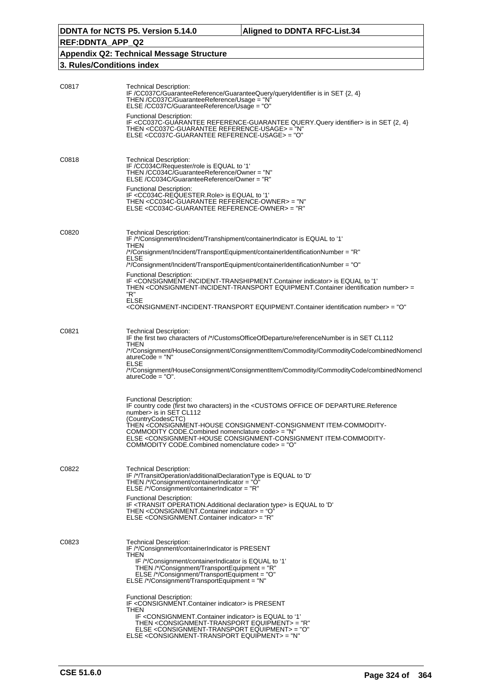**DDNTA for NCTS P5. Version 5.14.0 Aligned to DDNTA RFC-List.34**

## **REF:DDNTA\_APP\_Q2**

**Appendix Q2: Technical Message Structure**

| C0817 | Technical Description:<br>IF /CC037C/GuaranteeReference/GuaranteeQuery/queryIdentifier is in SET {2, 4}<br>THEN /CC037C/GuaranteeReference/Usage = "N"<br>ELSE /CC037C/GuaranteeReference/Usage = "O"                                                                                                          |
|-------|----------------------------------------------------------------------------------------------------------------------------------------------------------------------------------------------------------------------------------------------------------------------------------------------------------------|
|       | <b>Functional Description:</b><br>IF <cc037c-guarantee identifier="" query.query="" reference-guarantee=""> is in SET {2, 4}<br/>THEN <cc037c-guarantee reference-usage=""> = "N"<br/>ELSE <cc037c-guarantee reference-usage=""> = "O"</cc037c-guarantee></cc037c-guarantee></cc037c-guarantee>                |
| C0818 | Technical Description:<br>IF /CC034C/Requester/role is EQUAL to '1'<br>THEN /CC034C/GuaranteeReference/Owner = "N"<br>ELSE /CC034C/GuaranteeReference/Owner = "R"                                                                                                                                              |
|       | <b>Functional Description:</b><br>IF <cc034c-requester.role> is EQUAL to '1'<br/>THEN <cc034c-guarantee reference-owner=""> = "N"<br/>ELSE <cc034c-guarantee reference-owner=""> = "R"</cc034c-guarantee></cc034c-guarantee></cc034c-requester.role>                                                           |
| C0820 | Technical Description:<br>IF /*/Consignment/Incident/Transhipment/containerIndicator is EQUAL to '1'                                                                                                                                                                                                           |
|       | THEN<br>/*/Consignment/Incident/TransportEquipment/containerIdentificationNumber = "R"                                                                                                                                                                                                                         |
|       | <b>ELSE</b><br>/*/Consignment/Incident/TransportEquipment/containerIdentificationNumber = "O"                                                                                                                                                                                                                  |
|       | <b>Functional Description:</b><br>IF <consignment-incident-transhipment.container indicator=""> is EQUAL to '1'<br/>THEN <consignment-incident-transport equipment.container="" identification="" number=""> =<br/>"R"</consignment-incident-transport></consignment-incident-transhipment.container>          |
|       | ELSE<br><consignment-incident-transport equipment.container="" identification="" number=""> = "O"</consignment-incident-transport>                                                                                                                                                                             |
| C0821 | Technical Description:<br>IF the first two characters of /*/CustomsOfficeOfDeparture/referenceNumber is in SET CL112                                                                                                                                                                                           |
|       | THEN<br>/*/Consignment/HouseConsignment/ConsignmentItem/Commodity/CommodityCode/combinedNomencl                                                                                                                                                                                                                |
|       | atureCode = "N"<br><b>ELSE</b><br>/*/Consignment/HouseConsignment/ConsignmentItem/Commodity/CommodityCode/combinedNomencl<br>$atureCode = "O".$                                                                                                                                                                |
|       | <b>Functional Description:</b><br>IF country code (first two characters) in the <customs departure.reference<br="" of="" office="">number&gt; is in SET CL112</customs>                                                                                                                                        |
|       | (CountryCodesCTC)<br>THEN <consignment-house consignment="" item-commodity-<br="">COMMODITY CODE.Combined nomenclature code&gt; = "N"<br/>ELSE <consignment-house consignment-consignment="" item-commodity-<br="">COMMODITY CODE.Combined nomenclature code&gt; = "O"</consignment-house></consignment-house> |
| C0822 | Technical Description:                                                                                                                                                                                                                                                                                         |
|       | IF /*/TransitOperation/additionalDeclarationType is EQUAL to 'D'<br>THEN /*/Consignment/containerIndicator = $"0"$<br>ELSE /*/Consignment/containerIndicator = "R"                                                                                                                                             |
|       | <b>Functional Description:</b><br>IF <transit additional="" declaration="" operation.="" type=""> is EQUAL to 'D'<br/>THEN <consignment.container indicator=""> = "O"<br/>ELSE &lt; CONSIGNMENT. Container indicator &gt; = "R"</consignment.container></transit>                                              |
| C0823 | Technical Description:<br>IF /*/Consignment/containerIndicator is PRESENT                                                                                                                                                                                                                                      |
|       | THEN<br>IF /*/Consignment/containerIndicator is EQUAL to '1'<br>THEN /*/Consignment/TransportEquipment = "R"<br>ELSE /*/Consignment/TransportEquipment = "O"<br>ELSE /*/Consignment/TransportEquipment = "N"                                                                                                   |
|       |                                                                                                                                                                                                                                                                                                                |
|       | <b>Functional Description:</b><br>IF <consignment.container indicator=""> is PRESENT<br/>THEN</consignment.container>                                                                                                                                                                                          |
|       | IF <consignment.container indicator=""> is EQUAL to '1'<br/>THEN <consignment-transport equipment=""> = "R"<br/>ELSE &lt; CONSIGNMENT-TRANSPORT EQUIPMENT &gt; = "O"<br/>ELSE &lt; CONSIGNMENT-TRANSPORT EQUIPMENT &gt; = "N"</consignment-transport></consignment.container>                                  |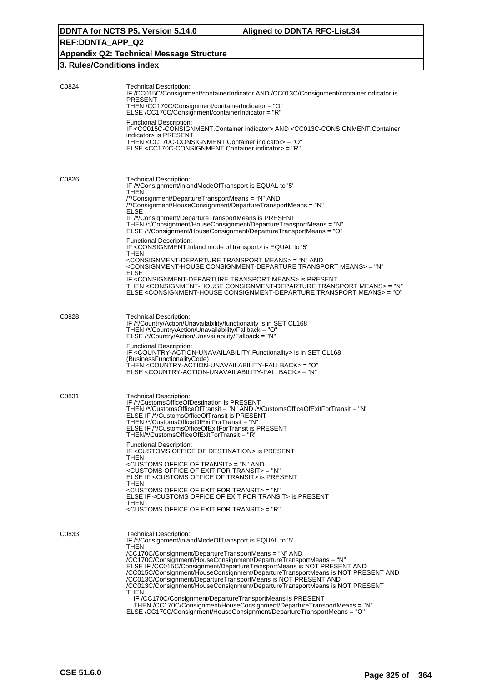# **Appendix Q2: Technical Message Structure**

| C0824 | <b>Technical Description:</b><br>IF/CC015C/Consignment/containerIndicator AND/CC013C/Consignment/containerIndicator is<br><b>PRESENT</b><br>THEN/CC170C/Consignment/containerIndicator = "O"<br>$ELSE / CC170C/Consignment/containerIndicator = "R"$<br><b>Functional Description:</b><br>IF <cc015c-consignment.container indicator=""> AND <cc013c-consignment.container<br>indicator&gt; is PRESENT<br/>THEN <cc170c-consignment.container indicator=""> = "O"<br/>ELSE <cc170c-consignment.container indicator=""> = "R"</cc170c-consignment.container></cc170c-consignment.container></cc013c-consignment.container<br></cc015c-consignment.container>                                                                                                                                                                                                                                                                                                                                         |
|-------|-----------------------------------------------------------------------------------------------------------------------------------------------------------------------------------------------------------------------------------------------------------------------------------------------------------------------------------------------------------------------------------------------------------------------------------------------------------------------------------------------------------------------------------------------------------------------------------------------------------------------------------------------------------------------------------------------------------------------------------------------------------------------------------------------------------------------------------------------------------------------------------------------------------------------------------------------------------------------------------------------------|
| C0826 | <b>Technical Description:</b><br>IF /*/Consignment/inlandModeOfTransport is EQUAL to '5'<br><b>THEN</b><br>/*/Consignment/DepartureTransportMeans = "N" AND<br>/*/Consignment/HouseConsignment/DepartureTransportMeans = "N"<br><b>ELSE</b><br>IF /*/Consignment/DepartureTransportMeans is PRESENT<br>THEN /*/Consignment/HouseConsignment/DepartureTransportMeans = "N"<br>ELSE /*/Consignment/HouseConsignment/DepartureTransportMeans = "O"<br><b>Functional Description:</b><br>IF <consignment.inland mode="" of="" transport=""> is EQUAL to '5'<br/>THFN<br/><consignment-house consignment-departure="" means="" transport=""> = "N"<br/>ELSE<br/>IF <consignment-departure means="" transport=""> is PRESENT<br/>THEN <consignment-house consignment-departure="" means="" transport=""> = "N"<br/>ELSE <consignment-house consignment-departure="" means="" transport=""> = "O"</consignment-house></consignment-house></consignment-departure></consignment-house></consignment.inland> |
| C0828 | <b>Technical Description:</b><br>IF /*/Country/Action/Unavailability/functionality is in SET CL168<br>THEN /*/Country/Action/Unavailability/Fallback = "O"<br>ELSE /*/Country/Action/Unavailability/Fallback = "N"<br><b>Functional Description:</b><br>IF <country-action-unavailability. functionality=""> is in SET CL168<br/>(BusinessFunctionalityCode)<br/>THEN <country-action-unavailability-fallback> = "O"<br/>ELSE &lt; COUNTRY-ACTION-UNAVAILABILITY-FALLBACK &gt; = "N"</country-action-unavailability-fallback></country-action-unavailability.>                                                                                                                                                                                                                                                                                                                                                                                                                                      |
| C0831 | <b>Technical Description:</b><br>IF /*/CustomsOfficeOfDestination is PRESENT<br>THEN /*/CustomsOfficeOfTransit = "N" AND /*/CustomsOfficeOfExitForTransit = "N"<br>ELSE IF /*/CustomsOfficeOfTransit is PRESENT<br>THEN /*/CustomsOfficeOfExitForTransit = "N"<br>ELSE IF /*/CustomsOfficeOfExitForTransit is PRESENT<br>THEN/*/CustomsOfficeOfExitForTransit = "R"<br>Functional Description:<br>IF <customs destination="" of="" office=""> is PRESENT<br/>THEN<br/><customs of="" office="" transit=""> = "N" AND<br/><customs exit="" for="" of="" office="" transit=""> = "N"<br/>ELSE IF &lt; CUSTOMS OFFICE OF TRANSIT&gt; is PRESENT<br/>THEN<br/><customs exit="" for="" of="" office="" transit=""> = "N"<br/>ELSE IF &lt; CUSTOMS OFFICE OF EXIT FOR TRANSIT&gt; is PRESENT<br/>THEN<br/><customs exit="" for="" of="" office="" transit=""> = "R"</customs></customs></customs></customs></customs>                                                                                     |
| C0833 | <b>Technical Description:</b><br>IF /*/Consignment/inlandModeOfTransport is EQUAL to '5'<br><b>THEN</b><br>/CC170C/Consignment/DepartureTransportMeans = "N" AND<br>/CC170C/Consignment/HouseConsignment/DepartureTransportMeans = "N"<br>ELSE IF /CC015C/Consignment/DepartureTransportMeans is NOT PRESENT AND<br>/CC015C/Consignment/HouseConsignment/DepartureTransportMeans is NOT PRESENT AND<br>/CC013C/Consignment/DepartureTransportMeans is NOT PRESENT AND<br>/CC013C/Consignment/HouseConsignment/DepartureTransportMeans is NOT PRESENT<br>THEN<br>IF/CC170C/Consignment/DepartureTransportMeans is PRESENT<br>THEN/CC170C/Consignment/HouseConsignment/DepartureTransportMeans = "N"<br>ELSE /CC170C/Consignment/HouseConsignment/DepartureTransportMeans = "O"                                                                                                                                                                                                                       |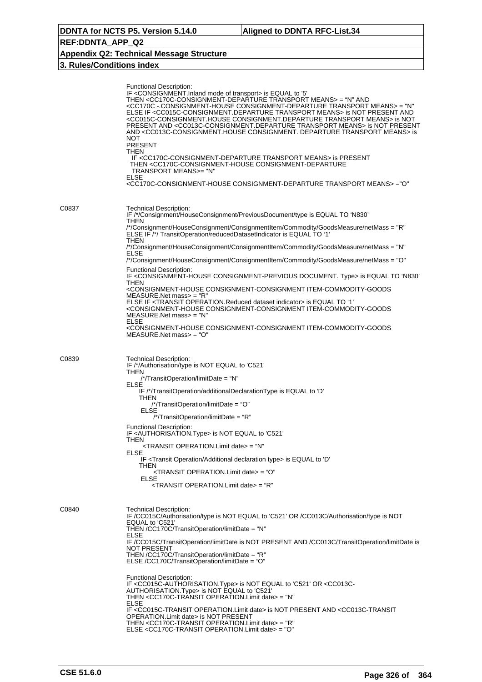### **Appendix Q2: Technical Message Structure**

|       | <b>Functional Description:</b><br>IF <consignment. inland="" mode="" of="" transport=""> is EQUAL to '5'<br/>THEN <cc170c-consignment-departure means="" transport=""> = "N" AND<br/><cc170c -.consignment-house="" consignment-departure="" means="" transport=""> = "N"<br/>ELSE IF <cc015c-consignment.departure means="" transport=""> is NOT PRESENT AND<br/><cc015c-consignment.house consignment.departure="" means="" transport=""> is NOT<br/>PRESENT AND <cc013c-consignment.departure means="" transport=""> is NOT PRESENT<br/>AND <cc013c-consignment.house consignment.="" departure="" means="" transport=""> is<br/><b>NOT</b><br/><b>PRESENT</b><br/>THEN<br/>IF <cc170c-consignment-departure means="" transport=""> is PRESENT<br/>THEN <cc170c-consignment-house consignment-departure<br="">TRANSPORT MEANS&gt;= "N"<br/>ELSE<br/><cc170c-consignment-house consignment-departure="" means="" transport=""> ="O"</cc170c-consignment-house></cc170c-consignment-house></cc170c-consignment-departure></cc013c-consignment.house></cc013c-consignment.departure></cc015c-consignment.house></cc015c-consignment.departure></cc170c></cc170c-consignment-departure></consignment.> |
|-------|-------------------------------------------------------------------------------------------------------------------------------------------------------------------------------------------------------------------------------------------------------------------------------------------------------------------------------------------------------------------------------------------------------------------------------------------------------------------------------------------------------------------------------------------------------------------------------------------------------------------------------------------------------------------------------------------------------------------------------------------------------------------------------------------------------------------------------------------------------------------------------------------------------------------------------------------------------------------------------------------------------------------------------------------------------------------------------------------------------------------------------------------------------------------------------------------------------|
| C0837 | <b>Technical Description:</b><br>IF /*/Consignment/HouseConsignment/PreviousDocument/type is EQUAL TO 'N830'<br>THEN<br>/*/Consignment/HouseConsignment/ConsignmentItem/Commodity/GoodsMeasure/netMass = "R"<br>ELSE IF /*/ TransitOperation/reducedDatasetIndicator is EQUAL TO '1'<br>THEN<br>/*/Consignment/HouseConsignment/ConsignmentItem/Commodity/GoodsMeasure/netMass = "N"<br>ELSE<br>/*/Consignment/HouseConsignment/ConsignmentItem/Commodity/GoodsMeasure/netMass = "O"<br><b>Functional Description:</b><br>IF <consignment-house consignment-previous="" document.="" type=""> is EQUAL TO 'N830'<br/>THEN<br/><consignment-house consignment-consignment="" item-commodity-goods<br=""><math>MEASURENet</math> mass&gt; = "R"<br/>ELSE IF <transit dataset="" indicator="" operation.reduced=""> is EQUAL TO '1'<br/><consignment-house consignment-consignment="" item-commodity-goods<br=""><math>MEASURE.Net</math> mass <math>= "N"</math><br/>ELSE<br/><consignment-house consignment-consignment="" item-commodity-goods<br=""><math>MEASURE.Net mass = "O"</math></consignment-house></consignment-house></transit></consignment-house></consignment-house>                    |
| C0839 | Technical Description:<br>IF /*/Authorisation/type is NOT EQUAL to 'C521'<br>THEN<br>/*/TransitOperation/limitDate = "N"<br>ELSE<br>IF /*/TransitOperation/additionalDeclarationType is EQUAL to 'D'<br><b>THEN</b><br>/*/TransitOperation/limitDate = "O"<br><b>ELSE</b><br>/*/TransitOperation/limitDate = "R"<br><b>Functional Description:</b><br>IF <authorisation.type> is NOT EQUAL to 'C521'<br/>THEN<br/><transit date="" operation.limit=""> = "N"<br/>ELSE<br/>IF <transit additional="" declaration="" operation="" type=""> is EQUAL to 'D'<br/>THEN<br/><transit date="" operation.limit=""> = "O"<br/>ELSE<br/><transit date="" operation.limit=""> = "R"</transit></transit></transit></transit></authorisation.type>                                                                                                                                                                                                                                                                                                                                                                                                                                                                 |
| C0840 | <b>Technical Description:</b><br>IF/CC015C/Authorisation/type is NOT EQUAL to 'C521' OR /CC013C/Authorisation/type is NOT<br>EQUAL to 'C521'<br>THEN /CC170C/TransitOperation/limitDate = "N"<br>ELSE<br>IF /CC015C/TransitOperation/limitDate is NOT PRESENT AND /CC013C/TransitOperation/limitDate is<br><b>NOT PRESENT</b><br>THEN /CC170C/TransitOperation/limitDate = "R"<br>ELSE /CC170C/TransitOperation/limitDate = "O"<br><b>Functional Description:</b><br>IF <cc015c-authorisation.type> is NOT EQUAL to 'C521' OR <cc013c-<br>AUTHORISATION. Type&gt; is NOT EQUAL to 'C521'<br/>THEN <cc170c-transit date="" operation.limit=""> = "N"<br/><b>ELSE</b><br/>IF <cc015c-transit date="" operation.limit=""> is NOT PRESENT AND <cc013c-transit<br>OPERATION.Limit date&gt; is NOT PRESENT<br/>THEN <cc170c-transit date="" operation.limit=""> = "R"<br/>ELSE &lt; CC170C-TRANSIT OPERATION. Limit date&gt; = "O"</cc170c-transit></cc013c-transit<br></cc015c-transit></cc170c-transit></cc013c-<br></cc015c-authorisation.type>                                                                                                                                                          |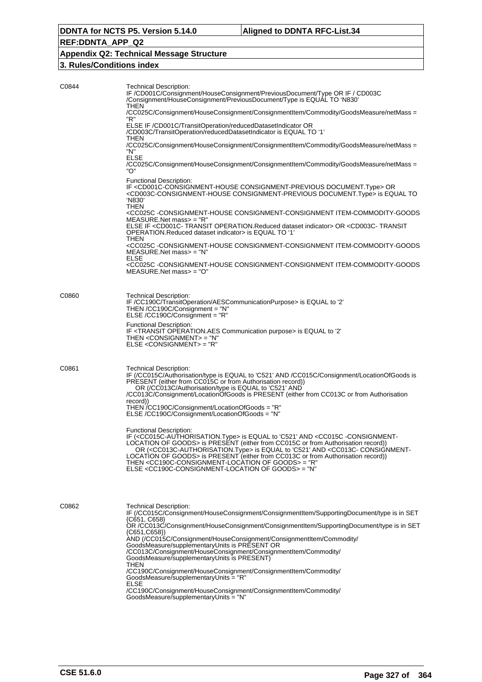# **Appendix Q2: Technical Message Structure**

| C0844 | Technical Description:<br>IF/CD001C/Consignment/HouseConsignment/PreviousDocument/Type OR IF/CD003C<br>/Consignment/HouseConsignment/PreviousDocument/Type is EQUAL TO 'N830'<br>THEN<br>/CC025C/Consignment/HouseConsignment/ConsignmentItem/Commodity/GoodsMeasure/netMass =<br>"R"<br>ELSE IF /CD001C/TransitOperation/reducedDatasetIndicator OR<br>/CD003C/TransitOperation/reducedDatasetIndicator is EQUAL TO '1'<br>THEN<br>/CC025C/Consignment/HouseConsignment/ConsignmentItem/Commodity/GoodsMeasure/netMass =<br>"N"<br>ELSE<br>/CC025C/Consignment/HouseConsignment/ConsignmentItem/Commodity/GoodsMeasure/netMass =<br>"О"<br><b>Functional Description:</b><br>IF <cd001c-consignment-house consignment-previous="" document.type=""> OR<br/><cd003c-consignment-house consignment-previous="" document.type=""> is EQUAL TO<br/>'N830'<br/>THEN<br/><cc025c -consignment-house="" consignment-consignment="" item-commodity-goods<br="">MEASURE.Net mass&gt; = "R"<br/>ELSE IF <cd001c-transit dataset="" indicator="" operation.reduced=""> OR <cd003c-transit<br>OPERATION. Reduced dataset indicator&gt; is EQUAL TO '1'<br/>THEN<br/><cc025c -consignment-house="" consignment-consignment="" item-commodity-goods<br=""><math>MEASURE.Net</math> mass <math>= "N"</math><br/>ELSE</cc025c></cd003c-transit<br></cd001c-transit></cc025c></cd003c-consignment-house></cd001c-consignment-house> |
|-------|---------------------------------------------------------------------------------------------------------------------------------------------------------------------------------------------------------------------------------------------------------------------------------------------------------------------------------------------------------------------------------------------------------------------------------------------------------------------------------------------------------------------------------------------------------------------------------------------------------------------------------------------------------------------------------------------------------------------------------------------------------------------------------------------------------------------------------------------------------------------------------------------------------------------------------------------------------------------------------------------------------------------------------------------------------------------------------------------------------------------------------------------------------------------------------------------------------------------------------------------------------------------------------------------------------------------------------------------------------------------------------------------------------------------|
|       | <cc025c -consignment-house="" consignment-consignment="" item-commodity-goods<br=""><math>MEASURENet</math> mass <math>= "O"</math></cc025c>                                                                                                                                                                                                                                                                                                                                                                                                                                                                                                                                                                                                                                                                                                                                                                                                                                                                                                                                                                                                                                                                                                                                                                                                                                                                        |
| C0860 | Technical Description:<br>IF /CC190C/TransitOperation/AESCommunicationPurpose> is EQUAL to '2'<br>THEN /CC190C/Consignment = "N"<br>ELSE /CC190C/Consignment = "R"<br><b>Functional Description:</b><br>IF <transit communication="" operation.aes="" purpose=""> is EQUAL to '2'<br/>THEN <consignment> = "N"<br/>ELSE <consignment> = "R"</consignment></consignment></transit>                                                                                                                                                                                                                                                                                                                                                                                                                                                                                                                                                                                                                                                                                                                                                                                                                                                                                                                                                                                                                                   |
| C0861 | <b>Technical Description:</b><br>IF (/CC015C/Authorisation/type is EQUAL to 'C521' AND /CC015C/Consignment/LocationOfGoods is<br>PRESENT (either from CC015C or from Authorisation record))<br>OR (/CC013C/Authorisation/type is EQUAL to 'C521' AND<br>/CC013C/Consignment/LocationOfGoods is PRESENT (either from CC013C or from Authorisation<br>record))<br>THEN /CC190C/Consignment/LocationOfGoods = "R"<br>ELSE /CC190C/Consignment/LocationOfGoods = "N"<br><b>Functional Description:</b><br>IF ( <cc015c-authorisation.type> is EQUAL to 'C521' AND <cc015c -consignment-<br="">LOCATION OF GOODS&gt; is PRESENT (either from CC015C or from Authorisation record))<br/>OR (<cc013c-authorisation.type> is EQUAL to 'C521' AND <cc013c- consignment-<br="">LOCATION OF GOODS&gt; is PRESENT (either from CC013C or from Authorisation record))<br/>THEN <cc190c-consignment-location goods="" of=""> = "R"<br/>ELSE &lt; CC190C-CONSIGNMENT-LOCATION OF GOODS&gt; = "N"</cc190c-consignment-location></cc013c-></cc013c-authorisation.type></cc015c></cc015c-authorisation.type>                                                                                                                                                                                                                                                                                                                          |
| C0862 | Technical Description:<br>IF (/CC015C/Consignment/HouseConsignment/ConsignmentItem/SupportingDocument/type is in SET<br>{C651, C658}<br>OR/CC013C/Consignment/HouseConsignment/ConsignmentItem/SupportingDocument/type is in SET<br>$\{C651, C658\}$<br>AND (/CC015C/Consignment/HouseConsignment/ConsignmentItem/Commodity/<br>GoodsMeasure/supplementaryUnits is PRESENT OR<br>/CC013C/Consignment/HouseConsignment/ConsignmentItem/Commodity/<br>GoodsMeasure/supplementaryUnits is PRESENT)<br>THEN<br>/CC190C/Consignment/HouseConsignment/ConsignmentItem/Commodity/<br>GoodsMeasure/supplementaryUnits = "R"<br>ELSE<br>/CC190C/Consignment/HouseConsignment/ConsignmentItem/Commodity/<br>GoodsMeasure/supplementaryUnits = "N"                                                                                                                                                                                                                                                                                                                                                                                                                                                                                                                                                                                                                                                                             |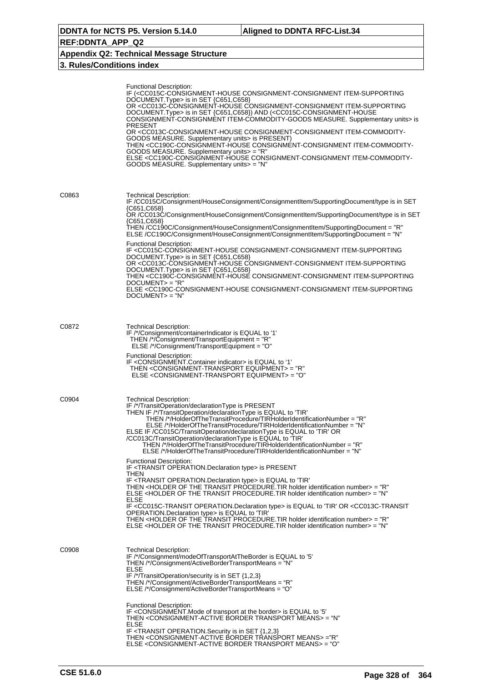# **Appendix Q2: Technical Message Structure**

|       | <b>Functional Description:</b><br>IF ( <cc015c-consignment-house consignment-consignment="" item-supporting<br="">DOCUMENT.Type&gt; is in SET {C651,C658}<br/>OR <cc013c-consignment-house consignment-consignment="" item-supporting<br="">DOCUMENT.Type&gt; is in SET {C651,C658}) AND (<cc015c-consignment-house<br>CONSIGNMENT-CONSIGNMENT ITEM-COMMODITY-GOODS MEASURE. Supplementary units&gt; is<br/><b>PRESENT</b><br/>OR <cc013c-consignment-house consignment-consignment="" item-commodity-<br="">GOODS MEASURE. Supplementary units&gt; is PRESENT)<br/>THEN <cc190c-consignment-house consignment-consignment="" item-commodity-<br="">GOODS MEASURE. Supplementary units&gt; = "R"<br/>ELSE <cc190c-consignment-house consignment-consignment="" item-commodity-<br="">GOODS MEASURE. Supplementary units&gt; = "N"</cc190c-consignment-house></cc190c-consignment-house></cc013c-consignment-house></cc015c-consignment-house<br></cc013c-consignment-house></cc015c-consignment-house>                                                                                                                                                                                                                                                                                                                                                                                                                                                                                          |
|-------|-------------------------------------------------------------------------------------------------------------------------------------------------------------------------------------------------------------------------------------------------------------------------------------------------------------------------------------------------------------------------------------------------------------------------------------------------------------------------------------------------------------------------------------------------------------------------------------------------------------------------------------------------------------------------------------------------------------------------------------------------------------------------------------------------------------------------------------------------------------------------------------------------------------------------------------------------------------------------------------------------------------------------------------------------------------------------------------------------------------------------------------------------------------------------------------------------------------------------------------------------------------------------------------------------------------------------------------------------------------------------------------------------------------------------------------------------------------------------------------------------|
| C0863 | Technical Description:<br>IF/CC015C/Consignment/HouseConsignment/ConsignmentItem/SupportingDocument/type is in SET<br>${C651, C658}$<br>OR /CC013C/Consignment/HouseConsignment/ConsignmentItem/SupportingDocument/type is in SET<br>{C651, C658}<br>THEN/CC190C/Consignment/HouseConsignment/ConsignmentItem/SupportingDocument = "R"<br>ELSE/CC190C/Consignment/HouseConsignment/ConsignmentItem/SupportingDocument = "N"<br><b>Functional Description:</b><br>IF <cc015c-consignment-house consignment-consignment="" item-supporting<br="">DOCUMENT.Type&gt; is in SET {C651,C658}<br/>OR <cc013c-consignment-house consignment-consignment="" item-supporting<br="">DOCUMENT.Type&gt; is in SET {C651,C658}<br/>THEN <cc190c-consignment-house consignment-consignment="" item-supporting<br=""><math>DOCUMENT = "R"</math><br/>ELSE <cc190c-consignment-house consignment-consignment="" item-supporting<br=""><math>DOCUMENT &gt; = "N"</math></cc190c-consignment-house></cc190c-consignment-house></cc013c-consignment-house></cc015c-consignment-house>                                                                                                                                                                                                                                                                                                                                                                                                                               |
| C0872 | <b>Technical Description:</b><br>IF /*/Consignment/containerIndicator is EQUAL to '1'<br>THEN /*/Consignment/TransportEquipment = "R"<br>ELSE $/*/Consignment/TransportEquipment = "O"$<br><b>Functional Description:</b><br>IF <consignment.container indicator=""> is EQUAL to '1'<br/>THEN <consignment-transport equipment=""> = "R"<br/>ELSE <consignment-transport equipment=""> = "O"</consignment-transport></consignment-transport></consignment.container>                                                                                                                                                                                                                                                                                                                                                                                                                                                                                                                                                                                                                                                                                                                                                                                                                                                                                                                                                                                                                            |
| C0904 | <b>Technical Description:</b><br>IF /*/TransitOperation/declarationType is PRESENT<br>THEN IF /*/TransitOperation/declarationType is EQUAL to 'TIR'<br>THEN /*/HolderOfTheTransitProcedure/TIRHolderIdentificationNumber = "R"<br>ELSE /*/HolderOfTheTransitProcedure/TIRHolderIdentificationNumber = "N"<br>ELSE IF /CC015C/TransitOperation/declarationType is EQUAL to 'TIR' OR<br>/CC013C/TransitOperation/declarationType is EQUAL to 'TIR'<br>THEN /*/HolderOfTheTransitProcedure/TIRHolderIdentificationNumber = "R"<br>ELSE/*/HolderOfTheTransitProcedure/TIRHolderIdentificationNumber = "N"<br><b>Functional Description:</b><br>IF <transit declaration="" operation.="" type=""> is PRESENT<br/><b>THEN</b><br/>IF <transit declaration="" operation.="" type=""> is EQUAL to 'TIR'<br/>THEN <holder holder="" identification="" number="" of="" procedure.tir="" the="" transit=""> = "R"<br/>ELSE <holder holder="" identification="" number="" of="" procedure.tir="" the="" transit=""> = "N"<br/><b>ELSE</b><br/>IF <cc015c-transit operation.declaration="" type=""> is EQUAL to 'TIR' OR <cc013c-transit<br>OPERATION. Declaration type&gt; is EQUAL to 'TIR'<br/>THEN <holder holder="" identification="" number="" of="" procedure.tir="" the="" transit=""> = "R"<br/>ELSE <holder holder="" identification="" number="" of="" procedure.="" the="" tir="" transit=""> = "N"</holder></holder></cc013c-transit<br></cc015c-transit></holder></holder></transit></transit> |
| C0908 | <b>Technical Description:</b><br>IF /*/Consignment/modeOfTransportAtTheBorder is EQUAL to '5'<br>THEN /*/Consignment/ActiveBorderTransportMeans = "N"<br>ELSE<br>IF $/*$ /TransitOperation/security is in SET $\{1,2,3\}$<br>THEN /*/Consignment/ActiveBorderTransportMeans = "R"<br>ELSE /*/Consignment/ActiveBorderTransportMeans = "O"<br><b>Functional Description:</b><br>IF <consignment. at="" border="" mode="" of="" the="" transport=""> is EQUAL to '5'<br/>THEN <consignment-active border="" means="" transport=""> = "N"<br/><b>ELSE</b><br/>IF <transit in="" is="" operation.="" security="" set="" {1,2,3}<br="">THEN <consignment-active border="" means="" transport=""> ="R"<br/>ELSE <consignment-active border="" means="" transport=""> = "O"</consignment-active></consignment-active></transit></consignment-active></consignment.>                                                                                                                                                                                                                                                                                                                                                                                                                                                                                                                                                                                                                                    |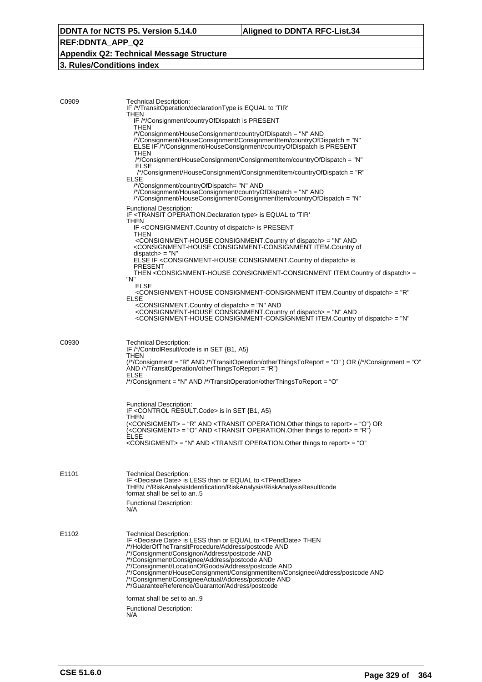# **Appendix Q2: Technical Message Structure**

| C0909 | Technical Description:<br>IF /*/TransitOperation/declarationType is EQUAL to 'TIR'<br>THEN<br>IF /*/Consignment/countryOfDispatch is PRESENT<br>THEN<br>/*/Consignment/HouseConsignment/countryOfDispatch = "N" AND<br>/*/Consignment/HouseConsignment/ConsignmentItem/countryOfDispatch = "N"<br>ELSE IF /*/Consignment/HouseConsignment/countryOfDispatch is PRESENT<br>THEN<br>/*/Consignment/HouseConsignment/ConsignmentItem/countryOfDispatch = "N"<br><b>ELSE</b><br>/*/Consignment/HouseConsignment/ConsignmentItem/countryOfDispatch = "R"<br><b>ELSE</b><br>/*/Consignment/countryOfDispatch= "N" AND<br>/*/Consignment/HouseConsignment/countryOfDispatch = "N" AND<br>/*/Consignment/HouseConsignment/ConsignmentItem/countryOfDispatch = "N"<br><b>Functional Description:</b><br>IF <transit operation.declaration="" type=""> is EQUAL to 'TIR'<br/>THEN<br/>IF <consignment.country dispatch="" of=""> is PRESENT<br/>THEN<br/><consignment-house consignment.country="" dispatch="" of=""> = "N" AND<br/><consignment-house consignment-consignment="" item.country="" of<br=""><math>dispatch</math> = "N"<br/>ELSE IF <consignment-house consignment.country="" dispatch="" of=""> is<br/>PRESENT<br/>THEN <consignment-house consignment-consignment="" dispatch="" item.country="" of=""> =<br/>"N"<br/><b>ELSE</b><br/><consignment-house consignment-consignment="" dispatch="" item.country="" of=""> = "R"<br/>ELSE<br/><consignment.country dispatch="" of=""> = "N" AND<br/><consignment-housé consignment.country="" dispatch="" of=""> = "N" AND<br/><consignment-house consignment-consignment="" dispatch="" item.country="" of=""> = "N"</consignment-house></consignment-housé></consignment.country></consignment-house></consignment-house></consignment-house></consignment-house></consignment-house></consignment.country></transit> |
|-------|----------------------------------------------------------------------------------------------------------------------------------------------------------------------------------------------------------------------------------------------------------------------------------------------------------------------------------------------------------------------------------------------------------------------------------------------------------------------------------------------------------------------------------------------------------------------------------------------------------------------------------------------------------------------------------------------------------------------------------------------------------------------------------------------------------------------------------------------------------------------------------------------------------------------------------------------------------------------------------------------------------------------------------------------------------------------------------------------------------------------------------------------------------------------------------------------------------------------------------------------------------------------------------------------------------------------------------------------------------------------------------------------------------------------------------------------------------------------------------------------------------------------------------------------------------------------------------------------------------------------------------------------------------------------------------------------------------------------------------------------------------------------------------------------------------------------------------------------------------------------------|
| C0930 | Technical Description:<br>IF /*/ControlResult/code is in SET {B1, A5}<br>THEN<br>"f'/Consignment = "R" AND /*/TransitOperation/otherThingsToReport = "O") OR (/*/Consignment = "O")<br>AND $/*/TransitOperation/otherThingsToReport = "R")$<br>ELSE<br>/*/Consignment = "N" AND /*/TransitOperation/otherThingsToReport = "O"                                                                                                                                                                                                                                                                                                                                                                                                                                                                                                                                                                                                                                                                                                                                                                                                                                                                                                                                                                                                                                                                                                                                                                                                                                                                                                                                                                                                                                                                                                                                              |
|       | Functional Description:<br>IF <control result.code=""> is in SET {B1, A5}<br/>THEN<br/>(<consigment> = "R" AND <transit operation.="" other="" report="" things="" to=""> = "O") OR<br/>(<consigment> = "O" AND <transit operation.="" other="" report="" things="" to=""> = "R")<br/><b>ELSE</b><br/><consigment> = "N" AND <transit operation.other="" report="" things="" to=""> = "O"</transit></consigment></transit></consigment></transit></consigment></control>                                                                                                                                                                                                                                                                                                                                                                                                                                                                                                                                                                                                                                                                                                                                                                                                                                                                                                                                                                                                                                                                                                                                                                                                                                                                                                                                                                                                   |
| E1101 | Technical Description:<br>IF <decisive date=""> is LESS than or EQUAL to <tpenddate><br/>THEN /*/RiskAnalysisIdentification/RiskAnalysis/RiskAnalysisResult/code<br/>format shall be set to an5<br/><b>Functional Description:</b><br/>N/A</tpenddate></decisive>                                                                                                                                                                                                                                                                                                                                                                                                                                                                                                                                                                                                                                                                                                                                                                                                                                                                                                                                                                                                                                                                                                                                                                                                                                                                                                                                                                                                                                                                                                                                                                                                          |
| E1102 | Technical Description:<br>IF <decisive date=""> is LESS than or EQUAL to <tpenddate> THEN<br/>/*/HolderOfTheTransitProcedure/Address/postcode AND<br/>/*/Consignment/Consignor/Address/postcode AND<br/>/*/Consignment/Consignee/Address/postcode AND<br/>/*/Consignment/LocationOfGoods/Address/postcode AND<br/>/*/Consignment/HouseConsignment/ConsignmentItem/Consignee/Address/postcode AND<br/>/*/Consignment/ConsigneeActual/Address/postcode AND<br/>/*/GuaranteeReference/Guarantor/Address/postcode<br/>format shall be set to an9<br/><b>Functional Description:</b><br/>N/A</tpenddate></decisive>                                                                                                                                                                                                                                                                                                                                                                                                                                                                                                                                                                                                                                                                                                                                                                                                                                                                                                                                                                                                                                                                                                                                                                                                                                                             |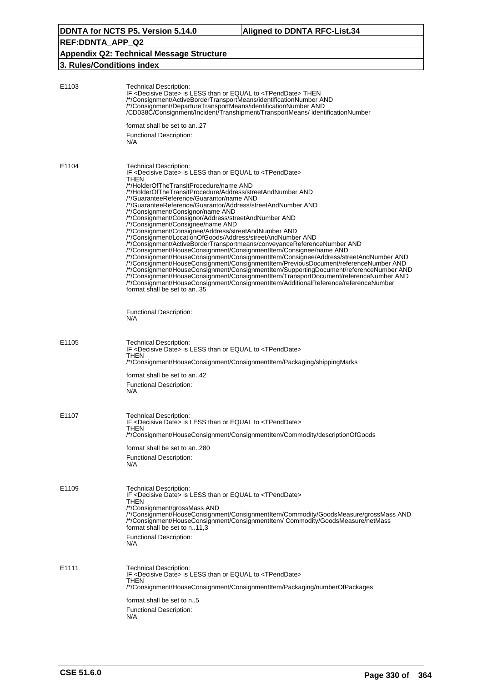### E1103 Technical Description: IF <Decisive Date> is LESS than or EQUAL to <TPendDate> THEN /\*/Consignment/ActiveBorderTransportMeans/identificationNumber AND /\*/Consignment/DepartureTransportMeans/identificationNumber AND /CD038C/Consignment/Incident/Transhipment/TransportMeans/ identificationNumber format shall be set to an..27 Functional Description: N/A E1104 Technical Description: IF <Decisive Date> is LESS than or EQUAL to <TPendDate> THEN /\*/HolderOfTheTransitProcedure/name AND /\*/HolderOfTheTransitProcedure/Address/streetAndNumber AND /\*/GuaranteeReference/Guarantor/name AND /\*/GuaranteeReference/Guarantor/Address/streetAndNumber AND /\*/Consignment/Consignor/name AND /\*/Consignment/Consignor/Address/streetAndNumber AND /\*/Consignment/Consignee/name AND /\*/Consignment/Consignee/Address/streetAndNumber AND /\*/Consignment/LocationOfGoods/Address/streetAndNumber AND /\*/Consignment/ActiveBorderTransportmeans/conveyanceReferenceNumber AND /\*/Consignment/HouseConsignment/ConsignmentItem/Consignee/name AND /\*/Consignment/HouseConsignment/ConsignmentItem/Consignee/Address/streetAndNumber AND /\*/Consignment/HouseConsignment/ConsignmentItem/PreviousDocument/referenceNumber AND /\*/Consignment/HouseConsignment/ConsignmentItem/SupportingDocument/referenceNumber AND /\*/Consignment/HouseConsignment/ConsignmentItem/TransportDocument/referenceNumber AND /\*/Consignment/HouseConsignment/ConsignmentItem/AdditionalReference/referenceNumber format shall be set to an..35 **DDNTA for NCTS P5. Version 5.14.0 Aligned to DDNTA RFC-List.34 REF:DDNTA\_APP\_Q2 Appendix Q2: Technical Message Structure 3. Rules/Conditions index**

|     | <b>Functional Description:</b> |
|-----|--------------------------------|
| N/A |                                |

| Technical Description:<br>IF <decisive date=""> is LESS than or EQUAL to <tpenddate><br/>THEN<br/>/*/Consignment/HouseConsignment/ConsignmentItem/Packaging/shippingMarks</tpenddate></decisive>                                                                                                                                                                                                                      |
|-----------------------------------------------------------------------------------------------------------------------------------------------------------------------------------------------------------------------------------------------------------------------------------------------------------------------------------------------------------------------------------------------------------------------|
| format shall be set to an42                                                                                                                                                                                                                                                                                                                                                                                           |
| <b>Functional Description:</b><br>N/A                                                                                                                                                                                                                                                                                                                                                                                 |
| <b>Technical Description:</b><br>IF <decisive date=""> is LESS than or EQUAL to <tpenddate><br/>THEN<br/>/*/Consignment/HouseConsignment/ConsignmentItem/Commodity/descriptionOfGoods<br/>format shall be set to an280<br/><b>Functional Description:</b><br/>N/A</tpenddate></decisive>                                                                                                                              |
|                                                                                                                                                                                                                                                                                                                                                                                                                       |
| <b>Technical Description:</b><br>IF <decisive date=""> is LESS than or EQUAL to <tpenddate><br/>THEN<br/>/*/Consignment/grossMass AND<br/>/*/Consignment/HouseConsignment/ConsignmentItem/Commodity/GoodsMeasure/grossMass AND<br/>/*/Consignment/HouseConsignment/ConsignmentItem/ Commodity/GoodsMeasure/netMass<br/>format shall be set to n11.3<br/><b>Functional Description:</b><br/>N/A</tpenddate></decisive> |
| <b>Technical Description:</b><br>IF <decisive date=""> is LESS than or EQUAL to <tpenddate><br/><b>THFN</b><br/>/*/Consignment/HouseConsignment/ConsignmentItem/Packaging/numberOfPackages<br/>format shall be set to n5<br/><b>Functional Description:</b><br/>N/A</tpenddate></decisive>                                                                                                                            |
|                                                                                                                                                                                                                                                                                                                                                                                                                       |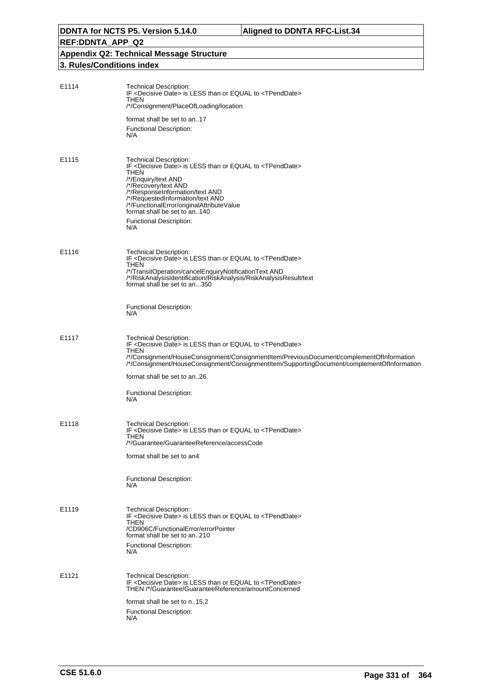# **REF:DDNTA\_APP\_Q2 Appendix Q2: Technical Message Structure**

| E1114 | <b>Technical Description:</b><br>IF <decisive date=""> is LESS than or EQUAL to <tpenddate><br/>THEN<br/>/*/Consignment/PlaceOfLoading/location</tpenddate></decisive>                                                                                                                                                                                                                       |
|-------|----------------------------------------------------------------------------------------------------------------------------------------------------------------------------------------------------------------------------------------------------------------------------------------------------------------------------------------------------------------------------------------------|
|       | format shall be set to an17<br>Functional Description:<br>N/A                                                                                                                                                                                                                                                                                                                                |
| E1115 | <b>Technical Description:</b><br>IF <decisive date=""> is LESS than or EQUAL to <tpenddate><br/>THEN<br/>/*/Enquiry/text AND<br/>/*/Recovery/text AND<br/>/*/ResponseInformation/text AND<br/>/*/RequestedInformation/text AND<br/>/*/FunctionalError/originalAttributeValue<br/>format shall be set to an140<br/><b>Functional Description:</b><br/>N/A</tpenddate></decisive>              |
| E1116 | <b>Technical Description:</b><br>IF <decisive date=""> is LESS than or EQUAL to <tpenddate><br/>THEN<br/>/*/TransitOperation/cancelEnquiryNotificationText AND<br/>/*/RiskAnalysisIdentification/RiskAnalysis/RiskAnalysisResult/text<br/>format shall be set to an350</tpenddate></decisive>                                                                                                |
|       | Functional Description:<br>N/A                                                                                                                                                                                                                                                                                                                                                               |
| E1117 | <b>Technical Description:</b><br>IF <decisive date=""> is LESS than or EQUAL to <tpenddate><br/>THEN<br/>/*/Consignment/HouseConsignment/ConsignmentItem/PreviousDocument/complementOfInformation<br/>/*/Consignment/HouseConsignment/ConsignmentItem/SupportingDocument/complementOfInformation<br/>format shall be set to an26.<br/>Functional Description:<br/>N/A</tpenddate></decisive> |
| E1118 | <b>Technical Description:</b><br>IF <decisive date=""> is LESS than or EQUAL to <tpenddate><br/>THFN<br/>/*/Guarantee/GuaranteeReference/accessCode<br/>format shall be set to an4<br/>Functional Description:<br/>N/A</tpenddate></decisive>                                                                                                                                                |
| E1119 | <b>Technical Description:</b><br>IF <decisive date=""> is LESS than or EQUAL to <tpenddate><br/>THEN<br/>/CD906C/FunctionalError/errorPointer<br/>format shall be set to an210<br/><b>Functional Description:</b><br/>N/A</tpenddate></decisive>                                                                                                                                             |
| E1121 | <b>Technical Description:</b><br>IF <decisive date=""> is LESS than or EQUAL to <tpenddate><br/>THEN /*/Guarantee/GuaranteeReference/amountConcerned<br/>format shall be set to n15,2<br/>Functional Description:<br/>N/A</tpenddate></decisive>                                                                                                                                             |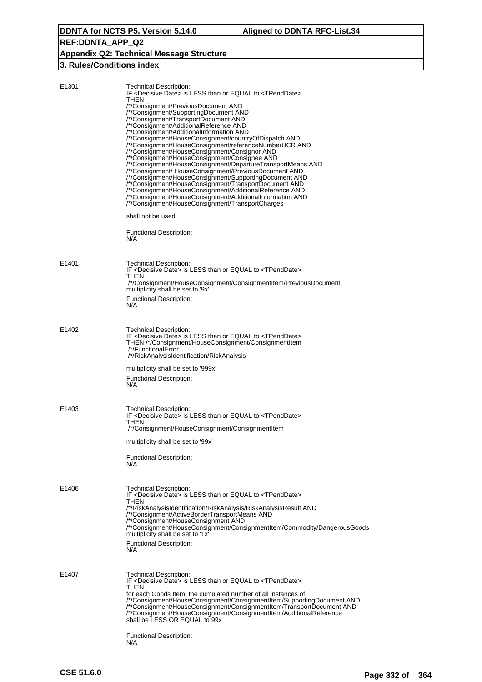# **Appendix Q2: Technical Message Structure**

| E1301 | <b>Technical Description:</b><br>IF <decisive date=""> is LESS than or EQUAL to <tpenddate><br/>THEN<br/>/*/Consignment/PreviousDocument AND<br/>/*/Consignment/SupportingDocument AND<br/>/*/Consignment/TransportDocument AND<br/>/*/Consignment/AdditionalReference AND<br/>/*/Consignment/AdditionalInformation AND<br/>/*/Consignment/HouseConsignment/countryOfDispatch AND<br/>/*/Consignment/HouseConsignment/referenceNumberUCR AND<br/>/*/Consignment/HouseConsignment/Consignor AND<br/>/*/Consignment/HouseConsignment/Consignee AND<br/>/*/Consignment/HouseConsignment/DepartureTransportMeans AND<br/>/*/Consignment/ HouseConsignment/PreviousDocument AND<br/>/*/Consignment/HouseConsignment/SupportingDocument AND<br/>/*/Consignment/HouseConsignment/TransportDocument AND<br/>/*/Consignment/HouseConsignment/AdditionalReference AND<br/>/*/Consignment/HouseConsignment/AdditionalInformation AND<br/>/*/Consignment/HouseConsignment/TransportCharges<br/>shall not be used<br/>Functional Description:</tpenddate></decisive> |
|-------|---------------------------------------------------------------------------------------------------------------------------------------------------------------------------------------------------------------------------------------------------------------------------------------------------------------------------------------------------------------------------------------------------------------------------------------------------------------------------------------------------------------------------------------------------------------------------------------------------------------------------------------------------------------------------------------------------------------------------------------------------------------------------------------------------------------------------------------------------------------------------------------------------------------------------------------------------------------------------------------------------------------------------------------------------------|
|       | N/A                                                                                                                                                                                                                                                                                                                                                                                                                                                                                                                                                                                                                                                                                                                                                                                                                                                                                                                                                                                                                                                     |
| E1401 | Technical Description:<br>IF <decisive date=""> is LESS than or EQUAL to <tpenddate><br/>THEN<br/>/*/Consignment/HouseConsignment/ConsignmentItem/PreviousDocument<br/>multiplicity shall be set to '9x'<br/><b>Functional Description:</b><br/>N/A</tpenddate></decisive>                                                                                                                                                                                                                                                                                                                                                                                                                                                                                                                                                                                                                                                                                                                                                                              |
| E1402 | Technical Description:<br>IF <decisive date=""> is LESS than or EQUAL to <tpenddate><br/>THEN /*/Consignment/HouseConsignment/ConsignmentItem<br/>/*/FunctionalError<br/>/*/RiskAnalysisIdentification/RiskAnalysis<br/>multiplicity shall be set to '999x'<br/>Functional Description:</tpenddate></decisive>                                                                                                                                                                                                                                                                                                                                                                                                                                                                                                                                                                                                                                                                                                                                          |
|       | N/A                                                                                                                                                                                                                                                                                                                                                                                                                                                                                                                                                                                                                                                                                                                                                                                                                                                                                                                                                                                                                                                     |
| E1403 | Technical Description:<br>IF <decisive date=""> is LESS than or EQUAL to <tpenddate><br/>THFN<br/>/*/Consignment/HouseConsignment/ConsignmentItem<br/>multiplicity shall be set to '99x'<br/>Functional Description:<br/>N/A</tpenddate></decisive>                                                                                                                                                                                                                                                                                                                                                                                                                                                                                                                                                                                                                                                                                                                                                                                                     |
| F1406 | Technical Description:<br>IF <decisive date=""> is LESS than or EQUAL to <tpenddate><br/>THEN<br/>/*/RiskAnalysisIdentification/RiskAnalysis/RiskAnalysisResult AND<br/>/*/Consignment/ActiveBorderTransportMeans AND<br/>/*/Consignment/HouseConsignment AND<br/>/*/Consignment/HouseConsignment/ConsignmentItem/Commodity/DangerousGoods<br/>multiplicity shall be set to '1x'<br/>Functional Description:<br/>N/A</tpenddate></decisive>                                                                                                                                                                                                                                                                                                                                                                                                                                                                                                                                                                                                             |
| E1407 | <b>Technical Description:</b><br>IF <decisive date=""> is LESS than or EQUAL to <tpenddate><br/>THEN<br/>for each Goods Item, the cumulated number of all instances of<br/>/*/Consignment/HouseConsignment/ConsignmentItem/SupportingDocument AND<br/>/*/Consignment/HouseConsignment/ConsignmentItem/TransportDocument AND<br/>/*/Consignment/HouseConsignment/ConsignmentItem/AdditionalReference<br/>shall be LESS OR EQUAL to 99x<br/>Functional Description:<br/>N/A</tpenddate></decisive>                                                                                                                                                                                                                                                                                                                                                                                                                                                                                                                                                        |
|       |                                                                                                                                                                                                                                                                                                                                                                                                                                                                                                                                                                                                                                                                                                                                                                                                                                                                                                                                                                                                                                                         |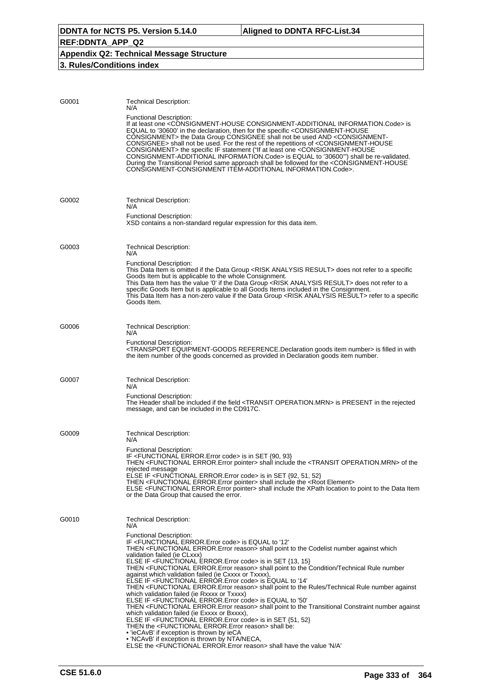**Appendix Q2: Technical Message Structure**

| G0001 | Technical Description:<br>N/A                                                                                                                                                                                                                                                                                                                                                                                                                                                                                                                                                                                                                                                                                                                                                                                                                                                                                                                                                                                                                                                                                                                                                                                                                                                                                                                                                                                                    |
|-------|----------------------------------------------------------------------------------------------------------------------------------------------------------------------------------------------------------------------------------------------------------------------------------------------------------------------------------------------------------------------------------------------------------------------------------------------------------------------------------------------------------------------------------------------------------------------------------------------------------------------------------------------------------------------------------------------------------------------------------------------------------------------------------------------------------------------------------------------------------------------------------------------------------------------------------------------------------------------------------------------------------------------------------------------------------------------------------------------------------------------------------------------------------------------------------------------------------------------------------------------------------------------------------------------------------------------------------------------------------------------------------------------------------------------------------|
|       | <b>Functional Description:</b><br>If at least one <consignment-house consignment-additional="" information.code=""> is<br/>EQUAL to '30600' in the declaration, then for the specific <consignment-house<br>CONSIGNMENT&gt; the Data Group CONSIGNEE shall not be used AND <consignment-<br>CONSIGNEE&gt; shall not be used. For the rest of the repetitions of <consignment-house<br>CONSIGNMENT&gt; the specific IF statement ("If at least one <consignment-house<br>CONSIGNMENT-ADDITIONAL INFORMATION.Code&gt; is EQUAL to '30600") shall be re-validated.<br/>During the Transitional Period same approach shall be followed for the <consignment-house<br>CONSIGNMENT-CONSIGNMENT ITEM-ADDITIONAL INFORMATION.Code&gt;.</consignment-house<br></consignment-house<br></consignment-house<br></consignment-<br></consignment-house<br></consignment-house>                                                                                                                                                                                                                                                                                                                                                                                                                                                                                                                                                                 |
| G0002 | Technical Description:<br>N/A<br><b>Functional Description:</b><br>XSD contains a non-standard regular expression for this data item.                                                                                                                                                                                                                                                                                                                                                                                                                                                                                                                                                                                                                                                                                                                                                                                                                                                                                                                                                                                                                                                                                                                                                                                                                                                                                            |
| G0003 | Technical Description:<br>N/A<br><b>Functional Description:</b><br>This Data Item is omitted if the Data Group <risk analysis="" result=""> does not refer to a specific<br/>Goods Item but is applicable to the whole Consignment.<br/>This Data Item has the value '0' if the Data Group <risk analysis="" result=""> does not refer to a<br/>specific Goods Item but is applicable to all Goods Items included in the Consignment.<br/>This Data Item has a non-zero value if the Data Group <risk analysis="" result=""> refer to a specific<br/>Goods Item.</risk></risk></risk>                                                                                                                                                                                                                                                                                                                                                                                                                                                                                                                                                                                                                                                                                                                                                                                                                                            |
| G0006 | Technical Description:<br>N/A<br><b>Functional Description:</b><br><transport equipment-goods="" goods="" item="" number="" reference.declaration=""> is filled in with<br/>the item number of the goods concerned as provided in Declaration goods item number.</transport>                                                                                                                                                                                                                                                                                                                                                                                                                                                                                                                                                                                                                                                                                                                                                                                                                                                                                                                                                                                                                                                                                                                                                     |
| G0007 | Technical Description:<br>N/A<br><b>Functional Description:</b><br>The Header shall be included if the field <transit operation.mrn=""> is PRESENT in the rejected<br/>message, and can be included in the CD917C.</transit>                                                                                                                                                                                                                                                                                                                                                                                                                                                                                                                                                                                                                                                                                                                                                                                                                                                                                                                                                                                                                                                                                                                                                                                                     |
| G0009 | Technical Description:<br>N/A<br><b>Functional Description:</b><br>IF <functional code="" error.error=""> is in SET {90, 93}<br/>THEN <functional error.error="" pointer=""> shall include the <transit operation.mrn=""> of the<br/>rejected message<br/>ELSE IF <functional code="" error="" error.=""> is in SET {92, 51, 52}<br/>THEN <functional error="" error.="" pointer=""> shall include the <root element=""><br/>ELSE <functional error="" error.="" pointer=""> shall include the XPath location to point to the Data Item<br/>or the Data Group that caused the error.</functional></root></functional></functional></transit></functional></functional>                                                                                                                                                                                                                                                                                                                                                                                                                                                                                                                                                                                                                                                                                                                                                           |
| G0010 | Technical Description:<br>N/A<br><b>Functional Description:</b><br>IF <functional code="" error.error=""> is EQUAL to '12'<br/>THEN <functional error="" error.="" reason=""> shall point to the Codelist number against which<br/>validation failed (ie CLxxx)<br/>ELSE IF <functional code="" error="" error.=""> is in SET {13, 15}<br/>THEN <functional error.error="" reason=""> shall point to the Condition/Technical Rule number<br/>against which validation failed (ie Cxxxx or Txxxx),<br/>ELSE IF <functional code="" error.error=""> is EQUAL to '14'<br/>THEN <functional error.error="" reason=""> shall point to the Rules/Technical Rule number against<br/>which validation failed (ie Rxxxx or Txxxx)<br/>ELSE IF <functional code="" error.error=""> is EQUAL to '50'<br/>THEN <functional error="" error.="" reason=""> shall point to the Transitional Constraint number against<br/>which validation failed (ie Exxxx or Bxxxx),<br/>ELSE IF <functional code="" error="" error.=""> is in SET {51, 52}<br/>THEN the <functional error="" error.="" reason=""> shall be:<br/>• 'ieCAvB' if exception is thrown by ieCA<br/>• 'NCAvB' if exception is thrown by NTA/NECA,<br/>ELSE the <functional error="" error.="" reason=""> shall have the value 'N/A'</functional></functional></functional></functional></functional></functional></functional></functional></functional></functional></functional> |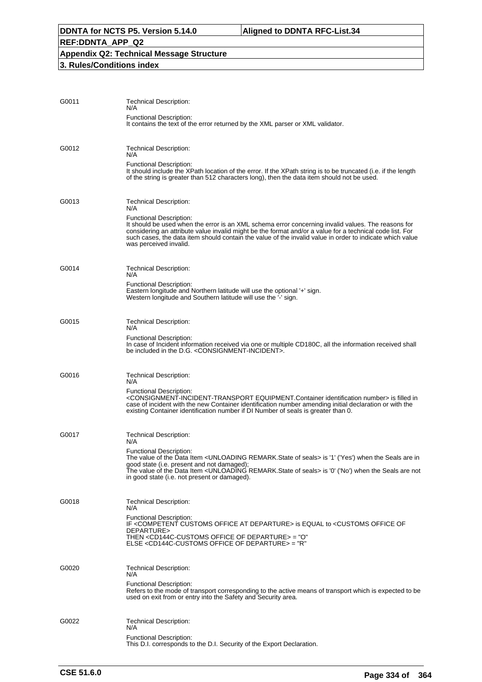# **REF:DDNTA\_APP\_Q2 Appendix Q2: Technical Message Structure**

| G0011 | Technical Description:<br>N/A                                                                                                                                                                                                                                                                                                                                                           |
|-------|-----------------------------------------------------------------------------------------------------------------------------------------------------------------------------------------------------------------------------------------------------------------------------------------------------------------------------------------------------------------------------------------|
|       | <b>Functional Description:</b><br>It contains the text of the error returned by the XML parser or XML validator.                                                                                                                                                                                                                                                                        |
| G0012 | <b>Technical Description:</b><br>N/A                                                                                                                                                                                                                                                                                                                                                    |
|       | <b>Functional Description:</b><br>It should include the XPath location of the error. If the XPath string is to be truncated (i.e. if the length<br>of the string is greater than 512 characters long), then the data item should not be used.                                                                                                                                           |
| G0013 | Technical Description:<br>N/A                                                                                                                                                                                                                                                                                                                                                           |
|       | <b>Functional Description:</b><br>It should be used when the error is an XML schema error concerning invalid values. The reasons for<br>considering an attribute value invalid might be the format and/or a value for a technical code list. For<br>such cases, the data item should contain the value of the invalid value in order to indicate which value<br>was perceived invalid.  |
| G0014 | <b>Technical Description:</b><br>N/A                                                                                                                                                                                                                                                                                                                                                    |
|       | <b>Functional Description:</b><br>Eastern longitude and Northern latitude will use the optional '+' sign.<br>Western longitude and Southern latitude will use the "-' sign.                                                                                                                                                                                                             |
| G0015 | <b>Technical Description:</b><br>N/A                                                                                                                                                                                                                                                                                                                                                    |
|       | <b>Functional Description:</b><br>In case of Incident information received via one or multiple CD180C, all the information received shall<br>be included in the D.G. < CONSIGNMENT-INCIDENT>.                                                                                                                                                                                           |
| G0016 | <b>Technical Description:</b><br>N/A                                                                                                                                                                                                                                                                                                                                                    |
|       | <b>Functional Description:</b><br><consignment-incident-transport equipment.container="" identification="" number=""> is filled in<br/>case of incident with the new Container identification number amending initial declaration or with the<br/>existing Container identification number if DI Number of seals is greater than 0.</consignment-incident-transport>                    |
| G0017 | Technical Description:<br>N/A                                                                                                                                                                                                                                                                                                                                                           |
|       | <b>Functional Description:</b><br>The value of the Data Item <unloading of="" remark.state="" seals=""> is '1' ('Yes') when the Seals are in<br/>good state (i.e. present and not damaged);<br/>The value of the Data Item <unloading of="" remark.="" seals="" state=""> is '0' ('No') when the Seals are not<br/>in good state (i.e. not present or damaged).</unloading></unloading> |
| G0018 | <b>Technical Description:</b><br>N/A                                                                                                                                                                                                                                                                                                                                                    |
|       | <b>Functional Description:</b><br>IF <competent at="" customs="" departure="" office=""> is EQUAL to <customs of<br="" office="">DEPARTURE&gt;</customs></competent>                                                                                                                                                                                                                    |
|       | THEN <cd144c-customs departure="" of="" office=""> = "O"<br/>ELSE &lt; CD144C-CUSTOMS OFFICE OF DEPARTURE &gt; = "R"</cd144c-customs>                                                                                                                                                                                                                                                   |
| G0020 | Technical Description:<br>N/A                                                                                                                                                                                                                                                                                                                                                           |
|       | <b>Functional Description:</b><br>Refers to the mode of transport corresponding to the active means of transport which is expected to be<br>used on exit from or entry into the Safety and Security area.                                                                                                                                                                               |
| G0022 | <b>Technical Description:</b><br>N/A                                                                                                                                                                                                                                                                                                                                                    |
|       | <b>Functional Description:</b><br>This D.I. corresponds to the D.I. Security of the Export Declaration.                                                                                                                                                                                                                                                                                 |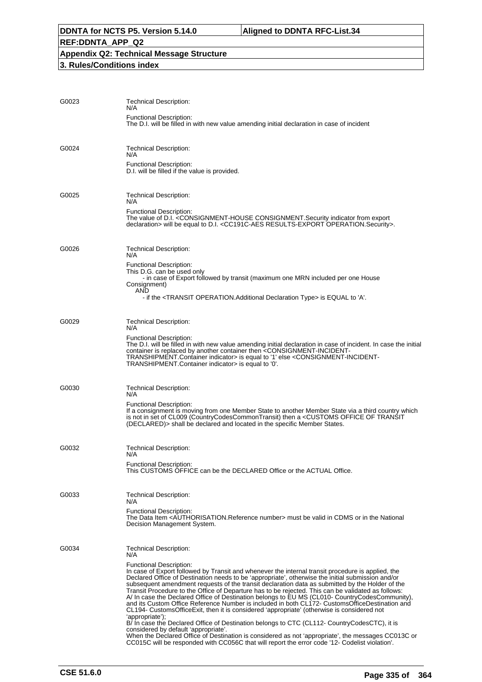# **REF:DDNTA\_APP\_Q2 Appendix Q2: Technical Message Structure**

| G0023 | <b>Technical Description:</b><br>N/A<br><b>Functional Description:</b><br>The D.I. will be filled in with new value amending initial declaration in case of incident                                                                                                                                                                                                                                                                                                                                                                                                                                                                                                                                                                                                                                                                                                                                                                                                                                                                                                                                                                                             |
|-------|------------------------------------------------------------------------------------------------------------------------------------------------------------------------------------------------------------------------------------------------------------------------------------------------------------------------------------------------------------------------------------------------------------------------------------------------------------------------------------------------------------------------------------------------------------------------------------------------------------------------------------------------------------------------------------------------------------------------------------------------------------------------------------------------------------------------------------------------------------------------------------------------------------------------------------------------------------------------------------------------------------------------------------------------------------------------------------------------------------------------------------------------------------------|
| G0024 | <b>Technical Description:</b><br>N/A<br><b>Functional Description:</b><br>D.I. will be filled if the value is provided.                                                                                                                                                                                                                                                                                                                                                                                                                                                                                                                                                                                                                                                                                                                                                                                                                                                                                                                                                                                                                                          |
| G0025 | <b>Technical Description:</b><br>N/A<br><b>Functional Description:</b><br>The value of D.I. <consignment-house consignment.="" export<br="" from="" indicator="" security="">declaration&gt; will be equal to D.I. <cc191c-aes operation.security="" results-export="">.</cc191c-aes></consignment-house>                                                                                                                                                                                                                                                                                                                                                                                                                                                                                                                                                                                                                                                                                                                                                                                                                                                        |
| G0026 | Technical Description:<br>N/A<br><b>Functional Description:</b><br>This D.G. can be used only<br>- in case of Export followed by transit (maximum one MRN included per one House<br>Consignment)<br><b>AND</b><br>- if the <transit additional="" declaration="" operation.="" type=""> is EQUAL to 'A'.</transit>                                                                                                                                                                                                                                                                                                                                                                                                                                                                                                                                                                                                                                                                                                                                                                                                                                               |
| G0029 | Technical Description:<br>N/A<br><b>Functional Description:</b><br>The D.I. will be filled in with new value amending initial declaration in case of incident. In case the initial<br>container is replaced by another container then <consignment-incident-<br>TRANSHIPMENT.Container indicator&gt; is equal to '1' else <consignment-incident-<br>TRANSHIPMENT.Container indicator&gt; is equal to '0'.</consignment-incident-<br></consignment-incident-<br>                                                                                                                                                                                                                                                                                                                                                                                                                                                                                                                                                                                                                                                                                                  |
| G0030 | Technical Description:<br>N/A<br><b>Functional Description:</b><br>If a consignment is moving from one Member State to another Member State via a third country which<br>is not in set of CL009 (CountryCodesCommonTransit) then a <customs of="" office="" transit<br="">(DECLARED) &gt; shall be declared and located in the specific Member States.</customs>                                                                                                                                                                                                                                                                                                                                                                                                                                                                                                                                                                                                                                                                                                                                                                                                 |
| G0032 | Technical Description:<br>N/A<br><b>Functional Description:</b><br>This CUSTOMS OFFICE can be the DECLARED Office or the ACTUAL Office.                                                                                                                                                                                                                                                                                                                                                                                                                                                                                                                                                                                                                                                                                                                                                                                                                                                                                                                                                                                                                          |
| G0033 | <b>Technical Description:</b><br>N/A<br><b>Functional Description:</b><br>The Data Item <authorisation.reference number=""> must be valid in CDMS or in the National<br/>Decision Management System.</authorisation.reference>                                                                                                                                                                                                                                                                                                                                                                                                                                                                                                                                                                                                                                                                                                                                                                                                                                                                                                                                   |
| G0034 | <b>Technical Description:</b><br>N/A<br><b>Functional Description:</b><br>In case of Export followed by Transit and whenever the internal transit procedure is applied, the<br>Declared Office of Destination needs to be 'appropriate', otherwise the initial submission and/or<br>subsequent amendment requests of the transit declaration data as submitted by the Holder of the<br>Transit Procedure to the Office of Departure has to be rejected. This can be validated as follows:<br>A/ In case the Declared Office of Destination belongs to EU MS (CL010- CountryCodesCommunity),<br>and its Custom Office Reference Number is included in both CL172- Customs Office Destination and<br>CL194- CustomsOfficeExit, then it is considered 'appropriate' (otherwise is considered not<br>'appropriate');<br>B/ In case the Declared Office of Destination belongs to CTC (CL112- CountryCodesCTC), it is<br>considered by default 'appropriate'.<br>When the Declared Office of Destination is considered as not 'appropriate', the messages CC013C or<br>CC015C will be responded with CC056C that will report the error code '12- Codelist violation'. |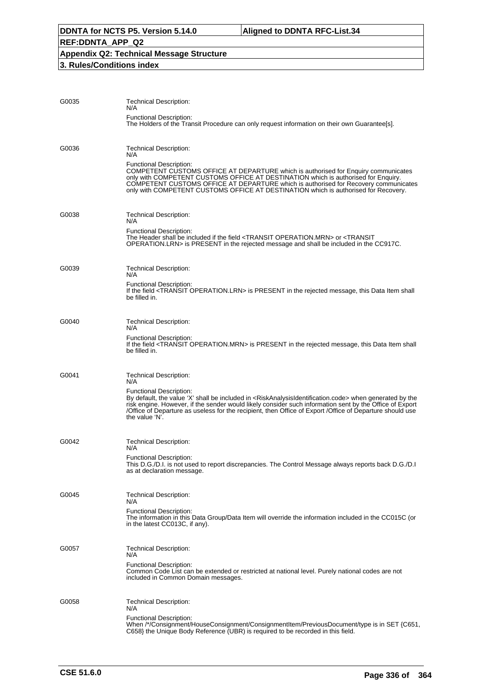# **REF:DDNTA\_APP\_Q2 Appendix Q2: Technical Message Structure**

| G0035 | Technical Description:<br>N/A                                                                                                                                                                                                                                                                                                                                                                                          |
|-------|------------------------------------------------------------------------------------------------------------------------------------------------------------------------------------------------------------------------------------------------------------------------------------------------------------------------------------------------------------------------------------------------------------------------|
|       | <b>Functional Description:</b><br>The Holders of the Transit Procedure can only request information on their own Guarantee[s].                                                                                                                                                                                                                                                                                         |
| G0036 | <b>Technical Description:</b><br>N/A                                                                                                                                                                                                                                                                                                                                                                                   |
|       | <b>Functional Description:</b><br>COMPETENT CUSTOMS OFFICE AT DEPARTURE which is authorised for Enquiry communicates<br>only with COMPETENT CUSTOMS OFFICE AT DESTINATION which is authorised for Enquiry.<br>COMPETENT CUSTOMS OFFICE AT DEPARTURE which is authorised for Recovery communicates<br>only with COMPETENT CUSTOMS OFFICE AT DESTINATION which is authorised for Recovery.                               |
| G0038 | Technical Description:<br>N/A                                                                                                                                                                                                                                                                                                                                                                                          |
|       | <b>Functional Description:</b><br>The Header shall be included if the field <transit operation.mrn=""> or <transit<br>OPERATION.LRN&gt; is PRESENT in the rejected message and shall be included in the CC917C.</transit<br></transit>                                                                                                                                                                                 |
| G0039 | <b>Technical Description:</b><br>N/A                                                                                                                                                                                                                                                                                                                                                                                   |
|       | <b>Functional Description:</b><br>If the field <transit operation.lrn=""> is PRESENT in the rejected message, this Data Item shall<br/>be filled in.</transit>                                                                                                                                                                                                                                                         |
| G0040 | <b>Technical Description:</b><br>N/A                                                                                                                                                                                                                                                                                                                                                                                   |
|       | <b>Functional Description:</b><br>If the field <transit operation.mrn=""> is PRESENT in the rejected message, this Data Item shall<br/>be filled in.</transit>                                                                                                                                                                                                                                                         |
| G0041 | <b>Technical Description:</b><br>N/A                                                                                                                                                                                                                                                                                                                                                                                   |
|       | <b>Functional Description:</b><br>By default, the value 'X' shall be included in <riskanalysisidentification.code> when generated by the<br/>risk engine. However, if the sender would likely consider such information sent by the Office of Export<br/>/Office of Departure as useless for the recipient, then Office of Export /Office of Departure should use<br/>the value 'N'.</riskanalysisidentification.code> |
| G0042 | <b>Technical Description:</b><br>N/A                                                                                                                                                                                                                                                                                                                                                                                   |
|       | <b>Functional Description:</b><br>This D.G./D.I. is not used to report discrepancies. The Control Message always reports back D.G./D.I<br>as at declaration message.                                                                                                                                                                                                                                                   |
| G0045 | <b>Technical Description:</b><br>N/A                                                                                                                                                                                                                                                                                                                                                                                   |
|       | Functional Description:<br>The information in this Data Group/Data Item will override the information included in the CC015C (or<br>in the latest CC013C, if any).                                                                                                                                                                                                                                                     |
| G0057 | Technical Description:<br>N/A                                                                                                                                                                                                                                                                                                                                                                                          |
|       | <b>Functional Description:</b><br>Common Code List can be extended or restricted at national level. Purely national codes are not<br>included in Common Domain messages.                                                                                                                                                                                                                                               |
| G0058 | <b>Technical Description:</b><br>N/A                                                                                                                                                                                                                                                                                                                                                                                   |
|       | <b>Functional Description:</b><br>When /*/Consignment/HouseConsignment/ConsignmentItem/PreviousDocument/type is in SET {C651,<br>C658} the Unique Body Reference (UBR) is required to be recorded in this field.                                                                                                                                                                                                       |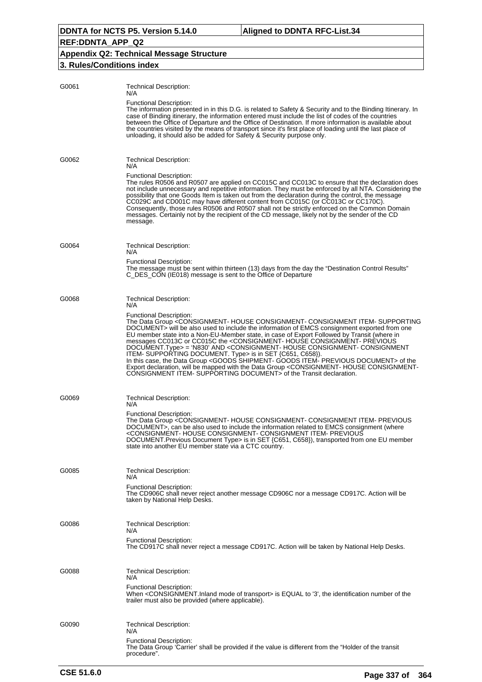### **REF:DDNTA\_APP\_Q2 Appendix Q2: Technical Message Structure**

| G0061 | Technical Description:<br>N/A                                                                                                                                                                                                                                                                                                                                                                                                                                                                                                                                                                                                                                                                                                                                                                                                                                                                                                       |
|-------|-------------------------------------------------------------------------------------------------------------------------------------------------------------------------------------------------------------------------------------------------------------------------------------------------------------------------------------------------------------------------------------------------------------------------------------------------------------------------------------------------------------------------------------------------------------------------------------------------------------------------------------------------------------------------------------------------------------------------------------------------------------------------------------------------------------------------------------------------------------------------------------------------------------------------------------|
|       | Functional Description:<br>The information presented in in this D.G. is related to Safety & Security and to the Binding Itinerary. In<br>case of Binding itinerary, the information entered must include the list of codes of the countries<br>between the Office of Departure and the Office of Destination. If more information is available about<br>the countries visited by the means of transport since it's first place of loading until the last place of<br>unloading, it should also be added for Safety & Security purpose only.                                                                                                                                                                                                                                                                                                                                                                                         |
| G0062 | Technical Description:<br>N/A                                                                                                                                                                                                                                                                                                                                                                                                                                                                                                                                                                                                                                                                                                                                                                                                                                                                                                       |
|       | <b>Functional Description:</b><br>The rules R0506 and R0507 are applied on CC015C and CC013C to ensure that the declaration does<br>not include unnecessary and repetitive information. They must be enforced by all NTA. Considering the<br>possibility that one Goods Item is taken out from the declaration during the control, the message<br>CC029C and CD001C may have different content from CC015C (or CC013C or CC170C).<br>Consequently, those rules R0506 and R0507 shall not be strictly enforced on the Common Domain<br>messages. Certainly not by the recipient of the CD message, likely not by the sender of the CD<br>message.                                                                                                                                                                                                                                                                                    |
| G0064 | Technical Description:<br>N/A                                                                                                                                                                                                                                                                                                                                                                                                                                                                                                                                                                                                                                                                                                                                                                                                                                                                                                       |
|       | <b>Functional Description:</b><br>The message must be sent within thirteen (13) days from the day the "Destination Control Results"<br>C_DES_CON (IE018) message is sent to the Office of Departure                                                                                                                                                                                                                                                                                                                                                                                                                                                                                                                                                                                                                                                                                                                                 |
| G0068 | Technical Description:<br>N/A                                                                                                                                                                                                                                                                                                                                                                                                                                                                                                                                                                                                                                                                                                                                                                                                                                                                                                       |
|       | <b>Functional Description:</b><br>The Data Group <consignment- consignment="" consignment-="" house="" item-="" supporting<br="">DOCUMENT&gt; will be also used to include the information of EMCS consignment exported from one<br/>EU member state into a Non-EU-Member state, in case of Export Followed by Transit (where in<br/>messages CC013C or CC015C the <consignment- consignment-="" house="" previous<br="">DOCUMENT.Type&gt; = 'N830' AND <consignment- consignment-="" consignment<br="" house="">ITEM- SUPPORTING DOCUMENT. Type&gt; is in SET {C651, C658}).<br/>In this case, the Data Group <goods document="" goods="" item-="" previous="" shipment-=""> of the<br/>Export declaration, will be mapped with the Data Group <consignment- consignment-<br="" house="">CONSIGNMENT ITEM- SUPPORTING DOCUMENT&gt; of the Transit declaration.</consignment-></goods></consignment-></consignment-></consignment-> |
| G0069 | <b>Technical Description:</b><br>N/A                                                                                                                                                                                                                                                                                                                                                                                                                                                                                                                                                                                                                                                                                                                                                                                                                                                                                                |
|       | Functional Description:<br>The Data Group <consignment- consignment="" consignment-="" house="" item-="" previous<br="">DOCUMENT&gt;, can be also used to include the information related to EMCS consignment (where<br/><consignment- consignment="" consignment-="" house="" item-="" previous<br="">DOCUMENT. Previous Document Type&gt; is in SET {C651, C658}), transported from one EU member<br/>state into another EU member state via a CTC country.</consignment-></consignment->                                                                                                                                                                                                                                                                                                                                                                                                                                         |
| G0085 | <b>Technical Description:</b><br>N/A                                                                                                                                                                                                                                                                                                                                                                                                                                                                                                                                                                                                                                                                                                                                                                                                                                                                                                |
|       | <b>Functional Description:</b><br>The CD906C shall never reject another message CD906C nor a message CD917C. Action will be<br>taken by National Help Desks.                                                                                                                                                                                                                                                                                                                                                                                                                                                                                                                                                                                                                                                                                                                                                                        |
| G0086 | <b>Technical Description:</b><br>N/A                                                                                                                                                                                                                                                                                                                                                                                                                                                                                                                                                                                                                                                                                                                                                                                                                                                                                                |
|       | <b>Functional Description:</b><br>The CD917C shall never reject a message CD917C. Action will be taken by National Help Desks.                                                                                                                                                                                                                                                                                                                                                                                                                                                                                                                                                                                                                                                                                                                                                                                                      |
| G0088 | <b>Technical Description:</b><br>N/A                                                                                                                                                                                                                                                                                                                                                                                                                                                                                                                                                                                                                                                                                                                                                                                                                                                                                                |
|       | <b>Functional Description:</b><br>When <consignment. inland="" mode="" of="" transport=""> is EQUAL to '3', the identification number of the<br/>trailer must also be provided (where applicable).</consignment.>                                                                                                                                                                                                                                                                                                                                                                                                                                                                                                                                                                                                                                                                                                                   |
| G0090 | Technical Description:<br>N/A                                                                                                                                                                                                                                                                                                                                                                                                                                                                                                                                                                                                                                                                                                                                                                                                                                                                                                       |
|       | <b>Functional Description:</b><br>The Data Group 'Carrier' shall be provided if the value is different from the "Holder of the transit<br>procedure".                                                                                                                                                                                                                                                                                                                                                                                                                                                                                                                                                                                                                                                                                                                                                                               |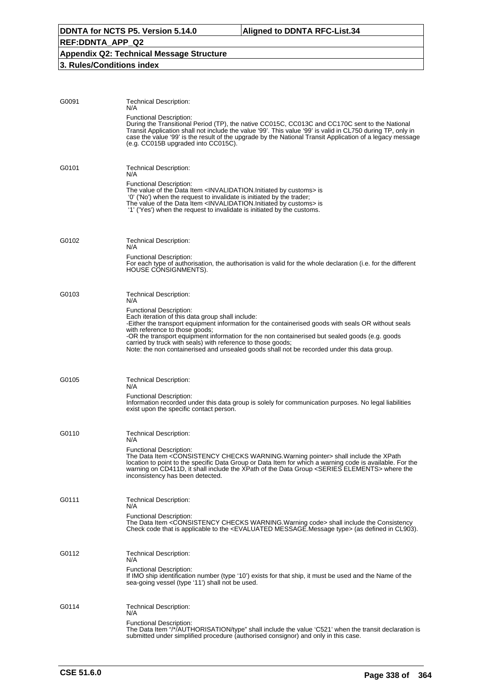**Appendix Q2: Technical Message Structure**

| G0091 | Technical Description:<br>N/A                                                                                                                                                                                                                                                                                                                                                                                                                                                               |
|-------|---------------------------------------------------------------------------------------------------------------------------------------------------------------------------------------------------------------------------------------------------------------------------------------------------------------------------------------------------------------------------------------------------------------------------------------------------------------------------------------------|
|       | <b>Functional Description:</b><br>During the Transitional Period (TP), the native CC015C, CC013C and CC170C sent to the National<br>Transit Application shall not include the value '99'. This value '99' is valid in CL750 during TP, only in<br>case the value '99' is the result of the upgrade by the National Transit Application of a legacy message<br>(e.g. CC015B upgraded into CC015C).                                                                                           |
| G0101 | Technical Description:<br>N/A                                                                                                                                                                                                                                                                                                                                                                                                                                                               |
|       | <b>Functional Description:</b><br>The value of the Data Item <invalidation.initiated by="" customs=""> is<br/>'0' ('No') when the request to invalidate is initiated by the trader;<br/>The value of the Data Item <invalidation.initiated by="" customs=""> is<br/>'1' ('Yes') when the request to invalidate is initiated by the customs.</invalidation.initiated></invalidation.initiated>                                                                                               |
| G0102 | <b>Technical Description:</b><br>N/A                                                                                                                                                                                                                                                                                                                                                                                                                                                        |
|       | <b>Functional Description:</b><br>For each type of authorisation, the authorisation is valid for the whole declaration (i.e. for the different<br>HOUSE CONSIGNMENTS).                                                                                                                                                                                                                                                                                                                      |
| G0103 | Technical Description:<br>N/A                                                                                                                                                                                                                                                                                                                                                                                                                                                               |
|       | <b>Functional Description:</b><br>Each iteration of this data group shall include:<br>-Either the transport equipment information for the containerised goods with seals OR without seals<br>with reference to those goods;<br>-OR the transport equipment information for the non containerised but sealed goods (e.g. goods<br>carried by truck with seals) with reference to those goods;<br>Note: the non containerised and unsealed goods shall not be recorded under this data group. |
| G0105 | Technical Description:<br>N/A                                                                                                                                                                                                                                                                                                                                                                                                                                                               |
|       | <b>Functional Description:</b><br>Information recorded under this data group is solely for communication purposes. No legal liabilities<br>exist upon the specific contact person.                                                                                                                                                                                                                                                                                                          |
| G0110 | Technical Description:<br>N/A                                                                                                                                                                                                                                                                                                                                                                                                                                                               |
|       | <b>Functional Description:</b><br>The Data Item <consistency checks="" pointer="" warning.warning=""> shall include the XPath<br/>location to point to the specific Data Group or Data Item for which a warning code is available. For the<br/>warning on CD411D, it shall include the XPath of the Data Group <series elements=""> where the<br/>inconsistency has been detected.</series></consistency>                                                                                   |
| G0111 | <b>Technical Description:</b><br>N/A                                                                                                                                                                                                                                                                                                                                                                                                                                                        |
|       | <b>Functional Description:</b><br>The Data Item <consistency checks="" code="" warning="" warning.=""> shall include the Consistency<br/>Check code that is applicable to the <evaluated message.message="" type=""> (as defined in CL903).</evaluated></consistency>                                                                                                                                                                                                                       |
| G0112 | <b>Technical Description:</b><br>N/A                                                                                                                                                                                                                                                                                                                                                                                                                                                        |
|       | <b>Functional Description:</b><br>If IMO ship identification number (type '10') exists for that ship, it must be used and the Name of the<br>sea-going vessel (type '11') shall not be used.                                                                                                                                                                                                                                                                                                |
| G0114 | <b>Technical Description:</b><br>N/A                                                                                                                                                                                                                                                                                                                                                                                                                                                        |
|       | <b>Functional Description:</b><br>The Data Item "/*/AUTHORISATION/type" shall include the value 'C521' when the transit declaration is<br>submitted under simplified procedure (authorised consignor) and only in this case.                                                                                                                                                                                                                                                                |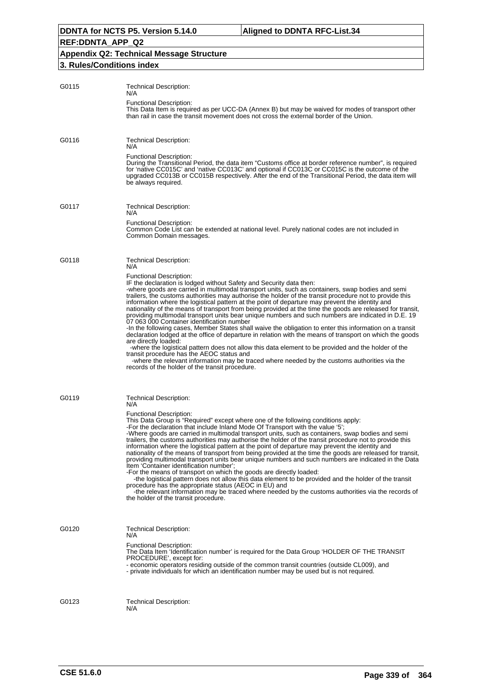### **REF:DDNTA\_APP\_Q2 Appendix Q2: Technical Message Structure 3. Rules/Conditions index**

### G0115 Technical Description: N/A Functional Description: This Data Item is required as per UCC-DA (Annex B) but may be waived for modes of transport other than rail in case the transit movement does not cross the external border of the Union. G0116 Technical Description: N/A Functional Description: During the Transitional Period, the data item "Customs office at border reference number", is required for 'native CC015C' and 'native CC013C' and optional if CC013C or CC015C is the outcome of the upgraded CC013B or CC015B respectively. After the end of the Transitional Period, the data item will be always required. G0117 Technical Description: N/A Functional Description: Common Code List can be extended at national level. Purely national codes are not included in Common Domain messages. G0118 Technical Description: N/A Functional Description: IF the declaration is lodged without Safety and Security data then: -where goods are carried in multimodal transport units, such as containers, swap bodies and semi trailers, the customs authorities may authorise the holder of the transit procedure not to provide this information where the logistical pattern at the point of departure may prevent the identity and nationality of the means of transport from being provided at the time the goods are released for transit, providing multimodal transport units bear unique numbers and such numbers are indicated in D.E. 19 07 063 000 Container identification number -In the following cases, Member States shall waive the obligation to enter this information on a transit declaration lodged at the office of departure in relation with the means of transport on which the goods are directly loaded: -where the logistical pattern does not allow this data element to be provided and the holder of the transit procedure has the AEOC status and -where the relevant information may be traced where needed by the customs authorities via the records of the holder of the transit procedure. G0119 **Technical Description:** N/A Functional Description: This Data Group is "Required" except where one of the following conditions apply: -For the declaration that include Inland Mode Of Transport with the value '5'; -Where goods are carried in multimodal transport units, such as containers, swap bodies and semi trailers, the customs authorities may authorise the holder of the transit procedure not to provide this information where the logistical pattern at the point of departure may prevent the identity and nationality of the means of transport from being provided at the time the goods are released for transit, providing multimodal transport units bear unique numbers and such numbers are indicated in the Data Item 'Container identification number'; -For the means of transport on which the goods are directly loaded: -the logistical pattern does not allow this data element to be provided and the holder of the transit procedure has the appropriate status (AEOC in EU) and -the relevant information may be traced where needed by the customs authorities via the records of the holder of the transit procedure. G0120 Technical Description:  $N/A$ Functional Description: The Data Item 'Identification number' is required for the Data Group 'HOLDER OF THE TRANSIT PROCEDURE', except for: - economic operators residing outside of the common transit countries (outside CL009), and - private individuals for which an identification number may be used but is not required. G0123 Technical Description:  $N/A$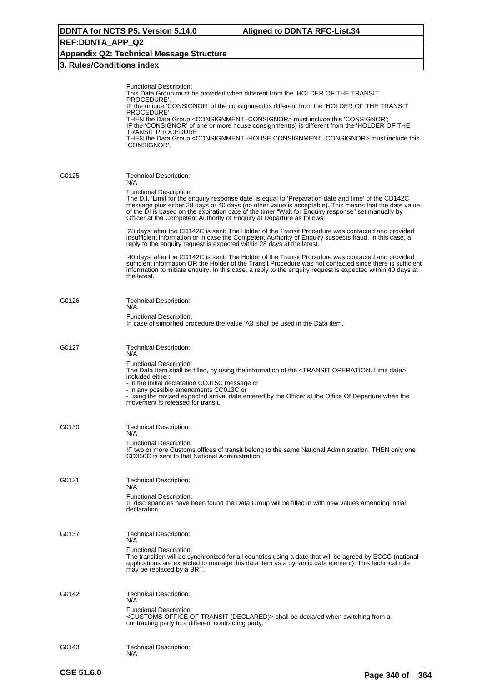# **Appendix Q2: Technical Message Structure**

|       | <b>Functional Description:</b><br>This Data Group must be provided when different from the 'HOLDER OF THE TRANSIT<br>PROCEDURE'.<br>IF the unique 'CONSIGNOR' of the consignment is different from the 'HOLDER OF THE TRANSIT<br>PROCEDURE <sup>®</sup><br>THEN the Data Group <consignment -consignor=""> must include this 'CONSIGNOR';<br/>IF the 'CONSIGNOR' of one or more house consignment(s) is different from the 'HOLDER OF THE<br/><b>TRANSIT PROCEDURE'</b><br/>THEN the Data Group <consignment -consignor="" -house="" consignment=""> must include this<br/>'CONSIGNOR'.</consignment></consignment> |
|-------|---------------------------------------------------------------------------------------------------------------------------------------------------------------------------------------------------------------------------------------------------------------------------------------------------------------------------------------------------------------------------------------------------------------------------------------------------------------------------------------------------------------------------------------------------------------------------------------------------------------------|
| G0125 | <b>Technical Description:</b><br>N/A<br><b>Functional Description:</b><br>The D.I. 'Limit for the enguiry response date' is equal to 'Preparation date and time' of the CD142C<br>message plus either 28 days or 40 days (no other value is acceptable). This means that the date value<br>of the DI is based on the expiration date of the timer "Wait for Enquiry response" set manually by<br>Officer at the Competent Authority of Enquiry at Departure as follows:                                                                                                                                             |
|       | '28 days' after the CD142C is sent: The Holder of the Transit Procedure was contacted and provided<br>insufficient information or in case the Competent Authority of Enguiry suspects fraud. In this case, a<br>reply to the enguiry request is expected within 28 days at the latest.                                                                                                                                                                                                                                                                                                                              |
|       | 40 days' after the CD142C is sent: The Holder of the Transit Procedure was contacted and provided'<br>sufficient information OR the Holder of the Transit Procedure was not contacted since there is sufficient<br>information to initiate enguiry. In this case, a reply to the enguiry request is expected within 40 days at<br>the latest.                                                                                                                                                                                                                                                                       |
| G0126 | <b>Technical Description:</b><br>N/A                                                                                                                                                                                                                                                                                                                                                                                                                                                                                                                                                                                |
|       | <b>Functional Description:</b><br>In case of simplified procedure the value 'A3' shall be used in the Data item.                                                                                                                                                                                                                                                                                                                                                                                                                                                                                                    |
| G0127 | <b>Technical Description:</b><br>N/A                                                                                                                                                                                                                                                                                                                                                                                                                                                                                                                                                                                |
|       | Functional Description:<br>The Data Item shall be filled, by using the information of the <transit date="" limit="" operation.="">,<br/>included either:<br/>- in the initial declaration CC015C message or<br/>- in any possible amendments CC013C or<br/>- using the revised expected arrival date entered by the Officer at the Office Of Departure when the<br/>movement is released for transit.</transit>                                                                                                                                                                                                     |
| G0130 | <b>Technical Description:</b><br>N/A                                                                                                                                                                                                                                                                                                                                                                                                                                                                                                                                                                                |
|       | Functional Description:<br>IF two or more Customs offices of transit belong to the same National Administration, THEN only one<br>CD050C is sent to that National Administration.                                                                                                                                                                                                                                                                                                                                                                                                                                   |
| G0131 | <b>Technical Description:</b><br>N/A                                                                                                                                                                                                                                                                                                                                                                                                                                                                                                                                                                                |
|       | <b>Functional Description:</b><br>IF discrepancies have been found the Data Group will be filled in with new values amending initial<br>declaration.                                                                                                                                                                                                                                                                                                                                                                                                                                                                |
| G0137 | Technical Description:<br>N/A                                                                                                                                                                                                                                                                                                                                                                                                                                                                                                                                                                                       |
|       | <b>Functional Description:</b><br>The transition will be synchronized for all countries using a date that will be agreed by ECCG (national<br>applications are expected to manage this data item as a dynamic data element). This technical rule<br>may be replaced by a BRT.                                                                                                                                                                                                                                                                                                                                       |
| G0142 | <b>Technical Description:</b><br>N/A<br><b>Functional Description:</b><br><customs (declared)="" of="" office="" transit=""> shall be declared when switching from a<br/>contracting party to a different contracting party.</customs>                                                                                                                                                                                                                                                                                                                                                                              |
| G0143 | <b>Technical Description:</b><br>N/A                                                                                                                                                                                                                                                                                                                                                                                                                                                                                                                                                                                |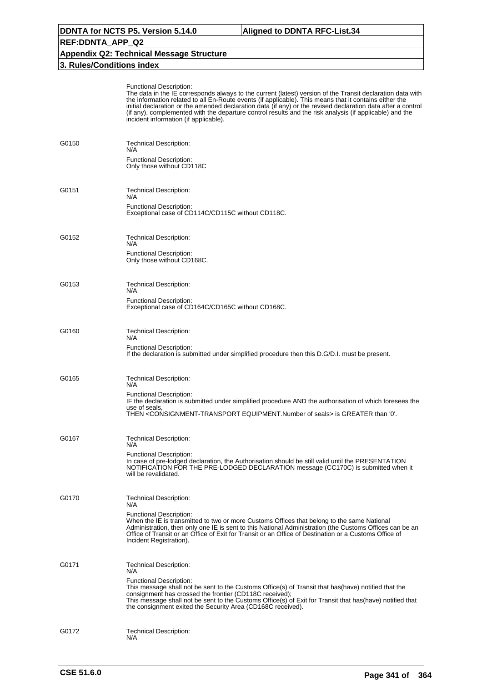|                         | DDNTA for NCTS P5. Version 5.14.0                                                                                                                                                                | <b>Aligned to DDNTA RFC-List.34</b>                                                                                                                                                                                                                                                                                                                                                                                                             |
|-------------------------|--------------------------------------------------------------------------------------------------------------------------------------------------------------------------------------------------|-------------------------------------------------------------------------------------------------------------------------------------------------------------------------------------------------------------------------------------------------------------------------------------------------------------------------------------------------------------------------------------------------------------------------------------------------|
| <b>REF:DDNTA APP Q2</b> |                                                                                                                                                                                                  |                                                                                                                                                                                                                                                                                                                                                                                                                                                 |
|                         | <b>Appendix Q2: Technical Message Structure</b>                                                                                                                                                  |                                                                                                                                                                                                                                                                                                                                                                                                                                                 |
|                         | 3. Rules/Conditions index                                                                                                                                                                        |                                                                                                                                                                                                                                                                                                                                                                                                                                                 |
|                         | <b>Functional Description:</b><br>incident information (if applicable).                                                                                                                          | The data in the IE corresponds always to the current (latest) version of the Transit declaration data with<br>the information related to all En-Route events (if applicable). This means that it contains either the<br>initial declaration or the amended declaration data (if any) or the revised declaration data after a control<br>(if any), complemented with the departure control results and the risk analysis (if applicable) and the |
| G0150                   | Technical Description:<br>N/A<br><b>Functional Description:</b><br>Only those without CD118C                                                                                                     |                                                                                                                                                                                                                                                                                                                                                                                                                                                 |
| G0151                   | Technical Description:<br>N/A<br><b>Functional Description:</b><br>Exceptional case of CD114C/CD115C without CD118C.                                                                             |                                                                                                                                                                                                                                                                                                                                                                                                                                                 |
| G0152                   | <b>Technical Description:</b><br>N/A<br><b>Functional Description:</b><br>Only those without CD168C.                                                                                             |                                                                                                                                                                                                                                                                                                                                                                                                                                                 |
| G0153                   | <b>Technical Description:</b><br>N/A<br><b>Functional Description:</b><br>Exceptional case of CD164C/CD165C without CD168C.                                                                      |                                                                                                                                                                                                                                                                                                                                                                                                                                                 |
| G0160                   | <b>Technical Description:</b><br>N/A<br><b>Functional Description:</b>                                                                                                                           | If the declaration is submitted under simplified procedure then this D.G/D.I. must be present.                                                                                                                                                                                                                                                                                                                                                  |
| G0165                   | <b>Technical Description:</b><br>N/A<br><b>Functional Description:</b><br>use of seals.                                                                                                          | IF the declaration is submitted under simplified procedure AND the authorisation of which foresees the<br>THEN <consignment-transport equipment.number="" of="" seals=""> is GREATER than '0'.</consignment-transport>                                                                                                                                                                                                                          |
| G0167                   | Technical Description:<br>N/A<br><b>Functional Description:</b><br>will be revalidated.                                                                                                          | In case of pre-lodged declaration, the Authorisation should be still valid until the PRESENTATION<br>NOTIFICATION FOR THE PRE-LODGED DECLARATION message (CC170C) is submitted when it                                                                                                                                                                                                                                                          |
| G0170                   | <b>Technical Description:</b><br>N/A<br><b>Functional Description:</b><br>Incident Registration).                                                                                                | When the IE is transmitted to two or more Customs Offices that belong to the same National<br>Administration, then only one IE is sent to this National Administration (the Customs Offices can be an<br>Office of Transit or an Office of Exit for Transit or an Office of Destination or a Customs Office of                                                                                                                                  |
| G0171                   | <b>Technical Description:</b><br>N/A<br><b>Functional Description:</b><br>consignment has crossed the frontier (CD118C received);<br>the consignment exited the Security Area (CD168C received). | This message shall not be sent to the Customs Office(s) of Transit that has(have) notified that the<br>This message shall not be sent to the Customs Office(s) of Exit for Transit that has (have) notified that                                                                                                                                                                                                                                |
| G0172                   | Technical Description:<br>N/A                                                                                                                                                                    |                                                                                                                                                                                                                                                                                                                                                                                                                                                 |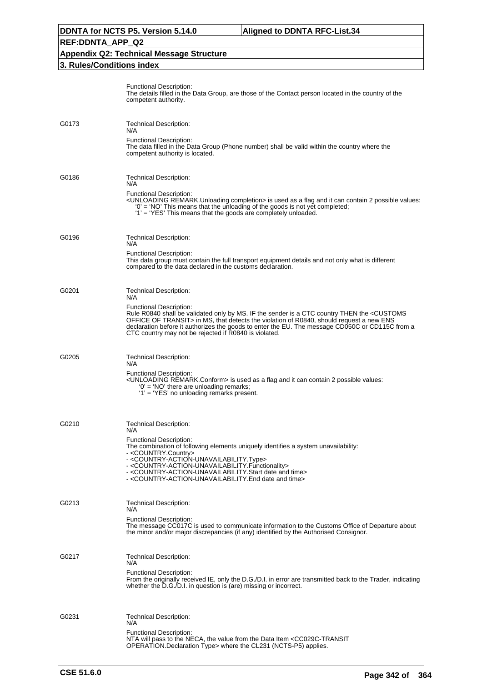### Functional Description: The details filled in the Data Group, are those of the Contact person located in the country of the competent authority. G0173 Technical Description: N/A Functional Description: The data filled in the Data Group (Phone number) shall be valid within the country where the competent authority is located. G0186 Technical Description: N/A Functional Description: <UNLOADING REMARK.Unloading completion> is used as a flag and it can contain 2 possible values: '0' = 'NO' This means that the unloading of the goods is not yet completed; '1' = 'YES' This means that the goods are completely unloaded. G0196 Technical Description: N/A Functional Description: This data group must contain the full transport equipment details and not only what is different compared to the data declared in the customs declaration. G0201 Technical Description: N/A Functional Description: Rule R0840 shall be validated only by MS. IF the sender is a CTC country THEN the <CUSTOMS OFFICE OF TRANSIT> in MS, that detects the violation of R0840, should request a new ENS declaration before it authorizes the goods to enter the EU. The message CD050C or CD115C from a CTC country may not be rejected if R0840 is violated. G0205 Technical Description: N/A Functional Description: <UNLOADING REMARK.Conform> is used as a flag and it can contain 2 possible values: '0' = 'NO' there are unloading remarks; '1' = 'YES' no unloading remarks present. G0210 Technical Description: N/A Functional Description: The combination of following elements uniquely identifies a system unavailability: - <COUNTRY.Country> - <COUNTRY-ACTION-UNAVAILABILITY.Type> - <COUNTRY-ACTION-UNAVAILABILITY.Functionality> - <COUNTRY-ACTION-UNAVAILABILITY.Start date and time> - <COUNTRY-ACTION-UNAVAILABILITY.End date and time> G0213 Technical Description: N/A Functional Description: The message CC017C is used to communicate information to the Customs Office of Departure about the minor and/or major discrepancies (if any) identified by the Authorised Consignor. G0217 Technical Description: N/A Functional Description: From the originally received IE, only the D.G./D.I. in error are transmitted back to the Trader, indicating whether the D.G./D.I. in question is (are) missing or incorrect. G0231 Technical Description: N/A Functional Description: NTA will pass to the NECA, the value from the Data Item <CC029C-TRANSIT **DDNTA for NCTS P5. Version 5.14.0 Aligned to DDNTA RFC-List.34 REF:DDNTA\_APP\_Q2 Appendix Q2: Technical Message Structure 3. Rules/Conditions index**

OPERATION.Declaration Type> where the CL231 (NCTS-P5) applies.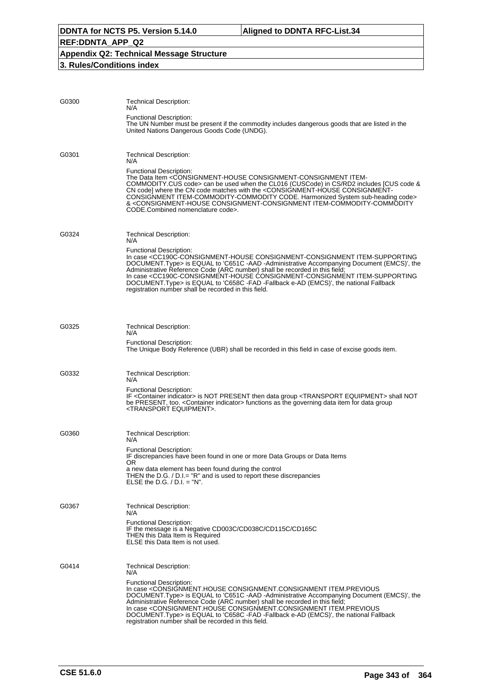# **REF:DDNTA\_APP\_Q2**

**Appendix Q2: Technical Message Structure**

| G0300 | Technical Description:<br>N/A                                                                                                                                                                                                                                                                                                                                                                                                                                                                                                                                                                    |
|-------|--------------------------------------------------------------------------------------------------------------------------------------------------------------------------------------------------------------------------------------------------------------------------------------------------------------------------------------------------------------------------------------------------------------------------------------------------------------------------------------------------------------------------------------------------------------------------------------------------|
|       | <b>Functional Description:</b><br>The UN Number must be present if the commodity includes dangerous goods that are listed in the<br>United Nations Dangerous Goods Code (UNDG).                                                                                                                                                                                                                                                                                                                                                                                                                  |
| G0301 | Technical Description:<br>N/A                                                                                                                                                                                                                                                                                                                                                                                                                                                                                                                                                                    |
|       | <b>Functional Description:</b><br>The Data Item <consignment-house consignment-consignment="" item-<br="">COMMODITY.CUS code&gt; can be used when the CL016 (CUSCode) in CS/RD2 includes [CUS code &amp;<br/>CN code] where the CN code matches with the <consignment-house consignment-<br="">CONSIGNMENT ITEM-COMMODITY-COMMODITY CODE. Harmonized System sub-heading code&gt;<br/>&amp;<consignment-house consignment-consignment="" item-commodity-commodity<br="">CODE.Combined nomenclature code&gt;.</consignment-house></consignment-house></consignment-house>                          |
| G0324 | Technical Description:<br>N/A                                                                                                                                                                                                                                                                                                                                                                                                                                                                                                                                                                    |
|       | <b>Functional Description:</b><br>In case <cc190c-consignment-house consignment-consignment="" item-supporting<br="">DOCUMENT.Type&gt; is EQUAL to 'C651C -AAD -Administrative Accompanying Document (EMCS)', the<br/>Administrative Reference Code (ARC number) shall be recorded in this field;<br/>In case <cc190c-consignment-house consignment-consignment="" item-supporting<br="">DOCUMENT. Type&gt; is EQUAL to 'C658C -FAD -Fallback e-AD (EMCS)', the national Fallback<br/>registration number shall be recorded in this field.</cc190c-consignment-house></cc190c-consignment-house> |
|       |                                                                                                                                                                                                                                                                                                                                                                                                                                                                                                                                                                                                  |
| G0325 | <b>Technical Description:</b><br>N/A                                                                                                                                                                                                                                                                                                                                                                                                                                                                                                                                                             |
|       | <b>Functional Description:</b><br>The Unique Body Reference (UBR) shall be recorded in this field in case of excise goods item.                                                                                                                                                                                                                                                                                                                                                                                                                                                                  |
| G0332 | <b>Technical Description:</b><br>N/A                                                                                                                                                                                                                                                                                                                                                                                                                                                                                                                                                             |
|       | <b>Functional Description:</b><br>IF <container indicator=""> is NOT PRESENT then data group <transport equipment=""> shall NOT<br/>be PRESENT, too. &lt; Container indicator&gt; functions as the governing data item for data group<br/><transport equipment="">.</transport></transport></container>                                                                                                                                                                                                                                                                                          |
| G0360 | <b>Technical Description:</b><br>N/A                                                                                                                                                                                                                                                                                                                                                                                                                                                                                                                                                             |
|       | <b>Functional Description:</b><br>IF discrepancies have been found in one or more Data Groups or Data Items                                                                                                                                                                                                                                                                                                                                                                                                                                                                                      |
|       | OR.<br>a new data element has been found during the control<br>THEN the D.G. $/$ D.I.= "R" and is used to report these discrepancies<br>ELSE the D.G. $/$ D.I. = "N".                                                                                                                                                                                                                                                                                                                                                                                                                            |
| G0367 | Technical Description:<br>N/A                                                                                                                                                                                                                                                                                                                                                                                                                                                                                                                                                                    |
|       | <b>Functional Description:</b><br>IF the message is a Negative CD003C/CD038C/CD115C/CD165C<br>THEN this Data Item is Required<br>ELSE this Data Item is not used.                                                                                                                                                                                                                                                                                                                                                                                                                                |
| G0414 | Technical Description:<br>N/A                                                                                                                                                                                                                                                                                                                                                                                                                                                                                                                                                                    |
|       | <b>Functional Description:</b><br>In case <consignment.house consignment.consignment="" item.previous<br="">DOCUMENT.Type&gt; is EQUAL to 'C651C -AAD -Administrative Accompanying Document (EMCS)', the<br/>Administrative Reference Code (ARC number) shall be recorded in this field;<br/>In case <consignment.house consignment.consignment="" item.previous<br="">DOCUMENT.Type&gt; is EQUAL to 'C658C -FAD -Fallback e-AD (EMCS)', the national Fallback<br/>registration number shall be recorded in this field.</consignment.house></consignment.house>                                  |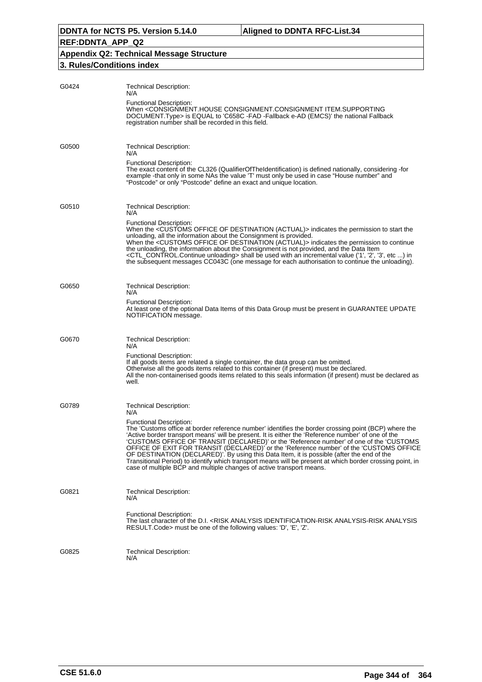### **REF:DDNTA\_APP\_Q2 Appendix Q2: Technical Message Structure**

| G0424 | Technical Description:<br>N/A                                                                                                                                                                                                                                                                                                                                                                                                                                                                                                                                                                                                                                                                                 |
|-------|---------------------------------------------------------------------------------------------------------------------------------------------------------------------------------------------------------------------------------------------------------------------------------------------------------------------------------------------------------------------------------------------------------------------------------------------------------------------------------------------------------------------------------------------------------------------------------------------------------------------------------------------------------------------------------------------------------------|
|       | <b>Functional Description:</b><br>When <consignment.house consignment.consignment="" item.supporting<br="">DOCUMENT.Type&gt; is EQUAL to 'C658C -FAD -Fallback e-AD (EMCS)' the national Fallback<br/>registration number shall be recorded in this field.</consignment.house>                                                                                                                                                                                                                                                                                                                                                                                                                                |
| G0500 | Technical Description:<br>N/A                                                                                                                                                                                                                                                                                                                                                                                                                                                                                                                                                                                                                                                                                 |
|       | <b>Functional Description:</b><br>The exact content of the CL326 (QualifierOfTheIdentification) is defined nationally, considering -for<br>example -that only in some NAs the value 'T' must only be used in case "House number" and<br>"Postcode" or only "Postcode" define an exact and unique location.                                                                                                                                                                                                                                                                                                                                                                                                    |
| G0510 | Technical Description:<br>N/A                                                                                                                                                                                                                                                                                                                                                                                                                                                                                                                                                                                                                                                                                 |
|       | <b>Functional Description:</b><br>When the <customs (actual)="" destination="" of="" office=""> indicates the permission to start the<br/>unloading, all the information about the Consignment is provided.<br/>When the <customs (actual)="" destination="" of="" office=""> indicates the permission to continue<br/>the unloading, the information about the Consignment is not provided, and the Data Item<br/><ctl_control.continue unloading=""> shall be used with an incremental value ('1', '2', '3', etc ) in<br/>the subsequent messages CC043C (one message for each authorisation to continue the unloading).</ctl_control.continue></customs></customs>                                         |
| G0650 | Technical Description:<br>N/A                                                                                                                                                                                                                                                                                                                                                                                                                                                                                                                                                                                                                                                                                 |
|       | <b>Functional Description:</b><br>At least one of the optional Data Items of this Data Group must be present in GUARANTEE UPDATE<br>NOTIFICATION message.                                                                                                                                                                                                                                                                                                                                                                                                                                                                                                                                                     |
| G0670 | Technical Description:<br>N/A                                                                                                                                                                                                                                                                                                                                                                                                                                                                                                                                                                                                                                                                                 |
|       | <b>Functional Description:</b><br>If all goods items are related a single container, the data group can be omitted.<br>Otherwise all the goods items related to this container (if present) must be declared.<br>All the non-containerised goods items related to this seals information (if present) must be declared as<br>well.                                                                                                                                                                                                                                                                                                                                                                            |
| G0789 | Technical Description:<br>N/A                                                                                                                                                                                                                                                                                                                                                                                                                                                                                                                                                                                                                                                                                 |
|       | Functional Description:<br>The 'Customs office at border reference number' identifies the border crossing point (BCP) where the<br>'Active border transport means' will be present. It is either the 'Reference number' of one of the<br>'CUSTOMS OFFICE OF TRANSIT (DECLARED)' or the 'Reference number' of one of the 'CUSTOMS<br>OFFICE OF EXIT FOR TRANSIT (DECLARED)' or the 'Reference number' of the 'CUSTOMS OFFICE<br>OF DESTINATION (DECLARED)'. By using this Data Item, it is possible (after the end of the<br>Transitional Period) to identify which transport means will be present at which border crossing point, in<br>case of multiple BCP and multiple changes of active transport means. |
| G0821 | Technical Description:<br>N/A                                                                                                                                                                                                                                                                                                                                                                                                                                                                                                                                                                                                                                                                                 |
|       | Functional Description:<br>The last character of the D.I. <risk analysis="" analysis-risk="" analysis<br="" identification-risk="">RESULT.Code&gt; must be one of the following values: 'D', 'E', 'Z'.</risk>                                                                                                                                                                                                                                                                                                                                                                                                                                                                                                 |
| G0825 | <b>Technical Description:</b><br>N/A                                                                                                                                                                                                                                                                                                                                                                                                                                                                                                                                                                                                                                                                          |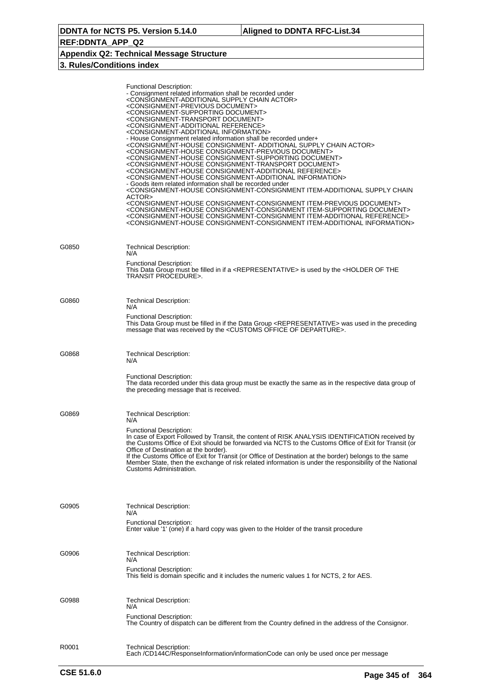# **Appendix Q2: Technical Message Structure**

|       | <b>Functional Description:</b><br>- Consignment related information shall be recorded under<br><consignment-additional actor="" chain="" supply=""><br/><consignment-previous document=""><br/><consignment-supporting document=""><br/><consignment-transport document=""><br/><consignment-additional reference=""><br/><consignment-additional information=""><br/>- House Consignment related information shall be recorded under+<br/><consignment-house actor="" additional="" chain="" consignment-="" supply=""><br/><consignment-house consignment-previous="" document=""><br/><consignment-house consignment-supporting="" document=""><br/><consignment-house consignment-transport="" document=""><br/><consignment-house consignment-additional="" reference=""><br/><consignment-house consignment-additional="" information=""><br/>- Goods item related information shall be recorded under<br/><consignment-house chain<br="" consignment-consignment="" item-additional="" supply="">ACTOR&gt;<br/><consignment-house consignment-consignment="" document="" item-previous=""><br/><consignment-house consignment-consignment="" document="" item-supporting=""><br/><consignment-house consignment-consignment="" item-additional="" reference=""><br/><consignment-house consignment-consignment="" information="" item-additional=""></consignment-house></consignment-house></consignment-house></consignment-house></consignment-house></consignment-house></consignment-house></consignment-house></consignment-house></consignment-house></consignment-house></consignment-additional></consignment-additional></consignment-transport></consignment-supporting></consignment-previous></consignment-additional> |
|-------|--------------------------------------------------------------------------------------------------------------------------------------------------------------------------------------------------------------------------------------------------------------------------------------------------------------------------------------------------------------------------------------------------------------------------------------------------------------------------------------------------------------------------------------------------------------------------------------------------------------------------------------------------------------------------------------------------------------------------------------------------------------------------------------------------------------------------------------------------------------------------------------------------------------------------------------------------------------------------------------------------------------------------------------------------------------------------------------------------------------------------------------------------------------------------------------------------------------------------------------------------------------------------------------------------------------------------------------------------------------------------------------------------------------------------------------------------------------------------------------------------------------------------------------------------------------------------------------------------------------------------------------------------------------------------------------------------------------------------------------------|
| G0850 | <b>Technical Description:</b><br>N/A<br><b>Functional Description:</b><br>This Data Group must be filled in if a <representative> is used by the <holder of="" td="" the<=""></holder></representative>                                                                                                                                                                                                                                                                                                                                                                                                                                                                                                                                                                                                                                                                                                                                                                                                                                                                                                                                                                                                                                                                                                                                                                                                                                                                                                                                                                                                                                                                                                                                    |
|       | TRANSIT PROCEDURE>.                                                                                                                                                                                                                                                                                                                                                                                                                                                                                                                                                                                                                                                                                                                                                                                                                                                                                                                                                                                                                                                                                                                                                                                                                                                                                                                                                                                                                                                                                                                                                                                                                                                                                                                        |
| G0860 | Technical Description:<br>N/A                                                                                                                                                                                                                                                                                                                                                                                                                                                                                                                                                                                                                                                                                                                                                                                                                                                                                                                                                                                                                                                                                                                                                                                                                                                                                                                                                                                                                                                                                                                                                                                                                                                                                                              |
|       | <b>Functional Description:</b><br>This Data Group must be filled in if the Data Group <representative> was used in the preceding<br/>message that was received by the <customs departure="" of="" office="">.</customs></representative>                                                                                                                                                                                                                                                                                                                                                                                                                                                                                                                                                                                                                                                                                                                                                                                                                                                                                                                                                                                                                                                                                                                                                                                                                                                                                                                                                                                                                                                                                                   |
| G0868 | <b>Technical Description:</b><br>N/A                                                                                                                                                                                                                                                                                                                                                                                                                                                                                                                                                                                                                                                                                                                                                                                                                                                                                                                                                                                                                                                                                                                                                                                                                                                                                                                                                                                                                                                                                                                                                                                                                                                                                                       |
|       | <b>Functional Description:</b><br>The data recorded under this data group must be exactly the same as in the respective data group of<br>the preceding message that is received.                                                                                                                                                                                                                                                                                                                                                                                                                                                                                                                                                                                                                                                                                                                                                                                                                                                                                                                                                                                                                                                                                                                                                                                                                                                                                                                                                                                                                                                                                                                                                           |
| G0869 | Technical Description:<br>N/A                                                                                                                                                                                                                                                                                                                                                                                                                                                                                                                                                                                                                                                                                                                                                                                                                                                                                                                                                                                                                                                                                                                                                                                                                                                                                                                                                                                                                                                                                                                                                                                                                                                                                                              |
|       | <b>Functional Description:</b><br>In case of Export Followed by Transit, the content of RISK ANALYSIS IDENTIFICATION received by<br>the Customs Office of Exit should be forwarded via NCTS to the Customs Office of Exit for Transit (or<br>Office of Destination at the border).<br>If the Customs Office of Exit for Transit (or Office of Destination at the border) belongs to the same<br>Member State, then the exchange of risk related information is under the responsibility of the National<br>Customs Administration.                                                                                                                                                                                                                                                                                                                                                                                                                                                                                                                                                                                                                                                                                                                                                                                                                                                                                                                                                                                                                                                                                                                                                                                                         |
| G0905 | Technical Description:<br>N/A                                                                                                                                                                                                                                                                                                                                                                                                                                                                                                                                                                                                                                                                                                                                                                                                                                                                                                                                                                                                                                                                                                                                                                                                                                                                                                                                                                                                                                                                                                                                                                                                                                                                                                              |
|       | <b>Functional Description:</b><br>Enter value '1' (one) if a hard copy was given to the Holder of the transit procedure                                                                                                                                                                                                                                                                                                                                                                                                                                                                                                                                                                                                                                                                                                                                                                                                                                                                                                                                                                                                                                                                                                                                                                                                                                                                                                                                                                                                                                                                                                                                                                                                                    |
| G0906 | <b>Technical Description:</b><br>N/A                                                                                                                                                                                                                                                                                                                                                                                                                                                                                                                                                                                                                                                                                                                                                                                                                                                                                                                                                                                                                                                                                                                                                                                                                                                                                                                                                                                                                                                                                                                                                                                                                                                                                                       |
|       | <b>Functional Description:</b><br>This field is domain specific and it includes the numeric values 1 for NCTS, 2 for AES.                                                                                                                                                                                                                                                                                                                                                                                                                                                                                                                                                                                                                                                                                                                                                                                                                                                                                                                                                                                                                                                                                                                                                                                                                                                                                                                                                                                                                                                                                                                                                                                                                  |
| G0988 | <b>Technical Description:</b><br>N/A                                                                                                                                                                                                                                                                                                                                                                                                                                                                                                                                                                                                                                                                                                                                                                                                                                                                                                                                                                                                                                                                                                                                                                                                                                                                                                                                                                                                                                                                                                                                                                                                                                                                                                       |
|       | <b>Functional Description:</b><br>The Country of dispatch can be different from the Country defined in the address of the Consignor.                                                                                                                                                                                                                                                                                                                                                                                                                                                                                                                                                                                                                                                                                                                                                                                                                                                                                                                                                                                                                                                                                                                                                                                                                                                                                                                                                                                                                                                                                                                                                                                                       |
| R0001 | Technical Description:<br>Each /CD144C/ResponseInformation/informationCode can only be used once per message                                                                                                                                                                                                                                                                                                                                                                                                                                                                                                                                                                                                                                                                                                                                                                                                                                                                                                                                                                                                                                                                                                                                                                                                                                                                                                                                                                                                                                                                                                                                                                                                                               |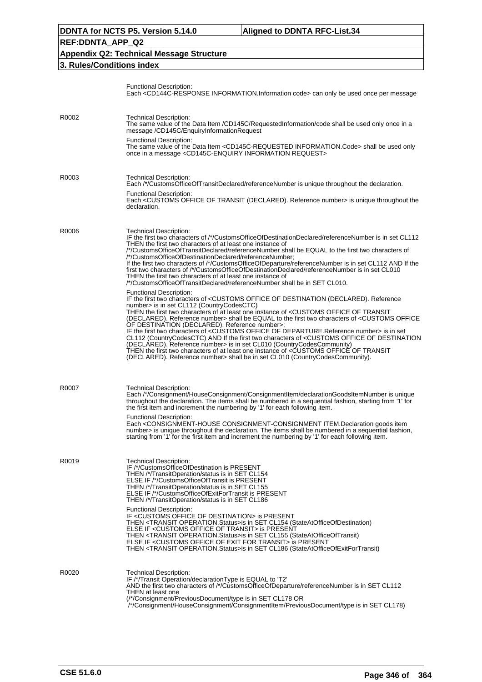| DDNTA for NCTS P5. Version 5.14.0<br><b>Aligned to DDNTA RFC-List.34</b> |                                                                                                                                                                                                                                                                                                                                                                                                                                                                                                                                                                                                                                                                                                                                                                                                                                                                                                                                                                                             |  |
|--------------------------------------------------------------------------|---------------------------------------------------------------------------------------------------------------------------------------------------------------------------------------------------------------------------------------------------------------------------------------------------------------------------------------------------------------------------------------------------------------------------------------------------------------------------------------------------------------------------------------------------------------------------------------------------------------------------------------------------------------------------------------------------------------------------------------------------------------------------------------------------------------------------------------------------------------------------------------------------------------------------------------------------------------------------------------------|--|
| <b>REF:DDNTA APP Q2</b>                                                  |                                                                                                                                                                                                                                                                                                                                                                                                                                                                                                                                                                                                                                                                                                                                                                                                                                                                                                                                                                                             |  |
|                                                                          | <b>Appendix Q2: Technical Message Structure</b>                                                                                                                                                                                                                                                                                                                                                                                                                                                                                                                                                                                                                                                                                                                                                                                                                                                                                                                                             |  |
|                                                                          | 3. Rules/Conditions index                                                                                                                                                                                                                                                                                                                                                                                                                                                                                                                                                                                                                                                                                                                                                                                                                                                                                                                                                                   |  |
|                                                                          | <b>Functional Description:</b>                                                                                                                                                                                                                                                                                                                                                                                                                                                                                                                                                                                                                                                                                                                                                                                                                                                                                                                                                              |  |
|                                                                          | Each <cd144c-response code="" information.information=""> can only be used once per message</cd144c-response>                                                                                                                                                                                                                                                                                                                                                                                                                                                                                                                                                                                                                                                                                                                                                                                                                                                                               |  |
| R0002                                                                    | <b>Technical Description:</b><br>The same value of the Data Item /CD145C/RequestedInformation/code shall be used only once in a<br>message/CD145C/EnquiryInformationRequest                                                                                                                                                                                                                                                                                                                                                                                                                                                                                                                                                                                                                                                                                                                                                                                                                 |  |
|                                                                          | <b>Functional Description:</b><br>The same value of the Data Item <cd145c-requested information.code=""> shall be used only<br/>once in a message <cd145c-enquiry information="" request=""></cd145c-enquiry></cd145c-requested>                                                                                                                                                                                                                                                                                                                                                                                                                                                                                                                                                                                                                                                                                                                                                            |  |
| R0003                                                                    | <b>Technical Description:</b><br>Each /*/CustomsOfficeOfTransitDeclared/referenceNumber is unique throughout the declaration.                                                                                                                                                                                                                                                                                                                                                                                                                                                                                                                                                                                                                                                                                                                                                                                                                                                               |  |
|                                                                          | <b>Functional Description:</b><br>Each <customs (declared).="" number="" of="" office="" reference="" transit=""> is unique throughout the<br/>declaration.</customs>                                                                                                                                                                                                                                                                                                                                                                                                                                                                                                                                                                                                                                                                                                                                                                                                                       |  |
| R0006                                                                    | <b>Technical Description:</b><br>IF the first two characters of /*/CustomsOfficeOfDestinationDeclared/referenceNumber is in set CL112<br>THEN the first two characters of at least one instance of<br>/*/CustomsOfficeOfTransitDeclared/referenceNumber shall be EQUAL to the first two characters of<br>/*/CustomsOfficeOfDestinationDeclared/referenceNumber;<br>If the first two characters of /*/CustomsOfficeOfDeparture/referenceNumber is in set CL112 AND If the<br>first two characters of /*/CustomsOfficeOfDestinationDeclared/referenceNumber is in set CL010<br>THEN the first two characters of at least one instance of<br>/*/CustomsOfficeOfTransitDeclared/referenceNumber shall be in SET CL010.                                                                                                                                                                                                                                                                          |  |
|                                                                          | <b>Functional Description:</b><br>IF the first two characters of <customs (declared).="" destination="" of="" office="" reference<br="">number&gt; is in set CL112 (CountryCodesCTC)<br/>THEN the first two characters of at least one instance of <customs of="" office="" transit<br="">(DECLARED). Reference number&gt; shall be EQUAL to the first two characters of <customs office<br="">OF DESTINATION (DECLARED). Reference number&gt;;<br/>IF the first two characters of <customs departure.reference="" number="" of="" office=""> is in set<br/>CL112 (CountryCodesCTC) AND If the first two characters of <customs destination<br="" of="" office="">(DECLARED). Reference number&gt; is in set CL010 (CountryCodesCommunity)<br/>THEN the first two characters of at least one instance of <customs of="" office="" transit<br="">(DECLARED). Reference number&gt; shall be in set CL010 (CountryCodesCommunity).</customs></customs></customs></customs></customs></customs> |  |
| R0007                                                                    | <b>Technical Description:</b><br>Each /*/Consignment/HouseConsignment/ConsignmentItem/declarationGoodsItemNumber is unique<br>throughout the declaration. The items shall be numbered in a sequential fashion, starting from '1' for<br>the first item and increment the numbering by '1' for each following item.<br>Functional Description:<br>Each <consignment-house consignment-consignment="" goods="" item.declaration="" item<br="">number&gt; is unique throughout the declaration. The items shall be numbered in a sequential fashion,<br/>starting from '1' for the first item and increment the numbering by '1' for each following item.</consignment-house>                                                                                                                                                                                                                                                                                                                  |  |
| R0019                                                                    | <b>Technical Description:</b><br>IF /*/CustomsOfficeOfDestination is PRESENT<br>THEN /*/TransitOperation/status is in SET CL154<br>ELSE IF /*/CustomsOfficeOfTransit is PRESENT<br>THEN /*/TransitOperation/status is in SET CL155<br>ELSE IF /*/CustomsOfficeOfExitForTransit is PRESENT<br>THEN /*/TransitOperation/status is in SET CL186<br><b>Functional Description:</b><br>IF <customs destination="" of="" office=""> is PRESENT<br/>THEN <transit operation.status="">is in SET CL154 (StateAtOfficeOfDestination)<br/>ELSE IF &lt; CUSTOMS OFFICE OF TRANSIT&gt; is PRESENT<br/>THEN <transit operation.="" status="">is in SET CL155 (StateAtOfficeOfTransit)<br/>ELSE IF &lt; CUSTOMS OFFICE OF EXIT FOR TRANSIT&gt; is PRESENT<br/>THEN <transit operation.="" status="">is in SET CL186 (StateAtOfficeOfExitForTransit)</transit></transit></transit></customs>                                                                                                               |  |
| R0020                                                                    | <b>Technical Description:</b><br>IF /*/Transit Operation/declarationType is EQUAL to 'T2'<br>AND the first two characters of /*/CustomsOfficeOfDeparture/referenceNumber is in SET CL112<br>THEN at least one<br>(/*/Consignment/PreviousDocument/type is in SET CL178 OR                                                                                                                                                                                                                                                                                                                                                                                                                                                                                                                                                                                                                                                                                                                   |  |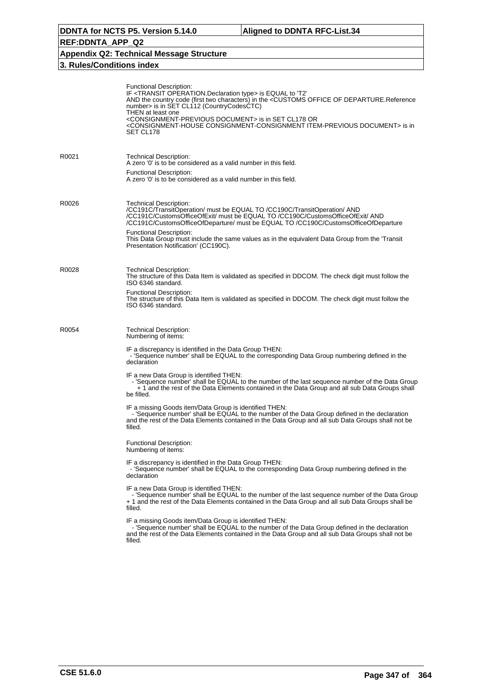| <b>REF:DDNTA APP Q2</b> | <b>Aligned to DDNTA RFC-List.34</b><br>DDNTA for NCTS P5. Version 5.14.0                                                                                                                                                                                                                                                                                                                                                                                                                                   |
|-------------------------|------------------------------------------------------------------------------------------------------------------------------------------------------------------------------------------------------------------------------------------------------------------------------------------------------------------------------------------------------------------------------------------------------------------------------------------------------------------------------------------------------------|
|                         | <b>Appendix Q2: Technical Message Structure</b>                                                                                                                                                                                                                                                                                                                                                                                                                                                            |
|                         | 3. Rules/Conditions index                                                                                                                                                                                                                                                                                                                                                                                                                                                                                  |
|                         |                                                                                                                                                                                                                                                                                                                                                                                                                                                                                                            |
|                         | <b>Functional Description:</b><br>IF <transit operation.declaration="" type=""> is EQUAL to 'T2'<br/>AND the country code (first two characters) in the <customs departure.reference<br="" of="" office="">number&gt; is in SET CL112 (CountryCodesCTC)<br/>THEN at least one<br/><consignment-previous document=""> is in SET CL178 OR<br/><consignment-house consignment-consignment="" document="" item-previous=""> is in<br/>SET CL178</consignment-house></consignment-previous></customs></transit> |
| R0021                   | <b>Technical Description:</b><br>A zero '0' is to be considered as a valid number in this field.                                                                                                                                                                                                                                                                                                                                                                                                           |
|                         | <b>Functional Description:</b><br>A zero '0' is to be considered as a valid number in this field.                                                                                                                                                                                                                                                                                                                                                                                                          |
| R0026                   | <b>Technical Description:</b><br>/CC191C/TransitOperation/ must be EQUAL TO /CC190C/TransitOperation/ AND<br>/CC191C/CustomsOfficeOfExit/ must be EQUAL TO /CC190C/CustomsOfficeOfExit/ AND<br>/CC191C/CustomsOfficeOfDeparture/ must be EQUAL TO /CC190C/CustomsOfficeOfDeparture<br><b>Functional Description:</b>                                                                                                                                                                                       |
|                         | This Data Group must include the same values as in the equivalent Data Group from the 'Transit<br>Presentation Notification' (CC190C).                                                                                                                                                                                                                                                                                                                                                                     |
| R0028                   | <b>Technical Description:</b><br>The structure of this Data Item is validated as specified in DDCOM. The check digit must follow the<br>ISO 6346 standard.                                                                                                                                                                                                                                                                                                                                                 |
|                         | <b>Functional Description:</b><br>The structure of this Data Item is validated as specified in DDCOM. The check digit must follow the<br>ISO 6346 standard.                                                                                                                                                                                                                                                                                                                                                |
| R0054                   | <b>Technical Description:</b><br>Numbering of items:                                                                                                                                                                                                                                                                                                                                                                                                                                                       |
|                         | IF a discrepancy is identified in the Data Group THEN:<br>- 'Sequence number' shall be EQUAL to the corresponding Data Group numbering defined in the<br>declaration                                                                                                                                                                                                                                                                                                                                       |
|                         | IF a new Data Group is identified THEN:<br>- 'Sequence number' shall be EQUAL to the number of the last sequence number of the Data Group<br>+ 1 and the rest of the Data Elements contained in the Data Group and all sub Data Groups shall<br>be filled.                                                                                                                                                                                                                                                 |
|                         | IF a missing Goods item/Data Group is identified THEN:<br>- 'Sequence number' shall be EQUAL to the number of the Data Group defined in the declaration<br>and the rest of the Data Elements contained in the Data Group and all sub Data Groups shall not be<br>filled.                                                                                                                                                                                                                                   |
|                         | <b>Functional Description:</b><br>Numbering of items:                                                                                                                                                                                                                                                                                                                                                                                                                                                      |
|                         | IF a discrepancy is identified in the Data Group THEN:<br>- 'Sequence number' shall be EQUAL to the corresponding Data Group numbering defined in the<br>declaration                                                                                                                                                                                                                                                                                                                                       |
|                         | IF a new Data Group is identified THEN:<br>- 'Sequence number' shall be EQUAL to the number of the last sequence number of the Data Group<br>+ 1 and the rest of the Data Elements contained in the Data Group and all sub Data Groups shall be<br>filled.                                                                                                                                                                                                                                                 |
|                         | IF a missing Goods item/Data Group is identified THEN:<br>- 'Sequence number' shall be EQUAL to the number of the Data Group defined in the declaration<br>and the rest of the Data Elements contained in the Data Group and all sub Data Groups shall not be<br>filled.                                                                                                                                                                                                                                   |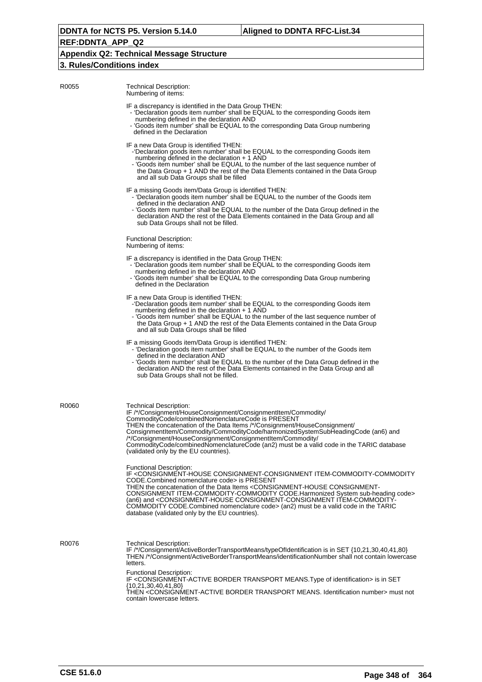# **Appendix Q2: Technical Message Structure**

| R0055 | <b>Technical Description:</b><br>Numbering of items:                                                                                                                                                                                                                                                                                                                                                                                                                                                                                                                                                                        |
|-------|-----------------------------------------------------------------------------------------------------------------------------------------------------------------------------------------------------------------------------------------------------------------------------------------------------------------------------------------------------------------------------------------------------------------------------------------------------------------------------------------------------------------------------------------------------------------------------------------------------------------------------|
|       | IF a discrepancy is identified in the Data Group THEN:<br>- 'Declaration goods item number' shall be EQUAL to the corresponding Goods item<br>numbering defined in the declaration AND<br>- 'Goods item number' shall be EQUAL to the corresponding Data Group numbering<br>defined in the Declaration                                                                                                                                                                                                                                                                                                                      |
|       | IF a new Data Group is identified THEN:<br>-'Declaration goods item number' shall be EQUAL to the corresponding Goods item<br>numbering defined in the declaration + 1 AND<br>- 'Goods item number' shall be EQUAL to the number of the last sequence number of<br>the Data Group + 1 AND the rest of the Data Elements contained in the Data Group<br>and all sub Data Groups shall be filled                                                                                                                                                                                                                              |
|       | IF a missing Goods item/Data Group is identified THEN:<br>- 'Declaration goods item number' shall be EQUAL to the number of the Goods item<br>defined in the declaration AND<br>- 'Goods item number' shall be EQUAL to the number of the Data Group defined in the<br>declaration AND the rest of the Data Elements contained in the Data Group and all<br>sub Data Groups shall not be filled.                                                                                                                                                                                                                            |
|       | <b>Functional Description:</b><br>Numbering of items:                                                                                                                                                                                                                                                                                                                                                                                                                                                                                                                                                                       |
|       | IF a discrepancy is identified in the Data Group THEN:<br>- 'Declaration goods item number' shall be EQUAL to the corresponding Goods item<br>numbering defined in the declaration AND<br>- 'Goods item number' shall be EQUAL to the corresponding Data Group numbering<br>defined in the Declaration                                                                                                                                                                                                                                                                                                                      |
|       | IF a new Data Group is identified THEN:<br>-'Declaration goods item number' shall be EQUAL to the corresponding Goods item<br>numbering defined in the declaration $+1$ AND<br>- 'Goods item number' shall be EQUAL to the number of the last sequence number of<br>the Data Group + 1 AND the rest of the Data Elements contained in the Data Group<br>and all sub Data Groups shall be filled                                                                                                                                                                                                                             |
|       | IF a missing Goods item/Data Group is identified THEN:<br>- 'Declaration goods item number' shall be EQUAL to the number of the Goods item<br>defined in the declaration AND<br>- 'Goods item number' shall be EQUAL to the number of the Data Group defined in the<br>declaration AND the rest of the Data Elements contained in the Data Group and all<br>sub Data Groups shall not be filled.                                                                                                                                                                                                                            |
| R0060 | Technical Description:<br>IF/*/Consignment/HouseConsignment/ConsignmentItem/Commodity/<br>CommodityCode/combinedNomenclatureCode is PRESENT<br>THEN the concatenation of the Data Items /*/Consignment/HouseConsignment/<br>ConsignmentItem/Commodity/CommodityCode/harmonizedSystemSubHeadingCode (an6) and<br>/*/Consignment/HouseConsignment/ConsignmentItem/Commodity/<br>CommodityCode/combinedNomenclatureCode (an2) must be a valid code in the TARIC database<br>(validated only by the EU countries).                                                                                                              |
|       | <b>Functional Description:</b><br>IF <consignment-house consignment-consignment="" item-commodity-commodity<br="">CODE.Combined nomenclature code&gt; is PRESENT<br/>THEN the concatenation of the Data Items <consignment-house consignment-<br="">CONSIGNMENT ITEM-COMMODITY-COMMODITY CODE.Harmonized System sub-heading code&gt;<br/>(an6) and <consignment-house consignment-consignment="" item-commodity-<br="">COMMODITY CODE.Combined nomenclature code&gt; (an2) must be a valid code in the TARIC<br/>database (validated only by the EU countries).</consignment-house></consignment-house></consignment-house> |
| R0076 | Technical Description:<br>IF /*/Consignment/ActiveBorderTransportMeans/typeOfIdentification is in SET {10,21,30,40,41,80}<br>THEN /*/Consignment/ActiveBorderTransportMeans/identificationNumber shall not contain lowercase<br>letters.                                                                                                                                                                                                                                                                                                                                                                                    |
|       | <b>Functional Description:</b><br>IF <consignment-active border="" identification="" means.="" of="" transport="" type=""> is in SET<br/><math>{10,21,30,40,41,80}</math><br/>THEN <consignment-active border="" identification="" means.="" number="" transport=""> must not<br/>contain lowercase letters.</consignment-active></consignment-active>                                                                                                                                                                                                                                                                      |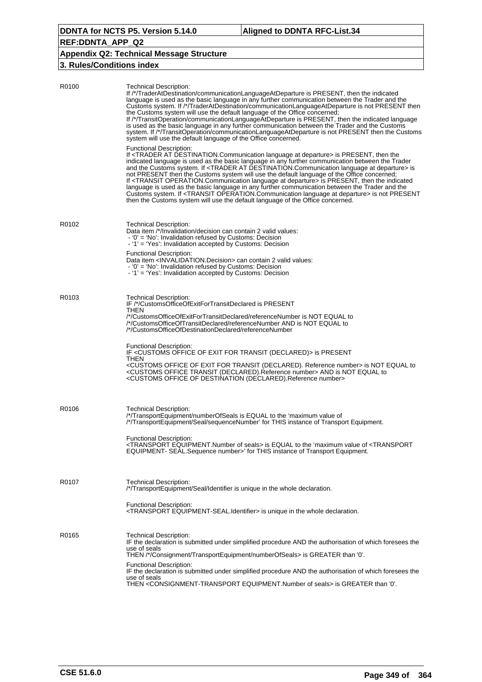# **Appendix Q2: Technical Message Structure**

| R0100 | Technical Description:<br>If /*/TraderAtDestination/communicationLanguageAtDeparture is PRESENT, then the indicated<br>language is used as the basic language in any further communication between the Trader and the<br>Customs system. If /*/TraderAtDestination/communicationLanguageAtDeparture is not PRESENT then<br>the Customs system will use the default language of the Office concerned;<br>If /*/TransitOperation/communicationLanguageAtDeparture is PRESENT, then the indicated language<br>is used as the basic language in any further communication between the Trader and the Customs<br>system. If /*/TransitOperation/communicationLanguageAtDeparture is not PRESENT then the Customs<br>system will use the default language of the Office concerned.                                                                                                              |
|-------|-------------------------------------------------------------------------------------------------------------------------------------------------------------------------------------------------------------------------------------------------------------------------------------------------------------------------------------------------------------------------------------------------------------------------------------------------------------------------------------------------------------------------------------------------------------------------------------------------------------------------------------------------------------------------------------------------------------------------------------------------------------------------------------------------------------------------------------------------------------------------------------------|
|       | <b>Functional Description:</b><br>If <trader at="" departure="" destination.communication="" language=""> is PRESENT, then the<br/>indicated language is used as the basic language in any further communication between the Trader<br/>and the Customs system. If <trader at="" departure="" destination.communication="" language=""> is<br/>not PRESENT then the Customs system will use the default language of the Office concerned;<br/>If <transit at="" departure="" language="" operation.communication=""> is PRESENT, then the indicated<br/>language is used as the basic language in any further communication between the Trader and the<br/>Customs system. If <transit at="" departure="" language="" operation.communication=""> is not PRESENT<br/>then the Customs system will use the default language of the Office concerned.</transit></transit></trader></trader> |
| R0102 | Technical Description:<br>Data item /*/Invalidation/decision can contain 2 valid values:<br>- '0' = 'No': Invalidation refused by Customs: Decision<br>- '1' = 'Yes': Invalidation accepted by Customs: Decision                                                                                                                                                                                                                                                                                                                                                                                                                                                                                                                                                                                                                                                                          |
|       | <b>Functional Description:</b><br>Data item <invalidation.decision> can contain 2 valid values:<br/>- '0' = 'No': Invalidation refused by Customs: Decision<br/>- '1' = 'Yes': Invalidation accepted by Customs: Decision</invalidation.decision>                                                                                                                                                                                                                                                                                                                                                                                                                                                                                                                                                                                                                                         |
| R0103 | <b>Technical Description:</b><br>IF /*/CustomsOfficeOfExitForTransitDeclared is PRESENT<br>THEN<br>/*/CustomsOfficeOfExitForTransitDeclared/referenceNumber is NOT EQUAL to<br>/*/CustomsOfficeOfTransitDeclared/referenceNumber AND is NOT EQUAL to<br>/*/CustomsOfficeOfDestinationDeclared/referenceNumber                                                                                                                                                                                                                                                                                                                                                                                                                                                                                                                                                                             |
|       | <b>Functional Description:</b><br>IF <customs (declared)="" exit="" for="" of="" office="" transit=""> is PRESENT</customs>                                                                                                                                                                                                                                                                                                                                                                                                                                                                                                                                                                                                                                                                                                                                                               |
|       | THEN<br><customs (declared).="" exit="" for="" number="" of="" office="" reference="" transit=""> is NOT EQUAL to<br/><customs (declared).reference="" number="" office="" transit=""> AND is NOT EQUAL to<br/><customs (declared).reference="" destination="" number="" of="" office=""></customs></customs></customs>                                                                                                                                                                                                                                                                                                                                                                                                                                                                                                                                                                   |
| R0106 | Technical Description:<br>/*/TransportEquipment/numberOfSeals is EQUAL to the 'maximum value of<br>/*/TransportEquipment/Seal/sequenceNumber' for THIS instance of Transport Equipment.                                                                                                                                                                                                                                                                                                                                                                                                                                                                                                                                                                                                                                                                                                   |
|       | <b>Functional Description:</b><br><transport equipment.number="" of="" seals=""> is EQUAL to the 'maximum value of <transport<br>EQUIPMENT- SEAL. Sequence number&gt;' for THIS instance of Transport Equipment.</transport<br></transport>                                                                                                                                                                                                                                                                                                                                                                                                                                                                                                                                                                                                                                               |
| R0107 | <b>Technical Description:</b><br>/*/TransportEquipment/Seal/Identifier is unique in the whole declaration.                                                                                                                                                                                                                                                                                                                                                                                                                                                                                                                                                                                                                                                                                                                                                                                |
|       | <b>Functional Description:</b><br><transport equipment-seal.identifier=""> is unique in the whole declaration.</transport>                                                                                                                                                                                                                                                                                                                                                                                                                                                                                                                                                                                                                                                                                                                                                                |
| R0165 | <b>Technical Description:</b><br>IF the declaration is submitted under simplified procedure AND the authorisation of which foresees the<br>use of seals<br>THEN /*/Consignment/TransportEquipment/numberOfSeals> is GREATER than '0'.<br><b>Functional Description:</b><br>IF the declaration is submitted under simplified procedure AND the authorisation of which foresees the                                                                                                                                                                                                                                                                                                                                                                                                                                                                                                         |
|       | use of seals<br>THEN <consignment-transport equipment.number="" of="" seals=""> is GREATER than '0'.</consignment-transport>                                                                                                                                                                                                                                                                                                                                                                                                                                                                                                                                                                                                                                                                                                                                                              |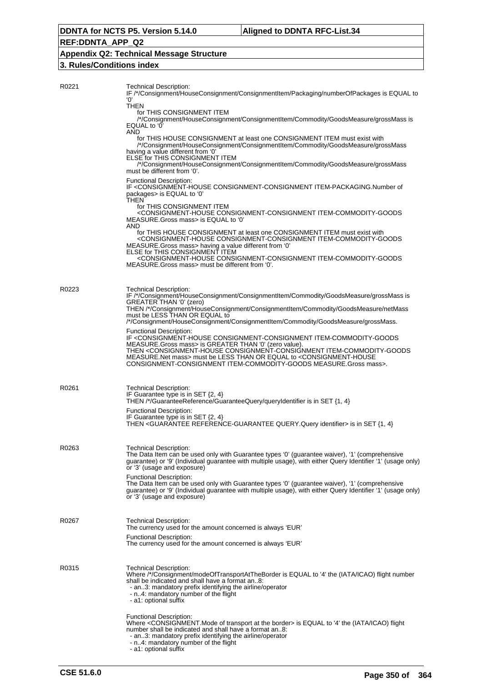# **Appendix Q2: Technical Message Structure**

| R0221 | <b>Technical Description:</b><br>IF /*/Consignment/HouseConsignment/ConsignmentItem/Packaging/numberOfPackages is EQUAL to<br>'ቦ'<br><b>THEN</b>                                                                                                                                                                                                        |
|-------|---------------------------------------------------------------------------------------------------------------------------------------------------------------------------------------------------------------------------------------------------------------------------------------------------------------------------------------------------------|
|       | for THIS CONSIGNMENT ITEM<br>/*/Consignment/HouseConsignment/ConsignmentItem/Commodity/GoodsMeasure/grossMass is<br>EQUAL to $0$<br><b>AND</b>                                                                                                                                                                                                          |
|       | for THIS HOUSE CONSIGNMENT at least one CONSIGNMENT ITEM must exist with<br>/*/Consignment/HouseConsignment/ConsignmentItem/Commodity/GoodsMeasure/grossMass<br>having a value different from '0'                                                                                                                                                       |
|       | ELSE for THIS CONSIGNMENT ITEM<br>/*/Consignment/HouseConsignment/ConsignmentItem/Commodity/GoodsMeasure/grossMass<br>must be different from '0'.                                                                                                                                                                                                       |
|       | <b>Functional Description:</b><br>IF <consignment-house consignment-consignment="" item-packaging.number="" of<br="">packages&gt; is EQUAL to '0'<br/><b>THEN</b></consignment-house>                                                                                                                                                                   |
|       | for THIS CONSIGNMENT ITEM<br><consignment-house consignment-consignment="" item-commodity-goods<br="">MEASURE.Gross mass&gt; is EQUAL to '0'<br/>AND</consignment-house>                                                                                                                                                                                |
|       | for THIS HOUSE CONSIGNMENT at least one CONSIGNMENT ITEM must exist with<br><consignment-house consignment-consignment="" item-commodity-goods<br="">MEASURE.Gross mass&gt; having a value different from '0'<br/>ELSE for THIS CONSIGNMENT ITEM</consignment-house>                                                                                    |
|       | <consignment-house consignment-consignment="" item-commodity-goods<br="">MEASURE. Gross mass&gt; must be different from '0'.</consignment-house>                                                                                                                                                                                                        |
| R0223 | <b>Technical Description:</b><br>IF /*/Consignment/HouseConsignment/ConsignmentItem/Commodity/GoodsMeasure/grossMass is<br>GREATER THAN '0' (zero)                                                                                                                                                                                                      |
|       | THEN /*/Consignment/HouseConsignment/ConsignmentItem/Commodity/GoodsMeasure/netMass<br>must be LESS THAN OR EQUAL to<br>/*/Consignment/HouseConsignment/ConsignmentItem/Commodity/GoodsMeasure/grossMass.                                                                                                                                               |
|       | <b>Functional Description:</b><br>IF <consignment-house consignment-consignment="" item-commodity-goods<="" td=""></consignment-house>                                                                                                                                                                                                                  |
|       | MEASURE.Gross mass> is GREATER THAN '0' (zero value).<br>THEN <consignment-house consignment-consignment="" item-commodity-goods<br="">MEASURE.Net mass&gt; must be LESS THAN OR EQUAL to <consignment-house<br>CONSIGNMENT-CONSIGNMENT ITEM-COMMODITY-GOODS MEASURE.Gross mass&gt;.</consignment-house<br></consignment-house>                         |
| R0261 | <b>Technical Description:</b><br>IF Guarantee type is in SET $\{2, 4\}$                                                                                                                                                                                                                                                                                 |
|       | THEN /*/GuaranteeReference/GuaranteeQuery/queryIdentifier is in SET {1, 4}<br><b>Functional Description:</b><br>IF Guarantee type is in SET {2, 4}                                                                                                                                                                                                      |
|       | THEN <guarantee identifier="" query.query="" reference-guarantee=""> is in SET {1, 4}</guarantee>                                                                                                                                                                                                                                                       |
| R0263 | <b>Technical Description:</b><br>The Data Item can be used only with Guarantee types '0' (guarantee waiver), '1' (comprehensive<br>guarantee) or '9' (Individual guarantee with multiple usage), with either Query Identifier '1' (usage only)<br>or '3' (usage and exposure)                                                                           |
|       | <b>Functional Description:</b><br>The Data Item can be used only with Guarantee types '0' (guarantee waiver), '1' (comprehensive<br>guarantee) or '9' (Individual guarantee with multiple usage), with either Query Identifier '1' (usage only)<br>or '3' (usage and exposure)                                                                          |
| R0267 | <b>Technical Description:</b><br>The currency used for the amount concerned is always 'EUR'                                                                                                                                                                                                                                                             |
|       | <b>Functional Description:</b><br>The currency used for the amount concerned is always 'EUR'                                                                                                                                                                                                                                                            |
| R0315 | <b>Technical Description:</b><br>Where /*/Consignment/modeOfTransportAtTheBorder is EQUAL to '4' the (IATA/ICAO) flight number<br>shall be indicated and shall have a format an8:<br>an3: mandatory prefix identifying the airline/operator<br>- n4: mandatory number of the flight<br>- a1: optional suffix                                            |
|       | <b>Functional Description:</b><br>Where <consignment.mode at="" border="" of="" the="" transport=""> is EQUAL to '4' the (IATA/ICAO) flight<br/>number shall be indicated and shall have a format an8:<br/>an3: mandatory prefix identifying the airline/operator<br/>- n4: mandatory number of the flight<br/>- a1: optional suffix</consignment.mode> |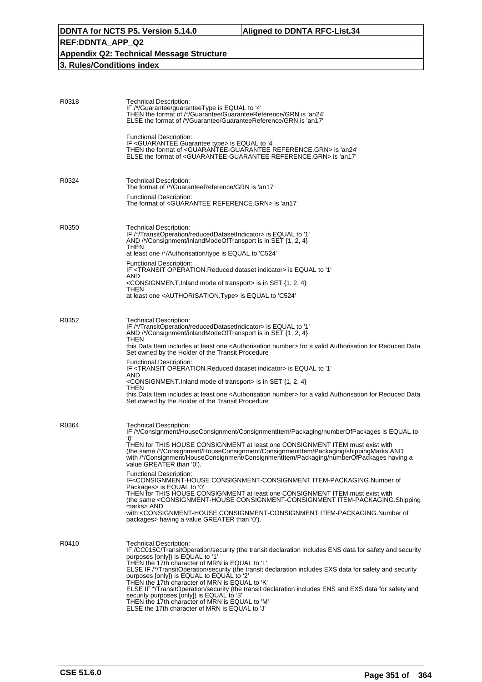# **Appendix Q2: Technical Message Structure**

| R0318 | <b>Technical Description:</b><br>IF /*/Guarantee/guaranteeType is EQUAL to '4'<br>THEN the format of /*/Guarantee/GuaranteeReference/GRN is 'an24'<br>ELSE the format of /*/Guarantee/GuaranteeReference/GRN is 'an17'<br><b>Functional Description:</b><br>IF <guarantee.guarantee type=""> is EQUAL to '4'<br/>THEN the format of <guarantee-guarantee reference.grn=""> is 'an24'<br/>ELSE the format of <guarantee-guarantee reference.grn=""> is 'an17'</guarantee-guarantee></guarantee-guarantee></guarantee.guarantee>                                                                                                                                                                                                                                                                                                                                                                                                                                                         |
|-------|----------------------------------------------------------------------------------------------------------------------------------------------------------------------------------------------------------------------------------------------------------------------------------------------------------------------------------------------------------------------------------------------------------------------------------------------------------------------------------------------------------------------------------------------------------------------------------------------------------------------------------------------------------------------------------------------------------------------------------------------------------------------------------------------------------------------------------------------------------------------------------------------------------------------------------------------------------------------------------------|
| R0324 | <b>Technical Description:</b><br>The format of /*/GuaranteeReference/GRN is 'an17'<br><b>Functional Description:</b><br>The format of <guarantee reference.grn=""> is 'an17'</guarantee>                                                                                                                                                                                                                                                                                                                                                                                                                                                                                                                                                                                                                                                                                                                                                                                               |
| R0350 | <b>Technical Description:</b><br>IF /*/TransitOperation/reducedDatasetIndicator> is EQUAL to '1'<br>AND /*/Consignment/inlandModeOfTransport is in SET {1, 2, 4}<br>THEN<br>at least one /*/Authorisation/type is EQUAL to 'C524'<br><b>Functional Description:</b><br>IF <transit dataset="" indicator="" operation.reduced=""> is EQUAL to '1'<br/>AND<br/><consignment. inland="" mode="" of="" transport=""> is in SET <math>\{1, 2, 4\}</math><br/>THEN<br/>at least one <authorisation.type> is EQUAL to 'C524'</authorisation.type></consignment.></transit>                                                                                                                                                                                                                                                                                                                                                                                                                    |
| R0352 | <b>Technical Description:</b><br>IF /*/TransitOperation/reducedDatasetIndicator> is EQUAL to '1'<br>AND /*/Consignment/inlandModeOfTransport is in SET {1, 2, 4}<br><b>THEN</b><br>this Data Item includes at least one <authorisation number=""> for a valid Authorisation for Reduced Data<br/>Set owned by the Holder of the Transit Procedure<br/><b>Functional Description:</b><br/>IF <transit dataset="" indicator="" operation.reduced=""> is EQUAL to '1'<br/>AND<br/><math>\leq</math>CONSIGNMENT.Inland mode of transport&gt; is in SET {1, 2, 4}<br/>THEN<br/>this Data Item includes at least one <authorisation number=""> for a valid Authorisation for Reduced Data<br/>Set owned by the Holder of the Transit Procedure</authorisation></transit></authorisation>                                                                                                                                                                                                     |
| R0364 | <b>Technical Description:</b><br>IF /*/Consignment/HouseConsignment/ConsignmentItem/Packaging/numberOfPackages is EQUAL to<br>'በ'<br>THEN for THIS HOUSE CONSIGNMENT at least one CONSIGNMENT ITEM must exist with<br>(the same /*/Consignment/HouseConsignment/ConsignmentItem/Packaging/shippingMarks AND<br>with /*/Consignment/HouseConsignment/ConsignmentItem/Packaging/numberOfPackages having a<br>value GREATER than '0').<br><b>Functional Description:</b><br>IF <consignment-house consignment-consignment="" item-packaging.number="" of<br="">Packages&gt; is EQUAL to '0'<br/>THEN for THIS HOUSE CONSIGNMENT at least one CONSIGNMENT ITEM must exist with<br/>(the same <consignment-house consignment-consignment="" item-packaging.shipping<br="">marks&gt; AND<br/>with <consignment-house consignment-consignment="" item-packaging.number="" of<br="">packages&gt; having a value GREATER than '0').</consignment-house></consignment-house></consignment-house> |
| R0410 | <b>Technical Description:</b><br>IF/CC015C/TransitOperation/security (the transit declaration includes ENS data for safety and security<br>purposes [only]) is EQUAL to '1'<br>THEN the 17th character of MRN is EQUAL to 'L'<br>ELSE IF /*/TransitOperation/security (the transit declaration includes EXS data for safety and security<br>purposes [only]) is EQUAL to EQUAL to '2'<br>THEN the 17th character of MRN is EQUAL to 'K'<br>ELSE IF */TransitOperation/security (the transit declaration includes ENS and EXS data for safety and<br>security purposes [only]) is EQUAL to '3'<br>THEN the 17th character of MRN is EQUAL to 'M'<br>ELSE the 17th character of MRN is EQUAL to 'J'                                                                                                                                                                                                                                                                                      |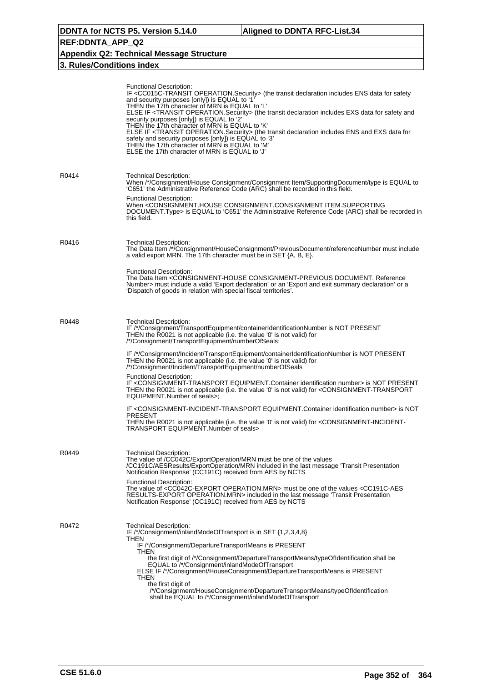# **REF:DDNTA\_APP\_Q2**

**Appendix Q2: Technical Message Structure**

|       | <b>Functional Description:</b><br>IF <cc015c-transit operation.="" security=""> (the transit declaration includes ENS data for safety<br/>and security purposes [only]) is EQUAL to '1'<br/>THEN the 17th character of MRN is EQUAL to 'L'<br/>ELSE IF <transit operation.="" security=""> (the transit declaration includes EXS data for safety and<br/>security purposes [only]) is EQUAL to '2'<br/>THEN the 17th character of MRN is EQUAL to 'K'<br/>ELSE IF <transit operation.="" security=""> (the transit declaration includes ENS and EXS data for<br/>safety and security purposes [only]) is EQUAL to '3'<br/>THEN the 17th character of MRN is EQUAL to 'M'<br/>ELSE the 17th character of MRN is EQUAL to 'J'</transit></transit></cc015c-transit> |
|-------|------------------------------------------------------------------------------------------------------------------------------------------------------------------------------------------------------------------------------------------------------------------------------------------------------------------------------------------------------------------------------------------------------------------------------------------------------------------------------------------------------------------------------------------------------------------------------------------------------------------------------------------------------------------------------------------------------------------------------------------------------------------|
| R0414 | Technical Description:<br>When /*/Consignment/House Consignment/Consignment Item/SupportingDocument/type is EQUAL to<br>'C651' the Administrative Reference Code (ARC) shall be recorded in this field.<br><b>Functional Description:</b>                                                                                                                                                                                                                                                                                                                                                                                                                                                                                                                        |
|       | When <consignment.house consignment.consignment="" item.supporting<br="">DOCUMENT.Type&gt; is EQUAL to 'C651' the Administrative Reference Code (ARC) shall be recorded in<br/>this field.</consignment.house>                                                                                                                                                                                                                                                                                                                                                                                                                                                                                                                                                   |
| R0416 | <b>Technical Description:</b><br>The Data Item /*/Consignment/HouseConsignment/PreviousDocument/referenceNumber must include<br>a valid export MRN. The 17th character must be in SET {A, B, E}.                                                                                                                                                                                                                                                                                                                                                                                                                                                                                                                                                                 |
|       | <b>Functional Description:</b><br>The Data Item <consignment-house consignment-previous="" document.="" reference<br="">Number&gt; must include a valid 'Export declaration' or an 'Export and exit summary declaration' or a<br/>'Dispatch of goods in relation with special fiscal territories'.</consignment-house>                                                                                                                                                                                                                                                                                                                                                                                                                                           |
| R0448 | <b>Technical Description:</b><br>IF /*/Consignment/TransportEquipment/containerIdentificationNumber is NOT PRESENT<br>THEN the R0021 is not applicable (i.e. the value '0' is not valid) for<br>/*/Consignment/TransportEquipment/numberOfSeals;                                                                                                                                                                                                                                                                                                                                                                                                                                                                                                                 |
|       | IF/*/Consignment/Incident/TransportEquipment/containerIdentificationNumber is NOT PRESENT<br>THEN the R0021 is not applicable (i.e. the value '0' is not valid) for<br>/*/Consignment/Incident/TransportEquipment/numberOfSeals                                                                                                                                                                                                                                                                                                                                                                                                                                                                                                                                  |
|       | <b>Functional Description:</b><br>IF <consignment-transport equipment.container="" identification="" number=""> is NOT PRESENT<br/>THEN the R0021 is not applicable (i.e. the value '0' is not valid) for <consignment-transport<br>EQUIPMENT.Number of seals&gt;;</consignment-transport<br></consignment-transport>                                                                                                                                                                                                                                                                                                                                                                                                                                            |
|       | IF <consignment-incident-transport equipment.container="" identification="" number=""> is NOT<br/><b>PRESENT</b><br/>THEN the R0021 is not applicable (i.e. the value '0' is not valid) for <consignment-incident-<br>TRANSPORT EQUIPMENT.Number of seals&gt;</consignment-incident-<br></consignment-incident-transport>                                                                                                                                                                                                                                                                                                                                                                                                                                        |
|       |                                                                                                                                                                                                                                                                                                                                                                                                                                                                                                                                                                                                                                                                                                                                                                  |
| R0449 | <b>Technical Description:</b><br>The value of /CC042C/ExportOperation/MRN must be one of the values<br>/CC191C/AESResults/ExportOperation/MRN included in the last message 'Transit Presentation<br>Notification Response' (CC191C) received from AES by NCTS                                                                                                                                                                                                                                                                                                                                                                                                                                                                                                    |
|       | <b>Functional Description:</b><br>The value of <cc042c-export operation.mrn=""> must be one of the values <cc191c-aes<br>RESULTS-EXPORT OPERATION.MRN&gt; included in the last message 'Transit Presentation<br/>Notification Response' (CC191C) received from AES by NCTS</cc191c-aes<br></cc042c-export>                                                                                                                                                                                                                                                                                                                                                                                                                                                       |
| R0472 | Technical Description:<br>IF $\frac{\cancel{r}}{\cancel{c}}$ Consignment/inlandModeOfTransport is in SET {1,2,3,4,8}                                                                                                                                                                                                                                                                                                                                                                                                                                                                                                                                                                                                                                             |
|       | THEN<br>IF /*/Consignment/DepartureTransportMeans is PRESENT<br>THEN                                                                                                                                                                                                                                                                                                                                                                                                                                                                                                                                                                                                                                                                                             |
|       | the first digit of /*/Consignment/DepartureTransportMeans/typeOfIdentification shall be<br>EQUAL to /*/Consignment/inlandModeOfTransport<br>ELSE IF /*/Consignment/HouseConsignment/DepartureTransportMeans is PRESENT<br>THEN                                                                                                                                                                                                                                                                                                                                                                                                                                                                                                                                   |
|       | the first digit of<br>/*/Consignment/HouseConsignment/DepartureTransportMeans/typeOfldentification<br>shall be EQUAL to /*/Consignment/inlandModeOfTransport                                                                                                                                                                                                                                                                                                                                                                                                                                                                                                                                                                                                     |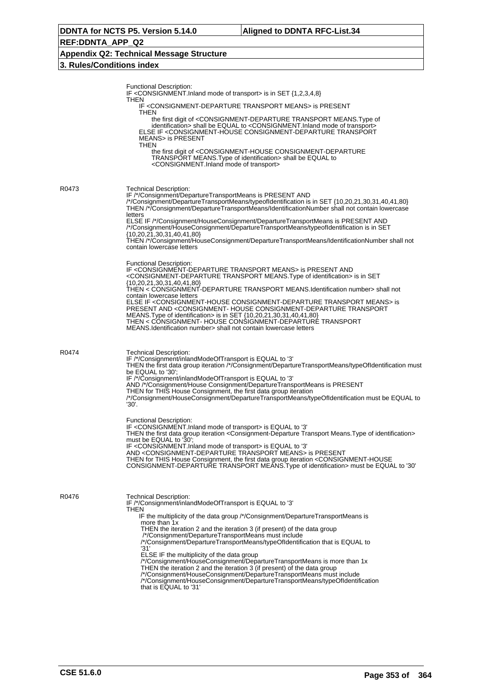# **Appendix Q2: Technical Message Structure**

|       | <b>Functional Description:</b><br>IF <consignment. inland="" mode="" of="" transport=""> is in SET <math>\{1,2,3,4,8\}</math><br/>THEN<br/>IF <consignment-departure means="" transport=""> is PRESENT<br/><b>THEN</b><br/>the first digit of <consignment-departure means.="" of<br="" transport="" type="">identification&gt; shall be EQUAL to <consignment.inland mode="" of="" transport=""><br/>ELSE IF <consignment-house consignment-departure="" transport<br=""><b>MEANS&gt; is PRESENT</b><br/><b>THEN</b><br/>the first digit of <consignment-house consignment-departure<br="">TRANSPORT MEANS. Type of identification&gt; shall be EQUAL to<br/><consignment.inland mode="" of="" transport=""></consignment.inland></consignment-house></consignment-house></consignment.inland></consignment-departure></consignment-departure></consignment.> |
|-------|----------------------------------------------------------------------------------------------------------------------------------------------------------------------------------------------------------------------------------------------------------------------------------------------------------------------------------------------------------------------------------------------------------------------------------------------------------------------------------------------------------------------------------------------------------------------------------------------------------------------------------------------------------------------------------------------------------------------------------------------------------------------------------------------------------------------------------------------------------------|
| R0473 | <b>Technical Description:</b><br>IF /*/Consignment/DepartureTransportMeans is PRESENT AND<br>/*/Consignment/DepartureTransportMeans/typeofIdentification is in SET {10,20,21,30,31,40,41,80}<br>THEN /*/Consignment/DepartureTransportMeans/IdentificationNumber shall not contain lowercase<br>letters<br>ELSE IF /*/Consignment/HouseConsignment/DepartureTransportMeans is PRESENT AND<br>/*/Consignment/HouseConsignment/DepartureTransportMeans/typeofldentification is in SET<br>${10, 20, 21, 30, 31, 40, 41, 80}$<br>THEN /*/Consignment/HouseConsignment/DepartureTransportMeans/IdentificationNumber shall not<br>contain lowercase letters                                                                                                                                                                                                          |
|       | <b>Functional Description:</b><br>IF <consignment-departure means="" transport=""> is PRESENT AND<br/><consignment-departure identification="" means.="" of="" transport="" type=""> is in SET<br/>{10,20,21,30,31,40,41,80}<br/>THEN &lt; CONSIGNMENT-DEPARTURE TRANSPORT MEANS.Identification number&gt; shall not<br/>contain lowercase letters<br/>ELSE IF <consignment-house consignment-departure="" means="" transport=""> is<br/>PRESENT AND <consignment- consignment-departure="" house="" transport<br="">MEANS. Type of identification&gt; is in SET {10,20,21,30,31,40,41,80}<br/>THEN &lt; CONSIGNMENT- HOUSE CONSIGNMENT-DEPARTURE TRANSPORT<br/>MEANS.Identification number&gt; shall not contain lowercase letters</consignment-></consignment-house></consignment-departure></consignment-departure>                                         |
| R0474 | Technical Description:<br>IF /*/Consignment/inlandModeOfTransport is EQUAL to '3'<br>THEN the first data group iteration /*/Consignment/DepartureTransportMeans/typeOfIdentification must<br>be EQUAL to '30';<br>IF /*/Consignment/inlandModeOfTransport is EQUAL to '3'<br>AND /*/Consignment/House Consignment/DepartureTransportMeans is PRESENT<br>THEN for THIS House Consignment, the first data group iteration<br>/*/Consignment/HouseConsignment/DepartureTransportMeans/typeOfIdentification must be EQUAL to<br>'30'.                                                                                                                                                                                                                                                                                                                              |
|       | <b>Functional Description:</b><br>IF <consignment.inland mode="" of="" transport=""> is EQUAL to '3'<br/>THEN the first data group iteration <consignment-departure identification="" means.="" of="" transport="" type=""><br/>must be EQUAL to '30';<br/>IF <consignment.inland mode="" of="" transport=""> is EQUAL to '3'<br/>AND <consignment-departure means="" transport=""> is PRESENT<br/>THEN for THIS House Consignment, the first data group iteration <consignment-house<br>CONSIGNMENT-DEPARTURE TRANSPORT MEANS. Type of identification&gt; must be EQUAL to '30'</consignment-house<br></consignment-departure></consignment.inland></consignment-departure></consignment.inland>                                                                                                                                                              |
| R0476 | <b>Technical Description:</b><br>IF /*/Consignment/inlandModeOfTransport is EQUAL to '3'<br><b>THEN</b><br>IF the multiplicity of the data group /*/Consignment/DepartureTransportMeans is<br>more than 1x<br>THEN the iteration 2 and the iteration 3 (if present) of the data group<br>/*/Consignment/DepartureTransportMeans must include<br>/*/Consignment/DepartureTransportMeans/typeOfIdentification that is EQUAL to<br>'31'<br>ELSE IF the multiplicity of the data group<br>/*/Consignment/HouseConsignment/DepartureTransportMeans is more than 1x<br>THEN the iteration 2 and the iteration 3 (if present) of the data group<br>/*/Consignment/HouseConsignment/DepartureTransportMeans must include<br>/*/Consignment/HouseConsignment/DepartureTransportMeans/typeOfIdentification<br>that is EQUAL to '31'                                      |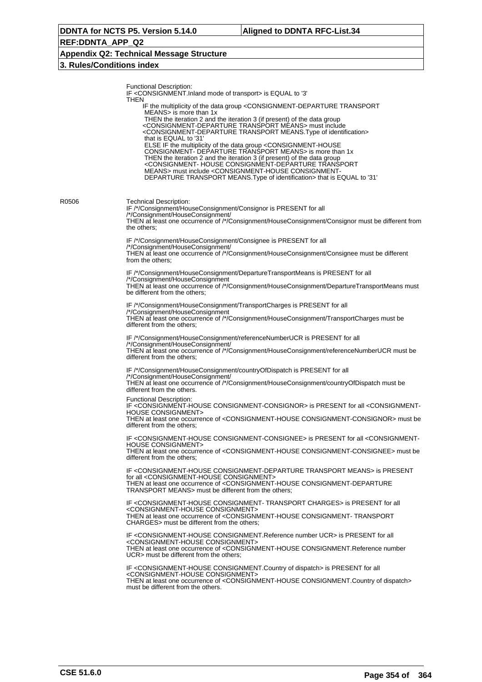# **Appendix Q2: Technical Message Structure**

|       | <b>Functional Description:</b><br>IF <consignment.inland mode="" of="" transport=""> is EQUAL to '3'<br/>THEN<br/>IF the multiplicity of the data group <consignment-departure transport<br="">MEANS&gt; is more than 1x<br/>THEN the iteration 2 and the iteration 3 (if present) of the data group<br/><consignment-departure méans="" transport=""> must include<br/><consignment-departure identification="" means.="" of="" transport="" type=""><br/>that is EQUAL to '31'<br/>ELSE IF the multiplicity of the data group <consignment-house<br>CONSIGNMENT- DEPARTURE TRANSPORT MEANS&gt; is more than 1x<br/>THEN the iteration 2 and the iteration 3 (if present) of the data group<br/><consignment- consignment-departure="" house="" transport<br="">MEANS&gt; must include <consignment-house consignment-<br="">DEPARTURE TRANSPORT MEANS. Type of identification &gt; that is EQUAL to '31'</consignment-house></consignment-></consignment-house<br></consignment-departure></consignment-departure></consignment-departure></consignment.inland> |
|-------|-------------------------------------------------------------------------------------------------------------------------------------------------------------------------------------------------------------------------------------------------------------------------------------------------------------------------------------------------------------------------------------------------------------------------------------------------------------------------------------------------------------------------------------------------------------------------------------------------------------------------------------------------------------------------------------------------------------------------------------------------------------------------------------------------------------------------------------------------------------------------------------------------------------------------------------------------------------------------------------------------------------------------------------------------------------------|
| R0506 | <b>Technical Description:</b><br>IF /*/Consignment/HouseConsignment/Consignor is PRESENT for all<br>/*/Consignment/HouseConsignment/<br>THEN at least one occurrence of /*/Consignment/HouseConsignment/Consignor must be different from<br>the others:<br>IF /*/Consignment/HouseConsignment/Consignee is PRESENT for all<br>/*/Consignment/HouseConsignment/<br>THEN at least one occurrence of /*/Consignment/HouseConsignment/Consignee must be different<br>from the others:                                                                                                                                                                                                                                                                                                                                                                                                                                                                                                                                                                                 |
|       | IF /*/Consignment/HouseConsignment/DepartureTransportMeans is PRESENT for all<br>/*/Consignment/HouseConsignment<br>THEN at least one occurrence of /*/Consignment/HouseConsignment/DepartureTransportMeans must<br>be different from the others;                                                                                                                                                                                                                                                                                                                                                                                                                                                                                                                                                                                                                                                                                                                                                                                                                 |
|       | IF /*/Consignment/HouseConsignment/TransportCharges is PRESENT for all<br>/*/Consignment/HouseConsignment<br>THEN at least one occurrence of /*/Consignment/HouseConsignment/TransportCharges must be<br>different from the others:                                                                                                                                                                                                                                                                                                                                                                                                                                                                                                                                                                                                                                                                                                                                                                                                                               |
|       | IF /*/Consignment/HouseConsignment/referenceNumberUCR is PRESENT for all<br>/*/Consignment/HouseConsignment/<br>THEN at least one occurrence of /*/Consignment/HouseConsignment/referenceNumberUCR must be<br>different from the others;                                                                                                                                                                                                                                                                                                                                                                                                                                                                                                                                                                                                                                                                                                                                                                                                                          |
|       | IF /*/Consignment/HouseConsignment/countryOfDispatch is PRESENT for all<br>/*/Consignment/HouseConsignment/<br>THEN at least one occurrence of /*/Consignment/HouseConsignment/countryOfDispatch must be<br>different from the others.                                                                                                                                                                                                                                                                                                                                                                                                                                                                                                                                                                                                                                                                                                                                                                                                                            |
|       | <b>Functional Description:</b><br>IF <consignment-house consignment-consignor=""> is PRESENT for all <consignment-<br><b>HOUSE CONSIGNMENT&gt;</b><br/>THEN at least one occurrence of <consignment-house consignment-consignor=""> must be<br/>different from the others;</consignment-house></consignment-<br></consignment-house>                                                                                                                                                                                                                                                                                                                                                                                                                                                                                                                                                                                                                                                                                                                              |
|       | IF <consignment-house consignment-consignee=""> is PRESENT for all <consignment-<br>HUUSE CUNSIGNMENT&gt;<br/>THEN at least one occurrence of <consignment-house consignment-consignee=""> must be<br/>different from the others:</consignment-house></consignment-<br></consignment-house>                                                                                                                                                                                                                                                                                                                                                                                                                                                                                                                                                                                                                                                                                                                                                                       |
|       | IF <consignment-house consignment-departure="" means="" transport=""> is PRESENT<br/>for all <consignment-house consignment=""><br/>THEN at least one occurrence of <consignment-house consignment-departure<br="">TRANSPORT MEANS&gt; must be different from the others;</consignment-house></consignment-house></consignment-house>                                                                                                                                                                                                                                                                                                                                                                                                                                                                                                                                                                                                                                                                                                                             |
|       | IF <consignment-house charges="" consignment-transport=""> is PRESENT for all<br/><consignment-house consignment=""><br/>THEN at least one occurrence of <consignment-house consignment-transport<br="">CHARGES&gt; must be different from the others;</consignment-house></consignment-house></consignment-house>                                                                                                                                                                                                                                                                                                                                                                                                                                                                                                                                                                                                                                                                                                                                                |
|       | IF <consignment-house consignment.="" number="" reference="" ucr=""> is PRESENT for all<br/><consignment-house consignment=""><br/>THEN at least one occurrence of <consignment-house consignment.reference="" number<br="">UCR&gt; must be different from the others;</consignment-house></consignment-house></consignment-house>                                                                                                                                                                                                                                                                                                                                                                                                                                                                                                                                                                                                                                                                                                                                |
|       | IF <consignment-house consignment.country="" dispatch="" of=""> is PRESENT for all<br/><consignment-house consignment=""><br/>THEN at least one occurrence of <consignment-house consignment.country="" dispatch="" of=""><br/>must be different from the others.</consignment-house></consignment-house></consignment-house>                                                                                                                                                                                                                                                                                                                                                                                                                                                                                                                                                                                                                                                                                                                                     |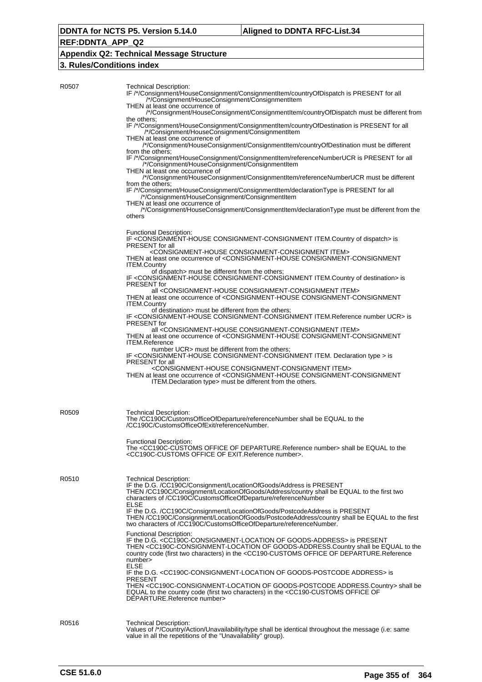# **Appendix Q2: Technical Message Structure**

| R0507 | <b>Technical Description:</b><br>IF /*/Consignment/HouseConsignment/ConsignmentItem/countryOfDispatch is PRESENT for all<br>/*/Consignment/HouseConsignment/ConsignmentItem<br>THEN at least one occurrence of<br>/*/Consignment/HouseConsignment/ConsignmentItem/countryOfDispatch must be different from<br>the others;<br>IF /*/Consignment/HouseConsignment/ConsignmentItem/countryOfDestination is PRESENT for all<br>/*/Consignment/HouseConsignment/ConsignmentItem<br>THEN at least one occurrence of<br>/*/Consignment/HouseConsignment/ConsignmentItem/countryOfDestination must be different<br>from the others:<br>IF /*/Consignment/HouseConsignment/ConsignmentItem/referenceNumberUCR is PRESENT for all<br>/*/Consignment/HouseConsignment/ConsignmentItem<br>THEN at least one occurrence of<br>/*/Consignment/HouseConsignment/ConsignmentItem/referenceNumberUCR must be different<br>from the others:<br>IF /*/Consignment/HouseConsignment/ConsignmentItem/declarationType is PRESENT for all<br>/*/Consignment/HouseConsignment/ConsignmentItem<br>THEN at least one occurrence of<br>/*/Consignment/HouseConsignment/ConsignmentItem/declarationType must be different from the<br>others<br><b>Functional Description:</b><br>IF <consignment-house consignment-consignment="" dispatch="" item.country="" of=""> is<br/>PRESENT for all<br/><consignment-house consignment-consignment="" item=""><br/>THEN at least one occurrence of <consignment-house consignment-consignment<br=""><b>ITEM.Country</b><br/>of dispatch &gt; must be different from the others;<br/>IF <consignment-house consignment-consignment="" destination="" item.country="" of=""> is</consignment-house></consignment-house></consignment-house></consignment-house> |
|-------|----------------------------------------------------------------------------------------------------------------------------------------------------------------------------------------------------------------------------------------------------------------------------------------------------------------------------------------------------------------------------------------------------------------------------------------------------------------------------------------------------------------------------------------------------------------------------------------------------------------------------------------------------------------------------------------------------------------------------------------------------------------------------------------------------------------------------------------------------------------------------------------------------------------------------------------------------------------------------------------------------------------------------------------------------------------------------------------------------------------------------------------------------------------------------------------------------------------------------------------------------------------------------------------------------------------------------------------------------------------------------------------------------------------------------------------------------------------------------------------------------------------------------------------------------------------------------------------------------------------------------------------------------------------------------------------------------------------------------------------------------------------------------|
|       | PRESENT for<br>all <consignment-house consignment-consignment="" item=""><br/>THEN at least one occurrence of <consignment-house consignment-consignment<br=""><b>ITEM.Country</b><br/>of destination &gt; must be different from the others;<br/>IF <consignment-house consignment-consignment="" item.reference="" number="" ucr=""> is<br/>PRESENT for<br/>all <consignment-house consignment-consignment="" item=""><br/>THEN at least one occurrence of <consignment-house consignment-consignment<br=""><b>ITEM.Reference</b><br/>number UCR&gt; must be different from the others:<br/>IF <consignment-house consignment-consignment="" declaration="" item.="" type=""> is<br/>PRESENT for all<br/><consignment-house consignment-consignment="" item=""><br/>THEN at least one occurrence of <consignment-house consignment-consignment<br="">ITEM. Declaration type&gt; must be different from the others.</consignment-house></consignment-house></consignment-house></consignment-house></consignment-house></consignment-house></consignment-house></consignment-house>                                                                                                                                                                                                                                                                                                                                                                                                                                                                                                                                                                                                                                                                                       |
| R0509 | <b>Technical Description:</b><br>The /CC190C/CustomsOfficeOfDeparture/referenceNumber shall be EQUAL to the<br>/CC190C/CustomsOfficeOfExit/referenceNumber.<br><b>Functional Description:</b><br>The <cc190c-customs departure.reference="" number="" of="" office=""> shall be EQUAL to the<br/><cc190c-customs exit.reference="" number="" of="" office="">.</cc190c-customs></cc190c-customs>                                                                                                                                                                                                                                                                                                                                                                                                                                                                                                                                                                                                                                                                                                                                                                                                                                                                                                                                                                                                                                                                                                                                                                                                                                                                                                                                                                           |
| R0510 | <b>Technical Description:</b><br>IF the D.G. /CC190C/Consignment/LocationOfGoods/Address is PRESENT<br>THEN /CC190C/Consignment/LocationOfGoods/Address/country shall be EQUAL to the first two<br>characters of /CC190C/CustomsOfficeOfDeparture/referenceNumber<br><b>ELSE</b><br>IF the D.G. /CC190C/Consignment/LocationOfGoods/PostcodeAddress is PRESENT<br>THEN /CC190C/Consignment/LocationOfGoods/PostcodeAddress/country shall be EQUAL to the first<br>two characters of /CC190C/CustomsOfficeOfDeparture/referenceNumber.<br><b>Functional Description:</b><br>IF the D.G. <cc190c-consignment-location goods-address="" of=""> is PRESENT<br/>THEN <cc190c-consignment-location be="" equal="" goods-address.country="" of="" shall="" the<br="" to="">country code (first two characters) in the <cc190-customs departure.reference<br="" of="" office="">number&gt;<br/><b>ELSE</b><br/>IF the D.G. <cc190c-consignment-location address="" goods-postcode="" of=""> is<br/><b>PRESENT</b><br/>THEN <cc190c-consignment-location address.country="" goods-postcode="" of=""> shall be<br/>EQUAL to the country code (first two characters) in the <cc190-customs of<br="" office="">DEPARTURE.Reference number&gt;</cc190-customs></cc190c-consignment-location></cc190c-consignment-location></cc190-customs></cc190c-consignment-location></cc190c-consignment-location>                                                                                                                                                                                                                                                                                                                                                                                  |
| R0516 | Technical Description:<br>Values of /*/Country/Action/Unavailability/type shall be identical throughout the message (i.e: same<br>value in all the repetitions of the "Unavailability" group).                                                                                                                                                                                                                                                                                                                                                                                                                                                                                                                                                                                                                                                                                                                                                                                                                                                                                                                                                                                                                                                                                                                                                                                                                                                                                                                                                                                                                                                                                                                                                                             |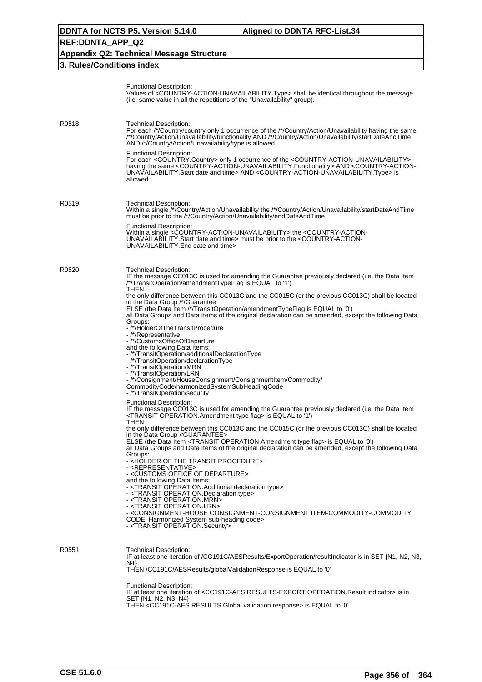|                           | DDNTA for NCTS P5. Version 5.14.0<br><b>Aligned to DDNTA RFC-List.34</b>                                                                                                                                                                                                                                                                                                                                                                                                                                                                                                                                                                                                                                                                                                                                                                                                                                                                                                                                                                                                                                                                                                                                                                                                                                                                                                           |                                                                                                                                                                                                                                                                                                                                                                                                                                                                                                                                                                                                                                                                                                                                                                                                                                              |  |
|---------------------------|------------------------------------------------------------------------------------------------------------------------------------------------------------------------------------------------------------------------------------------------------------------------------------------------------------------------------------------------------------------------------------------------------------------------------------------------------------------------------------------------------------------------------------------------------------------------------------------------------------------------------------------------------------------------------------------------------------------------------------------------------------------------------------------------------------------------------------------------------------------------------------------------------------------------------------------------------------------------------------------------------------------------------------------------------------------------------------------------------------------------------------------------------------------------------------------------------------------------------------------------------------------------------------------------------------------------------------------------------------------------------------|----------------------------------------------------------------------------------------------------------------------------------------------------------------------------------------------------------------------------------------------------------------------------------------------------------------------------------------------------------------------------------------------------------------------------------------------------------------------------------------------------------------------------------------------------------------------------------------------------------------------------------------------------------------------------------------------------------------------------------------------------------------------------------------------------------------------------------------------|--|
| <b>REF:DDNTA APP Q2</b>   |                                                                                                                                                                                                                                                                                                                                                                                                                                                                                                                                                                                                                                                                                                                                                                                                                                                                                                                                                                                                                                                                                                                                                                                                                                                                                                                                                                                    |                                                                                                                                                                                                                                                                                                                                                                                                                                                                                                                                                                                                                                                                                                                                                                                                                                              |  |
|                           | <b>Appendix Q2: Technical Message Structure</b>                                                                                                                                                                                                                                                                                                                                                                                                                                                                                                                                                                                                                                                                                                                                                                                                                                                                                                                                                                                                                                                                                                                                                                                                                                                                                                                                    |                                                                                                                                                                                                                                                                                                                                                                                                                                                                                                                                                                                                                                                                                                                                                                                                                                              |  |
| 3. Rules/Conditions index |                                                                                                                                                                                                                                                                                                                                                                                                                                                                                                                                                                                                                                                                                                                                                                                                                                                                                                                                                                                                                                                                                                                                                                                                                                                                                                                                                                                    |                                                                                                                                                                                                                                                                                                                                                                                                                                                                                                                                                                                                                                                                                                                                                                                                                                              |  |
|                           | <b>Functional Description:</b><br>(i.e: same value in all the repetitions of the "Unavailability" group).                                                                                                                                                                                                                                                                                                                                                                                                                                                                                                                                                                                                                                                                                                                                                                                                                                                                                                                                                                                                                                                                                                                                                                                                                                                                          | Values of <country-action-unavailability. type=""> shall be identical throughout the message</country-action-unavailability.>                                                                                                                                                                                                                                                                                                                                                                                                                                                                                                                                                                                                                                                                                                                |  |
| R0518                     | <b>Technical Description:</b><br>AND /*/Country/Action/Unavailability/type is allowed.<br><b>Functional Description:</b><br>allowed.                                                                                                                                                                                                                                                                                                                                                                                                                                                                                                                                                                                                                                                                                                                                                                                                                                                                                                                                                                                                                                                                                                                                                                                                                                               | For each /*/Country/country only 1 occurrence of the /*/Country/Action/Unavailability having the same<br>/*/Country/Action/Unavailability/functionality AND /*/Country/Action/Unavailability/startDateAndTime<br>For each <country.country> only 1 occurrence of the <country-action-unavailability><br/>having the same <country-action-unavailability.functionality> AND <country-action-<br>UNAVAILABILITY.Start date and time&gt; AND <country-action-unavailability.type> is</country-action-unavailability.type></country-action-<br></country-action-unavailability.functionality></country-action-unavailability></country.country>                                                                                                                                                                                                  |  |
| R0519                     | <b>Technical Description:</b><br>must be prior to the /*/Country/Action/Unavailability/endDateAndTime<br><b>Functional Description:</b><br>UNAVAILABILITY. End date and time>                                                                                                                                                                                                                                                                                                                                                                                                                                                                                                                                                                                                                                                                                                                                                                                                                                                                                                                                                                                                                                                                                                                                                                                                      | Within a single /*/Country/Action/Unavailability the /*/Country/Action/Unavailability/startDateAndTime<br>Within a single <country-action-unavailability> the <country-action-<br>UNAVAILABILITY. Start date and time&gt; must be prior to the <country-action-< td=""></country-action-<></country-action-<br></country-action-unavailability>                                                                                                                                                                                                                                                                                                                                                                                                                                                                                              |  |
| R0520                     | <b>Technical Description:</b><br>/*/TransitOperation/amendmentTypeFlag is EQUAL to '1')<br><b>THEN</b><br>in the Data Group /*/Guarantee<br>ELSE (the Data Item /*/TransitOperation/amendmentTypeFlag is EQUAL to '0')<br>Groups:<br>- /*/HolderOfTheTransitProcedure<br>-/*/Representative<br>-/*/CustomsOfficeOfDeparture<br>and the following Data Items:<br>- /*/TransitOperation/additionalDeclarationType<br>- /*/TransitOperation/declarationType<br>-/*/TransitOperation/MRN<br>- /*/TransitOperation/LRN<br>-/*/Consignment/HouseConsignment/ConsignmentItem/Commodity/<br>CommodityCode/harmonizedSystemSubHeadingCode<br>- /*/TransitOperation/security<br><b>Functional Description:</b><br><transit flag="" operation.amendment="" type=""> is EQUAL to '1')<br/>THEN<br/>in the Data Group <guarantee><br/>Groups:<br/>- <holder of="" procedure="" the="" transit=""><br/>- <representative><br/>- <customs departure="" of="" office=""><br/>and the following Data Items:<br/>- <transit additional="" declaration="" operation.="" type=""><br/>-<transit operation.declaration="" type=""><br/>- <transit operation.mrn=""><br/>- <transit operation.lrn=""><br/>CODE. Harmonized System sub-heading code&gt;<br/>- <transit operation.security=""></transit></transit></transit></transit></transit></customs></representative></holder></guarantee></transit> | IF the message CC013C is used for amending the Guarantee previously declared (i.e. the Data Item<br>the only difference between this CC013C and the CC015C (or the previous CC013C) shall be located<br>all Data Groups and Data Items of the original declaration can be amended, except the following Data<br>IF the message CC013C is used for amending the Guarantee previously declared (i.e. the Data Item<br>the only difference between this CC013C and the CC015C (or the previous CC013C) shall be located<br>ELSE (the Data Item <transit flag="" operation.amendment="" type=""> is EQUAL to '0')<br/>all Data Groups and Data Items of the original declaration can be amended, except the following Data<br/>- <consignment-house consignment-consignment="" item-commodity-commodity<="" td=""></consignment-house></transit> |  |
| R0551                     | <b>Technical Description:</b><br>N4<br>THEN /CC191C/AESResults/globalValidationResponse is EQUAL to '0'<br><b>Functional Description:</b><br>SET {N1, N2, N3, N4}<br>THEN <cc191c-aes global="" response="" results.="" validation=""> is EQUAL to '0'</cc191c-aes>                                                                                                                                                                                                                                                                                                                                                                                                                                                                                                                                                                                                                                                                                                                                                                                                                                                                                                                                                                                                                                                                                                                | IF at least one iteration of /CC191C/AESResults/ExportOperation/resultIndicator is in SET {N1, N2, N3,<br>IF at least one iteration of <cc191c-aes indicator="" operation.result="" results-export=""> is in</cc191c-aes>                                                                                                                                                                                                                                                                                                                                                                                                                                                                                                                                                                                                                    |  |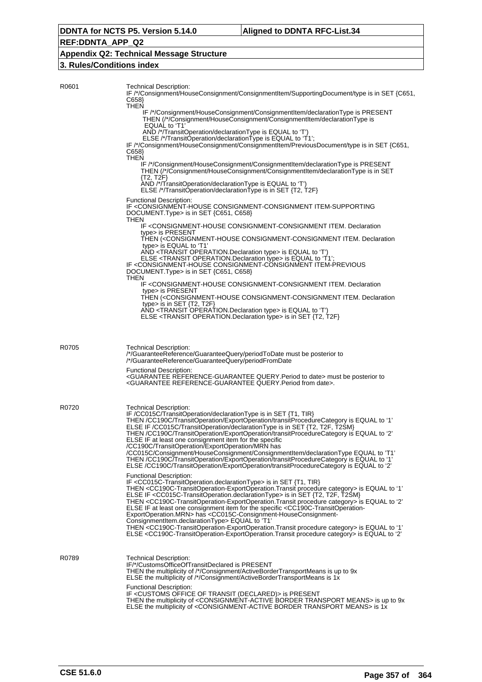# **Appendix Q2: Technical Message Structure**

| R0601 | <b>Technical Description:</b><br>IF/*/Consignment/HouseConsignment/ConsignmentItem/SupportingDocument/type is in SET {C651,<br>C658<br>THEN<br>IF /*/Consignment/HouseConsignment/ConsignmentItem/declarationType is PRESENT                                                                                                                                                                                                                                                                                                                                                       |
|-------|------------------------------------------------------------------------------------------------------------------------------------------------------------------------------------------------------------------------------------------------------------------------------------------------------------------------------------------------------------------------------------------------------------------------------------------------------------------------------------------------------------------------------------------------------------------------------------|
|       | THEN (/*/Consignment/HouseConsignment/ConsignmentItem/declarationType is<br>EQUAL to 'T1'<br>AND /*/TransitOperation/declarationType is EQUAL to 'T')                                                                                                                                                                                                                                                                                                                                                                                                                              |
|       | ELSE /*/TransitOperation/declarationType is EQUAL to 'T1';<br>IF /*/Consignment/HouseConsignment/ConsignmentItem/PreviousDocument/type is in SET {C651,<br>C658<br><b>THEN</b>                                                                                                                                                                                                                                                                                                                                                                                                     |
|       | IF /*/Consignment/HouseConsignment/ConsignmentItem/declarationType is PRESENT<br>THEN (/*/Consignment/HouseConsignment/ConsignmentItem/declarationType is in SET<br>$\{T2, T2F\}$<br>AND /*/TransitOperation/declarationType is EQUAL to 'T')                                                                                                                                                                                                                                                                                                                                      |
|       | ELSE /*/TransitOperation/declarationType is in SET {T2, T2F}<br><b>Functional Description:</b>                                                                                                                                                                                                                                                                                                                                                                                                                                                                                     |
|       | IF <consignment-house consignment-consignment="" item-supporting<br="">DOCUMENT. Type&gt; is in SET {C651, C658}<br/>THEN</consignment-house>                                                                                                                                                                                                                                                                                                                                                                                                                                      |
|       | IF <consignment-house consignment-consignment="" declaration<br="" item.="">type&gt; is PRESENT</consignment-house>                                                                                                                                                                                                                                                                                                                                                                                                                                                                |
|       | THEN ( <consignment-house consignment-consignment="" declaration<br="" item.="">type&gt; is EQUAL to 'T1'<br/>AND <transit declaration="" operation.="" type=""> is EQUAL to 'T')</transit></consignment-house>                                                                                                                                                                                                                                                                                                                                                                    |
|       | ELSE <transit declaration="" operation.="" type=""> is EQUAL to 'T1';<br/>IF <consignment-house consignment-consignment="" item-previous<br="">DOCUMENT. Type&gt; is in SET {C651, C658}</consignment-house></transit>                                                                                                                                                                                                                                                                                                                                                             |
|       | THEN<br>IF <consignment-house consignment-consignment="" declaration<br="" item.="">type&gt; is PRESENT</consignment-house>                                                                                                                                                                                                                                                                                                                                                                                                                                                        |
|       | THEN ( <consignment-house consignment-consignment="" declaration<br="" item.="">type&gt; is in SET <math>\{T2, T2F\}</math></consignment-house>                                                                                                                                                                                                                                                                                                                                                                                                                                    |
|       | AND <transit declaration="" operation.="" type=""> is EQUAL to 'T')<br/>ELSE <transit operation.declaration="" type=""> is in SET {T2, T2F}</transit></transit>                                                                                                                                                                                                                                                                                                                                                                                                                    |
| R0705 | <b>Technical Description:</b>                                                                                                                                                                                                                                                                                                                                                                                                                                                                                                                                                      |
|       | /*/GuaranteeReference/GuaranteeQuery/periodToDate must be posterior to<br>/*/GuaranteeReference/GuaranteeQuery/periodFromDate                                                                                                                                                                                                                                                                                                                                                                                                                                                      |
|       | <b>Functional Description:</b><br><guarantee date="" period="" query.="" reference-guarantee="" to=""> must be posterior to<br/><guarantee date="" from="" query.period="" reference-guarantee="">.</guarantee></guarantee>                                                                                                                                                                                                                                                                                                                                                        |
| R0720 | Technical Description:<br>IF/CC015C/TransitOperation/declarationType is in SET {T1, TIR}                                                                                                                                                                                                                                                                                                                                                                                                                                                                                           |
|       | THEN /CC190C/TransitOperation/ExportOperation/transitProcedureCategory is EQUAL to '1'<br>ELSE IF /CC015C/TransitOperation/declarationType is in SET {T2, T2F, T2SM}<br>THEN /CC190C/TransitOperation/ExportOperation/transitProcedureCategory is EQUAL to '2'<br>ELSE IF at least one consignment item for the specific                                                                                                                                                                                                                                                           |
|       | /CC190C/TransitOperation/ExportOperation/MRN has<br>/CC015C/Consignment/HouseConsignment/ConsignmentItem/declarationType EQUAL to 'T1'<br>THEN /CC190C/TransitOperation/ExportOperation/transitProcedureCategory is EQUAL to '1'<br>ELSE /CC190C/TransitOperation/ExportOperation/transitProcedureCategory is EQUAL to '2'                                                                                                                                                                                                                                                         |
|       | <b>Functional Description:</b><br>IF <cc015c-transitoperation.declarationtype> is in SET {T1, TIR}<br/>THEN <cc190c-transitoperation-exportoperation.transit category="" procedure=""> is EQUAL to '1'<br/>ELSE IF <cc015c-transitoperation.declarationtype> is in SET {T2, T2F, T2SM}<br/>THEN <cc190c-transitoperation-exportoperation.transit category="" procedure=""> is EQUAL to '2'</cc190c-transitoperation-exportoperation.transit></cc015c-transitoperation.declarationtype></cc190c-transitoperation-exportoperation.transit></cc015c-transitoperation.declarationtype> |
|       | ELSE IF at least one consignment item for the specific <cc190c-transitoperation-<br>ExportOperation.MRN&gt; has <cc015c-consignment-houseconsignment-<br>ConsignmentItem.declarationType&gt; EQUAL to 'T1'</cc015c-consignment-houseconsignment-<br></cc190c-transitoperation-<br>                                                                                                                                                                                                                                                                                                 |
|       | THEN <cc190c-transitoperation-exportoperation.transit category="" procedure=""> is EQUAL to '1'<br/>ELSE <cc190c-transitoperation-exportoperation.transit category="" procedure=""> is EQUAL to '2'</cc190c-transitoperation-exportoperation.transit></cc190c-transitoperation-exportoperation.transit>                                                                                                                                                                                                                                                                            |
| R0789 | <b>Technical Description:</b><br>IF/*/CustomsOfficeOfTransitDeclared is PRESENT                                                                                                                                                                                                                                                                                                                                                                                                                                                                                                    |
|       | THEN the multiplicity of /*/Consignment/ActiveBorderTransportMeans is up to 9x<br>ELSE the multiplicity of /*/Consignment/ActiveBorderTransportMeans is 1x                                                                                                                                                                                                                                                                                                                                                                                                                         |
|       | <b>Functional Description:</b><br>IF < CUSTOMS OFFICE OF TRANSIT (DECLARED) > is PRESENT<br>THEN the multiplicity of <consignment-active border="" means="" transport=""> is up to 9x<br/>ELSE the multiplicity of <consignment-active border="" means="" transport=""> is 1x</consignment-active></consignment-active>                                                                                                                                                                                                                                                            |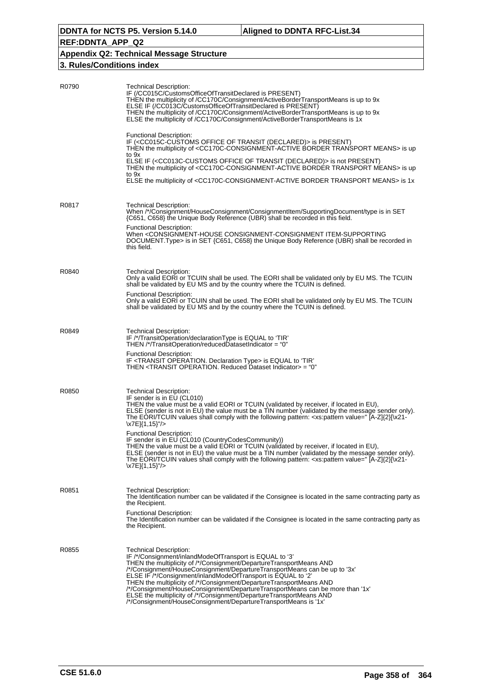# **Appendix Q2: Technical Message Structure**

| R0790 | Technical Description:<br>IF (/CC015C/CustomsOfficeOfTransitDeclared is PRESENT)<br>THEN the multiplicity of /CC170C/Consignment/ActiveBorderTransportMeans is up to 9x<br>ELSE IF (/CC013C/CustomsOfficeOfTransitDeclared is PRESENT)<br>THEN the multiplicity of /CC170C/Consignment/ActiveBorderTransportMeans is up to 9x<br>ELSE the multiplicity of /CC170C/Consignment/ActiveBorderTransportMeans is 1x                                                                                                                                                                                          |
|-------|---------------------------------------------------------------------------------------------------------------------------------------------------------------------------------------------------------------------------------------------------------------------------------------------------------------------------------------------------------------------------------------------------------------------------------------------------------------------------------------------------------------------------------------------------------------------------------------------------------|
|       | <b>Functional Description:</b><br>IF ( <cc015c-customs (declared)="" of="" office="" transit=""> is PRESENT)<br/>THEN the multiplicity of <cc170c-consignment-active border="" means="" transport=""> is up<br/>to 9x</cc170c-consignment-active></cc015c-customs>                                                                                                                                                                                                                                                                                                                                      |
|       | ELSE IF ( <cc013c-customs (declared)="" of="" office="" transit=""> is not PRESENT)<br/>THEN the multiplicity of <cc170c-consignment-active border="" means="" transport=""> is up<br/>to 9x<br/>ELSE the multiplicity of <cc170c-consignment-active border="" means="" transport=""> is 1x</cc170c-consignment-active></cc170c-consignment-active></cc013c-customs>                                                                                                                                                                                                                                    |
| R0817 | <b>Technical Description:</b><br>When /*/Consignment/HouseConsignment/ConsignmentItem/SupportingDocument/type is in SET                                                                                                                                                                                                                                                                                                                                                                                                                                                                                 |
|       | {C651, C658} the Unique Body Reference (UBR) shall be recorded in this field.<br><b>Functional Description:</b><br>When <consignment-house consignment-consignment="" item-supporting<br="">DOCUMENT. Type&gt; is in SET {C651, C658} the Unique Body Reference (UBR) shall be recorded in<br/>this field.</consignment-house>                                                                                                                                                                                                                                                                          |
| R0840 | <b>Technical Description:</b><br>Only a valid EORI or TCUIN shall be used. The EORI shall be validated only by EU MS. The TCUIN<br>shall be validated by EU MS and by the country where the TCUIN is defined.                                                                                                                                                                                                                                                                                                                                                                                           |
|       | <b>Functional Description:</b><br>Only a valid EORI or TCUIN shall be used. The EORI shall be validated only by EU MS. The TCUIN<br>shall be validated by EU MS and by the country where the TCUIN is defined.                                                                                                                                                                                                                                                                                                                                                                                          |
| R0849 | Technical Description:<br>IF /*/TransitOperation/declarationType is EQUAL to 'TIR'<br>THEN /*/TransitOperation/reducedDatasetIndicator = "0"                                                                                                                                                                                                                                                                                                                                                                                                                                                            |
|       | <b>Functional Description:</b><br>IF <transit declaration="" operation.="" type=""> is EQUAL to 'TIR'<br/>THEN <transit dataset="" indicator="" operation.="" reduced=""> = "0"</transit></transit>                                                                                                                                                                                                                                                                                                                                                                                                     |
| R0850 | Technical Description:<br>IF sender is in EU (CL010)<br>THEN the value must be a valid EORI or TCUIN (validated by receiver, if located in EU),<br>ELSE (sender is not in EU) the value must be a TIN number (validated by the message sender only).<br>The EORI/TCUIN values shall comply with the following pattern: $\langle x \rangle$ attern value=" [A-Z]{2}[\x21-<br>\x7E]{1,15}"/>                                                                                                                                                                                                              |
|       | <b>Functional Description:</b><br>IF sender is in EU (CL010 (CountryCodesCommunity))<br>THEN the value must be a valid EORI or TCUIN (validated by receiver, if located in EU),<br>ELSE (sender is not in EU) the value must be a TIN number (validated by the message sender only).<br>The EORI/TCUIN values shall comply with the following pattern: <xs:pattern value="&lt;math&gt;[A-Z]\{2\}[\x21-&lt;/math&gt;&lt;br&gt;\x7E]{1,15}"></xs:pattern>                                                                                                                                                 |
| R0851 | Technical Description:<br>The Identification number can be validated if the Consignee is located in the same contracting party as<br>the Recipient.                                                                                                                                                                                                                                                                                                                                                                                                                                                     |
|       | <b>Functional Description:</b><br>The Identification number can be validated if the Consignee is located in the same contracting party as<br>the Recipient.                                                                                                                                                                                                                                                                                                                                                                                                                                             |
| R0855 | Technical Description:<br>IF /*/Consignment/inlandModeOfTransport is EQUAL to '3'<br>THEN the multiplicity of /*/Consignment/DepartureTransportMeans AND<br>/*/Consignment/HouseConsignment/DepartureTransportMeans can be up to '3x'<br>ELSE IF /*/Consignment/inlandModeOfTransport is EQUAL to '2'<br>THEN the multiplicity of /*/Consignment/DepartureTransportMeans AND<br>/*/Consignment/HouseConsignment/DepartureTransportMeans can be more than '1x'<br>ELSE the multiplicity of /*/Consignment/DepartureTransportMeans AND<br>/*/Consignment/HouseConsignment/DepartureTransportMeans is '1x' |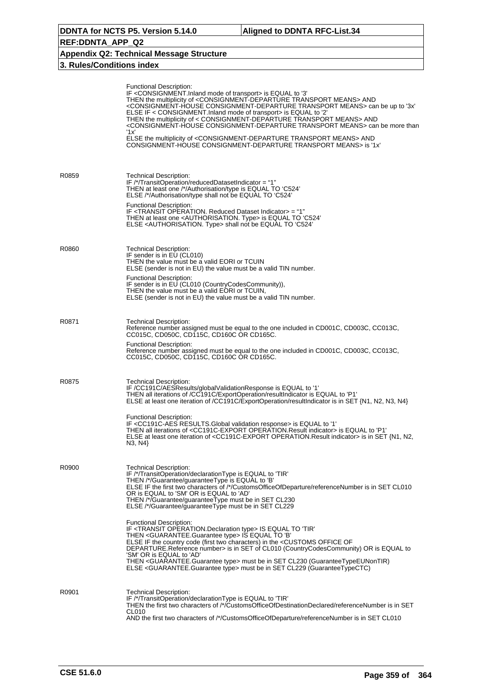# **Appendix Q2: Technical Message Structure**

|       | Functional Description:<br>IF <consignment.inland mode="" of="" transport=""> is EQUAL to '3'<br/>THEN the multiplicity of <consignment-departure means="" transport=""> AND<br/><consignment-house consignment-departure="" means="" transport=""> can be up to '3x'<br/>ELSE IF &lt; CONSIGNMENT. Inland mode of transport&gt; is EQUAL to '2'<br/>THEN the multiplicity of &lt; CONSIGNMENT-DEPARTURE TRANSPORT MEANS&gt; AND<br/><consignment-house consignment-departure="" means="" transport=""> can be more than<br/>'1x'<br/>ELSE the multiplicity of <consignment-departure means="" transport=""> AND<br/>CONSIGNMENT-HOUSE CONSIGNMENT-DEPARTURE TRANSPORT MEANS&gt; is '1x'</consignment-departure></consignment-house></consignment-house></consignment-departure></consignment.inland>                                                                                                                                                                                                                                     |
|-------|-------------------------------------------------------------------------------------------------------------------------------------------------------------------------------------------------------------------------------------------------------------------------------------------------------------------------------------------------------------------------------------------------------------------------------------------------------------------------------------------------------------------------------------------------------------------------------------------------------------------------------------------------------------------------------------------------------------------------------------------------------------------------------------------------------------------------------------------------------------------------------------------------------------------------------------------------------------------------------------------------------------------------------------------|
| R0859 | Technical Description:<br>IF /*/TransitOperation/reducedDatasetIndicator = "1"<br>THEN at least one /*/Authorisation/type is EQUAL TO 'C524'<br>ELSE /*/Authorisation/type shall not be EQUAL TO 'C524'<br><b>Functional Description:</b><br>IF <transit dataset="" indicator="" operation.="" reduced=""> = "1"<br/>THEN at least one <authorisation. type=""> is EQUAL TO 'C524'<br/>ELSE <authorisation. type=""> shall not be EQUAL TO 'C524'</authorisation.></authorisation.></transit>                                                                                                                                                                                                                                                                                                                                                                                                                                                                                                                                             |
| R0860 | Technical Description:<br>IF sender is in EU (CL010)<br>THEN the value must be a valid EORI or TCUIN<br>ELSE (sender is not in EU) the value must be a valid TIN number.<br><b>Functional Description:</b><br>IF sender is in EU (CL010 (CountryCodesCommunity)),<br>THEN the value must be a valid EORI or TCUIN,<br>ELSE (sender is not in EU) the value must be a valid TIN number.                                                                                                                                                                                                                                                                                                                                                                                                                                                                                                                                                                                                                                                    |
| R0871 | Technical Description:<br>Reference number assigned must be equal to the one included in CD001C, CD003C, CC013C,<br>CC015C, CD050C, CD115C, CD160C OR CD165C.<br><b>Functional Description:</b><br>Reference number assigned must be equal to the one included in CD001C, CD003C, CC013C,<br>CC015C, CD050C, CD115C, CD160C OR CD165C.                                                                                                                                                                                                                                                                                                                                                                                                                                                                                                                                                                                                                                                                                                    |
| R0875 | Technical Description:<br>IF/CC191C/AESResults/globalValidationResponse is EQUAL to '1'<br>THEN all iterations of /CC191C/ExportOperation/resultIndicator is EQUAL to 'P1'<br>ELSE at least one iteration of /CC191C/ExportOperation/resultIndicator is in SET {N1, N2, N3, N4}<br><b>Functional Description:</b><br>IF <cc191c-aes global="" response="" results.="" validation=""> is EQUAL to '1'<br/>THEN all iterations of <cc191c-export indicator="" operation.result=""> is EQUAL to 'P1'<br/>ELSE at least one iteration of <cc191c-export indicator="" operation.result=""> is in SET {N1, N2,<br/>N3, N4}</cc191c-export></cc191c-export></cc191c-aes>                                                                                                                                                                                                                                                                                                                                                                         |
| R0900 | Technical Description:<br>IF /*/TransitOperation/declarationType is EQUAL to 'TIR'<br>THEN /*/Guarantee/guaranteeType is EQUAL to 'B'<br>ELSE IF the first two characters of /*/CustomsOfficeOfDeparture/referenceNumber is in SET CL010<br>OR is EQUAL to 'SM' OR is EQUAL to 'AD'<br>THEN /*/Guarantee/guaranteeType must be in SET CL230<br>ELSE /*/Guarantee/guaranteeType must be in SET CL229<br><b>Functional Description:</b><br>IF <transit declaration="" operation.="" type=""> IS EQUAL TO 'TIR'<br/>THEN <guarantee.guarantee type=""> IS EQUAL TO 'B'<br/>ELSE IF the country code (first two characters) in the <customs of<br="" office="">DEPARTURE.Reference number&gt; is in SET of CL010 (CountryCodesCommunity) OR is EQUAL to<br/>'SM' OR is EQUAL to 'AD'<br/>THEN <guarantee.guarantee type=""> must be in SET CL230 (GuaranteeTypeEUNonTIR)<br/>ELSE <guarantee.guarantee type=""> must be in SET CL229 (GuaranteeTypeCTC)</guarantee.guarantee></guarantee.guarantee></customs></guarantee.guarantee></transit> |
| R0901 | Technical Description:<br>IF /*/TransitOperation/declarationType is EQUAL to 'TIR'<br>THEN the first two characters of /*/CustomsOfficeOfDestinationDeclared/referenceNumber is in SET<br>CL010<br>AND the first two characters of /*/CustomsOfficeOfDeparture/referenceNumber is in SET CL010                                                                                                                                                                                                                                                                                                                                                                                                                                                                                                                                                                                                                                                                                                                                            |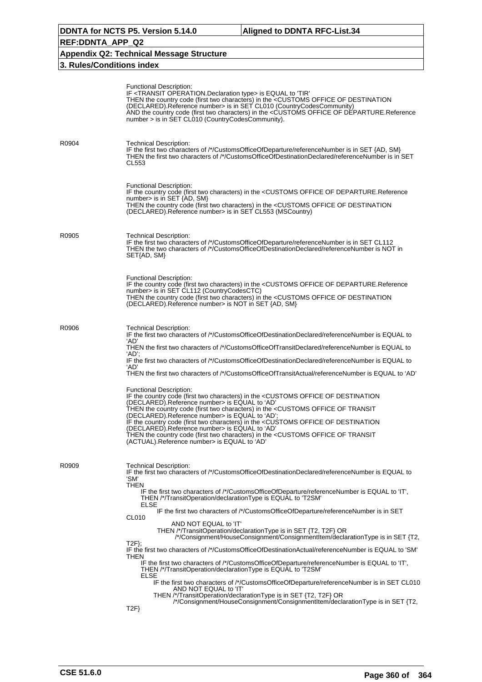|                           | DDNTA for NCTS P5. Version 5.14.0<br><b>Aligned to DDNTA RFC-List.34</b>                                                                                                                                                                                                                                                                                                                                                                                                                                                                                                                                                                                                                                                                                                                                                                                                                                                                                                                                                                                                                                                                                                                                |  |
|---------------------------|---------------------------------------------------------------------------------------------------------------------------------------------------------------------------------------------------------------------------------------------------------------------------------------------------------------------------------------------------------------------------------------------------------------------------------------------------------------------------------------------------------------------------------------------------------------------------------------------------------------------------------------------------------------------------------------------------------------------------------------------------------------------------------------------------------------------------------------------------------------------------------------------------------------------------------------------------------------------------------------------------------------------------------------------------------------------------------------------------------------------------------------------------------------------------------------------------------|--|
| <b>REF:DDNTA APP Q2</b>   |                                                                                                                                                                                                                                                                                                                                                                                                                                                                                                                                                                                                                                                                                                                                                                                                                                                                                                                                                                                                                                                                                                                                                                                                         |  |
|                           | <b>Appendix Q2: Technical Message Structure</b>                                                                                                                                                                                                                                                                                                                                                                                                                                                                                                                                                                                                                                                                                                                                                                                                                                                                                                                                                                                                                                                                                                                                                         |  |
| 3. Rules/Conditions index |                                                                                                                                                                                                                                                                                                                                                                                                                                                                                                                                                                                                                                                                                                                                                                                                                                                                                                                                                                                                                                                                                                                                                                                                         |  |
|                           | <b>Functional Description:</b><br>IF <transit declaration="" operation.="" type=""> is EQUAL to 'TIR'<br/>THEN the country code (first two characters) in the <customs destination<br="" of="" office="">(DECLARED). Reference number&gt; is in SET CL010 (CountryCodesCommunity)<br/>AND the country code (first two characters) in the <customs departure.reference<br="" of="" office="">number &gt; is in SET CL010 (CountryCodesCommunity).</customs></customs></transit>                                                                                                                                                                                                                                                                                                                                                                                                                                                                                                                                                                                                                                                                                                                          |  |
| R0904                     | Technical Description:<br>IF the first two characters of /*/CustomsOfficeOfDeparture/referenceNumber is in SET {AD, SM}<br>THEN the first two characters of /*/CustomsOfficeOfDestinationDeclared/referenceNumber is in SET<br>CL553                                                                                                                                                                                                                                                                                                                                                                                                                                                                                                                                                                                                                                                                                                                                                                                                                                                                                                                                                                    |  |
|                           | <b>Functional Description:</b><br>IF the country code (first two characters) in the <customs departure.reference<br="" of="" office="">number&gt; is in SET {AD, SM}<br/>THEN the country code (first two characters) in the <customs destination<br="" of="" office="">(DECLARED). Reference number&gt; is in SET CL553 (MSCountry)</customs></customs>                                                                                                                                                                                                                                                                                                                                                                                                                                                                                                                                                                                                                                                                                                                                                                                                                                                |  |
| R0905                     | <b>Technical Description:</b><br>IF the first two characters of /*/CustomsOfficeOfDeparture/referenceNumber is in SET CL112<br>THEN the two characters of /*/CustomsOfficeOfDestinationDeclared/referenceNumber is NOT in<br>SET{AD, SM}                                                                                                                                                                                                                                                                                                                                                                                                                                                                                                                                                                                                                                                                                                                                                                                                                                                                                                                                                                |  |
|                           | <b>Functional Description:</b><br>IF the country code (first two characters) in the <customs departure.reference<br="" of="" office="">number&gt; is in SET CL112 (CountryCodesCTC)<br/>THEN the country code (first two characters) in the <customs destination<br="" of="" office="">(DECLARED).Reference number&gt; is NOT in SET {AD, SM}</customs></customs>                                                                                                                                                                                                                                                                                                                                                                                                                                                                                                                                                                                                                                                                                                                                                                                                                                       |  |
| R0906                     | Technical Description:<br>IF the first two characters of /*/CustomsOfficeOfDestinationDeclared/referenceNumber is EQUAL to<br>'AD'<br>THEN the first two characters of /*/CustomsOfficeOfTransitDeclared/referenceNumber is EQUAL to<br>'AD':<br>IF the first two characters of /*/CustomsOfficeOfDestinationDeclared/referenceNumber is EQUAL to<br>'AD'<br>THEN the first two characters of /*/CustomsOfficeOfTransitActual/referenceNumber is EQUAL to 'AD'<br>Functional Description:<br>IF the country code (first two characters) in the <customs destination<br="" of="" office="">(DECLARED).Reference number&gt; is EQUAL to 'AD'<br/>THEN the country code (first two characters) in the <customs of="" office="" transit<br="">(DECLARED).Reference number&gt; is EQUAL to 'AD';<br/>IF the country code (first two characters) in the <customs destination<br="" of="" office="">(DECLARED).Reference number&gt; is EQUAL to 'AD'<br/>THEN the country code (first two characters) in the <customs of="" office="" transit<br="">(ACTUAL).Reference number&gt; is EQUAL to 'AD'</customs></customs></customs></customs>                                                                     |  |
| R0909                     | Technical Description:<br>IF the first two characters of /*/CustomsOfficeOfDestinationDeclared/referenceNumber is EQUAL to<br>'SM'<br><b>THEN</b><br>IF the first two characters of /*/CustomsOfficeOfDeparture/referenceNumber is EQUAL to 'IT',<br>THEN /*/TransitOperation/declarationType is EQUAL to 'T2SM'<br><b>ELSE</b><br>IF the first two characters of /*/CustomsOfficeOfDeparture/referenceNumber is in SET<br>CL010<br>AND NOT EQUAL to 'IT'<br>THEN /*/TransitOperation/declarationType is in SET {T2, T2F} OR<br>/*/Consignment/HouseConsignment/ConsignmentItem/declarationType is in SET {T2,<br>T2F);<br>IF the first two characters of /*/CustomsOfficeOfDestinationActual/referenceNumber is EQUAL to 'SM'<br>THEN<br>IF the first two characters of /*/CustomsOfficeOfDeparture/referenceNumber is EQUAL to 'IT',<br>THEN /*/TransitOperation/declarationType is EQUAL to 'T2SM'<br><b>ELSE</b><br>IF the first two characters of /*/CustomsOfficeOfDeparture/referenceNumber is in SET CL010<br>AND NOT EQUAL to 'IT'<br>THEN /*/TransitOperation/declarationType is in SET {T2, T2F} OR<br>/*/Consignment/HouseConsignment/ConsignmentItem/declarationType is in SET {T2}<br>T2F |  |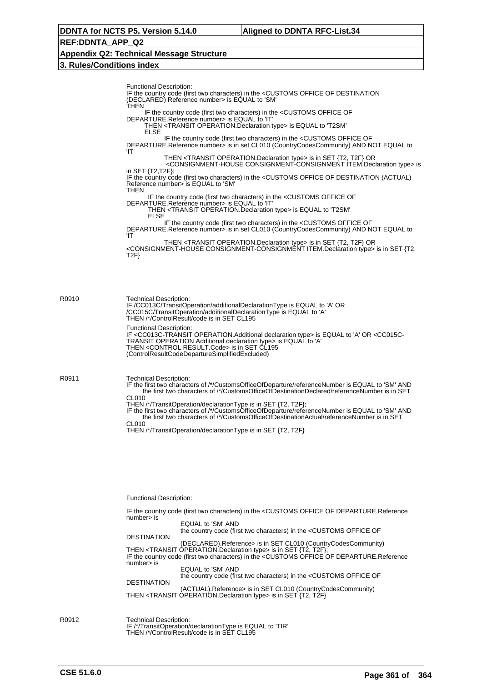## **REF:DDNTA\_APP\_Q2**

## **Appendix Q2: Technical Message Structure**

## Functional Description: IF the country code (first two characters) in the <CUSTOMS OFFICE OF DESTINATION (DECLARED) Reference number> is EQUAL to 'SM' THEN IF the country code (first two characters) in the <CUSTOMS OFFICE OF DEPARTURE.Reference number> is EQUAL to 'IT' THEN <TRANSIT OPERATION.Declaration type> is EQUAL to 'T2SM' ELSE IF the country code (first two characters) in the <CUSTOMS OFFICE OF DEPARTURE.Reference number> is in set CL010 (CountryCodesCommunity) AND NOT EQUAL to 'IT' THEN <TRANSIT OPERATION.Declaration type> is in SET {T2, T2F} OR <CONSIGNMENT-HOUSE CONSIGNMENT-CONSIGNMENT ITEM.Declaration type> is in SET {T2,T2F}; IF the country code (first two characters) in the <CUSTOMS OFFICE OF DESTINATION (ACTUAL) Reference number> is EQUAL to 'SM' THEN IF the country code (first two characters) in the <CUSTOMS OFFICE OF DEPARTURE.Reference number> is EQUAL to 'IT' THEN <TRANSIT OPERATION.Declaration type> is EQUAL to 'T2SM' ELSE IF the country code (first two characters) in the <CUSTOMS OFFICE OF DEPARTURE.Reference number> is in set CL010 (CountryCodesCommunity) AND NOT EQUAL to 'IT' THEN <TRANSIT OPERATION.Declaration type> is in SET {T2, T2F} OR <CONSIGNMENT-HOUSE CONSIGNMENT-CONSIGNMENT ITEM.Declaration type> is in SET {T2, T2F} R0910 Technical Description: IF /CC013C/TransitOperation/additionalDeclarationType is EQUAL to 'A' OR /CC015C/TransitOperation/additionalDeclarationType is EQUAL to 'A' THEN /\*/ControlResult/code is in SET CL195 Functional Description: IF <CC013C-TRANSIT OPERATION.Additional declaration type> is EQUAL to 'A' OR <CC015C-TRANSIT OPERATION.Additional declaration type> is EQUAL to 'A' THEN <CONTROL RESULT.Code> is in SET CL195 (ControlResultCodeDepartureSimplifiedExcluded) R0911 Technical Description: IF the first two characters of /\*/CustomsOfficeOfDeparture/referenceNumber is EQUAL to 'SM' AND the first two characters of /\*/CustomsOfficeOfDestinationDeclared/referenceNumber is in SET CL010 THEN /\*/TransitOperation/declarationType is in SET {T2, T2F}; IF the first two characters of /\*/CustomsOfficeOfDeparture/referenceNumber is EQUAL to 'SM' AND the first two characters of /\*/CustomsOfficeOfDestinationActual/referenceNumber is in SET CL010 THEN /\*/TransitOperation/declarationType is in SET {T2, T2F} Functional Description: IF the country code (first two characters) in the <CUSTOMS OFFICE OF DEPARTURE.Reference number> is EQUAL to 'SM' AND the country code (first two characters) in the <CUSTOMS OFFICE OF DESTINATION (DECLARED).Reference> is in SET CL010 (CountryCodesCommunity) THEN <TRANSIT OPERATION.Declaration type> is in SET {T2, T2F}; IF the country code (first two characters) in the <CUSTOMS OFFICE OF DEPARTURE.Reference number> is EQUAL to 'SM' AND the country code (first two characters) in the <CUSTOMS OFFICE OF DESTINATION (ACTUAL).Reference> is in SET CL010 (CountryCodesCommunity) THEN <TRANSIT OPERATION.Declaration type> is in SET {T2, T2F} **3. Rules/Conditions index**

R0912 Technical Description: IF /\*/TransitOperation/declarationType is EQUAL to 'TIR' THEN /\*/ControlResult/code is in SET CL195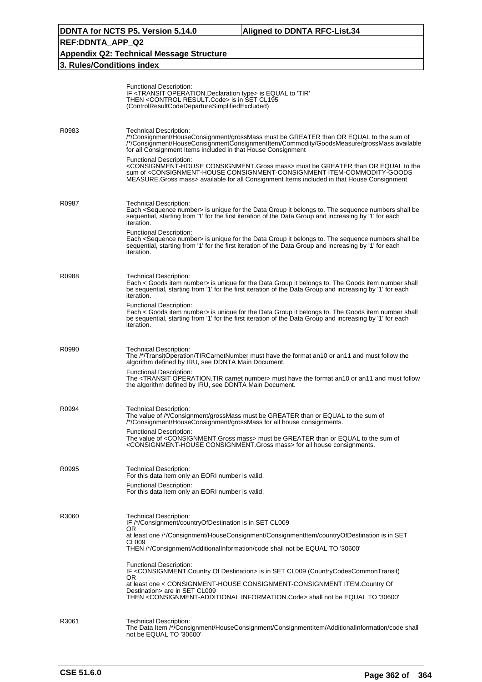|                                                 | DDNTA for NCTS P5. Version 5.14.0                                                                                                                                                                                   | <b>Aligned to DDNTA RFC-List.34</b>                                                                                                                                                                                                                                                                                                                                                                                                                                                                    |  |  |
|-------------------------------------------------|---------------------------------------------------------------------------------------------------------------------------------------------------------------------------------------------------------------------|--------------------------------------------------------------------------------------------------------------------------------------------------------------------------------------------------------------------------------------------------------------------------------------------------------------------------------------------------------------------------------------------------------------------------------------------------------------------------------------------------------|--|--|
| <b>REF:DDNTA APP Q2</b>                         |                                                                                                                                                                                                                     |                                                                                                                                                                                                                                                                                                                                                                                                                                                                                                        |  |  |
| <b>Appendix Q2: Technical Message Structure</b> |                                                                                                                                                                                                                     |                                                                                                                                                                                                                                                                                                                                                                                                                                                                                                        |  |  |
| 3. Rules/Conditions index                       |                                                                                                                                                                                                                     |                                                                                                                                                                                                                                                                                                                                                                                                                                                                                                        |  |  |
|                                                 | Functional Description:<br>IF <transit operation.declaration="" type=""> is EQUAL to 'TIR'<br/>THEN <control result.code=""> is in SET CL195<br/>(ControlResultCodeDepartureSimplifiedExcluded)</control></transit> |                                                                                                                                                                                                                                                                                                                                                                                                                                                                                                        |  |  |
| R0983                                           | Technical Description:<br>for all Consignment Items included in that House Consignment<br><b>Functional Description:</b>                                                                                            | /*/Consignment/HouseConsignment/grossMass must be GREATER than OR EQUAL to the sum of<br>/*/Consignment/HouseConsignmentConsignmentItem/Commodity/GoodsMeasure/grossMass available<br><consignment-house consignment.gross="" mass=""> must be GREATER than OR EQUAL to the<br/>sum of <consignment-house consignment-consignment="" item-commodity-goods<br="">MEASURE. Gross mass&gt; available for all Consignment Items included in that House Consignment</consignment-house></consignment-house> |  |  |
| R0987                                           | <b>Technical Description:</b><br>iteration.<br><b>Functional Description:</b><br>iteration.                                                                                                                         | Each <sequence number=""> is unique for the Data Group it belongs to. The sequence numbers shall be<br/>sequential, starting from '1' for the first iteration of the Data Group and increasing by '1' for each<br/>Each <sequence number=""> is unique for the Data Group it belongs to. The sequence numbers shall be<br/>sequential, starting from '1' for the first iteration of the Data Group and increasing by '1' for each</sequence></sequence>                                                |  |  |
| R0988                                           | <b>Technical Description:</b><br>iteration.<br><b>Functional Description:</b><br>iteration.                                                                                                                         | Each < Goods item number> is unique for the Data Group it belongs to. The Goods item number shall<br>be sequential, starting from '1' for the first iteration of the Data Group and increasing by '1' for each<br>Each < Goods item number> is unique for the Data Group it belongs to. The Goods item number shall<br>be sequential, starting from '1' for the first iteration of the Data Group and increasing by '1' for each                                                                       |  |  |
| R0990                                           | <b>Technical Description:</b><br>algorithm defined by IRU, see DDNTA Main Document.<br><b>Functional Description:</b><br>the algorithm defined by IRU, see DDNTA Main Document.                                     | The /*/TransitOperation/TIRCarnetNumber must have the format an10 or an11 and must follow the<br>The <transit carnet="" number="" operation.tir=""> must have the format an10 or an11 and must follow</transit>                                                                                                                                                                                                                                                                                        |  |  |
| R0994                                           | <b>Technical Description:</b><br>/*/Consignment/HouseConsignment/grossMass for all house consignments.<br><b>Functional Description:</b>                                                                            | The value of /*/Consignment/grossMass must be GREATER than or EQUAL to the sum of<br>The value of <consignment.gross mass=""> must be GREATER than or EQUAL to the sum of<br/><consignment-house consignment.gross="" mass=""> for all house consignments.</consignment-house></consignment.gross>                                                                                                                                                                                                     |  |  |
| R0995                                           | <b>Technical Description:</b><br>For this data item only an EORI number is valid.<br><b>Functional Description:</b><br>For this data item only an EORI number is valid.                                             |                                                                                                                                                                                                                                                                                                                                                                                                                                                                                                        |  |  |
| R3060                                           | <b>Technical Description:</b><br>IF /*/Consignment/countryOfDestination is in SET CL009<br>OR.<br>CL <sub>009</sub><br><b>Functional Description:</b><br>OR.<br>Destination > are in SET CL009                      | at least one /*/Consignment/HouseConsignment/ConsignmentItem/countryOfDestination is in SET<br>THEN /*/Consignment/AdditionalInformation/code shall not be EQUAL TO '30600'<br>IF <consignment.country destination="" of=""> is in SET CL009 (CountryCodesCommonTransit)<br/>at least one &lt; CONSIGNMENT-HOUSE CONSIGNMENT-CONSIGNMENT ITEM. Country Of<br/>THEN <consignment-additional information.code=""> shall not be EQUAL TO '30600'</consignment-additional></consignment.country>           |  |  |
| R3061                                           | <b>Technical Description:</b><br>not be EQUAL TO '30600'                                                                                                                                                            | The Data Item /*/Consignment/HouseConsignment/ConsignmentItem/AdditionalInformation/code shall                                                                                                                                                                                                                                                                                                                                                                                                         |  |  |

**r**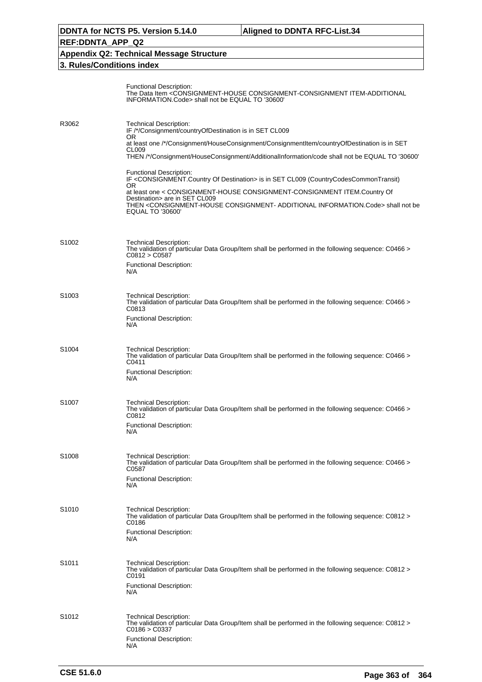|                                                 | DDNTA for NCTS P5. Version 5.14.0                                                                      | <b>Aligned to DDNTA RFC-List.34</b>                                                                                                                                                                                                                                                                             |  |  |
|-------------------------------------------------|--------------------------------------------------------------------------------------------------------|-----------------------------------------------------------------------------------------------------------------------------------------------------------------------------------------------------------------------------------------------------------------------------------------------------------------|--|--|
| REF:DDNTA_APP_Q2                                |                                                                                                        |                                                                                                                                                                                                                                                                                                                 |  |  |
| <b>Appendix Q2: Technical Message Structure</b> |                                                                                                        |                                                                                                                                                                                                                                                                                                                 |  |  |
| 3. Rules/Conditions index                       |                                                                                                        |                                                                                                                                                                                                                                                                                                                 |  |  |
|                                                 | <b>Functional Description:</b><br>INFORMATION.Code> shall not be EQUAL TO '30600'                      | The Data Item <consignment-house consignment-consignment="" item-additional<="" td=""></consignment-house>                                                                                                                                                                                                      |  |  |
| R3062                                           | <b>Technical Description:</b><br>IF /*/Consignment/countryOfDestination is in SET CL009<br>OR<br>CL009 | at least one /*/Consignment/HouseConsignment/ConsignmentItem/countryOfDestination is in SET<br>THEN /*/Consignment/HouseConsignment/AdditionalInformation/code shall not be EQUAL TO '30600'                                                                                                                    |  |  |
|                                                 | <b>Functional Description:</b><br>0R<br>Destination> are in SET CL009<br><b>EQUAL TO '30600'</b>       | IF <consignment.country destination="" of=""> is in SET CL009 (CountryCodesCommonTransit)<br/>at least one &lt; CONSIGNMENT-HOUSE CONSIGNMENT-CONSIGNMENT ITEM.Country Of<br/>THEN <consignment-house additional="" consignment-="" information.code=""> shall not be</consignment-house></consignment.country> |  |  |
| S1002                                           | Technical Description:<br>C0812 > C0587<br>Functional Description:<br>N/A                              | The validation of particular Data Group/Item shall be performed in the following sequence: C0466 >                                                                                                                                                                                                              |  |  |
| S <sub>1003</sub>                               | Technical Description:<br>C0813<br><b>Functional Description:</b><br>N/A                               | The validation of particular Data Group/Item shall be performed in the following sequence: C0466 >                                                                                                                                                                                                              |  |  |
| S1004                                           | Technical Description:<br>C0411<br>Functional Description:<br>N/A                                      | The validation of particular Data Group/Item shall be performed in the following sequence: C0466 >                                                                                                                                                                                                              |  |  |
| S <sub>1007</sub>                               | Technical Description:<br>C0812<br><b>Functional Description:</b><br>N/A                               | The validation of particular Data Group/Item shall be performed in the following sequence: C0466 >                                                                                                                                                                                                              |  |  |
| S <sub>1008</sub>                               | <b>Technical Description:</b><br>C0587<br>Functional Description:<br>N/A                               | The validation of particular Data Group/Item shall be performed in the following sequence: C0466 >                                                                                                                                                                                                              |  |  |
| S <sub>1010</sub>                               | Technical Description:<br>C0186<br><b>Functional Description:</b><br>N/A                               | The validation of particular Data Group/Item shall be performed in the following sequence: C0812 >                                                                                                                                                                                                              |  |  |
| S <sub>1011</sub>                               | Technical Description:<br>C0191<br>Functional Description:<br>N/A                                      | The validation of particular Data Group/Item shall be performed in the following sequence: C0812 >                                                                                                                                                                                                              |  |  |
| S1012                                           | Technical Description:<br>C0186 > C0337<br><b>Functional Description:</b><br>N/A                       | The validation of particular Data Group/Item shall be performed in the following sequence: C0812 >                                                                                                                                                                                                              |  |  |